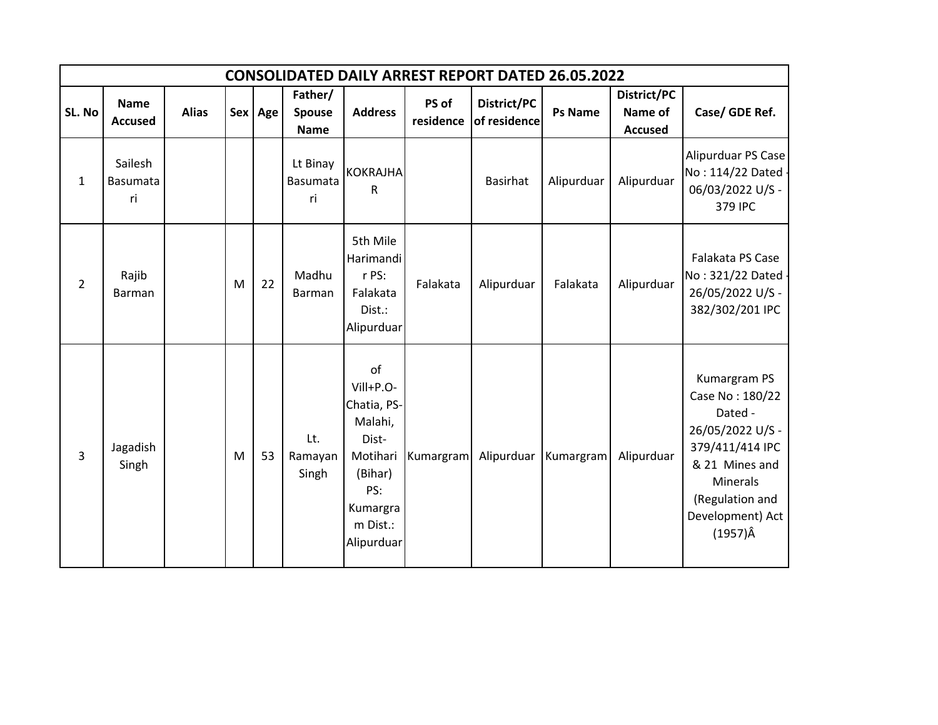|                | <b>CONSOLIDATED DAILY ARREST REPORT DATED 26.05.2022</b> |              |   |         |                                         |                                                                                                                        |                    |                             |                |                                          |                                                                                                                                                                                  |  |  |  |
|----------------|----------------------------------------------------------|--------------|---|---------|-----------------------------------------|------------------------------------------------------------------------------------------------------------------------|--------------------|-----------------------------|----------------|------------------------------------------|----------------------------------------------------------------------------------------------------------------------------------------------------------------------------------|--|--|--|
| SL. No         | <b>Name</b><br><b>Accused</b>                            | <b>Alias</b> |   | Sex Age | Father/<br><b>Spouse</b><br><b>Name</b> | <b>Address</b>                                                                                                         | PS of<br>residence | District/PC<br>of residence | <b>Ps Name</b> | District/PC<br>Name of<br><b>Accused</b> | Case/ GDE Ref.                                                                                                                                                                   |  |  |  |
| $\mathbf{1}$   | Sailesh<br><b>Basumata</b><br>ri                         |              |   |         | Lt Binay<br><b>Basumata</b><br>ri       | <b>KOKRAJHA</b><br>${\sf R}$                                                                                           |                    | <b>Basirhat</b>             | Alipurduar     | Alipurduar                               | Alipurduar PS Case<br>No: 114/22 Dated -<br>06/03/2022 U/S -<br>379 IPC                                                                                                          |  |  |  |
| $\overline{2}$ | Rajib<br>Barman                                          |              | M | 22      | Madhu<br>Barman                         | 5th Mile<br>Harimandi<br>r PS:<br>Falakata<br>Dist.:<br>Alipurduar                                                     | Falakata           | Alipurduar                  | Falakata       | Alipurduar                               | Falakata PS Case<br>No: 321/22 Dated -<br>26/05/2022 U/S -<br>382/302/201 IPC                                                                                                    |  |  |  |
| 3              | Jagadish<br>Singh                                        |              | M | 53      | Lt.<br>Ramayan<br>Singh                 | of<br>Vill+P.O-<br>Chatia, PS-<br>Malahi,<br>Dist-<br>Motihari<br>(Bihar)<br>PS:<br>Kumargra<br>m Dist.:<br>Alipurduar | Kumargram          | Alipurduar                  | Kumargram      | Alipurduar                               | Kumargram PS<br>Case No: 180/22<br>Dated -<br>26/05/2022 U/S -<br>379/411/414 IPC<br>& 21 Mines and<br><b>Minerals</b><br>(Regulation and<br>Development) Act<br>$(1957)\hat{A}$ |  |  |  |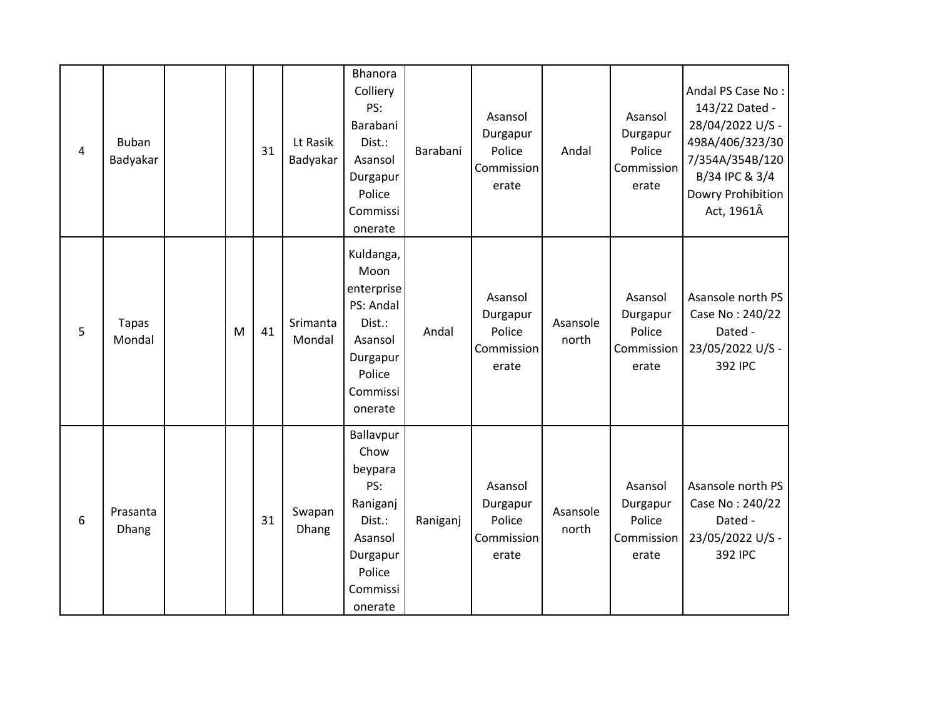| $\overline{4}$ | <b>Buban</b><br>Badyakar |   | 31 | Lt Rasik<br>Badyakar | <b>Bhanora</b><br>Colliery<br>PS:<br>Barabani<br>Dist.:<br>Asansol<br>Durgapur<br>Police<br>Commissi<br>onerate   | Barabani | Asansol<br>Durgapur<br>Police<br>Commission<br>erate | Andal             | Asansol<br>Durgapur<br>Police<br>Commission<br>erate | Andal PS Case No:<br>143/22 Dated -<br>28/04/2022 U/S -<br>498A/406/323/30<br>7/354A/354B/120<br>B/34 IPC & 3/4<br>Dowry Prohibition<br>Act, 1961Â |
|----------------|--------------------------|---|----|----------------------|-------------------------------------------------------------------------------------------------------------------|----------|------------------------------------------------------|-------------------|------------------------------------------------------|----------------------------------------------------------------------------------------------------------------------------------------------------|
| 5              | <b>Tapas</b><br>Mondal   | M | 41 | Srimanta<br>Mondal   | Kuldanga,<br>Moon<br>enterprise<br>PS: Andal<br>Dist.:<br>Asansol<br>Durgapur<br>Police<br>Commissi<br>onerate    | Andal    | Asansol<br>Durgapur<br>Police<br>Commission<br>erate | Asansole<br>north | Asansol<br>Durgapur<br>Police<br>Commission<br>erate | Asansole north PS<br>Case No: 240/22<br>Dated -<br>23/05/2022 U/S -<br>392 IPC                                                                     |
| 6              | Prasanta<br>Dhang        |   | 31 | Swapan<br>Dhang      | Ballavpur<br>Chow<br>beypara<br>PS:<br>Raniganj<br>Dist.:<br>Asansol<br>Durgapur<br>Police<br>Commissi<br>onerate | Raniganj | Asansol<br>Durgapur<br>Police<br>Commission<br>erate | Asansole<br>north | Asansol<br>Durgapur<br>Police<br>Commission<br>erate | Asansole north PS<br>Case No: 240/22<br>Dated -<br>23/05/2022 U/S -<br>392 IPC                                                                     |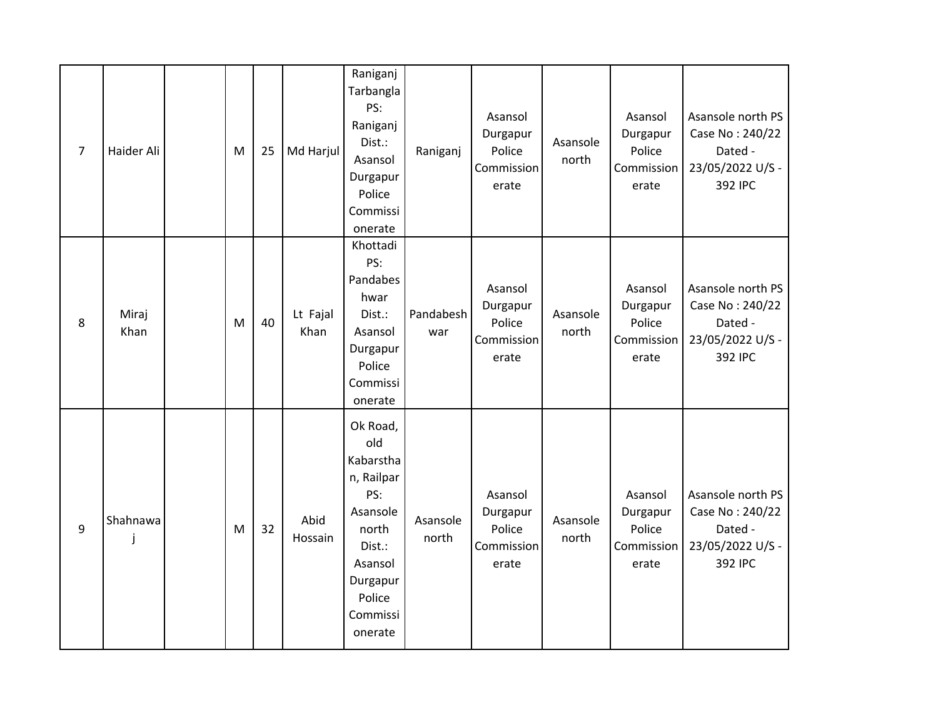| $\overline{7}$   | Haider Ali    | M | 25 | Md Harjul        | Raniganj<br>Tarbangla<br>PS:<br>Raniganj<br>Dist.:<br>Asansol<br>Durgapur<br>Police<br>Commissi<br>onerate                               | Raniganj          | Asansol<br>Durgapur<br>Police<br>Commission<br>erate | Asansole<br>north | Asansol<br>Durgapur<br>Police<br>Commission<br>erate | Asansole north PS<br>Case No: 240/22<br>Dated -<br>23/05/2022 U/S -<br>392 IPC |
|------------------|---------------|---|----|------------------|------------------------------------------------------------------------------------------------------------------------------------------|-------------------|------------------------------------------------------|-------------------|------------------------------------------------------|--------------------------------------------------------------------------------|
| 8                | Miraj<br>Khan | M | 40 | Lt Fajal<br>Khan | Khottadi<br>PS:<br>Pandabes<br>hwar<br>Dist.:<br>Asansol<br>Durgapur<br>Police<br>Commissi<br>onerate                                    | Pandabesh<br>war  | Asansol<br>Durgapur<br>Police<br>Commission<br>erate | Asansole<br>north | Asansol<br>Durgapur<br>Police<br>Commission<br>erate | Asansole north PS<br>Case No: 240/22<br>Dated -<br>23/05/2022 U/S -<br>392 IPC |
| $\boldsymbol{9}$ | Shahnawa      | M | 32 | Abid<br>Hossain  | Ok Road,<br>old<br>Kabarstha<br>n, Railpar<br>PS:<br>Asansole<br>north<br>Dist.:<br>Asansol<br>Durgapur<br>Police<br>Commissi<br>onerate | Asansole<br>north | Asansol<br>Durgapur<br>Police<br>Commission<br>erate | Asansole<br>north | Asansol<br>Durgapur<br>Police<br>Commission<br>erate | Asansole north PS<br>Case No: 240/22<br>Dated -<br>23/05/2022 U/S -<br>392 IPC |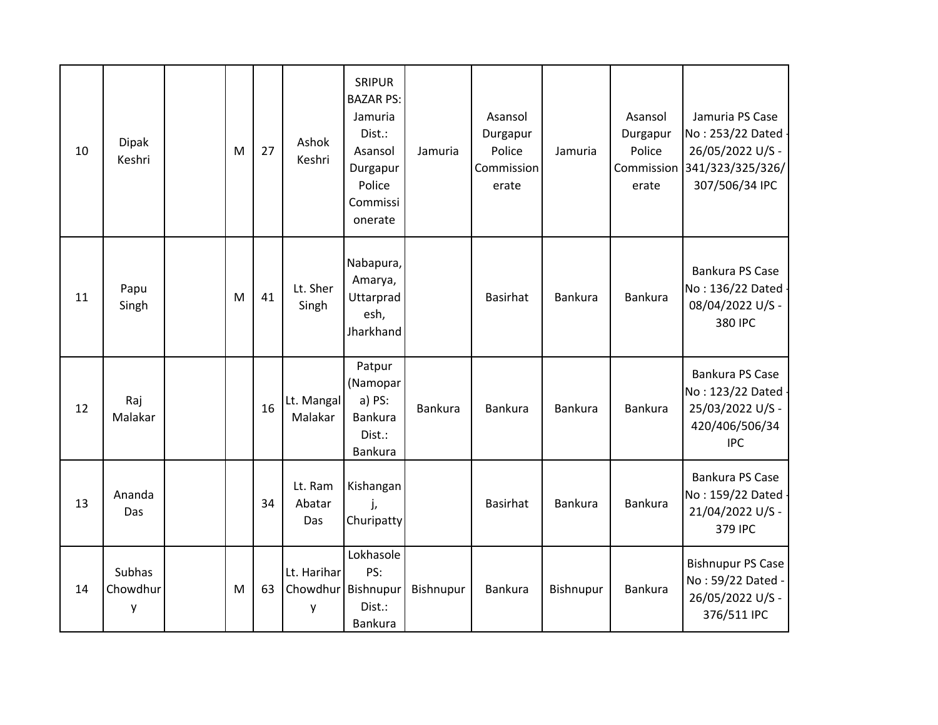| 10 | <b>Dipak</b><br>Keshri  | M | 27 | Ashok<br>Keshri                        | <b>SRIPUR</b><br><b>BAZAR PS:</b><br>Jamuria<br>Dist.:<br>Asansol<br>Durgapur<br>Police<br>Commissi<br>onerate | Jamuria   | Asansol<br>Durgapur<br>Police<br>Commission<br>erate | Jamuria   | Asansol<br>Durgapur<br>Police<br>erate | Jamuria PS Case<br>No: 253/22 Dated -<br>26/05/2022 U/S -<br>Commission 341/323/325/326/<br>307/506/34 IPC |
|----|-------------------------|---|----|----------------------------------------|----------------------------------------------------------------------------------------------------------------|-----------|------------------------------------------------------|-----------|----------------------------------------|------------------------------------------------------------------------------------------------------------|
| 11 | Papu<br>Singh           | M | 41 | Lt. Sher<br>Singh                      | Nabapura,<br>Amarya,<br>Uttarprad<br>esh,<br>Jharkhand                                                         |           | Basirhat                                             | Bankura   | Bankura                                | Bankura PS Case<br>No: 136/22 Dated -<br>08/04/2022 U/S -<br>380 IPC                                       |
| 12 | Raj<br>Malakar          |   | 16 | Lt. Mangal<br>Malakar                  | Patpur<br>(Namopar<br>a) PS:<br><b>Bankura</b><br>Dist.:<br>Bankura                                            | Bankura   | Bankura                                              | Bankura   | <b>Bankura</b>                         | Bankura PS Case<br>No: 123/22 Dated -<br>25/03/2022 U/S -<br>420/406/506/34<br><b>IPC</b>                  |
| 13 | Ananda<br>Das           |   | 34 | Lt. Ram<br>Abatar<br>Das               | Kishangan<br>j,<br>Churipatty                                                                                  |           | Basirhat                                             | Bankura   | Bankura                                | Bankura PS Case<br>No: 159/22 Dated -<br>21/04/2022 U/S -<br>379 IPC                                       |
| 14 | Subhas<br>Chowdhur<br>у | M | 63 | Lt. Harihar<br>Chowdhur Bishnupur<br>у | Lokhasole<br>PS:<br>Dist.:<br>Bankura                                                                          | Bishnupur | Bankura                                              | Bishnupur | <b>Bankura</b>                         | <b>Bishnupur PS Case</b><br>No: 59/22 Dated -<br>26/05/2022 U/S -<br>376/511 IPC                           |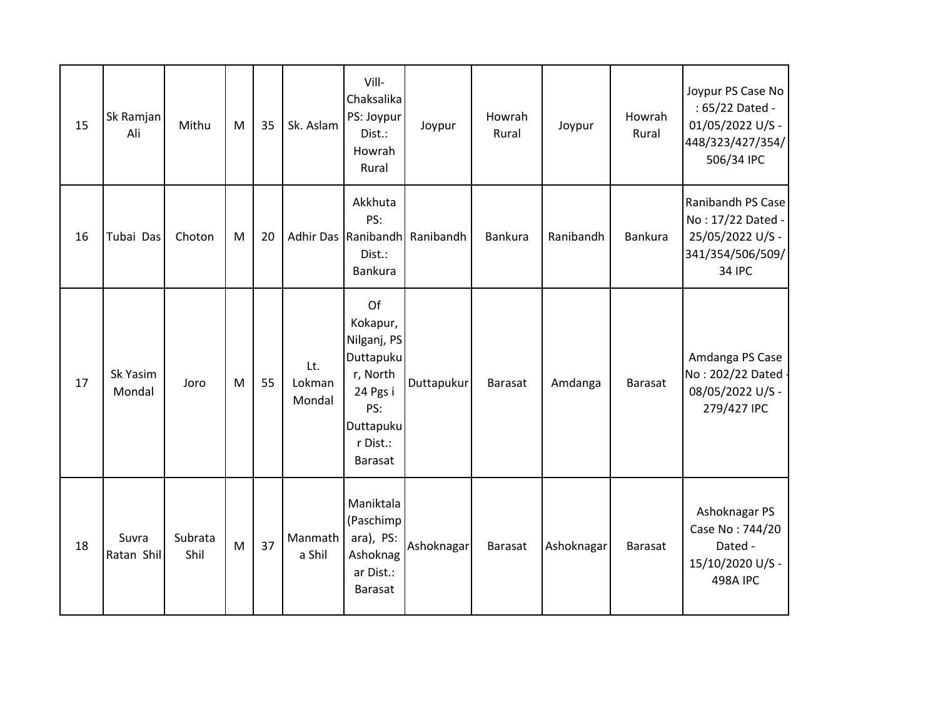| 15 | Sk Ramjan<br>Ali    | Mithu           | M | 35 | Sk. Aslam               | Vill-<br>Chaksalika<br>PS: Joypur<br>Dist.:<br>Howrah<br>Rural                                                | Joypur                        | Howrah<br>Rural | Joypur     | Howrah<br>Rural | Joypur PS Case No<br>: 65/22 Dated -<br>01/05/2022 U/S -<br>448/323/427/354/<br>506/34 IPC      |
|----|---------------------|-----------------|---|----|-------------------------|---------------------------------------------------------------------------------------------------------------|-------------------------------|-----------------|------------|-----------------|-------------------------------------------------------------------------------------------------|
| 16 | Tubai Das           | Choton          | M | 20 |                         | Akkhuta<br>PS:<br>Dist.:<br>Bankura                                                                           | Adhir Das Ranibandh Ranibandh | Bankura         | Ranibandh  | Bankura         | Ranibandh PS Case<br>No: 17/22 Dated -<br>25/05/2022 U/S -<br>341/354/506/509/<br><b>34 IPC</b> |
| 17 | Sk Yasim<br>Mondal  | Joro            | M | 55 | Lt.<br>Lokman<br>Mondal | Of<br>Kokapur,<br>Nilganj, PS<br>Duttapuku<br>r, North<br>24 Pgs i<br>PS:<br>Duttapuku<br>r Dist.:<br>Barasat | Duttapukur                    | <b>Barasat</b>  | Amdanga    | <b>Barasat</b>  | Amdanga PS Case<br>No: 202/22 Dated -<br>08/05/2022 U/S -<br>279/427 IPC                        |
| 18 | Suvra<br>Ratan Shil | Subrata<br>Shil | M | 37 | Manmath<br>a Shil       | Maniktala<br>(Paschimp<br>ara), PS:<br>Ashoknag<br>ar Dist.:<br><b>Barasat</b>                                | Ashoknagar                    | <b>Barasat</b>  | Ashoknagar | <b>Barasat</b>  | Ashoknagar PS<br>Case No: 744/20<br>Dated -<br>15/10/2020 U/S -<br><b>498A IPC</b>              |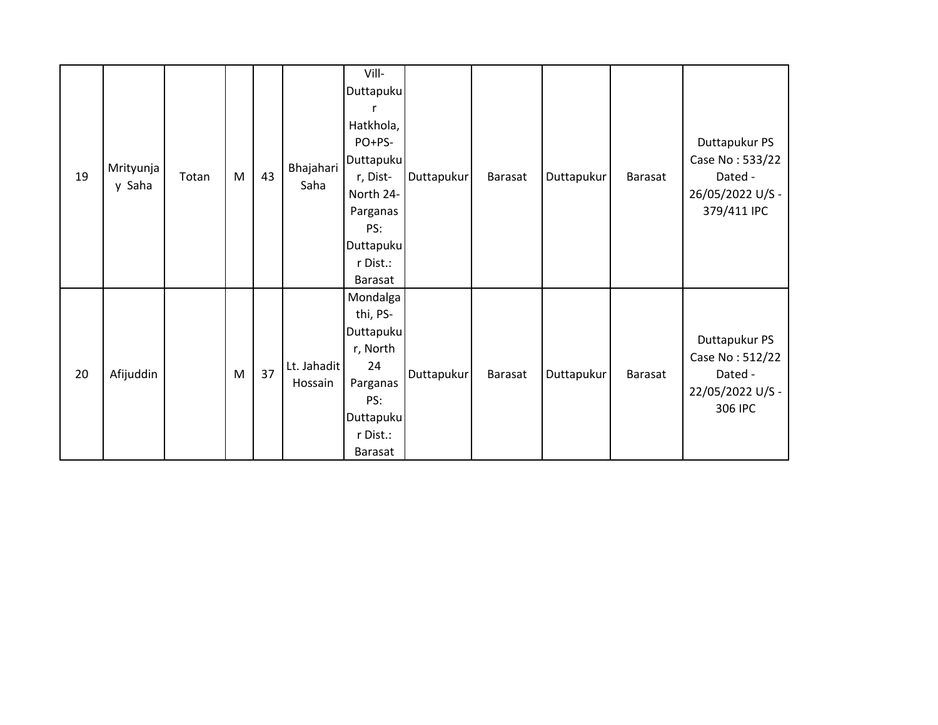| 19 | Mrityunja<br>y Saha | Totan | M | 43 | Bhajahari<br>Saha      | Vill-<br>Duttapuku<br>Hatkhola,<br>PO+PS-<br>Duttapuku<br>r, Dist-<br>North 24-<br>Parganas<br>PS:<br>Duttapuku<br>r Dist.:<br>Barasat | Duttapukur | Barasat | Duttapukur | Barasat | Duttapukur PS<br>Case No: 533/22<br>Dated -<br>26/05/2022 U/S -<br>379/411 IPC |
|----|---------------------|-------|---|----|------------------------|----------------------------------------------------------------------------------------------------------------------------------------|------------|---------|------------|---------|--------------------------------------------------------------------------------|
| 20 | Afijuddin           |       | M | 37 | Lt. Jahadit<br>Hossain | Mondalga<br>thi, PS-<br>Duttapuku<br>r, North<br>24<br>Parganas<br>PS:<br><b>Duttapuku</b><br>r Dist.:<br>Barasat                      | Duttapukur | Barasat | Duttapukur | Barasat | Duttapukur PS<br>Case No: 512/22<br>Dated -<br>22/05/2022 U/S -<br>306 IPC     |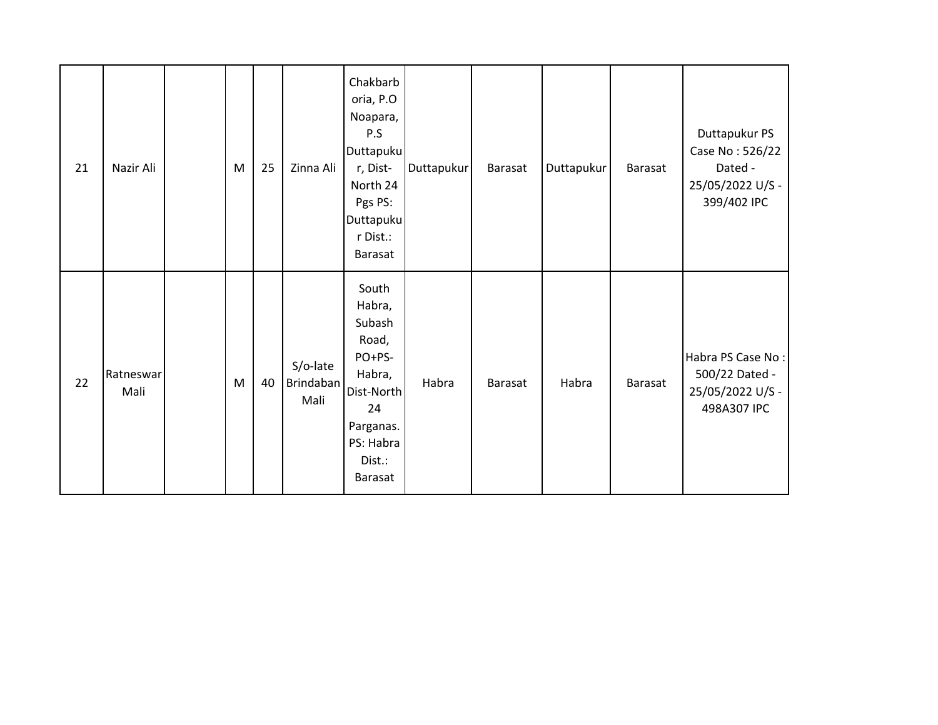| 21 | Nazir Ali         | M | 25 | Zinna Ali                     | Chakbarb<br>oria, P.O<br>Noapara,<br>P.S<br>Duttapuku<br>r, Dist-<br>North 24<br>Pgs PS:<br>Duttapuku<br>r Dist.:<br>Barasat     | Duttapukur | Barasat | Duttapukur | Barasat | Duttapukur PS<br>Case No: 526/22<br>Dated -<br>25/05/2022 U/S -<br>399/402 IPC |
|----|-------------------|---|----|-------------------------------|----------------------------------------------------------------------------------------------------------------------------------|------------|---------|------------|---------|--------------------------------------------------------------------------------|
| 22 | Ratneswar<br>Mali | M | 40 | S/o-late<br>Brindaban<br>Mali | South<br>Habra,<br>Subash<br>Road,<br>PO+PS-<br>Habra,<br>Dist-North<br>24<br>Parganas.<br>PS: Habra<br>Dist.:<br><b>Barasat</b> | Habra      | Barasat | Habra      | Barasat | Habra PS Case No:<br>500/22 Dated -<br>25/05/2022 U/S -<br>498A307 IPC         |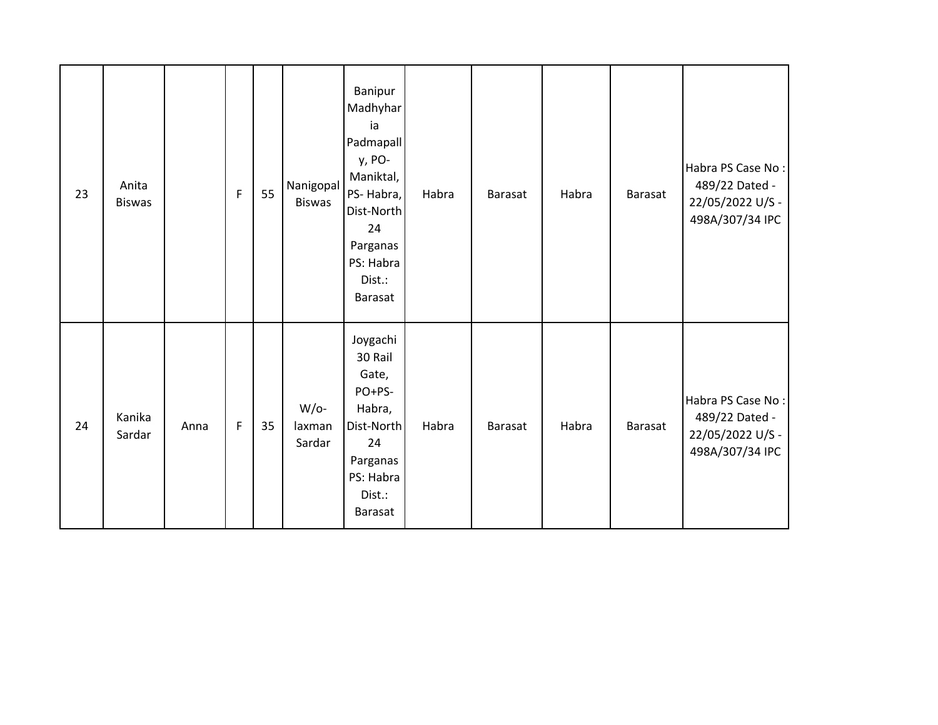| 23 | Anita<br><b>Biswas</b> |      | $\mathsf F$ | 55 | Nanigopal<br>Biswas        | Banipur<br>Madhyhar<br>ia<br>Padmapall<br>y, PO-<br>Maniktal,<br>PS-Habra,<br>Dist-North<br>24<br>Parganas<br>PS: Habra<br>Dist.:<br>Barasat | Habra | <b>Barasat</b> | Habra | Barasat | Habra PS Case No:<br>489/22 Dated -<br>22/05/2022 U/S -<br>498A/307/34 IPC |
|----|------------------------|------|-------------|----|----------------------------|----------------------------------------------------------------------------------------------------------------------------------------------|-------|----------------|-------|---------|----------------------------------------------------------------------------|
| 24 | Kanika<br>Sardar       | Anna | $\mathsf F$ | 35 | $W/O-$<br>laxman<br>Sardar | Joygachi<br>30 Rail<br>Gate,<br>PO+PS-<br>Habra,<br>Dist-North<br>24<br>Parganas<br>PS: Habra<br>Dist.:<br>Barasat                           | Habra | <b>Barasat</b> | Habra | Barasat | Habra PS Case No:<br>489/22 Dated -<br>22/05/2022 U/S -<br>498A/307/34 IPC |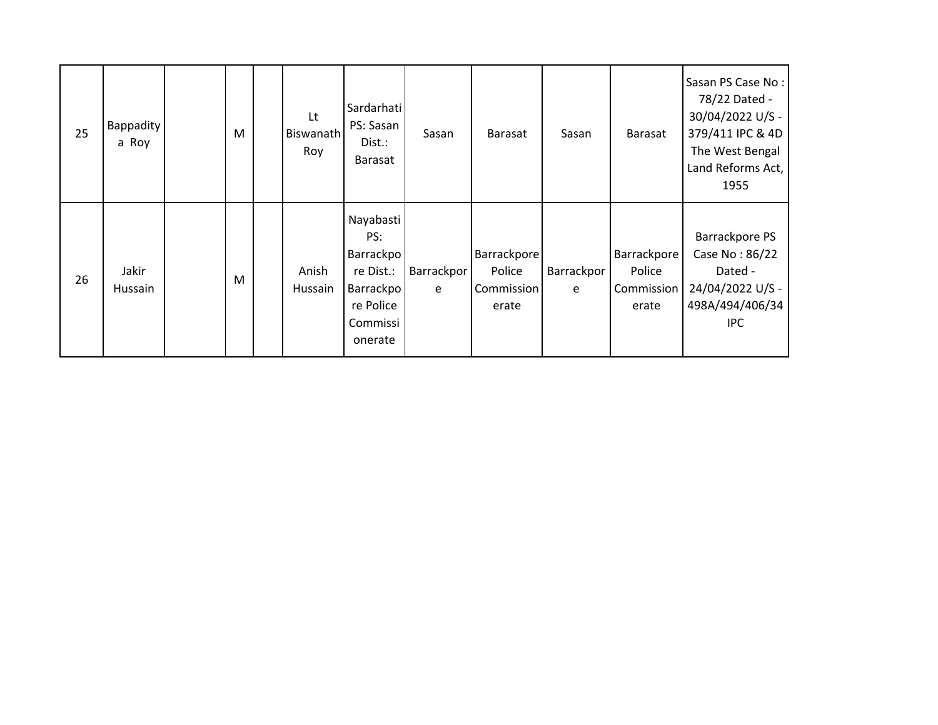| 25 | <b>Bappadity</b><br>a Roy | M | Lt<br>Biswanath<br>Roy | Sardarhati<br>PS: Sasan<br>Dist.:<br>Barasat                                                | Sasan           | Barasat                                             | Sasan           | Barasat                                      | Sasan PS Case No:<br>78/22 Dated -<br>30/04/2022 U/S -<br>379/411 IPC & 4D<br>The West Bengal<br>Land Reforms Act,<br>1955 |
|----|---------------------------|---|------------------------|---------------------------------------------------------------------------------------------|-----------------|-----------------------------------------------------|-----------------|----------------------------------------------|----------------------------------------------------------------------------------------------------------------------------|
| 26 | Jakir<br>Hussain          | M | Anish<br>Hussain       | Nayabasti<br>PS:<br>Barrackpo<br>re Dist.:<br>Barrackpo<br>re Police<br>Commissi<br>onerate | Barrackpor<br>e | <b>Barrackpore</b><br>Police<br>Commission<br>erate | Barrackpor<br>e | Barrackpore<br>Police<br>Commission<br>erate | Barrackpore PS<br>Case No: 86/22<br>Dated -<br>24/04/2022 U/S -<br>498A/494/406/34<br><b>IPC</b>                           |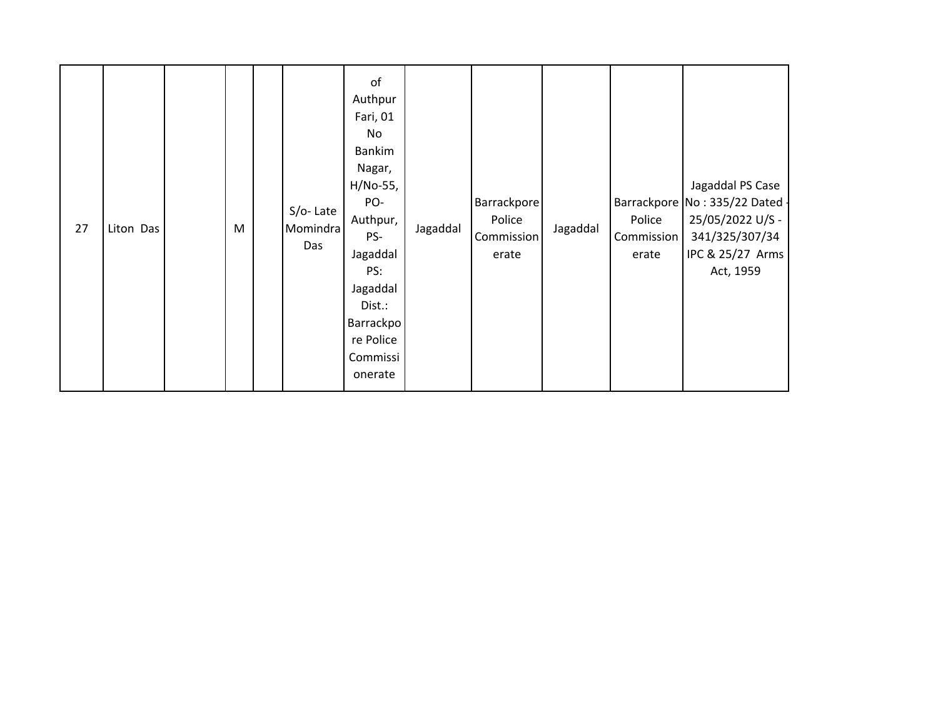| 27 | Liton Das |  | M |  | S/o-Late<br>Momindra<br>Das | of<br>Authpur<br>Fari, 01<br>No<br>Bankim<br>Nagar,<br>H/No-55,<br>PO-<br>Authpur,<br>PS-<br>Jagaddal<br>PS:<br>Jagaddal<br>Dist.:<br>Barrackpo<br>re Police<br>Commissi<br>onerate | Jagaddal | Barrackpore<br>Police<br>Commission<br>erate | Jagaddal | Police<br>Commission<br>erate | Jagaddal PS Case<br>Barrackpore No: 335/22 Dated -<br>25/05/2022 U/S -<br>341/325/307/34<br>IPC & 25/27 Arms<br>Act, 1959 |
|----|-----------|--|---|--|-----------------------------|-------------------------------------------------------------------------------------------------------------------------------------------------------------------------------------|----------|----------------------------------------------|----------|-------------------------------|---------------------------------------------------------------------------------------------------------------------------|
|----|-----------|--|---|--|-----------------------------|-------------------------------------------------------------------------------------------------------------------------------------------------------------------------------------|----------|----------------------------------------------|----------|-------------------------------|---------------------------------------------------------------------------------------------------------------------------|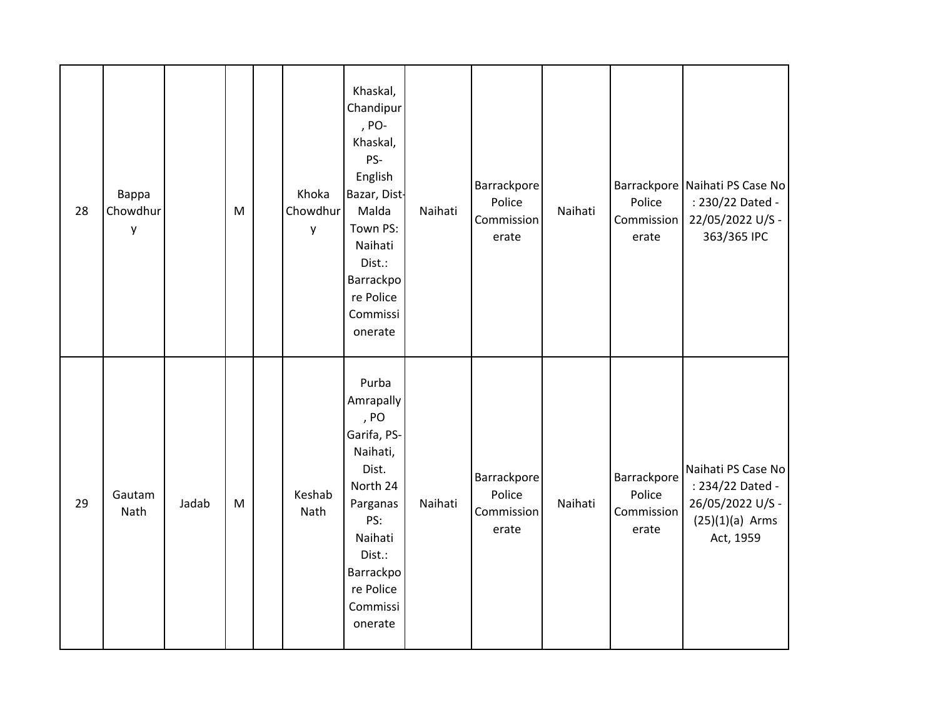| 28 | Bappa<br>Chowdhur<br>y |       | M         | Khoka<br>Chowdhur<br>y | Khaskal,<br>Chandipur<br>, PO-<br>Khaskal,<br>PS-<br>English<br>Bazar, Dist-<br>Malda<br>Town PS:<br>Naihati<br>Dist.:<br>Barrackpo<br>re Police<br>Commissi<br>onerate | Naihati | Barrackpore<br>Police<br>Commission<br>erate | Naihati | Police<br>Commission<br>erate                | Barrackpore Naihati PS Case No<br>: 230/22 Dated -<br>22/05/2022 U/S -<br>363/365 IPC        |
|----|------------------------|-------|-----------|------------------------|-------------------------------------------------------------------------------------------------------------------------------------------------------------------------|---------|----------------------------------------------|---------|----------------------------------------------|----------------------------------------------------------------------------------------------|
| 29 | Gautam<br>Nath         | Jadab | ${\sf M}$ | Keshab<br>Nath         | Purba<br>Amrapally<br>, PO<br>Garifa, PS-<br>Naihati,<br>Dist.<br>North 24<br>Parganas<br>PS:<br>Naihati<br>Dist.:<br>Barrackpo<br>re Police<br>Commissi<br>onerate     | Naihati | Barrackpore<br>Police<br>Commission<br>erate | Naihati | Barrackpore<br>Police<br>Commission<br>erate | Naihati PS Case No<br>: 234/22 Dated -<br>26/05/2022 U/S -<br>$(25)(1)(a)$ Arms<br>Act, 1959 |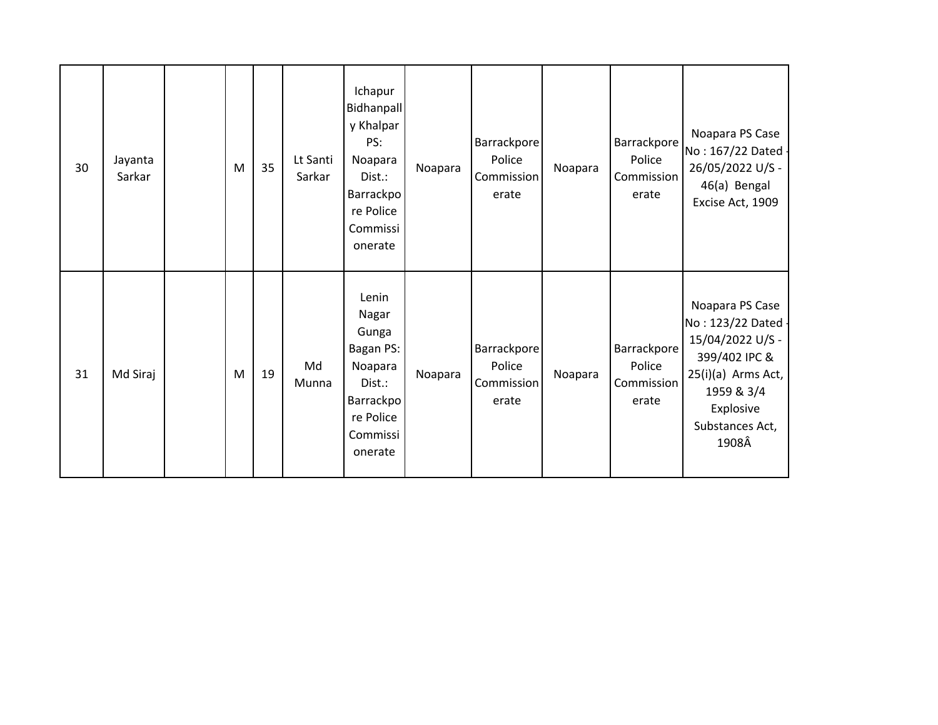| 30 | Jayanta<br>Sarkar | M | 35 | Lt Santi<br>Sarkar | Ichapur<br>Bidhanpall<br>y Khalpar<br>PS:<br>Noapara<br>Dist.:<br><b>Barrackpo</b><br>re Police<br>Commissi<br>onerate | Noapara | Barrackpore<br>Police<br>Commission<br>erate | Noapara | Barrackpore<br>Police<br>Commission<br>erate | Noapara PS Case<br>No: 167/22 Dated -<br>26/05/2022 U/S -<br>46(a) Bengal<br>Excise Act, 1909                                                           |
|----|-------------------|---|----|--------------------|------------------------------------------------------------------------------------------------------------------------|---------|----------------------------------------------|---------|----------------------------------------------|---------------------------------------------------------------------------------------------------------------------------------------------------------|
| 31 | Md Siraj          | M | 19 | Md<br>Munna        | Lenin<br>Nagar<br>Gunga<br>Bagan PS:<br>Noapara<br>Dist.:<br>Barrackpo<br>re Police<br>Commissi<br>onerate             | Noapara | Barrackpore<br>Police<br>Commission<br>erate | Noapara | Barrackpore<br>Police<br>Commission<br>erate | Noapara PS Case<br>No: 123/22 Dated -<br>15/04/2022 U/S -<br>399/402 IPC &<br>25(i)(a) Arms Act,<br>1959 & 3/4<br>Explosive<br>Substances Act,<br>1908Â |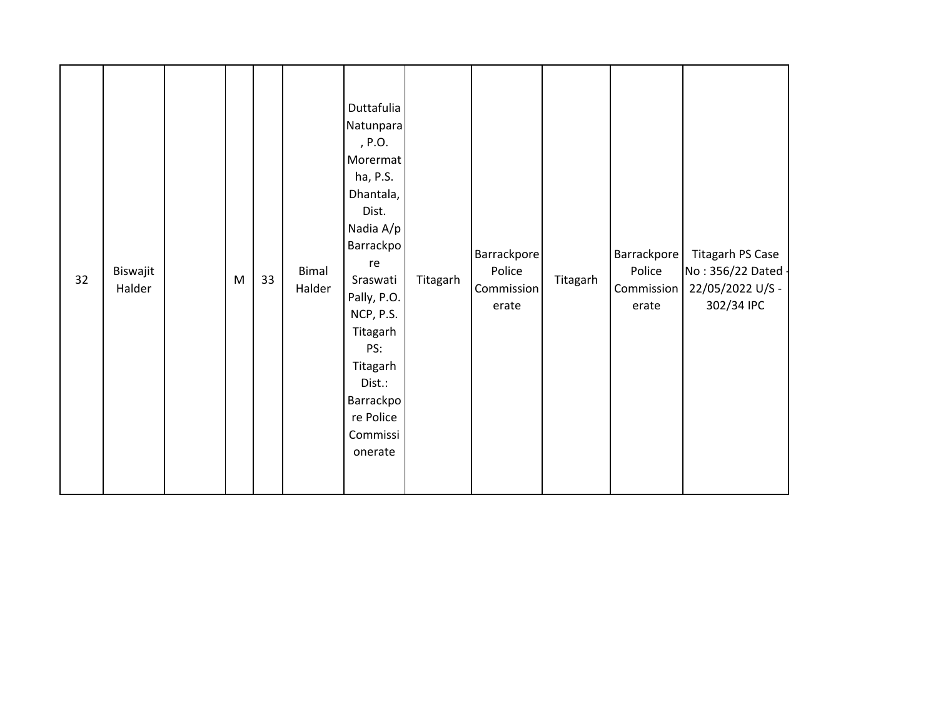| 32 | Biswajit<br>Halder |  | M | 33 | Bimal<br>Halder | Duttafulia<br>Natunpara<br>, P.O.<br>Morermat<br>ha, P.S.<br>Dhantala,<br>Dist.<br>Nadia A/p<br>Barrackpo<br>re<br>Sraswati<br>Pally, P.O.<br>NCP, P.S.<br>Titagarh<br>PS:<br>Titagarh<br>Dist.:<br>Barrackpo<br>re Police<br>Commissi<br>onerate | Titagarh | Barrackpore<br>Police<br>Commission<br>erate | Titagarh | Barrackpore<br>Police<br>Commission<br>erate | Titagarh PS Case<br>No: 356/22 Dated -<br>22/05/2022 U/S -<br>302/34 IPC |
|----|--------------------|--|---|----|-----------------|---------------------------------------------------------------------------------------------------------------------------------------------------------------------------------------------------------------------------------------------------|----------|----------------------------------------------|----------|----------------------------------------------|--------------------------------------------------------------------------|
|----|--------------------|--|---|----|-----------------|---------------------------------------------------------------------------------------------------------------------------------------------------------------------------------------------------------------------------------------------------|----------|----------------------------------------------|----------|----------------------------------------------|--------------------------------------------------------------------------|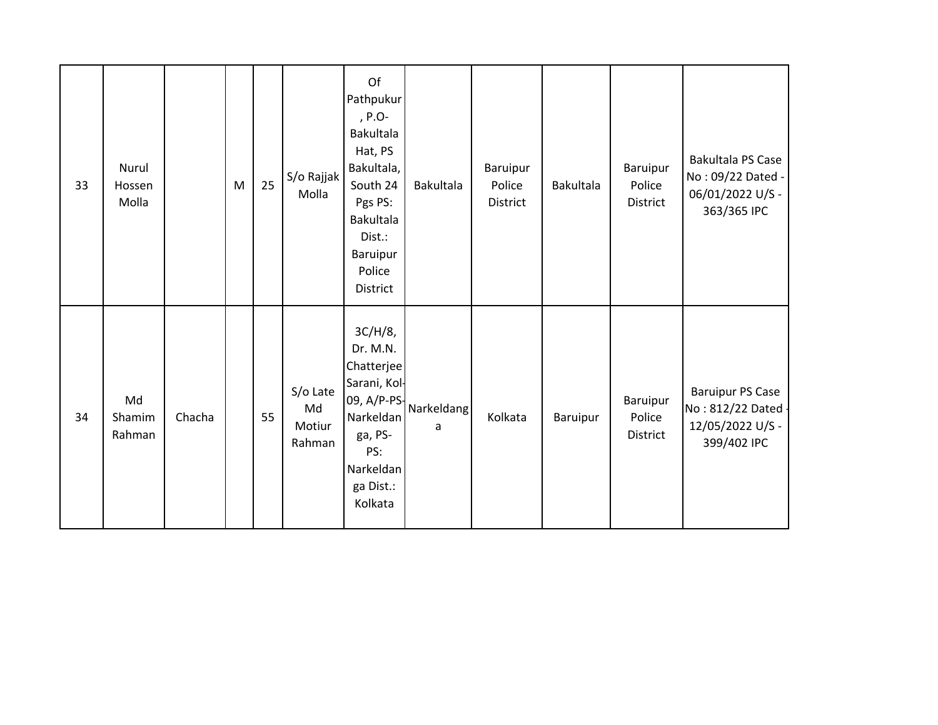| 33 | Nurul<br>Hossen<br>Molla |        | M | 25 | S/o Rajjak<br>Molla                | Of<br>Pathpukur<br>, $P.O-$<br>Bakultala<br>Hat, PS<br>Bakultala,<br>South 24<br>Pgs PS:<br><b>Bakultala</b><br>Dist.:<br>Baruipur<br>Police<br>District | <b>Bakultala</b> | Baruipur<br>Police<br>District | Bakultala | Baruipur<br>Police<br>District | Bakultala PS Case<br>No: 09/22 Dated -<br>06/01/2022 U/S -<br>363/365 IPC        |
|----|--------------------------|--------|---|----|------------------------------------|----------------------------------------------------------------------------------------------------------------------------------------------------------|------------------|--------------------------------|-----------|--------------------------------|----------------------------------------------------------------------------------|
| 34 | Md<br>Shamim<br>Rahman   | Chacha |   | 55 | S/o Late<br>Md<br>Motiur<br>Rahman | $3C/H/8$ ,<br>Dr. M.N.<br>Chatterjee<br>Sarani, Kol-<br>09, A/P-PS-<br>Narkeldan<br>ga, PS-<br>PS:<br>Narkeldan<br>ga Dist.:<br>Kolkata                  | Narkeldang<br>a  | Kolkata                        | Baruipur  | Baruipur<br>Police<br>District | <b>Baruipur PS Case</b><br>No: 812/22 Dated -<br>12/05/2022 U/S -<br>399/402 IPC |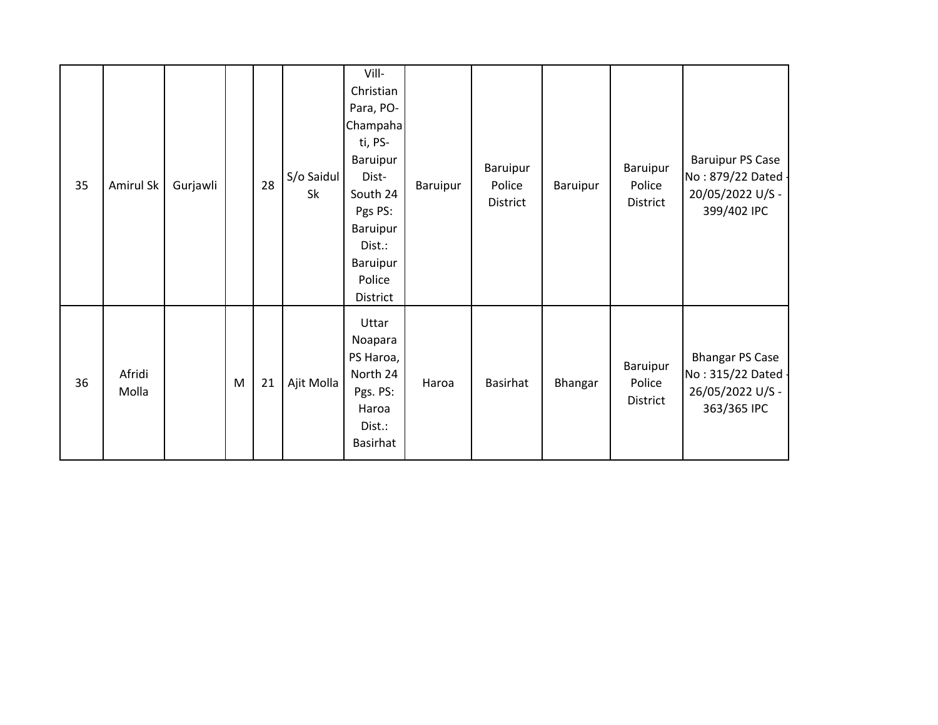| 35 | Amirul Sk       | Gurjawli |   | 28 | S/o Saidul<br>Sk | Vill-<br>Christian<br>Para, PO-<br>Champaha<br>ti, PS-<br>Baruipur<br>Dist-<br>South 24<br>Pgs PS:<br>Baruipur<br>Dist.:<br>Baruipur<br>Police<br>District | Baruipur | Baruipur<br>Police<br>District | <b>Baruipur</b> | Baruipur<br>Police<br>District | <b>Baruipur PS Case</b><br>No: 879/22 Dated -<br>20/05/2022 U/S -<br>399/402 IPC |
|----|-----------------|----------|---|----|------------------|------------------------------------------------------------------------------------------------------------------------------------------------------------|----------|--------------------------------|-----------------|--------------------------------|----------------------------------------------------------------------------------|
| 36 | Afridi<br>Molla |          | M | 21 | Ajit Molla       | Uttar<br>Noapara<br>PS Haroa,<br>North 24<br>Pgs. PS:<br>Haroa<br>Dist.:<br>Basirhat                                                                       | Haroa    | <b>Basirhat</b>                | Bhangar         | Baruipur<br>Police<br>District | <b>Bhangar PS Case</b><br>No: 315/22 Dated -<br>26/05/2022 U/S -<br>363/365 IPC  |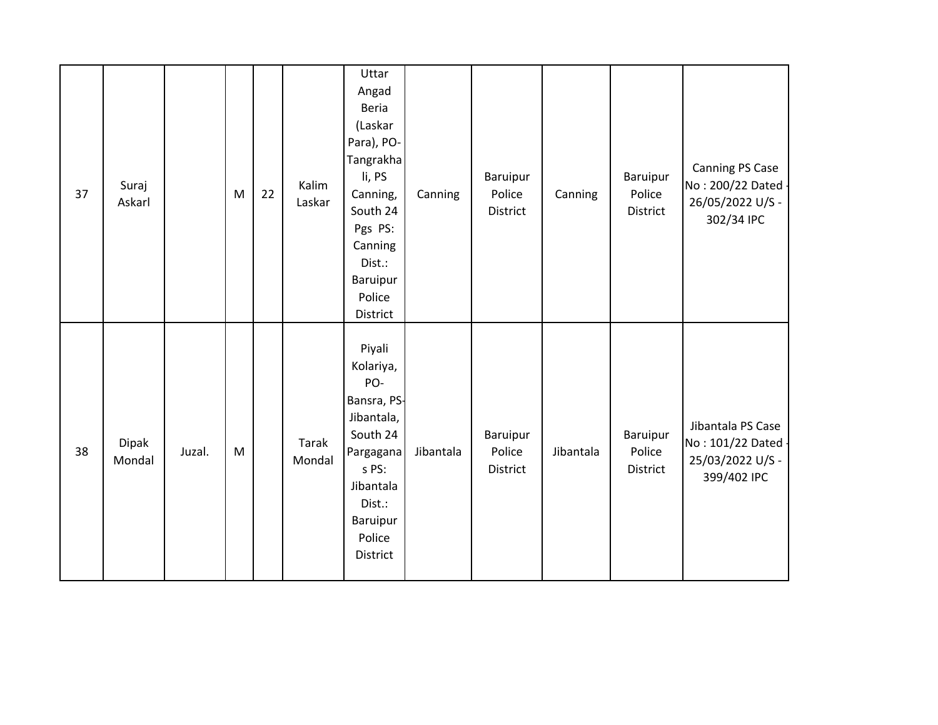| 37 | Suraj<br>Askarl        |        | M | 22 | Kalim<br>Laskar | Uttar<br>Angad<br>Beria<br>(Laskar<br>Para), PO-<br>Tangrakha<br>li, PS<br>Canning,<br>South 24<br>Pgs PS:<br>Canning<br>Dist.:<br>Baruipur<br>Police<br>District | Canning   | Baruipur<br>Police<br>District | Canning   | Baruipur<br>Police<br><b>District</b> | Canning PS Case<br>No: 200/22 Dated -<br>26/05/2022 U/S -<br>302/34 IPC    |
|----|------------------------|--------|---|----|-----------------|-------------------------------------------------------------------------------------------------------------------------------------------------------------------|-----------|--------------------------------|-----------|---------------------------------------|----------------------------------------------------------------------------|
| 38 | <b>Dipak</b><br>Mondal | Juzal. | M |    | Tarak<br>Mondal | Piyali<br>Kolariya,<br>PO-<br>Bansra, PS-<br>Jibantala,<br>South 24<br>Pargagana<br>s PS:<br>Jibantala<br>Dist.:<br>Baruipur<br>Police<br>District                | Jibantala | Baruipur<br>Police<br>District | Jibantala | Baruipur<br>Police<br><b>District</b> | Jibantala PS Case<br>No: 101/22 Dated -<br>25/03/2022 U/S -<br>399/402 IPC |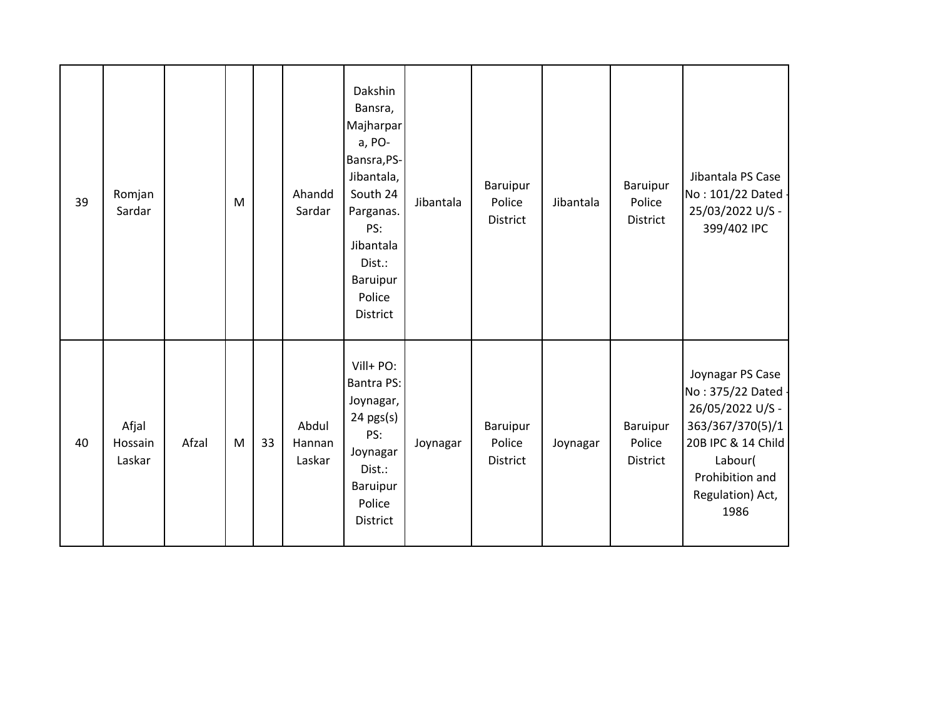| 39 | Romjan<br>Sardar           |       | M         |    | Ahandd<br>Sardar          | Dakshin<br>Bansra,<br>Majharpar<br>a, PO-<br>Bansra, PS-<br>Jibantala,<br>South 24<br>Parganas.<br>PS:<br>Jibantala<br>Dist.:<br>Baruipur<br>Police<br>District | Jibantala | Baruipur<br>Police<br>District | Jibantala | Baruipur<br>Police<br>District | Jibantala PS Case<br>No: 101/22 Dated -<br>25/03/2022 U/S -<br>399/402 IPC                                                                                     |
|----|----------------------------|-------|-----------|----|---------------------------|-----------------------------------------------------------------------------------------------------------------------------------------------------------------|-----------|--------------------------------|-----------|--------------------------------|----------------------------------------------------------------------------------------------------------------------------------------------------------------|
| 40 | Afjal<br>Hossain<br>Laskar | Afzal | ${\sf M}$ | 33 | Abdul<br>Hannan<br>Laskar | Vill+ PO:<br><b>Bantra PS:</b><br>Joynagar,<br>$24$ pgs(s)<br>PS:<br>Joynagar<br>Dist.:<br>Baruipur<br>Police<br><b>District</b>                                | Joynagar  | Baruipur<br>Police<br>District | Joynagar  | Baruipur<br>Police<br>District | Joynagar PS Case<br>No: 375/22 Dated -<br>26/05/2022 U/S -<br>363/367/370(5)/1<br>20B IPC & 14 Child<br>Labour(<br>Prohibition and<br>Regulation) Act,<br>1986 |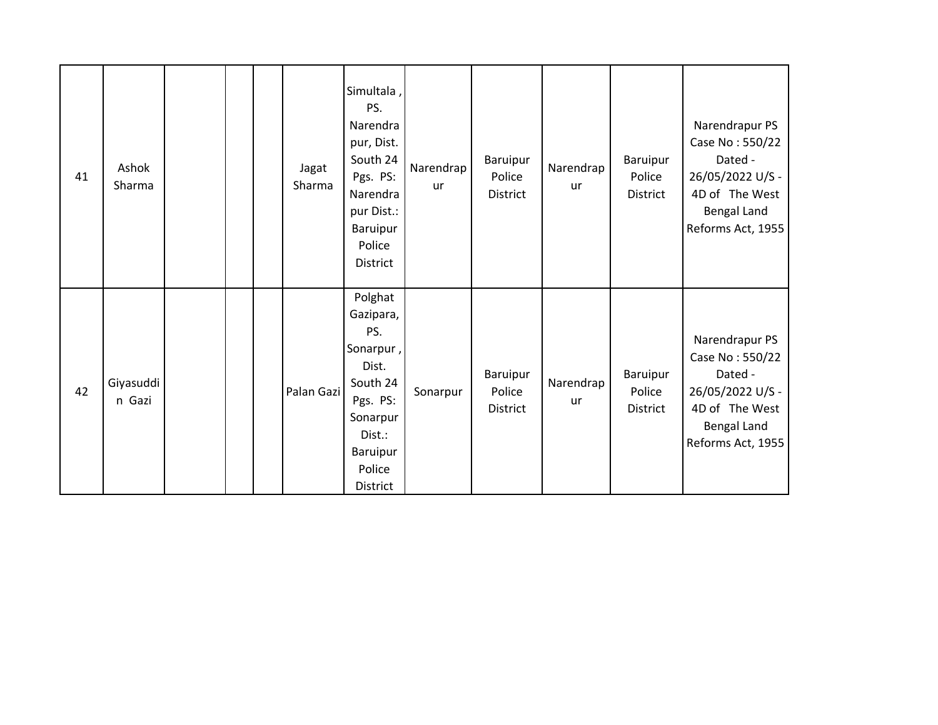| 41 | Ashok<br>Sharma     |  | Jagat<br>Sharma | Simultala,<br>PS.<br>Narendra<br>pur, Dist.<br>South 24<br>Pgs. PS:<br>Narendra<br>pur Dist.:<br>Baruipur<br>Police<br>District          | Narendrap<br>ur | Baruipur<br>Police<br><b>District</b> | Narendrap<br>ur | Baruipur<br>Police<br><b>District</b> | Narendrapur PS<br>Case No: 550/22<br>Dated -<br>26/05/2022 U/S -<br>4D of The West<br>Bengal Land<br>Reforms Act, 1955        |
|----|---------------------|--|-----------------|------------------------------------------------------------------------------------------------------------------------------------------|-----------------|---------------------------------------|-----------------|---------------------------------------|-------------------------------------------------------------------------------------------------------------------------------|
| 42 | Giyasuddi<br>n Gazi |  | Palan Gazi      | Polghat<br>Gazipara,<br>PS.<br>Sonarpur,<br>Dist.<br>South 24<br>Pgs. PS:<br>Sonarpur<br>Dist.:<br>Baruipur<br>Police<br><b>District</b> | Sonarpur        | Baruipur<br>Police<br><b>District</b> | Narendrap<br>ur | Baruipur<br>Police<br><b>District</b> | Narendrapur PS<br>Case No: 550/22<br>Dated -<br>26/05/2022 U/S -<br>4D of The West<br><b>Bengal Land</b><br>Reforms Act, 1955 |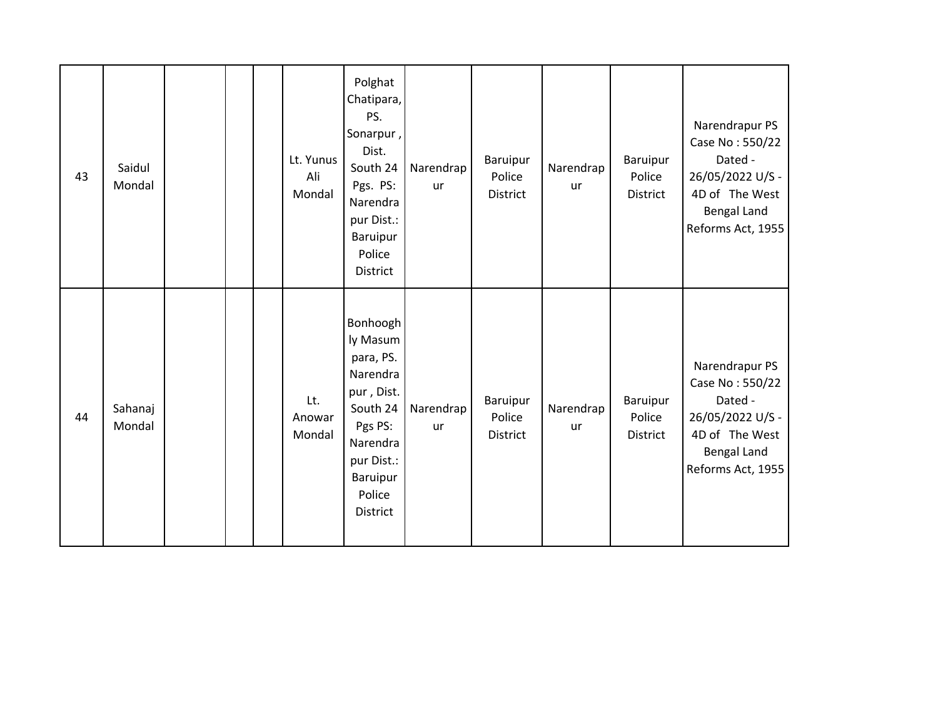| 43 | Saidul<br>Mondal  |  | Lt. Yunus<br>Ali<br>Mondal | Polghat<br>Chatipara,<br>PS.<br>Sonarpur,<br>Dist.<br>South 24<br>Pgs. PS:<br>Narendra<br>pur Dist.:<br>Baruipur<br>Police<br><b>District</b>         | Narendrap<br><b>ur</b> | <b>Baruipur</b><br>Police<br><b>District</b> | Narendrap<br><b>ur</b> | Baruipur<br>Police<br><b>District</b> | Narendrapur PS<br>Case No: 550/22<br>Dated -<br>26/05/2022 U/S -<br>4D of The West<br><b>Bengal Land</b><br>Reforms Act, 1955 |
|----|-------------------|--|----------------------------|-------------------------------------------------------------------------------------------------------------------------------------------------------|------------------------|----------------------------------------------|------------------------|---------------------------------------|-------------------------------------------------------------------------------------------------------------------------------|
| 44 | Sahanaj<br>Mondal |  | Lt.<br>Anowar<br>Mondal    | Bonhoogh<br>ly Masum<br>para, PS.<br>Narendra<br>pur, Dist.<br>South 24<br>Pgs PS:<br>Narendra<br>pur Dist.:<br>Baruipur<br>Police<br><b>District</b> | Narendrap<br><b>ur</b> | Baruipur<br>Police<br>District               | Narendrap<br>ur        | Baruipur<br>Police<br>District        | Narendrapur PS<br>Case No: 550/22<br>Dated -<br>26/05/2022 U/S -<br>4D of The West<br>Bengal Land<br>Reforms Act, 1955        |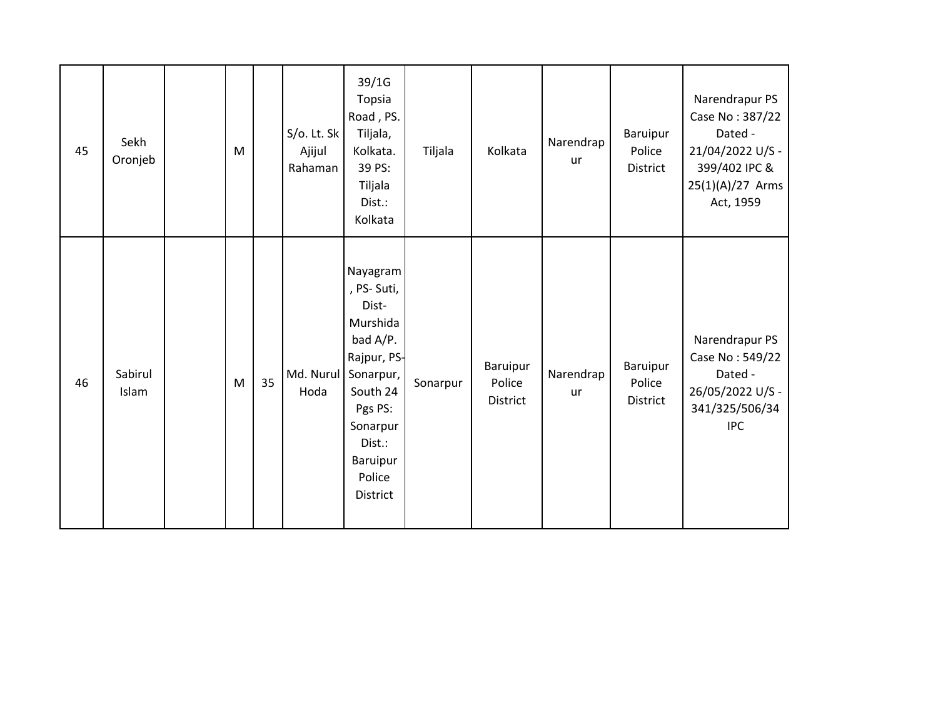| 45 | Sekh<br>Oronjeb  | M |    | S/o. Lt. Sk<br>Ajijul<br>Rahaman | 39/1G<br>Topsia<br>Road, PS.<br>Tiljala,<br>Kolkata.<br>39 PS:<br>Tiljala<br>Dist.:<br>Kolkata                                                                     | Tiljala  | Kolkata                        | Narendrap<br>ur | Baruipur<br>Police<br>District | Narendrapur PS<br>Case No: 387/22<br>Dated -<br>21/04/2022 U/S -<br>399/402 IPC &<br>25(1)(A)/27 Arms<br>Act, 1959 |
|----|------------------|---|----|----------------------------------|--------------------------------------------------------------------------------------------------------------------------------------------------------------------|----------|--------------------------------|-----------------|--------------------------------|--------------------------------------------------------------------------------------------------------------------|
| 46 | Sabirul<br>Islam | M | 35 | Md. Nurul<br>Hoda                | Nayagram<br>, PS-Suti,<br>Dist-<br>Murshida<br>bad A/P.<br>Rajpur, PS-<br>Sonarpur,<br>South 24<br>Pgs PS:<br>Sonarpur<br>Dist.:<br>Baruipur<br>Police<br>District | Sonarpur | Baruipur<br>Police<br>District | Narendrap<br>ur | Baruipur<br>Police<br>District | Narendrapur PS<br>Case No: 549/22<br>Dated -<br>26/05/2022 U/S -<br>341/325/506/34<br><b>IPC</b>                   |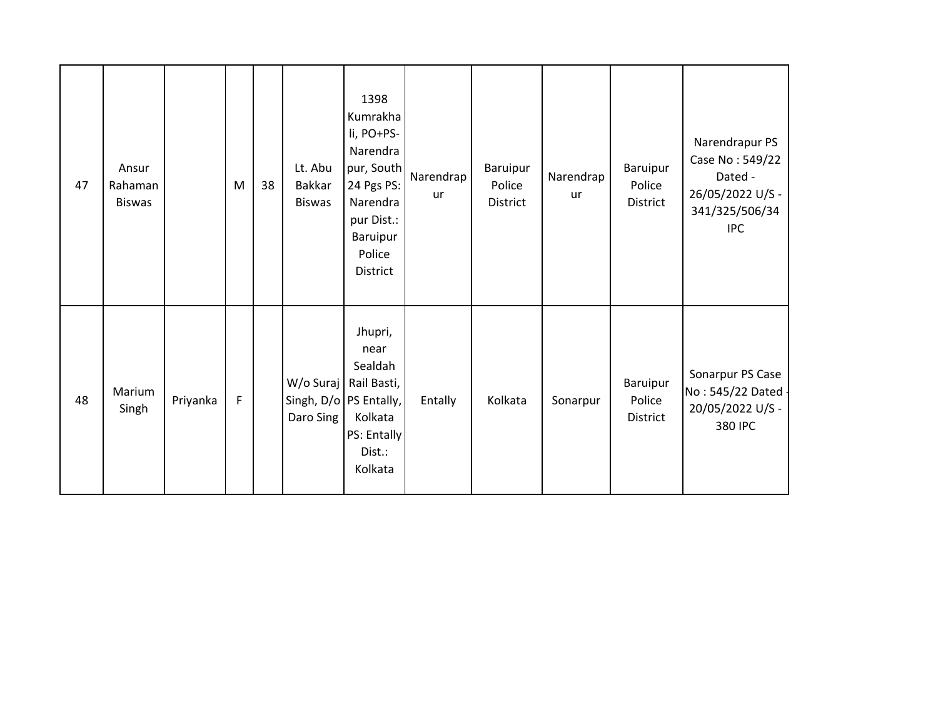| 47 | Ansur<br>Rahaman<br><b>Biswas</b> |          | M | 38 | Lt. Abu<br>Bakkar<br><b>Biswas</b> | 1398<br>Kumrakha<br>li, PO+PS-<br>Narendra<br>pur, South<br>24 Pgs PS:<br>Narendra<br>pur Dist.:<br>Baruipur<br>Police<br><b>District</b> | Narendrap<br><b>ur</b> | Baruipur<br>Police<br>District | Narendrap<br>ur | Baruipur<br>Police<br>District | Narendrapur PS<br>Case No: 549/22<br>Dated -<br>26/05/2022 U/S -<br>341/325/506/34<br><b>IPC</b> |
|----|-----------------------------------|----------|---|----|------------------------------------|-------------------------------------------------------------------------------------------------------------------------------------------|------------------------|--------------------------------|-----------------|--------------------------------|--------------------------------------------------------------------------------------------------|
| 48 | Marium<br>Singh                   | Priyanka | F |    | W/o Suraj<br>Daro Sing             | Jhupri,<br>near<br>Sealdah<br>Rail Basti,<br>Singh, D/o   PS Entally,<br>Kolkata<br>PS: Entally<br>Dist.:<br>Kolkata                      | Entally                | Kolkata                        | Sonarpur        | Baruipur<br>Police<br>District | Sonarpur PS Case<br>No: 545/22 Dated -<br>20/05/2022 U/S -<br>380 IPC                            |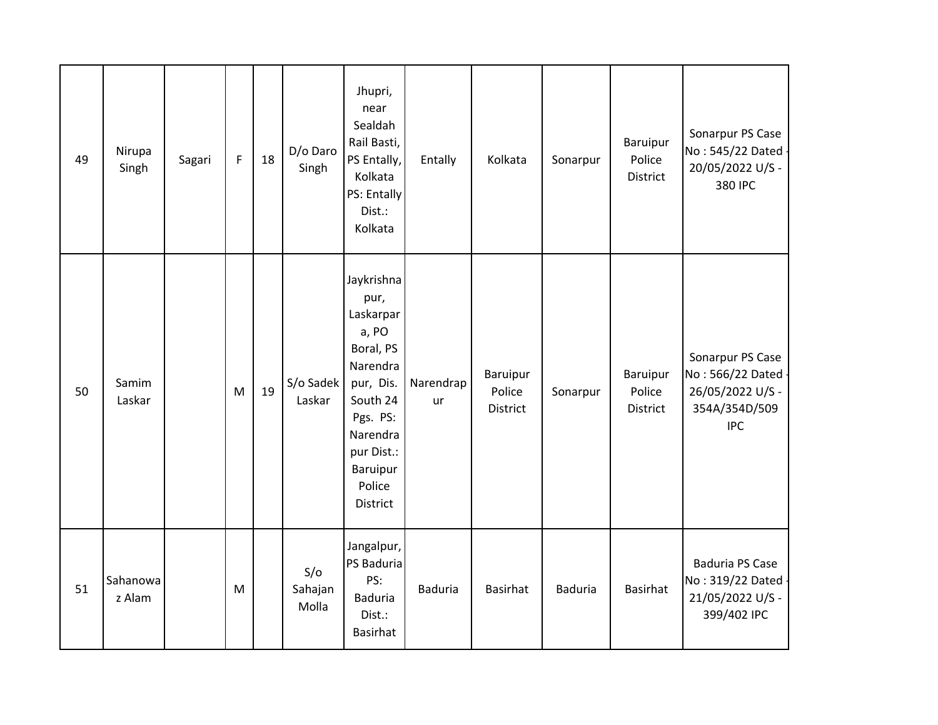| 49 | Nirupa<br>Singh    | Sagari | $\mathsf F$ | 18 | D/o Daro<br>Singh       | Jhupri,<br>near<br>Sealdah<br>Rail Basti,<br>PS Entally,<br>Kolkata<br>PS: Entally<br>Dist.:<br>Kolkata                                                            | Entally                | Kolkata                        | Sonarpur       | <b>Baruipur</b><br>Police<br>District | Sonarpur PS Case<br>No: 545/22 Dated -<br>20/05/2022 U/S -<br>380 IPC                   |
|----|--------------------|--------|-------------|----|-------------------------|--------------------------------------------------------------------------------------------------------------------------------------------------------------------|------------------------|--------------------------------|----------------|---------------------------------------|-----------------------------------------------------------------------------------------|
| 50 | Samim<br>Laskar    |        | M           | 19 | S/o Sadek<br>Laskar     | Jaykrishna<br>pur,<br>Laskarpar<br>a, PO<br>Boral, PS<br>Narendra<br>pur, Dis.<br>South 24<br>Pgs. PS:<br>Narendra<br>pur Dist.:<br>Baruipur<br>Police<br>District | Narendrap<br><b>ur</b> | Baruipur<br>Police<br>District | Sonarpur       | <b>Baruipur</b><br>Police<br>District | Sonarpur PS Case<br>No: 566/22 Dated<br>26/05/2022 U/S -<br>354A/354D/509<br><b>IPC</b> |
| 51 | Sahanowa<br>z Alam |        | M           |    | S/O<br>Sahajan<br>Molla | Jangalpur,<br>PS Baduria<br>PS:<br><b>Baduria</b><br>Dist.:<br><b>Basirhat</b>                                                                                     | <b>Baduria</b>         | <b>Basirhat</b>                | <b>Baduria</b> | <b>Basirhat</b>                       | <b>Baduria PS Case</b><br>No: 319/22 Dated -<br>21/05/2022 U/S -<br>399/402 IPC         |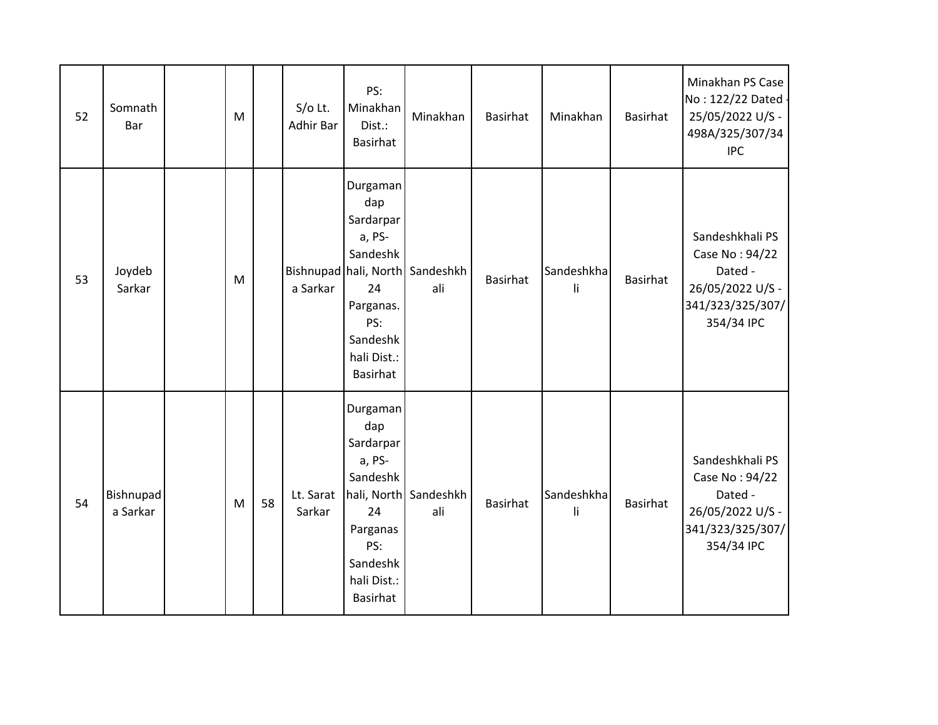| 52 | Somnath<br>Bar        | ${\sf M}$ |    | S/o Lt.<br><b>Adhir Bar</b> | PS:<br>Minakhan<br>Dist.:<br><b>Basirhat</b>                                                                               | Minakhan                               | Basirhat | Minakhan         | <b>Basirhat</b> | Minakhan PS Case<br>No: 122/22 Dated -<br>25/05/2022 U/S -<br>498A/325/307/34<br><b>IPC</b>        |
|----|-----------------------|-----------|----|-----------------------------|----------------------------------------------------------------------------------------------------------------------------|----------------------------------------|----------|------------------|-----------------|----------------------------------------------------------------------------------------------------|
| 53 | Joydeb<br>Sarkar      | M         |    | a Sarkar                    | Durgaman<br>dap<br>Sardarpar<br>a, PS-<br>Sandeshk<br>24<br>Parganas.<br>PS:<br>Sandeshk<br>hali Dist.:<br><b>Basirhat</b> | Bishnupad hali, North Sandeshkh<br>ali | Basirhat | Sandeshkha<br>li | <b>Basirhat</b> | Sandeshkhali PS<br>Case No: 94/22<br>Dated -<br>26/05/2022 U/S -<br>341/323/325/307/<br>354/34 IPC |
| 54 | Bishnupad<br>a Sarkar | M         | 58 | Lt. Sarat<br>Sarkar         | Durgaman<br>dap<br>Sardarpar<br>a, PS-<br>Sandeshk<br>24<br>Parganas<br>PS:<br>Sandeshk<br>hali Dist.:<br>Basirhat         | hali, North Sandeshkh<br>ali           | Basirhat | Sandeshkha<br>li | Basirhat        | Sandeshkhali PS<br>Case No: 94/22<br>Dated -<br>26/05/2022 U/S -<br>341/323/325/307/<br>354/34 IPC |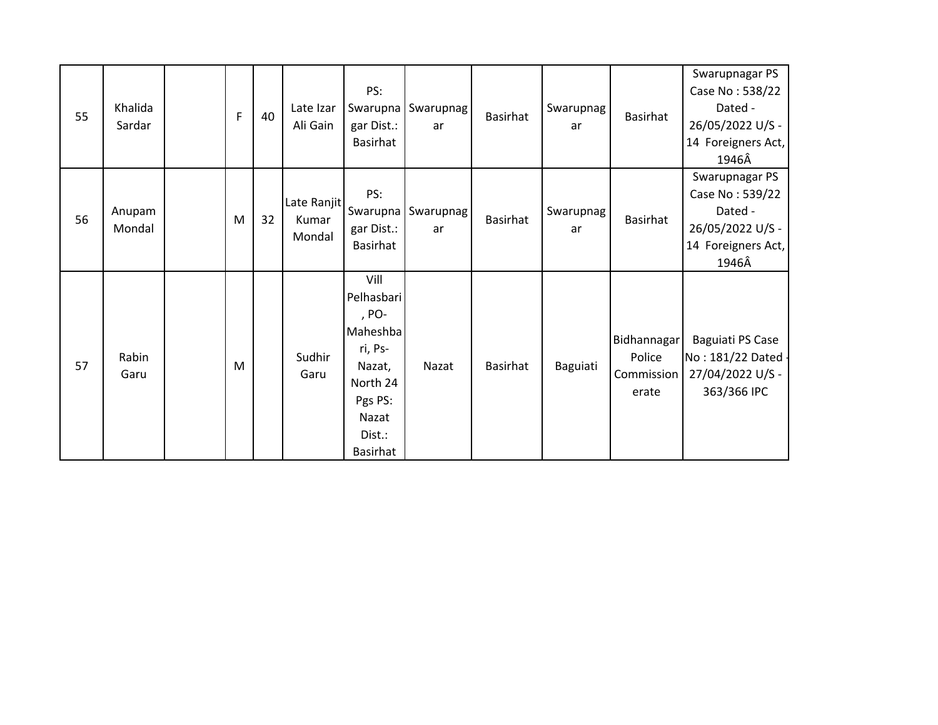| 55 | Khalida<br>Sardar | F | 40 | Late Izar<br>Ali Gain          | PS:<br>gar Dist.:<br>Basirhat                                                                                             | Swarupna Swarupnag<br>ar     | Basirhat | Swarupnag<br>ar | Basirhat                                     | Swarupnagar PS<br>Case No: 538/22<br>Dated -<br>26/05/2022 U/S -<br>14 Foreigners Act,<br>1946Â |
|----|-------------------|---|----|--------------------------------|---------------------------------------------------------------------------------------------------------------------------|------------------------------|----------|-----------------|----------------------------------------------|-------------------------------------------------------------------------------------------------|
| 56 | Anupam<br>Mondal  | M | 32 | Late Ranjit<br>Kumar<br>Mondal | PS:<br>gar Dist.:<br>Basirhat                                                                                             | Swarupna   Swarupnag  <br>ar | Basirhat | Swarupnag<br>ar | Basirhat                                     | Swarupnagar PS<br>Case No: 539/22<br>Dated -<br>26/05/2022 U/S -<br>14 Foreigners Act,<br>1946Â |
| 57 | Rabin<br>Garu     | M |    | Sudhir<br>Garu                 | Vill<br>Pelhasbari<br>, PO-<br>Maheshba<br>ri, Ps-<br>Nazat,<br>North 24<br>Pgs PS:<br>Nazat<br>Dist.:<br><b>Basirhat</b> | Nazat                        | Basirhat | Baguiati        | Bidhannagar<br>Police<br>Commission<br>erate | Baguiati PS Case<br>No: 181/22 Dated -<br>27/04/2022 U/S -<br>363/366 IPC                       |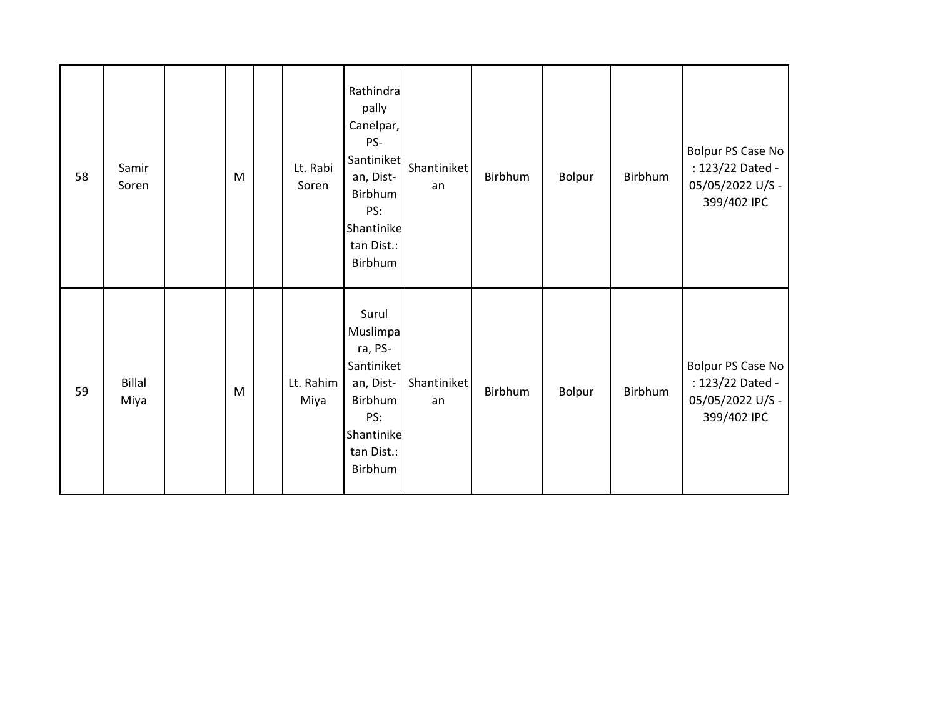| 58 | Samir<br>Soren        | M | Lt. Rabi<br>Soren | Rathindra<br>pally<br>Canelpar,<br>PS-<br>Santiniket<br>an, Dist-<br>Birbhum<br>PS:<br>Shantinike<br>tan Dist.:<br>Birbhum | Shantiniket<br>an | Birbhum | Bolpur | Birbhum | Bolpur PS Case No<br>: 123/22 Dated -<br>05/05/2022 U/S -<br>399/402 IPC |
|----|-----------------------|---|-------------------|----------------------------------------------------------------------------------------------------------------------------|-------------------|---------|--------|---------|--------------------------------------------------------------------------|
| 59 | <b>Billal</b><br>Miya | M | Lt. Rahim<br>Miya | Surul<br>Muslimpa<br>ra, PS-<br>Santiniket<br>an, Dist-<br>Birbhum<br>PS:<br>Shantinike<br>tan Dist.:<br>Birbhum           | Shantiniket<br>an | Birbhum | Bolpur | Birbhum | Bolpur PS Case No<br>: 123/22 Dated -<br>05/05/2022 U/S -<br>399/402 IPC |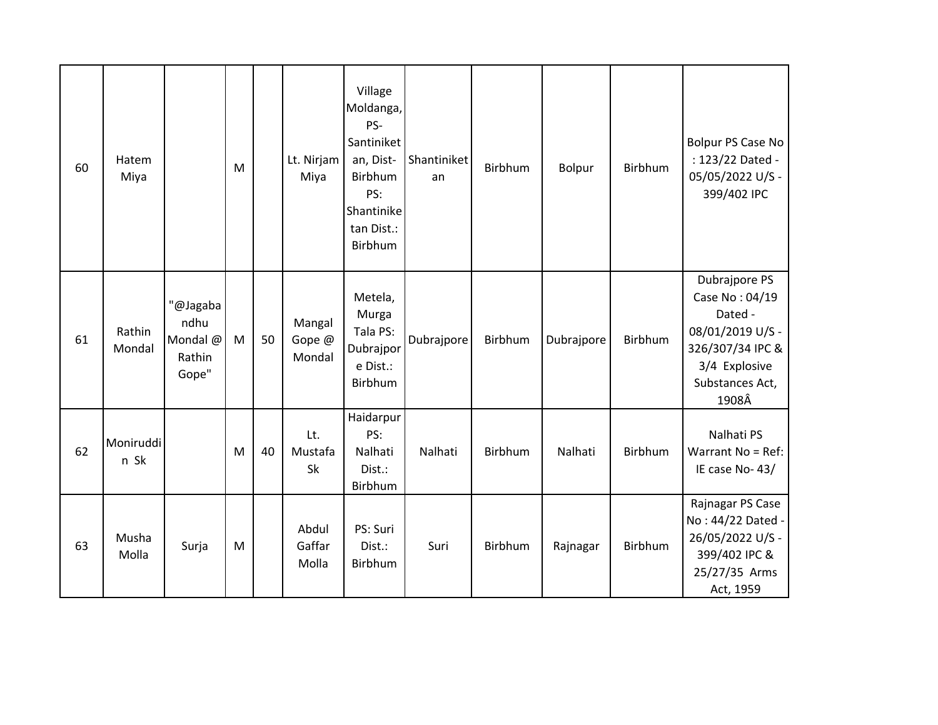| 60 | Hatem<br>Miya     |                                                 | M |    | Lt. Nirjam<br>Miya         | Village<br>Moldanga,<br>PS-<br>Santiniket<br>an, Dist-<br>Birbhum<br>PS:<br>Shantinike<br>tan Dist.:<br>Birbhum | Shantiniket<br>an | Birbhum | <b>Bolpur</b> | Birbhum | Bolpur PS Case No<br>: 123/22 Dated -<br>05/05/2022 U/S -<br>399/402 IPC                                                        |
|----|-------------------|-------------------------------------------------|---|----|----------------------------|-----------------------------------------------------------------------------------------------------------------|-------------------|---------|---------------|---------|---------------------------------------------------------------------------------------------------------------------------------|
| 61 | Rathin<br>Mondal  | "@Jagaba<br>ndhu<br>Mondal @<br>Rathin<br>Gope" | M | 50 | Mangal<br>Gope @<br>Mondal | Metela,<br>Murga<br>Tala PS:<br>Dubrajpor<br>e Dist.:<br>Birbhum                                                | Dubrajpore        | Birbhum | Dubrajpore    | Birbhum | Dubrajpore PS<br>Case No: 04/19<br>Dated -<br>08/01/2019 U/S -<br>326/307/34 IPC &<br>3/4 Explosive<br>Substances Act,<br>1908Â |
| 62 | Moniruddi<br>n Sk |                                                 | M | 40 | Lt.<br>Mustafa<br>Sk       | Haidarpur<br>PS:<br>Nalhati<br>Dist.:<br>Birbhum                                                                | Nalhati           | Birbhum | Nalhati       | Birbhum | Nalhati PS<br>Warrant No = Ref:<br>IE case No-43/                                                                               |
| 63 | Musha<br>Molla    | Surja                                           | M |    | Abdul<br>Gaffar<br>Molla   | PS: Suri<br>Dist.:<br>Birbhum                                                                                   | Suri              | Birbhum | Rajnagar      | Birbhum | Rajnagar PS Case<br>No: 44/22 Dated -<br>26/05/2022 U/S -<br>399/402 IPC &<br>25/27/35 Arms<br>Act, 1959                        |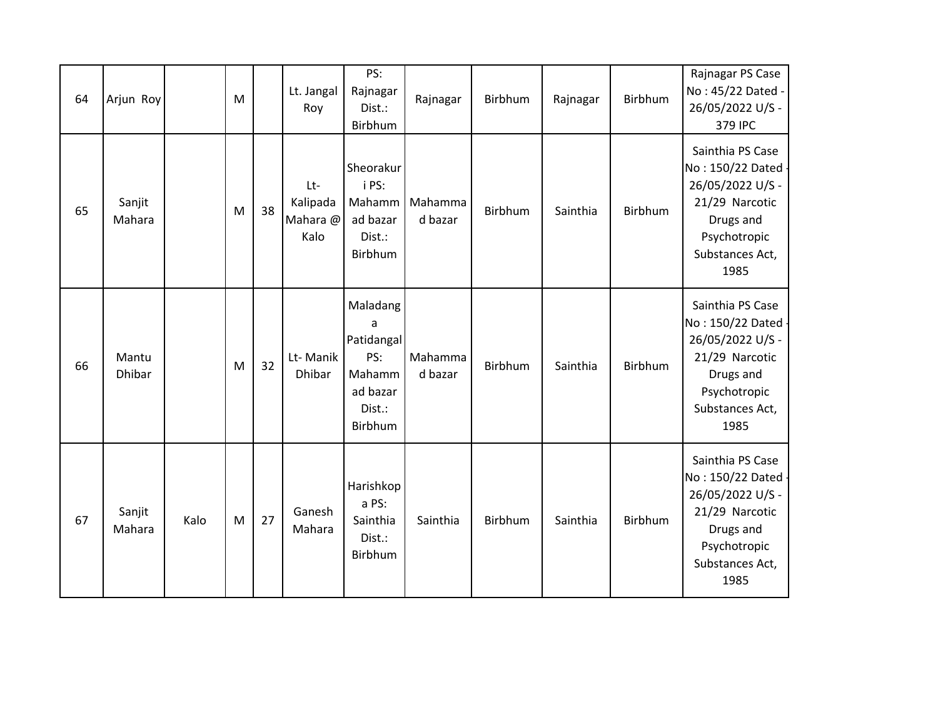| 64 | Arjun Roy              |      | M |    | Lt. Jangal<br>Roy                   | PS:<br>Rajnagar<br>Dist.:<br>Birbhum                                          | Rajnagar           | Birbhum | Rajnagar | Birbhum        | Rajnagar PS Case<br>No: 45/22 Dated -<br>26/05/2022 U/S -<br>379 IPC                                                                 |
|----|------------------------|------|---|----|-------------------------------------|-------------------------------------------------------------------------------|--------------------|---------|----------|----------------|--------------------------------------------------------------------------------------------------------------------------------------|
| 65 | Sanjit<br>Mahara       |      | M | 38 | Lt-<br>Kalipada<br>Mahara @<br>Kalo | Sheorakur<br>i PS:<br>Mahamm<br>ad bazar<br>Dist.:<br>Birbhum                 | Mahamma<br>d bazar | Birbhum | Sainthia | <b>Birbhum</b> | Sainthia PS Case<br>No: 150/22 Dated -<br>26/05/2022 U/S -<br>21/29 Narcotic<br>Drugs and<br>Psychotropic<br>Substances Act,<br>1985 |
| 66 | Mantu<br><b>Dhibar</b> |      | M | 32 | Lt-Manik<br><b>Dhibar</b>           | Maladang<br>a<br>Patidangal<br>PS:<br>Mahamm<br>ad bazar<br>Dist.:<br>Birbhum | Mahamma<br>d bazar | Birbhum | Sainthia | Birbhum        | Sainthia PS Case<br>No: 150/22 Dated -<br>26/05/2022 U/S -<br>21/29 Narcotic<br>Drugs and<br>Psychotropic<br>Substances Act,<br>1985 |
| 67 | Sanjit<br>Mahara       | Kalo | M | 27 | Ganesh<br>Mahara                    | Harishkop<br>a PS:<br>Sainthia<br>Dist.:<br>Birbhum                           | Sainthia           | Birbhum | Sainthia | Birbhum        | Sainthia PS Case<br>No: 150/22 Dated -<br>26/05/2022 U/S -<br>21/29 Narcotic<br>Drugs and<br>Psychotropic<br>Substances Act,<br>1985 |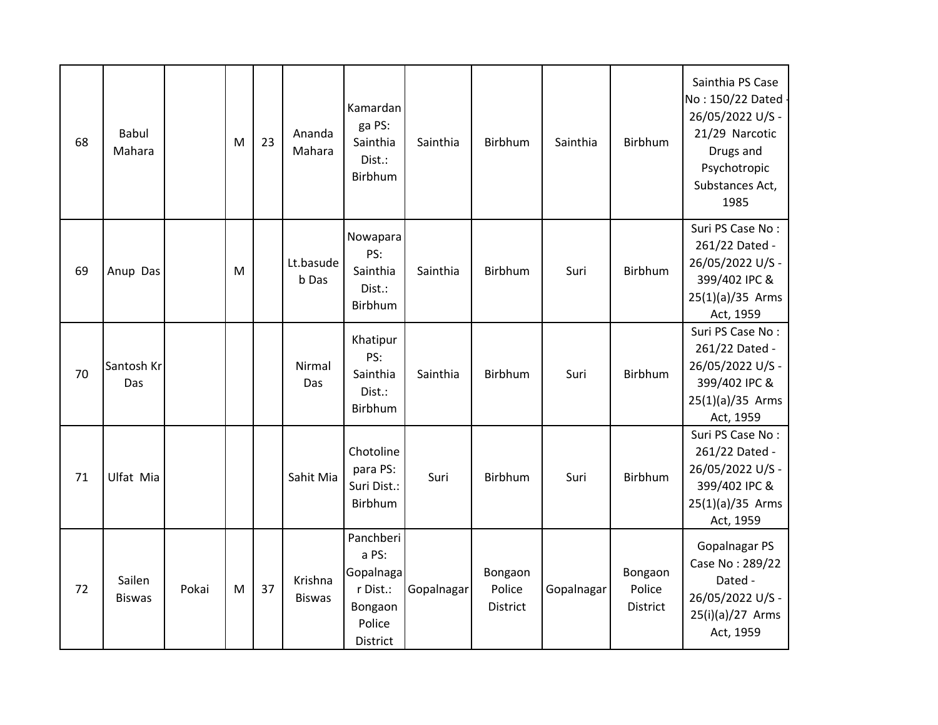| 68 | <b>Babul</b><br>Mahara   |       | M | 23 | Ananda<br>Mahara         | Kamardan<br>ga PS:<br>Sainthia<br>Dist.:<br>Birbhum                          | Sainthia   | Birbhum                       | Sainthia   | Birbhum                              | Sainthia PS Case<br>No: 150/22 Dated -<br>26/05/2022 U/S -<br>21/29 Narcotic<br>Drugs and<br>Psychotropic<br>Substances Act,<br>1985 |
|----|--------------------------|-------|---|----|--------------------------|------------------------------------------------------------------------------|------------|-------------------------------|------------|--------------------------------------|--------------------------------------------------------------------------------------------------------------------------------------|
| 69 | Anup Das                 |       | M |    | Lt.basude<br>b Das       | Nowapara<br>PS:<br>Sainthia<br>Dist.:<br>Birbhum                             | Sainthia   | Birbhum                       | Suri       | Birbhum                              | Suri PS Case No:<br>261/22 Dated -<br>26/05/2022 U/S -<br>399/402 IPC &<br>$25(1)(a)/35$ Arms<br>Act, 1959                           |
| 70 | Santosh Kr<br><b>Das</b> |       |   |    | Nirmal<br>Das            | Khatipur<br>PS:<br>Sainthia<br>Dist.:<br>Birbhum                             | Sainthia   | Birbhum                       | Suri       | Birbhum                              | Suri PS Case No:<br>261/22 Dated -<br>26/05/2022 U/S -<br>399/402 IPC &<br>25(1)(a)/35 Arms<br>Act, 1959                             |
| 71 | Ulfat Mia                |       |   |    | Sahit Mia                | Chotoline<br>para PS:<br>Suri Dist.:<br>Birbhum                              | Suri       | <b>Birbhum</b>                | Suri       | <b>Birbhum</b>                       | Suri PS Case No:<br>261/22 Dated -<br>26/05/2022 U/S -<br>399/402 IPC &<br>$25(1)(a)/35$ Arms<br>Act, 1959                           |
| 72 | Sailen<br><b>Biswas</b>  | Pokai | M | 37 | Krishna<br><b>Biswas</b> | Panchberi<br>a PS:<br>Gopalnaga<br>r Dist.:<br>Bongaon<br>Police<br>District | Gopalnagar | Bongaon<br>Police<br>District | Gopalnagar | Bongaon<br>Police<br><b>District</b> | Gopalnagar PS<br>Case No: 289/22<br>Dated -<br>26/05/2022 U/S -<br>25(i)(a)/27 Arms<br>Act, 1959                                     |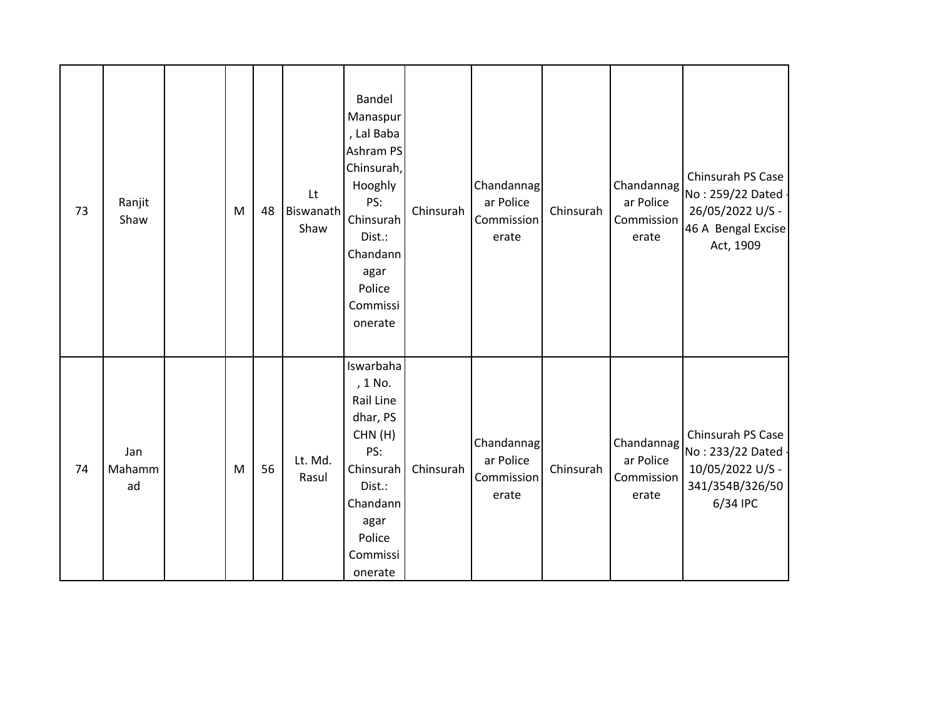| 73 | Ranjit<br>Shaw      | M | 48 | Lt<br><b>Biswanath</b><br>Shaw | Bandel<br>Manaspur<br>, Lal Baba<br>Ashram PS<br>Chinsurah,<br>Hooghly<br>PS:<br>Chinsurah<br>Dist.:<br>Chandann<br>agar<br>Police<br>Commissi<br>onerate | Chinsurah | Chandannag<br>ar Police<br>Commission<br>erate | Chinsurah | Chandannag<br>ar Police<br>Commission<br>erate | Chinsurah PS Case<br>No: 259/22 Dated -<br>26/05/2022 U/S -<br>46 A Bengal Excise<br>Act, 1909 |
|----|---------------------|---|----|--------------------------------|-----------------------------------------------------------------------------------------------------------------------------------------------------------|-----------|------------------------------------------------|-----------|------------------------------------------------|------------------------------------------------------------------------------------------------|
| 74 | Jan<br>Mahamm<br>ad | M | 56 | Lt. Md.<br>Rasul               | Iswarbaha<br>, 1 No.<br>Rail Line<br>dhar, PS<br>CHN(H)<br>PS:<br>Chinsurah<br>Dist.:<br>Chandann<br>agar<br>Police<br>Commissi<br>onerate                | Chinsurah | Chandannag<br>ar Police<br>Commission<br>erate | Chinsurah | Chandannag<br>ar Police<br>Commission<br>erate | Chinsurah PS Case<br>No: 233/22 Dated<br>10/05/2022 U/S -<br>341/354B/326/50<br>6/34 IPC       |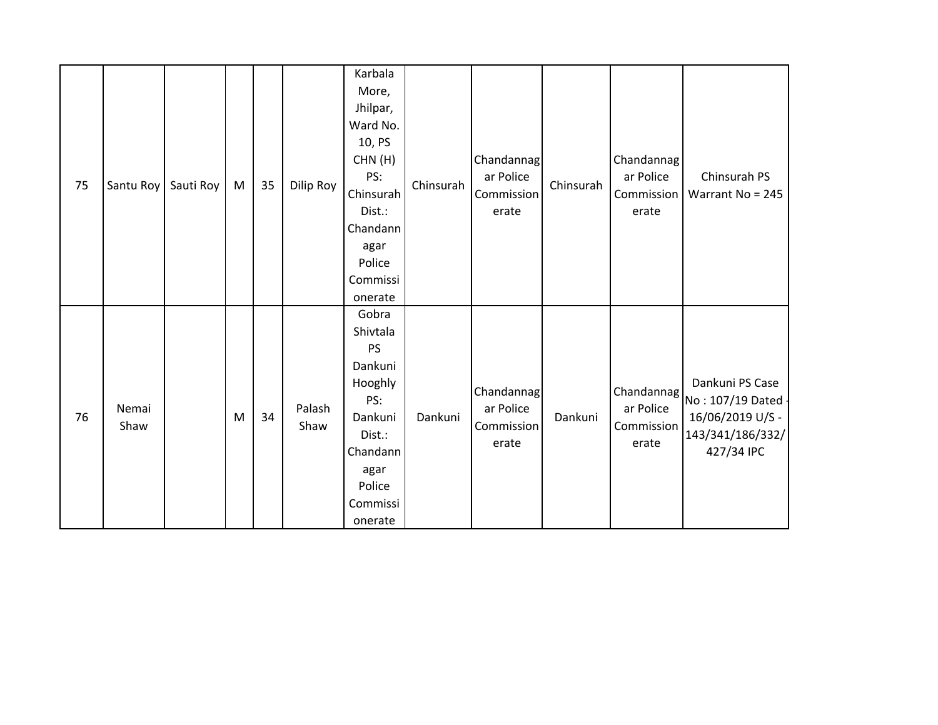| 75 | Santu Roy     | Sauti Roy | M | 35 | Dilip Roy      | Karbala<br>More,<br>Jhilpar,<br>Ward No.<br>10, PS<br>CHN(H)<br>PS:<br>Chinsurah<br>Dist.:<br>Chandann<br>agar<br>Police<br>Commissi      | Chinsurah | Chandannag<br>ar Police<br>Commission<br>erate | Chinsurah | Chandannag<br>ar Police<br>Commission<br>erate | Chinsurah PS<br>Warrant No = 245                                                                                                                    |
|----|---------------|-----------|---|----|----------------|-------------------------------------------------------------------------------------------------------------------------------------------|-----------|------------------------------------------------|-----------|------------------------------------------------|-----------------------------------------------------------------------------------------------------------------------------------------------------|
| 76 | Nemai<br>Shaw |           | M | 34 | Palash<br>Shaw | onerate<br>Gobra<br>Shivtala<br>PS<br>Dankuni<br>Hooghly<br>PS:<br>Dankuni<br>Dist.:<br>Chandann<br>agar<br>Police<br>Commissi<br>onerate | Dankuni   | Chandannag<br>ar Police<br>Commission<br>erate | Dankuni   | ar Police<br>Commission<br>erate               | Dankuni PS Case<br>$ \textsf{Chandannag} _{\textsf{No}: 107/19}$ Dated $ \textsf{No}: 107/19$<br>16/06/2019 U/S -<br>143/341/186/332/<br>427/34 IPC |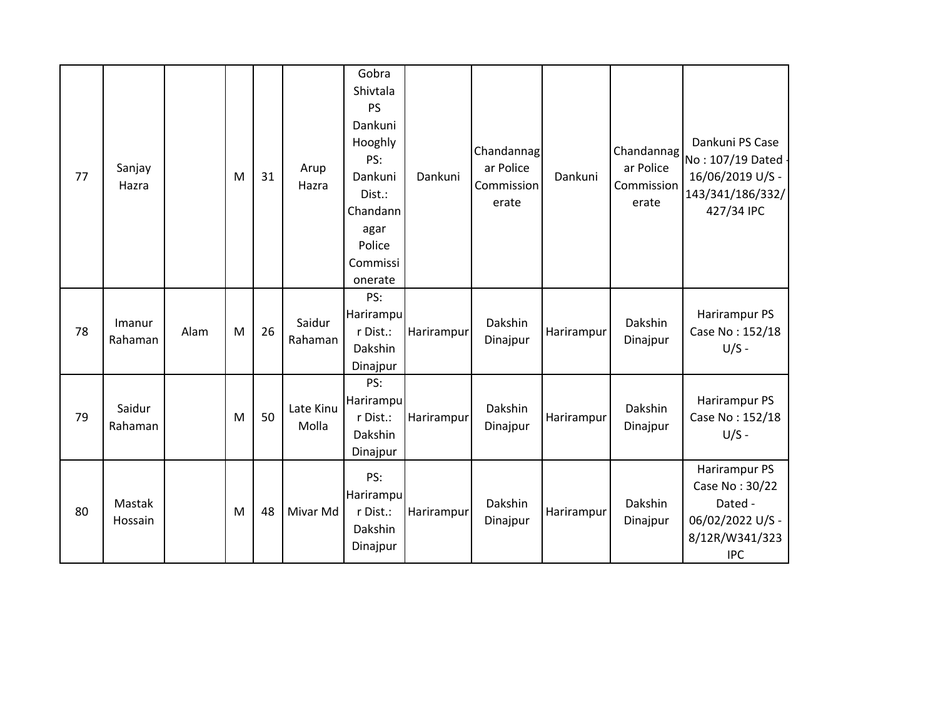| 77 | Sanjay<br>Hazra   |      | M | 31 | Arup<br>Hazra      | Gobra<br>Shivtala<br><b>PS</b><br>Dankuni<br>Hooghly<br>PS:<br>Dankuni<br>Dist.:<br>Chandann<br>agar<br>Police<br>Commissi<br>onerate | Dankuni    | Chandannag<br>ar Police<br>Commission<br>erate | Dankuni    | Chandannag<br>ar Police<br>Commission<br>erate | Dankuni PS Case<br>No: 107/19 Dated -<br>16/06/2019 U/S -<br>143/341/186/332/<br>427/34 IPC    |
|----|-------------------|------|---|----|--------------------|---------------------------------------------------------------------------------------------------------------------------------------|------------|------------------------------------------------|------------|------------------------------------------------|------------------------------------------------------------------------------------------------|
| 78 | Imanur<br>Rahaman | Alam | M | 26 | Saidur<br>Rahaman  | PS:<br>Harirampu<br>r Dist.:<br>Dakshin<br>Dinajpur                                                                                   | Harirampur | Dakshin<br>Dinajpur                            | Harirampur | Dakshin<br>Dinajpur                            | Harirampur PS<br>Case No: 152/18<br>$U/S -$                                                    |
| 79 | Saidur<br>Rahaman |      | M | 50 | Late Kinu<br>Molla | PS:<br>Harirampu<br>r Dist.:<br>Dakshin<br>Dinajpur                                                                                   | Harirampur | Dakshin<br>Dinajpur                            | Harirampur | Dakshin<br>Dinajpur                            | Harirampur PS<br>Case No: 152/18<br>$U/S -$                                                    |
| 80 | Mastak<br>Hossain |      | M | 48 | Mivar Md           | PS:<br>Harirampu<br>r Dist.:<br>Dakshin<br>Dinajpur                                                                                   | Harirampur | Dakshin<br>Dinajpur                            | Harirampur | Dakshin<br>Dinajpur                            | Harirampur PS<br>Case No: 30/22<br>Dated -<br>06/02/2022 U/S -<br>8/12R/W341/323<br><b>IPC</b> |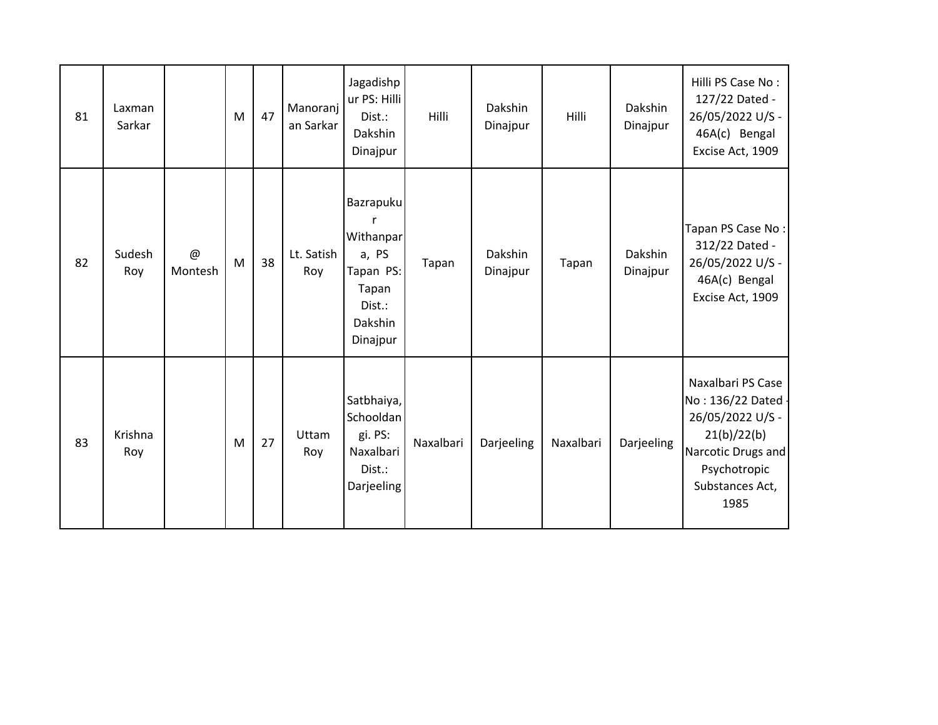| 81 | Laxman<br>Sarkar |                | M | 47 | Manoranj<br>an Sarkar | Jagadishp<br>ur PS: Hilli<br>Dist.:<br>Dakshin<br>Dinajpur                             | Hilli     | Dakshin<br>Dinajpur | Hilli     | Dakshin<br>Dinajpur | Hilli PS Case No:<br>127/22 Dated -<br>26/05/2022 U/S -<br>46A(c) Bengal<br>Excise Act, 1909                                                |
|----|------------------|----------------|---|----|-----------------------|----------------------------------------------------------------------------------------|-----------|---------------------|-----------|---------------------|---------------------------------------------------------------------------------------------------------------------------------------------|
| 82 | Sudesh<br>Roy    | $@$<br>Montesh | M | 38 | Lt. Satish<br>Roy     | Bazrapuku<br>Withanpar<br>a, PS<br>Tapan PS:<br>Tapan<br>Dist.:<br>Dakshin<br>Dinajpur | Tapan     | Dakshin<br>Dinajpur | Tapan     | Dakshin<br>Dinajpur | Tapan PS Case No:<br>312/22 Dated -<br>26/05/2022 U/S -<br>46A(c) Bengal<br>Excise Act, 1909                                                |
| 83 | Krishna<br>Roy   |                | M | 27 | Uttam<br>Roy          | Satbhaiya,<br>Schooldan<br>gi. PS:<br>Naxalbari<br>Dist.:<br>Darjeeling                | Naxalbari | Darjeeling          | Naxalbari | Darjeeling          | Naxalbari PS Case<br>No: 136/22 Dated -<br>26/05/2022 U/S -<br>21(b)/22(b)<br>Narcotic Drugs and<br>Psychotropic<br>Substances Act,<br>1985 |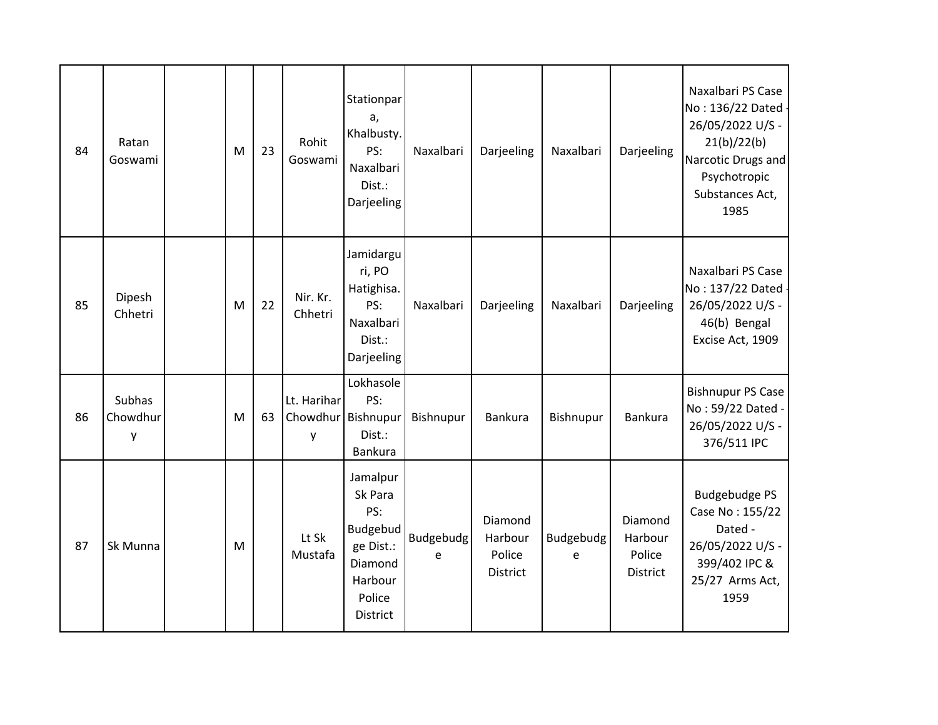| 84 | Ratan<br>Goswami        | M | 23 | Rohit<br>Goswami             | Stationpar<br>a,<br>Khalbusty.<br>PS:<br>Naxalbari<br>Dist.:<br>Darjeeling                      | Naxalbari      | Darjeeling                                      | Naxalbari      | Darjeeling                                      | Naxalbari PS Case<br>No: 136/22 Dated -<br>26/05/2022 U/S -<br>21(b)/22(b)<br>Narcotic Drugs and<br>Psychotropic<br>Substances Act,<br>1985 |
|----|-------------------------|---|----|------------------------------|-------------------------------------------------------------------------------------------------|----------------|-------------------------------------------------|----------------|-------------------------------------------------|---------------------------------------------------------------------------------------------------------------------------------------------|
| 85 | Dipesh<br>Chhetri       | M | 22 | Nir. Kr.<br>Chhetri          | Jamidargu<br>ri, PO<br>Hatighisa.<br>PS:<br>Naxalbari<br>Dist.:<br>Darjeeling                   | Naxalbari      | Darjeeling                                      | Naxalbari      | Darjeeling                                      | Naxalbari PS Case<br>No: 137/22 Dated -<br>26/05/2022 U/S -<br>46(b) Bengal<br>Excise Act, 1909                                             |
| 86 | Subhas<br>Chowdhur<br>y | M | 63 | Lt. Harihar<br>Chowdhur<br>y | Lokhasole<br>PS:<br>Bishnupur<br>Dist.:<br>Bankura                                              | Bishnupur      | Bankura                                         | Bishnupur      | <b>Bankura</b>                                  | Bishnupur PS Case<br>No: 59/22 Dated -<br>26/05/2022 U/S -<br>376/511 IPC                                                                   |
| 87 | Sk Munna                | M |    | Lt Sk<br>Mustafa             | Jamalpur<br>Sk Para<br>PS:<br>Budgebud<br>ge Dist.:<br>Diamond<br>Harbour<br>Police<br>District | Budgebudg<br>e | Diamond<br>Harbour<br>Police<br><b>District</b> | Budgebudg<br>e | Diamond<br>Harbour<br>Police<br><b>District</b> | <b>Budgebudge PS</b><br>Case No: 155/22<br>Dated -<br>26/05/2022 U/S -<br>399/402 IPC &<br>25/27 Arms Act,<br>1959                          |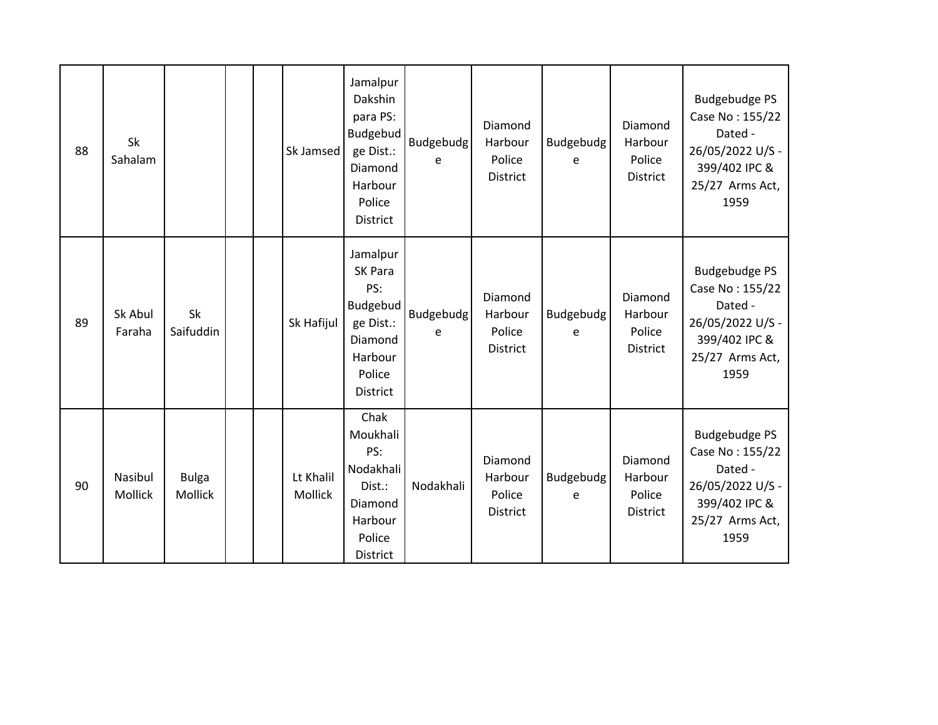| 88 | Sk<br>Sahalam      |                         |  | Sk Jamsed                   | Jamalpur<br>Dakshin<br>para PS:<br>Budgebud<br>ge Dist.:<br>Diamond<br>Harbour<br>Police<br>District | <b>Budgebudg</b><br>e | Diamond<br>Harbour<br>Police<br><b>District</b> | Budgebudg<br>e        | Diamond<br>Harbour<br>Police<br><b>District</b> | <b>Budgebudge PS</b><br>Case No: 155/22<br>Dated -<br>26/05/2022 U/S -<br>399/402 IPC &<br>25/27 Arms Act,<br>1959 |
|----|--------------------|-------------------------|--|-----------------------------|------------------------------------------------------------------------------------------------------|-----------------------|-------------------------------------------------|-----------------------|-------------------------------------------------|--------------------------------------------------------------------------------------------------------------------|
| 89 | Sk Abul<br>Faraha  | Sk<br>Saifuddin         |  | Sk Hafijul                  | Jamalpur<br>SK Para<br>PS:<br>Budgebud<br>ge Dist.:<br>Diamond<br>Harbour<br>Police<br>District      | <b>Budgebudg</b><br>e | Diamond<br>Harbour<br>Police<br><b>District</b> | <b>Budgebudg</b><br>e | Diamond<br>Harbour<br>Police<br><b>District</b> | <b>Budgebudge PS</b><br>Case No: 155/22<br>Dated -<br>26/05/2022 U/S -<br>399/402 IPC &<br>25/27 Arms Act,<br>1959 |
| 90 | Nasibul<br>Mollick | <b>Bulga</b><br>Mollick |  | Lt Khalil<br><b>Mollick</b> | Chak<br>Moukhali<br>PS:<br>Nodakhali<br>Dist.:<br>Diamond<br>Harbour<br>Police<br>District           | Nodakhali             | Diamond<br>Harbour<br>Police<br><b>District</b> | Budgebudg<br>e        | Diamond<br>Harbour<br>Police<br><b>District</b> | <b>Budgebudge PS</b><br>Case No: 155/22<br>Dated -<br>26/05/2022 U/S -<br>399/402 IPC &<br>25/27 Arms Act,<br>1959 |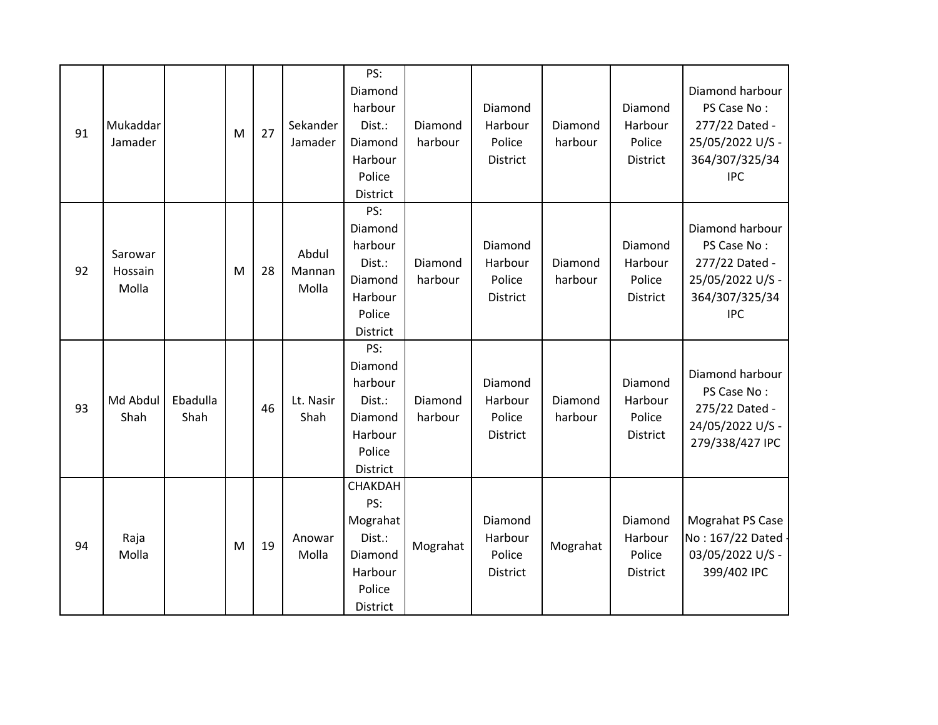| 91 | Mukaddar<br>Jamader         |                  | M | 27 | Sekander<br>Jamader      | PS:<br>Diamond<br>harbour<br>Dist.:<br>Diamond<br>Harbour<br>Police<br>District  | Diamond<br>harbour | Diamond<br>Harbour<br>Police<br>District | Diamond<br>harbour | Diamond<br>Harbour<br>Police<br>District | Diamond harbour<br>PS Case No:<br>277/22 Dated -<br>25/05/2022 U/S -<br>364/307/325/34<br><b>IPC</b> |
|----|-----------------------------|------------------|---|----|--------------------------|----------------------------------------------------------------------------------|--------------------|------------------------------------------|--------------------|------------------------------------------|------------------------------------------------------------------------------------------------------|
| 92 | Sarowar<br>Hossain<br>Molla |                  | M | 28 | Abdul<br>Mannan<br>Molla | PS:<br>Diamond<br>harbour<br>Dist.:<br>Diamond<br>Harbour<br>Police<br>District  | Diamond<br>harbour | Diamond<br>Harbour<br>Police<br>District | Diamond<br>harbour | Diamond<br>Harbour<br>Police<br>District | Diamond harbour<br>PS Case No:<br>277/22 Dated -<br>25/05/2022 U/S -<br>364/307/325/34<br><b>IPC</b> |
| 93 | Md Abdul<br>Shah            | Ebadulla<br>Shah |   | 46 | Lt. Nasir<br>Shah        | PS:<br>Diamond<br>harbour<br>Dist.:<br>Diamond<br>Harbour<br>Police<br>District  | Diamond<br>harbour | Diamond<br>Harbour<br>Police<br>District | Diamond<br>harbour | Diamond<br>Harbour<br>Police<br>District | Diamond harbour<br>PS Case No:<br>275/22 Dated -<br>24/05/2022 U/S -<br>279/338/427 IPC              |
| 94 | Raja<br>Molla               |                  | M | 19 | Anowar<br>Molla          | CHAKDAH<br>PS:<br>Mograhat<br>Dist.:<br>Diamond<br>Harbour<br>Police<br>District | Mograhat           | Diamond<br>Harbour<br>Police<br>District | Mograhat           | Diamond<br>Harbour<br>Police<br>District | Mograhat PS Case<br>No: 167/22 Dated -<br>03/05/2022 U/S -<br>399/402 IPC                            |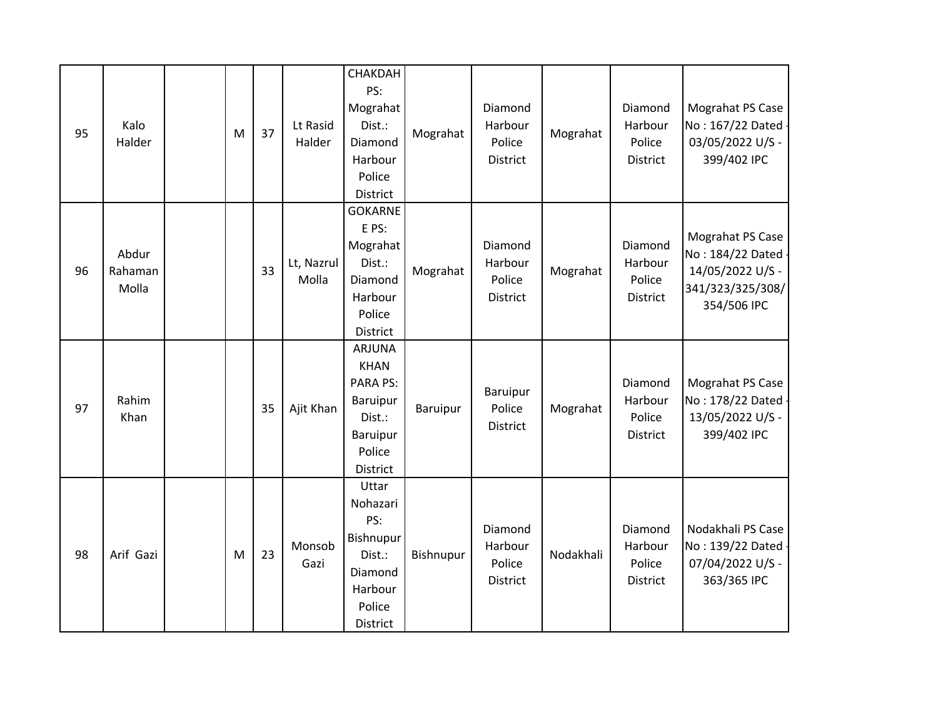| 95 | Kalo<br>Halder            | M | 37 | Lt Rasid<br>Halder  | CHAKDAH<br>PS:<br>Mograhat<br>Dist.:<br>Diamond<br>Harbour<br>Police<br>District                        | Mograhat  | Diamond<br>Harbour<br>Police<br>District | Mograhat  | Diamond<br>Harbour<br>Police<br><b>District</b> | Mograhat PS Case<br>No: 167/22 Dated -<br>03/05/2022 U/S -<br>399/402 IPC                     |
|----|---------------------------|---|----|---------------------|---------------------------------------------------------------------------------------------------------|-----------|------------------------------------------|-----------|-------------------------------------------------|-----------------------------------------------------------------------------------------------|
| 96 | Abdur<br>Rahaman<br>Molla |   | 33 | Lt, Nazrul<br>Molla | <b>GOKARNE</b><br>E PS:<br>Mograhat<br>Dist.:<br>Diamond<br>Harbour<br>Police<br>District               | Mograhat  | Diamond<br>Harbour<br>Police<br>District | Mograhat  | Diamond<br>Harbour<br>Police<br>District        | Mograhat PS Case<br>No: 184/22 Dated -<br>14/05/2022 U/S -<br>341/323/325/308/<br>354/506 IPC |
| 97 | Rahim<br>Khan             |   | 35 | Ajit Khan           | <b>ARJUNA</b><br><b>KHAN</b><br><b>PARA PS:</b><br>Baruipur<br>Dist.:<br>Baruipur<br>Police<br>District | Baruipur  | Baruipur<br>Police<br>District           | Mograhat  | Diamond<br>Harbour<br>Police<br>District        | Mograhat PS Case<br>No: 178/22 Dated -<br>13/05/2022 U/S -<br>399/402 IPC                     |
| 98 | Arif Gazi                 | M | 23 | Monsob<br>Gazi      | Uttar<br>Nohazari<br>PS:<br>Bishnupur<br>Dist.:<br>Diamond<br>Harbour<br>Police<br>District             | Bishnupur | Diamond<br>Harbour<br>Police<br>District | Nodakhali | Diamond<br>Harbour<br>Police<br>District        | Nodakhali PS Case<br>No: 139/22 Dated -<br>07/04/2022 U/S -<br>363/365 IPC                    |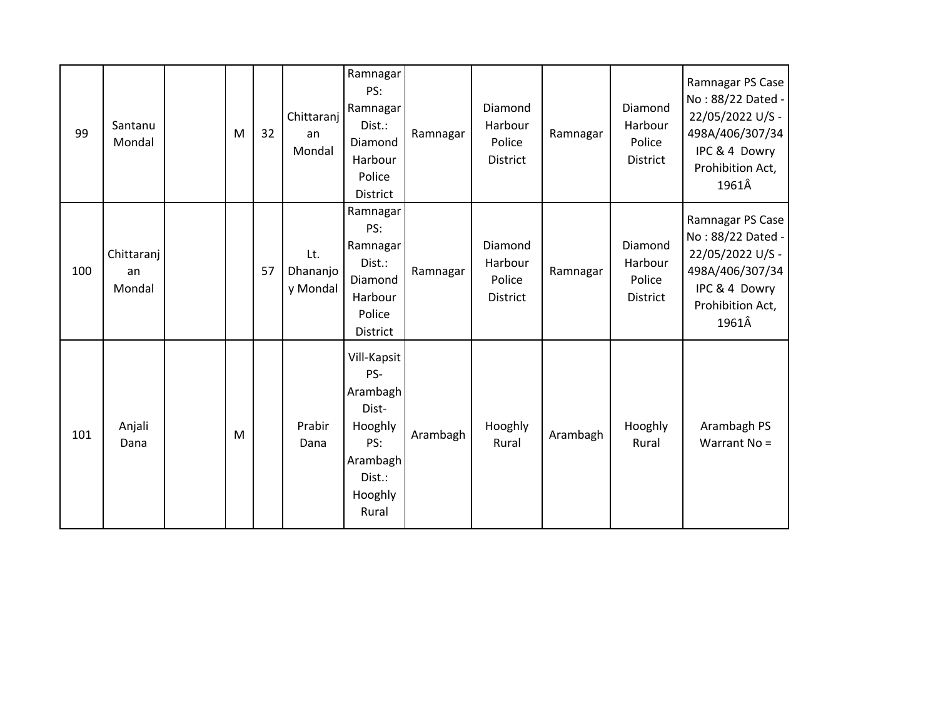| 99  | Santanu<br>Mondal          | M | 32 | Chittaranj<br>an<br>Mondal  | Ramnagar<br>PS:<br>Ramnagar<br>Dist.:<br>Diamond<br>Harbour<br>Police<br>District                   | Ramnagar | Diamond<br>Harbour<br>Police<br>District        | Ramnagar | Diamond<br>Harbour<br>Police<br>District        | Ramnagar PS Case<br>No: 88/22 Dated -<br>22/05/2022 U/S -<br>498A/406/307/34<br>IPC & 4 Dowry<br>Prohibition Act,<br>1961Â |
|-----|----------------------------|---|----|-----------------------------|-----------------------------------------------------------------------------------------------------|----------|-------------------------------------------------|----------|-------------------------------------------------|----------------------------------------------------------------------------------------------------------------------------|
| 100 | Chittaranj<br>an<br>Mondal |   | 57 | Lt.<br>Dhananjo<br>y Mondal | Ramnagar<br>PS:<br>Ramnagar<br>Dist.:<br>Diamond<br>Harbour<br>Police<br>District                   | Ramnagar | Diamond<br>Harbour<br>Police<br><b>District</b> | Ramnagar | Diamond<br>Harbour<br>Police<br><b>District</b> | Ramnagar PS Case<br>No: 88/22 Dated -<br>22/05/2022 U/S -<br>498A/406/307/34<br>IPC & 4 Dowry<br>Prohibition Act,<br>1961Â |
| 101 | Anjali<br>Dana             | M |    | Prabir<br>Dana              | Vill-Kapsit<br>PS-<br>Arambagh<br>Dist-<br>Hooghly<br>PS:<br>Arambagh<br>Dist.:<br>Hooghly<br>Rural | Arambagh | Hooghly<br>Rural                                | Arambagh | Hooghly<br>Rural                                | Arambagh PS<br>Warrant No =                                                                                                |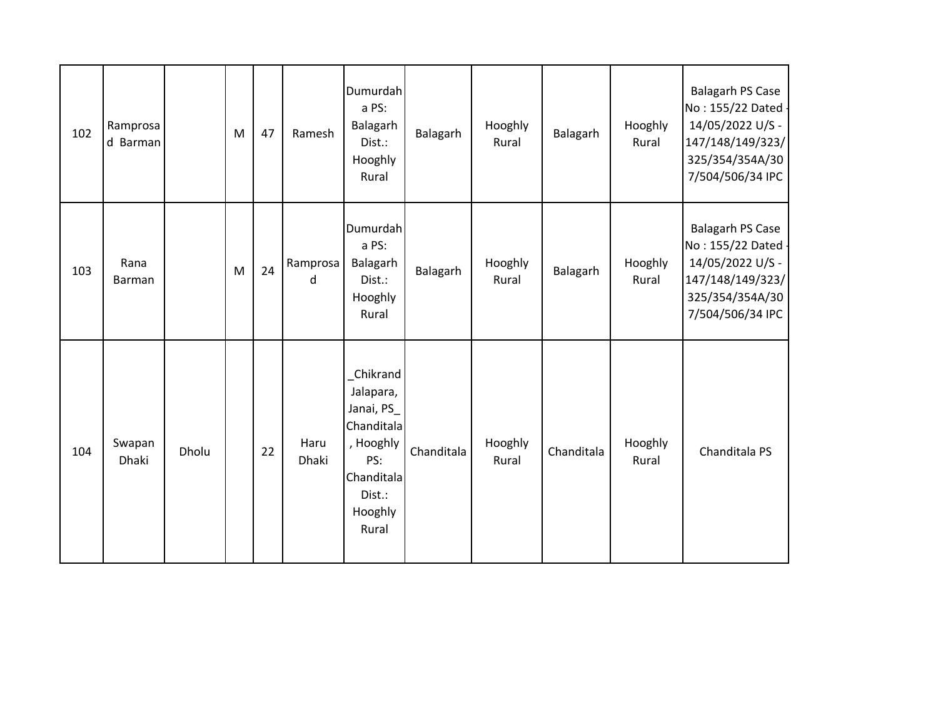| 102 | Ramprosa<br>d Barman |       | M | 47 | Ramesh        | Dumurdah<br>a PS:<br>Balagarh<br>Dist.:<br>Hooghly<br>Rural                                                      | Balagarh   | Hooghly<br>Rural | Balagarh   | Hooghly<br>Rural | <b>Balagarh PS Case</b><br>No: 155/22 Dated -<br>14/05/2022 U/S -<br>147/148/149/323/<br>325/354/354A/30<br>7/504/506/34 IPC |
|-----|----------------------|-------|---|----|---------------|------------------------------------------------------------------------------------------------------------------|------------|------------------|------------|------------------|------------------------------------------------------------------------------------------------------------------------------|
| 103 | Rana<br>Barman       |       | M | 24 | Ramprosa<br>d | Dumurdah<br>a PS:<br>Balagarh<br>Dist.:<br>Hooghly<br>Rural                                                      | Balagarh   | Hooghly<br>Rural | Balagarh   | Hooghly<br>Rural | <b>Balagarh PS Case</b><br>No: 155/22 Dated -<br>14/05/2022 U/S -<br>147/148/149/323/<br>325/354/354A/30<br>7/504/506/34 IPC |
| 104 | Swapan<br>Dhaki      | Dholu |   | 22 | Haru<br>Dhaki | Chikrand<br>Jalapara,<br>Janai, PS<br>Chanditala<br>, Hooghly<br>PS:<br>Chanditala<br>Dist.:<br>Hooghly<br>Rural | Chanditala | Hooghly<br>Rural | Chanditala | Hooghly<br>Rural | Chanditala PS                                                                                                                |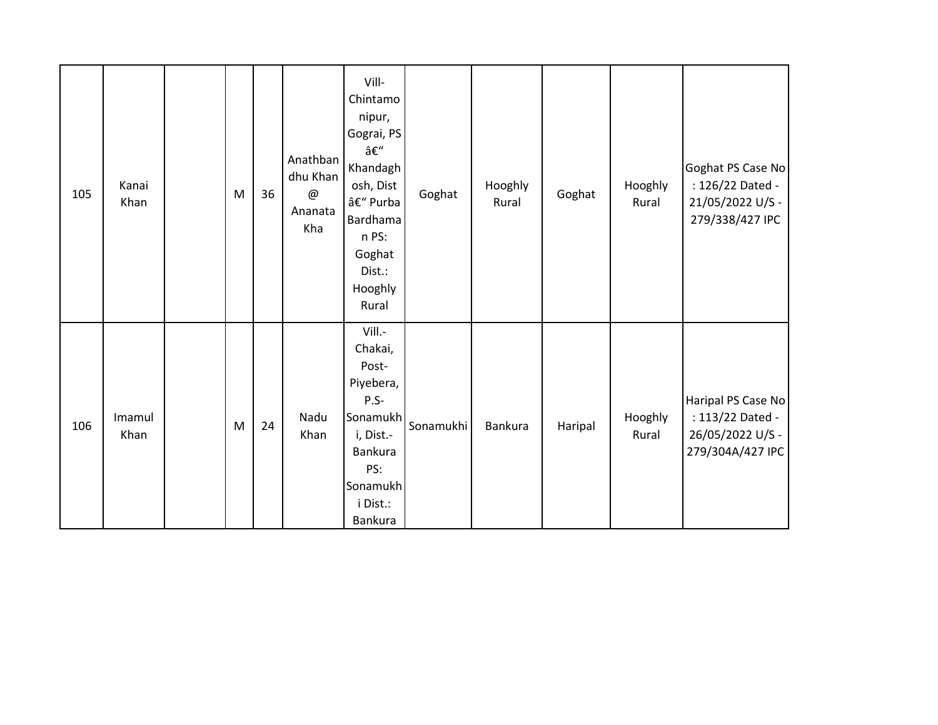| 105 | Kanai<br>Khan  | M | 36 | Anathban<br>dhu Khan<br>@<br>Ananata<br>Kha | Vill-<br>Chintamo<br>nipur,<br>Gograi, PS<br>–<br>Khandagh<br>osh, Dist<br>– Purba<br>Bardhama<br>n PS:<br>Goghat<br>Dist.:<br>Hooghly<br>Rural | Goghat    | Hooghly<br>Rural | Goghat  | Hooghly<br>Rural | Goghat PS Case No<br>: 126/22 Dated -<br>21/05/2022 U/S -<br>279/338/427 IPC   |
|-----|----------------|---|----|---------------------------------------------|-------------------------------------------------------------------------------------------------------------------------------------------------|-----------|------------------|---------|------------------|--------------------------------------------------------------------------------|
| 106 | Imamul<br>Khan | M | 24 | Nadu<br>Khan                                | Vill.-<br>Chakai,<br>Post-<br>Piyebera,<br>$P.S-$<br>Sonamukh <br>i, Dist.-<br>Bankura<br>PS:<br>Sonamukh<br>i Dist.:<br>Bankura                | Sonamukhi | <b>Bankura</b>   | Haripal | Hooghly<br>Rural | Haripal PS Case No<br>: 113/22 Dated -<br>26/05/2022 U/S -<br>279/304A/427 IPC |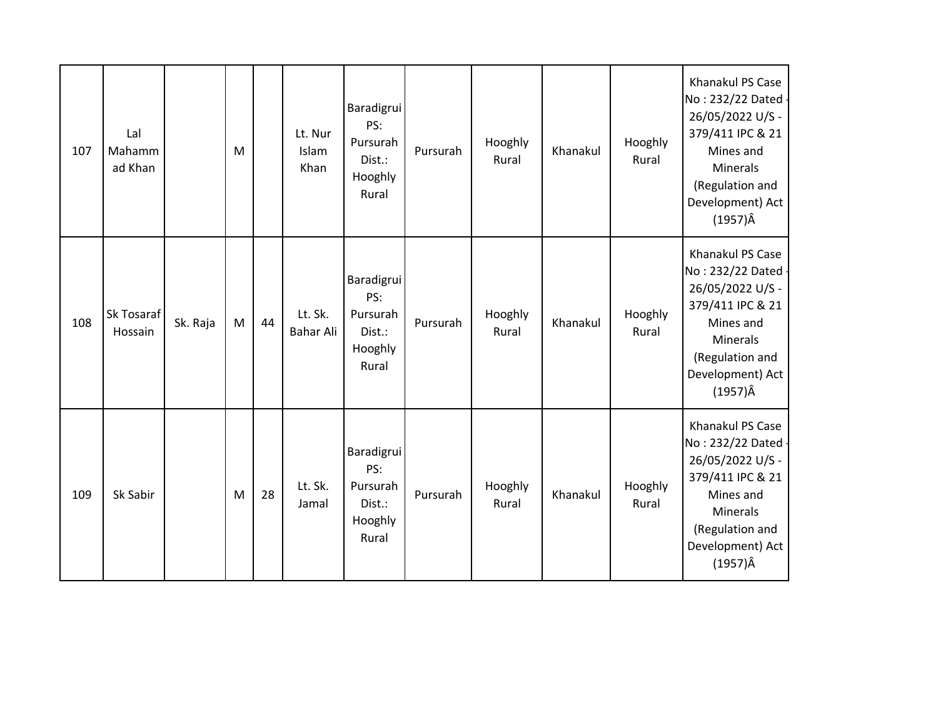| 107 | Lal<br>Mahamm<br>ad Khan |          | M |    | Lt. Nur<br>Islam<br>Khan | Baradigrui<br>PS:<br>Pursurah<br>Dist.:<br>Hooghly<br>Rural | Pursurah | Hooghly<br>Rural | Khanakul | Hooghly<br>Rural | Khanakul PS Case<br>No: 232/22 Dated -<br>26/05/2022 U/S -<br>379/411 IPC & 21<br>Mines and<br><b>Minerals</b><br>(Regulation and<br>Development) Act<br>$(1957)\hat{A}$ |
|-----|--------------------------|----------|---|----|--------------------------|-------------------------------------------------------------|----------|------------------|----------|------------------|--------------------------------------------------------------------------------------------------------------------------------------------------------------------------|
| 108 | Sk Tosaraf<br>Hossain    | Sk. Raja | M | 44 | Lt. Sk.<br>Bahar Ali     | Baradigrui<br>PS:<br>Pursurah<br>Dist.:<br>Hooghly<br>Rural | Pursurah | Hooghly<br>Rural | Khanakul | Hooghly<br>Rural | Khanakul PS Case<br>No: 232/22 Dated -<br>26/05/2022 U/S -<br>379/411 IPC & 21<br>Mines and<br><b>Minerals</b><br>(Regulation and<br>Development) Act<br>$(1957)\hat{A}$ |
| 109 | Sk Sabir                 |          | M | 28 | Lt. Sk.<br>Jamal         | Baradigrui<br>PS:<br>Pursurah<br>Dist.:<br>Hooghly<br>Rural | Pursurah | Hooghly<br>Rural | Khanakul | Hooghly<br>Rural | Khanakul PS Case<br>No: 232/22 Dated -<br>26/05/2022 U/S -<br>379/411 IPC & 21<br>Mines and<br>Minerals<br>(Regulation and<br>Development) Act<br>$(1957)\hat{A}$        |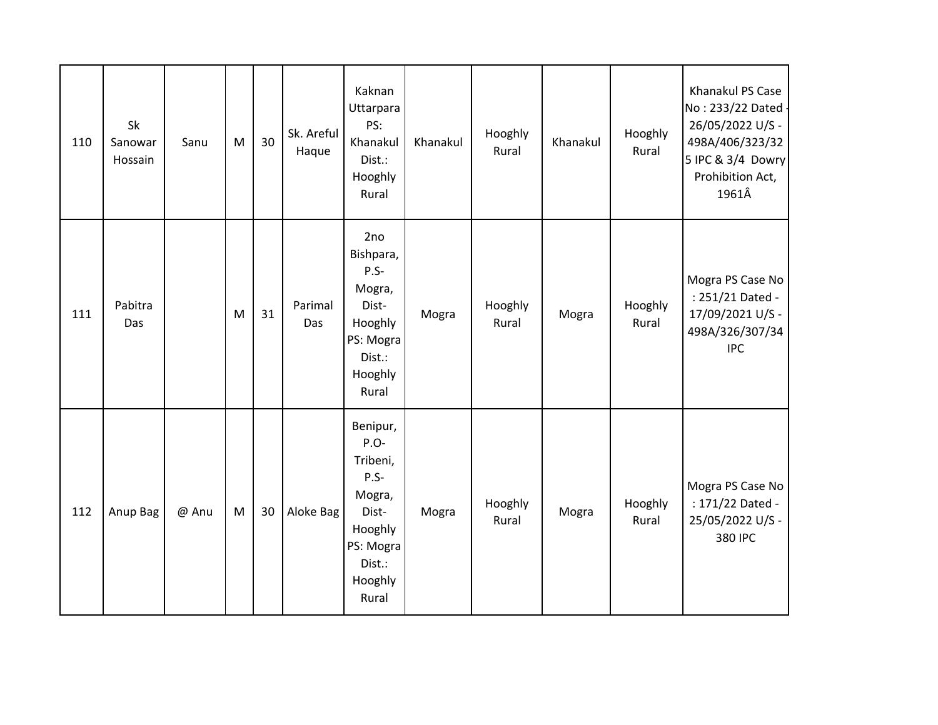| 110 | Sk<br>Sanowar<br>Hossain | Sanu  | M         | 30 | Sk. Areful<br>Haque | Kaknan<br>Uttarpara<br>PS:<br>Khanakul<br>Dist.:<br>Hooghly<br>Rural                                          | Khanakul | Hooghly<br>Rural | Khanakul | Hooghly<br>Rural | Khanakul PS Case<br>No: 233/22 Dated -<br>26/05/2022 U/S -<br>498A/406/323/32<br>5 IPC & 3/4 Dowry<br>Prohibition Act,<br>1961Â |
|-----|--------------------------|-------|-----------|----|---------------------|---------------------------------------------------------------------------------------------------------------|----------|------------------|----------|------------------|---------------------------------------------------------------------------------------------------------------------------------|
| 111 | Pabitra<br>Das           |       | M         | 31 | Parimal<br>Das      | 2no<br>Bishpara,<br>$P.S -$<br>Mogra,<br>Dist-<br>Hooghly<br>PS: Mogra<br>Dist.:<br>Hooghly<br>Rural          | Mogra    | Hooghly<br>Rural | Mogra    | Hooghly<br>Rural | Mogra PS Case No<br>: 251/21 Dated -<br>17/09/2021 U/S -<br>498A/326/307/34<br><b>IPC</b>                                       |
| 112 | Anup Bag                 | @ Anu | ${\sf M}$ | 30 | Aloke Bag           | Benipur,<br>P.O-<br>Tribeni,<br>P.S-<br>Mogra,<br>Dist-<br>Hooghly<br>PS: Mogra<br>Dist.:<br>Hooghly<br>Rural | Mogra    | Hooghly<br>Rural | Mogra    | Hooghly<br>Rural | Mogra PS Case No<br>: 171/22 Dated -<br>25/05/2022 U/S -<br>380 IPC                                                             |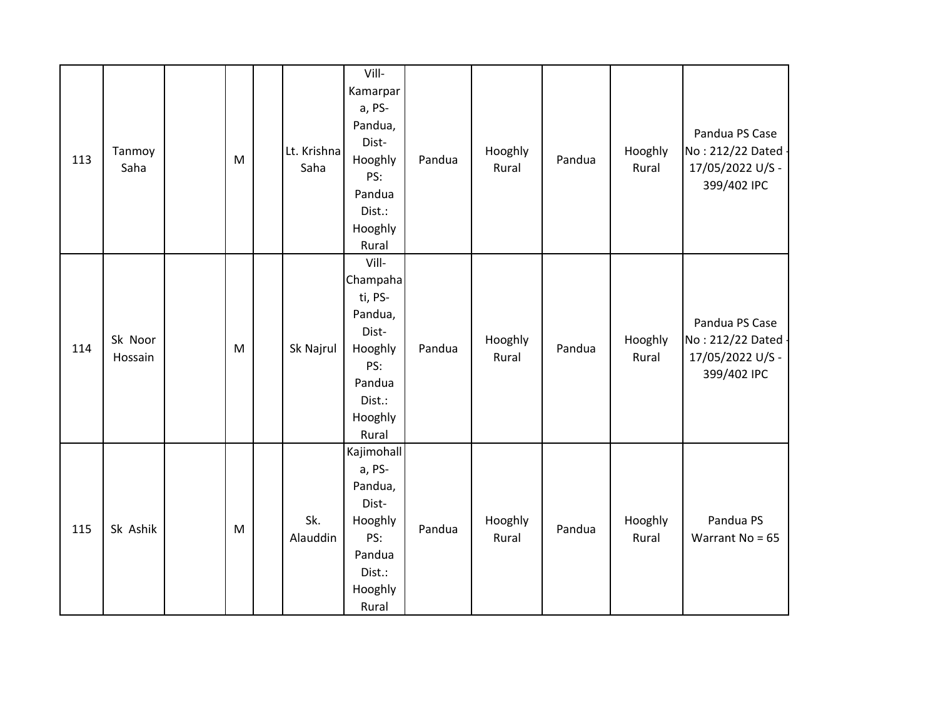| 113 | Tanmoy<br>Saha     | M         | Lt. Krishna<br>Saha | Vill-<br>Kamarpar<br>a, PS-<br>Pandua,<br>Dist-<br>Hooghly<br>PS:<br>Pandua<br>Dist.:<br>Hooghly<br>Rural  | Pandua | Hooghly<br>Rural | Pandua | Hooghly<br>Rural | Pandua PS Case<br>No: 212/22 Dated -<br>17/05/2022 U/S -<br>399/402 IPC |
|-----|--------------------|-----------|---------------------|------------------------------------------------------------------------------------------------------------|--------|------------------|--------|------------------|-------------------------------------------------------------------------|
| 114 | Sk Noor<br>Hossain | ${\sf M}$ | Sk Najrul           | Vill-<br>Champaha<br>ti, PS-<br>Pandua,<br>Dist-<br>Hooghly<br>PS:<br>Pandua<br>Dist.:<br>Hooghly<br>Rural | Pandua | Hooghly<br>Rural | Pandua | Hooghly<br>Rural | Pandua PS Case<br>No: 212/22 Dated -<br>17/05/2022 U/S -<br>399/402 IPC |
| 115 | Sk Ashik           | M         | Sk.<br>Alauddin     | Kajimohall<br>a, PS-<br>Pandua,<br>Dist-<br>Hooghly<br>PS:<br>Pandua<br>Dist.:<br>Hooghly<br>Rural         | Pandua | Hooghly<br>Rural | Pandua | Hooghly<br>Rural | Pandua PS<br>Warrant No = $65$                                          |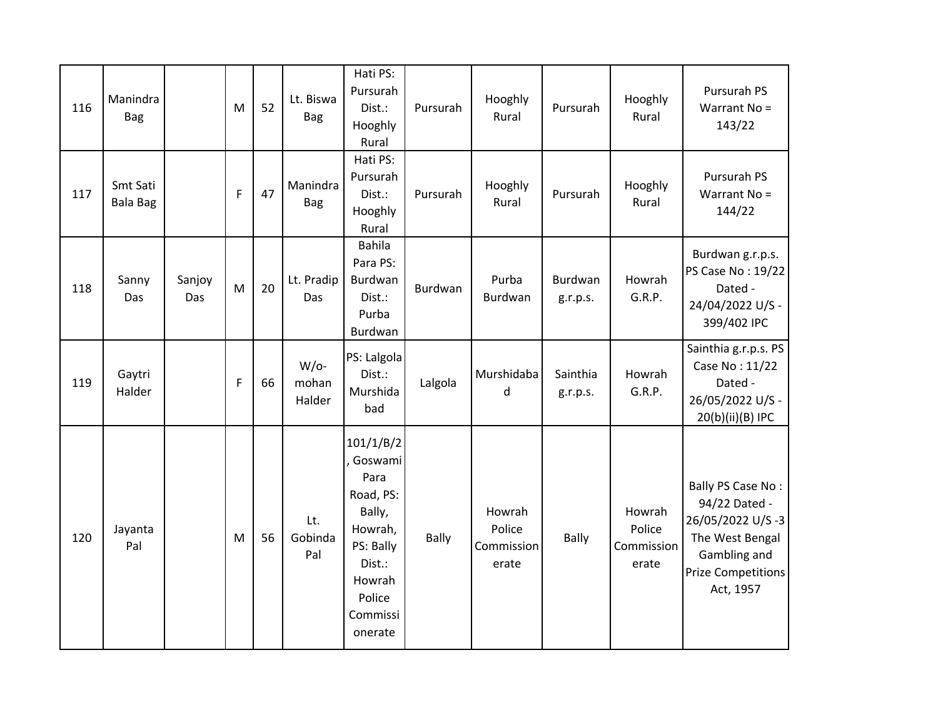| 116 | Manindra<br><b>Bag</b>      |               | M            | 52 | Lt. Biswa<br><b>Bag</b>    | Hati PS:<br>Pursurah<br>Dist.:<br>Hooghly<br>Rural                                                                               | Pursurah | Hooghly<br>Rural                        | Pursurah             | Hooghly<br>Rural                        | Pursurah PS<br>Warrant No =<br>143/22                                                                                               |
|-----|-----------------------------|---------------|--------------|----|----------------------------|----------------------------------------------------------------------------------------------------------------------------------|----------|-----------------------------------------|----------------------|-----------------------------------------|-------------------------------------------------------------------------------------------------------------------------------------|
| 117 | Smt Sati<br><b>Bala Bag</b> |               | $\mathsf{F}$ | 47 | Manindra<br><b>Bag</b>     | Hati PS:<br>Pursurah<br>Dist.:<br>Hooghly<br>Rural                                                                               | Pursurah | Hooghly<br>Rural                        | Pursurah             | Hooghly<br>Rural                        | Pursurah PS<br>Warrant No =<br>144/22                                                                                               |
| 118 | Sanny<br>Das                | Sanjoy<br>Das | M            | 20 | Lt. Pradip<br>Das          | <b>Bahila</b><br>Para PS:<br>Burdwan<br>Dist.:<br>Purba<br>Burdwan                                                               | Burdwan  | Purba<br>Burdwan                        | Burdwan<br>g.r.p.s.  | Howrah<br>G.R.P.                        | Burdwan g.r.p.s.<br>PS Case No: 19/22<br>Dated -<br>24/04/2022 U/S -<br>399/402 IPC                                                 |
| 119 | Gaytri<br>Halder            |               | $\mathsf{F}$ | 66 | $W$ /o-<br>mohan<br>Halder | PS: Lalgola<br>Dist.:<br>Murshida<br>bad                                                                                         | Lalgola  | Murshidaba<br>d                         | Sainthia<br>g.r.p.s. | Howrah<br>G.R.P.                        | Sainthia g.r.p.s. PS<br>Case No: 11/22<br>Dated -<br>26/05/2022 U/S -<br>20(b)(ii)(B) IPC                                           |
| 120 | Jayanta<br>Pal              |               | M            | 56 | Lt.<br>Gobinda<br>Pal      | 101/1/B/2<br>Goswami<br>Para<br>Road, PS:<br>Bally,<br>Howrah,<br>PS: Bally<br>Dist.:<br>Howrah<br>Police<br>Commissi<br>onerate | Bally    | Howrah<br>Police<br>Commission<br>erate | Bally                | Howrah<br>Police<br>Commission<br>erate | Bally PS Case No:<br>94/22 Dated -<br>26/05/2022 U/S-3<br>The West Bengal<br>Gambling and<br><b>Prize Competitions</b><br>Act, 1957 |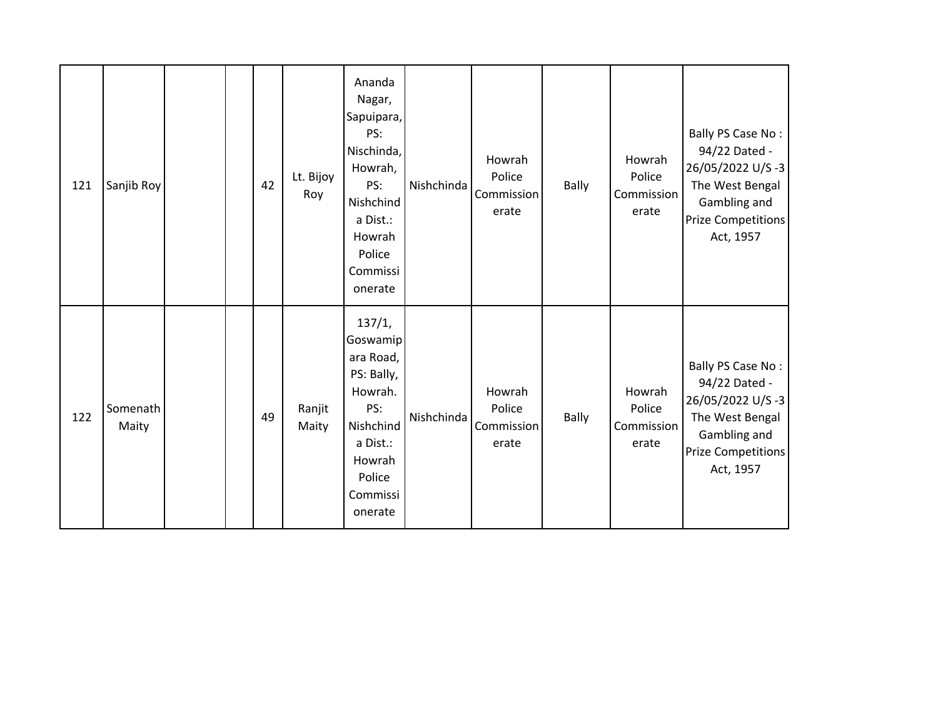| 121 | Sanjib Roy        |  | 42 | Lt. Bijoy<br>Roy | Ananda<br>Nagar,<br>Sapuipara,<br>PS:<br>Nischinda,<br>Howrah,<br>PS:<br>Nishchind<br>a Dist.:<br>Howrah<br>Police<br>Commissi<br>onerate | Nishchinda | Howrah<br>Police<br>Commission<br>erate | <b>Bally</b> | Howrah<br>Police<br>Commission<br>erate | Bally PS Case No:<br>94/22 Dated -<br>26/05/2022 U/S-3<br>The West Bengal<br>Gambling and<br><b>Prize Competitions</b><br>Act, 1957 |
|-----|-------------------|--|----|------------------|-------------------------------------------------------------------------------------------------------------------------------------------|------------|-----------------------------------------|--------------|-----------------------------------------|-------------------------------------------------------------------------------------------------------------------------------------|
| 122 | Somenath<br>Maity |  | 49 | Ranjit<br>Maity  | 137/1,<br>Goswamip<br>ara Road,<br>PS: Bally,<br>Howrah.<br>PS:<br>Nishchind<br>a Dist.:<br>Howrah<br>Police<br>Commissi<br>onerate       | Nishchinda | Howrah<br>Police<br>Commission<br>erate | Bally        | Howrah<br>Police<br>Commission<br>erate | Bally PS Case No:<br>94/22 Dated -<br>26/05/2022 U/S-3<br>The West Bengal<br>Gambling and<br><b>Prize Competitions</b><br>Act, 1957 |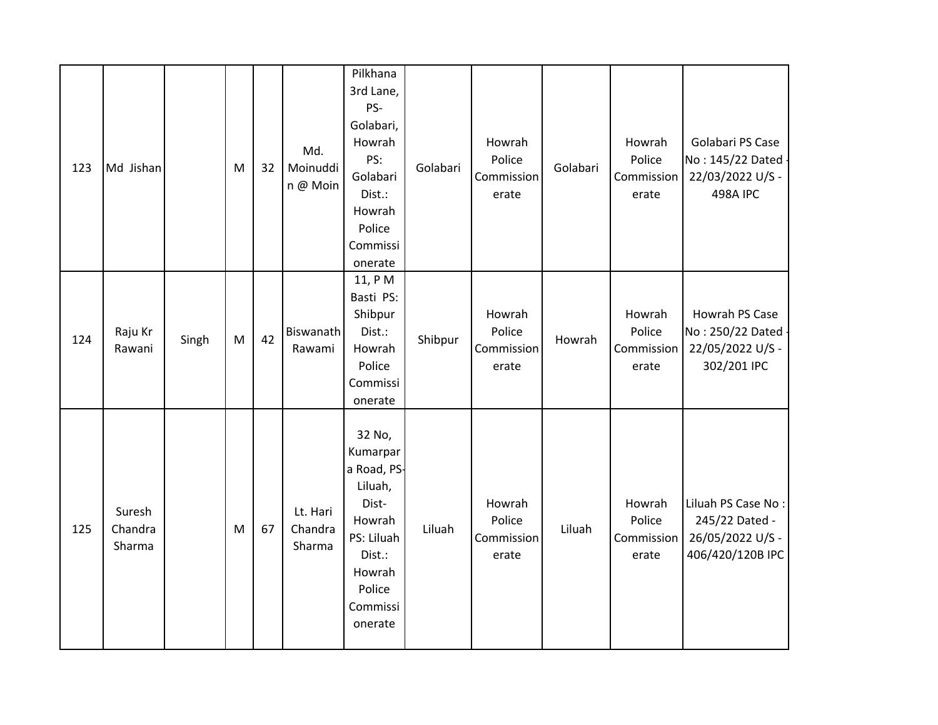| 123 | Md Jishan                   |       | M | 32 | Md.<br>Moinuddi<br>n @ Moin   | Pilkhana<br>3rd Lane,<br>PS-<br>Golabari,<br>Howrah<br>PS:<br>Golabari<br>Dist.:<br>Howrah<br>Police<br>Commissi<br>onerate        | Golabari | Howrah<br>Police<br>Commission<br>erate | Golabari | Howrah<br>Police<br>Commission<br>erate | Golabari PS Case<br>No: 145/22 Dated<br>22/03/2022 U/S -<br>498A IPC         |
|-----|-----------------------------|-------|---|----|-------------------------------|------------------------------------------------------------------------------------------------------------------------------------|----------|-----------------------------------------|----------|-----------------------------------------|------------------------------------------------------------------------------|
| 124 | Raju Kr<br>Rawani           | Singh | M | 42 | Biswanath<br>Rawami           | 11, PM<br>Basti PS:<br>Shibpur<br>Dist.:<br>Howrah<br>Police<br>Commissi<br>onerate                                                | Shibpur  | Howrah<br>Police<br>Commission<br>erate | Howrah   | Howrah<br>Police<br>Commission<br>erate | Howrah PS Case<br>No: 250/22 Dated<br>22/05/2022 U/S -<br>302/201 IPC        |
| 125 | Suresh<br>Chandra<br>Sharma |       | M | 67 | Lt. Hari<br>Chandra<br>Sharma | 32 No,<br>Kumarpar<br>a Road, PS-<br>Liluah,<br>Dist-<br>Howrah<br>PS: Liluah<br>Dist.:<br>Howrah<br>Police<br>Commissi<br>onerate | Liluah   | Howrah<br>Police<br>Commission<br>erate | Liluah   | Howrah<br>Police<br>Commission<br>erate | Liluah PS Case No:<br>245/22 Dated -<br>26/05/2022 U/S -<br>406/420/120B IPC |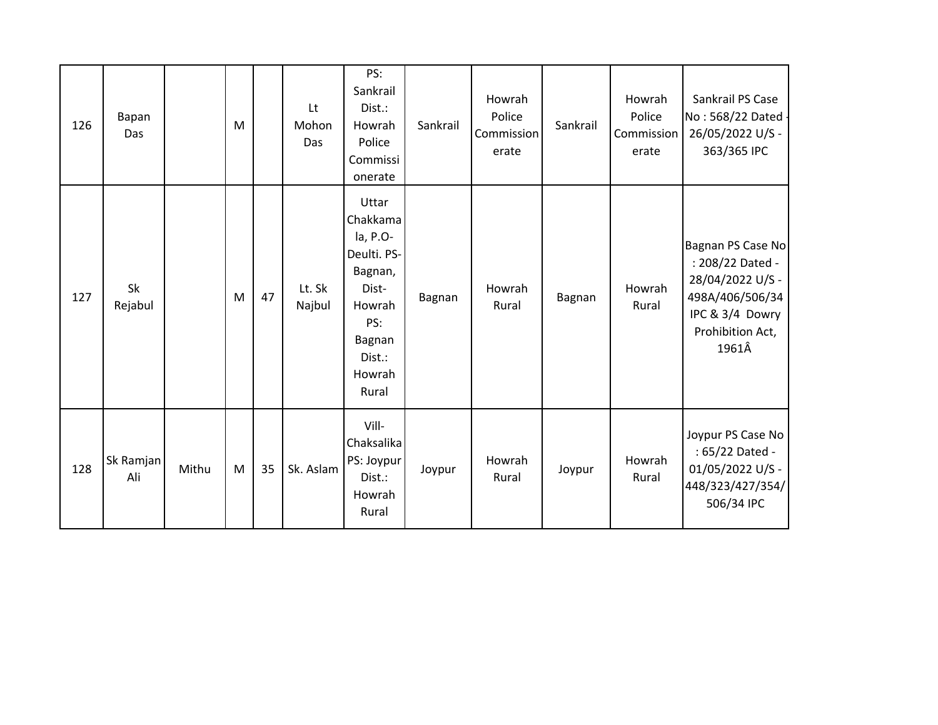| 126 | Bapan<br>Das     |       | M |    | Lt<br>Mohon<br>Das | PS:<br>Sankrail<br>Dist.:<br>Howrah<br>Police<br>Commissi<br>onerate                                                     | Sankrail | Howrah<br>Police<br>Commission<br>erate | Sankrail | Howrah<br>Police<br>Commission<br>erate | Sankrail PS Case<br>No: 568/22 Dated -<br>26/05/2022 U/S -<br>363/365 IPC                                                    |
|-----|------------------|-------|---|----|--------------------|--------------------------------------------------------------------------------------------------------------------------|----------|-----------------------------------------|----------|-----------------------------------------|------------------------------------------------------------------------------------------------------------------------------|
| 127 | Sk<br>Rejabul    |       | M | 47 | Lt. Sk<br>Najbul   | Uttar<br>Chakkama<br>la, P.O-<br>Deulti. PS-<br>Bagnan,<br>Dist-<br>Howrah<br>PS:<br>Bagnan<br>Dist.:<br>Howrah<br>Rural | Bagnan   | Howrah<br>Rural                         | Bagnan   | Howrah<br>Rural                         | Bagnan PS Case No<br>: 208/22 Dated -<br>28/04/2022 U/S -<br>498A/406/506/34<br>IPC & 3/4 Dowry<br>Prohibition Act,<br>1961Â |
| 128 | Sk Ramjan<br>Ali | Mithu | M | 35 | Sk. Aslam          | Vill-<br>Chaksalika<br>PS: Joypur<br>Dist.:<br>Howrah<br>Rural                                                           | Joypur   | Howrah<br>Rural                         | Joypur   | Howrah<br>Rural                         | Joypur PS Case No<br>: 65/22 Dated -<br>01/05/2022 U/S -<br>448/323/427/354/<br>506/34 IPC                                   |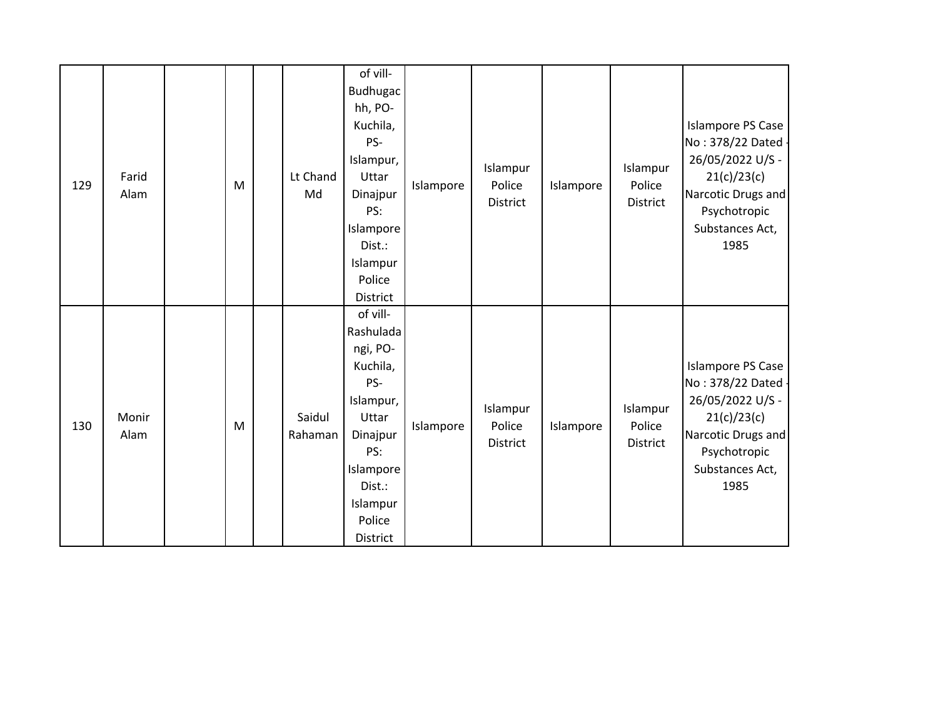| 129 | Farid<br>Alam | M | Lt Chand<br>Md    | of vill-<br>Budhugac<br>hh, PO-<br>Kuchila,<br>PS-<br>Islampur,<br>Uttar<br>Dinajpur<br>PS:<br>Islampore<br>Dist.:<br>Islampur<br>Police<br>District   | Islampore | Islampur<br>Police<br>District | Islampore | Islampur<br>Police<br>District | Islampore PS Case<br>No: 378/22 Dated -<br>26/05/2022 U/S -<br>21(c)/23(c)<br>Narcotic Drugs and<br>Psychotropic<br>Substances Act,<br>1985        |
|-----|---------------|---|-------------------|--------------------------------------------------------------------------------------------------------------------------------------------------------|-----------|--------------------------------|-----------|--------------------------------|----------------------------------------------------------------------------------------------------------------------------------------------------|
| 130 | Monir<br>Alam | M | Saidul<br>Rahaman | of vill-<br>Rashulada<br>ngi, PO-<br>Kuchila,<br>PS-<br>Islampur,<br>Uttar<br>Dinajpur<br>PS:<br>Islampore<br>Dist.:<br>Islampur<br>Police<br>District | Islampore | Islampur<br>Police<br>District | Islampore | Islampur<br>Police<br>District | <b>Islampore PS Case</b><br>No: 378/22 Dated -<br>26/05/2022 U/S -<br>21(c)/23(c)<br>Narcotic Drugs and<br>Psychotropic<br>Substances Act,<br>1985 |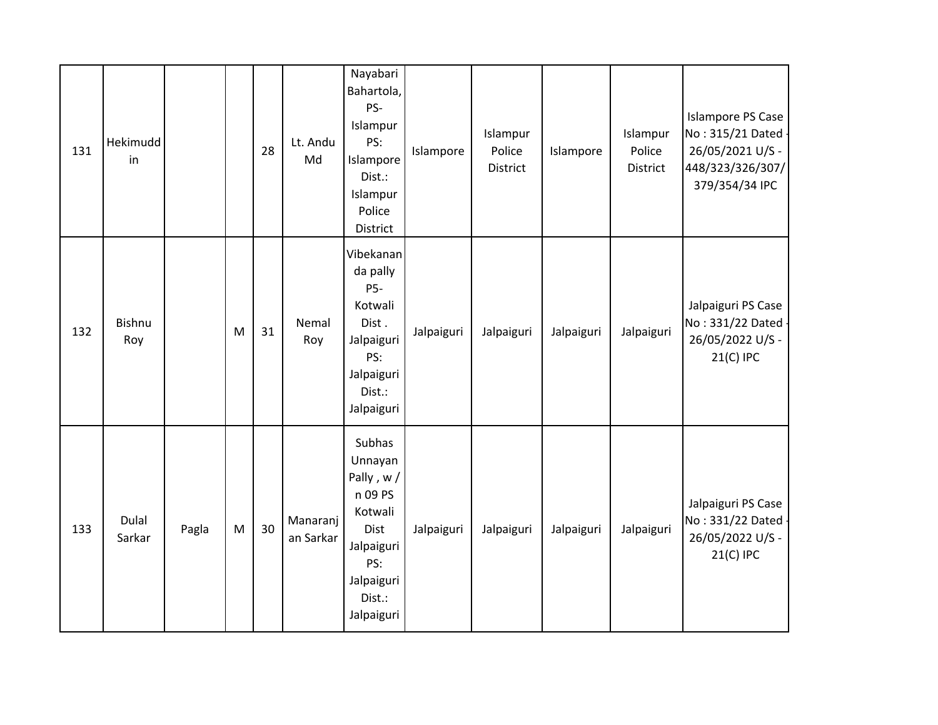| 131 | Hekimudd<br>in  |       |           | 28 | Lt. Andu<br>Md        | Nayabari<br>Bahartola,<br>PS-<br>Islampur<br>PS:<br>Islampore<br>Dist.:<br>Islampur<br>Police<br>District               | Islampore  | Islampur<br>Police<br>District | Islampore  | Islampur<br>Police<br>District | <b>Islampore PS Case</b><br>No: 315/21 Dated -<br>26/05/2021 U/S -<br>448/323/326/307/<br>379/354/34 IPC |
|-----|-----------------|-------|-----------|----|-----------------------|-------------------------------------------------------------------------------------------------------------------------|------------|--------------------------------|------------|--------------------------------|----------------------------------------------------------------------------------------------------------|
| 132 | Bishnu<br>Roy   |       | M         | 31 | Nemal<br>Roy          | Vibekanan<br>da pally<br>P5-<br>Kotwali<br>Dist.<br>Jalpaiguri<br>PS:<br>Jalpaiguri<br>Dist.:<br>Jalpaiguri             | Jalpaiguri | Jalpaiguri                     | Jalpaiguri | Jalpaiguri                     | Jalpaiguri PS Case<br>No: 331/22 Dated -<br>26/05/2022 U/S -<br>21(C) IPC                                |
| 133 | Dulal<br>Sarkar | Pagla | ${\sf M}$ | 30 | Manaranj<br>an Sarkar | Subhas<br>Unnayan<br>Pally, w/<br>n 09 PS<br>Kotwali<br>Dist<br>Jalpaiguri<br>PS:<br>Jalpaiguri<br>Dist.:<br>Jalpaiguri | Jalpaiguri | Jalpaiguri                     | Jalpaiguri | Jalpaiguri                     | Jalpaiguri PS Case<br>No: 331/22 Dated -<br>26/05/2022 U/S -<br>21(C) IPC                                |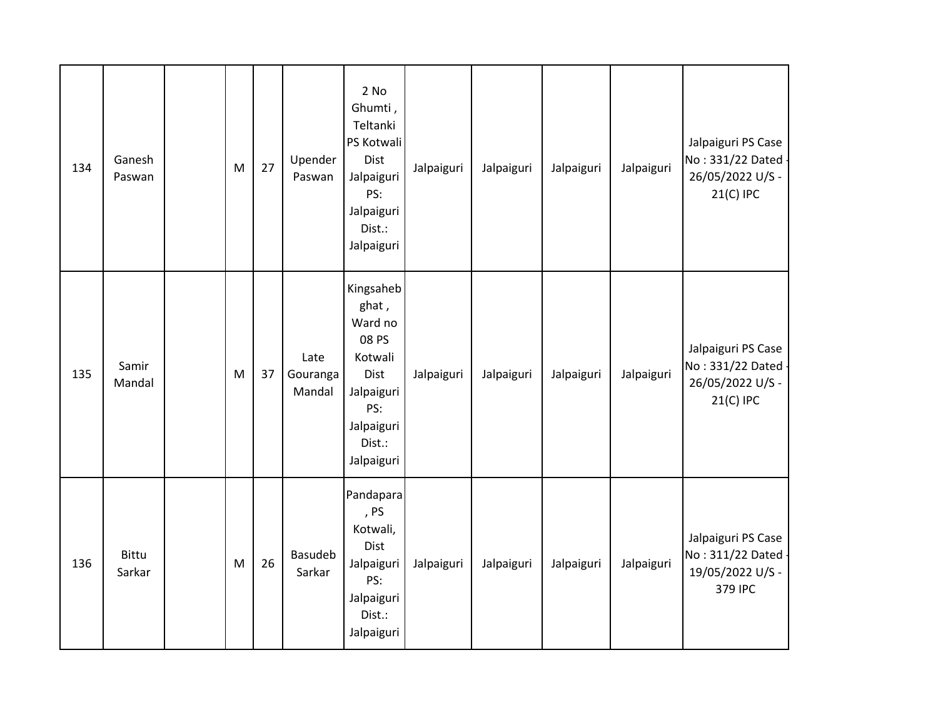| 134 | Ganesh<br>Paswan       | M | 27 | Upender<br>Paswan          | 2 No<br>Ghumti,<br>Teltanki<br>PS Kotwali<br>Dist<br>Jalpaiguri<br>PS:<br>Jalpaiguri<br>Dist.:<br>Jalpaiguri         | Jalpaiguri | Jalpaiguri | Jalpaiguri | Jalpaiguri | Jalpaiguri PS Case<br>No: 331/22 Dated<br>26/05/2022 U/S -<br>21(C) IPC |
|-----|------------------------|---|----|----------------------------|----------------------------------------------------------------------------------------------------------------------|------------|------------|------------|------------|-------------------------------------------------------------------------|
| 135 | Samir<br>Mandal        | M | 37 | Late<br>Gouranga<br>Mandal | Kingsaheb<br>ghat,<br>Ward no<br>08 PS<br>Kotwali<br>Dist<br>Jalpaiguri<br>PS:<br>Jalpaiguri<br>Dist.:<br>Jalpaiguri | Jalpaiguri | Jalpaiguri | Jalpaiguri | Jalpaiguri | Jalpaiguri PS Case<br>No: 331/22 Dated<br>26/05/2022 U/S -<br>21(C) IPC |
| 136 | <b>Bittu</b><br>Sarkar | M | 26 | <b>Basudeb</b><br>Sarkar   | Pandapara<br>, PS<br>Kotwali,<br>Dist<br>Jalpaiguri<br>PS:<br>Jalpaiguri<br>Dist.:<br>Jalpaiguri                     | Jalpaiguri | Jalpaiguri | Jalpaiguri | Jalpaiguri | Jalpaiguri PS Case<br>No: 311/22 Dated<br>19/05/2022 U/S -<br>379 IPC   |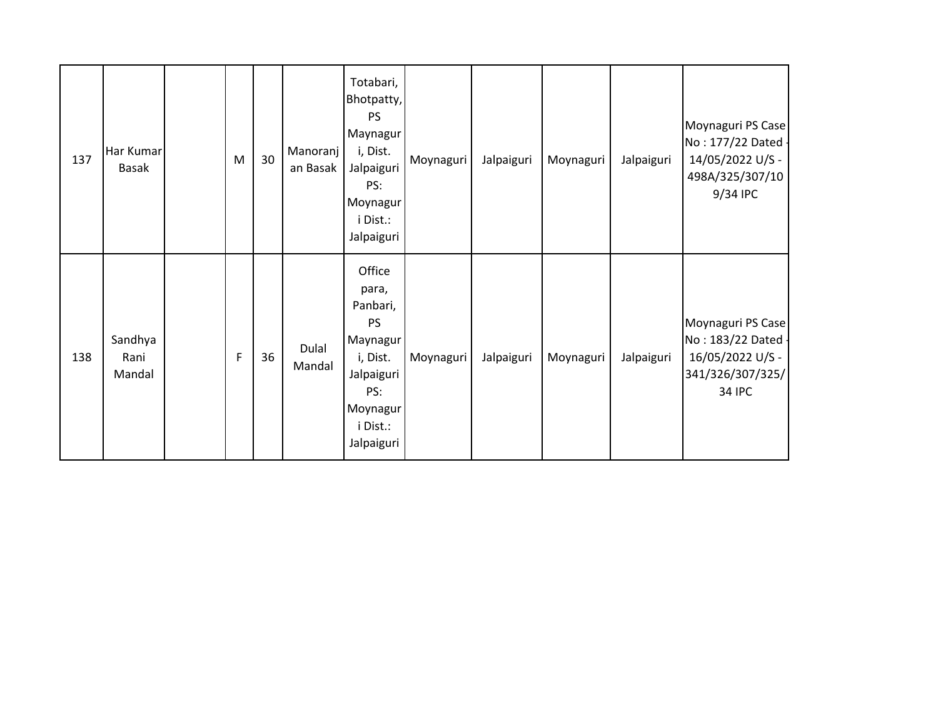| 137 | Har Kumar<br><b>Basak</b> | M | 30 | Manoranj<br>an Basak | Totabari,<br>Bhotpatty,<br><b>PS</b><br>Maynagur<br>i, Dist.<br>Jalpaiguri<br>PS:<br>Moynagur<br>i Dist.:<br>Jalpaiguri     | Moynaguri | Jalpaiguri | Moynaguri | Jalpaiguri | Moynaguri PS Case<br>No: 177/22 Dated -<br>14/05/2022 U/S -<br>498A/325/307/10<br>9/34 IPC       |
|-----|---------------------------|---|----|----------------------|-----------------------------------------------------------------------------------------------------------------------------|-----------|------------|-----------|------------|--------------------------------------------------------------------------------------------------|
| 138 | Sandhya<br>Rani<br>Mandal | F | 36 | Dulal<br>Mandal      | Office<br>para,<br>Panbari,<br><b>PS</b><br>Maynagur<br>i, Dist.<br>Jalpaiguri<br>PS:<br>Moynagur<br>i Dist.:<br>Jalpaiguri | Moynaguri | Jalpaiguri | Moynaguri | Jalpaiguri | Moynaguri PS Case<br>No: 183/22 Dated -<br>16/05/2022 U/S -<br>341/326/307/325/<br><b>34 IPC</b> |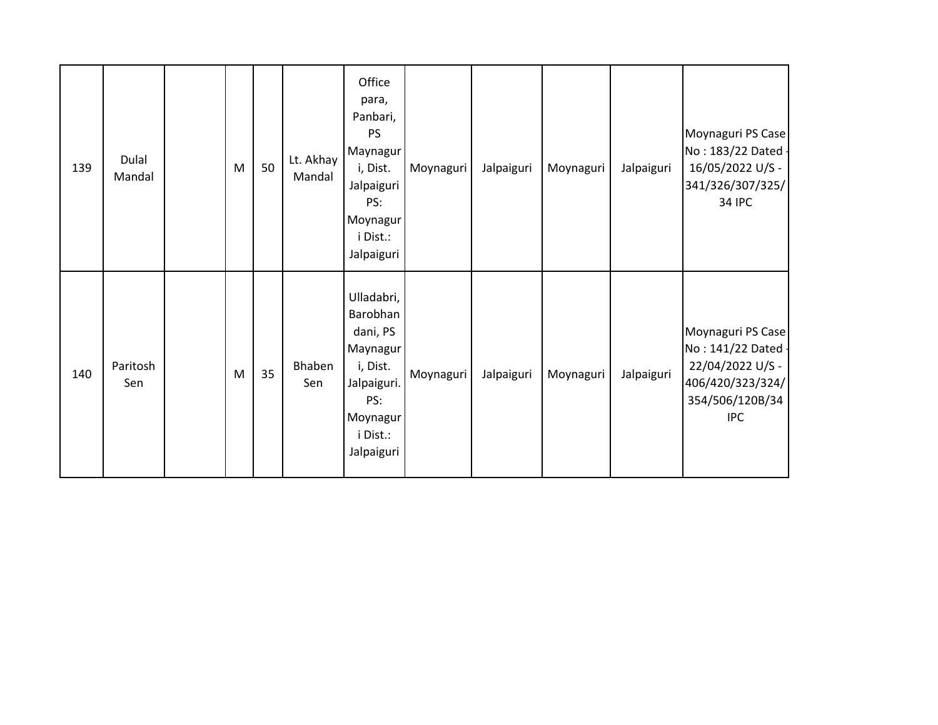| 139 | Dulal<br>Mandal | M | 50 | Lt. Akhay<br>Mandal | Office<br>para,<br>Panbari,<br><b>PS</b><br>Maynagur<br>i, Dist.<br>Jalpaiguri<br>PS:<br>Moynagur<br>i Dist.:<br>Jalpaiguri | Moynaguri | Jalpaiguri | Moynaguri | Jalpaiguri | Moynaguri PS Case<br>No: 183/22 Dated<br>16/05/2022 U/S -<br>341/326/307/325/<br><b>34 IPC</b>                 |
|-----|-----------------|---|----|---------------------|-----------------------------------------------------------------------------------------------------------------------------|-----------|------------|-----------|------------|----------------------------------------------------------------------------------------------------------------|
| 140 | Paritosh<br>Sen | M | 35 | Bhaben<br>Sen       | Ulladabri,<br>Barobhan<br>dani, PS<br>Maynagur<br>i, Dist.<br>Jalpaiguri.<br>PS:<br>Moynagur<br>i Dist.:<br>Jalpaiguri      | Moynaguri | Jalpaiguri | Moynaguri | Jalpaiguri | Moynaguri PS Case<br>No: 141/22 Dated<br>22/04/2022 U/S -<br>406/420/323/324/<br>354/506/120B/34<br><b>IPC</b> |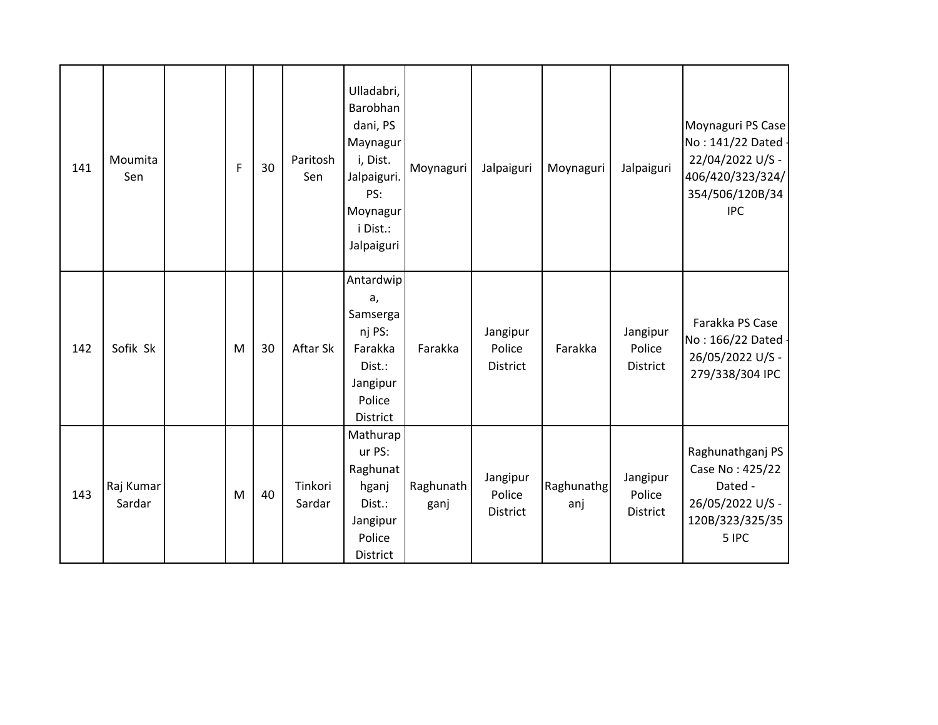| 141 | Moumita<br>Sen      | F | 30 | Paritosh<br>Sen   | Ulladabri,<br>Barobhan<br>dani, PS<br>Maynagur<br>i, Dist.<br>Jalpaiguri.<br>PS:<br>Moynagur<br>i Dist.:<br>Jalpaiguri | Moynaguri         | Jalpaiguri                            | Moynaguri         | Jalpaiguri                            | Moynaguri PS Case<br>No: 141/22 Dated -<br>22/04/2022 U/S -<br>406/420/323/324/<br>354/506/120B/34<br><b>IPC</b> |
|-----|---------------------|---|----|-------------------|------------------------------------------------------------------------------------------------------------------------|-------------------|---------------------------------------|-------------------|---------------------------------------|------------------------------------------------------------------------------------------------------------------|
| 142 | Sofik Sk            | M | 30 | Aftar Sk          | Antardwip<br>a,<br>Samserga<br>nj PS:<br>Farakka<br>Dist.:<br>Jangipur<br>Police<br>District                           | Farakka           | Jangipur<br>Police<br><b>District</b> | Farakka           | Jangipur<br>Police<br><b>District</b> | Farakka PS Case<br>No: 166/22 Dated -<br>26/05/2022 U/S -<br>279/338/304 IPC                                     |
| 143 | Raj Kumar<br>Sardar | M | 40 | Tinkori<br>Sardar | Mathurap<br>ur PS:<br>Raghunat<br>hganj<br>Dist.:<br>Jangipur<br>Police<br>District                                    | Raghunath<br>ganj | Jangipur<br>Police<br><b>District</b> | Raghunathg<br>anj | Jangipur<br>Police<br><b>District</b> | Raghunathganj PS<br>Case No: 425/22<br>Dated -<br>26/05/2022 U/S -<br>120B/323/325/35<br>5 IPC                   |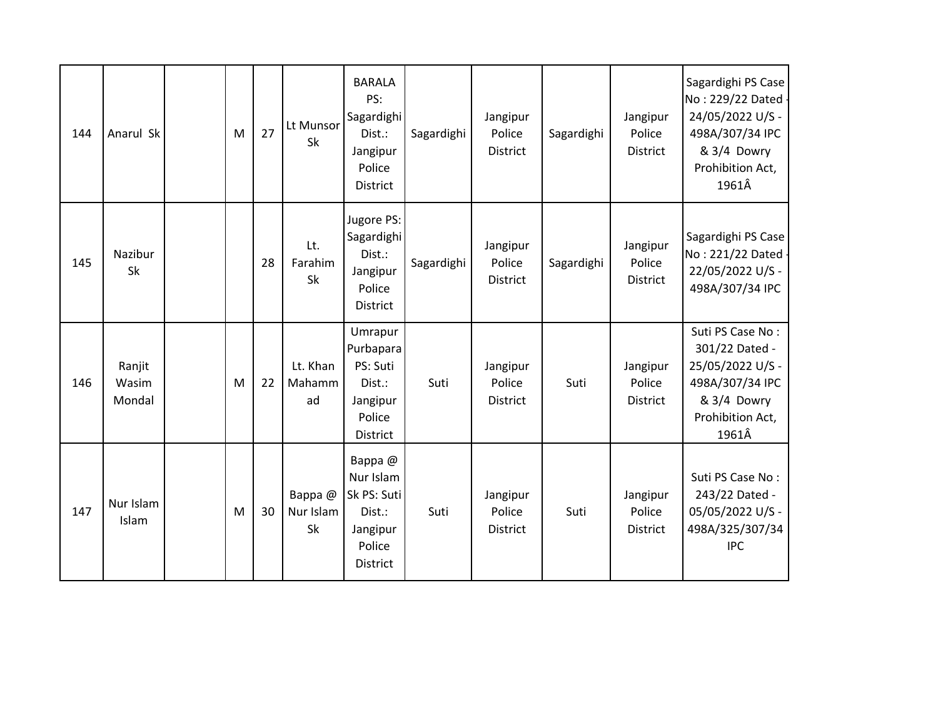| 144 | Anarul Sk                 | M | 27 | Lt Munsor<br>Sk           | <b>BARALA</b><br>PS:<br>Sagardighi<br>Dist.:<br>Jangipur<br>Police<br><b>District</b> | Sagardighi | Jangipur<br>Police<br><b>District</b> | Sagardighi | Jangipur<br>Police<br>District        | Sagardighi PS Case<br>No: 229/22 Dated -<br>24/05/2022 U/S -<br>498A/307/34 IPC<br>& 3/4 Dowry<br>Prohibition Act,<br>1961Â |
|-----|---------------------------|---|----|---------------------------|---------------------------------------------------------------------------------------|------------|---------------------------------------|------------|---------------------------------------|-----------------------------------------------------------------------------------------------------------------------------|
| 145 | Nazibur<br>Sk             |   | 28 | Lt.<br>Farahim<br>Sk      | Jugore PS:<br>Sagardighi<br>Dist.:<br>Jangipur<br>Police<br>District                  | Sagardighi | Jangipur<br>Police<br>District        | Sagardighi | Jangipur<br>Police<br>District        | Sagardighi PS Case<br>No: 221/22 Dated -<br>22/05/2022 U/S -<br>498A/307/34 IPC                                             |
| 146 | Ranjit<br>Wasim<br>Mondal | M | 22 | Lt. Khan<br>Mahamm<br>ad  | Umrapur<br>Purbapara<br>PS: Suti<br>Dist.:<br>Jangipur<br>Police<br>District          | Suti       | Jangipur<br>Police<br>District        | Suti       | Jangipur<br>Police<br><b>District</b> | Suti PS Case No:<br>301/22 Dated -<br>25/05/2022 U/S -<br>498A/307/34 IPC<br>& 3/4 Dowry<br>Prohibition Act,<br>1961Â       |
| 147 | Nur Islam<br><b>Islam</b> | M | 30 | Bappa@<br>Nur Islam<br>Sk | Bappa@<br>Nur Islam<br>Sk PS: Suti<br>Dist.:<br>Jangipur<br>Police<br><b>District</b> | Suti       | Jangipur<br>Police<br>District        | Suti       | Jangipur<br>Police<br>District        | Suti PS Case No:<br>243/22 Dated -<br>05/05/2022 U/S -<br>498A/325/307/34<br><b>IPC</b>                                     |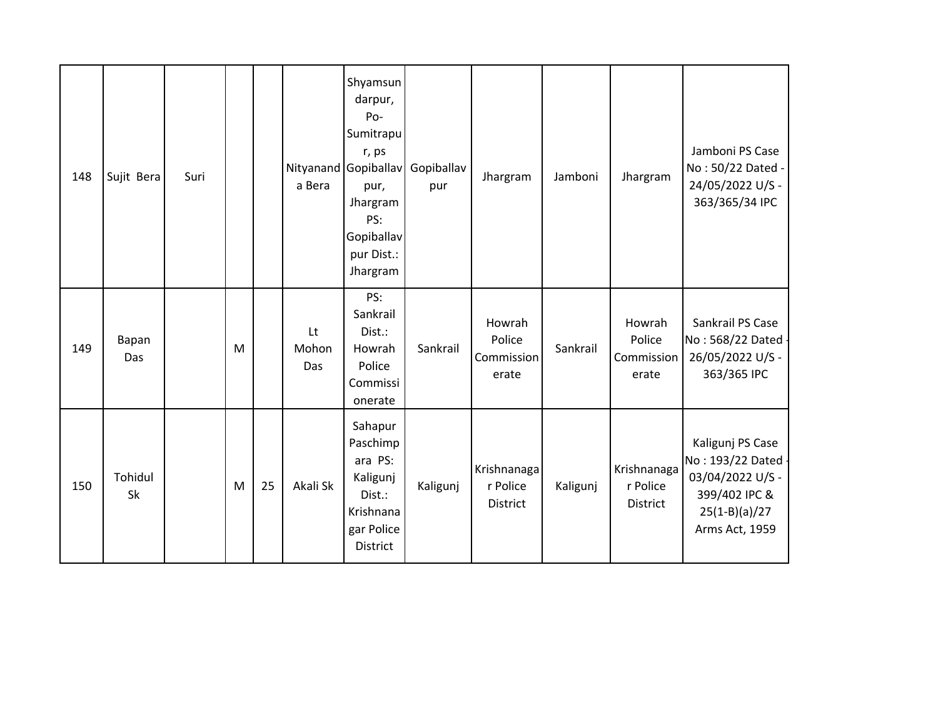| 148 | Sujit Bera    | Suri |   |    | a Bera             | Shyamsun<br>darpur,<br>Po-<br>Sumitrapu<br>r, ps<br>Nityanand Gopiballav<br>pur,<br>Jhargram<br>PS:<br>Gopiballav<br>pur Dist.:<br>Jhargram | Gopiballav<br>pur | Jhargram                                | Jamboni  | Jhargram                                   | Jamboni PS Case<br>No: 50/22 Dated -<br>24/05/2022 U/S -<br>363/365/34 IPC                                       |
|-----|---------------|------|---|----|--------------------|---------------------------------------------------------------------------------------------------------------------------------------------|-------------------|-----------------------------------------|----------|--------------------------------------------|------------------------------------------------------------------------------------------------------------------|
| 149 | Bapan<br>Das  |      | M |    | Lt<br>Mohon<br>Das | PS:<br>Sankrail<br>Dist.:<br>Howrah<br>Police<br>Commissi<br>onerate                                                                        | Sankrail          | Howrah<br>Police<br>Commission<br>erate | Sankrail | Howrah<br>Police<br>Commission<br>erate    | Sankrail PS Case<br>No: 568/22 Dated -<br>26/05/2022 U/S -<br>363/365 IPC                                        |
| 150 | Tohidul<br>Sk |      | M | 25 | Akali Sk           | Sahapur<br>Paschimp<br>ara PS:<br>Kaligunj<br>Dist.:<br>Krishnana<br>gar Police<br>District                                                 | Kaligunj          | Krishnanaga<br>r Police<br>District     | Kaligunj | Krishnanaga<br>r Police<br><b>District</b> | Kaligunj PS Case<br>No: 193/22 Dated -<br>03/04/2022 U/S -<br>399/402 IPC &<br>$25(1-B)(a)/27$<br>Arms Act, 1959 |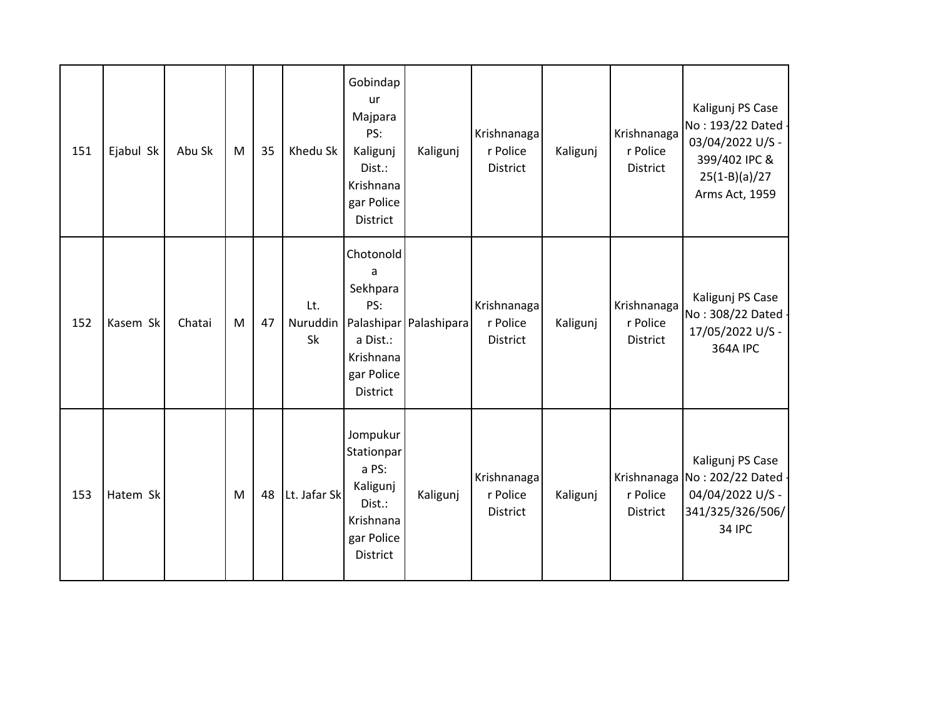| 151 | Ejabul Sk | Abu Sk | M | 35 | Khedu Sk              | Gobindap<br>ur<br>Majpara<br>PS:<br>Kaligunj<br>Dist.:<br>Krishnana<br>gar Police<br>District | Kaligunj               | Krishnanaga<br>r Police<br><b>District</b> | Kaligunj | Krishnanaga<br>r Police<br><b>District</b> | Kaligunj PS Case<br>No: 193/22 Dated -<br>03/04/2022 U/S -<br>399/402 IPC &<br>$25(1-B)(a)/27$<br>Arms Act, 1959 |
|-----|-----------|--------|---|----|-----------------------|-----------------------------------------------------------------------------------------------|------------------------|--------------------------------------------|----------|--------------------------------------------|------------------------------------------------------------------------------------------------------------------|
| 152 | Kasem Sk  | Chatai | M | 47 | Lt.<br>Nuruddin<br>Sk | Chotonold<br>a<br>Sekhpara<br>PS:<br>a Dist.:<br>Krishnana<br>gar Police<br>District          | Palashipar Palashipara | Krishnanaga<br>r Police<br>District        | Kaligunj | Krishnanaga<br>r Police<br>District        | Kaligunj PS Case<br>No: 308/22 Dated -<br>17/05/2022 U/S -<br><b>364A IPC</b>                                    |
| 153 | Hatem Sk  |        | M | 48 | Lt. Jafar Sk          | Jompukur<br>Stationpar<br>a PS:<br>Kaligunj<br>Dist.:<br>Krishnana<br>gar Police<br>District  | Kaligunj               | Krishnanaga<br>r Police<br>District        | Kaligunj | r Police<br>District                       | Kaligunj PS Case<br>Krishnanaga No: 202/22 Dated -<br>04/04/2022 U/S -<br>341/325/326/506/<br><b>34 IPC</b>      |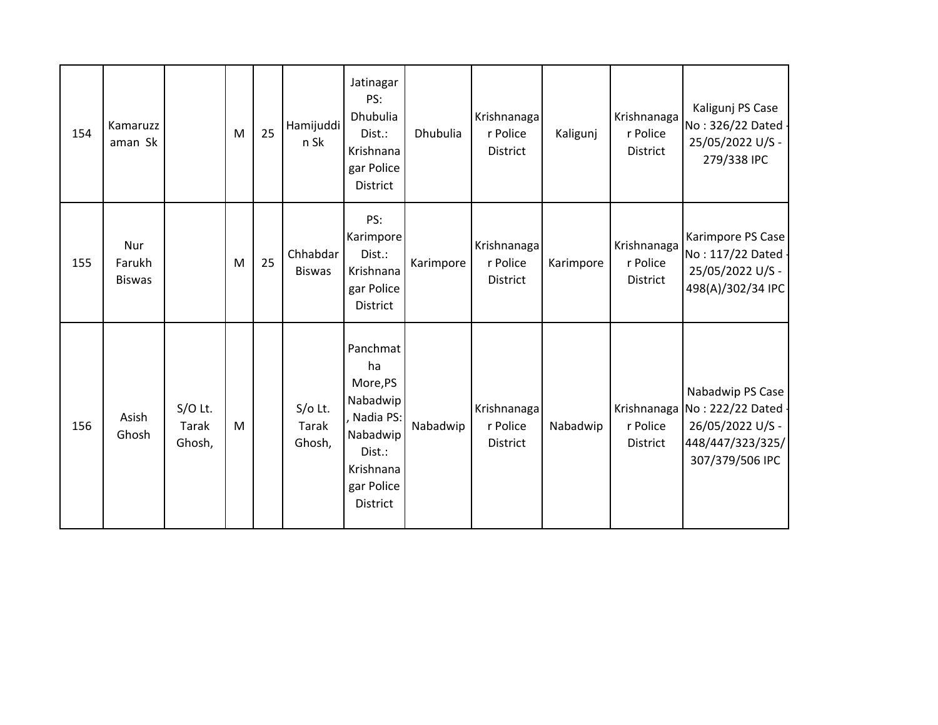| 154 | Kamaruzz<br>aman Sk            |                              | M | 25 | Hamijuddi<br>n Sk                   | Jatinagar<br>PS:<br>Dhubulia<br>Dist.:<br>Krishnana<br>gar Police<br>District                                          | Dhubulia  | Krishnanaga<br>r Police<br>District        | Kaligunj  | Krishnanaga<br>r Police<br><b>District</b> | Kaligunj PS Case<br>No: 326/22 Dated -<br>25/05/2022 U/S -<br>279/338 IPC                                     |
|-----|--------------------------------|------------------------------|---|----|-------------------------------------|------------------------------------------------------------------------------------------------------------------------|-----------|--------------------------------------------|-----------|--------------------------------------------|---------------------------------------------------------------------------------------------------------------|
| 155 | Nur<br>Farukh<br><b>Biswas</b> |                              | M | 25 | Chhabdar<br><b>Biswas</b>           | PS:<br>Karimpore<br>Dist.:<br>Krishnana<br>gar Police<br><b>District</b>                                               | Karimpore | Krishnanaga<br>r Police<br><b>District</b> | Karimpore | Krishnanaga<br>r Police<br>District        | Karimpore PS Case<br>No: 117/22 Dated -<br>25/05/2022 U/S -<br>498(A)/302/34 IPC                              |
| 156 | Asish<br>Ghosh                 | $S/O$ Lt.<br>Tarak<br>Ghosh, | M |    | $S/O$ Lt.<br><b>Tarak</b><br>Ghosh, | Panchmat<br>ha<br>More,PS<br>Nabadwip<br>Nadia PS:<br>Nabadwip<br>Dist.:<br>Krishnana<br>gar Police<br><b>District</b> | Nabadwip  | Krishnanaga<br>r Police<br>District        | Nabadwip  | r Police<br>District                       | Nabadwip PS Case<br>Krishnanaga No: 222/22 Dated -<br>26/05/2022 U/S -<br>448/447/323/325/<br>307/379/506 IPC |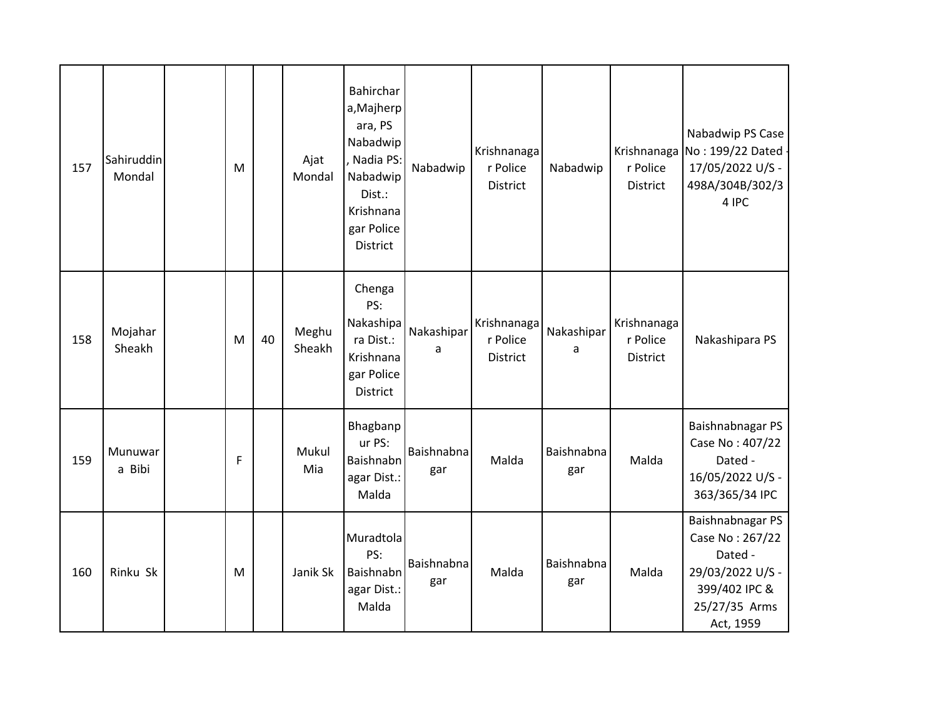| 157 | Sahiruddin<br>Mondal | M |    | Ajat<br>Mondal  | Bahirchar<br>a, Majherp<br>ara, PS<br>Nabadwip<br>Nadia PS:<br>Nabadwip<br>Dist.:<br>Krishnana<br>gar Police<br>District | Nabadwip          | Krishnanaga<br>r Police<br>District | Nabadwip          | r Police<br>District                | Nabadwip PS Case<br>Krishnanaga No: 199/22 Dated -<br>17/05/2022 U/S -<br>498A/304B/302/3<br>4 IPC                |
|-----|----------------------|---|----|-----------------|--------------------------------------------------------------------------------------------------------------------------|-------------------|-------------------------------------|-------------------|-------------------------------------|-------------------------------------------------------------------------------------------------------------------|
| 158 | Mojahar<br>Sheakh    | M | 40 | Meghu<br>Sheakh | Chenga<br>PS:<br>Nakashipa<br>ra Dist.:<br>Krishnana<br>gar Police<br>District                                           | Nakashipar<br>a   | Krishnanaga<br>r Police<br>District | Nakashipar<br>a   | Krishnanaga<br>r Police<br>District | Nakashipara PS                                                                                                    |
| 159 | Munuwar<br>a Bibi    | F |    | Mukul<br>Mia    | Bhagbanp<br>ur PS:<br>Baishnabn<br>agar Dist.:<br>Malda                                                                  | Baishnabna<br>gar | Malda                               | Baishnabna<br>gar | Malda                               | Baishnabnagar PS<br>Case No: 407/22<br>Dated -<br>16/05/2022 U/S -<br>363/365/34 IPC                              |
| 160 | Rinku Sk             | M |    | Janik Sk        | Muradtola<br>PS:<br>Baishnabn<br>agar Dist.:<br>Malda                                                                    | Baishnabna<br>gar | Malda                               | Baishnabna<br>gar | Malda                               | Baishnabnagar PS<br>Case No: 267/22<br>Dated -<br>29/03/2022 U/S -<br>399/402 IPC &<br>25/27/35 Arms<br>Act, 1959 |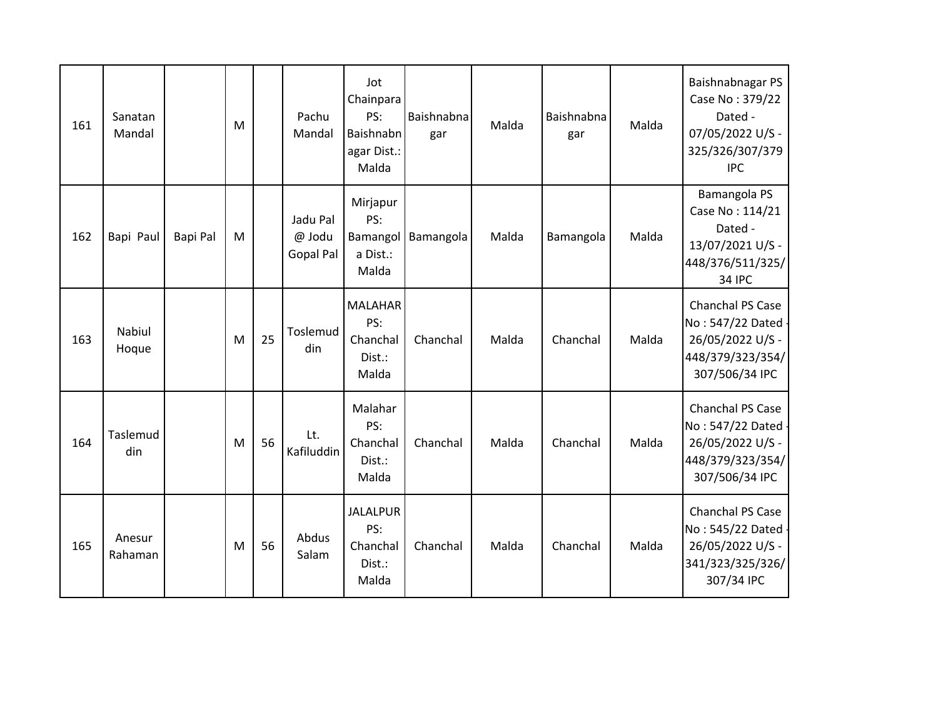| 161 | Sanatan<br>Mandal |                 | M |    | Pachu<br>Mandal                        | Jot<br>Chainpara<br>PS:<br>Baishnabn<br>agar Dist.:<br>Malda | Baishnabna<br>gar | Malda | Baishnabna<br>gar | Malda | Baishnabnagar PS<br>Case No: 379/22<br>Dated -<br>07/05/2022 U/S -<br>325/326/307/379<br><b>IPC</b> |
|-----|-------------------|-----------------|---|----|----------------------------------------|--------------------------------------------------------------|-------------------|-------|-------------------|-------|-----------------------------------------------------------------------------------------------------|
| 162 | Bapi Paul         | <b>Bapi Pal</b> | M |    | Jadu Pal<br>@ Jodu<br><b>Gopal Pal</b> | Mirjapur<br>PS:<br>Bamangol<br>a Dist.:<br>Malda             | Bamangola         | Malda | Bamangola         | Malda | Bamangola PS<br>Case No: 114/21<br>Dated -<br>13/07/2021 U/S -<br>448/376/511/325/<br><b>34 IPC</b> |
| 163 | Nabiul<br>Hoque   |                 | M | 25 | Toslemud<br>din                        | <b>MALAHAR</b><br>PS:<br>Chanchal<br>Dist.:<br>Malda         | Chanchal          | Malda | Chanchal          | Malda | Chanchal PS Case<br>No: 547/22 Dated -<br>26/05/2022 U/S -<br>448/379/323/354/<br>307/506/34 IPC    |
| 164 | Taslemud<br>din   |                 | M | 56 | Lt.<br>Kafiluddin                      | Malahar<br>PS:<br>Chanchal<br>Dist.:<br>Malda                | Chanchal          | Malda | Chanchal          | Malda | Chanchal PS Case<br>No: 547/22 Dated -<br>26/05/2022 U/S -<br>448/379/323/354/<br>307/506/34 IPC    |
| 165 | Anesur<br>Rahaman |                 | M | 56 | Abdus<br>Salam                         | <b>JALALPUR</b><br>PS:<br>Chanchal<br>Dist.:<br>Malda        | Chanchal          | Malda | Chanchal          | Malda | Chanchal PS Case<br>No: 545/22 Dated -<br>26/05/2022 U/S -<br>341/323/325/326/<br>307/34 IPC        |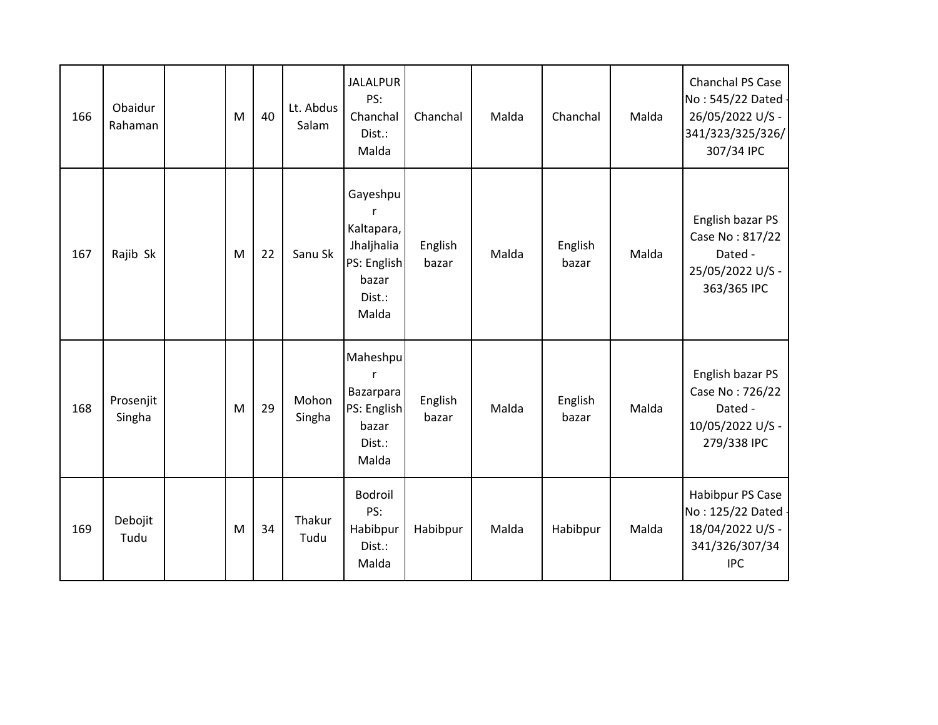| 166 | Obaidur<br>Rahaman  | M | 40 | Lt. Abdus<br>Salam | <b>JALALPUR</b><br>PS:<br>Chanchal<br>Dist.:<br>Malda                                | Chanchal         | Malda | Chanchal         | Malda | Chanchal PS Case<br>No: 545/22 Dated -<br>26/05/2022 U/S -<br>341/323/325/326/<br>307/34 IPC |
|-----|---------------------|---|----|--------------------|--------------------------------------------------------------------------------------|------------------|-------|------------------|-------|----------------------------------------------------------------------------------------------|
| 167 | Rajib Sk            | M | 22 | Sanu Sk            | Gayeshpu<br>r<br>Kaltapara,<br>Jhaljhalia<br>PS: English<br>bazar<br>Dist.:<br>Malda | English<br>bazar | Malda | English<br>bazar | Malda | English bazar PS<br>Case No: 817/22<br>Dated -<br>25/05/2022 U/S -<br>363/365 IPC            |
| 168 | Prosenjit<br>Singha | M | 29 | Mohon<br>Singha    | Maheshpu<br>r<br>Bazarpara<br>PS: English<br>bazar<br>Dist.:<br>Malda                | English<br>bazar | Malda | English<br>bazar | Malda | English bazar PS<br>Case No: 726/22<br>Dated -<br>10/05/2022 U/S -<br>279/338 IPC            |
| 169 | Debojit<br>Tudu     | M | 34 | Thakur<br>Tudu     | Bodroil<br>PS:<br>Habibpur<br>Dist.:<br>Malda                                        | Habibpur         | Malda | Habibpur         | Malda | Habibpur PS Case<br>No: 125/22 Dated -<br>18/04/2022 U/S -<br>341/326/307/34<br><b>IPC</b>   |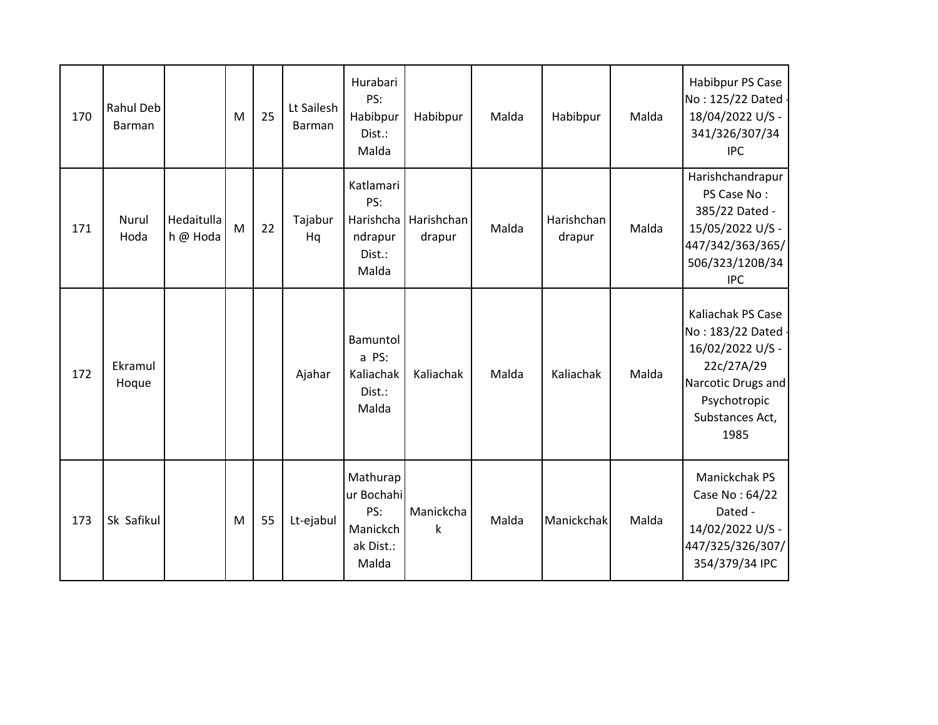| 170 | Rahul Deb<br>Barman |                        | M | 25 | Lt Sailesh<br><b>Barman</b> | Hurabari<br>PS:<br>Habibpur<br>Dist.:<br>Malda                  | Habibpur             | Malda | Habibpur             | Malda | Habibpur PS Case<br>No: 125/22 Dated -<br>18/04/2022 U/S -<br>341/326/307/34<br><b>IPC</b>                                                 |
|-----|---------------------|------------------------|---|----|-----------------------------|-----------------------------------------------------------------|----------------------|-------|----------------------|-------|--------------------------------------------------------------------------------------------------------------------------------------------|
| 171 | Nurul<br>Hoda       | Hedaitulla<br>h @ Hoda | M | 22 | Tajabur<br>Hq               | Katlamari<br>PS:<br>Harishcha<br>ndrapur<br>Dist.:<br>Malda     | Harishchan<br>drapur | Malda | Harishchan<br>drapur | Malda | Harishchandrapur<br>PS Case No:<br>385/22 Dated -<br>15/05/2022 U/S -<br>447/342/363/365/<br>506/323/120B/34<br><b>IPC</b>                 |
| 172 | Ekramul<br>Hoque    |                        |   |    | Ajahar                      | Bamuntol<br>a PS:<br>Kaliachak<br>Dist.:<br>Malda               | Kaliachak            | Malda | Kaliachak            | Malda | Kaliachak PS Case<br>No: 183/22 Dated -<br>16/02/2022 U/S -<br>22c/27A/29<br>Narcotic Drugs and<br>Psychotropic<br>Substances Act,<br>1985 |
| 173 | Sk Safikul          |                        | M | 55 | Lt-ejabul                   | Mathurap<br>ur Bochahi<br>PS:<br>Manickch<br>ak Dist.:<br>Malda | Manickcha<br>k       | Malda | Manickchak           | Malda | Manickchak PS<br>Case No: 64/22<br>Dated -<br>14/02/2022 U/S -<br>447/325/326/307/<br>354/379/34 IPC                                       |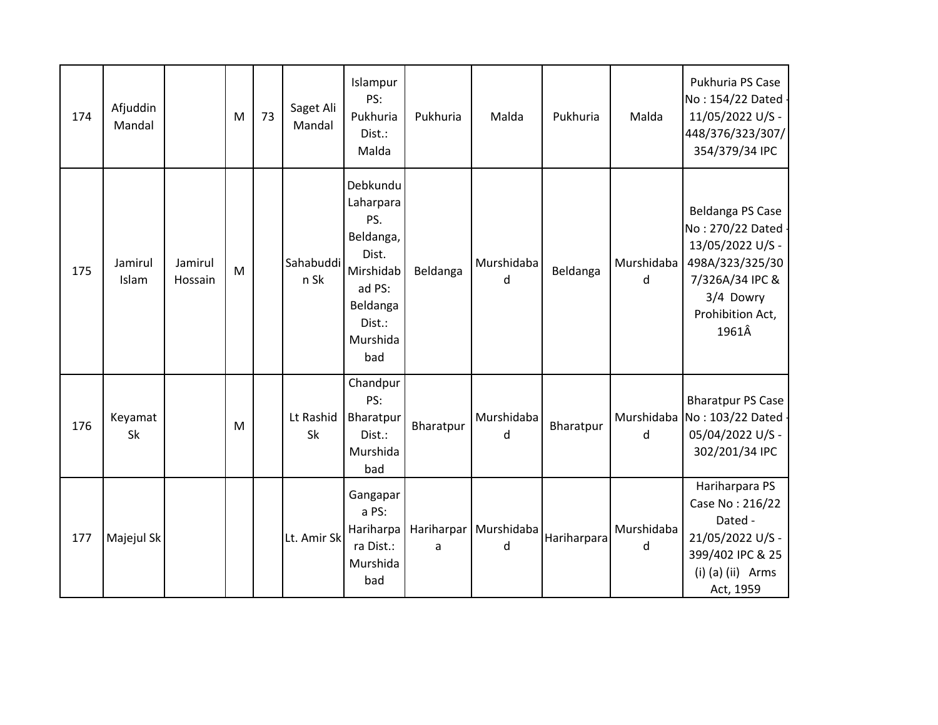| 174 | Afjuddin<br>Mandal |                    | M | 73 | Saget Ali<br>Mandal | Islampur<br>PS:<br>Pukhuria<br>Dist.:<br>Malda                                                                     | Pukhuria        | Malda           | Pukhuria    | Malda           | Pukhuria PS Case<br>No: 154/22 Dated -<br>11/05/2022 U/S -<br>448/376/323/307/<br>354/379/34 IPC                                           |
|-----|--------------------|--------------------|---|----|---------------------|--------------------------------------------------------------------------------------------------------------------|-----------------|-----------------|-------------|-----------------|--------------------------------------------------------------------------------------------------------------------------------------------|
| 175 | Jamirul<br>Islam   | Jamirul<br>Hossain | M |    | Sahabuddi<br>n Sk   | Debkundu<br>Laharpara<br>PS.<br>Beldanga,<br>Dist.<br>Mirshidab<br>ad PS:<br>Beldanga<br>Dist.:<br>Murshida<br>bad | Beldanga        | Murshidaba<br>d | Beldanga    | Murshidaba<br>d | Beldanga PS Case<br>No: 270/22 Dated -<br>13/05/2022 U/S -<br>498A/323/325/30<br>7/326A/34 IPC &<br>3/4 Dowry<br>Prohibition Act,<br>1961Â |
| 176 | Keyamat<br>Sk      |                    | M |    | Lt Rashid<br>Sk     | Chandpur<br>PS:<br>Bharatpur<br>Dist.:<br>Murshida<br>bad                                                          | Bharatpur       | Murshidaba<br>d | Bharatpur   | d               | <b>Bharatpur PS Case</b><br>Murshidaba No: 103/22 Dated -<br>05/04/2022 U/S -<br>302/201/34 IPC                                            |
| 177 | Majejul Sk         |                    |   |    | Lt. Amir Sk         | Gangapar<br>a PS:<br>Hariharpa<br>ra Dist.:<br>Murshida<br>bad                                                     | Hariharpar<br>a | Murshidaba<br>d | Hariharpara | Murshidaba<br>d | Hariharpara PS<br>Case No: 216/22<br>Dated -<br>21/05/2022 U/S -<br>399/402 IPC & 25<br>$(i)$ (a) $(ii)$ Arms<br>Act, 1959                 |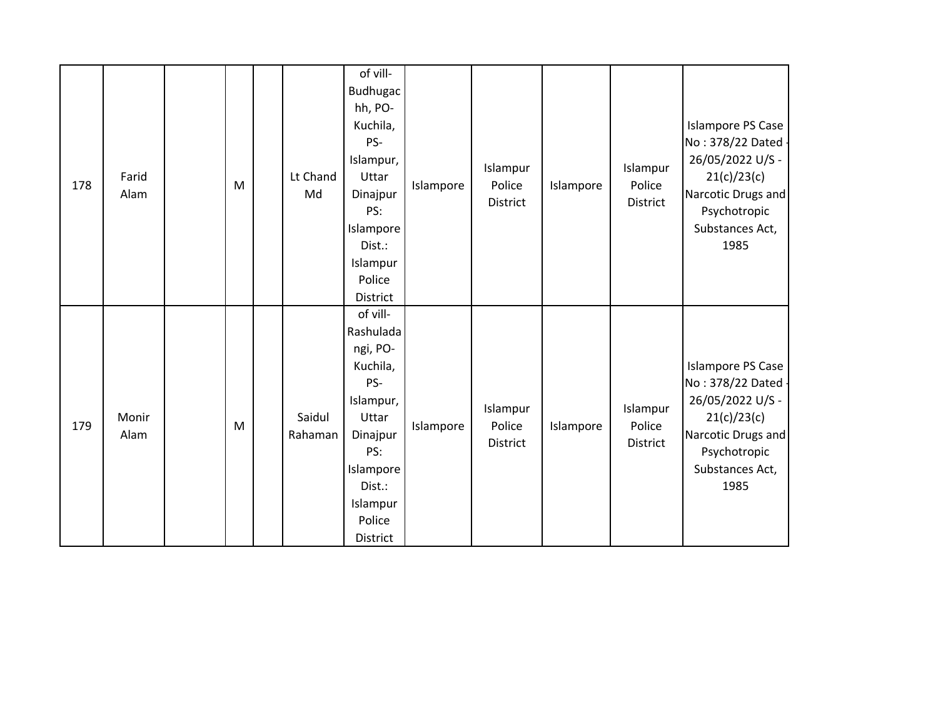| 178 | Farid<br>Alam | ${\sf M}$ | Lt Chand<br>Md    | of vill-<br>Budhugac<br>hh, PO-<br>Kuchila,<br>PS-<br>Islampur,<br>Uttar<br>Dinajpur<br>PS:<br>Islampore<br>Dist.:<br>Islampur<br>Police<br>District   | Islampore | Islampur<br>Police<br>District | Islampore | Islampur<br>Police<br>District        | <b>Islampore PS Case</b><br>No: 378/22 Dated<br>26/05/2022 U/S -<br>21(c)/23(c)<br>Narcotic Drugs and<br>Psychotropic<br>Substances Act,<br>1985   |
|-----|---------------|-----------|-------------------|--------------------------------------------------------------------------------------------------------------------------------------------------------|-----------|--------------------------------|-----------|---------------------------------------|----------------------------------------------------------------------------------------------------------------------------------------------------|
| 179 | Monir<br>Alam | M         | Saidul<br>Rahaman | of vill-<br>Rashulada<br>ngi, PO-<br>Kuchila,<br>PS-<br>Islampur,<br>Uttar<br>Dinajpur<br>PS:<br>Islampore<br>Dist.:<br>Islampur<br>Police<br>District | Islampore | Islampur<br>Police<br>District | Islampore | Islampur<br>Police<br><b>District</b> | <b>Islampore PS Case</b><br>No: 378/22 Dated -<br>26/05/2022 U/S -<br>21(c)/23(c)<br>Narcotic Drugs and<br>Psychotropic<br>Substances Act,<br>1985 |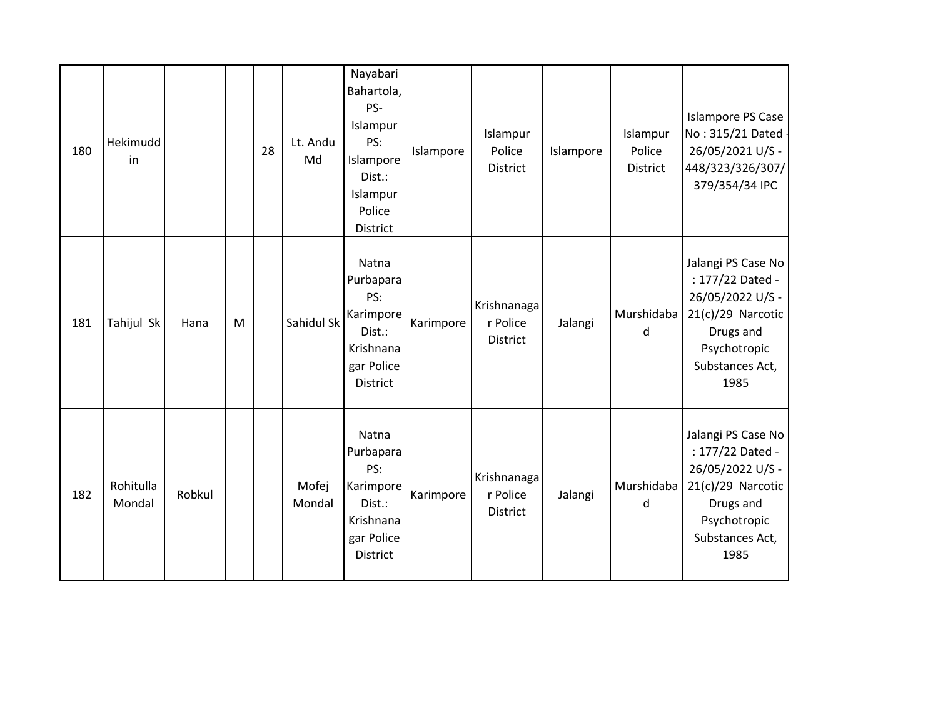| 180 | Hekimudd<br>in      |        |   | 28 | Lt. Andu<br>Md  | Nayabari<br>Bahartola,<br>PS-<br>Islampur<br>PS:<br>Islampore<br>Dist.:<br>Islampur<br>Police<br>District | Islampore | Islampur<br>Police<br>District      | Islampore | Islampur<br>Police<br>District | Islampore PS Case<br>No: 315/21 Dated -<br>26/05/2021 U/S -<br>448/323/326/307/<br>379/354/34 IPC                                         |
|-----|---------------------|--------|---|----|-----------------|-----------------------------------------------------------------------------------------------------------|-----------|-------------------------------------|-----------|--------------------------------|-------------------------------------------------------------------------------------------------------------------------------------------|
| 181 | Tahijul Sk          | Hana   | M |    | Sahidul Sk      | Natna<br>Purbapara<br>PS:<br>Karimpore<br>Dist.:<br>Krishnana<br>gar Police<br>District                   | Karimpore | Krishnanaga<br>r Police<br>District | Jalangi   | Murshidaba<br>d                | Jalangi PS Case No<br>: 177/22 Dated -<br>26/05/2022 U/S -<br>$21(c)/29$ Narcotic<br>Drugs and<br>Psychotropic<br>Substances Act,<br>1985 |
| 182 | Rohitulla<br>Mondal | Robkul |   |    | Mofej<br>Mondal | Natna<br>Purbapara<br>PS:<br>Karimpore<br>Dist.:<br>Krishnana<br>gar Police<br>District                   | Karimpore | Krishnanaga<br>r Police<br>District | Jalangi   | Murshidaba<br>d                | Jalangi PS Case No<br>: 177/22 Dated -<br>26/05/2022 U/S -<br>$21(c)/29$ Narcotic<br>Drugs and<br>Psychotropic<br>Substances Act,<br>1985 |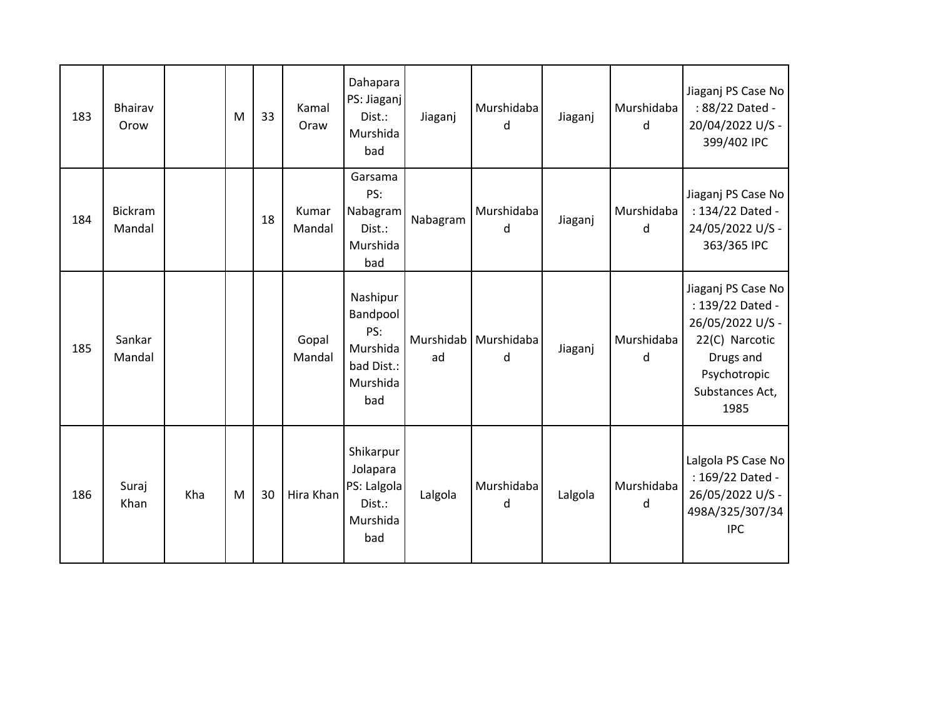| 183 | Bhairav<br>Orow          |     | M | 33 | Kamal<br>Oraw   | Dahapara<br>PS: Jiaganj<br>Dist.:<br>Murshida<br>bad                     | Jiaganj         | Murshidaba<br>d | Jiaganj | Murshidaba<br>d | Jiaganj PS Case No<br>: 88/22 Dated -<br>20/04/2022 U/S -<br>399/402 IPC                                                             |
|-----|--------------------------|-----|---|----|-----------------|--------------------------------------------------------------------------|-----------------|-----------------|---------|-----------------|--------------------------------------------------------------------------------------------------------------------------------------|
| 184 | <b>Bickram</b><br>Mandal |     |   | 18 | Kumar<br>Mandal | Garsama<br>PS:<br>Nabagram<br>Dist.:<br>Murshida<br>bad                  | Nabagram        | Murshidaba<br>d | Jiaganj | Murshidaba<br>d | Jiaganj PS Case No<br>: 134/22 Dated -<br>24/05/2022 U/S -<br>363/365 IPC                                                            |
| 185 | Sankar<br>Mandal         |     |   |    | Gopal<br>Mandal | Nashipur<br>Bandpool<br>PS:<br>Murshida<br>bad Dist.:<br>Murshida<br>bad | Murshidab<br>ad | Murshidaba<br>d | Jiaganj | Murshidaba<br>d | Jiaganj PS Case No<br>: 139/22 Dated -<br>26/05/2022 U/S -<br>22(C) Narcotic<br>Drugs and<br>Psychotropic<br>Substances Act,<br>1985 |
| 186 | Suraj<br>Khan            | Kha | M | 30 | Hira Khan       | Shikarpur<br>Jolapara<br>PS: Lalgola<br>Dist.:<br>Murshida<br>bad        | Lalgola         | Murshidaba<br>d | Lalgola | Murshidaba<br>d | Lalgola PS Case No<br>: 169/22 Dated -<br>26/05/2022 U/S -<br>498A/325/307/34<br><b>IPC</b>                                          |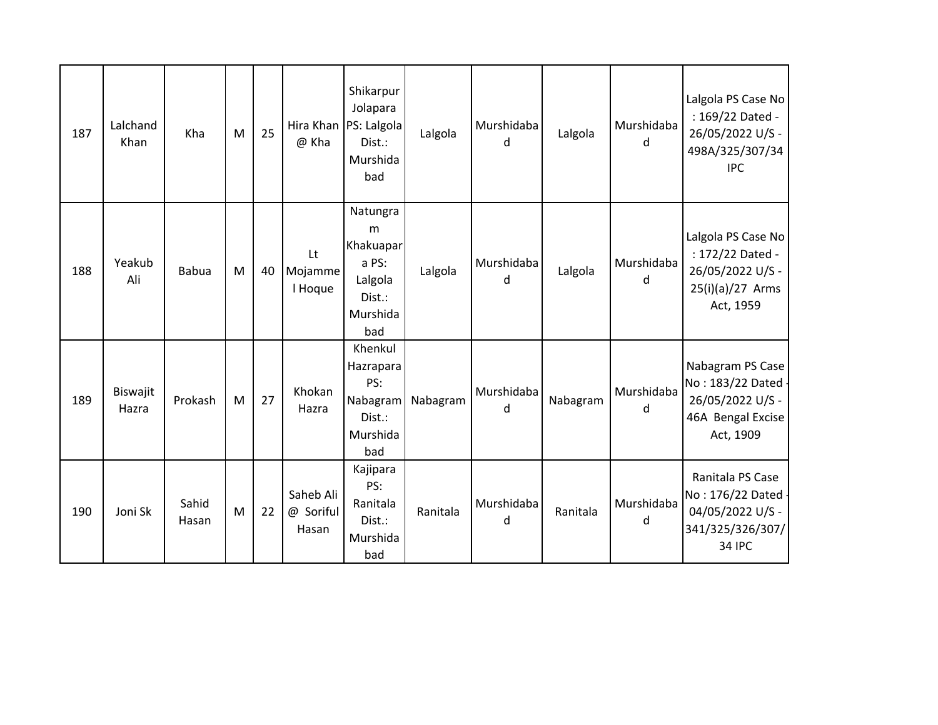| 187 | Lalchand<br>Khan  | Kha            | M | 25 | @ Kha                           | Shikarpur<br>Jolapara<br>Hira Khan   PS: Lalgola<br>Dist.:<br>Murshida<br>bad | Lalgola  | Murshidaba<br>d | Lalgola  | Murshidaba<br>d | Lalgola PS Case No<br>: 169/22 Dated -<br>26/05/2022 U/S -<br>498A/325/307/34<br><b>IPC</b>     |
|-----|-------------------|----------------|---|----|---------------------------------|-------------------------------------------------------------------------------|----------|-----------------|----------|-----------------|-------------------------------------------------------------------------------------------------|
| 188 | Yeakub<br>Ali     | <b>Babua</b>   | M | 40 | Lt<br>Mojamme<br>I Hoque        | Natungra<br>m<br>Khakuapar<br>a PS:<br>Lalgola<br>Dist.:<br>Murshida<br>bad   | Lalgola  | Murshidaba<br>d | Lalgola  | Murshidaba<br>d | Lalgola PS Case No<br>: 172/22 Dated -<br>26/05/2022 U/S -<br>$25(i)(a)/27$ Arms<br>Act, 1959   |
| 189 | Biswajit<br>Hazra | Prokash        | M | 27 | Khokan<br>Hazra                 | Khenkul<br>Hazrapara<br>PS:<br>Nabagram<br>Dist.:<br>Murshida<br>bad          | Nabagram | Murshidaba<br>d | Nabagram | Murshidaba<br>d | Nabagram PS Case<br>No: 183/22 Dated -<br>26/05/2022 U/S -<br>46A Bengal Excise<br>Act, 1909    |
| 190 | Joni Sk           | Sahid<br>Hasan | M | 22 | Saheb Ali<br>@ Soriful<br>Hasan | Kajipara<br>PS:<br>Ranitala<br>Dist.:<br>Murshida<br>bad                      | Ranitala | Murshidaba<br>d | Ranitala | Murshidaba<br>d | Ranitala PS Case<br>No: 176/22 Dated -<br>04/05/2022 U/S -<br>341/325/326/307/<br><b>34 IPC</b> |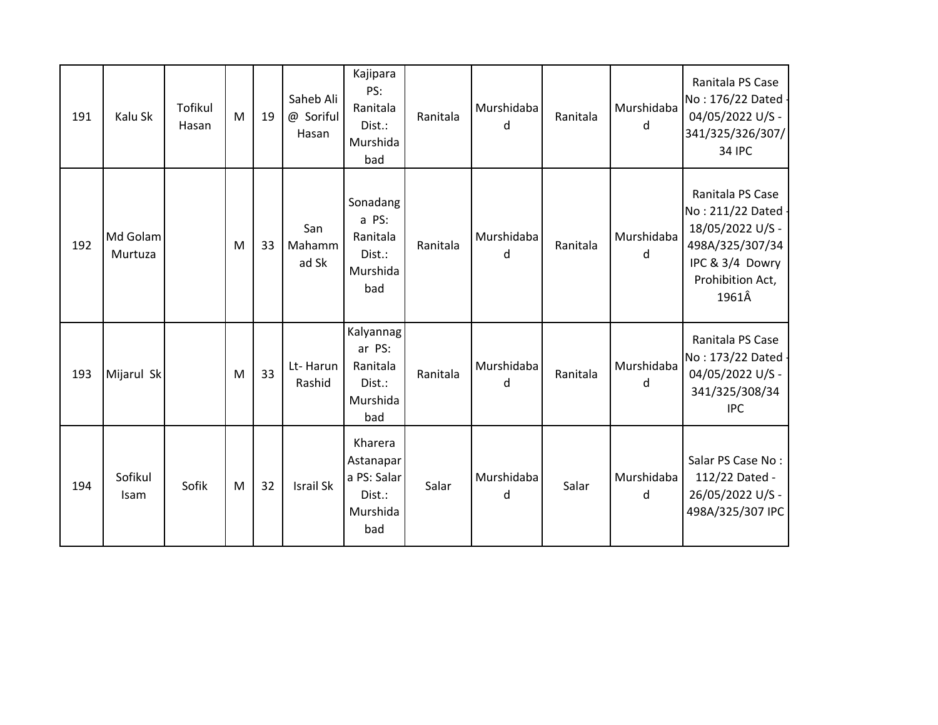| 191 | Kalu Sk                | Tofikul<br>Hasan | M | 19 | Saheb Ali<br>@ Soriful<br>Hasan | Kajipara<br>PS:<br>Ranitala<br>Dist.:<br>Murshida<br>bad         | Ranitala | Murshidaba<br>d | Ranitala | Murshidaba<br>d | Ranitala PS Case<br>No: 176/22 Dated -<br>04/05/2022 U/S -<br>341/325/326/307/<br><b>34 IPC</b>                               |
|-----|------------------------|------------------|---|----|---------------------------------|------------------------------------------------------------------|----------|-----------------|----------|-----------------|-------------------------------------------------------------------------------------------------------------------------------|
| 192 | Md Golam<br>Murtuza    |                  | M | 33 | San<br>Mahamm<br>ad Sk          | Sonadang<br>a PS:<br>Ranitala<br>Dist.:<br>Murshida<br>bad       | Ranitala | Murshidaba<br>d | Ranitala | Murshidaba<br>d | Ranitala PS Case<br>No: 211/22 Dated -<br>18/05/2022 U/S -<br>498A/325/307/34<br>IPC & 3/4 Dowry<br>Prohibition Act,<br>1961Â |
| 193 | Mijarul Sk             |                  | M | 33 | Lt-Harun<br>Rashid              | Kalyannag<br>ar PS:<br>Ranitala<br>Dist.:<br>Murshida<br>bad     | Ranitala | Murshidaba<br>d | Ranitala | Murshidaba<br>d | Ranitala PS Case<br>No: 173/22 Dated -<br>04/05/2022 U/S -<br>341/325/308/34<br><b>IPC</b>                                    |
| 194 | Sofikul<br><b>Isam</b> | Sofik            | M | 32 | <b>Israil Sk</b>                | Kharera<br>Astanapar<br>a PS: Salar<br>Dist.:<br>Murshida<br>bad | Salar    | Murshidaba<br>d | Salar    | Murshidaba<br>d | Salar PS Case No:<br>112/22 Dated -<br>26/05/2022 U/S -<br>498A/325/307 IPC                                                   |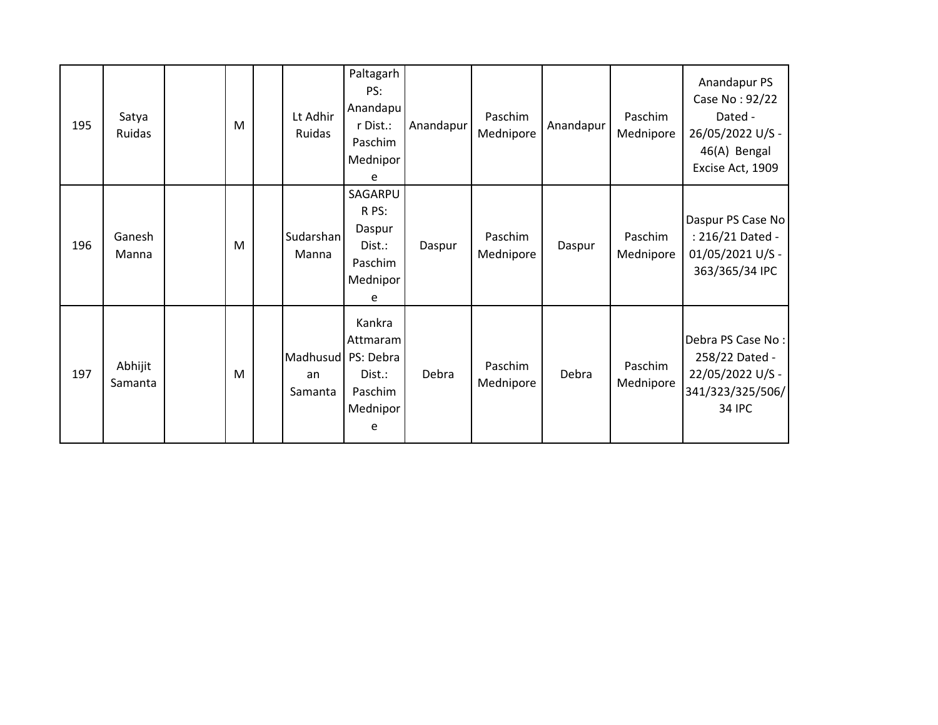| 195 | Satya<br>Ruidas    | M | Lt Adhir<br>Ruidas        | Paltagarh<br>PS:<br>Anandapu<br>r Dist.:<br>Paschim<br>Mednipor<br>e  | Anandapur | Paschim<br>Mednipore | Anandapur | Paschim<br>Mednipore | Anandapur PS<br>Case No: 92/22<br>Dated -<br>26/05/2022 U/S -<br>46(A) Bengal<br>Excise Act, 1909 |
|-----|--------------------|---|---------------------------|-----------------------------------------------------------------------|-----------|----------------------|-----------|----------------------|---------------------------------------------------------------------------------------------------|
| 196 | Ganesh<br>Manna    | M | Sudarshan<br>Manna        | SAGARPU<br>R PS:<br>Daspur<br>Dist.:<br>Paschim<br>Mednipor<br>e      | Daspur    | Paschim<br>Mednipore | Daspur    | Paschim<br>Mednipore | Daspur PS Case No<br>: 216/21 Dated -<br>01/05/2021 U/S -<br>363/365/34 IPC                       |
| 197 | Abhijit<br>Samanta | M | Madhusud<br>an<br>Samanta | Kankra<br>Attmaram<br>PS: Debra<br>Dist.:<br>Paschim<br>Mednipor<br>e | Debra     | Paschim<br>Mednipore | Debra     | Paschim<br>Mednipore | Debra PS Case No:<br>258/22 Dated -<br>22/05/2022 U/S -<br>341/323/325/506/<br>34 IPC             |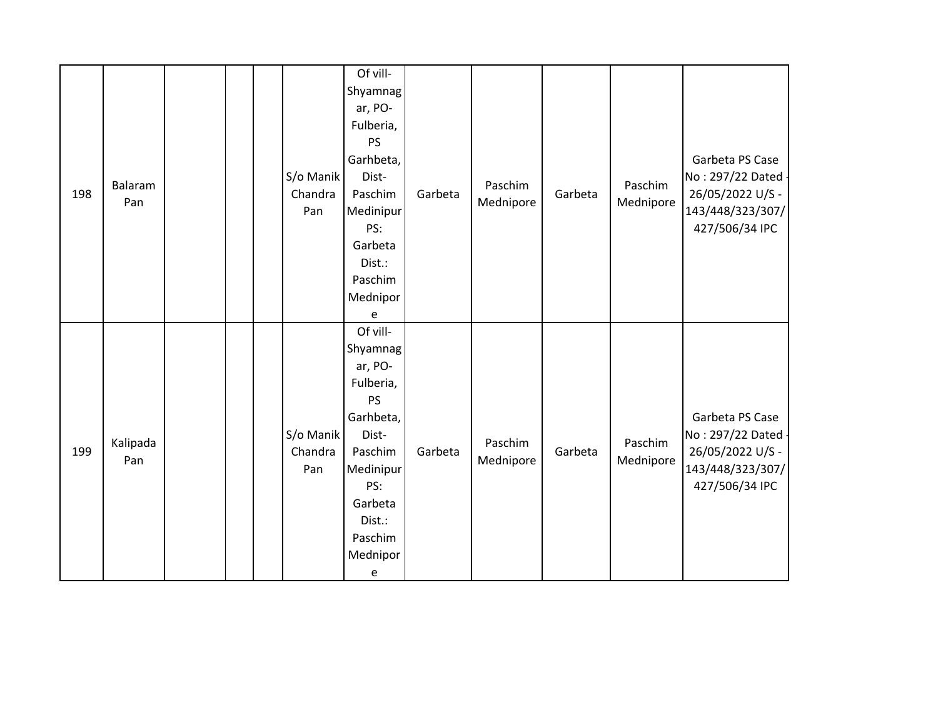| 198 | Balaram<br>Pan  |  | S/o Manik<br>Chandra<br>Pan | Of vill-<br>Shyamnag<br>ar, PO-<br>Fulberia,<br><b>PS</b><br>Garhbeta,<br>Dist-<br>Paschim<br>Medinipur<br>PS:<br>Garbeta<br>Dist.:<br>Paschim<br>Mednipor           | Garbeta | Paschim<br>Mednipore | Garbeta | Paschim<br>Mednipore | Garbeta PS Case<br>No: 297/22 Dated<br>26/05/2022 U/S -<br>143/448/323/307/<br>427/506/34 IPC   |
|-----|-----------------|--|-----------------------------|----------------------------------------------------------------------------------------------------------------------------------------------------------------------|---------|----------------------|---------|----------------------|-------------------------------------------------------------------------------------------------|
| 199 | Kalipada<br>Pan |  | S/o Manik<br>Chandra<br>Pan | e<br>Of vill-<br>Shyamnag<br>ar, PO-<br>Fulberia,<br><b>PS</b><br>Garhbeta,<br>Dist-<br>Paschim<br>Medinipur<br>PS:<br>Garbeta<br>Dist.:<br>Paschim<br>Mednipor<br>e | Garbeta | Paschim<br>Mednipore | Garbeta | Paschim<br>Mednipore | Garbeta PS Case<br>No: 297/22 Dated -<br>26/05/2022 U/S -<br>143/448/323/307/<br>427/506/34 IPC |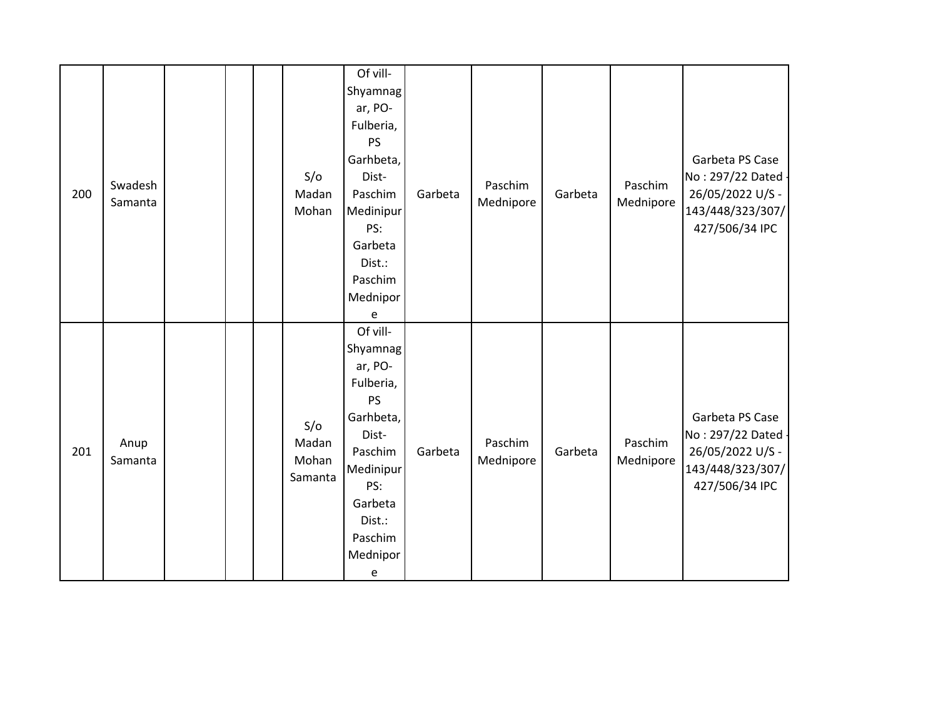| 200 | Swadesh<br>Samanta |  | S/O<br>Madan<br>Mohan            | Of vill-<br>Shyamnag<br>ar, PO-<br>Fulberia,<br><b>PS</b><br>Garhbeta,<br>Dist-<br>Paschim<br>Medinipur<br>PS:<br>Garbeta<br>Dist.:<br>Paschim<br>Mednipor           | Garbeta | Paschim<br>Mednipore | Garbeta | Paschim<br>Mednipore | Garbeta PS Case<br>No: 297/22 Dated<br>26/05/2022 U/S -<br>143/448/323/307/<br>427/506/34 IPC   |
|-----|--------------------|--|----------------------------------|----------------------------------------------------------------------------------------------------------------------------------------------------------------------|---------|----------------------|---------|----------------------|-------------------------------------------------------------------------------------------------|
| 201 | Anup<br>Samanta    |  | S/O<br>Madan<br>Mohan<br>Samanta | e<br>Of vill-<br>Shyamnag<br>ar, PO-<br>Fulberia,<br><b>PS</b><br>Garhbeta,<br>Dist-<br>Paschim<br>Medinipur<br>PS:<br>Garbeta<br>Dist.:<br>Paschim<br>Mednipor<br>e | Garbeta | Paschim<br>Mednipore | Garbeta | Paschim<br>Mednipore | Garbeta PS Case<br>No: 297/22 Dated -<br>26/05/2022 U/S -<br>143/448/323/307/<br>427/506/34 IPC |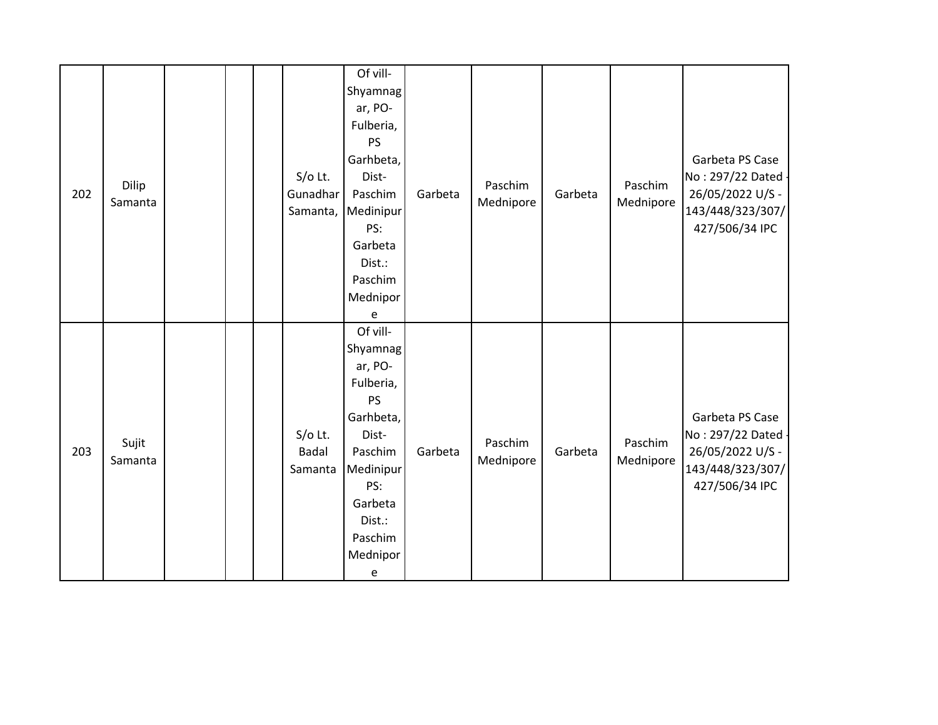| 202 | Dilip<br>Samanta |  | $S/O$ Lt.<br>Gunadhar<br>Samanta,    | Of vill-<br>Shyamnag<br>ar, PO-<br>Fulberia,<br><b>PS</b><br>Garhbeta,<br>Dist-<br>Paschim<br>Medinipur<br>PS:<br>Garbeta<br>Dist.:<br>Paschim                  | Garbeta | Paschim<br>Mednipore | Garbeta | Paschim<br>Mednipore | Garbeta PS Case<br>No: 297/22 Dated -<br>26/05/2022 U/S -<br>143/448/323/307/<br>427/506/34 IPC |
|-----|------------------|--|--------------------------------------|-----------------------------------------------------------------------------------------------------------------------------------------------------------------|---------|----------------------|---------|----------------------|-------------------------------------------------------------------------------------------------|
|     |                  |  |                                      | Mednipor<br>e                                                                                                                                                   |         |                      |         |                      |                                                                                                 |
| 203 | Sujit<br>Samanta |  | $S/O$ Lt.<br><b>Badal</b><br>Samanta | Of vill-<br>Shyamnag<br>ar, PO-<br>Fulberia,<br><b>PS</b><br>Garhbeta,<br>Dist-<br>Paschim<br>Medinipur<br>PS:<br>Garbeta<br>Dist.:<br>Paschim<br>Mednipor<br>e | Garbeta | Paschim<br>Mednipore | Garbeta | Paschim<br>Mednipore | Garbeta PS Case<br>No: 297/22 Dated -<br>26/05/2022 U/S -<br>143/448/323/307/<br>427/506/34 IPC |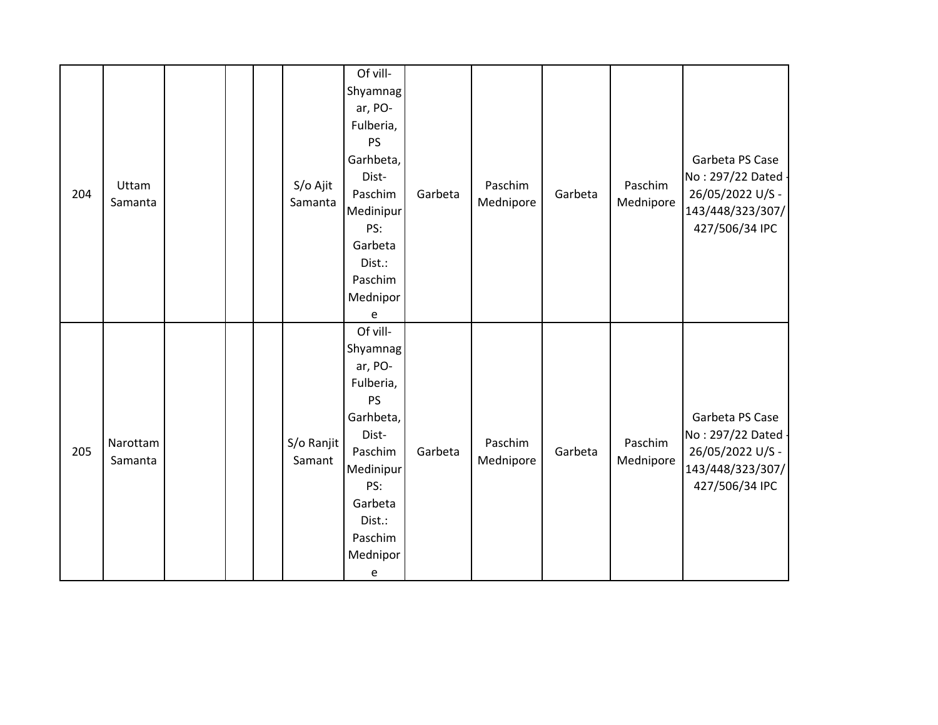| 204 | Uttam<br>Samanta    |  | S/o Ajit<br>Samanta  | Of vill-<br>Shyamnag<br>ar, PO-<br>Fulberia,<br><b>PS</b><br>Garhbeta,<br>Dist-<br>Paschim<br>Medinipur<br>PS:<br>Garbeta<br>Dist.:<br>Paschim<br>Mednipor<br>e | Garbeta | Paschim<br>Mednipore | Garbeta | Paschim<br>Mednipore | Garbeta PS Case<br>No: 297/22 Dated<br>26/05/2022 U/S -<br>143/448/323/307/<br>427/506/34 IPC   |
|-----|---------------------|--|----------------------|-----------------------------------------------------------------------------------------------------------------------------------------------------------------|---------|----------------------|---------|----------------------|-------------------------------------------------------------------------------------------------|
| 205 | Narottam<br>Samanta |  | S/o Ranjit<br>Samant | Of vill-<br>Shyamnag<br>ar, PO-<br>Fulberia,<br><b>PS</b><br>Garhbeta,<br>Dist-<br>Paschim<br>Medinipur<br>PS:<br>Garbeta<br>Dist.:<br>Paschim<br>Mednipor<br>e | Garbeta | Paschim<br>Mednipore | Garbeta | Paschim<br>Mednipore | Garbeta PS Case<br>No: 297/22 Dated -<br>26/05/2022 U/S -<br>143/448/323/307/<br>427/506/34 IPC |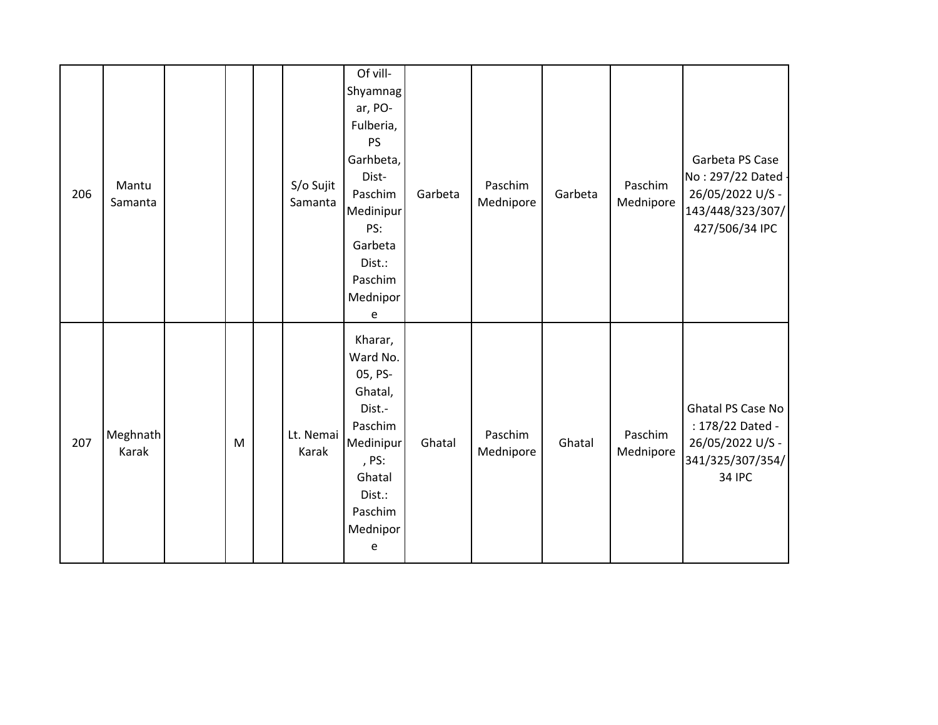| 206 | Mantu<br>Samanta  |   | S/o Sujit<br>Samanta | Of vill-<br>Shyamnag<br>ar, PO-<br>Fulberia,<br><b>PS</b><br>Garhbeta,<br>Dist-<br>Paschim<br>Medinipur<br>PS:<br>Garbeta<br>Dist.:<br>Paschim<br>Mednipor<br>e | Garbeta | Paschim<br>Mednipore | Garbeta | Paschim<br>Mednipore | Garbeta PS Case<br>No: 297/22 Dated -<br>26/05/2022 U/S -<br>143/448/323/307/<br>427/506/34 IPC |
|-----|-------------------|---|----------------------|-----------------------------------------------------------------------------------------------------------------------------------------------------------------|---------|----------------------|---------|----------------------|-------------------------------------------------------------------------------------------------|
| 207 | Meghnath<br>Karak | M | Lt. Nemai<br>Karak   | Kharar,<br>Ward No.<br>05, PS-<br>Ghatal,<br>Dist.-<br>Paschim<br>Medinipur<br>, PS:<br>Ghatal<br>Dist.:<br>Paschim<br>Mednipor<br>e                            | Ghatal  | Paschim<br>Mednipore | Ghatal  | Paschim<br>Mednipore | Ghatal PS Case No<br>: 178/22 Dated -<br>26/05/2022 U/S -<br>341/325/307/354/<br><b>34 IPC</b>  |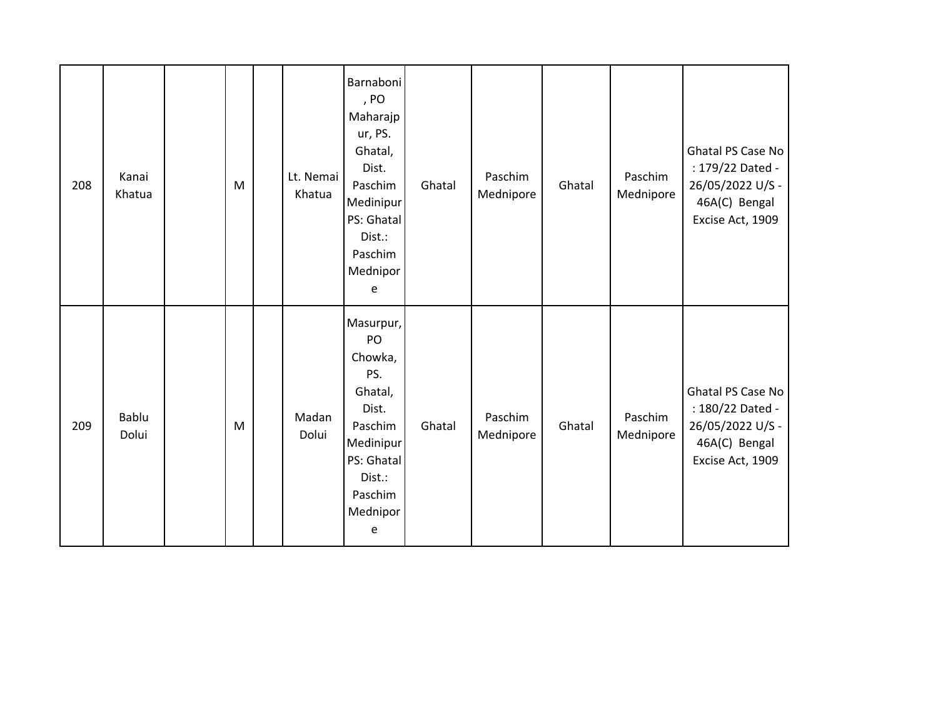| 208 | Kanai<br>Khatua | ${\sf M}$ | Lt. Nemai<br>Khatua | Barnaboni<br>, PO<br>Maharajp<br>ur, PS.<br>Ghatal,<br>Dist.<br>Paschim<br>Medinipur<br>PS: Ghatal<br>Dist.:<br>Paschim<br>Mednipor<br>e | Ghatal | Paschim<br>Mednipore | Ghatal | Paschim<br>Mednipore | Ghatal PS Case No<br>: 179/22 Dated -<br>26/05/2022 U/S -<br>46A(C) Bengal<br>Excise Act, 1909 |
|-----|-----------------|-----------|---------------------|------------------------------------------------------------------------------------------------------------------------------------------|--------|----------------------|--------|----------------------|------------------------------------------------------------------------------------------------|
| 209 | Bablu<br>Dolui  | ${\sf M}$ | Madan<br>Dolui      | Masurpur,<br>PO<br>Chowka,<br>PS.<br>Ghatal,<br>Dist.<br>Paschim<br>Medinipur<br>PS: Ghatal<br>Dist.:<br>Paschim<br>Mednipor<br>e        | Ghatal | Paschim<br>Mednipore | Ghatal | Paschim<br>Mednipore | Ghatal PS Case No<br>: 180/22 Dated -<br>26/05/2022 U/S -<br>46A(C) Bengal<br>Excise Act, 1909 |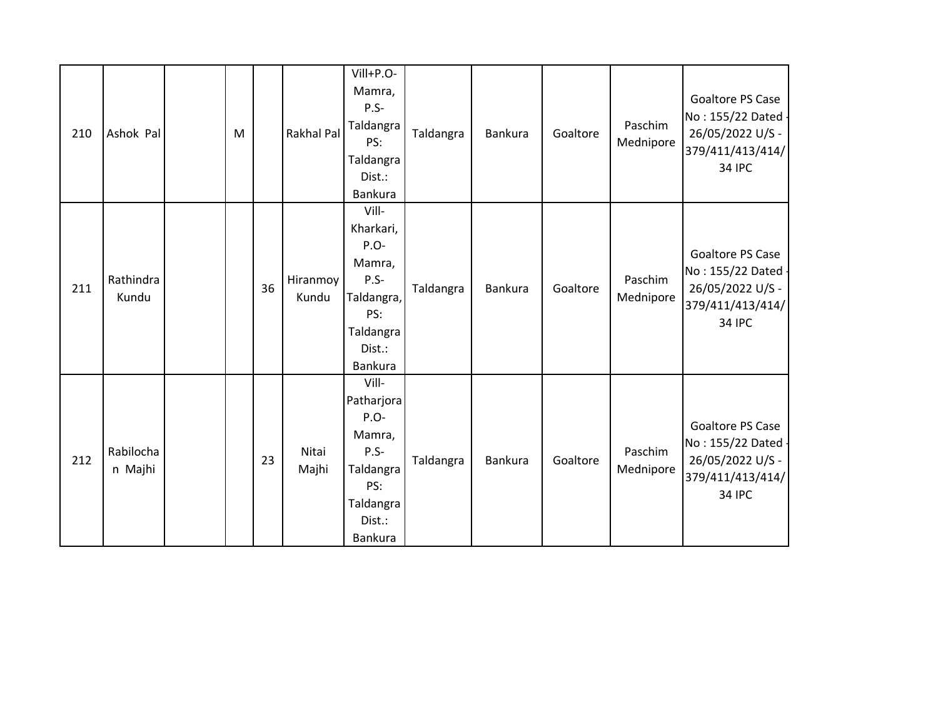| 210 | Ashok Pal            | M |    | <b>Rakhal Pal</b> | Vill+P.O-<br>Mamra,<br>$P.S-$<br>Taldangra<br>PS:<br>Taldangra<br>Dist.:<br>Bankura                     | Taldangra | Bankura | Goaltore | Paschim<br>Mednipore | Goaltore PS Case<br>No: 155/22 Dated -<br>26/05/2022 U/S -<br>379/411/413/414/<br><b>34 IPC</b> |
|-----|----------------------|---|----|-------------------|---------------------------------------------------------------------------------------------------------|-----------|---------|----------|----------------------|-------------------------------------------------------------------------------------------------|
| 211 | Rathindra<br>Kundu   |   | 36 | Hiranmoy<br>Kundu | Vill-<br>Kharkari,<br>$P.O-$<br>Mamra,<br>$P.S-$<br>Taldangra,<br>PS:<br>Taldangra<br>Dist.:<br>Bankura | Taldangra | Bankura | Goaltore | Paschim<br>Mednipore | Goaltore PS Case<br>No: 155/22 Dated -<br>26/05/2022 U/S -<br>379/411/413/414/<br><b>34 IPC</b> |
| 212 | Rabilocha<br>n Majhi |   | 23 | Nitai<br>Majhi    | Vill-<br>Patharjora<br>$P.O-$<br>Mamra,<br>P.S-<br>Taldangra<br>PS:<br>Taldangra<br>Dist.:<br>Bankura   | Taldangra | Bankura | Goaltore | Paschim<br>Mednipore | Goaltore PS Case<br>No: 155/22 Dated -<br>26/05/2022 U/S -<br>379/411/413/414/<br><b>34 IPC</b> |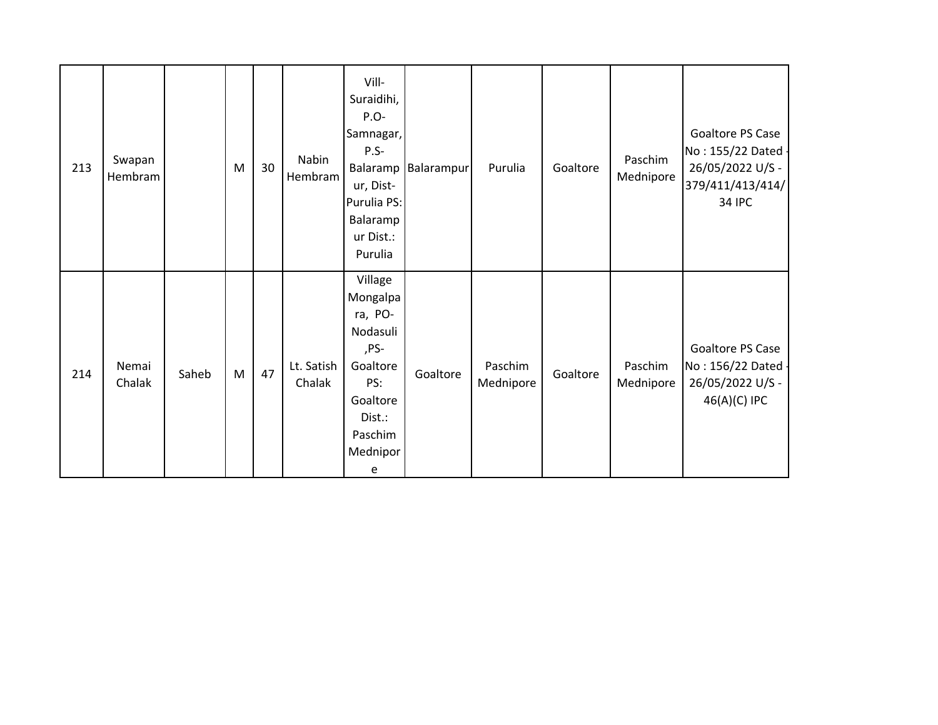| 213 | Swapan<br>Hembram |       | M | 30 | Nabin<br>Hembram     | Vill-<br>Suraidihi,<br>P.O-<br>Samnagar,<br>P.S-<br>Balaramp<br>ur, Dist-<br>Purulia PS:<br>Balaramp<br>ur Dist.:<br>Purulia | Balarampur | Purulia              | Goaltore | Paschim<br>Mednipore | Goaltore PS Case<br>No: 155/22 Dated -<br>26/05/2022 U/S -<br>379/411/413/414/<br><b>34 IPC</b> |
|-----|-------------------|-------|---|----|----------------------|------------------------------------------------------------------------------------------------------------------------------|------------|----------------------|----------|----------------------|-------------------------------------------------------------------------------------------------|
| 214 | Nemai<br>Chalak   | Saheb | M | 47 | Lt. Satish<br>Chalak | Village<br>Mongalpa<br>ra, PO-<br>Nodasuli<br>,PS-<br>Goaltore<br>PS:<br>Goaltore<br>Dist.:<br>Paschim<br>Mednipor<br>e      | Goaltore   | Paschim<br>Mednipore | Goaltore | Paschim<br>Mednipore | Goaltore PS Case<br>No: 156/22 Dated -<br>26/05/2022 U/S -<br>46(A)(C) IPC                      |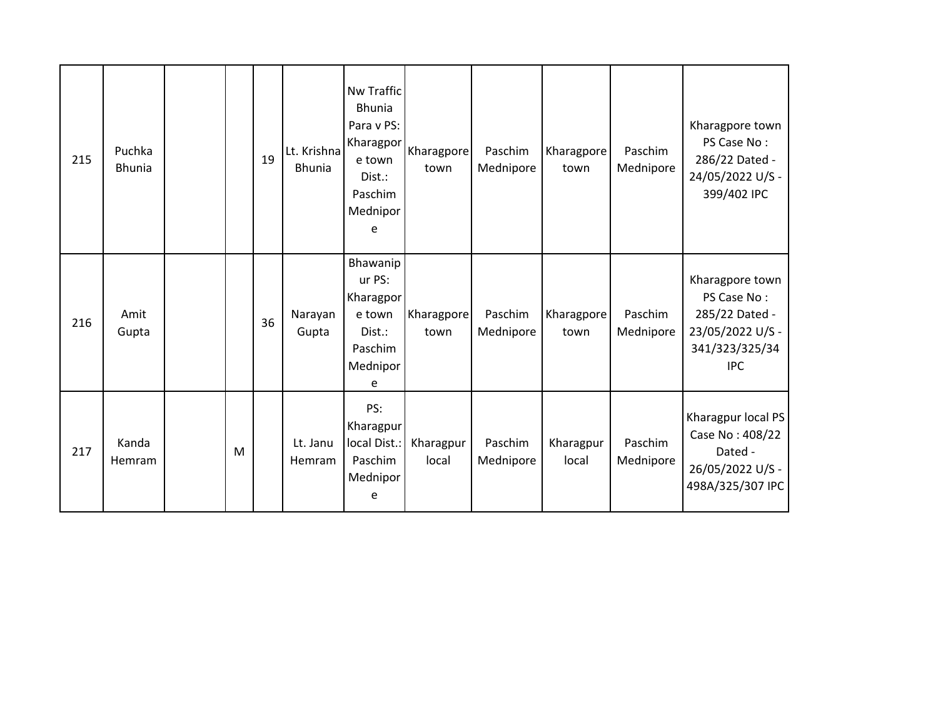| 215 | Puchka<br><b>Bhunia</b> |   | 19 | Lt. Krishna<br><b>Bhunia</b> | <b>Nw Traffic</b><br><b>Bhunia</b><br>Para v PS:<br>Kharagpor<br>e town<br>Dist.:<br>Paschim<br>Mednipor<br>e | Kharagpore<br>town | Paschim<br>Mednipore | Kharagpore<br>town | Paschim<br>Mednipore | Kharagpore town<br>PS Case No:<br>286/22 Dated -<br>24/05/2022 U/S -<br>399/402 IPC                  |
|-----|-------------------------|---|----|------------------------------|---------------------------------------------------------------------------------------------------------------|--------------------|----------------------|--------------------|----------------------|------------------------------------------------------------------------------------------------------|
| 216 | Amit<br>Gupta           |   | 36 | Narayan<br>Gupta             | Bhawanip<br>ur PS:<br>Kharagpor<br>e town<br>Dist.:<br>Paschim<br>Mednipor<br>e                               | Kharagpore<br>town | Paschim<br>Mednipore | Kharagpore<br>town | Paschim<br>Mednipore | Kharagpore town<br>PS Case No:<br>285/22 Dated -<br>23/05/2022 U/S -<br>341/323/325/34<br><b>IPC</b> |
| 217 | Kanda<br>Hemram         | M |    | Lt. Janu<br>Hemram           | PS:<br>Kharagpur<br>local Dist.:<br>Paschim<br>Mednipor<br>e                                                  | Kharagpur<br>local | Paschim<br>Mednipore | Kharagpur<br>local | Paschim<br>Mednipore | Kharagpur local PS<br>Case No: 408/22<br>Dated -<br>26/05/2022 U/S -<br>498A/325/307 IPC             |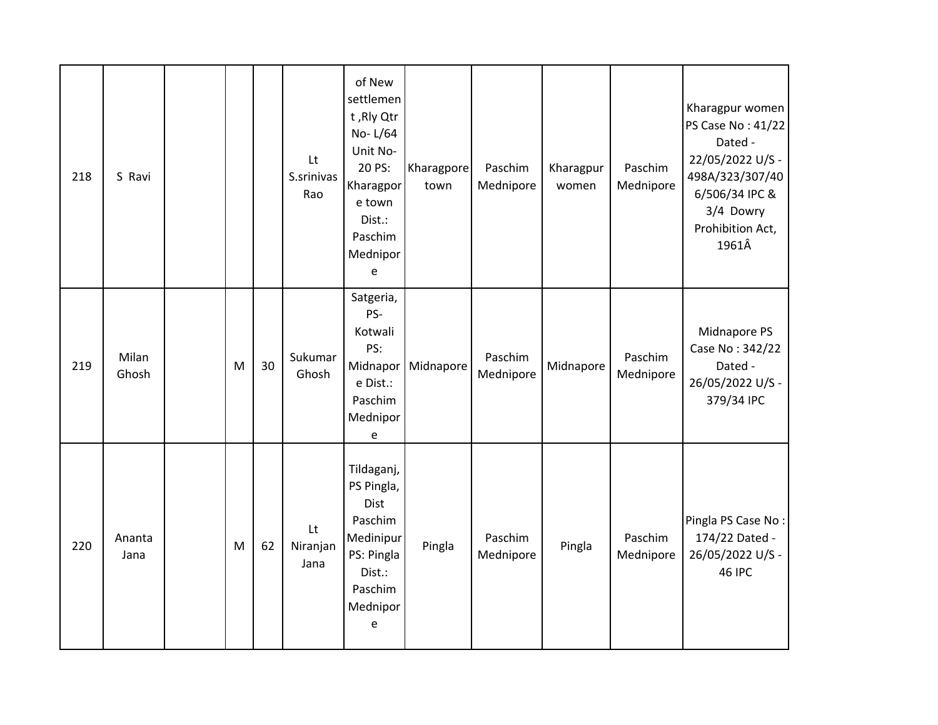| 218 | S Ravi         |   |    | Lt<br>S.srinivas<br>Rao | of New<br>settlemen<br>t, Rly Qtr<br>No-L/64<br>Unit No-<br>20 PS:<br>Kharagpor<br>e town<br>Dist.:<br>Paschim<br>Mednipor<br>$\mathsf{e}% _{t}\left( t\right)$ | Kharagpore<br>town | Paschim<br>Mednipore | Kharagpur<br>women | Paschim<br>Mednipore | Kharagpur women<br>PS Case No: 41/22<br>Dated -<br>22/05/2022 U/S -<br>498A/323/307/40<br>6/506/34 IPC &<br>3/4 Dowry<br>Prohibition Act,<br>1961Â |
|-----|----------------|---|----|-------------------------|-----------------------------------------------------------------------------------------------------------------------------------------------------------------|--------------------|----------------------|--------------------|----------------------|----------------------------------------------------------------------------------------------------------------------------------------------------|
| 219 | Milan<br>Ghosh | M | 30 | Sukumar<br>Ghosh        | Satgeria,<br>PS-<br>Kotwali<br>PS:<br>Midnapor<br>e Dist.:<br>Paschim<br>Mednipor<br>e                                                                          | Midnapore          | Paschim<br>Mednipore | Midnapore          | Paschim<br>Mednipore | Midnapore PS<br>Case No: 342/22<br>Dated -<br>26/05/2022 U/S -<br>379/34 IPC                                                                       |
| 220 | Ananta<br>Jana | M | 62 | Lt<br>Niranjan<br>Jana  | Tildaganj,<br>PS Pingla,<br><b>Dist</b><br>Paschim<br>Medinipur<br>PS: Pingla<br>Dist.:<br>Paschim<br>Mednipor<br>e                                             | Pingla             | Paschim<br>Mednipore | Pingla             | Paschim<br>Mednipore | Pingla PS Case No:<br>174/22 Dated -<br>26/05/2022 U/S -<br><b>46 IPC</b>                                                                          |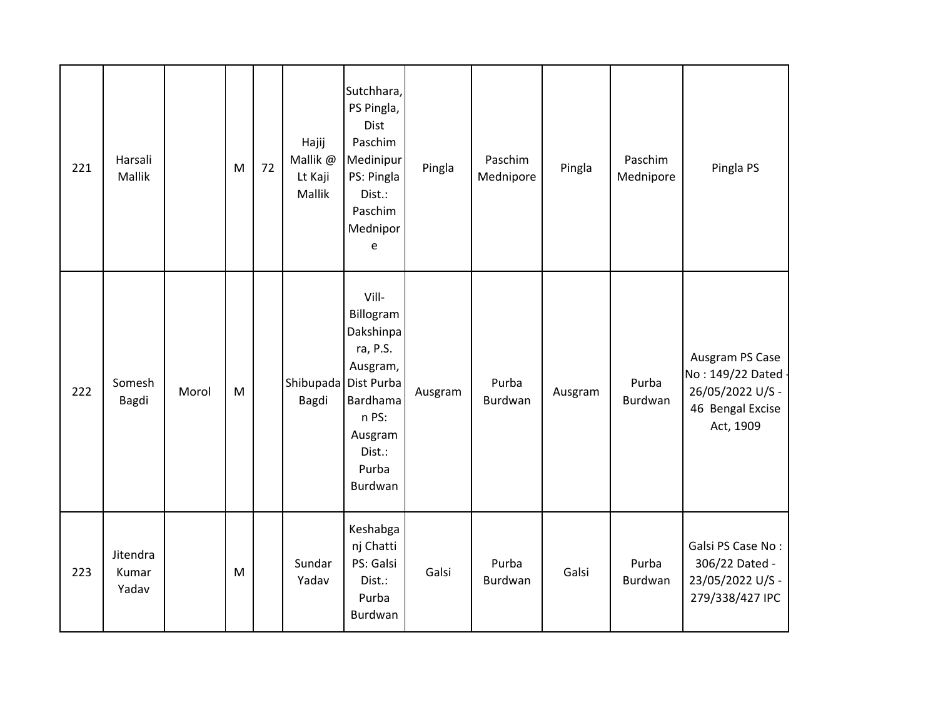| 221 | Harsali<br>Mallik          |       | M         | 72 | Hajij<br>Mallik @<br>Lt Kaji<br>Mallik | Sutchhara,<br>PS Pingla,<br>Dist<br>Paschim<br>Medinipur<br>PS: Pingla<br>Dist.:<br>Paschim<br>Mednipor<br>e                        | Pingla  | Paschim<br>Mednipore | Pingla  | Paschim<br>Mednipore | Pingla PS                                                                                |
|-----|----------------------------|-------|-----------|----|----------------------------------------|-------------------------------------------------------------------------------------------------------------------------------------|---------|----------------------|---------|----------------------|------------------------------------------------------------------------------------------|
| 222 | Somesh<br>Bagdi            | Morol | ${\sf M}$ |    | Shibupada<br>Bagdi                     | Vill-<br>Billogram<br>Dakshinpa<br>ra, P.S.<br>Ausgram,<br>Dist Purba<br>Bardhama<br>n PS:<br>Ausgram<br>Dist.:<br>Purba<br>Burdwan | Ausgram | Purba<br>Burdwan     | Ausgram | Purba<br>Burdwan     | Ausgram PS Case<br>No: 149/22 Dated<br>26/05/2022 U/S -<br>46 Bengal Excise<br>Act, 1909 |
| 223 | Jitendra<br>Kumar<br>Yadav |       | ${\sf M}$ |    | Sundar<br>Yadav                        | Keshabga<br>nj Chatti<br>PS: Galsi<br>Dist.:<br>Purba<br>Burdwan                                                                    | Galsi   | Purba<br>Burdwan     | Galsi   | Purba<br>Burdwan     | Galsi PS Case No:<br>306/22 Dated -<br>23/05/2022 U/S -<br>279/338/427 IPC               |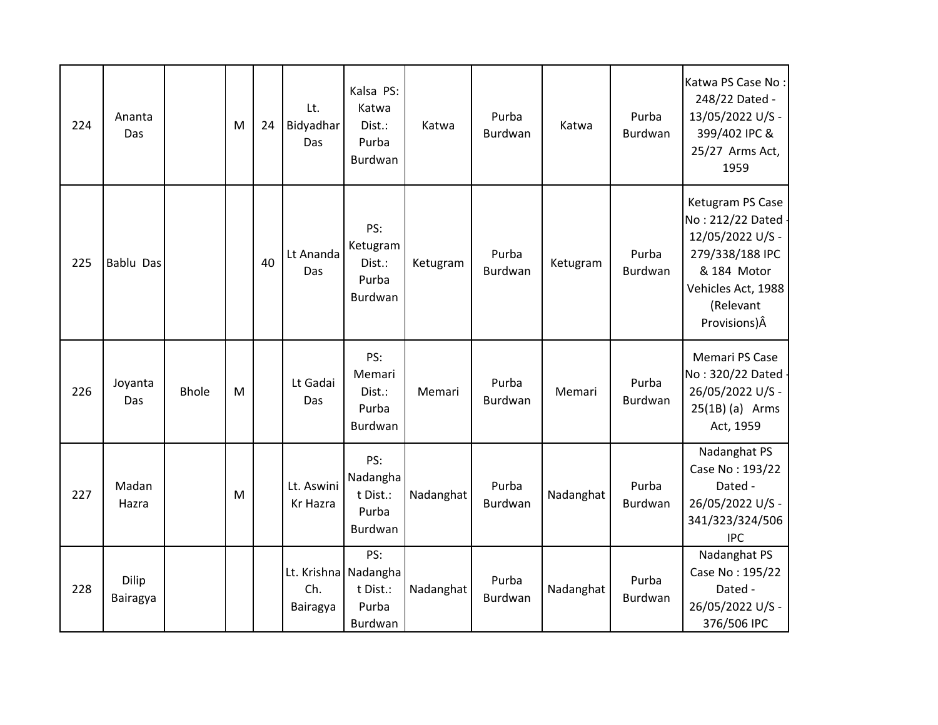| 224 | Ananta<br>Das     |              | м         | 24 | Lt.<br>Bidyadhar<br>Das                 | Kalsa PS:<br>Katwa<br>Dist.:<br>Purba<br>Burdwan | Katwa     | Purba<br>Burdwan        | Katwa     | Purba<br>Burdwan        | Katwa PS Case No:<br>248/22 Dated -<br>13/05/2022 U/S -<br>399/402 IPC &<br>25/27 Arms Act,<br>1959                                              |
|-----|-------------------|--------------|-----------|----|-----------------------------------------|--------------------------------------------------|-----------|-------------------------|-----------|-------------------------|--------------------------------------------------------------------------------------------------------------------------------------------------|
| 225 | Bablu Das         |              |           | 40 | Lt Ananda<br>Das                        | PS:<br>Ketugram<br>Dist.:<br>Purba<br>Burdwan    | Ketugram  | Purba<br>Burdwan        | Ketugram  | Purba<br><b>Burdwan</b> | Ketugram PS Case<br>No: 212/22 Dated -<br>12/05/2022 U/S -<br>279/338/188 IPC<br>& 184 Motor<br>Vehicles Act, 1988<br>(Relevant<br>Provisions) Â |
| 226 | Joyanta<br>Das    | <b>Bhole</b> | ${\sf M}$ |    | Lt Gadai<br>Das                         | PS:<br>Memari<br>Dist.:<br>Purba<br>Burdwan      | Memari    | Purba<br><b>Burdwan</b> | Memari    | Purba<br><b>Burdwan</b> | Memari PS Case<br>No: 320/22 Dated -<br>26/05/2022 U/S -<br>$25(1B)$ (a) Arms<br>Act, 1959                                                       |
| 227 | Madan<br>Hazra    |              | M         |    | Lt. Aswini<br>Kr Hazra                  | PS:<br>Nadangha<br>t Dist.:<br>Purba<br>Burdwan  | Nadanghat | Purba<br>Burdwan        | Nadanghat | Purba<br>Burdwan        | Nadanghat PS<br>Case No: 193/22<br>Dated -<br>26/05/2022 U/S -<br>341/323/324/506<br><b>IPC</b>                                                  |
| 228 | Dilip<br>Bairagya |              |           |    | Lt. Krishna Nadangha<br>Ch.<br>Bairagya | PS:<br>t Dist.:<br>Purba<br>Burdwan              | Nadanghat | Purba<br>Burdwan        | Nadanghat | Purba<br>Burdwan        | Nadanghat PS<br>Case No: 195/22<br>Dated -<br>26/05/2022 U/S -<br>376/506 IPC                                                                    |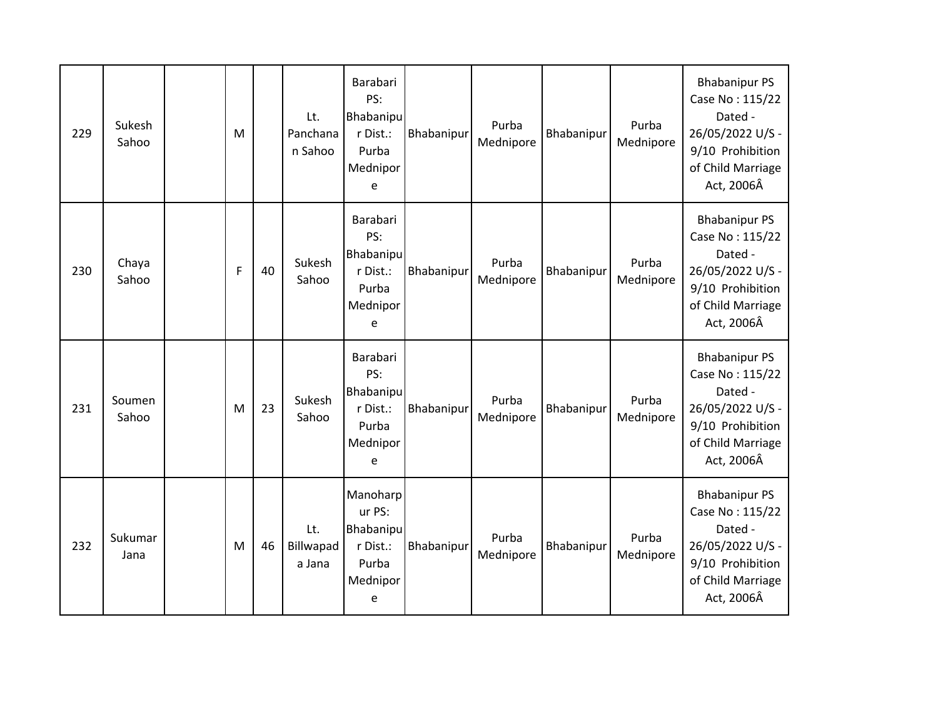| 229 | Sukesh<br>Sahoo | M |    | Lt.<br>Panchana<br>n Sahoo | Barabari<br>PS:<br><b>Bhabanipu</b><br>r Dist.:<br>Purba<br>Mednipor<br>e    | Bhabanipur | Purba<br>Mednipore | Bhabanipur | Purba<br>Mednipore | <b>Bhabanipur PS</b><br>Case No: 115/22<br>Dated -<br>26/05/2022 U/S -<br>9/10 Prohibition<br>of Child Marriage<br>Act, 2006Â |
|-----|-----------------|---|----|----------------------------|------------------------------------------------------------------------------|------------|--------------------|------------|--------------------|-------------------------------------------------------------------------------------------------------------------------------|
| 230 | Chaya<br>Sahoo  | F | 40 | Sukesh<br>Sahoo            | Barabari<br>PS:<br><b>Bhabanipu</b><br>r Dist.:<br>Purba<br>Mednipor<br>e    | Bhabanipur | Purba<br>Mednipore | Bhabanipur | Purba<br>Mednipore | <b>Bhabanipur PS</b><br>Case No: 115/22<br>Dated -<br>26/05/2022 U/S -<br>9/10 Prohibition<br>of Child Marriage<br>Act, 2006Â |
| 231 | Soumen<br>Sahoo | M | 23 | Sukesh<br>Sahoo            | Barabari<br>PS:<br>Bhabanipu<br>r Dist.:<br>Purba<br>Mednipor<br>e           | Bhabanipur | Purba<br>Mednipore | Bhabanipur | Purba<br>Mednipore | <b>Bhabanipur PS</b><br>Case No: 115/22<br>Dated -<br>26/05/2022 U/S -<br>9/10 Prohibition<br>of Child Marriage<br>Act, 2006Â |
| 232 | Sukumar<br>Jana | M | 46 | Lt.<br>Billwapad<br>a Jana | Manoharp<br>ur PS:<br><b>Bhabanipu</b><br>r Dist.:<br>Purba<br>Mednipor<br>e | Bhabanipur | Purba<br>Mednipore | Bhabanipur | Purba<br>Mednipore | <b>Bhabanipur PS</b><br>Case No: 115/22<br>Dated -<br>26/05/2022 U/S -<br>9/10 Prohibition<br>of Child Marriage<br>Act, 2006Â |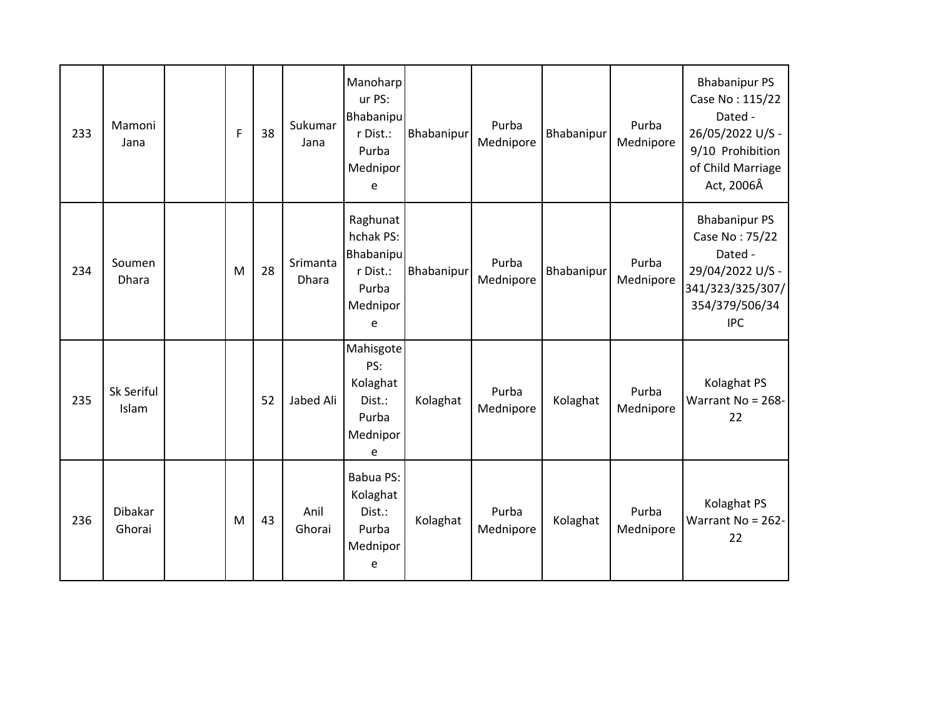| 233 | Mamoni<br>Jana      | F | 38 | Sukumar<br>Jana   | Manoharp<br>ur PS:<br>Bhabanipu<br>r Dist.:<br>Purba<br>Mednipor<br>e    | Bhabanipur | Purba<br>Mednipore | Bhabanipur | Purba<br>Mednipore | <b>Bhabanipur PS</b><br>Case No: 115/22<br>Dated -<br>26/05/2022 U/S -<br>9/10 Prohibition<br>of Child Marriage<br>Act, 2006Â |
|-----|---------------------|---|----|-------------------|--------------------------------------------------------------------------|------------|--------------------|------------|--------------------|-------------------------------------------------------------------------------------------------------------------------------|
| 234 | Soumen<br>Dhara     | M | 28 | Srimanta<br>Dhara | Raghunat<br>hchak PS:<br>Bhabanipu<br>r Dist.:<br>Purba<br>Mednipor<br>e | Bhabanipur | Purba<br>Mednipore | Bhabanipur | Purba<br>Mednipore | <b>Bhabanipur PS</b><br>Case No: 75/22<br>Dated -<br>29/04/2022 U/S -<br>341/323/325/307/<br>354/379/506/34<br><b>IPC</b>     |
| 235 | Sk Seriful<br>Islam |   | 52 | Jabed Ali         | Mahisgote<br>PS:<br>Kolaghat<br>Dist.:<br>Purba<br>Mednipor<br>e         | Kolaghat   | Purba<br>Mednipore | Kolaghat   | Purba<br>Mednipore | Kolaghat PS<br>Warrant No = 268-<br>22                                                                                        |
| 236 | Dibakar<br>Ghorai   | M | 43 | Anil<br>Ghorai    | Babua PS:<br>Kolaghat<br>Dist.:<br>Purba<br>Mednipor<br>e                | Kolaghat   | Purba<br>Mednipore | Kolaghat   | Purba<br>Mednipore | Kolaghat PS<br>Warrant No = 262-<br>22                                                                                        |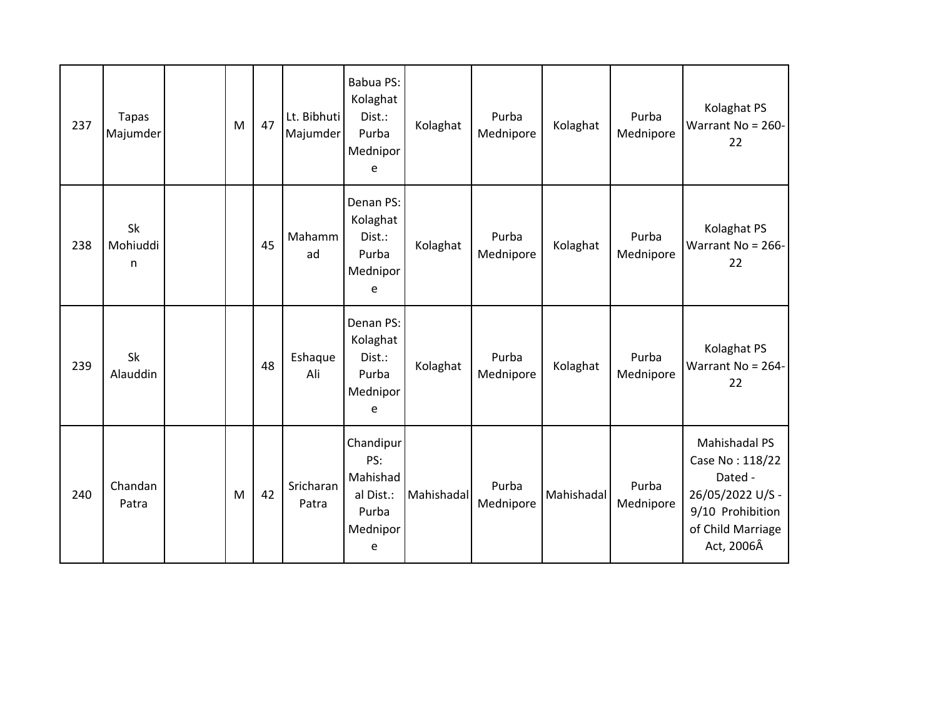| 237 | <b>Tapas</b><br>Majumder | M | 47 | Lt. Bibhuti<br>Majumder | Babua PS:<br>Kolaghat<br>Dist.:<br>Purba<br>Mednipor<br>e           | Kolaghat   | Purba<br>Mednipore | Kolaghat   | Purba<br>Mednipore | Kolaghat PS<br>Warrant No = 260-<br>22                                                                                 |
|-----|--------------------------|---|----|-------------------------|---------------------------------------------------------------------|------------|--------------------|------------|--------------------|------------------------------------------------------------------------------------------------------------------------|
| 238 | Sk<br>Mohiuddi<br>n      |   | 45 | Mahamm<br>ad            | Denan PS:<br>Kolaghat<br>Dist.:<br>Purba<br>Mednipor<br>e           | Kolaghat   | Purba<br>Mednipore | Kolaghat   | Purba<br>Mednipore | Kolaghat PS<br>Warrant No = 266-<br>22                                                                                 |
| 239 | Sk<br>Alauddin           |   | 48 | Eshaque<br>Ali          | Denan PS:<br>Kolaghat<br>Dist.:<br>Purba<br>Mednipor<br>e           | Kolaghat   | Purba<br>Mednipore | Kolaghat   | Purba<br>Mednipore | Kolaghat PS<br>Warrant No = 264-<br>22                                                                                 |
| 240 | Chandan<br>Patra         | M | 42 | Sricharan<br>Patra      | Chandipur<br>PS:<br>Mahishad<br>al Dist.:<br>Purba<br>Mednipor<br>e | Mahishadal | Purba<br>Mednipore | Mahishadal | Purba<br>Mednipore | Mahishadal PS<br>Case No: 118/22<br>Dated -<br>26/05/2022 U/S -<br>9/10 Prohibition<br>of Child Marriage<br>Act, 2006Â |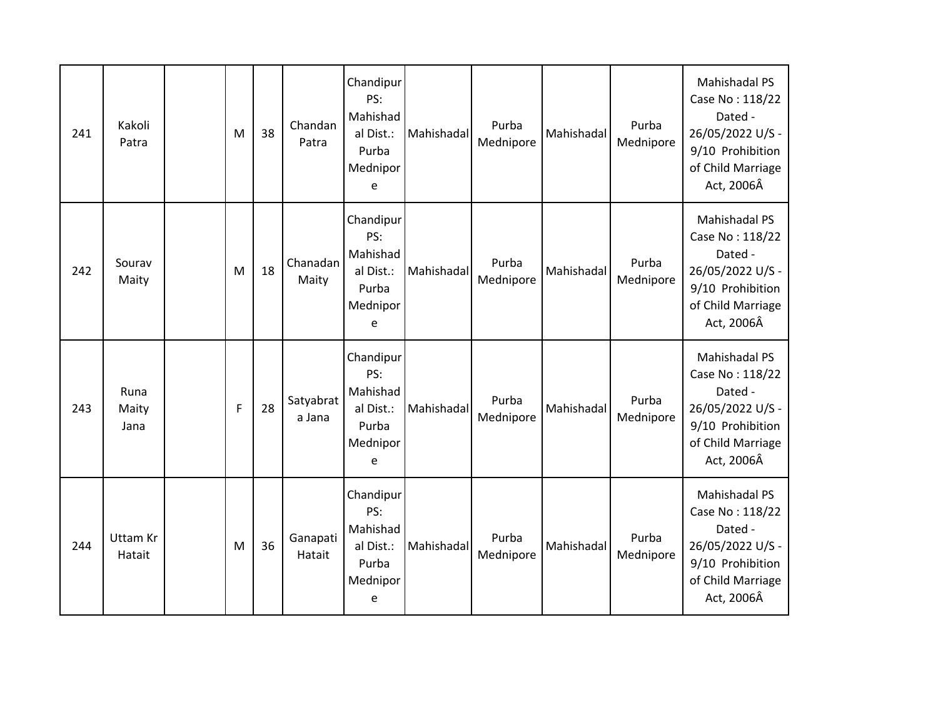| 241 | Kakoli<br>Patra           | M | 38 | Chandan<br>Patra    | Chandipur<br>PS:<br>Mahishad<br>al Dist.:<br>Purba<br>Mednipor<br>e | Mahishadal | Purba<br>Mednipore | Mahishadal | Purba<br>Mednipore | <b>Mahishadal PS</b><br>Case No: 118/22<br>Dated -<br>26/05/2022 U/S -<br>9/10 Prohibition<br>of Child Marriage<br>Act, 2006Â |
|-----|---------------------------|---|----|---------------------|---------------------------------------------------------------------|------------|--------------------|------------|--------------------|-------------------------------------------------------------------------------------------------------------------------------|
| 242 | Sourav<br>Maity           | M | 18 | Chanadan<br>Maity   | Chandipur<br>PS:<br>Mahishad<br>al Dist.:<br>Purba<br>Mednipor<br>e | Mahishadal | Purba<br>Mednipore | Mahishadal | Purba<br>Mednipore | Mahishadal PS<br>Case No: 118/22<br>Dated -<br>26/05/2022 U/S -<br>9/10 Prohibition<br>of Child Marriage<br>Act, 2006Â        |
| 243 | Runa<br>Maity<br>Jana     | F | 28 | Satyabrat<br>a Jana | Chandipur<br>PS:<br>Mahishad<br>al Dist.:<br>Purba<br>Mednipor<br>e | Mahishadal | Purba<br>Mednipore | Mahishadal | Purba<br>Mednipore | Mahishadal PS<br>Case No: 118/22<br>Dated -<br>26/05/2022 U/S -<br>9/10 Prohibition<br>of Child Marriage<br>Act, 2006Â        |
| 244 | <b>Uttam Kr</b><br>Hatait | M | 36 | Ganapati<br>Hatait  | Chandipur<br>PS:<br>Mahishad<br>al Dist.:<br>Purba<br>Mednipor<br>e | Mahishadal | Purba<br>Mednipore | Mahishadal | Purba<br>Mednipore | Mahishadal PS<br>Case No: 118/22<br>Dated -<br>26/05/2022 U/S -<br>9/10 Prohibition<br>of Child Marriage<br>Act, 2006Â        |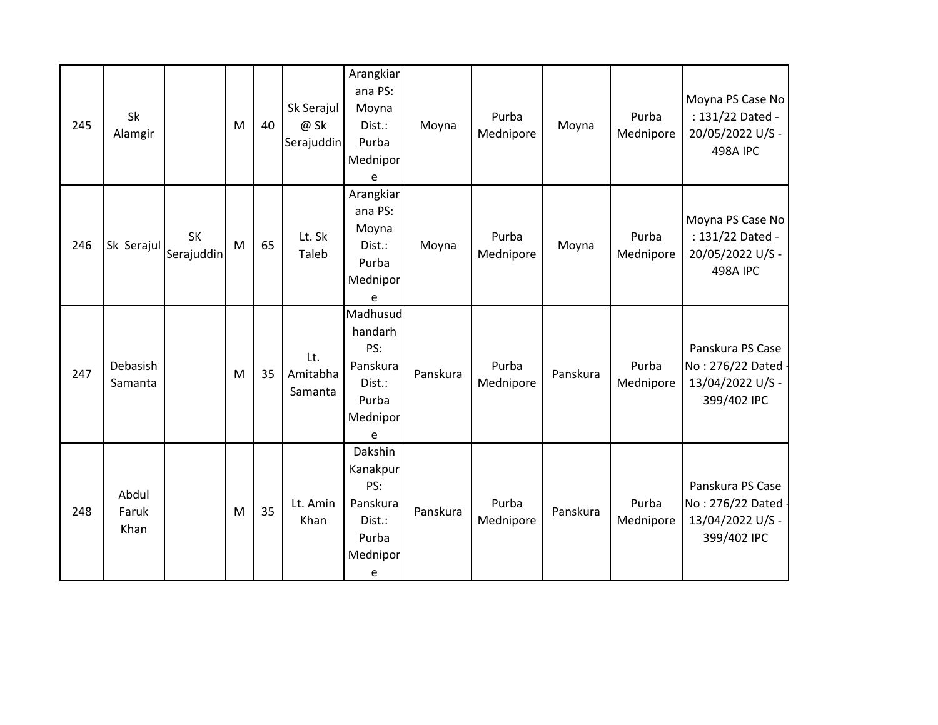| 245 | Sk<br>Alamgir          |                         | M | 40 | Sk Serajul<br>@ Sk<br>Serajuddin | Arangkiar<br>ana PS:<br>Moyna<br>Dist.:<br>Purba<br>Mednipor<br>e          | Moyna    | Purba<br>Mednipore | Moyna    | Purba<br>Mednipore | Moyna PS Case No<br>: 131/22 Dated -<br>20/05/2022 U/S -<br><b>498A IPC</b> |
|-----|------------------------|-------------------------|---|----|----------------------------------|----------------------------------------------------------------------------|----------|--------------------|----------|--------------------|-----------------------------------------------------------------------------|
| 246 | Sk Serajul             | <b>SK</b><br>Serajuddin | M | 65 | Lt. Sk<br>Taleb                  | Arangkiar<br>ana PS:<br>Moyna<br>Dist.:<br>Purba<br>Mednipor<br>e          | Moyna    | Purba<br>Mednipore | Moyna    | Purba<br>Mednipore | Moyna PS Case No<br>: 131/22 Dated -<br>20/05/2022 U/S -<br><b>498A IPC</b> |
| 247 | Debasish<br>Samanta    |                         | M | 35 | Lt.<br>Amitabha<br>Samanta       | Madhusud<br>handarh<br>PS:<br>Panskura<br>Dist.:<br>Purba<br>Mednipor<br>e | Panskura | Purba<br>Mednipore | Panskura | Purba<br>Mednipore | Panskura PS Case<br>No: 276/22 Dated -<br>13/04/2022 U/S -<br>399/402 IPC   |
| 248 | Abdul<br>Faruk<br>Khan |                         | M | 35 | Lt. Amin<br>Khan                 | Dakshin<br>Kanakpur<br>PS:<br>Panskura<br>Dist.:<br>Purba<br>Mednipor<br>e | Panskura | Purba<br>Mednipore | Panskura | Purba<br>Mednipore | Panskura PS Case<br>No: 276/22 Dated -<br>13/04/2022 U/S -<br>399/402 IPC   |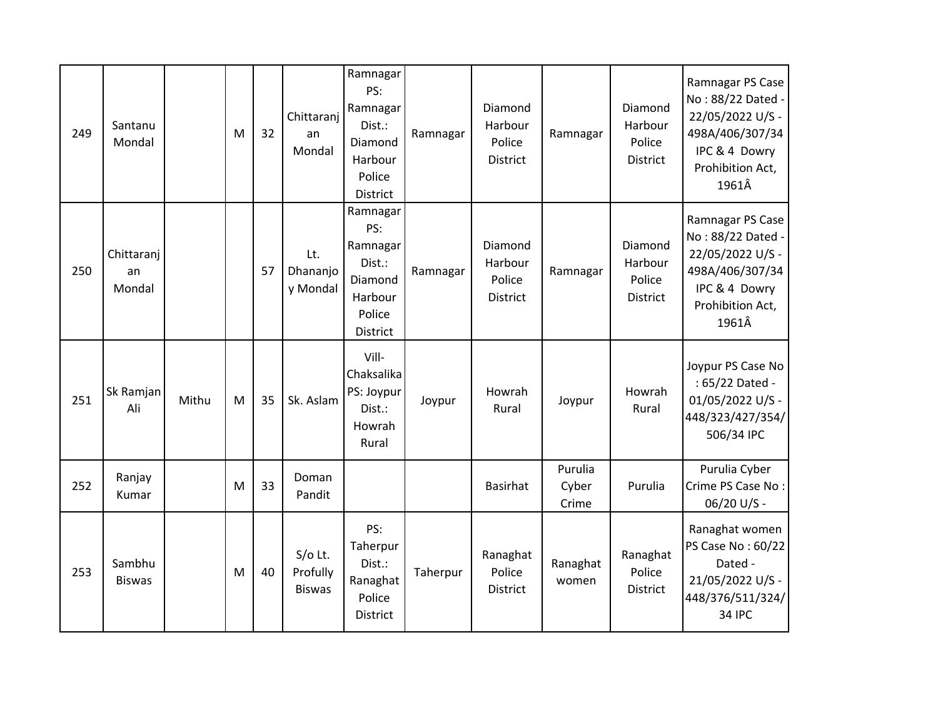| 249 | Santanu<br>Mondal          |       | M | 32 | Chittaranj<br>an<br>Mondal           | Ramnagar<br>PS:<br>Ramnagar<br>Dist.:<br>Diamond<br>Harbour<br>Police<br>District | Ramnagar | Diamond<br>Harbour<br>Police<br><b>District</b> | Ramnagar                  | Diamond<br>Harbour<br>Police<br><b>District</b> | Ramnagar PS Case<br>No: 88/22 Dated -<br>22/05/2022 U/S -<br>498A/406/307/34<br>IPC & 4 Dowry<br>Prohibition Act,<br>1961Â |
|-----|----------------------------|-------|---|----|--------------------------------------|-----------------------------------------------------------------------------------|----------|-------------------------------------------------|---------------------------|-------------------------------------------------|----------------------------------------------------------------------------------------------------------------------------|
| 250 | Chittaranj<br>an<br>Mondal |       |   | 57 | Lt.<br>Dhananjo<br>y Mondal          | Ramnagar<br>PS:<br>Ramnagar<br>Dist.:<br>Diamond<br>Harbour<br>Police<br>District | Ramnagar | Diamond<br>Harbour<br>Police<br>District        | Ramnagar                  | Diamond<br>Harbour<br>Police<br>District        | Ramnagar PS Case<br>No: 88/22 Dated -<br>22/05/2022 U/S -<br>498A/406/307/34<br>IPC & 4 Dowry<br>Prohibition Act,<br>1961Â |
| 251 | Sk Ramjan<br>Ali           | Mithu | M | 35 | Sk. Aslam                            | Vill-<br>Chaksalika<br>PS: Joypur<br>Dist.:<br>Howrah<br>Rural                    | Joypur   | Howrah<br>Rural                                 | Joypur                    | Howrah<br>Rural                                 | Joypur PS Case No<br>: 65/22 Dated -<br>01/05/2022 U/S -<br>448/323/427/354/<br>506/34 IPC                                 |
| 252 | Ranjay<br>Kumar            |       | M | 33 | Doman<br>Pandit                      |                                                                                   |          | <b>Basirhat</b>                                 | Purulia<br>Cyber<br>Crime | Purulia                                         | Purulia Cyber<br>Crime PS Case No:<br>06/20 U/S -                                                                          |
| 253 | Sambhu<br><b>Biswas</b>    |       | M | 40 | S/o Lt.<br>Profully<br><b>Biswas</b> | PS:<br>Taherpur<br>Dist.:<br>Ranaghat<br>Police<br>District                       | Taherpur | Ranaghat<br>Police<br><b>District</b>           | Ranaghat<br>women         | Ranaghat<br>Police<br><b>District</b>           | Ranaghat women<br>PS Case No: 60/22<br>Dated -<br>21/05/2022 U/S -<br>448/376/511/324/<br><b>34 IPC</b>                    |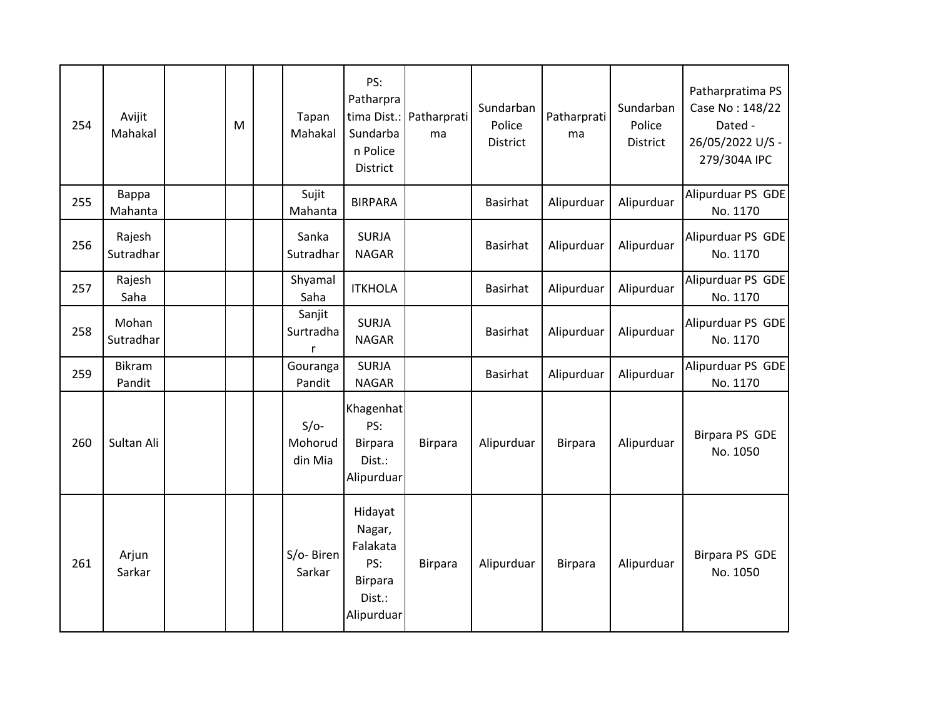| 254 | Avijit<br>Mahakal       | M | Tapan<br>Mahakal             | PS:<br>Patharpra<br>Sundarba<br>n Police<br>District                           | tima Dist.: Patharprati<br>ma | Sundarban<br>Police<br>District | Patharprati<br>ma | Sundarban<br>Police<br><b>District</b> | Patharpratima PS<br>Case No: 148/22<br>Dated -<br>26/05/2022 U/S -<br>279/304A IPC |
|-----|-------------------------|---|------------------------------|--------------------------------------------------------------------------------|-------------------------------|---------------------------------|-------------------|----------------------------------------|------------------------------------------------------------------------------------|
| 255 | Bappa<br>Mahanta        |   | Sujit<br>Mahanta             | <b>BIRPARA</b>                                                                 |                               | <b>Basirhat</b>                 | Alipurduar        | Alipurduar                             | Alipurduar PS GDE<br>No. 1170                                                      |
| 256 | Rajesh<br>Sutradhar     |   | Sanka<br>Sutradhar           | <b>SURJA</b><br><b>NAGAR</b>                                                   |                               | Basirhat                        | Alipurduar        | Alipurduar                             | Alipurduar PS GDE<br>No. 1170                                                      |
| 257 | Rajesh<br>Saha          |   | Shyamal<br>Saha              | <b>ITKHOLA</b>                                                                 |                               | <b>Basirhat</b>                 | Alipurduar        | Alipurduar                             | Alipurduar PS GDE<br>No. 1170                                                      |
| 258 | Mohan<br>Sutradhar      |   | Sanjit<br>Surtradha<br>r     | <b>SURJA</b><br><b>NAGAR</b>                                                   |                               | <b>Basirhat</b>                 | Alipurduar        | Alipurduar                             | Alipurduar PS GDE<br>No. 1170                                                      |
| 259 | <b>Bikram</b><br>Pandit |   | Gouranga<br>Pandit           | <b>SURJA</b><br><b>NAGAR</b>                                                   |                               | Basirhat                        | Alipurduar        | Alipurduar                             | Alipurduar PS GDE<br>No. 1170                                                      |
| 260 | Sultan Ali              |   | $S/O-$<br>Mohorud<br>din Mia | Khagenhat<br>PS:<br><b>Birpara</b><br>Dist.:<br>Alipurduar                     | <b>Birpara</b>                | Alipurduar                      | <b>Birpara</b>    | Alipurduar                             | Birpara PS GDE<br>No. 1050                                                         |
| 261 | Arjun<br>Sarkar         |   | S/o-Biren<br>Sarkar          | Hidayat<br>Nagar,<br>Falakata<br>PS:<br><b>Birpara</b><br>Dist.:<br>Alipurduar | <b>Birpara</b>                | Alipurduar                      | <b>Birpara</b>    | Alipurduar                             | Birpara PS GDE<br>No. 1050                                                         |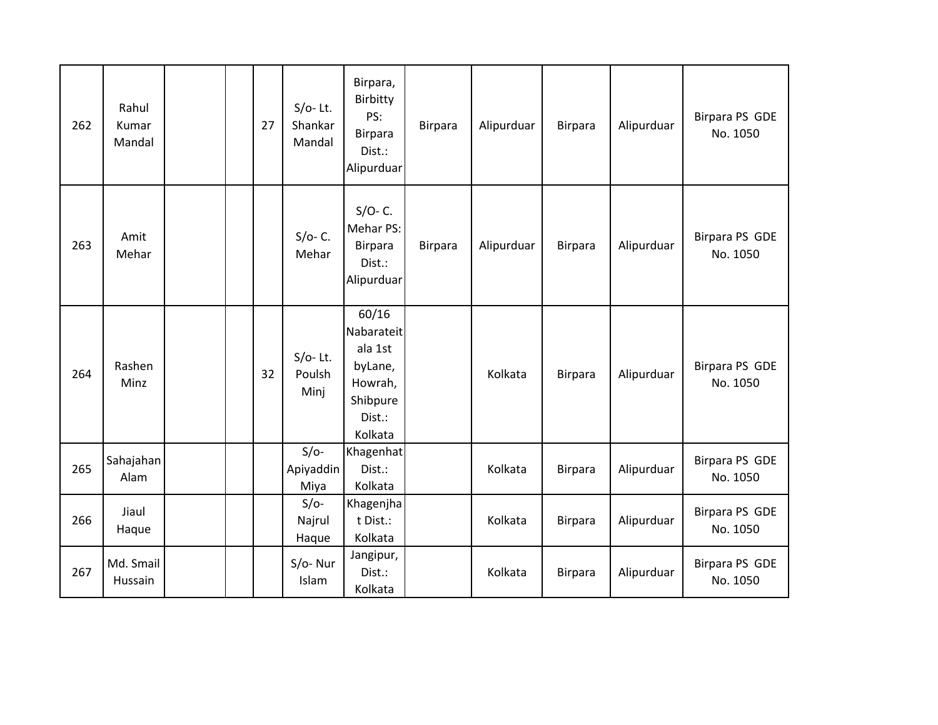| 262 | Rahul<br>Kumar<br>Mandal |  | 27 | $S/O-$ Lt.<br>Shankar<br>Mandal | Birpara,<br>Birbitty<br>PS:<br>Birpara<br>Dist.:<br>Alipurduar                        | <b>Birpara</b> | Alipurduar | <b>Birpara</b> | Alipurduar | Birpara PS GDE<br>No. 1050 |
|-----|--------------------------|--|----|---------------------------------|---------------------------------------------------------------------------------------|----------------|------------|----------------|------------|----------------------------|
| 263 | Amit<br>Mehar            |  |    | $S/O - C$ .<br>Mehar            | $S/O - C$ .<br>Mehar PS:<br><b>Birpara</b><br>Dist.:<br>Alipurduar                    | <b>Birpara</b> | Alipurduar | <b>Birpara</b> | Alipurduar | Birpara PS GDE<br>No. 1050 |
| 264 | Rashen<br>Minz           |  | 32 | $S/O-$ Lt.<br>Poulsh<br>Minj    | 60/16<br>Nabarateit<br>ala 1st<br>byLane,<br>Howrah,<br>Shibpure<br>Dist.:<br>Kolkata |                | Kolkata    | Birpara        | Alipurduar | Birpara PS GDE<br>No. 1050 |
| 265 | Sahajahan<br>Alam        |  |    | $S/O-$<br>Apiyaddin<br>Miya     | Khagenhat<br>Dist.:<br>Kolkata                                                        |                | Kolkata    | <b>Birpara</b> | Alipurduar | Birpara PS GDE<br>No. 1050 |
| 266 | Jiaul<br>Haque           |  |    | $S/O-$<br>Najrul<br>Haque       | Khagenjha<br>t Dist.:<br>Kolkata                                                      |                | Kolkata    | <b>Birpara</b> | Alipurduar | Birpara PS GDE<br>No. 1050 |
| 267 | Md. Smail<br>Hussain     |  |    | $S/O-Nur$<br>Islam              | Jangipur,<br>Dist.:<br>Kolkata                                                        |                | Kolkata    | <b>Birpara</b> | Alipurduar | Birpara PS GDE<br>No. 1050 |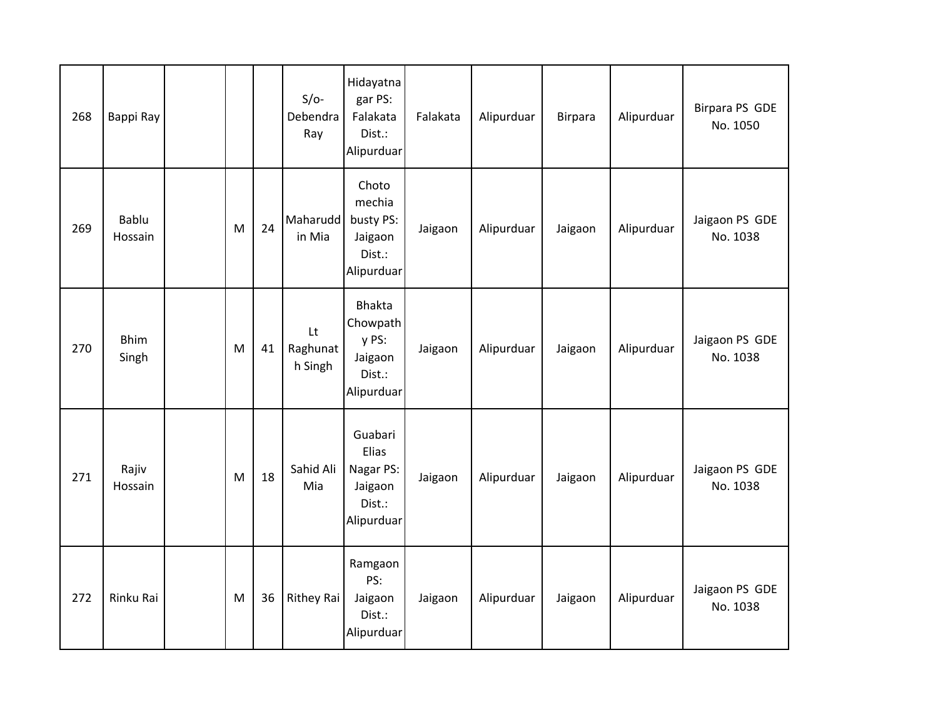| 268 | Bappi Ray            |   |    | $S/O-$<br>Debendra<br>Ray | Hidayatna<br>gar PS:<br>Falakata<br>Dist.:<br>Alipurduar         | Falakata | Alipurduar | <b>Birpara</b> | Alipurduar | Birpara PS GDE<br>No. 1050 |
|-----|----------------------|---|----|---------------------------|------------------------------------------------------------------|----------|------------|----------------|------------|----------------------------|
| 269 | Bablu<br>Hossain     | M | 24 | Maharudd<br>in Mia        | Choto<br>mechia<br>busty PS:<br>Jaigaon<br>Dist.:<br>Alipurduar  | Jaigaon  | Alipurduar | Jaigaon        | Alipurduar | Jaigaon PS GDE<br>No. 1038 |
| 270 | <b>Bhim</b><br>Singh | M | 41 | Lt<br>Raghunat<br>h Singh | Bhakta<br>Chowpath<br>y PS:<br>Jaigaon<br>Dist.:<br>Alipurduar   | Jaigaon  | Alipurduar | Jaigaon        | Alipurduar | Jaigaon PS GDE<br>No. 1038 |
| 271 | Rajiv<br>Hossain     | M | 18 | Sahid Ali<br>Mia          | Guabari<br>Elias<br>Nagar PS:<br>Jaigaon<br>Dist.:<br>Alipurduar | Jaigaon  | Alipurduar | Jaigaon        | Alipurduar | Jaigaon PS GDE<br>No. 1038 |
| 272 | Rinku Rai            | M | 36 | <b>Rithey Rai</b>         | Ramgaon<br>PS:<br>Jaigaon<br>Dist.:<br>Alipurduar                | Jaigaon  | Alipurduar | Jaigaon        | Alipurduar | Jaigaon PS GDE<br>No. 1038 |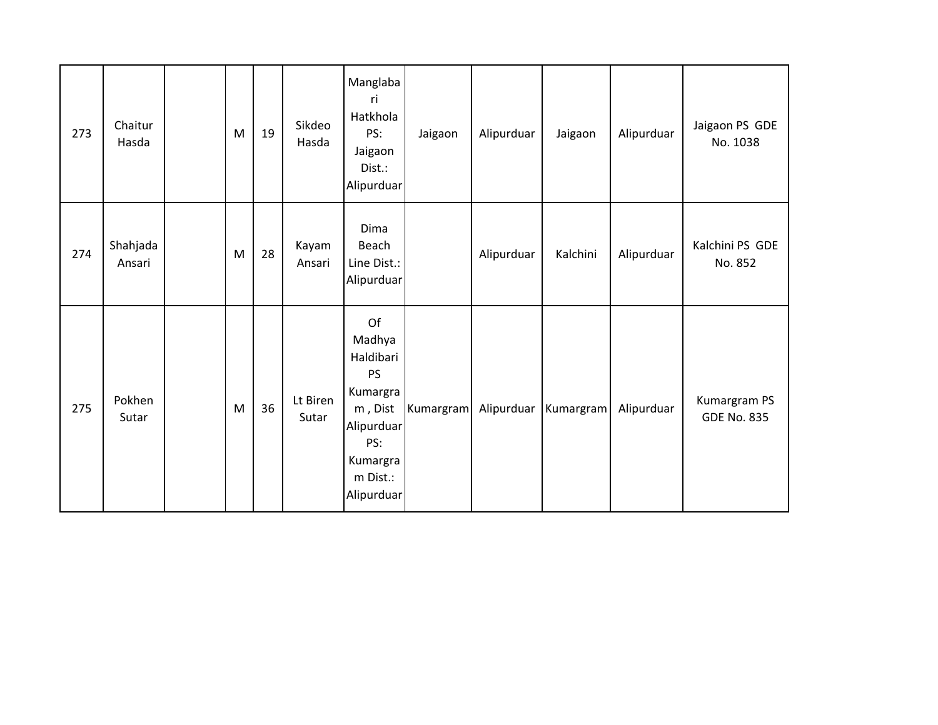| 273 | Chaitur<br>Hasda   | M | 19 | Sikdeo<br>Hasda   | Manglaba<br>ri<br>Hatkhola<br>PS:<br>Jaigaon<br>Dist.:<br>Alipurduar                                                     | Jaigaon   | Alipurduar | Jaigaon   | Alipurduar | Jaigaon PS GDE<br>No. 1038         |
|-----|--------------------|---|----|-------------------|--------------------------------------------------------------------------------------------------------------------------|-----------|------------|-----------|------------|------------------------------------|
| 274 | Shahjada<br>Ansari | M | 28 | Kayam<br>Ansari   | Dima<br>Beach<br>Line Dist.:<br>Alipurduar                                                                               |           | Alipurduar | Kalchini  | Alipurduar | Kalchini PS GDE<br>No. 852         |
| 275 | Pokhen<br>Sutar    | M | 36 | Lt Biren<br>Sutar | Of<br>Madhya<br>Haldibari<br><b>PS</b><br>Kumargra<br>m, Dist<br>Alipurduar<br>PS:<br>Kumargra<br>m Dist.:<br>Alipurduar | Kumargram | Alipurduar | Kumargram | Alipurduar | Kumargram PS<br><b>GDE No. 835</b> |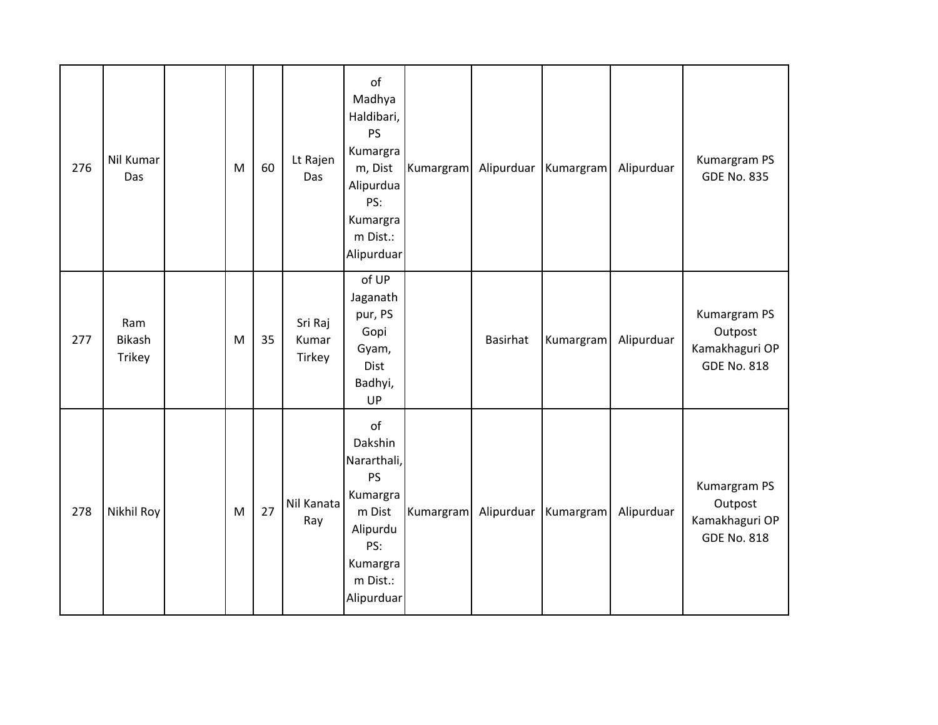| 276 | Nil Kumar<br>Das                      | M | 60 | Lt Rajen<br>Das            | of<br>Madhya<br>Haldibari,<br>PS<br>Kumargra<br>m, Dist<br>Alipurdua<br>PS:<br>Kumargra<br>m Dist.:<br>Alipurduar        | Kumargram | Alipurduar | Kumargram | Alipurduar | Kumargram PS<br><b>GDE No. 835</b>                              |
|-----|---------------------------------------|---|----|----------------------------|--------------------------------------------------------------------------------------------------------------------------|-----------|------------|-----------|------------|-----------------------------------------------------------------|
| 277 | Ram<br><b>Bikash</b><br><b>Trikey</b> | M | 35 | Sri Raj<br>Kumar<br>Tirkey | of UP<br>Jaganath<br>pur, PS<br>Gopi<br>Gyam,<br>Dist<br>Badhyi,<br>UP                                                   |           | Basirhat   | Kumargram | Alipurduar | Kumargram PS<br>Outpost<br>Kamakhaguri OP<br><b>GDE No. 818</b> |
| 278 | Nikhil Roy                            | M | 27 | Nil Kanata<br>Ray          | of<br>Dakshin<br>Nararthali,<br><b>PS</b><br>Kumargra<br>m Dist<br>Alipurdu<br>PS:<br>Kumargra<br>m Dist.:<br>Alipurduar | Kumargram | Alipurduar | Kumargram | Alipurduar | Kumargram PS<br>Outpost<br>Kamakhaguri OP<br><b>GDE No. 818</b> |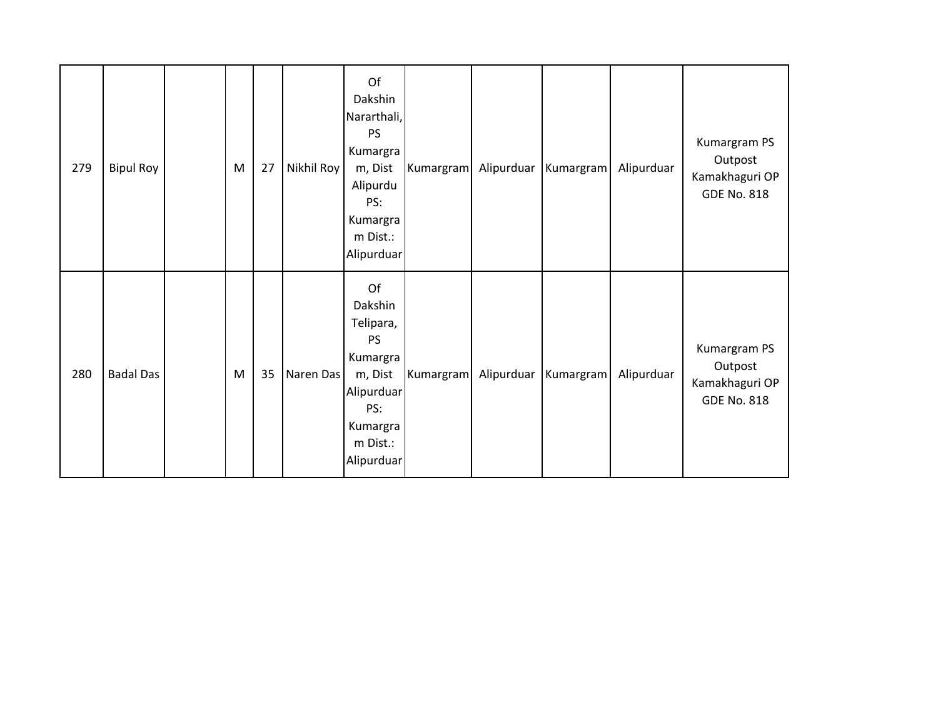| 279 | <b>Bipul Roy</b> | M | 27 | Nikhil Roy | Of<br>Dakshin<br>Nararthali,<br><b>PS</b><br>Kumargra<br>m, Dist<br>Alipurdu<br>PS:<br>Kumargra<br>m Dist.:<br>Alipurduar | Kumargram | Alipurduar | Kumargram | Alipurduar | Kumargram PS<br>Outpost<br>Kamakhaguri OP<br><b>GDE No. 818</b> |
|-----|------------------|---|----|------------|---------------------------------------------------------------------------------------------------------------------------|-----------|------------|-----------|------------|-----------------------------------------------------------------|
| 280 | <b>Badal Das</b> | M | 35 | Naren Das  | Of<br>Dakshin<br>Telipara,<br>PS<br>Kumargra<br>m, Dist<br>Alipurduar<br>PS:<br>Kumargra<br>m Dist.:<br>Alipurduar        | Kumargram | Alipurduar | Kumargram | Alipurduar | Kumargram PS<br>Outpost<br>Kamakhaguri OP<br><b>GDE No. 818</b> |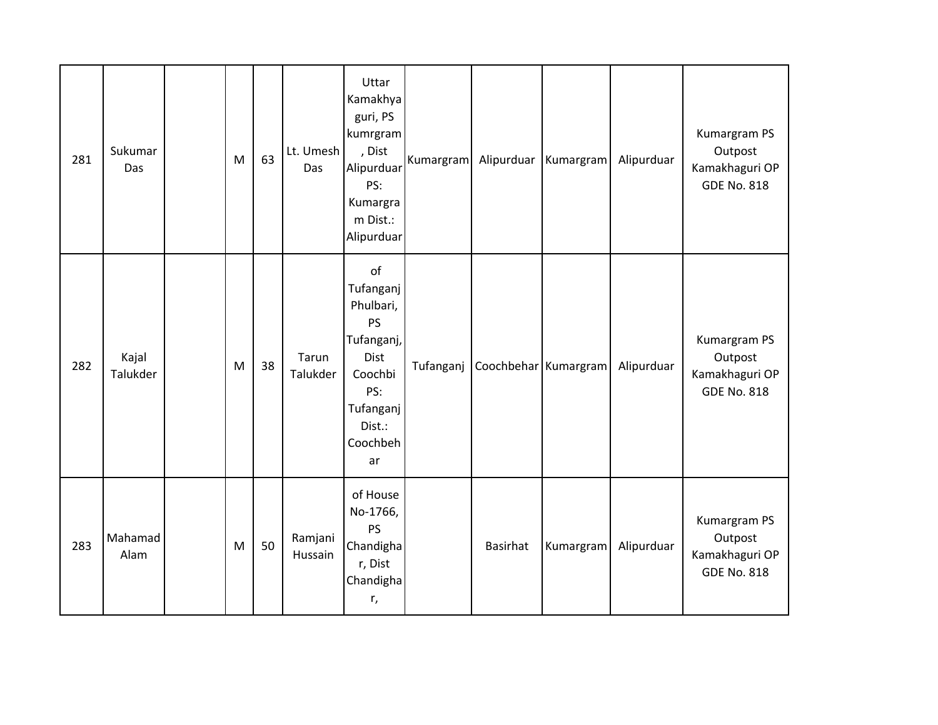| 281 | Sukumar<br>Das    | M | 63 | Lt. Umesh<br>Das   | Uttar<br>Kamakhya<br>guri, PS<br>kumrgram<br>, Dist<br>Alipurduar<br>PS:<br>Kumargra<br>m Dist.:<br>Alipurduar             | Kumargram |                      | Alipurduar   Kumargram | Alipurduar | Kumargram PS<br>Outpost<br>Kamakhaguri OP<br><b>GDE No. 818</b> |
|-----|-------------------|---|----|--------------------|----------------------------------------------------------------------------------------------------------------------------|-----------|----------------------|------------------------|------------|-----------------------------------------------------------------|
| 282 | Kajal<br>Talukder | M | 38 | Tarun<br>Talukder  | of<br>Tufanganj<br>Phulbari,<br><b>PS</b><br>Tufanganj,<br>Dist<br>Coochbi<br>PS:<br>Tufanganj<br>Dist.:<br>Coochbeh<br>ar | Tufanganj | Coochbehar Kumargram |                        | Alipurduar | Kumargram PS<br>Outpost<br>Kamakhaguri OP<br><b>GDE No. 818</b> |
| 283 | Mahamad<br>Alam   | M | 50 | Ramjani<br>Hussain | of House<br>No-1766,<br><b>PS</b><br>Chandigha<br>r, Dist<br>Chandigha<br>r,                                               |           | <b>Basirhat</b>      | Kumargram              | Alipurduar | Kumargram PS<br>Outpost<br>Kamakhaguri OP<br><b>GDE No. 818</b> |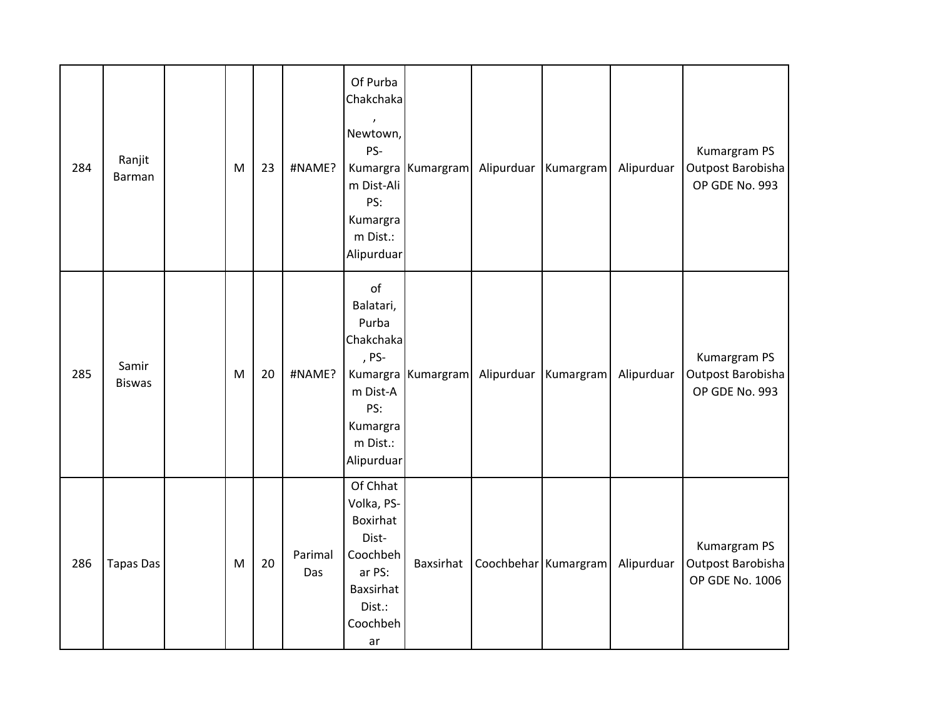| 284 | Ranjit<br><b>Barman</b> | M | 23 | #NAME?         | Of Purba<br>Chakchaka<br>Newtown,<br>PS-<br>m Dist-Ali<br>PS:<br>Kumargra<br>m Dist.:<br>Alipurduar        | Kumargra Kumargram | Alipurduar           | Kumargram              | Alipurduar | Kumargram PS<br>Outpost Barobisha<br>OP GDE No. 993  |
|-----|-------------------------|---|----|----------------|------------------------------------------------------------------------------------------------------------|--------------------|----------------------|------------------------|------------|------------------------------------------------------|
| 285 | Samir<br><b>Biswas</b>  | M | 20 | #NAME?         | of<br>Balatari,<br>Purba<br>Chakchaka<br>, PS-<br>m Dist-A<br>PS:<br>Kumargra<br>m Dist.:<br>Alipurduar    | Kumargra Kumargram |                      | Alipurduar   Kumargram | Alipurduar | Kumargram PS<br>Outpost Barobisha<br>OP GDE No. 993  |
| 286 | <b>Tapas Das</b>        | M | 20 | Parimal<br>Das | Of Chhat<br>Volka, PS-<br>Boxirhat<br>Dist-<br>Coochbeh<br>ar PS:<br>Baxsirhat<br>Dist.:<br>Coochbeh<br>ar | Baxsirhat          | Coochbehar Kumargram |                        | Alipurduar | Kumargram PS<br>Outpost Barobisha<br>OP GDE No. 1006 |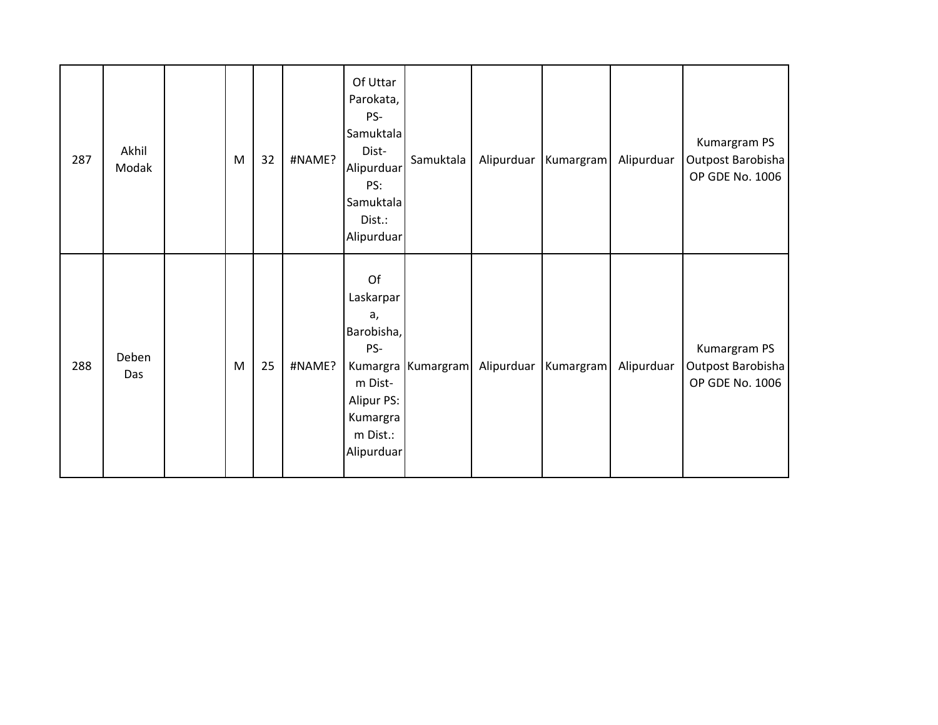| 287 | Akhil<br>Modak | M | 32 | #NAME? | Of Uttar<br>Parokata,<br>PS-<br>Samuktala<br>Dist-<br>Alipurduar<br>PS:<br>Samuktala<br>Dist.:<br>Alipurduar | Samuktala          | Alipurduar | Kumargram | Alipurduar | Kumargram PS<br>Outpost Barobisha<br>OP GDE No. 1006 |
|-----|----------------|---|----|--------|--------------------------------------------------------------------------------------------------------------|--------------------|------------|-----------|------------|------------------------------------------------------|
| 288 | Deben<br>Das   | M | 25 | #NAME? | Of<br>Laskarpar<br>a,<br>Barobisha,<br>PS-<br>m Dist-<br>Alipur PS:<br>Kumargra<br>m Dist.:<br>Alipurduar    | Kumargra Kumargram | Alipurduar | Kumargram | Alipurduar | Kumargram PS<br>Outpost Barobisha<br>OP GDE No. 1006 |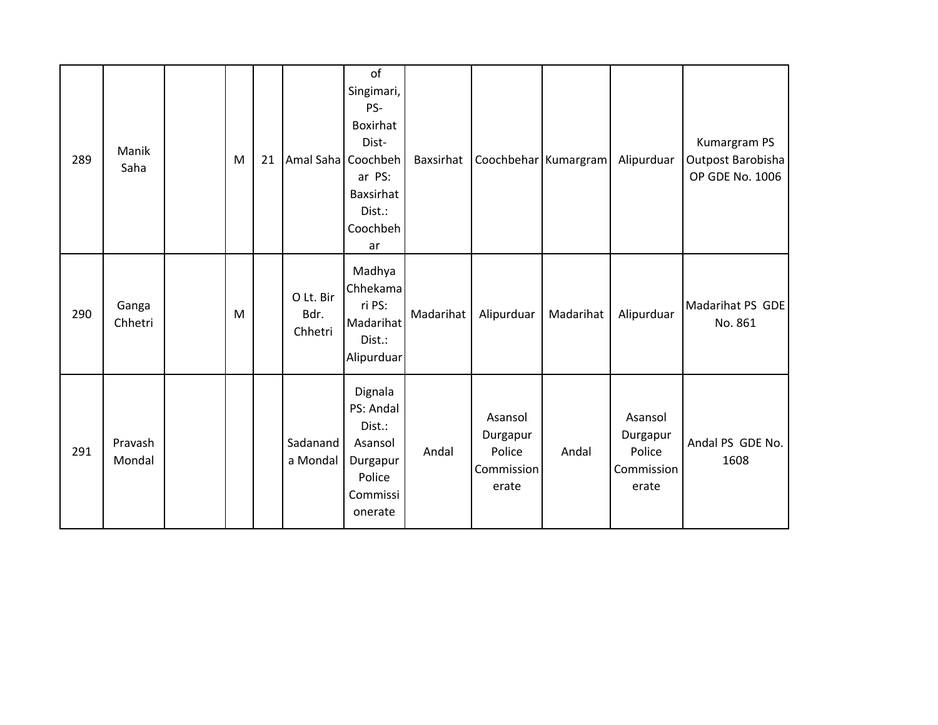| 289 | Manik<br>Saha     | M | 21 | Amal Saha Coochbeh           | of<br>Singimari,<br>PS-<br>Boxirhat<br>Dist-<br>ar PS:<br>Baxsirhat<br>Dist.:<br>Coochbeh<br>ar | Baxsirhat | Coochbehar Kumargram                                 |           | Alipurduar                                           | Kumargram PS<br>Outpost Barobisha<br>OP GDE No. 1006 |
|-----|-------------------|---|----|------------------------------|-------------------------------------------------------------------------------------------------|-----------|------------------------------------------------------|-----------|------------------------------------------------------|------------------------------------------------------|
| 290 | Ganga<br>Chhetri  | M |    | O Lt. Bir<br>Bdr.<br>Chhetri | Madhya<br>Chhekama<br>ri PS:<br>Madarihat<br>Dist.:<br>Alipurduar                               | Madarihat | Alipurduar                                           | Madarihat | Alipurduar                                           | Madarihat PS GDE<br>No. 861                          |
| 291 | Pravash<br>Mondal |   |    | Sadanand<br>a Mondal         | Dignala<br>PS: Andal<br>Dist.:<br>Asansol<br>Durgapur<br>Police<br>Commissi<br>onerate          | Andal     | Asansol<br>Durgapur<br>Police<br>Commission<br>erate | Andal     | Asansol<br>Durgapur<br>Police<br>Commission<br>erate | Andal PS GDE No.<br>1608                             |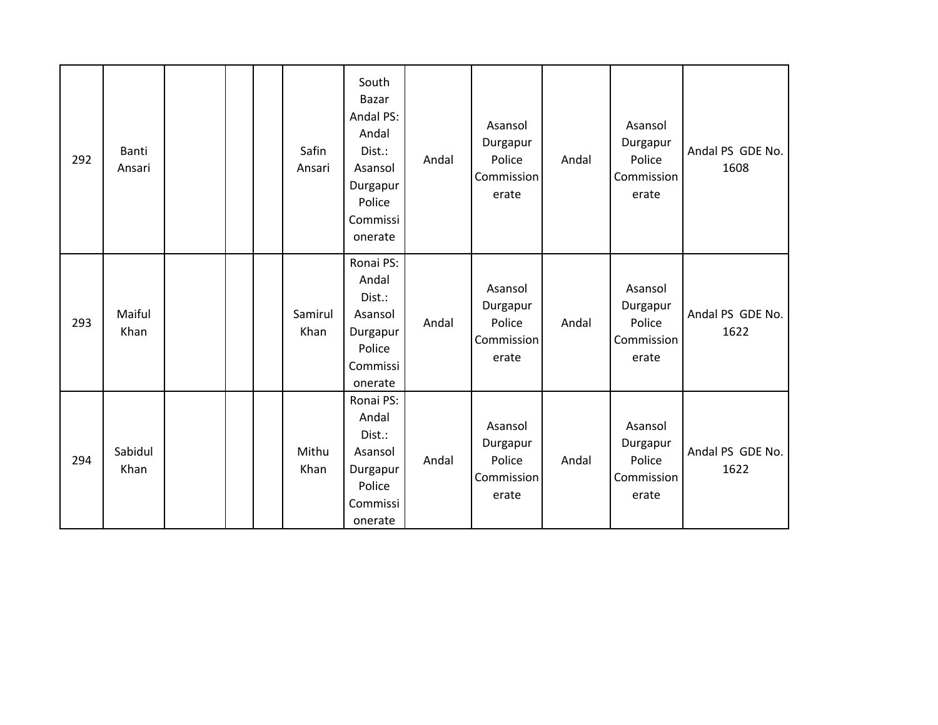| 292 | <b>Banti</b><br>Ansari |  | Safin<br>Ansari | South<br><b>Bazar</b><br>Andal PS:<br>Andal<br>Dist.:<br>Asansol<br>Durgapur<br>Police<br>Commissi<br>onerate | Andal | Asansol<br>Durgapur<br>Police<br>Commission<br>erate | Andal | Asansol<br>Durgapur<br>Police<br>Commission<br>erate | Andal PS GDE No.<br>1608 |
|-----|------------------------|--|-----------------|---------------------------------------------------------------------------------------------------------------|-------|------------------------------------------------------|-------|------------------------------------------------------|--------------------------|
| 293 | Maiful<br>Khan         |  | Samirul<br>Khan | Ronai PS:<br>Andal<br>Dist.:<br>Asansol<br>Durgapur<br>Police<br>Commissi<br>onerate                          | Andal | Asansol<br>Durgapur<br>Police<br>Commission<br>erate | Andal | Asansol<br>Durgapur<br>Police<br>Commission<br>erate | Andal PS GDE No.<br>1622 |
| 294 | Sabidul<br>Khan        |  | Mithu<br>Khan   | Ronai PS:<br>Andal<br>Dist.:<br>Asansol<br>Durgapur<br>Police<br>Commissi<br>onerate                          | Andal | Asansol<br>Durgapur<br>Police<br>Commission<br>erate | Andal | Asansol<br>Durgapur<br>Police<br>Commission<br>erate | Andal PS GDE No.<br>1622 |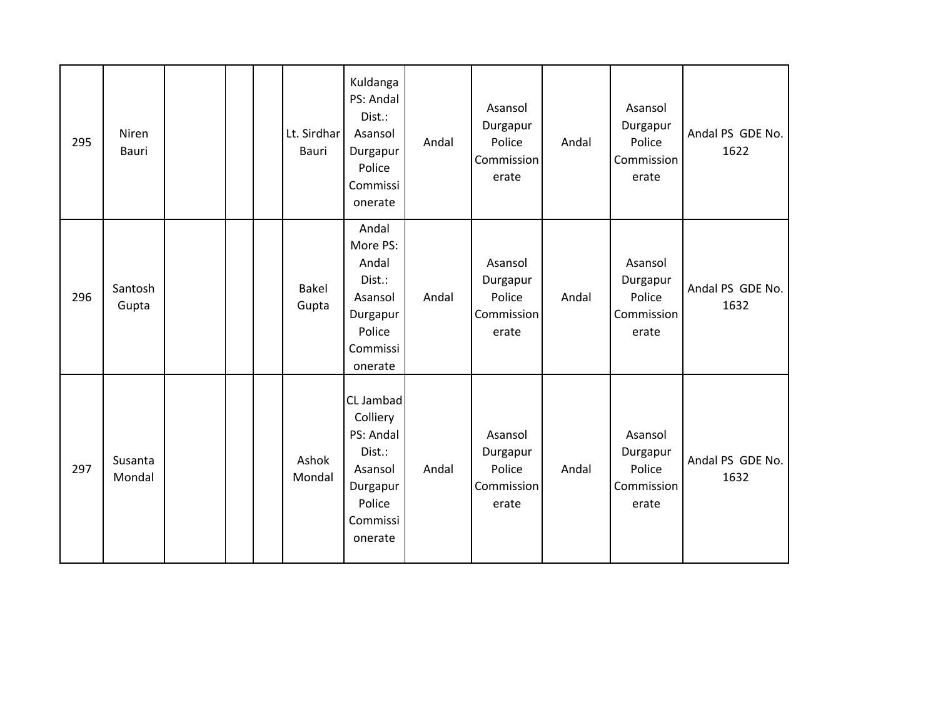| 295 | Niren<br>Bauri    |  | Lt. Sirdhar<br>Bauri | Kuldanga<br>PS: Andal<br>Dist.:<br>Asansol<br>Durgapur<br>Police<br>Commissi<br>onerate              | Andal | Asansol<br>Durgapur<br>Police<br>Commission<br>erate | Andal | Asansol<br>Durgapur<br>Police<br>Commission<br>erate | Andal PS GDE No.<br>1622 |
|-----|-------------------|--|----------------------|------------------------------------------------------------------------------------------------------|-------|------------------------------------------------------|-------|------------------------------------------------------|--------------------------|
| 296 | Santosh<br>Gupta  |  | Bakel<br>Gupta       | Andal<br>More PS:<br>Andal<br>Dist.:<br>Asansol<br>Durgapur<br>Police<br>Commissi<br>onerate         | Andal | Asansol<br>Durgapur<br>Police<br>Commission<br>erate | Andal | Asansol<br>Durgapur<br>Police<br>Commission<br>erate | Andal PS GDE No.<br>1632 |
| 297 | Susanta<br>Mondal |  | Ashok<br>Mondal      | CL Jambad<br>Colliery<br>PS: Andal<br>Dist.:<br>Asansol<br>Durgapur<br>Police<br>Commissi<br>onerate | Andal | Asansol<br>Durgapur<br>Police<br>Commission<br>erate | Andal | Asansol<br>Durgapur<br>Police<br>Commission<br>erate | Andal PS GDE No.<br>1632 |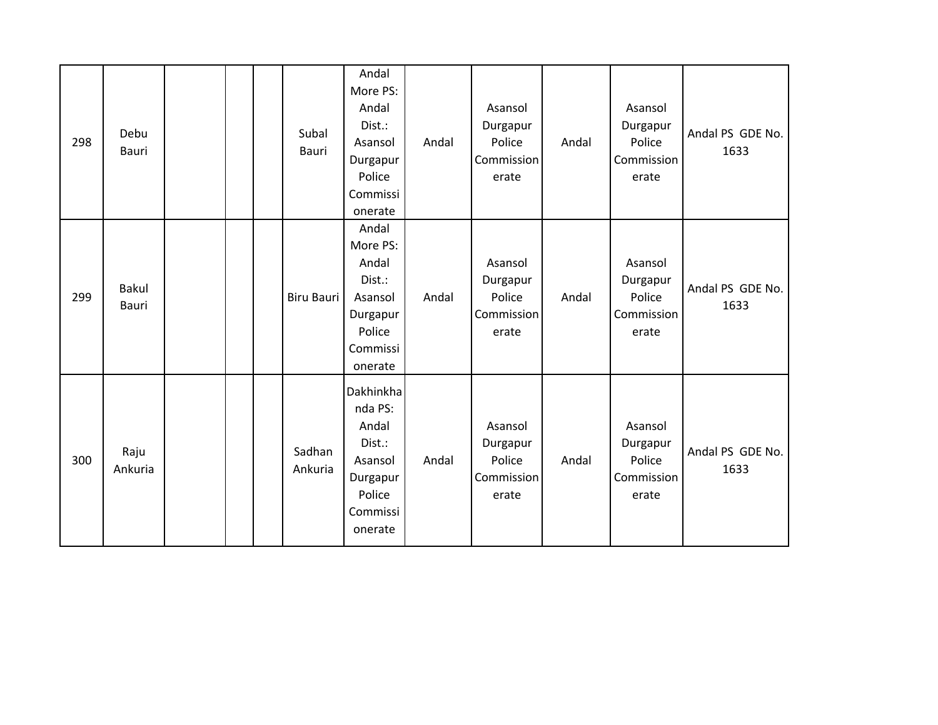| 298 | Debu<br>Bauri         |  | Subal<br>Bauri    | Andal<br>More PS:<br>Andal<br>Dist.:<br>Asansol<br>Durgapur<br>Police<br>Commissi<br>onerate    | Andal | Asansol<br>Durgapur<br>Police<br>Commission<br>erate | Andal | Asansol<br>Durgapur<br>Police<br>Commission<br>erate | Andal PS GDE No.<br>1633 |
|-----|-----------------------|--|-------------------|-------------------------------------------------------------------------------------------------|-------|------------------------------------------------------|-------|------------------------------------------------------|--------------------------|
| 299 | <b>Bakul</b><br>Bauri |  | <b>Biru Bauri</b> | Andal<br>More PS:<br>Andal<br>Dist.:<br>Asansol<br>Durgapur<br>Police<br>Commissi<br>onerate    | Andal | Asansol<br>Durgapur<br>Police<br>Commission<br>erate | Andal | Asansol<br>Durgapur<br>Police<br>Commission<br>erate | Andal PS GDE No.<br>1633 |
| 300 | Raju<br>Ankuria       |  | Sadhan<br>Ankuria | Dakhinkha<br>nda PS:<br>Andal<br>Dist.:<br>Asansol<br>Durgapur<br>Police<br>Commissi<br>onerate | Andal | Asansol<br>Durgapur<br>Police<br>Commission<br>erate | Andal | Asansol<br>Durgapur<br>Police<br>Commission<br>erate | Andal PS GDE No.<br>1633 |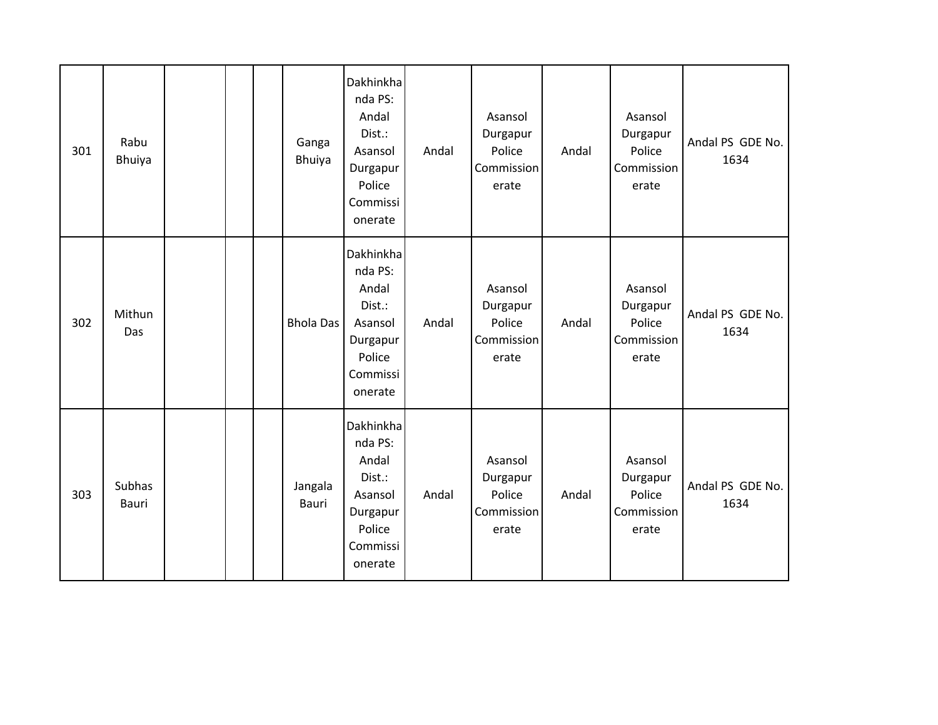| 301 | Rabu<br>Bhuiya  |  | Ganga<br>Bhuiya  | Dakhinkha<br>nda PS:<br>Andal<br>Dist.:<br>Asansol<br>Durgapur<br>Police<br>Commissi<br>onerate | Andal | Asansol<br>Durgapur<br>Police<br>Commission<br>erate | Andal | Asansol<br>Durgapur<br>Police<br>Commission<br>erate | Andal PS GDE No.<br>1634 |
|-----|-----------------|--|------------------|-------------------------------------------------------------------------------------------------|-------|------------------------------------------------------|-------|------------------------------------------------------|--------------------------|
| 302 | Mithun<br>Das   |  | <b>Bhola Das</b> | Dakhinkha<br>nda PS:<br>Andal<br>Dist.:<br>Asansol<br>Durgapur<br>Police<br>Commissi<br>onerate | Andal | Asansol<br>Durgapur<br>Police<br>Commission<br>erate | Andal | Asansol<br>Durgapur<br>Police<br>Commission<br>erate | Andal PS GDE No.<br>1634 |
| 303 | Subhas<br>Bauri |  | Jangala<br>Bauri | Dakhinkha<br>nda PS:<br>Andal<br>Dist.:<br>Asansol<br>Durgapur<br>Police<br>Commissi<br>onerate | Andal | Asansol<br>Durgapur<br>Police<br>Commission<br>erate | Andal | Asansol<br>Durgapur<br>Police<br>Commission<br>erate | Andal PS GDE No.<br>1634 |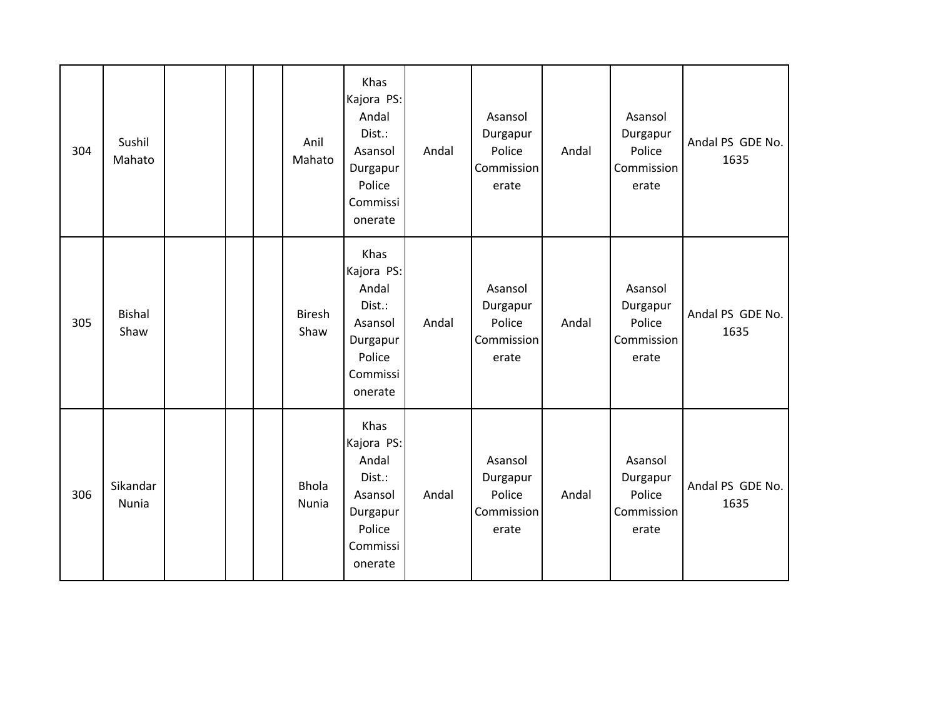| 304 | Sushil<br>Mahato         |  | Anil<br>Mahato        | Khas<br>Kajora PS:<br>Andal<br>Dist.:<br>Asansol<br>Durgapur<br>Police<br>Commissi<br>onerate | Andal | Asansol<br>Durgapur<br>Police<br>Commission<br>erate | Andal | Asansol<br>Durgapur<br>Police<br>Commission<br>erate | Andal PS GDE No.<br>1635 |
|-----|--------------------------|--|-----------------------|-----------------------------------------------------------------------------------------------|-------|------------------------------------------------------|-------|------------------------------------------------------|--------------------------|
| 305 | <b>Bishal</b><br>Shaw    |  | <b>Biresh</b><br>Shaw | Khas<br>Kajora PS:<br>Andal<br>Dist.:<br>Asansol<br>Durgapur<br>Police<br>Commissi<br>onerate | Andal | Asansol<br>Durgapur<br>Police<br>Commission<br>erate | Andal | Asansol<br>Durgapur<br>Police<br>Commission<br>erate | Andal PS GDE No.<br>1635 |
| 306 | Sikandar<br><b>Nunia</b> |  | <b>Bhola</b><br>Nunia | Khas<br>Kajora PS:<br>Andal<br>Dist.:<br>Asansol<br>Durgapur<br>Police<br>Commissi<br>onerate | Andal | Asansol<br>Durgapur<br>Police<br>Commission<br>erate | Andal | Asansol<br>Durgapur<br>Police<br>Commission<br>erate | Andal PS GDE No.<br>1635 |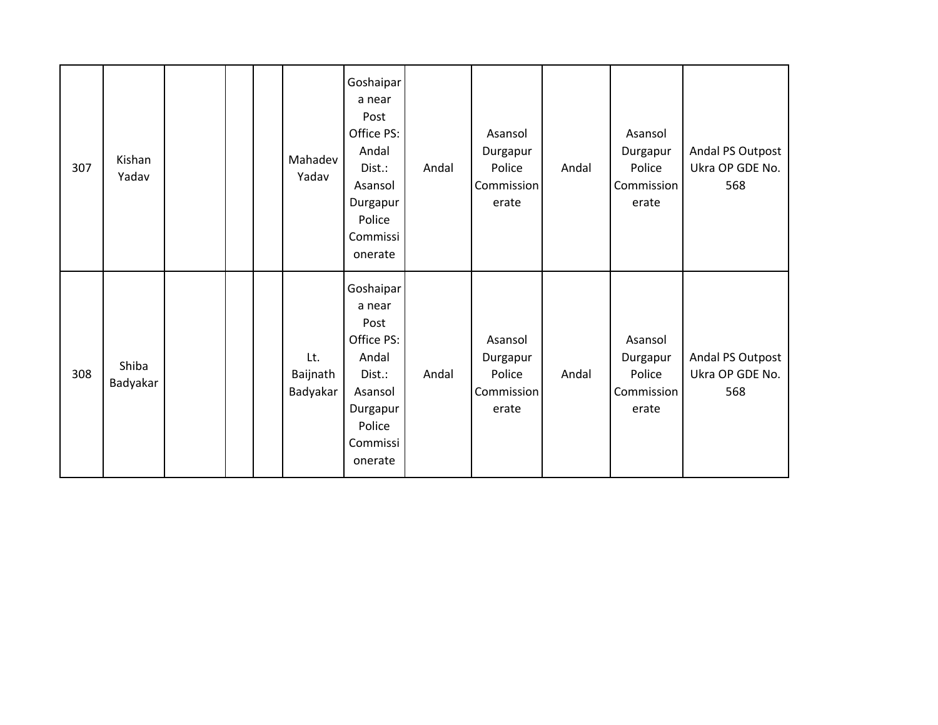| 307 | Kishan<br>Yadav   |  | Mahadev<br>Yadav            | Goshaipar<br>a near<br>Post<br>Office PS:<br>Andal<br>Dist.:<br>Asansol<br>Durgapur<br>Police<br>Commissi<br>onerate | Andal | Asansol<br>Durgapur<br>Police<br>Commission<br>erate | Andal | Asansol<br>Durgapur<br>Police<br>Commission<br>erate | Andal PS Outpost<br>Ukra OP GDE No.<br>568 |
|-----|-------------------|--|-----------------------------|----------------------------------------------------------------------------------------------------------------------|-------|------------------------------------------------------|-------|------------------------------------------------------|--------------------------------------------|
| 308 | Shiba<br>Badyakar |  | Lt.<br>Baijnath<br>Badyakar | Goshaipar<br>a near<br>Post<br>Office PS:<br>Andal<br>Dist.:<br>Asansol<br>Durgapur<br>Police<br>Commissi<br>onerate | Andal | Asansol<br>Durgapur<br>Police<br>Commission<br>erate | Andal | Asansol<br>Durgapur<br>Police<br>Commission<br>erate | Andal PS Outpost<br>Ukra OP GDE No.<br>568 |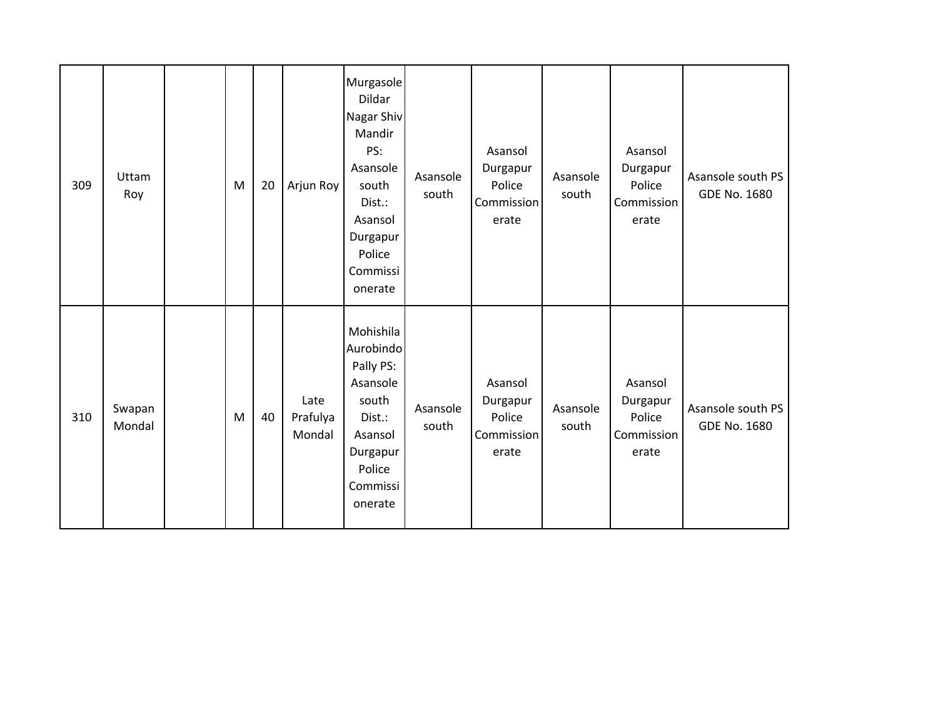| 309 | Uttam<br>Roy     | M | 20 | Arjun Roy                  | Murgasole<br>Dildar<br>Nagar Shiv<br>Mandir<br>PS:<br>Asansole<br>south<br>Dist.:<br>Asansol<br>Durgapur<br>Police<br>Commissi<br>onerate | Asansole<br>south | Asansol<br>Durgapur<br>Police<br>Commission<br>erate | Asansole<br>south | Asansol<br>Durgapur<br>Police<br>Commission<br>erate | Asansole south PS<br>GDE No. 1680 |
|-----|------------------|---|----|----------------------------|-------------------------------------------------------------------------------------------------------------------------------------------|-------------------|------------------------------------------------------|-------------------|------------------------------------------------------|-----------------------------------|
| 310 | Swapan<br>Mondal | M | 40 | Late<br>Prafulya<br>Mondal | Mohishila<br>Aurobindo<br>Pally PS:<br>Asansole<br>south<br>Dist.:<br>Asansol<br>Durgapur<br>Police<br>Commissi<br>onerate                | Asansole<br>south | Asansol<br>Durgapur<br>Police<br>Commission<br>erate | Asansole<br>south | Asansol<br>Durgapur<br>Police<br>Commission<br>erate | Asansole south PS<br>GDE No. 1680 |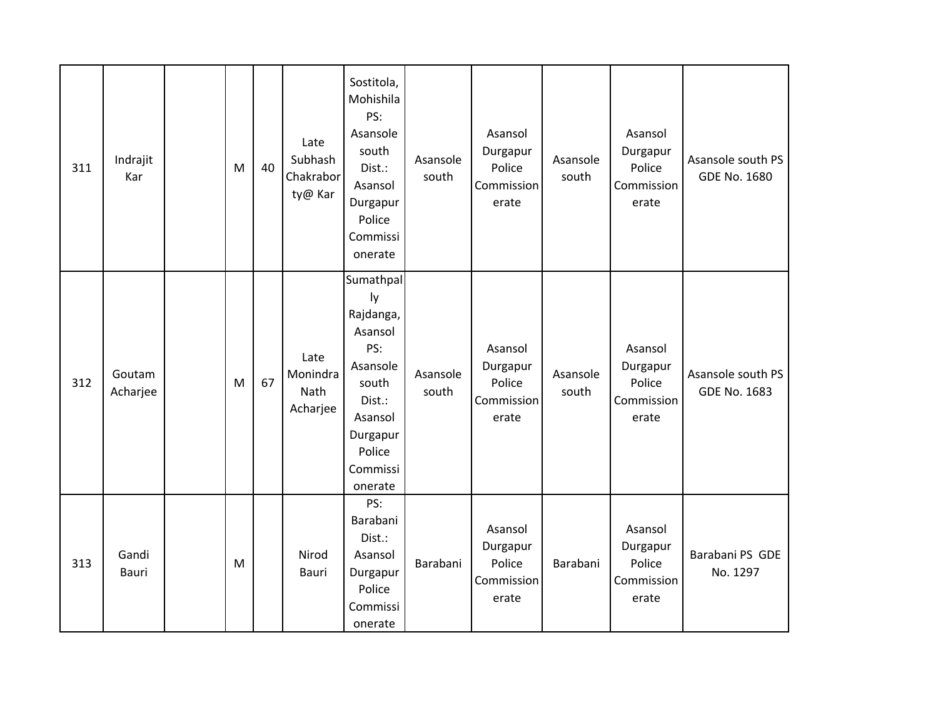| 311 | Indrajit<br>Kar       | M | 40 | Late<br>Subhash<br>Chakrabor<br>ty@ Kar | Sostitola,<br>Mohishila<br>PS:<br>Asansole<br>south<br>Dist.:<br>Asansol<br>Durgapur<br>Police<br>Commissi<br>onerate                 | Asansole<br>south | Asansol<br>Durgapur<br>Police<br>Commission<br>erate | Asansole<br>south | Asansol<br>Durgapur<br>Police<br>Commission<br>erate | Asansole south PS<br>GDE No. 1680 |
|-----|-----------------------|---|----|-----------------------------------------|---------------------------------------------------------------------------------------------------------------------------------------|-------------------|------------------------------------------------------|-------------------|------------------------------------------------------|-----------------------------------|
| 312 | Goutam<br>Acharjee    | M | 67 | Late<br>Monindra<br>Nath<br>Acharjee    | Sumathpal<br>ly<br>Rajdanga,<br>Asansol<br>PS:<br>Asansole<br>south<br>Dist.:<br>Asansol<br>Durgapur<br>Police<br>Commissi<br>onerate | Asansole<br>south | Asansol<br>Durgapur<br>Police<br>Commission<br>erate | Asansole<br>south | Asansol<br>Durgapur<br>Police<br>Commission<br>erate | Asansole south PS<br>GDE No. 1683 |
| 313 | Gandi<br><b>Bauri</b> | M |    | Nirod<br>Bauri                          | PS:<br>Barabani<br>Dist.:<br>Asansol<br>Durgapur<br>Police<br>Commissi<br>onerate                                                     | Barabani          | Asansol<br>Durgapur<br>Police<br>Commission<br>erate | Barabani          | Asansol<br>Durgapur<br>Police<br>Commission<br>erate | Barabani PS GDE<br>No. 1297       |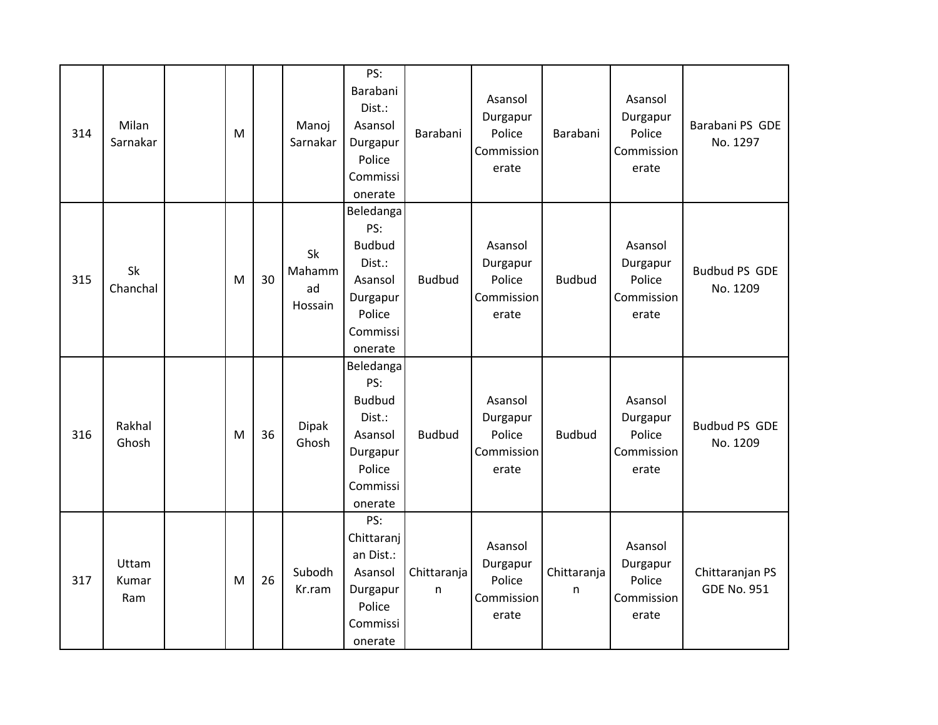| 314 | Milan<br>Sarnakar     | M |    | Manoj<br>Sarnakar             | PS:<br>Barabani<br>Dist.:<br>Asansol<br>Durgapur<br>Police<br>Commissi<br>onerate                   | Barabani         | Asansol<br>Durgapur<br>Police<br>Commission<br>erate | Barabani         | Asansol<br>Durgapur<br>Police<br>Commission<br>erate | Barabani PS GDE<br>No. 1297           |
|-----|-----------------------|---|----|-------------------------------|-----------------------------------------------------------------------------------------------------|------------------|------------------------------------------------------|------------------|------------------------------------------------------|---------------------------------------|
| 315 | Sk<br>Chanchal        | M | 30 | Sk<br>Mahamm<br>ad<br>Hossain | Beledanga<br>PS:<br><b>Budbud</b><br>Dist.:<br>Asansol<br>Durgapur<br>Police<br>Commissi<br>onerate | <b>Budbud</b>    | Asansol<br>Durgapur<br>Police<br>Commission<br>erate | <b>Budbud</b>    | Asansol<br>Durgapur<br>Police<br>Commission<br>erate | <b>Budbud PS GDE</b><br>No. 1209      |
| 316 | Rakhal<br>Ghosh       | M | 36 | <b>Dipak</b><br>Ghosh         | Beledanga<br>PS:<br><b>Budbud</b><br>Dist.:<br>Asansol<br>Durgapur<br>Police<br>Commissi<br>onerate | <b>Budbud</b>    | Asansol<br>Durgapur<br>Police<br>Commission<br>erate | <b>Budbud</b>    | Asansol<br>Durgapur<br>Police<br>Commission<br>erate | <b>Budbud PS GDE</b><br>No. 1209      |
| 317 | Uttam<br>Kumar<br>Ram | M | 26 | Subodh<br>Kr.ram              | PS:<br>Chittaranj<br>an Dist.:<br>Asansol<br>Durgapur<br>Police<br>Commissi<br>onerate              | Chittaranja<br>n | Asansol<br>Durgapur<br>Police<br>Commission<br>erate | Chittaranja<br>n | Asansol<br>Durgapur<br>Police<br>Commission<br>erate | Chittaranjan PS<br><b>GDE No. 951</b> |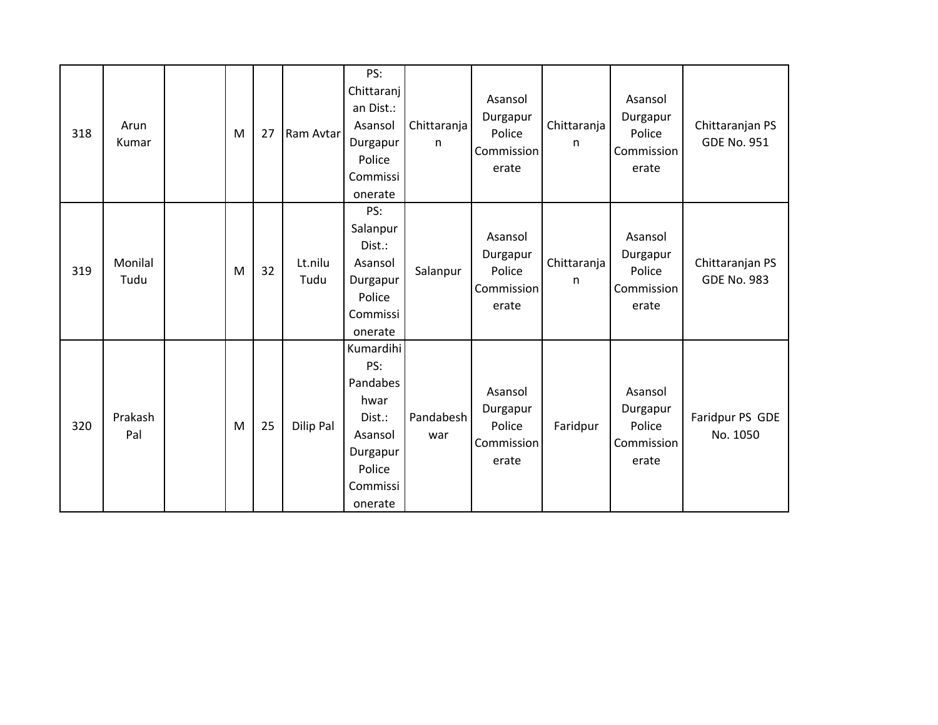| 318 | Arun<br>Kumar   | M | 27 | Ram Avtar       | PS:<br>Chittaranj<br>an Dist.:<br>Asansol<br>Durgapur<br>Police<br>Commissi<br>onerate                 | Chittaranja<br>$\mathsf{n}$ | Asansol<br>Durgapur<br>Police<br>Commission<br>erate | Chittaranja<br>n | Asansol<br>Durgapur<br>Police<br>Commission<br>erate | Chittaranjan PS<br><b>GDE No. 951</b> |
|-----|-----------------|---|----|-----------------|--------------------------------------------------------------------------------------------------------|-----------------------------|------------------------------------------------------|------------------|------------------------------------------------------|---------------------------------------|
| 319 | Monilal<br>Tudu | M | 32 | Lt.nilu<br>Tudu | PS:<br>Salanpur<br>Dist.:<br>Asansol<br>Durgapur<br>Police<br>Commissi<br>onerate                      | Salanpur                    | Asansol<br>Durgapur<br>Police<br>Commission<br>erate | Chittaranja<br>n | Asansol<br>Durgapur<br>Police<br>Commission<br>erate | Chittaranjan PS<br><b>GDE No. 983</b> |
| 320 | Prakash<br>Pal  | M | 25 | Dilip Pal       | Kumardihi<br>PS:<br>Pandabes<br>hwar<br>Dist.:<br>Asansol<br>Durgapur<br>Police<br>Commissi<br>onerate | Pandabesh<br>war            | Asansol<br>Durgapur<br>Police<br>Commission<br>erate | Faridpur         | Asansol<br>Durgapur<br>Police<br>Commission<br>erate | Faridpur PS GDE<br>No. 1050           |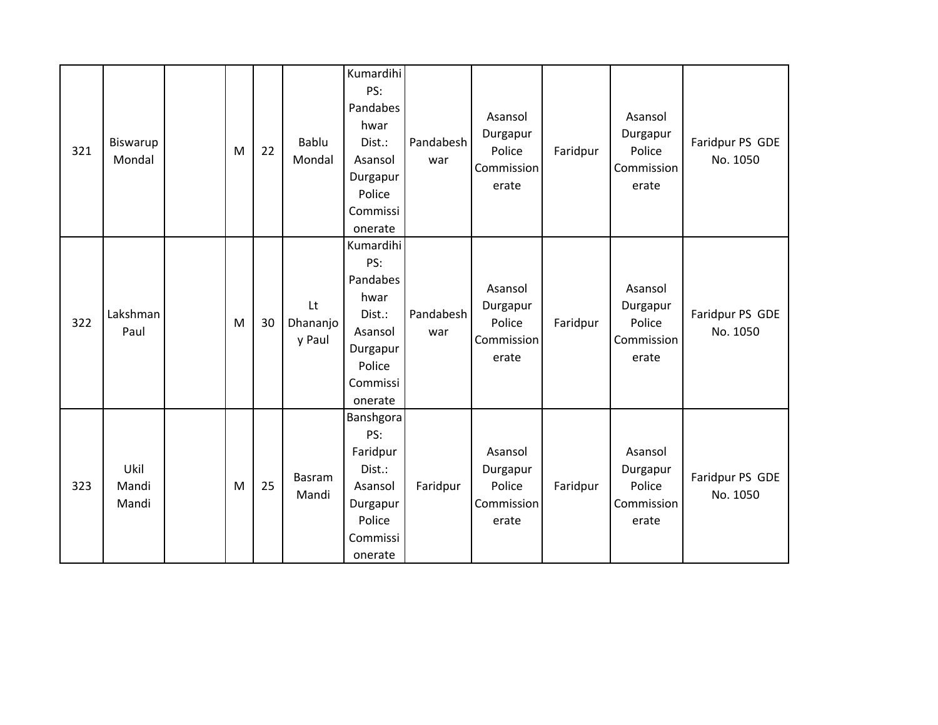| 321 | Biswarup<br>Mondal     | M | 22 | Bablu<br>Mondal          | Kumardihi<br>PS:<br>Pandabes<br>hwar<br>Dist.:<br>Asansol<br>Durgapur<br>Police<br>Commissi<br>onerate | Pandabesh<br>war | Asansol<br>Durgapur<br>Police<br>Commission<br>erate | Faridpur | Asansol<br>Durgapur<br>Police<br>Commission<br>erate | Faridpur PS GDE<br>No. 1050 |
|-----|------------------------|---|----|--------------------------|--------------------------------------------------------------------------------------------------------|------------------|------------------------------------------------------|----------|------------------------------------------------------|-----------------------------|
| 322 | Lakshman<br>Paul       | M | 30 | Lt<br>Dhananjo<br>y Paul | Kumardihi<br>PS:<br>Pandabes<br>hwar<br>Dist.:<br>Asansol<br>Durgapur<br>Police<br>Commissi<br>onerate | Pandabesh<br>war | Asansol<br>Durgapur<br>Police<br>Commission<br>erate | Faridpur | Asansol<br>Durgapur<br>Police<br>Commission<br>erate | Faridpur PS GDE<br>No. 1050 |
| 323 | Ukil<br>Mandi<br>Mandi | M | 25 | Basram<br>Mandi          | Banshgora<br>PS:<br>Faridpur<br>Dist.:<br>Asansol<br>Durgapur<br>Police<br>Commissi<br>onerate         | Faridpur         | Asansol<br>Durgapur<br>Police<br>Commission<br>erate | Faridpur | Asansol<br>Durgapur<br>Police<br>Commission<br>erate | Faridpur PS GDE<br>No. 1050 |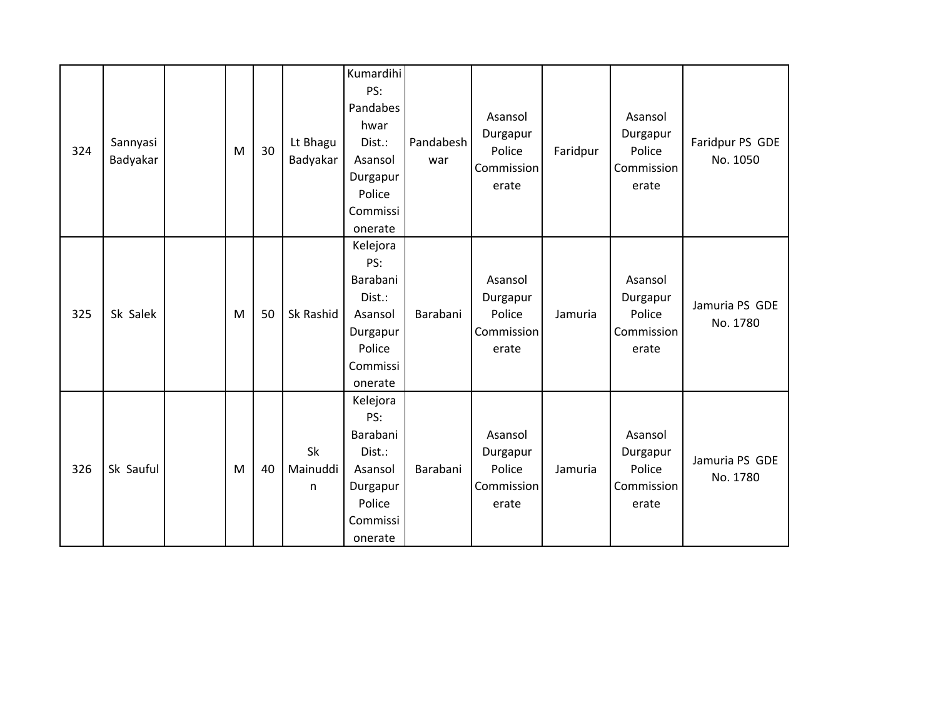| 324 | Sannyasi<br>Badyakar | M | 30 | Lt Bhagu<br>Badyakar | Kumardihi<br>PS:<br>Pandabes<br>hwar<br>Dist.:<br>Asansol<br>Durgapur<br>Police<br>Commissi<br>onerate | Pandabesh<br>war | Asansol<br>Durgapur<br>Police<br>Commission<br>erate | Faridpur | Asansol<br>Durgapur<br>Police<br>Commission<br>erate | Faridpur PS GDE<br>No. 1050 |
|-----|----------------------|---|----|----------------------|--------------------------------------------------------------------------------------------------------|------------------|------------------------------------------------------|----------|------------------------------------------------------|-----------------------------|
| 325 | Sk Salek             | M | 50 | Sk Rashid            | Kelejora<br>PS:<br>Barabani<br>Dist.:<br>Asansol<br>Durgapur<br>Police<br>Commissi<br>onerate          | Barabani         | Asansol<br>Durgapur<br>Police<br>Commission<br>erate | Jamuria  | Asansol<br>Durgapur<br>Police<br>Commission<br>erate | Jamuria PS GDE<br>No. 1780  |
| 326 | Sk Sauful            | M | 40 | Sk<br>Mainuddi<br>n  | Kelejora<br>PS:<br>Barabani<br>Dist.:<br>Asansol<br>Durgapur<br>Police<br>Commissi<br>onerate          | Barabani         | Asansol<br>Durgapur<br>Police<br>Commission<br>erate | Jamuria  | Asansol<br>Durgapur<br>Police<br>Commission<br>erate | Jamuria PS GDE<br>No. 1780  |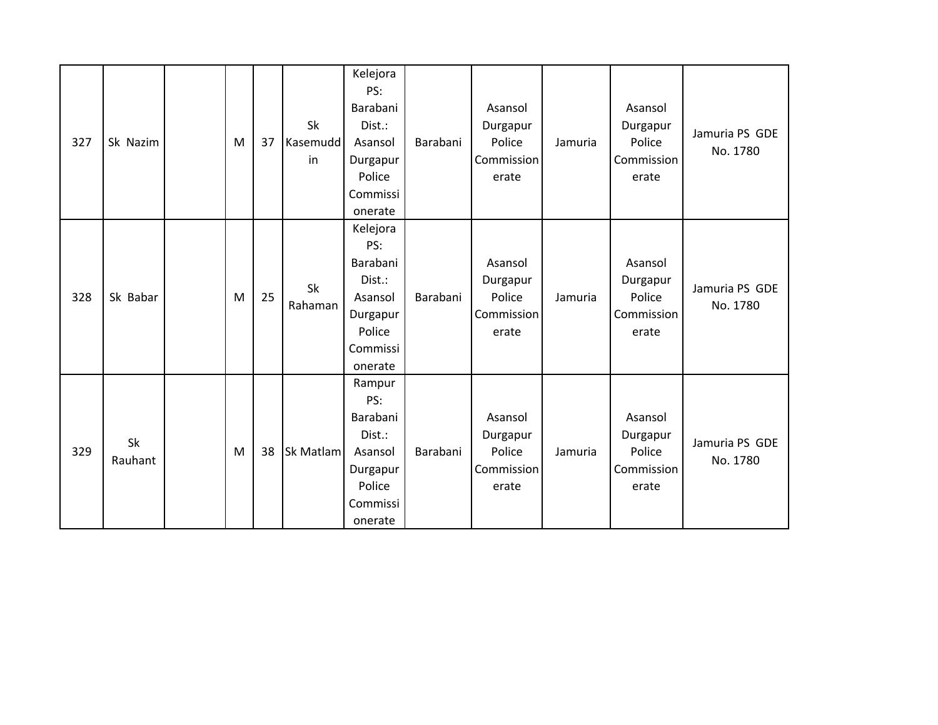| 327 | Sk Nazim      | M | 37 | Sk<br>Kasemudd<br>in | Kelejora<br>PS:<br>Barabani<br>Dist.:<br>Asansol<br>Durgapur<br>Police<br>Commissi<br>onerate | Barabani | Asansol<br>Durgapur<br>Police<br>Commission<br>erate | Jamuria | Asansol<br>Durgapur<br>Police<br>Commission<br>erate | Jamuria PS GDE<br>No. 1780 |
|-----|---------------|---|----|----------------------|-----------------------------------------------------------------------------------------------|----------|------------------------------------------------------|---------|------------------------------------------------------|----------------------------|
| 328 | Sk Babar      | M | 25 | Sk<br>Rahaman        | Kelejora<br>PS:<br>Barabani<br>Dist.:<br>Asansol<br>Durgapur<br>Police<br>Commissi<br>onerate | Barabani | Asansol<br>Durgapur<br>Police<br>Commission<br>erate | Jamuria | Asansol<br>Durgapur<br>Police<br>Commission<br>erate | Jamuria PS GDE<br>No. 1780 |
| 329 | Sk<br>Rauhant | M | 38 | Sk Matlam            | Rampur<br>PS:<br>Barabani<br>Dist.:<br>Asansol<br>Durgapur<br>Police<br>Commissi<br>onerate   | Barabani | Asansol<br>Durgapur<br>Police<br>Commission<br>erate | Jamuria | Asansol<br>Durgapur<br>Police<br>Commission<br>erate | Jamuria PS GDE<br>No. 1780 |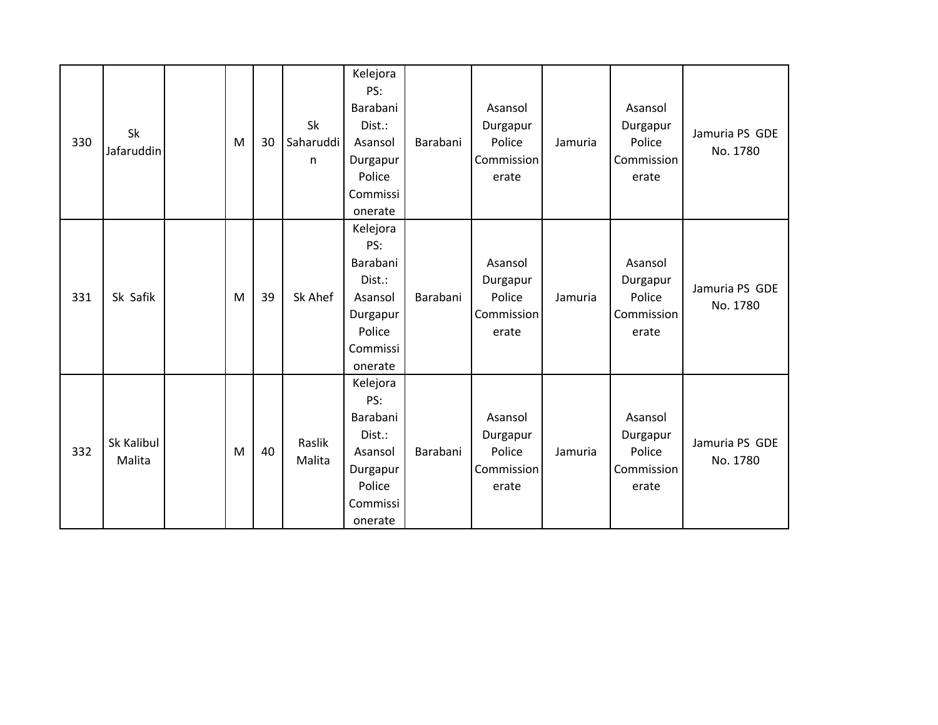| 330 | Sk<br>Jafaruddin     | M | 30 | Sk<br>Saharuddi<br>n | Kelejora<br>PS:<br>Barabani<br>Dist.:<br>Asansol<br>Durgapur<br>Police<br>Commissi<br>onerate | Barabani | Asansol<br>Durgapur<br>Police<br>Commission<br>erate | Jamuria | Asansol<br>Durgapur<br>Police<br>Commission<br>erate | Jamuria PS GDE<br>No. 1780 |
|-----|----------------------|---|----|----------------------|-----------------------------------------------------------------------------------------------|----------|------------------------------------------------------|---------|------------------------------------------------------|----------------------------|
| 331 | Sk Safik             | M | 39 | Sk Ahef              | Kelejora<br>PS:<br>Barabani<br>Dist.:<br>Asansol<br>Durgapur<br>Police<br>Commissi<br>onerate | Barabani | Asansol<br>Durgapur<br>Police<br>Commission<br>erate | Jamuria | Asansol<br>Durgapur<br>Police<br>Commission<br>erate | Jamuria PS GDE<br>No. 1780 |
| 332 | Sk Kalibul<br>Malita | M | 40 | Raslik<br>Malita     | Kelejora<br>PS:<br>Barabani<br>Dist.:<br>Asansol<br>Durgapur<br>Police<br>Commissi<br>onerate | Barabani | Asansol<br>Durgapur<br>Police<br>Commission<br>erate | Jamuria | Asansol<br>Durgapur<br>Police<br>Commission<br>erate | Jamuria PS GDE<br>No. 1780 |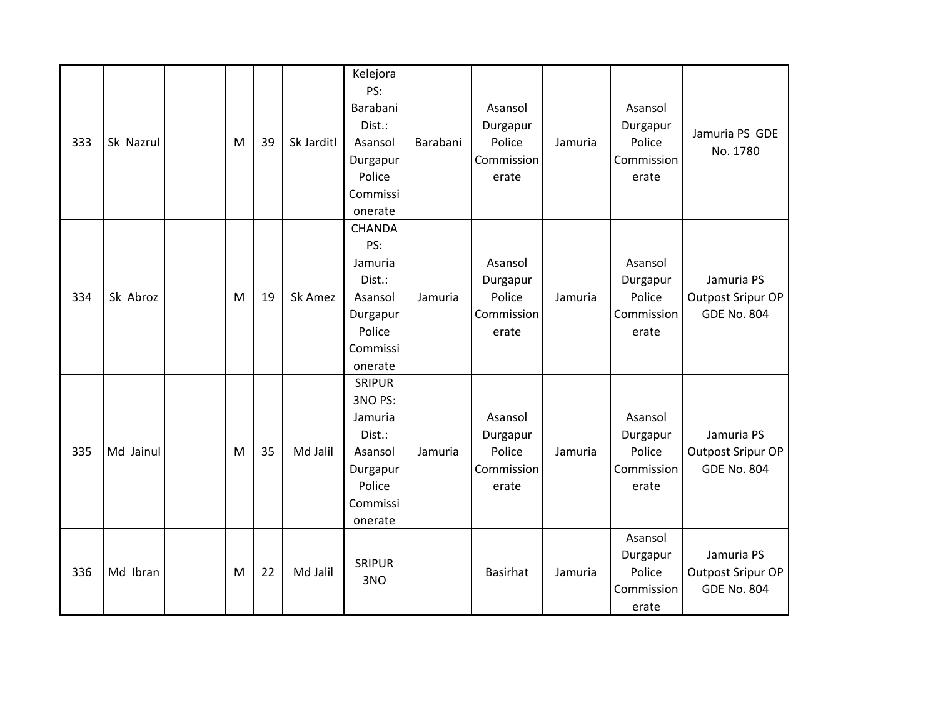| 333 | Sk Nazrul | M | 39 | Sk Jarditl | Kelejora<br>PS:<br>Barabani<br>Dist.:<br>Asansol<br>Durgapur<br>Police<br>Commissi<br>onerate         | Barabani | Asansol<br>Durgapur<br>Police<br>Commission<br>erate | Jamuria | Asansol<br>Durgapur<br>Police<br>Commission<br>erate | Jamuria PS GDE<br>No. 1780                            |
|-----|-----------|---|----|------------|-------------------------------------------------------------------------------------------------------|----------|------------------------------------------------------|---------|------------------------------------------------------|-------------------------------------------------------|
| 334 | Sk Abroz  | M | 19 | Sk Amez    | <b>CHANDA</b><br>PS:<br>Jamuria<br>Dist.:<br>Asansol<br>Durgapur<br>Police<br>Commissi<br>onerate     | Jamuria  | Asansol<br>Durgapur<br>Police<br>Commission<br>erate | Jamuria | Asansol<br>Durgapur<br>Police<br>Commission<br>erate | Jamuria PS<br>Outpost Sripur OP<br><b>GDE No. 804</b> |
| 335 | Md Jainul | M | 35 | Md Jalil   | <b>SRIPUR</b><br>3NO PS:<br>Jamuria<br>Dist.:<br>Asansol<br>Durgapur<br>Police<br>Commissi<br>onerate | Jamuria  | Asansol<br>Durgapur<br>Police<br>Commission<br>erate | Jamuria | Asansol<br>Durgapur<br>Police<br>Commission<br>erate | Jamuria PS<br>Outpost Sripur OP<br><b>GDE No. 804</b> |
| 336 | Md Ibran  | M | 22 | Md Jalil   | <b>SRIPUR</b><br>3NO                                                                                  |          | <b>Basirhat</b>                                      | Jamuria | Asansol<br>Durgapur<br>Police<br>Commission<br>erate | Jamuria PS<br>Outpost Sripur OP<br><b>GDE No. 804</b> |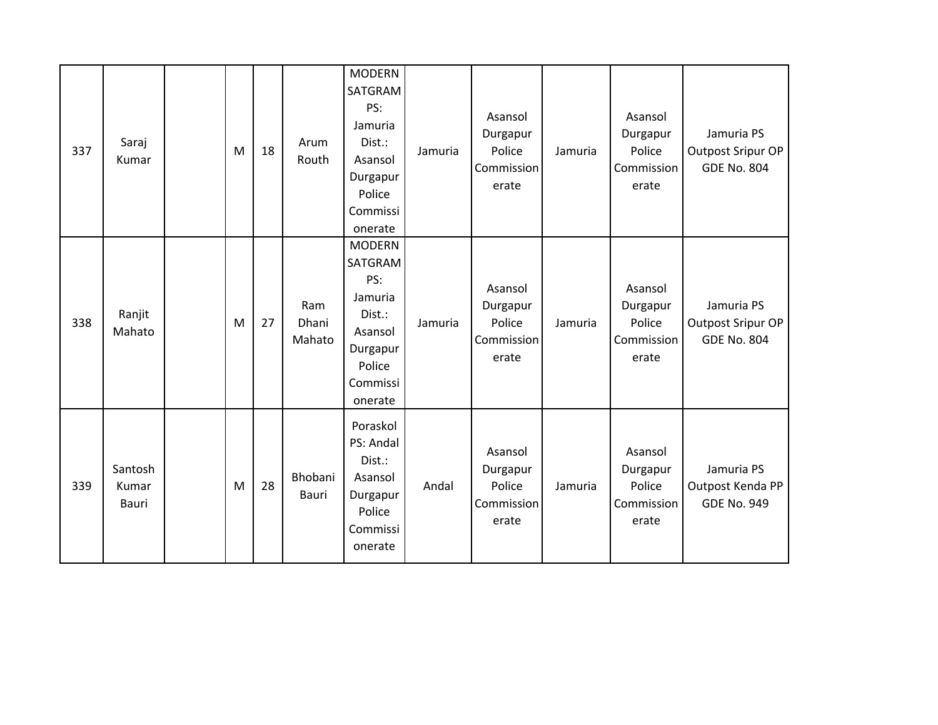| 337 | Saraj<br>Kumar            | M | 18 | Arum<br>Routh          | <b>MODERN</b><br>SATGRAM<br>PS:<br>Jamuria<br>Dist.:<br>Asansol<br>Durgapur<br>Police<br>Commissi<br>onerate | Jamuria | Asansol<br>Durgapur<br>Police<br>Commission<br>erate | Jamuria | Asansol<br>Durgapur<br>Police<br>Commission<br>erate | Jamuria PS<br>Outpost Sripur OP<br><b>GDE No. 804</b> |
|-----|---------------------------|---|----|------------------------|--------------------------------------------------------------------------------------------------------------|---------|------------------------------------------------------|---------|------------------------------------------------------|-------------------------------------------------------|
| 338 | Ranjit<br>Mahato          | M | 27 | Ram<br>Dhani<br>Mahato | <b>MODERN</b><br>SATGRAM<br>PS:<br>Jamuria<br>Dist.:<br>Asansol<br>Durgapur<br>Police<br>Commissi<br>onerate | Jamuria | Asansol<br>Durgapur<br>Police<br>Commission<br>erate | Jamuria | Asansol<br>Durgapur<br>Police<br>Commission<br>erate | Jamuria PS<br>Outpost Sripur OP<br><b>GDE No. 804</b> |
| 339 | Santosh<br>Kumar<br>Bauri | M | 28 | Bhobani<br>Bauri       | Poraskol<br>PS: Andal<br>Dist.:<br>Asansol<br>Durgapur<br>Police<br>Commissi<br>onerate                      | Andal   | Asansol<br>Durgapur<br>Police<br>Commission<br>erate | Jamuria | Asansol<br>Durgapur<br>Police<br>Commission<br>erate | Jamuria PS<br>Outpost Kenda PP<br><b>GDE No. 949</b>  |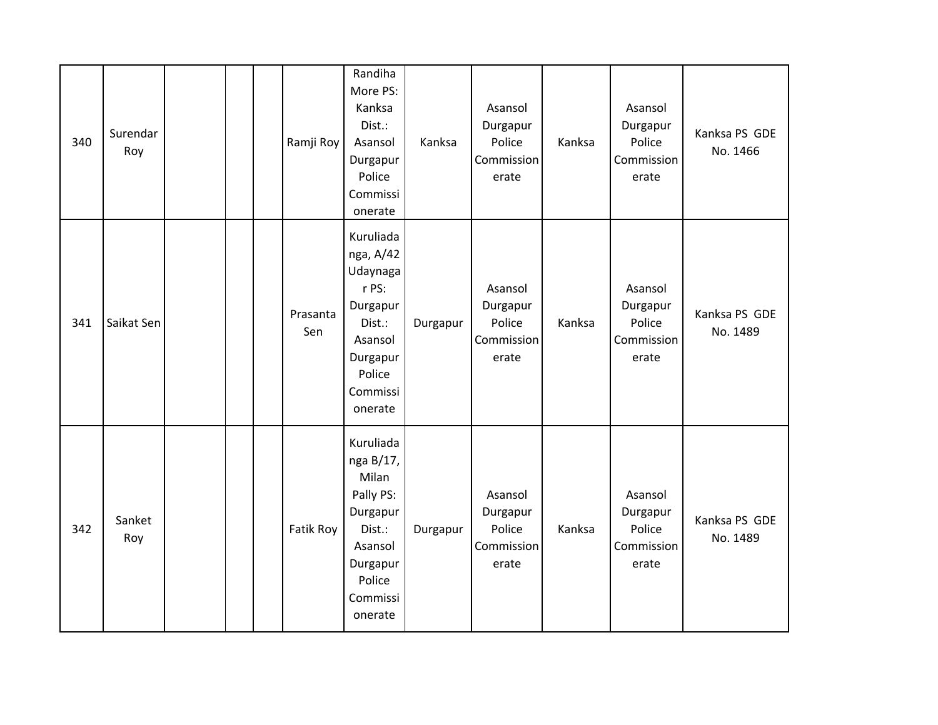| 340 | Surendar<br>Roy |  | Ramji Roy       | Randiha<br>More PS:<br>Kanksa<br>Dist.:<br>Asansol<br>Durgapur<br>Police<br>Commissi<br>onerate                            | Kanksa   | Asansol<br>Durgapur<br>Police<br>Commission<br>erate | Kanksa | Asansol<br>Durgapur<br>Police<br>Commission<br>erate | Kanksa PS GDE<br>No. 1466 |
|-----|-----------------|--|-----------------|----------------------------------------------------------------------------------------------------------------------------|----------|------------------------------------------------------|--------|------------------------------------------------------|---------------------------|
| 341 | Saikat Sen      |  | Prasanta<br>Sen | Kuruliada<br>nga, A/42<br>Udaynaga<br>r PS:<br>Durgapur<br>Dist.:<br>Asansol<br>Durgapur<br>Police<br>Commissi<br>onerate  | Durgapur | Asansol<br>Durgapur<br>Police<br>Commission<br>erate | Kanksa | Asansol<br>Durgapur<br>Police<br>Commission<br>erate | Kanksa PS GDE<br>No. 1489 |
| 342 | Sanket<br>Roy   |  | Fatik Roy       | Kuruliada<br>nga B/17,<br>Milan<br>Pally PS:<br>Durgapur<br>Dist.:<br>Asansol<br>Durgapur<br>Police<br>Commissi<br>onerate | Durgapur | Asansol<br>Durgapur<br>Police<br>Commission<br>erate | Kanksa | Asansol<br>Durgapur<br>Police<br>Commission<br>erate | Kanksa PS GDE<br>No. 1489 |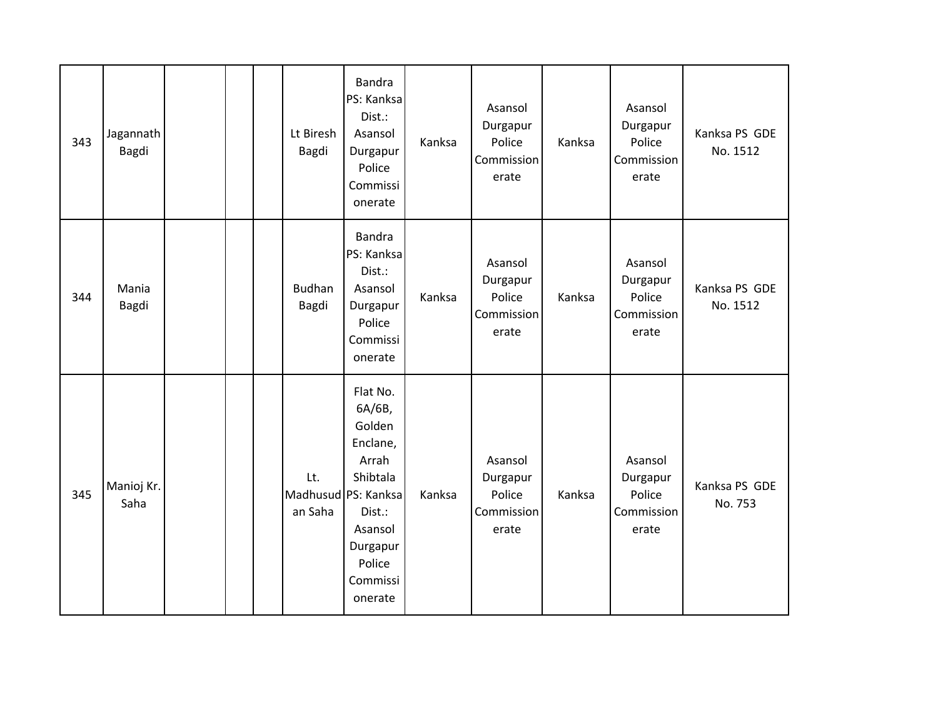| 343 | Jagannath<br>Bagdi |  | Lt Biresh<br>Bagdi     | <b>Bandra</b><br>PS: Kanksa<br>Dist.:<br>Asansol<br>Durgapur<br>Police<br>Commissi<br>onerate                                                          | Kanksa | Asansol<br>Durgapur<br>Police<br>Commission<br>erate | Kanksa | Asansol<br>Durgapur<br>Police<br>Commission<br>erate | Kanksa PS GDE<br>No. 1512 |
|-----|--------------------|--|------------------------|--------------------------------------------------------------------------------------------------------------------------------------------------------|--------|------------------------------------------------------|--------|------------------------------------------------------|---------------------------|
| 344 | Mania<br>Bagdi     |  | <b>Budhan</b><br>Bagdi | <b>Bandra</b><br>PS: Kanksa<br>Dist.:<br>Asansol<br>Durgapur<br>Police<br>Commissi<br>onerate                                                          | Kanksa | Asansol<br>Durgapur<br>Police<br>Commission<br>erate | Kanksa | Asansol<br>Durgapur<br>Police<br>Commission<br>erate | Kanksa PS GDE<br>No. 1512 |
| 345 | Manioj Kr.<br>Saha |  | Lt.<br>an Saha         | Flat No.<br>6A/6B,<br>Golden<br>Enclane,<br>Arrah<br>Shibtala<br>Madhusud PS: Kanksa<br>Dist.:<br>Asansol<br>Durgapur<br>Police<br>Commissi<br>onerate | Kanksa | Asansol<br>Durgapur<br>Police<br>Commission<br>erate | Kanksa | Asansol<br>Durgapur<br>Police<br>Commission<br>erate | Kanksa PS GDE<br>No. 753  |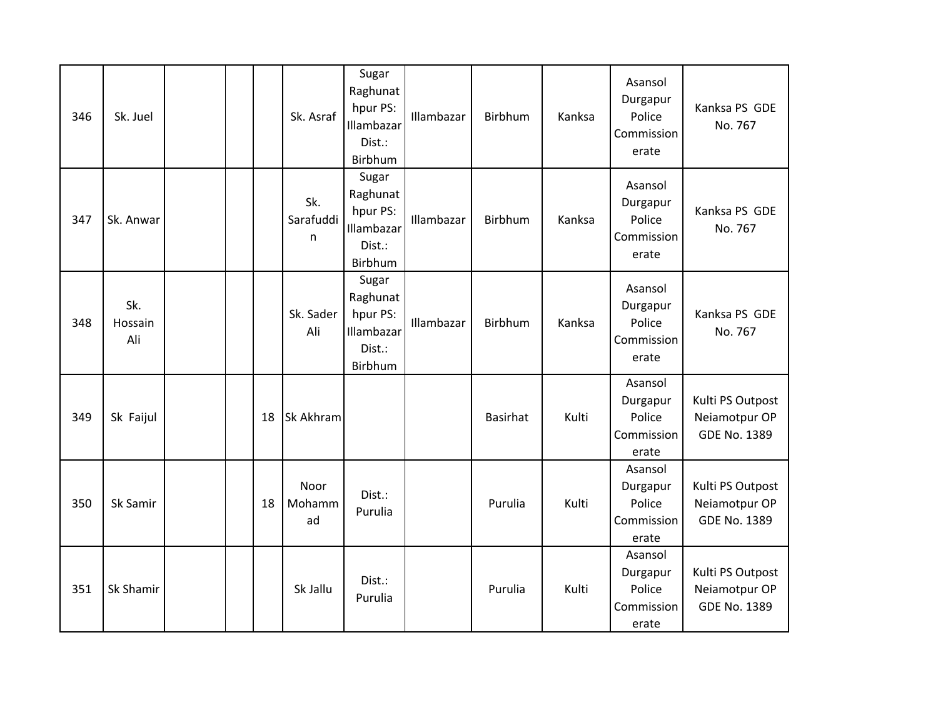| 346 | Sk. Juel              |  |    | Sk. Asraf             | Sugar<br>Raghunat<br>hpur PS:<br>Illambazar<br>Dist.:<br>Birbhum | Illambazar | Birbhum         | Kanksa | Asansol<br>Durgapur<br>Police<br>Commission<br>erate | Kanksa PS GDE<br>No. 767                                 |
|-----|-----------------------|--|----|-----------------------|------------------------------------------------------------------|------------|-----------------|--------|------------------------------------------------------|----------------------------------------------------------|
| 347 | Sk. Anwar             |  |    | Sk.<br>Sarafuddi<br>n | Sugar<br>Raghunat<br>hpur PS:<br>Illambazar<br>Dist.:<br>Birbhum | Illambazar | Birbhum         | Kanksa | Asansol<br>Durgapur<br>Police<br>Commission<br>erate | Kanksa PS GDE<br>No. 767                                 |
| 348 | Sk.<br>Hossain<br>Ali |  |    | Sk. Sader<br>Ali      | Sugar<br>Raghunat<br>hpur PS:<br>Illambazar<br>Dist.:<br>Birbhum | Illambazar | Birbhum         | Kanksa | Asansol<br>Durgapur<br>Police<br>Commission<br>erate | Kanksa PS GDE<br>No. 767                                 |
| 349 | Sk Faijul             |  | 18 | Sk Akhram             |                                                                  |            | <b>Basirhat</b> | Kulti  | Asansol<br>Durgapur<br>Police<br>Commission<br>erate | Kulti PS Outpost<br>Neiamotpur OP<br>GDE No. 1389        |
| 350 | Sk Samir              |  | 18 | Noor<br>Mohamm<br>ad  | Dist.:<br>Purulia                                                |            | Purulia         | Kulti  | Asansol<br>Durgapur<br>Police<br>Commission<br>erate | Kulti PS Outpost<br>Neiamotpur OP<br>GDE No. 1389        |
| 351 | Sk Shamir             |  |    | Sk Jallu              | Dist.:<br>Purulia                                                |            | Purulia         | Kulti  | Asansol<br>Durgapur<br>Police<br>Commission<br>erate | Kulti PS Outpost<br>Neiamotpur OP<br><b>GDE No. 1389</b> |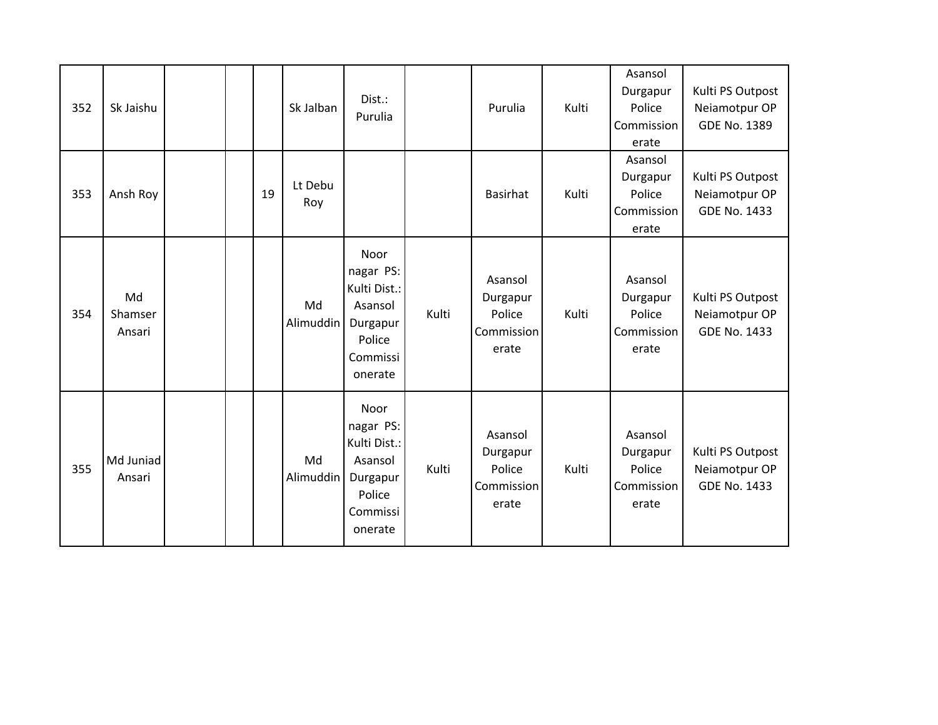| 352 | Sk Jaishu               |  |    | Sk Jalban       | Dist.:<br>Purulia                                                                         |       | Purulia                                              | Kulti | Asansol<br>Durgapur<br>Police<br>Commission<br>erate | Kulti PS Outpost<br>Neiamotpur OP<br>GDE No. 1389        |
|-----|-------------------------|--|----|-----------------|-------------------------------------------------------------------------------------------|-------|------------------------------------------------------|-------|------------------------------------------------------|----------------------------------------------------------|
| 353 | Ansh Roy                |  | 19 | Lt Debu<br>Roy  |                                                                                           |       | <b>Basirhat</b>                                      | Kulti | Asansol<br>Durgapur<br>Police<br>Commission<br>erate | Kulti PS Outpost<br>Neiamotpur OP<br><b>GDE No. 1433</b> |
| 354 | Md<br>Shamser<br>Ansari |  |    | Md<br>Alimuddin | Noor<br>nagar PS:<br>Kulti Dist.:<br>Asansol<br>Durgapur<br>Police<br>Commissi<br>onerate | Kulti | Asansol<br>Durgapur<br>Police<br>Commission<br>erate | Kulti | Asansol<br>Durgapur<br>Police<br>Commission<br>erate | Kulti PS Outpost<br>Neiamotpur OP<br>GDE No. 1433        |
| 355 | Md Juniad<br>Ansari     |  |    | Md<br>Alimuddin | Noor<br>nagar PS:<br>Kulti Dist.:<br>Asansol<br>Durgapur<br>Police<br>Commissi<br>onerate | Kulti | Asansol<br>Durgapur<br>Police<br>Commission<br>erate | Kulti | Asansol<br>Durgapur<br>Police<br>Commission<br>erate | Kulti PS Outpost<br>Neiamotpur OP<br><b>GDE No. 1433</b> |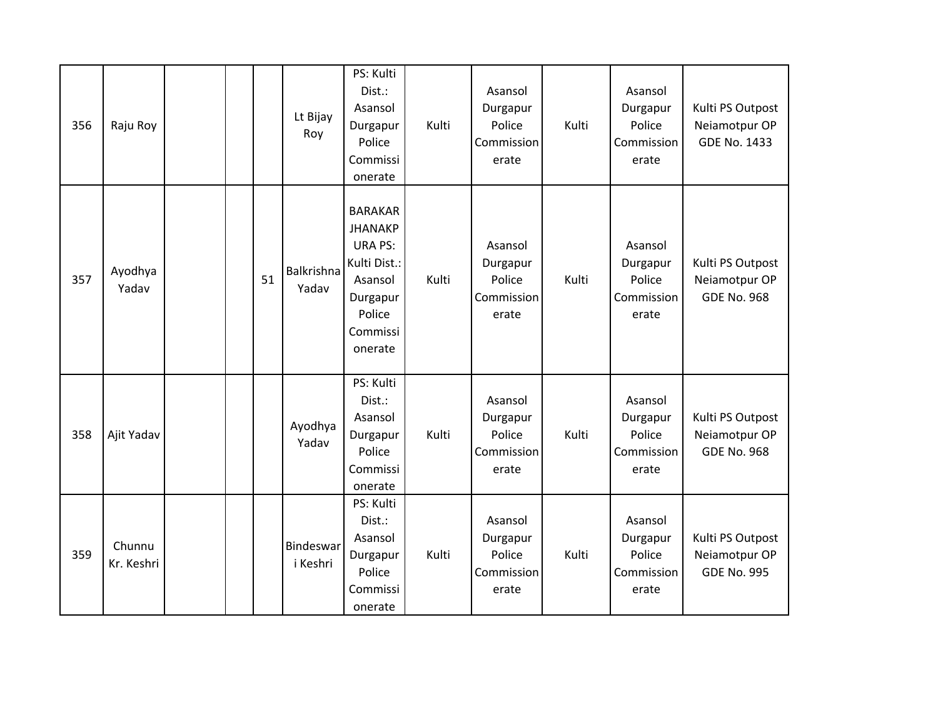| 356 | Raju Roy             |  |    | Lt Bijay<br>Roy       | PS: Kulti<br>Dist.:<br>Asansol<br>Durgapur<br>Police<br>Commissi<br>onerate                                                | Kulti | Asansol<br>Durgapur<br>Police<br>Commission<br>erate | Kulti | Asansol<br>Durgapur<br>Police<br>Commission<br>erate | Kulti PS Outpost<br>Neiamotpur OP<br><b>GDE No. 1433</b> |
|-----|----------------------|--|----|-----------------------|----------------------------------------------------------------------------------------------------------------------------|-------|------------------------------------------------------|-------|------------------------------------------------------|----------------------------------------------------------|
| 357 | Ayodhya<br>Yadav     |  | 51 | Balkrishna<br>Yadav   | <b>BARAKAR</b><br><b>JHANAKP</b><br><b>URA PS:</b><br>Kulti Dist.:<br>Asansol<br>Durgapur<br>Police<br>Commissi<br>onerate | Kulti | Asansol<br>Durgapur<br>Police<br>Commission<br>erate | Kulti | Asansol<br>Durgapur<br>Police<br>Commission<br>erate | Kulti PS Outpost<br>Neiamotpur OP<br><b>GDE No. 968</b>  |
| 358 | Ajit Yadav           |  |    | Ayodhya<br>Yadav      | PS: Kulti<br>Dist.:<br>Asansol<br>Durgapur<br>Police<br>Commissi<br>onerate                                                | Kulti | Asansol<br>Durgapur<br>Police<br>Commission<br>erate | Kulti | Asansol<br>Durgapur<br>Police<br>Commission<br>erate | Kulti PS Outpost<br>Neiamotpur OP<br><b>GDE No. 968</b>  |
| 359 | Chunnu<br>Kr. Keshri |  |    | Bindeswar<br>i Keshri | PS: Kulti<br>Dist.:<br>Asansol<br>Durgapur<br>Police<br>Commissi<br>onerate                                                | Kulti | Asansol<br>Durgapur<br>Police<br>Commission<br>erate | Kulti | Asansol<br>Durgapur<br>Police<br>Commission<br>erate | Kulti PS Outpost<br>Neiamotpur OP<br><b>GDE No. 995</b>  |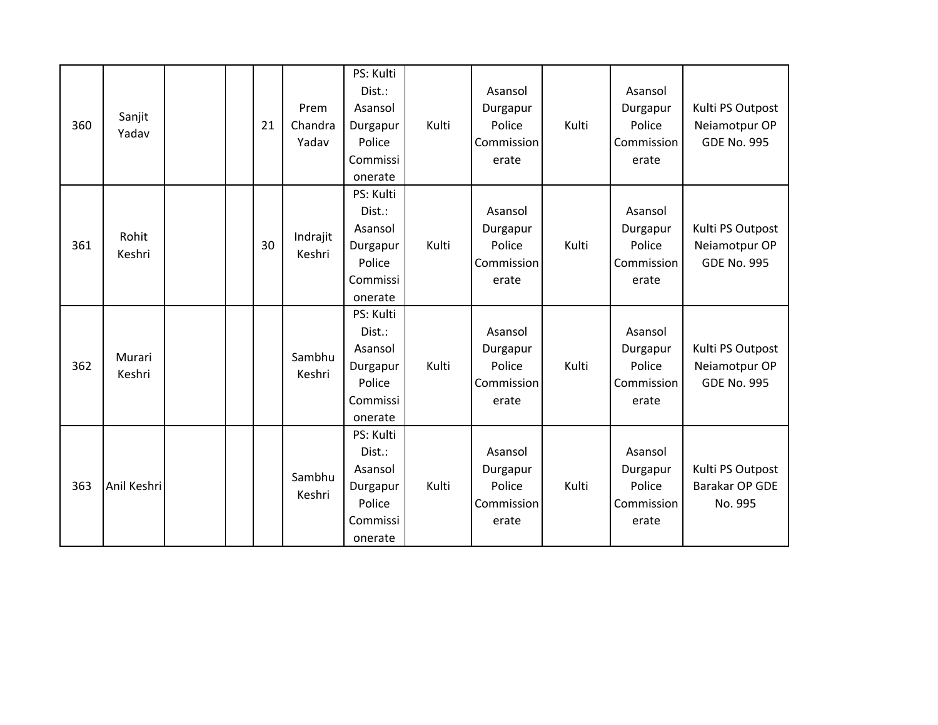| 360 | Sanjit<br>Yadav  |  | 21 | Prem<br>Chandra<br>Yadav | PS: Kulti<br>Dist.:<br>Asansol<br>Durgapur<br>Police<br>Commissi<br>onerate | Kulti | Asansol<br>Durgapur<br>Police<br>Commission<br>erate | Kulti | Asansol<br>Durgapur<br>Police<br>Commission<br>erate | Kulti PS Outpost<br>Neiamotpur OP<br><b>GDE No. 995</b> |
|-----|------------------|--|----|--------------------------|-----------------------------------------------------------------------------|-------|------------------------------------------------------|-------|------------------------------------------------------|---------------------------------------------------------|
| 361 | Rohit<br>Keshri  |  | 30 | Indrajit<br>Keshri       | PS: Kulti<br>Dist.:<br>Asansol<br>Durgapur<br>Police<br>Commissi<br>onerate | Kulti | Asansol<br>Durgapur<br>Police<br>Commission<br>erate | Kulti | Asansol<br>Durgapur<br>Police<br>Commission<br>erate | Kulti PS Outpost<br>Neiamotpur OP<br><b>GDE No. 995</b> |
| 362 | Murari<br>Keshri |  |    | Sambhu<br>Keshri         | PS: Kulti<br>Dist.:<br>Asansol<br>Durgapur<br>Police<br>Commissi<br>onerate | Kulti | Asansol<br>Durgapur<br>Police<br>Commission<br>erate | Kulti | Asansol<br>Durgapur<br>Police<br>Commission<br>erate | Kulti PS Outpost<br>Neiamotpur OP<br><b>GDE No. 995</b> |
| 363 | Anil Keshri      |  |    | Sambhu<br>Keshri         | PS: Kulti<br>Dist.:<br>Asansol<br>Durgapur<br>Police<br>Commissi<br>onerate | Kulti | Asansol<br>Durgapur<br>Police<br>Commission<br>erate | Kulti | Asansol<br>Durgapur<br>Police<br>Commission<br>erate | Kulti PS Outpost<br>Barakar OP GDE<br>No. 995           |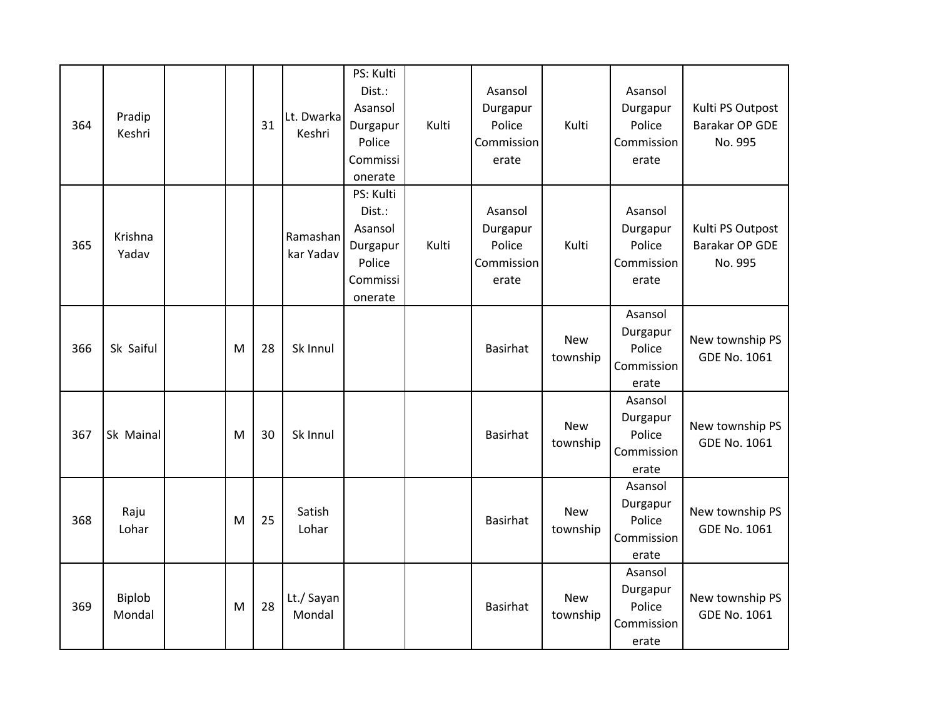| 364 | Pradip<br>Keshri |   | 31 | Lt. Dwarka<br>Keshri  | PS: Kulti<br>Dist.:<br>Asansol<br>Durgapur<br>Police<br>Commissi<br>onerate | Kulti | Asansol<br>Durgapur<br>Police<br>Commission<br>erate | Kulti                  | Asansol<br>Durgapur<br>Police<br>Commission<br>erate | Kulti PS Outpost<br>Barakar OP GDE<br>No. 995 |
|-----|------------------|---|----|-----------------------|-----------------------------------------------------------------------------|-------|------------------------------------------------------|------------------------|------------------------------------------------------|-----------------------------------------------|
| 365 | Krishna<br>Yadav |   |    | Ramashan<br>kar Yadav | PS: Kulti<br>Dist.:<br>Asansol<br>Durgapur<br>Police<br>Commissi<br>onerate | Kulti | Asansol<br>Durgapur<br>Police<br>Commission<br>erate | Kulti                  | Asansol<br>Durgapur<br>Police<br>Commission<br>erate | Kulti PS Outpost<br>Barakar OP GDE<br>No. 995 |
| 366 | Sk Saiful        | M | 28 | Sk Innul              |                                                                             |       | <b>Basirhat</b>                                      | <b>New</b><br>township | Asansol<br>Durgapur<br>Police<br>Commission<br>erate | New township PS<br>GDE No. 1061               |
| 367 | Sk Mainal        | M | 30 | Sk Innul              |                                                                             |       | <b>Basirhat</b>                                      | <b>New</b><br>township | Asansol<br>Durgapur<br>Police<br>Commission<br>erate | New township PS<br><b>GDE No. 1061</b>        |
| 368 | Raju<br>Lohar    | M | 25 | Satish<br>Lohar       |                                                                             |       | <b>Basirhat</b>                                      | <b>New</b><br>township | Asansol<br>Durgapur<br>Police<br>Commission<br>erate | New township PS<br><b>GDE No. 1061</b>        |
| 369 | Biplob<br>Mondal | M | 28 | Lt./ Sayan<br>Mondal  |                                                                             |       | <b>Basirhat</b>                                      | <b>New</b><br>township | Asansol<br>Durgapur<br>Police<br>Commission<br>erate | New township PS<br><b>GDE No. 1061</b>        |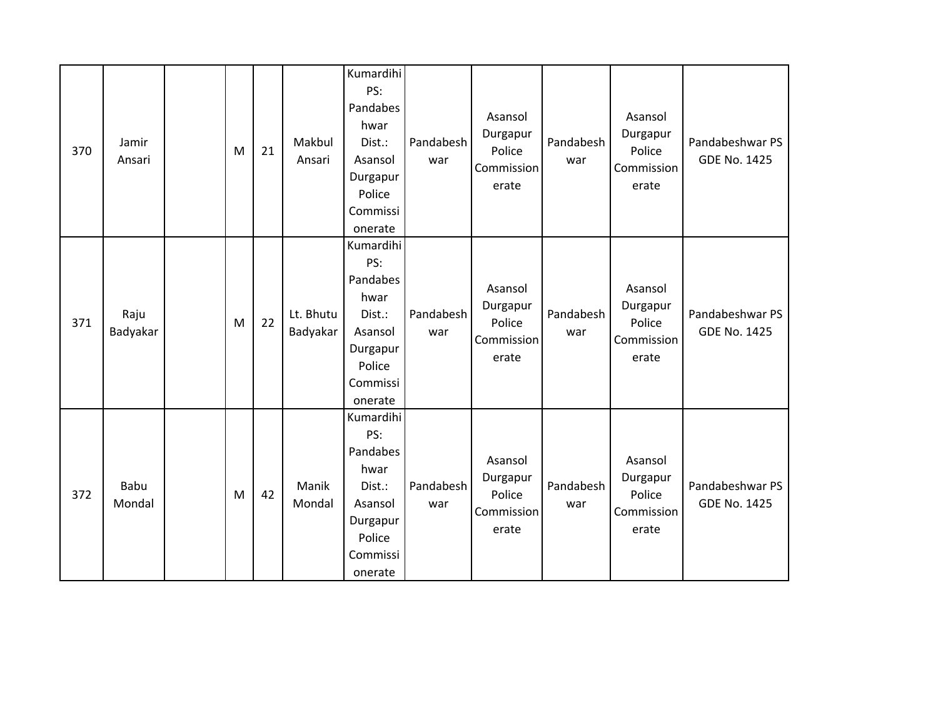| 370 | Jamir<br>Ansari  | M | 21 | Makbul<br>Ansari      | Kumardihi<br>PS:<br>Pandabes<br>hwar<br>Dist.:<br>Asansol<br>Durgapur<br>Police<br>Commissi<br>onerate | Pandabesh<br>war | Asansol<br>Durgapur<br>Police<br>Commission<br>erate | Pandabesh<br>war | Asansol<br>Durgapur<br>Police<br>Commission<br>erate | Pandabeshwar PS<br><b>GDE No. 1425</b> |
|-----|------------------|---|----|-----------------------|--------------------------------------------------------------------------------------------------------|------------------|------------------------------------------------------|------------------|------------------------------------------------------|----------------------------------------|
| 371 | Raju<br>Badyakar | M | 22 | Lt. Bhutu<br>Badyakar | Kumardihi<br>PS:<br>Pandabes<br>hwar<br>Dist.:<br>Asansol<br>Durgapur<br>Police<br>Commissi<br>onerate | Pandabesh<br>war | Asansol<br>Durgapur<br>Police<br>Commission<br>erate | Pandabesh<br>war | Asansol<br>Durgapur<br>Police<br>Commission<br>erate | Pandabeshwar PS<br><b>GDE No. 1425</b> |
| 372 | Babu<br>Mondal   | M | 42 | Manik<br>Mondal       | Kumardihi<br>PS:<br>Pandabes<br>hwar<br>Dist.:<br>Asansol<br>Durgapur<br>Police<br>Commissi<br>onerate | Pandabesh<br>war | Asansol<br>Durgapur<br>Police<br>Commission<br>erate | Pandabesh<br>war | Asansol<br>Durgapur<br>Police<br>Commission<br>erate | Pandabeshwar PS<br><b>GDE No. 1425</b> |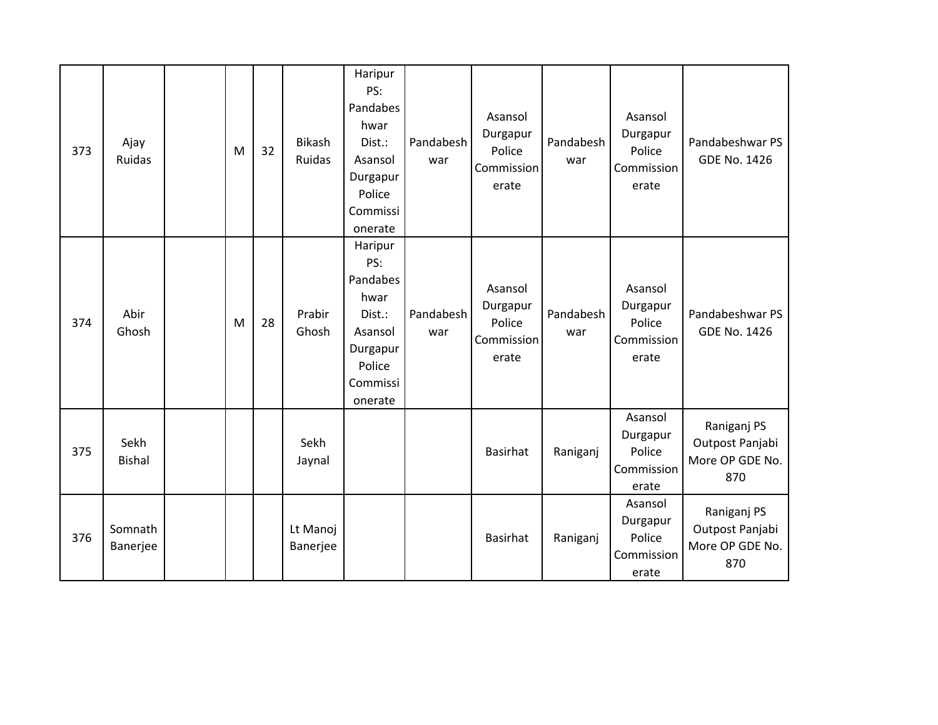| 373 | Ajay<br>Ruidas        | M | 32 | <b>Bikash</b><br>Ruidas | Haripur<br>PS:<br>Pandabes<br>hwar<br>Dist.:<br>Asansol<br>Durgapur<br>Police<br>Commissi<br>onerate | Pandabesh<br>war | Asansol<br>Durgapur<br>Police<br>Commission<br>erate | Pandabesh<br>war | Asansol<br>Durgapur<br>Police<br>Commission<br>erate | Pandabeshwar PS<br><b>GDE No. 1426</b>                   |
|-----|-----------------------|---|----|-------------------------|------------------------------------------------------------------------------------------------------|------------------|------------------------------------------------------|------------------|------------------------------------------------------|----------------------------------------------------------|
| 374 | Abir<br>Ghosh         | M | 28 | Prabir<br>Ghosh         | Haripur<br>PS:<br>Pandabes<br>hwar<br>Dist.:<br>Asansol<br>Durgapur<br>Police<br>Commissi<br>onerate | Pandabesh<br>war | Asansol<br>Durgapur<br>Police<br>Commission<br>erate | Pandabesh<br>war | Asansol<br>Durgapur<br>Police<br>Commission<br>erate | Pandabeshwar PS<br><b>GDE No. 1426</b>                   |
| 375 | Sekh<br><b>Bishal</b> |   |    | Sekh<br>Jaynal          |                                                                                                      |                  | <b>Basirhat</b>                                      | Raniganj         | Asansol<br>Durgapur<br>Police<br>Commission<br>erate | Raniganj PS<br>Outpost Panjabi<br>More OP GDE No.<br>870 |
| 376 | Somnath<br>Banerjee   |   |    | Lt Manoj<br>Banerjee    |                                                                                                      |                  | Basirhat                                             | Raniganj         | Asansol<br>Durgapur<br>Police<br>Commission<br>erate | Raniganj PS<br>Outpost Panjabi<br>More OP GDE No.<br>870 |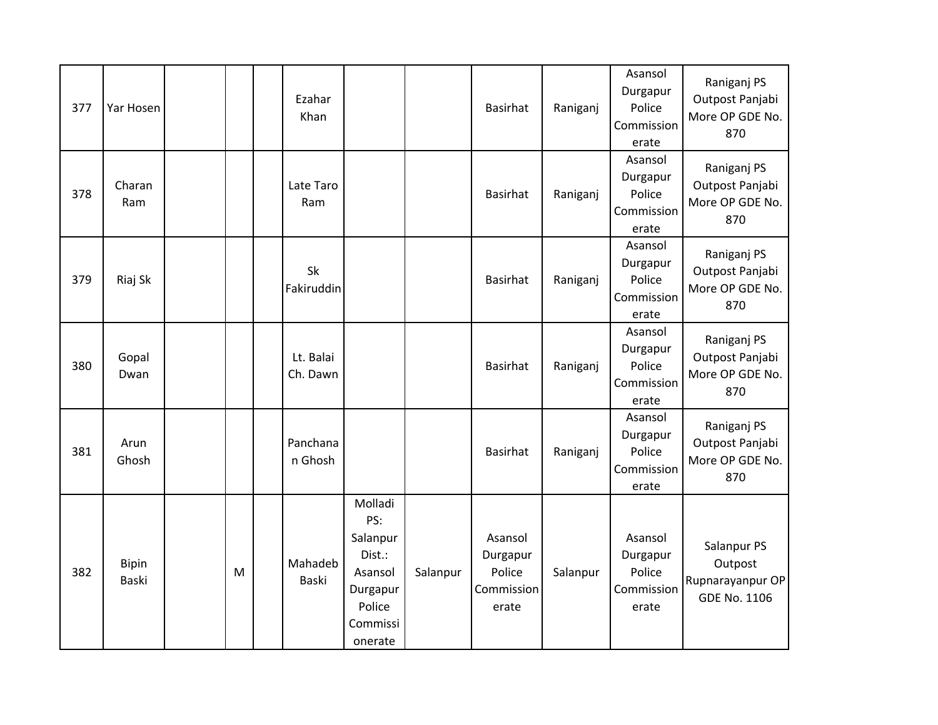| 377 | Yar Hosen                    |   | Ezahar<br>Khan        |                                                                                              |          | Basirhat                                             | Raniganj | Asansol<br>Durgapur<br>Police<br>Commission<br>erate | Raniganj PS<br>Outpost Panjabi<br>More OP GDE No.<br>870          |
|-----|------------------------------|---|-----------------------|----------------------------------------------------------------------------------------------|----------|------------------------------------------------------|----------|------------------------------------------------------|-------------------------------------------------------------------|
| 378 | Charan<br>Ram                |   | Late Taro<br>Ram      |                                                                                              |          | <b>Basirhat</b>                                      | Raniganj | Asansol<br>Durgapur<br>Police<br>Commission<br>erate | Raniganj PS<br>Outpost Panjabi<br>More OP GDE No.<br>870          |
| 379 | Riaj Sk                      |   | Sk<br>Fakiruddin      |                                                                                              |          | Basirhat                                             | Raniganj | Asansol<br>Durgapur<br>Police<br>Commission<br>erate | Raniganj PS<br>Outpost Panjabi<br>More OP GDE No.<br>870          |
| 380 | Gopal<br>Dwan                |   | Lt. Balai<br>Ch. Dawn |                                                                                              |          | <b>Basirhat</b>                                      | Raniganj | Asansol<br>Durgapur<br>Police<br>Commission<br>erate | Raniganj PS<br>Outpost Panjabi<br>More OP GDE No.<br>870          |
| 381 | Arun<br>Ghosh                |   | Panchana<br>n Ghosh   |                                                                                              |          | Basirhat                                             | Raniganj | Asansol<br>Durgapur<br>Police<br>Commission<br>erate | Raniganj PS<br>Outpost Panjabi<br>More OP GDE No.<br>870          |
| 382 | <b>Bipin</b><br><b>Baski</b> | M | Mahadeb<br>Baski      | Molladi<br>PS:<br>Salanpur<br>Dist.:<br>Asansol<br>Durgapur<br>Police<br>Commissi<br>onerate | Salanpur | Asansol<br>Durgapur<br>Police<br>Commission<br>erate | Salanpur | Asansol<br>Durgapur<br>Police<br>Commission<br>erate | Salanpur PS<br>Outpost<br>Rupnarayanpur OP<br><b>GDE No. 1106</b> |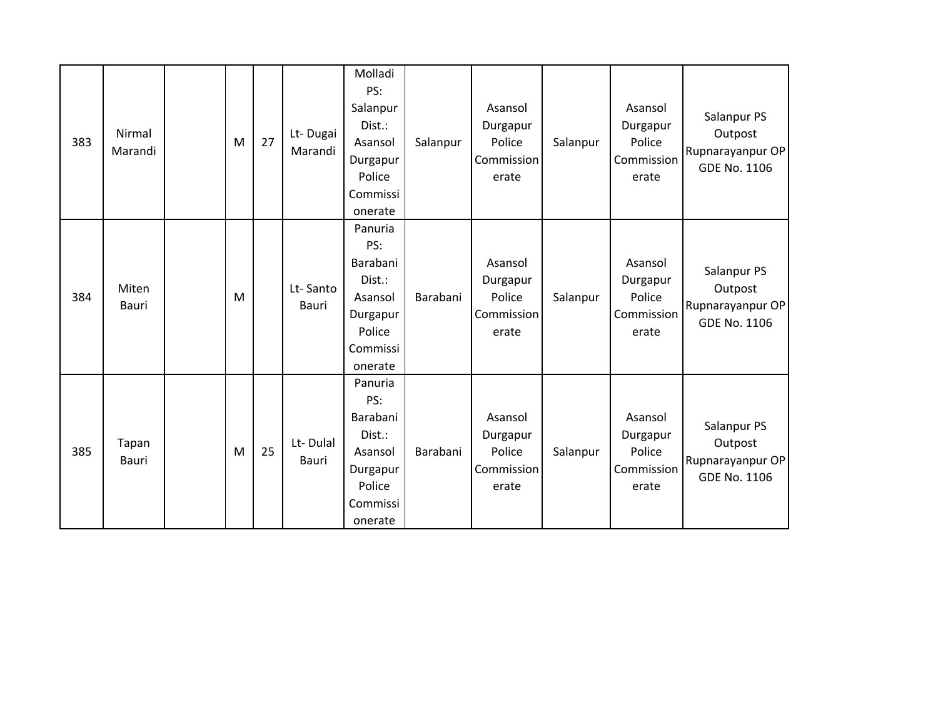| 383 | Nirmal<br>Marandi | M | 27 | Lt-Dugai<br>Marandi      | Molladi<br>PS:<br>Salanpur<br>Dist.:<br>Asansol<br>Durgapur<br>Police<br>Commissi<br>onerate | Salanpur | Asansol<br>Durgapur<br>Police<br>Commission<br>erate | Salanpur | Asansol<br>Durgapur<br>Police<br>Commission<br>erate | Salanpur PS<br>Outpost<br>Rupnarayanpur OP<br>GDE No. 1106        |
|-----|-------------------|---|----|--------------------------|----------------------------------------------------------------------------------------------|----------|------------------------------------------------------|----------|------------------------------------------------------|-------------------------------------------------------------------|
| 384 | Miten<br>Bauri    | M |    | Lt-Santo<br><b>Bauri</b> | Panuria<br>PS:<br>Barabani<br>Dist.:<br>Asansol<br>Durgapur<br>Police<br>Commissi<br>onerate | Barabani | Asansol<br>Durgapur<br>Police<br>Commission<br>erate | Salanpur | Asansol<br>Durgapur<br>Police<br>Commission<br>erate | Salanpur PS<br>Outpost<br>Rupnarayanpur OP<br><b>GDE No. 1106</b> |
| 385 | Tapan<br>Bauri    | M | 25 | Lt-Dulal<br>Bauri        | Panuria<br>PS:<br>Barabani<br>Dist.:<br>Asansol<br>Durgapur<br>Police<br>Commissi<br>onerate | Barabani | Asansol<br>Durgapur<br>Police<br>Commission<br>erate | Salanpur | Asansol<br>Durgapur<br>Police<br>Commission<br>erate | Salanpur PS<br>Outpost<br>Rupnarayanpur OP<br>GDE No. 1106        |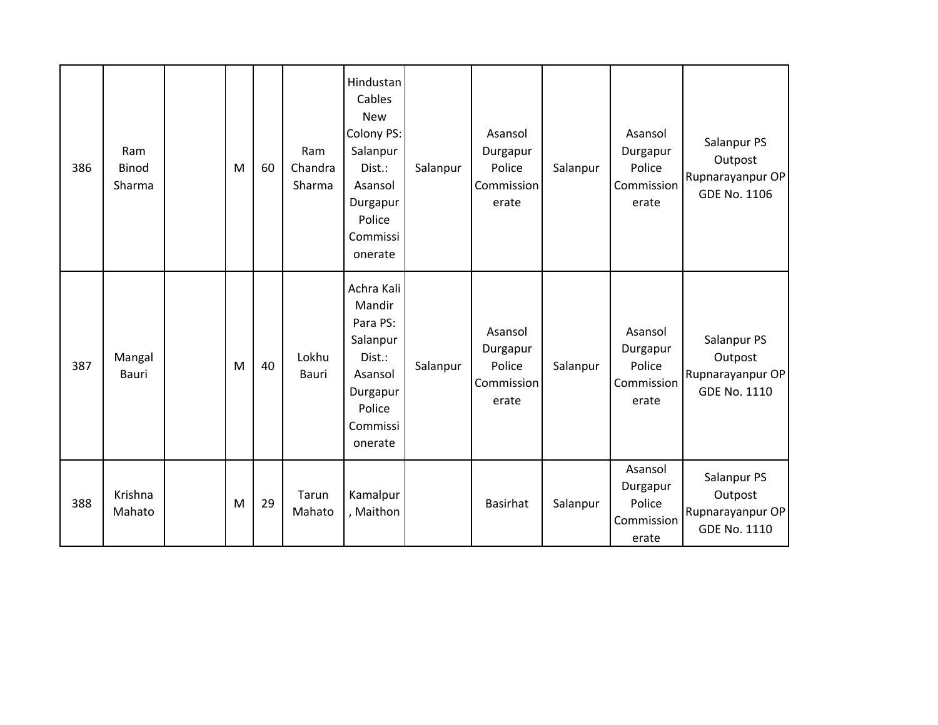| 386 | Ram<br><b>Binod</b><br>Sharma | M | 60 | Ram<br>Chandra<br>Sharma | Hindustan<br>Cables<br><b>New</b><br>Colony PS:<br>Salanpur<br>Dist.:<br>Asansol<br>Durgapur<br>Police<br>Commissi<br>onerate | Salanpur | Asansol<br>Durgapur<br>Police<br>Commission<br>erate | Salanpur | Asansol<br>Durgapur<br>Police<br>Commission<br>erate | Salanpur PS<br>Outpost<br>Rupnarayanpur OP<br><b>GDE No. 1106</b> |
|-----|-------------------------------|---|----|--------------------------|-------------------------------------------------------------------------------------------------------------------------------|----------|------------------------------------------------------|----------|------------------------------------------------------|-------------------------------------------------------------------|
| 387 | Mangal<br>Bauri               | M | 40 | Lokhu<br>Bauri           | Achra Kali<br>Mandir<br>Para PS:<br>Salanpur<br>Dist.:<br>Asansol<br>Durgapur<br>Police<br>Commissi<br>onerate                | Salanpur | Asansol<br>Durgapur<br>Police<br>Commission<br>erate | Salanpur | Asansol<br>Durgapur<br>Police<br>Commission<br>erate | Salanpur PS<br>Outpost<br>Rupnarayanpur OP<br>GDE No. 1110        |
| 388 | Krishna<br>Mahato             | M | 29 | Tarun<br>Mahato          | Kamalpur<br>, Maithon                                                                                                         |          | <b>Basirhat</b>                                      | Salanpur | Asansol<br>Durgapur<br>Police<br>Commission<br>erate | Salanpur PS<br>Outpost<br>Rupnarayanpur OP<br><b>GDE No. 1110</b> |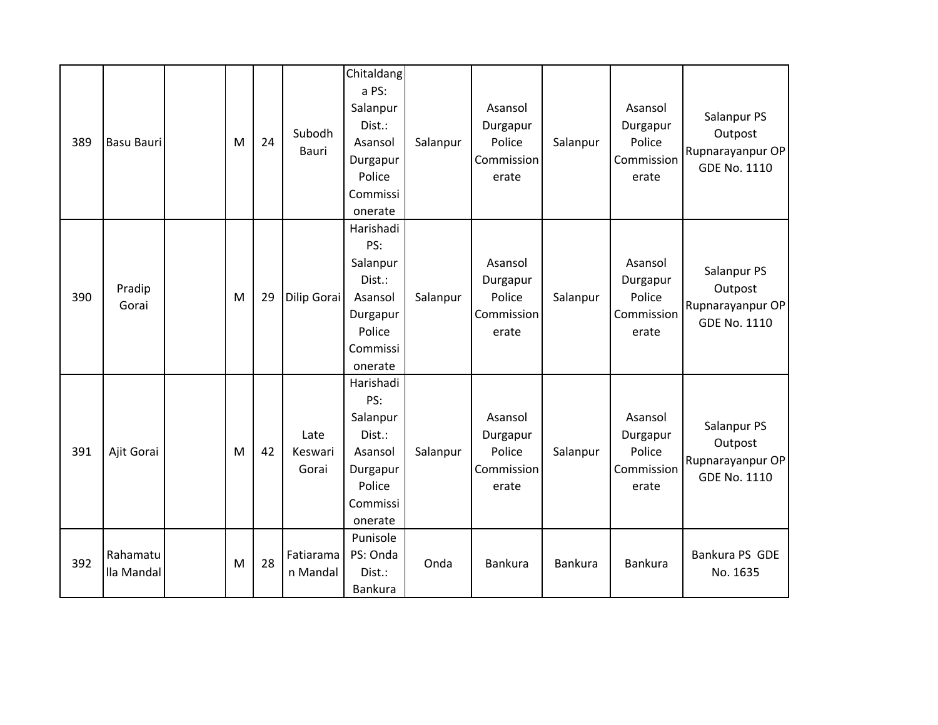| 389 | <b>Basu Bauri</b>      | M | 24 | Subodh<br>Bauri          | Chitaldang<br>a PS:<br>Salanpur<br>Dist.:<br>Asansol<br>Durgapur<br>Police                     | Salanpur | Asansol<br>Durgapur<br>Police<br>Commission<br>erate | Salanpur | Asansol<br>Durgapur<br>Police<br>Commission<br>erate | Salanpur PS<br>Outpost<br>Rupnarayanpur OP<br><b>GDE No. 1110</b> |
|-----|------------------------|---|----|--------------------------|------------------------------------------------------------------------------------------------|----------|------------------------------------------------------|----------|------------------------------------------------------|-------------------------------------------------------------------|
|     |                        |   |    |                          | Commissi<br>onerate                                                                            |          |                                                      |          |                                                      |                                                                   |
| 390 | Pradip<br>Gorai        | M | 29 | Dilip Gorai              | Harishadi<br>PS:<br>Salanpur<br>Dist.:<br>Asansol<br>Durgapur<br>Police<br>Commissi<br>onerate | Salanpur | Asansol<br>Durgapur<br>Police<br>Commission<br>erate | Salanpur | Asansol<br>Durgapur<br>Police<br>Commission<br>erate | Salanpur PS<br>Outpost<br>Rupnarayanpur OP<br><b>GDE No. 1110</b> |
| 391 | Ajit Gorai             | M | 42 | Late<br>Keswari<br>Gorai | Harishadi<br>PS:<br>Salanpur<br>Dist.:<br>Asansol<br>Durgapur<br>Police<br>Commissi<br>onerate | Salanpur | Asansol<br>Durgapur<br>Police<br>Commission<br>erate | Salanpur | Asansol<br>Durgapur<br>Police<br>Commission<br>erate | Salanpur PS<br>Outpost<br>Rupnarayanpur OP<br><b>GDE No. 1110</b> |
| 392 | Rahamatu<br>lla Mandal | M | 28 | Fatiarama<br>n Mandal    | Punisole<br>PS: Onda<br>Dist.:<br>Bankura                                                      | Onda     | Bankura                                              | Bankura  | Bankura                                              | Bankura PS GDE<br>No. 1635                                        |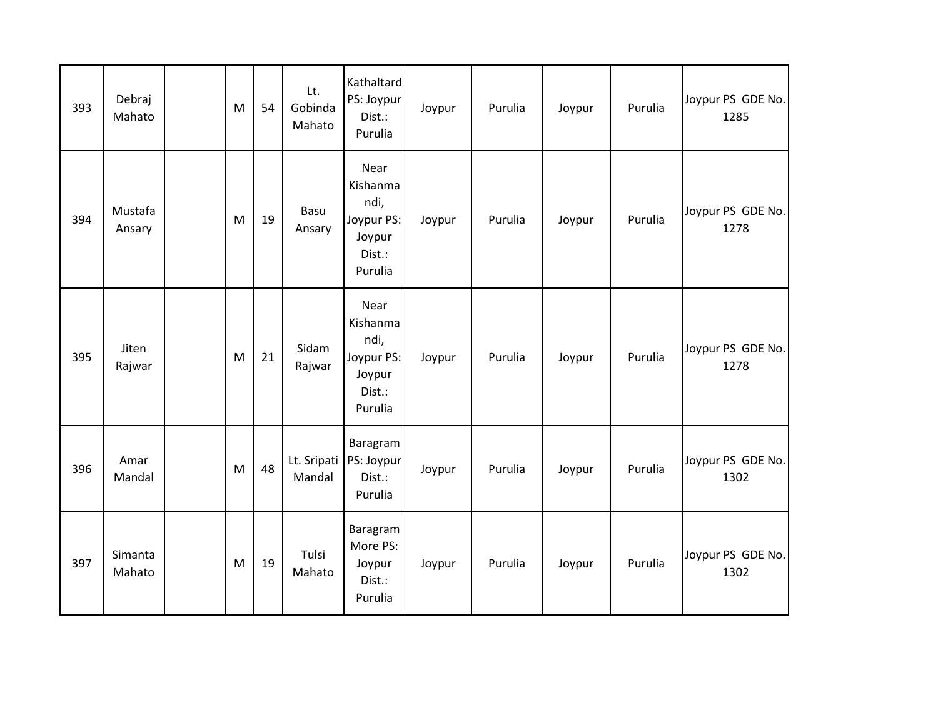| 393 | Debraj<br>Mahato  | M | 54 | Lt.<br>Gobinda<br>Mahato | Kathaltard<br>PS: Joypur<br>Dist.:<br>Purulia                         | Joypur | Purulia | Joypur | Purulia | Joypur PS GDE No.<br>1285 |
|-----|-------------------|---|----|--------------------------|-----------------------------------------------------------------------|--------|---------|--------|---------|---------------------------|
| 394 | Mustafa<br>Ansary | M | 19 | Basu<br>Ansary           | Near<br>Kishanma<br>ndi,<br>Joypur PS:<br>Joypur<br>Dist.:<br>Purulia | Joypur | Purulia | Joypur | Purulia | Joypur PS GDE No.<br>1278 |
| 395 | Jiten<br>Rajwar   | M | 21 | Sidam<br>Rajwar          | Near<br>Kishanma<br>ndi,<br>Joypur PS:<br>Joypur<br>Dist.:<br>Purulia | Joypur | Purulia | Joypur | Purulia | Joypur PS GDE No.<br>1278 |
| 396 | Amar<br>Mandal    | M | 48 | Lt. Sripati<br>Mandal    | Baragram<br>PS: Joypur<br>Dist.:<br>Purulia                           | Joypur | Purulia | Joypur | Purulia | Joypur PS GDE No.<br>1302 |
| 397 | Simanta<br>Mahato | M | 19 | Tulsi<br>Mahato          | Baragram<br>More PS:<br>Joypur<br>Dist.:<br>Purulia                   | Joypur | Purulia | Joypur | Purulia | Joypur PS GDE No.<br>1302 |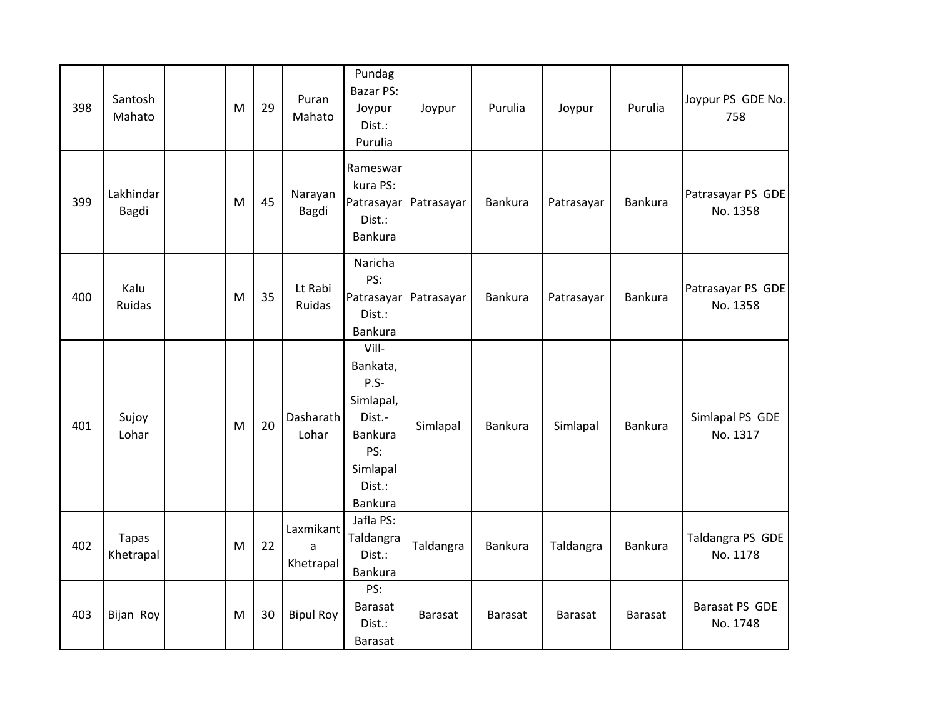| 398 | Santosh<br>Mahato  | M | 29 | Puran<br>Mahato             | Pundag<br><b>Bazar PS:</b><br>Joypur<br>Dist.:<br>Purulia                                                  | Joypur                | Purulia        | Joypur         | Purulia        | Joypur PS GDE No.<br>758      |
|-----|--------------------|---|----|-----------------------------|------------------------------------------------------------------------------------------------------------|-----------------------|----------------|----------------|----------------|-------------------------------|
| 399 | Lakhindar<br>Bagdi | M | 45 | Narayan<br>Bagdi            | Rameswar<br>kura PS:<br>Dist.:<br>Bankura                                                                  | Patrasayar Patrasayar | Bankura        | Patrasayar     | <b>Bankura</b> | Patrasayar PS GDE<br>No. 1358 |
| 400 | Kalu<br>Ruidas     | M | 35 | Lt Rabi<br>Ruidas           | Naricha<br>PS:<br>Dist.:<br>Bankura                                                                        | Patrasayar Patrasayar | Bankura        | Patrasayar     | Bankura        | Patrasayar PS GDE<br>No. 1358 |
| 401 | Sujoy<br>Lohar     | M | 20 | Dasharath<br>Lohar          | Vill-<br>Bankata,<br>P.S-<br>Simlapal,<br>Dist.-<br><b>Bankura</b><br>PS:<br>Simlapal<br>Dist.:<br>Bankura | Simlapal              | Bankura        | Simlapal       | Bankura        | Simlapal PS GDE<br>No. 1317   |
| 402 | Tapas<br>Khetrapal | M | 22 | Laxmikant<br>a<br>Khetrapal | Jafla PS:<br>Taldangra<br>Dist.:<br>Bankura                                                                | Taldangra             | Bankura        | Taldangra      | <b>Bankura</b> | Taldangra PS GDE<br>No. 1178  |
| 403 | Bijan Roy          | M | 30 | <b>Bipul Roy</b>            | PS:<br><b>Barasat</b><br>Dist.:<br><b>Barasat</b>                                                          | <b>Barasat</b>        | <b>Barasat</b> | <b>Barasat</b> | <b>Barasat</b> | Barasat PS GDE<br>No. 1748    |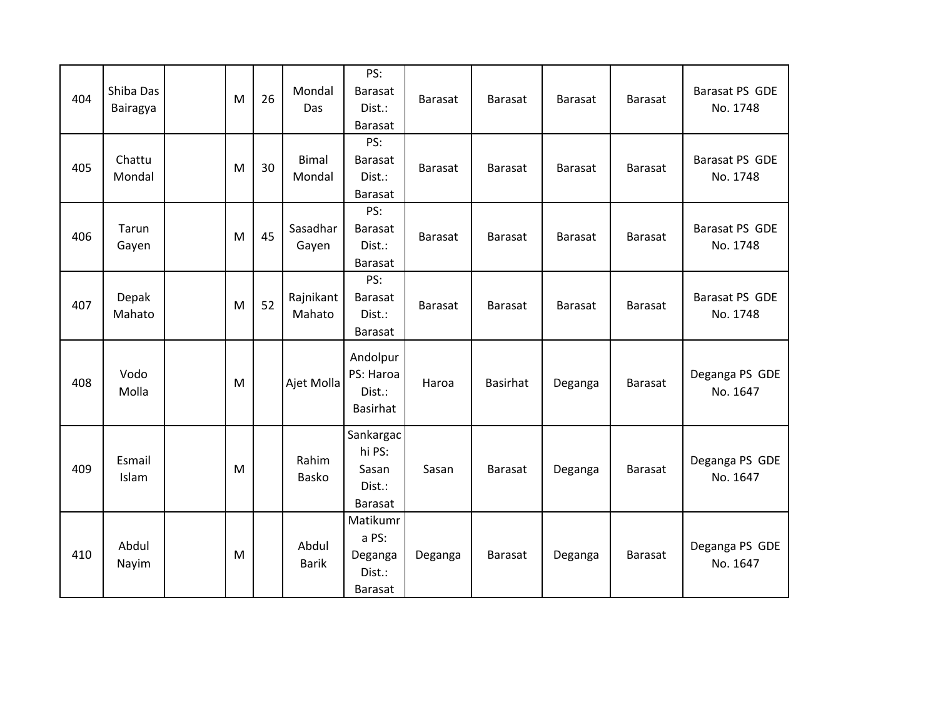| 404 | Shiba Das<br>Bairagya | M | 26 | Mondal<br>Das          | PS:<br><b>Barasat</b><br>Dist.:<br><b>Barasat</b>        | <b>Barasat</b> | <b>Barasat</b> | <b>Barasat</b> | <b>Barasat</b> | Barasat PS GDE<br>No. 1748 |
|-----|-----------------------|---|----|------------------------|----------------------------------------------------------|----------------|----------------|----------------|----------------|----------------------------|
| 405 | Chattu<br>Mondal      | M | 30 | <b>Bimal</b><br>Mondal | PS:<br><b>Barasat</b><br>Dist.:<br><b>Barasat</b>        | <b>Barasat</b> | Barasat        | <b>Barasat</b> | <b>Barasat</b> | Barasat PS GDE<br>No. 1748 |
| 406 | Tarun<br>Gayen        | M | 45 | Sasadhar<br>Gayen      | PS:<br><b>Barasat</b><br>Dist.:<br><b>Barasat</b>        | <b>Barasat</b> | <b>Barasat</b> | <b>Barasat</b> | <b>Barasat</b> | Barasat PS GDE<br>No. 1748 |
| 407 | Depak<br>Mahato       | M | 52 | Rajnikant<br>Mahato    | PS:<br>Barasat<br>Dist.:<br><b>Barasat</b>               | <b>Barasat</b> | <b>Barasat</b> | <b>Barasat</b> | <b>Barasat</b> | Barasat PS GDE<br>No. 1748 |
| 408 | Vodo<br>Molla         | M |    | Ajet Molla             | Andolpur<br>PS: Haroa<br>Dist.:<br>Basirhat              | Haroa          | Basirhat       | Deganga        | <b>Barasat</b> | Deganga PS GDE<br>No. 1647 |
| 409 | Esmail<br>Islam       | M |    | Rahim<br>Basko         | Sankargac<br>hi PS:<br>Sasan<br>Dist.:<br><b>Barasat</b> | Sasan          | Barasat        | Deganga        | <b>Barasat</b> | Deganga PS GDE<br>No. 1647 |
| 410 | Abdul<br>Nayim        | M |    | Abdul<br><b>Barik</b>  | Matikumr<br>a PS:<br>Deganga<br>Dist.:<br><b>Barasat</b> | Deganga        | <b>Barasat</b> | Deganga        | <b>Barasat</b> | Deganga PS GDE<br>No. 1647 |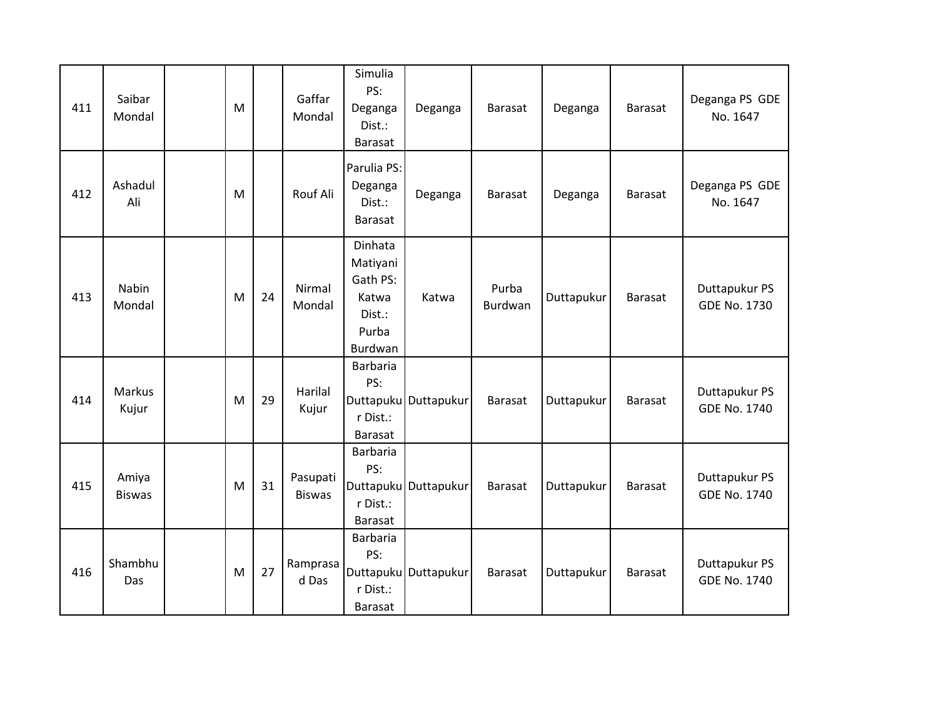| 411 | Saibar<br>Mondal       | M |    | Gaffar<br>Mondal          | Simulia<br>PS:<br>Deganga<br>Dist.:<br>Barasat                                | Deganga              | <b>Barasat</b>   | Deganga    | <b>Barasat</b> | Deganga PS GDE<br>No. 1647           |
|-----|------------------------|---|----|---------------------------|-------------------------------------------------------------------------------|----------------------|------------------|------------|----------------|--------------------------------------|
| 412 | Ashadul<br>Ali         | M |    | Rouf Ali                  | Parulia PS:<br>Deganga<br>Dist.:<br><b>Barasat</b>                            | Deganga              | <b>Barasat</b>   | Deganga    | <b>Barasat</b> | Deganga PS GDE<br>No. 1647           |
| 413 | <b>Nabin</b><br>Mondal | M | 24 | Nirmal<br>Mondal          | Dinhata<br>Matiyani<br>Gath PS:<br>Katwa<br>Dist.:<br>Purba<br><b>Burdwan</b> | Katwa                | Purba<br>Burdwan | Duttapukur | <b>Barasat</b> | Duttapukur PS<br>GDE No. 1730        |
| 414 | Markus<br>Kujur        | M | 29 | Harilal<br>Kujur          | Barbaria<br>PS:<br>r Dist.:<br><b>Barasat</b>                                 | Duttapuku Duttapukur | <b>Barasat</b>   | Duttapukur | <b>Barasat</b> | Duttapukur PS<br>GDE No. 1740        |
| 415 | Amiya<br><b>Biswas</b> | M | 31 | Pasupati<br><b>Biswas</b> | Barbaria<br>PS:<br>r Dist.:<br><b>Barasat</b>                                 | Duttapuku Duttapukur | <b>Barasat</b>   | Duttapukur | <b>Barasat</b> | Duttapukur PS<br><b>GDE No. 1740</b> |
| 416 | Shambhu<br>Das         | M | 27 | Ramprasa<br>d Das         | <b>Barbaria</b><br>PS:<br>r Dist.:<br><b>Barasat</b>                          | Duttapuku Duttapukur | <b>Barasat</b>   | Duttapukur | <b>Barasat</b> | Duttapukur PS<br>GDE No. 1740        |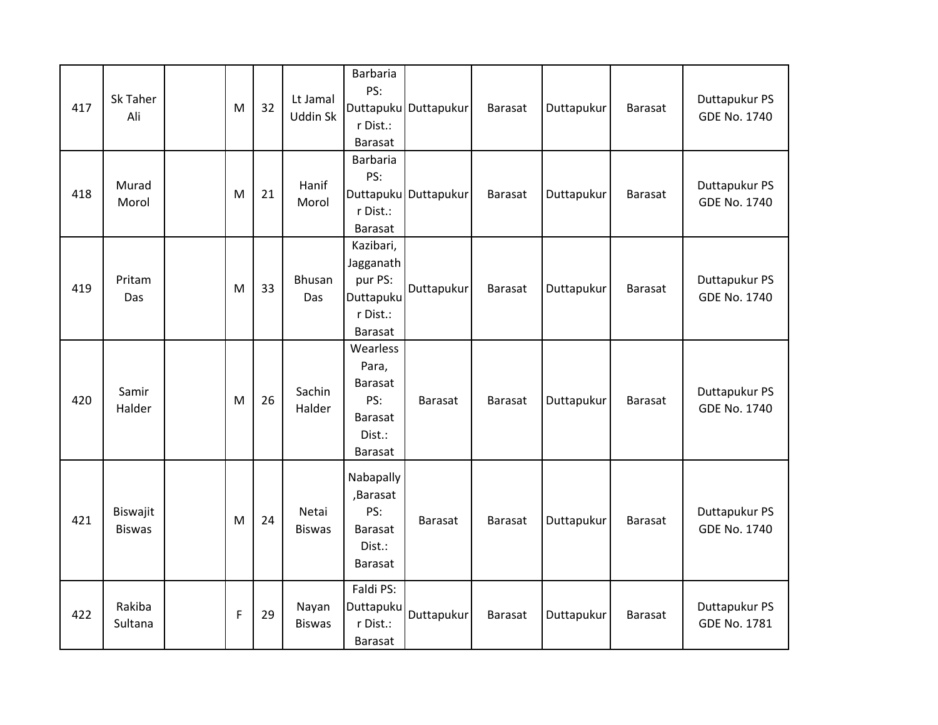| 417 | Sk Taher<br>Ali           | M | 32 | Lt Jamal<br><b>Uddin Sk</b> | Barbaria<br>PS:<br>r Dist.:<br><b>Barasat</b>                                | Duttapuku Duttapukur | <b>Barasat</b> | Duttapukur | Barasat        | Duttapukur PS<br>GDE No. 1740        |
|-----|---------------------------|---|----|-----------------------------|------------------------------------------------------------------------------|----------------------|----------------|------------|----------------|--------------------------------------|
| 418 | Murad<br>Morol            | M | 21 | Hanif<br>Morol              | <b>Barbaria</b><br>PS:<br>r Dist.:<br>Barasat                                | Duttapuku Duttapukur | <b>Barasat</b> | Duttapukur | <b>Barasat</b> | Duttapukur PS<br><b>GDE No. 1740</b> |
| 419 | Pritam<br>Das             | M | 33 | Bhusan<br>Das               | Kazibari,<br>Jagganath<br>pur PS:<br>Duttapuku<br>r Dist.:<br><b>Barasat</b> | Duttapukur           | <b>Barasat</b> | Duttapukur | Barasat        | Duttapukur PS<br>GDE No. 1740        |
| 420 | Samir<br>Halder           | M | 26 | Sachin<br>Halder            | Wearless<br>Para,<br>Barasat<br>PS:<br><b>Barasat</b><br>Dist.:<br>Barasat   | <b>Barasat</b>       | <b>Barasat</b> | Duttapukur | <b>Barasat</b> | Duttapukur PS<br><b>GDE No. 1740</b> |
| 421 | Biswajit<br><b>Biswas</b> | M | 24 | Netai<br><b>Biswas</b>      | Nabapally<br>,Barasat<br>PS:<br><b>Barasat</b><br>Dist.:<br><b>Barasat</b>   | <b>Barasat</b>       | <b>Barasat</b> | Duttapukur | Barasat        | Duttapukur PS<br><b>GDE No. 1740</b> |
| 422 | Rakiba<br>Sultana         | F | 29 | Nayan<br><b>Biswas</b>      | Faldi PS:<br>Duttapuku<br>r Dist.:<br><b>Barasat</b>                         | Duttapukur           | <b>Barasat</b> | Duttapukur | <b>Barasat</b> | Duttapukur PS<br><b>GDE No. 1781</b> |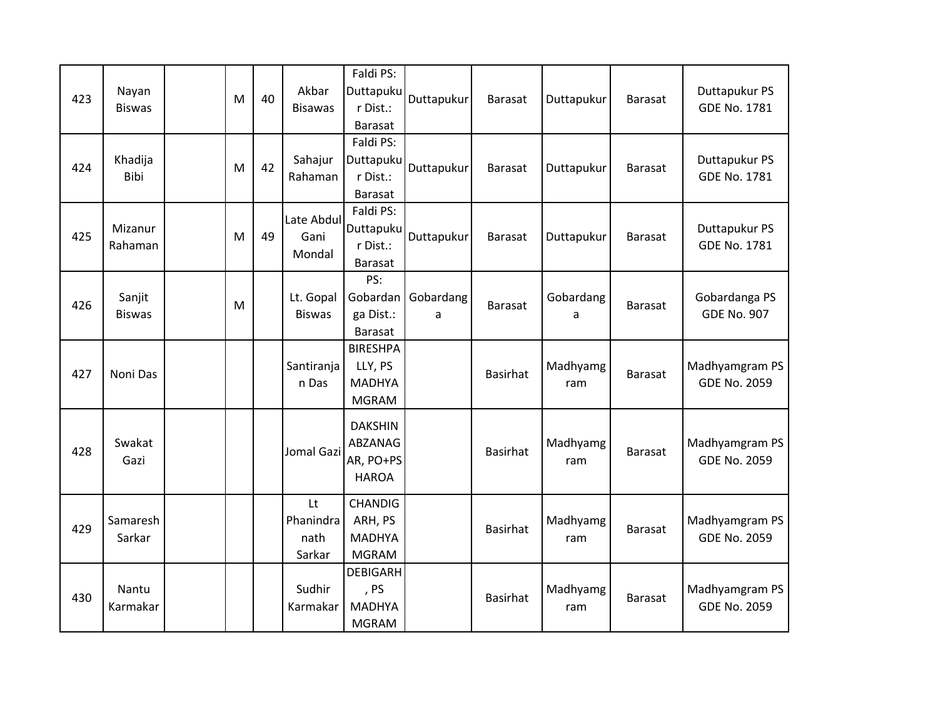| 423 | Nayan<br><b>Biswas</b>  | M | 40 | Akbar<br><b>Bisawas</b>           | Faldi PS:<br>Duttapuku<br>r Dist.:<br><b>Barasat</b>        | Duttapukur              | <b>Barasat</b>  | Duttapukur      | Barasat        | Duttapukur PS<br>GDE No. 1781         |
|-----|-------------------------|---|----|-----------------------------------|-------------------------------------------------------------|-------------------------|-----------------|-----------------|----------------|---------------------------------------|
| 424 | Khadija<br>Bibi         | M | 42 | Sahajur<br>Rahaman                | Faldi PS:<br>Duttapuku<br>r Dist.:<br>Barasat               | Duttapukur              | <b>Barasat</b>  | Duttapukur      | Barasat        | Duttapukur PS<br>GDE No. 1781         |
| 425 | Mizanur<br>Rahaman      | M | 49 | Late Abdul<br>Gani<br>Mondal      | Faldi PS:<br>Duttapuku<br>r Dist.:<br><b>Barasat</b>        | Duttapukur              | <b>Barasat</b>  | Duttapukur      | Barasat        | Duttapukur PS<br><b>GDE No. 1781</b>  |
| 426 | Sanjit<br><b>Biswas</b> | M |    | Lt. Gopal<br><b>Biswas</b>        | PS:<br>ga Dist.:<br><b>Barasat</b>                          | Gobardan Gobardang<br>a | Barasat         | Gobardang<br>a  | Barasat        | Gobardanga PS<br><b>GDE No. 907</b>   |
| 427 | Noni Das                |   |    | Santiranja<br>n Das               | <b>BIRESHPA</b><br>LLY, PS<br><b>MADHYA</b><br><b>MGRAM</b> |                         | <b>Basirhat</b> | Madhyamg<br>ram | Barasat        | Madhyamgram PS<br><b>GDE No. 2059</b> |
| 428 | Swakat<br>Gazi          |   |    | Jomal Gazi                        | <b>DAKSHIN</b><br>ABZANAG<br>AR, PO+PS<br><b>HAROA</b>      |                         | <b>Basirhat</b> | Madhyamg<br>ram | <b>Barasat</b> | Madhyamgram PS<br><b>GDE No. 2059</b> |
| 429 | Samaresh<br>Sarkar      |   |    | Lt<br>Phanindra<br>nath<br>Sarkar | <b>CHANDIG</b><br>ARH, PS<br><b>MADHYA</b><br><b>MGRAM</b>  |                         | <b>Basirhat</b> | Madhyamg<br>ram | <b>Barasat</b> | Madhyamgram PS<br><b>GDE No. 2059</b> |
| 430 | Nantu<br>Karmakar       |   |    | Sudhir<br>Karmakar                | <b>DEBIGARH</b><br>, PS<br><b>MADHYA</b><br><b>MGRAM</b>    |                         | <b>Basirhat</b> | Madhyamg<br>ram | <b>Barasat</b> | Madhyamgram PS<br><b>GDE No. 2059</b> |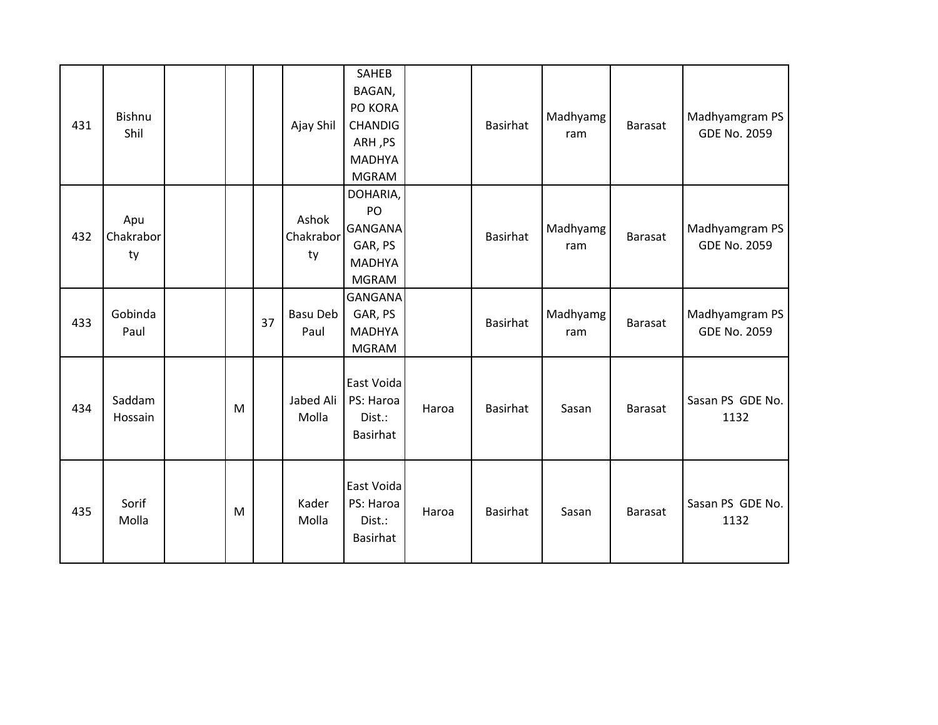| 431 | Bishnu<br>Shil         |   |    | Ajay Shil                | SAHEB<br>BAGAN,<br>PO KORA<br><b>CHANDIG</b><br>ARH, PS<br><b>MADHYA</b><br><b>MGRAM</b> |       | <b>Basirhat</b> | Madhyamg<br>ram | <b>Barasat</b> | Madhyamgram PS<br><b>GDE No. 2059</b> |
|-----|------------------------|---|----|--------------------------|------------------------------------------------------------------------------------------|-------|-----------------|-----------------|----------------|---------------------------------------|
| 432 | Apu<br>Chakrabor<br>ty |   |    | Ashok<br>Chakrabor<br>ty | DOHARIA,<br>PO<br><b>GANGANA</b><br>GAR, PS<br><b>MADHYA</b><br><b>MGRAM</b>             |       | Basirhat        | Madhyamg<br>ram | <b>Barasat</b> | Madhyamgram PS<br><b>GDE No. 2059</b> |
| 433 | Gobinda<br>Paul        |   | 37 | Basu Deb<br>Paul         | <b>GANGANA</b><br>GAR, PS<br><b>MADHYA</b><br><b>MGRAM</b>                               |       | <b>Basirhat</b> | Madhyamg<br>ram | <b>Barasat</b> | Madhyamgram PS<br><b>GDE No. 2059</b> |
| 434 | Saddam<br>Hossain      | M |    | Jabed Ali<br>Molla       | East Voida<br>PS: Haroa<br>Dist.:<br>Basirhat                                            | Haroa | <b>Basirhat</b> | Sasan           | <b>Barasat</b> | Sasan PS GDE No.<br>1132              |
| 435 | Sorif<br>Molla         | M |    | Kader<br>Molla           | East Voida<br>PS: Haroa<br>Dist.:<br>Basirhat                                            | Haroa | <b>Basirhat</b> | Sasan           | <b>Barasat</b> | Sasan PS GDE No.<br>1132              |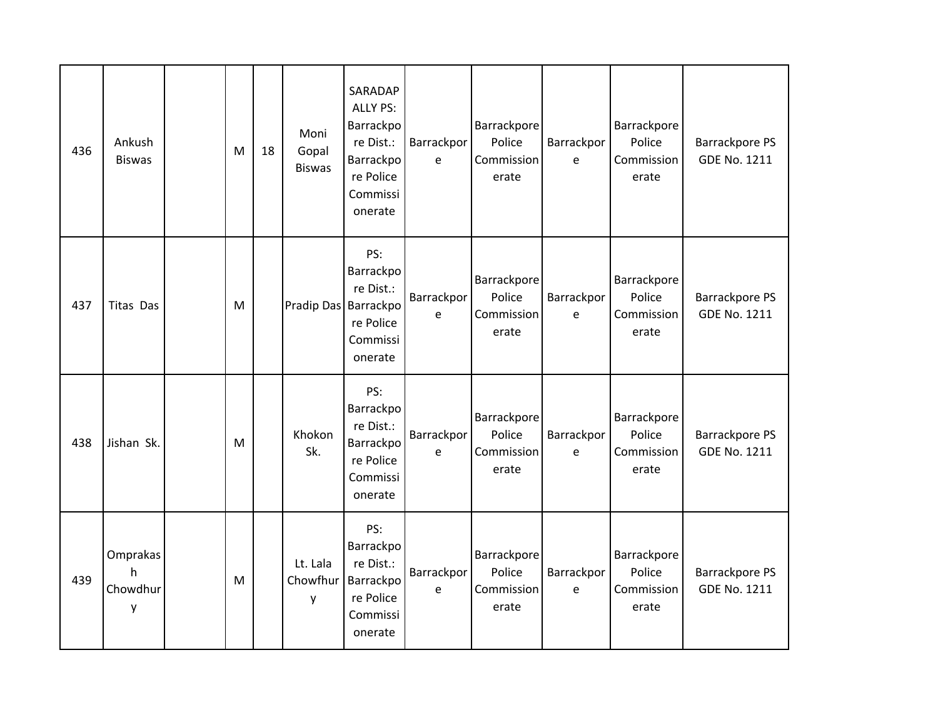| 436 | Ankush<br><b>Biswas</b>        | M | 18 | Moni<br>Gopal<br><b>Biswas</b> | SARADAP<br><b>ALLY PS:</b><br>Barrackpo<br>re Dist.:<br>Barrackpo<br>re Police<br>Commissi<br>onerate | Barrackpor<br>e            | Barrackpore<br>Police<br>Commission<br>erate | Barrackpor<br>e | Barrackpore<br>Police<br>Commission<br>erate | <b>Barrackpore PS</b><br><b>GDE No. 1211</b> |
|-----|--------------------------------|---|----|--------------------------------|-------------------------------------------------------------------------------------------------------|----------------------------|----------------------------------------------|-----------------|----------------------------------------------|----------------------------------------------|
| 437 | Titas Das                      | M |    | Pradip Das Barrackpo           | PS:<br>Barrackpo<br>re Dist.:<br>re Police<br>Commissi<br>onerate                                     | Barrackpor<br>e            | Barrackpore<br>Police<br>Commission<br>erate | Barrackpor<br>e | Barrackpore<br>Police<br>Commission<br>erate | <b>Barrackpore PS</b><br><b>GDE No. 1211</b> |
| 438 | Jishan Sk.                     | M |    | Khokon<br>Sk.                  | PS:<br>Barrackpo<br>re Dist.:<br>Barrackpo<br>re Police<br>Commissi<br>onerate                        | Barrackpor<br>e            | Barrackpore<br>Police<br>Commission<br>erate | Barrackpor<br>e | Barrackpore<br>Police<br>Commission<br>erate | <b>Barrackpore PS</b><br><b>GDE No. 1211</b> |
| 439 | Omprakas<br>h<br>Chowdhur<br>у | M |    | Lt. Lala<br>Chowfhur<br>y      | PS:<br>Barrackpo<br>re Dist.:<br>Barrackpo<br>re Police<br>Commissi<br>onerate                        | Barrackpor<br>$\mathsf{e}$ | Barrackpore<br>Police<br>Commission<br>erate | Barrackpor<br>e | Barrackpore<br>Police<br>Commission<br>erate | <b>Barrackpore PS</b><br><b>GDE No. 1211</b> |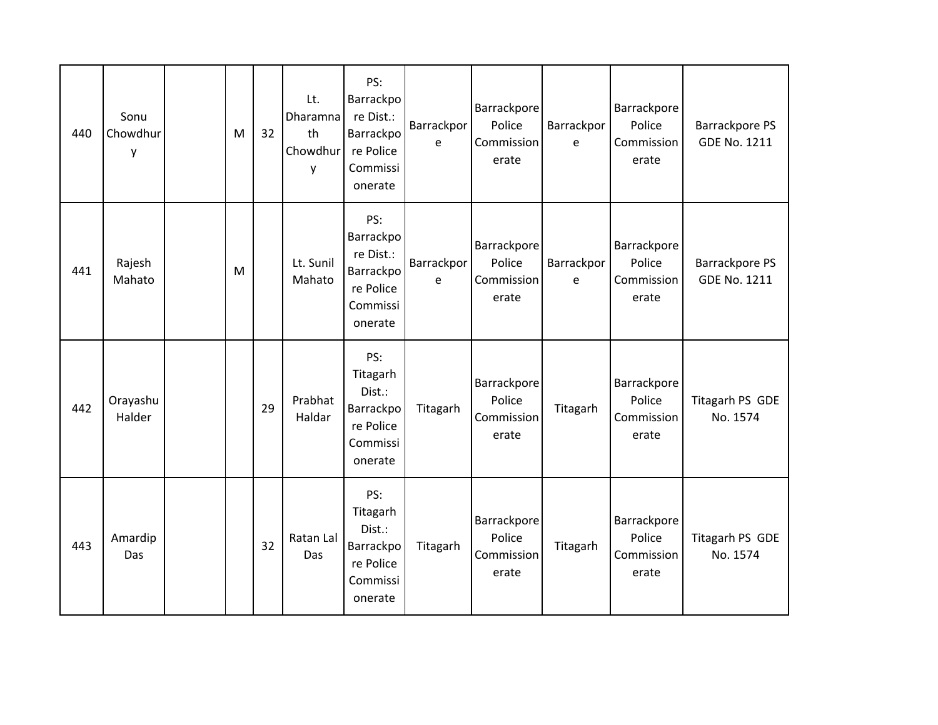| 440 | Sonu<br>Chowdhur<br>y | M | 32 | Lt.<br>Dharamna<br>th<br>Chowdhur<br>y | PS:<br>Barrackpo<br>re Dist.:<br>Barrackpo<br>re Police<br>Commissi<br>onerate | Barrackpor<br>e | Barrackpore<br>Police<br>Commission<br>erate | Barrackpor<br>e | Barrackpore<br>Police<br>Commission<br>erate | <b>Barrackpore PS</b><br><b>GDE No. 1211</b> |
|-----|-----------------------|---|----|----------------------------------------|--------------------------------------------------------------------------------|-----------------|----------------------------------------------|-----------------|----------------------------------------------|----------------------------------------------|
| 441 | Rajesh<br>Mahato      | M |    | Lt. Sunil<br>Mahato                    | PS:<br>Barrackpo<br>re Dist.:<br>Barrackpo<br>re Police<br>Commissi<br>onerate | Barrackpor<br>e | Barrackpore<br>Police<br>Commission<br>erate | Barrackpor<br>e | Barrackpore<br>Police<br>Commission<br>erate | Barrackpore PS<br><b>GDE No. 1211</b>        |
| 442 | Orayashu<br>Halder    |   | 29 | Prabhat<br>Haldar                      | PS:<br>Titagarh<br>Dist.:<br>Barrackpo<br>re Police<br>Commissi<br>onerate     | Titagarh        | Barrackpore<br>Police<br>Commission<br>erate | Titagarh        | Barrackpore<br>Police<br>Commission<br>erate | Titagarh PS GDE<br>No. 1574                  |
| 443 | Amardip<br>Das        |   | 32 | Ratan Lal<br>Das                       | PS:<br>Titagarh<br>Dist.:<br>Barrackpo<br>re Police<br>Commissi<br>onerate     | Titagarh        | Barrackpore<br>Police<br>Commission<br>erate | Titagarh        | Barrackpore<br>Police<br>Commission<br>erate | Titagarh PS GDE<br>No. 1574                  |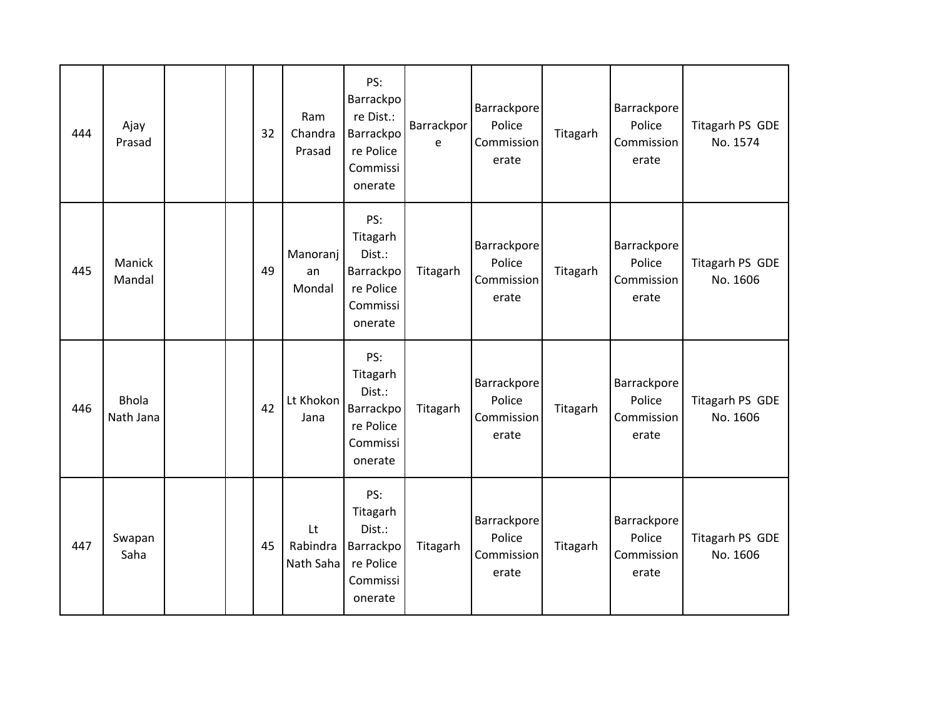| 444 | Ajay<br>Prasad            |  | 32 | Ram<br>Chandra<br>Prasad    | PS:<br>Barrackpo<br>re Dist.:<br>Barrackpo<br>re Police<br>Commissi<br>onerate | Barrackpor<br>e | Barrackpore<br>Police<br>Commission<br>erate | Titagarh | Barrackpore<br>Police<br>Commission<br>erate | Titagarh PS GDE<br>No. 1574 |
|-----|---------------------------|--|----|-----------------------------|--------------------------------------------------------------------------------|-----------------|----------------------------------------------|----------|----------------------------------------------|-----------------------------|
| 445 | Manick<br>Mandal          |  | 49 | Manoranj<br>an<br>Mondal    | PS:<br>Titagarh<br>Dist.:<br>Barrackpo<br>re Police<br>Commissi<br>onerate     | Titagarh        | Barrackpore<br>Police<br>Commission<br>erate | Titagarh | Barrackpore<br>Police<br>Commission<br>erate | Titagarh PS GDE<br>No. 1606 |
| 446 | <b>Bhola</b><br>Nath Jana |  | 42 | Lt Khokon<br>Jana           | PS:<br>Titagarh<br>Dist.:<br>Barrackpo<br>re Police<br>Commissi<br>onerate     | Titagarh        | Barrackpore<br>Police<br>Commission<br>erate | Titagarh | Barrackpore<br>Police<br>Commission<br>erate | Titagarh PS GDE<br>No. 1606 |
| 447 | Swapan<br>Saha            |  | 45 | Lt<br>Rabindra<br>Nath Saha | PS:<br>Titagarh<br>Dist.:<br>Barrackpo<br>re Police<br>Commissi<br>onerate     | Titagarh        | Barrackpore<br>Police<br>Commission<br>erate | Titagarh | Barrackpore<br>Police<br>Commission<br>erate | Titagarh PS GDE<br>No. 1606 |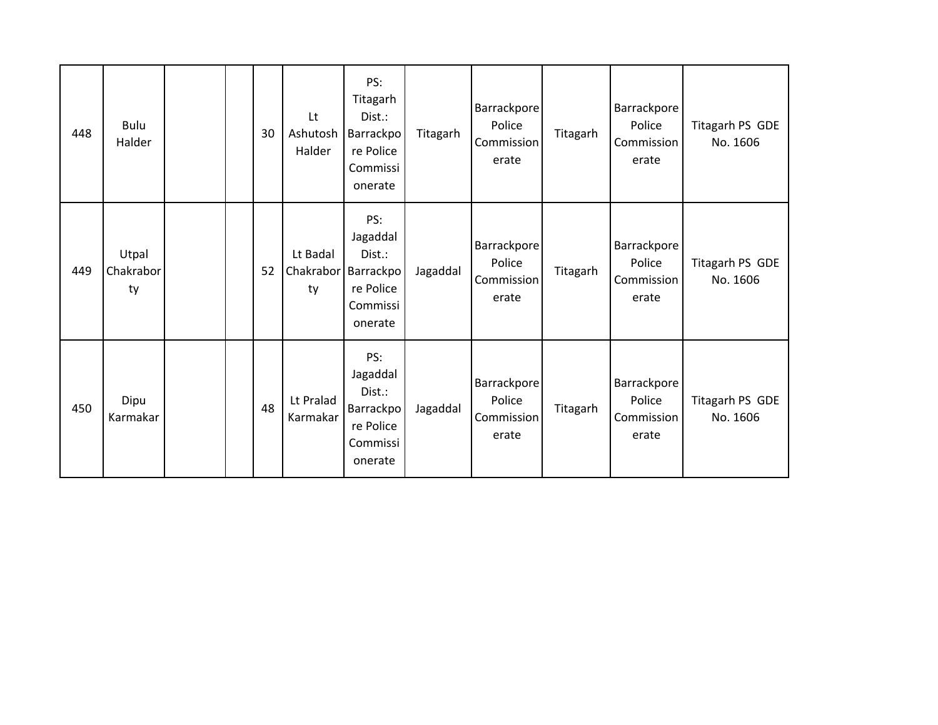| 448 | Bulu<br>Halder           |  | 30 | Lt<br>Ashutosh<br>Halder    | PS:<br>Titagarh<br>Dist.:<br>Barrackpo<br>re Police<br>Commissi<br>onerate | Titagarh | Barrackpore<br>Police<br>Commission<br>erate | Titagarh | <b>Barrackpore</b><br>Police<br>Commission<br>erate | Titagarh PS GDE<br>No. 1606 |
|-----|--------------------------|--|----|-----------------------------|----------------------------------------------------------------------------|----------|----------------------------------------------|----------|-----------------------------------------------------|-----------------------------|
| 449 | Utpal<br>Chakrabor<br>ty |  | 52 | Lt Badal<br>Chakrabor<br>ty | PS:<br>Jagaddal<br>Dist.:<br>Barrackpo<br>re Police<br>Commissi<br>onerate | Jagaddal | Barrackpore<br>Police<br>Commission<br>erate | Titagarh | <b>Barrackpore</b><br>Police<br>Commission<br>erate | Titagarh PS GDE<br>No. 1606 |
| 450 | Dipu<br>Karmakar         |  | 48 | Lt Pralad<br>Karmakar       | PS:<br>Jagaddal<br>Dist.:<br>Barrackpo<br>re Police<br>Commissi<br>onerate | Jagaddal | Barrackpore<br>Police<br>Commission<br>erate | Titagarh | <b>Barrackpore</b><br>Police<br>Commission<br>erate | Titagarh PS GDE<br>No. 1606 |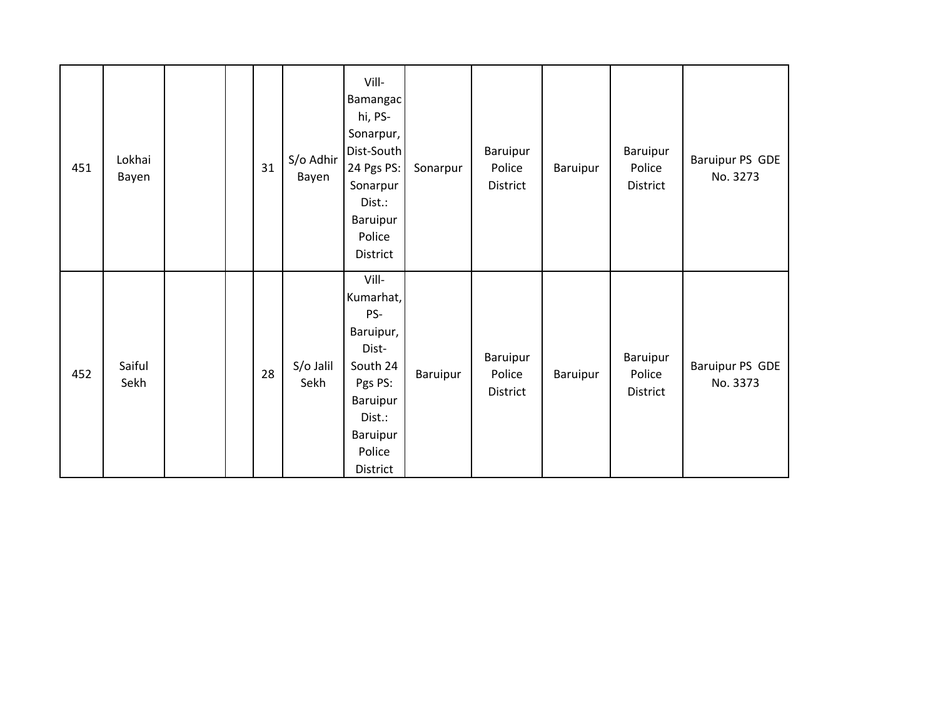| 451 | Lokhai<br>Bayen |  | 31 | S/o Adhir<br>Bayen | Vill-<br>Bamangac<br>hi, PS-<br>Sonarpur,<br>Dist-South<br>24 Pgs PS:<br>Sonarpur<br>Dist.:<br>Baruipur<br>Police<br>District  | Sonarpur | Baruipur<br>Police<br>District | Baruipur | Baruipur<br>Police<br>District | Baruipur PS GDE<br>No. 3273 |
|-----|-----------------|--|----|--------------------|--------------------------------------------------------------------------------------------------------------------------------|----------|--------------------------------|----------|--------------------------------|-----------------------------|
| 452 | Saiful<br>Sekh  |  | 28 | S/o Jalil<br>Sekh  | Vill-<br>Kumarhat,<br>PS-<br>Baruipur,<br>Dist-<br>South 24<br>Pgs PS:<br>Baruipur<br>Dist.:<br>Baruipur<br>Police<br>District | Baruipur | Baruipur<br>Police<br>District | Baruipur | Baruipur<br>Police<br>District | Baruipur PS GDE<br>No. 3373 |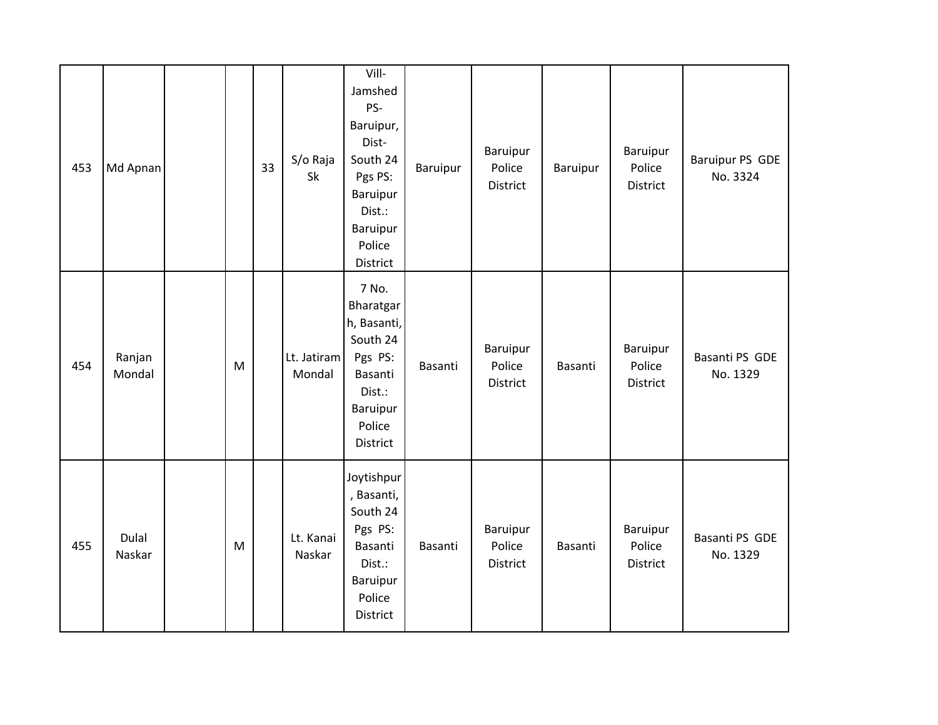| 453 | Md Apnan         |   | 33 | S/o Raja<br>Sk        | Vill-<br>Jamshed<br>PS-<br>Baruipur,<br>Dist-<br>South 24<br>Pgs PS:<br>Baruipur<br>Dist.:<br>Baruipur<br>Police<br>District | Baruipur | Baruipur<br>Police<br>District | Baruipur | Baruipur<br>Police<br>District | <b>Baruipur PS GDE</b><br>No. 3324 |
|-----|------------------|---|----|-----------------------|------------------------------------------------------------------------------------------------------------------------------|----------|--------------------------------|----------|--------------------------------|------------------------------------|
| 454 | Ranjan<br>Mondal | M |    | Lt. Jatiram<br>Mondal | 7 No.<br>Bharatgar<br>h, Basanti,<br>South 24<br>Pgs PS:<br>Basanti<br>Dist.:<br>Baruipur<br>Police<br>District              | Basanti  | Baruipur<br>Police<br>District | Basanti  | Baruipur<br>Police<br>District | Basanti PS GDE<br>No. 1329         |
| 455 | Dulal<br>Naskar  | M |    | Lt. Kanai<br>Naskar   | Joytishpur<br>, Basanti,<br>South 24<br>Pgs PS:<br>Basanti<br>Dist.:<br>Baruipur<br>Police<br>District                       | Basanti  | Baruipur<br>Police<br>District | Basanti  | Baruipur<br>Police<br>District | Basanti PS GDE<br>No. 1329         |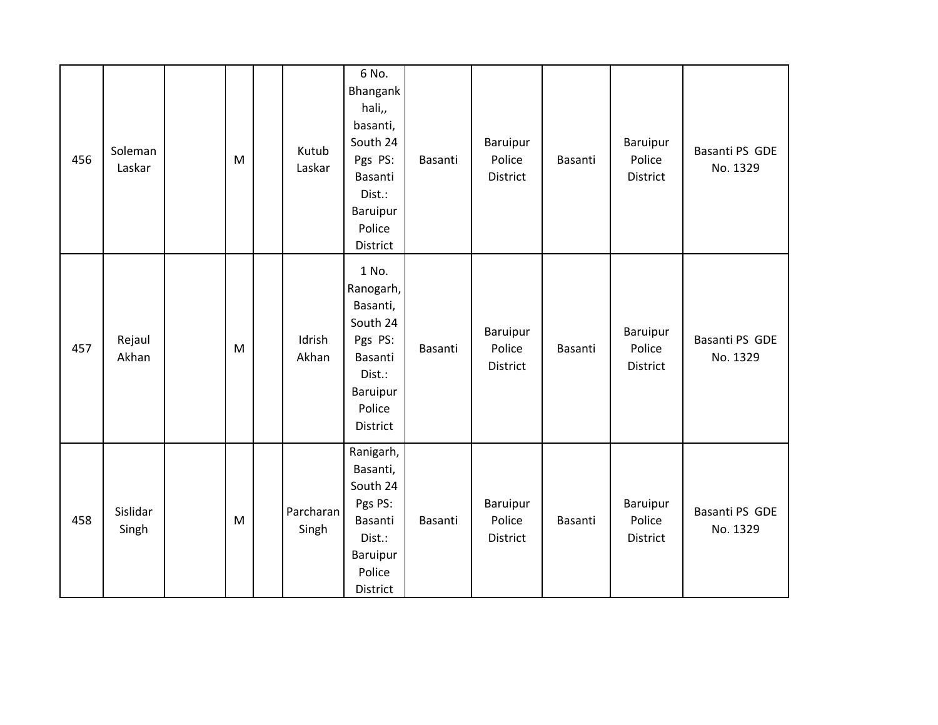| 456 | Soleman<br>Laskar | M | Kutub<br>Laskar    | 6 No.<br>Bhangank<br>hali,,<br>basanti,<br>South 24<br>Pgs PS:<br>Basanti<br>Dist.:<br>Baruipur<br>Police<br>District | Basanti | Baruipur<br>Police<br>District | Basanti | Baruipur<br>Police<br>District | Basanti PS GDE<br>No. 1329 |
|-----|-------------------|---|--------------------|-----------------------------------------------------------------------------------------------------------------------|---------|--------------------------------|---------|--------------------------------|----------------------------|
| 457 | Rejaul<br>Akhan   | M | Idrish<br>Akhan    | 1 No.<br>Ranogarh,<br>Basanti,<br>South 24<br>Pgs PS:<br>Basanti<br>Dist.:<br>Baruipur<br>Police<br>District          | Basanti | Baruipur<br>Police<br>District | Basanti | Baruipur<br>Police<br>District | Basanti PS GDE<br>No. 1329 |
| 458 | Sislidar<br>Singh | M | Parcharan<br>Singh | Ranigarh,<br>Basanti,<br>South 24<br>Pgs PS:<br>Basanti<br>Dist.:<br>Baruipur<br>Police<br>District                   | Basanti | Baruipur<br>Police<br>District | Basanti | Baruipur<br>Police<br>District | Basanti PS GDE<br>No. 1329 |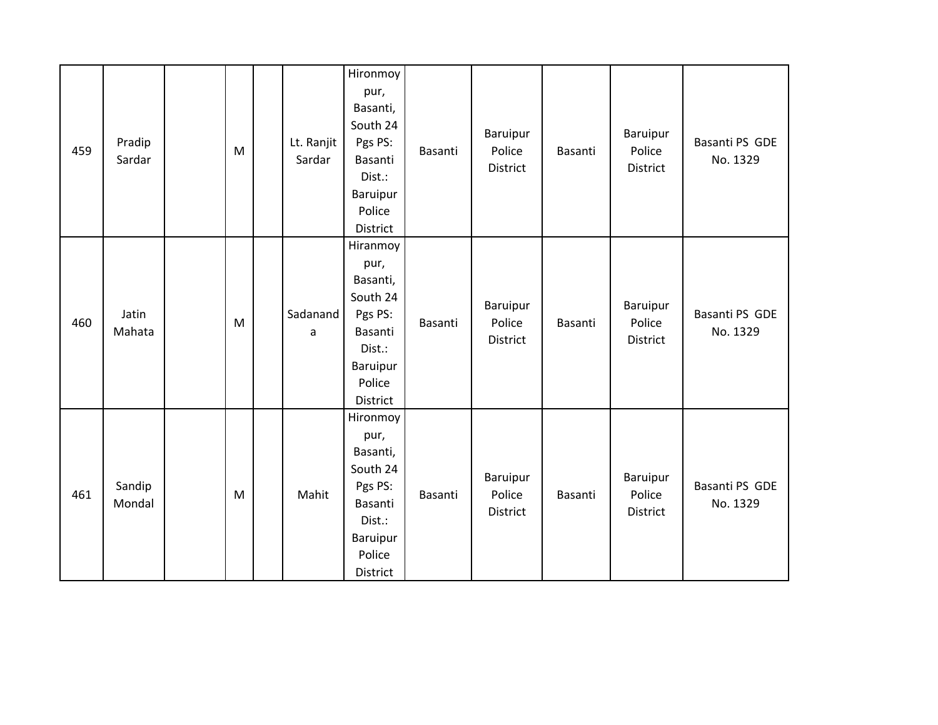| 459 | Pradip<br>Sardar | M | Lt. Ranjit<br>Sardar | Hironmoy<br>pur,<br>Basanti,<br>South 24<br>Pgs PS:<br>Basanti<br>Dist.:<br>Baruipur<br>Police<br>District | Basanti | Baruipur<br>Police<br>District        | Basanti | Baruipur<br>Police<br><b>District</b> | Basanti PS GDE<br>No. 1329 |
|-----|------------------|---|----------------------|------------------------------------------------------------------------------------------------------------|---------|---------------------------------------|---------|---------------------------------------|----------------------------|
| 460 | Jatin<br>Mahata  | M | Sadanand<br>a        | Hiranmoy<br>pur,<br>Basanti,<br>South 24<br>Pgs PS:<br>Basanti<br>Dist.:<br>Baruipur<br>Police<br>District | Basanti | Baruipur<br>Police<br>District        | Basanti | Baruipur<br>Police<br>District        | Basanti PS GDE<br>No. 1329 |
| 461 | Sandip<br>Mondal | M | Mahit                | Hironmoy<br>pur,<br>Basanti,<br>South 24<br>Pgs PS:<br>Basanti<br>Dist.:<br>Baruipur<br>Police<br>District | Basanti | <b>Baruipur</b><br>Police<br>District | Basanti | Baruipur<br>Police<br><b>District</b> | Basanti PS GDE<br>No. 1329 |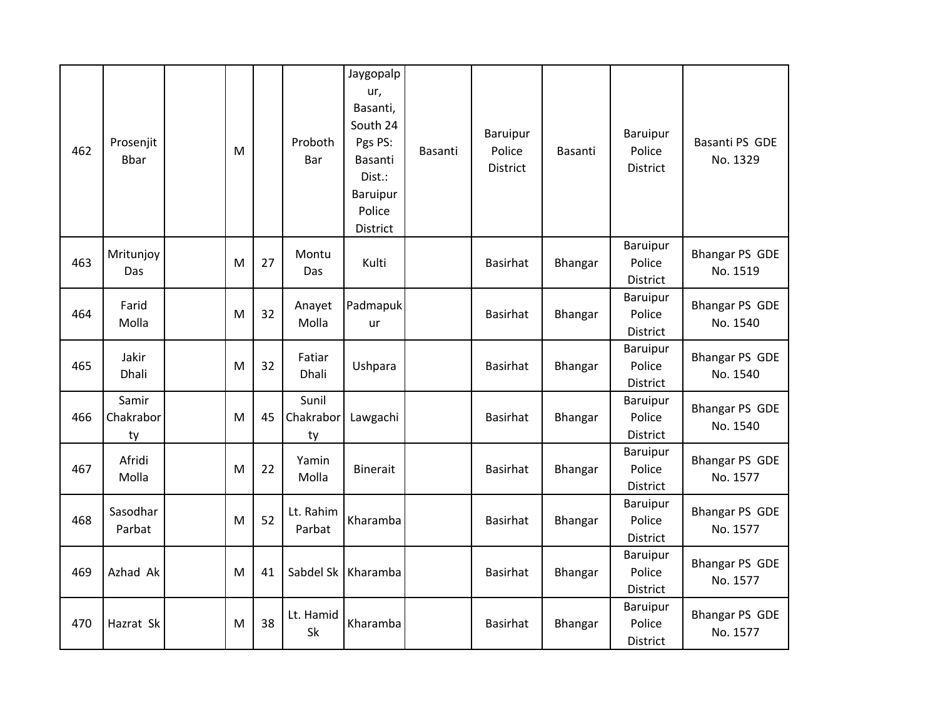| 462 | Prosenjit<br><b>Bbar</b> | M |    | Proboth<br>Bar           | Jaygopalp<br>ur,<br>Basanti,<br>South 24<br>Pgs PS:<br>Basanti<br>Dist.:<br>Baruipur<br>Police<br>District | Basanti | Baruipur<br>Police<br><b>District</b> | Basanti        | Baruipur<br>Police<br><b>District</b>        | Basanti PS GDE<br>No. 1329        |
|-----|--------------------------|---|----|--------------------------|------------------------------------------------------------------------------------------------------------|---------|---------------------------------------|----------------|----------------------------------------------|-----------------------------------|
| 463 | Mritunjoy<br>Das         | M | 27 | Montu<br>Das             | Kulti                                                                                                      |         | <b>Basirhat</b>                       | <b>Bhangar</b> | Baruipur<br>Police<br><b>District</b>        | <b>Bhangar PS GDE</b><br>No. 1519 |
| 464 | Farid<br>Molla           | M | 32 | Anayet<br>Molla          | Padmapuk<br>ur                                                                                             |         | <b>Basirhat</b>                       | <b>Bhangar</b> | Baruipur<br>Police<br><b>District</b>        | Bhangar PS GDE<br>No. 1540        |
| 465 | Jakir<br>Dhali           | M | 32 | Fatiar<br>Dhali          | Ushpara                                                                                                    |         | <b>Basirhat</b>                       | Bhangar        | <b>Baruipur</b><br>Police<br><b>District</b> | <b>Bhangar PS GDE</b><br>No. 1540 |
| 466 | Samir<br>Chakrabor<br>ty | M | 45 | Sunil<br>Chakrabor<br>ty | Lawgachi                                                                                                   |         | <b>Basirhat</b>                       | <b>Bhangar</b> | Baruipur<br>Police<br><b>District</b>        | <b>Bhangar PS GDE</b><br>No. 1540 |
| 467 | Afridi<br>Molla          | M | 22 | Yamin<br>Molla           | <b>Binerait</b>                                                                                            |         | <b>Basirhat</b>                       | Bhangar        | Baruipur<br>Police<br>District               | <b>Bhangar PS GDE</b><br>No. 1577 |
| 468 | Sasodhar<br>Parbat       | M | 52 | Lt. Rahim<br>Parbat      | Kharamba                                                                                                   |         | <b>Basirhat</b>                       | Bhangar        | Baruipur<br>Police<br>District               | <b>Bhangar PS GDE</b><br>No. 1577 |
| 469 | Azhad Ak                 | M | 41 |                          | Sabdel Sk   Kharamba                                                                                       |         | <b>Basirhat</b>                       | Bhangar        | Baruipur<br>Police<br>District               | <b>Bhangar PS GDE</b><br>No. 1577 |
| 470 | Hazrat Sk                | M | 38 | Lt. Hamid<br>Sk          | Kharamba                                                                                                   |         | <b>Basirhat</b>                       | Bhangar        | Baruipur<br>Police<br>District               | <b>Bhangar PS GDE</b><br>No. 1577 |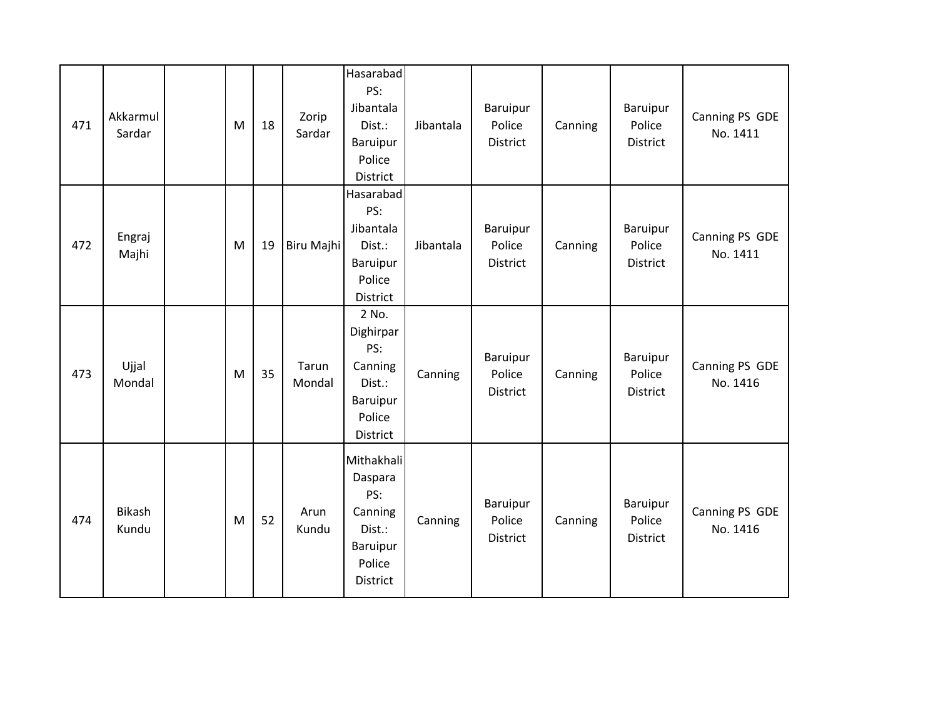| 471 | Akkarmul<br>Sardar | M | 18 | Zorip<br>Sardar | Hasarabad<br>PS:<br>Jibantala<br>Dist.:<br>Baruipur<br>Police<br>District               | Jibantala | Baruipur<br>Police<br>District | Canning | Baruipur<br>Police<br>District        | Canning PS GDE<br>No. 1411 |
|-----|--------------------|---|----|-----------------|-----------------------------------------------------------------------------------------|-----------|--------------------------------|---------|---------------------------------------|----------------------------|
| 472 | Engraj<br>Majhi    | M | 19 | Biru Majhi      | Hasarabad<br>PS:<br>Jibantala<br>Dist.:<br>Baruipur<br>Police<br>District               | Jibantala | Baruipur<br>Police<br>District | Canning | Baruipur<br>Police<br>District        | Canning PS GDE<br>No. 1411 |
| 473 | Ujjal<br>Mondal    | M | 35 | Tarun<br>Mondal | 2 No.<br>Dighirpar<br>PS:<br>Canning<br>Dist.:<br><b>Baruipur</b><br>Police<br>District | Canning   | Baruipur<br>Police<br>District | Canning | <b>Baruipur</b><br>Police<br>District | Canning PS GDE<br>No. 1416 |
| 474 | Bikash<br>Kundu    | M | 52 | Arun<br>Kundu   | Mithakhali<br>Daspara<br>PS:<br>Canning<br>Dist.:<br>Baruipur<br>Police<br>District     | Canning   | Baruipur<br>Police<br>District | Canning | <b>Baruipur</b><br>Police<br>District | Canning PS GDE<br>No. 1416 |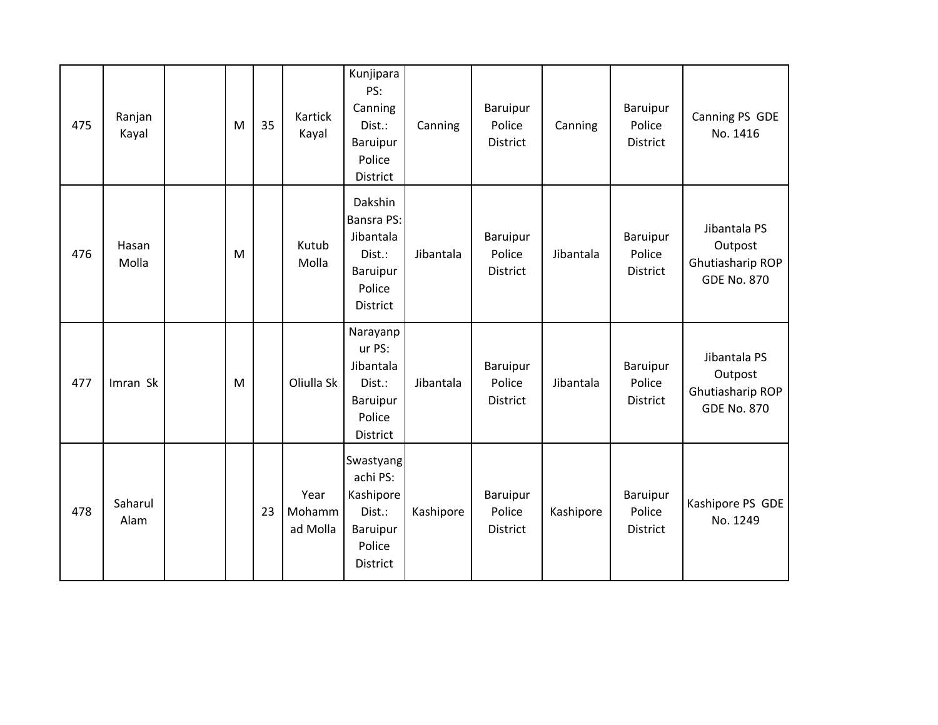| 475 | Ranjan<br>Kayal | M | 35 | Kartick<br>Kayal           | Kunjipara<br>PS:<br>Canning<br>Dist.:<br>Baruipur<br>Police<br>District               | Canning   | Baruipur<br>Police<br>District        | Canning   | Baruipur<br>Police<br>District               | Canning PS GDE<br>No. 1416                                        |
|-----|-----------------|---|----|----------------------------|---------------------------------------------------------------------------------------|-----------|---------------------------------------|-----------|----------------------------------------------|-------------------------------------------------------------------|
| 476 | Hasan<br>Molla  | M |    | Kutub<br>Molla             | Dakshin<br><b>Bansra PS:</b><br>Jibantala<br>Dist.:<br>Baruipur<br>Police<br>District | Jibantala | Baruipur<br>Police<br>District        | Jibantala | Baruipur<br>Police<br><b>District</b>        | Jibantala PS<br>Outpost<br>Ghutiasharip ROP<br><b>GDE No. 870</b> |
| 477 | Imran Sk        | M |    | Oliulla Sk                 | Narayanp<br>ur PS:<br>Jibantala<br>Dist.:<br>Baruipur<br>Police<br>District           | Jibantala | <b>Baruipur</b><br>Police<br>District | Jibantala | <b>Baruipur</b><br>Police<br><b>District</b> | Jibantala PS<br>Outpost<br>Ghutiasharip ROP<br><b>GDE No. 870</b> |
| 478 | Saharul<br>Alam |   | 23 | Year<br>Mohamm<br>ad Molla | Swastyang<br>achi PS:<br>Kashipore<br>Dist.:<br>Baruipur<br>Police<br>District        | Kashipore | Baruipur<br>Police<br>District        | Kashipore | <b>Baruipur</b><br>Police<br><b>District</b> | Kashipore PS GDE<br>No. 1249                                      |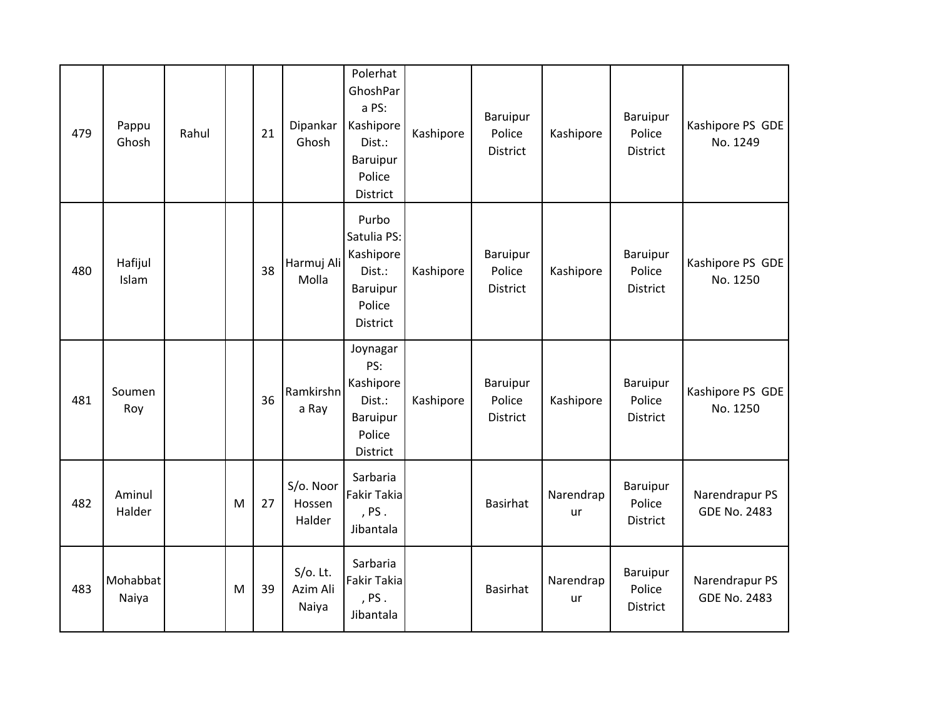| 479 | Pappu<br>Ghosh    | Rahul |   | 21 | Dipankar<br>Ghosh                | Polerhat<br>GhoshPar<br>a PS:<br>Kashipore<br>Dist.:<br>Baruipur<br>Police<br><b>District</b> | Kashipore | Baruipur<br>Police<br>District        | Kashipore       | Baruipur<br>Police<br><b>District</b> | Kashipore PS GDE<br>No. 1249          |
|-----|-------------------|-------|---|----|----------------------------------|-----------------------------------------------------------------------------------------------|-----------|---------------------------------------|-----------------|---------------------------------------|---------------------------------------|
| 480 | Hafijul<br>Islam  |       |   | 38 | Harmuj Ali<br>Molla              | Purbo<br>Satulia PS:<br>Kashipore<br>Dist.:<br>Baruipur<br>Police<br><b>District</b>          | Kashipore | Baruipur<br>Police<br><b>District</b> | Kashipore       | Baruipur<br>Police<br><b>District</b> | Kashipore PS GDE<br>No. 1250          |
| 481 | Soumen<br>Roy     |       |   | 36 | Ramkirshn<br>a Ray               | Joynagar<br>PS:<br>Kashipore<br>Dist.:<br>Baruipur<br>Police<br>District                      | Kashipore | Baruipur<br>Police<br><b>District</b> | Kashipore       | Baruipur<br>Police<br>District        | Kashipore PS GDE<br>No. 1250          |
| 482 | Aminul<br>Halder  |       | M | 27 | S/o. Noor<br>Hossen<br>Halder    | Sarbaria<br>Fakir Takia<br>, $PS.$<br>Jibantala                                               |           | Basirhat                              | Narendrap<br>ur | Baruipur<br>Police<br>District        | Narendrapur PS<br><b>GDE No. 2483</b> |
| 483 | Mohabbat<br>Naiya |       | M | 39 | $S/O$ . Lt.<br>Azim Ali<br>Naiya | Sarbaria<br><b>Fakir Takia</b><br>PS.<br>Jibantala                                            |           | <b>Basirhat</b>                       | Narendrap<br>ur | Baruipur<br>Police<br><b>District</b> | Narendrapur PS<br><b>GDE No. 2483</b> |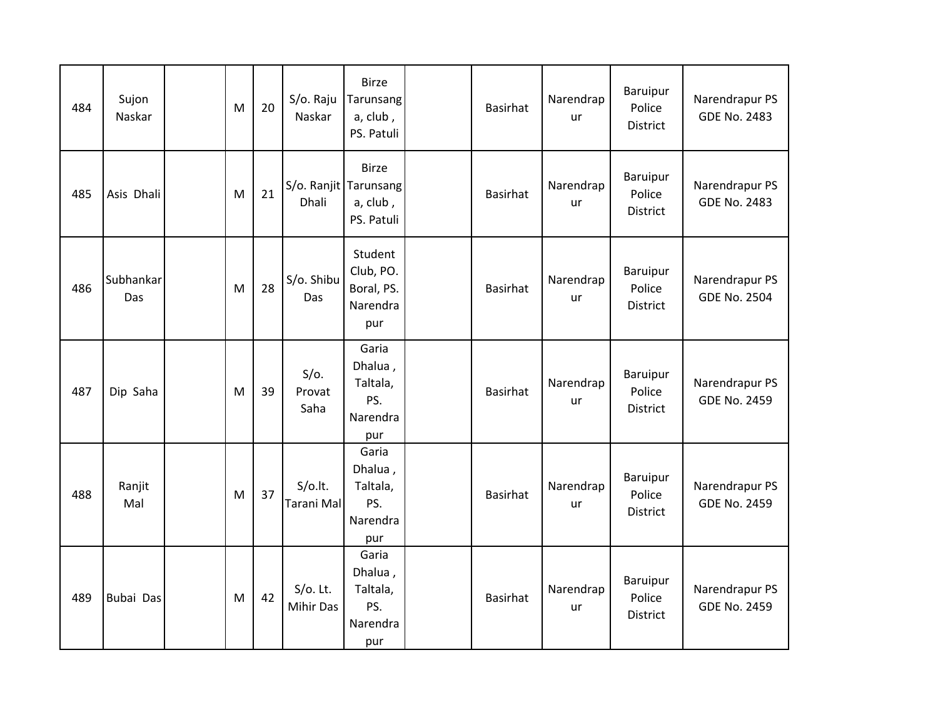| 484 | Sujon<br>Naskar  | M | 20 | S/o. Raju<br>Naskar             | <b>Birze</b><br>Tarunsang<br>a, club,<br>PS. Patuli             | <b>Basirhat</b> | Narendrap<br>ur        | Baruipur<br>Police<br><b>District</b> | Narendrapur PS<br><b>GDE No. 2483</b> |
|-----|------------------|---|----|---------------------------------|-----------------------------------------------------------------|-----------------|------------------------|---------------------------------------|---------------------------------------|
| 485 | Asis Dhali       | M | 21 | Dhali                           | <b>Birze</b><br>S/o. Ranjit Tarunsang<br>a, club,<br>PS. Patuli | <b>Basirhat</b> | Narendrap<br>ur        | Baruipur<br>Police<br><b>District</b> | Narendrapur PS<br><b>GDE No. 2483</b> |
| 486 | Subhankar<br>Das | M | 28 | S/o. Shibu<br>Das               | Student<br>Club, PO.<br>Boral, PS.<br>Narendra<br>pur           | Basirhat        | Narendrap<br><b>ur</b> | Baruipur<br>Police<br><b>District</b> | Narendrapur PS<br><b>GDE No. 2504</b> |
| 487 | Dip Saha         | M | 39 | $S/O$ .<br>Provat<br>Saha       | Garia<br>Dhalua,<br>Taltala,<br>PS.<br>Narendra<br>pur          | <b>Basirhat</b> | Narendrap<br>ur        | Baruipur<br>Police<br>District        | Narendrapur PS<br><b>GDE No. 2459</b> |
| 488 | Ranjit<br>Mal    | M | 37 | $S/O$ .lt.<br>Tarani Mal        | Garia<br>Dhalua,<br>Taltala,<br>PS.<br>Narendra<br>pur          | <b>Basirhat</b> | Narendrap<br>ur        | Baruipur<br>Police<br><b>District</b> | Narendrapur PS<br><b>GDE No. 2459</b> |
| 489 | Bubai Das        | M | 42 | $S/O$ . Lt.<br><b>Mihir Das</b> | Garia<br>Dhalua,<br>Taltala,<br>PS.<br>Narendra<br>pur          | <b>Basirhat</b> | Narendrap<br>ur        | Baruipur<br>Police<br>District        | Narendrapur PS<br><b>GDE No. 2459</b> |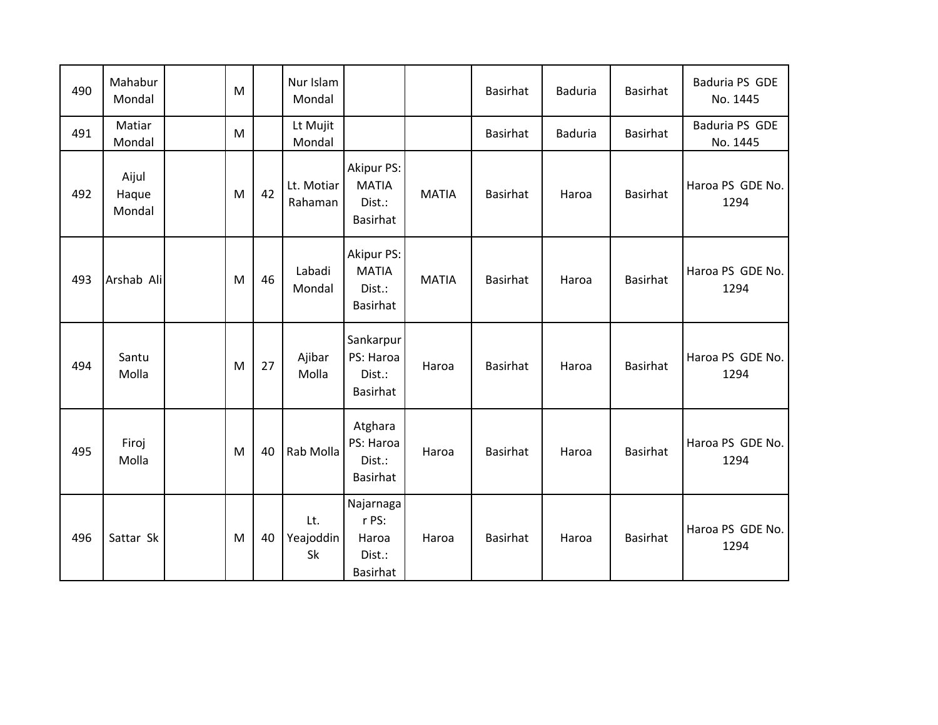| 490 | Mahabur<br>Mondal        | M |    | Nur Islam<br>Mondal    |                                                          |              | <b>Basirhat</b> | <b>Baduria</b> | <b>Basirhat</b> | Baduria PS GDE<br>No. 1445 |
|-----|--------------------------|---|----|------------------------|----------------------------------------------------------|--------------|-----------------|----------------|-----------------|----------------------------|
| 491 | Matiar<br>Mondal         | M |    | Lt Mujit<br>Mondal     |                                                          |              | <b>Basirhat</b> | <b>Baduria</b> | <b>Basirhat</b> | Baduria PS GDE<br>No. 1445 |
| 492 | Aijul<br>Haque<br>Mondal | M | 42 | Lt. Motiar<br>Rahaman  | <b>Akipur PS:</b><br><b>MATIA</b><br>Dist.:<br>Basirhat  | <b>MATIA</b> | <b>Basirhat</b> | Haroa          | <b>Basirhat</b> | Haroa PS GDE No.<br>1294   |
| 493 | Arshab Ali               | M | 46 | Labadi<br>Mondal       | <b>Akipur PS:</b><br><b>MATIA</b><br>Dist.:<br>Basirhat  | <b>MATIA</b> | <b>Basirhat</b> | Haroa          | <b>Basirhat</b> | Haroa PS GDE No.<br>1294   |
| 494 | Santu<br>Molla           | M | 27 | Ajibar<br>Molla        | Sankarpur<br>PS: Haroa<br>Dist.:<br>Basirhat             | Haroa        | <b>Basirhat</b> | Haroa          | <b>Basirhat</b> | Haroa PS GDE No.<br>1294   |
| 495 | Firoj<br>Molla           | M | 40 | Rab Molla              | Atghara<br>PS: Haroa<br>Dist.:<br>Basirhat               | Haroa        | <b>Basirhat</b> | Haroa          | <b>Basirhat</b> | Haroa PS GDE No.<br>1294   |
| 496 | Sattar Sk                | M | 40 | Lt.<br>Yeajoddin<br>Sk | Najarnaga<br>r PS:<br>Haroa<br>Dist.:<br><b>Basirhat</b> | Haroa        | <b>Basirhat</b> | Haroa          | <b>Basirhat</b> | Haroa PS GDE No.<br>1294   |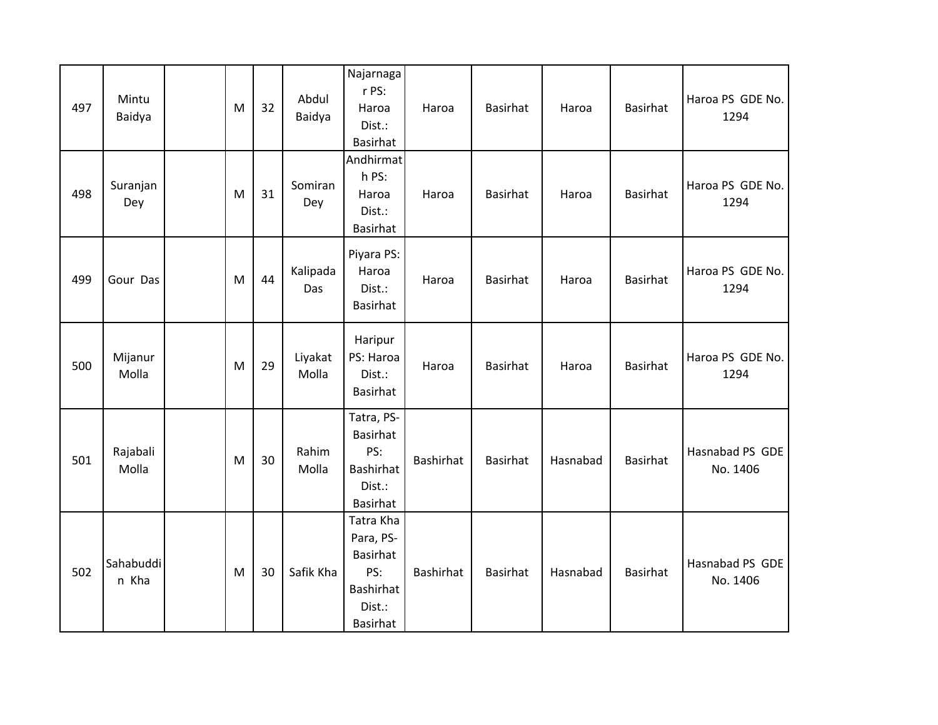| 497 | Mintu<br>Baidya    | M | 32 | Abdul<br>Baidya  | Najarnaga<br>r PS:<br>Haroa<br>Dist.:<br>Basirhat                                                 | Haroa     | Basirhat        | Haroa    | Basirhat        | Haroa PS GDE No.<br>1294    |
|-----|--------------------|---|----|------------------|---------------------------------------------------------------------------------------------------|-----------|-----------------|----------|-----------------|-----------------------------|
| 498 | Suranjan<br>Dey    | M | 31 | Somiran<br>Dey   | Andhirmat<br>h PS:<br>Haroa<br>Dist.:<br><b>Basirhat</b>                                          | Haroa     | Basirhat        | Haroa    | Basirhat        | Haroa PS GDE No.<br>1294    |
| 499 | Gour Das           | M | 44 | Kalipada<br>Das  | Piyara PS:<br>Haroa<br>Dist.:<br>Basirhat                                                         | Haroa     | <b>Basirhat</b> | Haroa    | <b>Basirhat</b> | Haroa PS GDE No.<br>1294    |
| 500 | Mijanur<br>Molla   | M | 29 | Liyakat<br>Molla | Haripur<br>PS: Haroa<br>Dist.:<br>Basirhat                                                        | Haroa     | Basirhat        | Haroa    | <b>Basirhat</b> | Haroa PS GDE No.<br>1294    |
| 501 | Rajabali<br>Molla  | M | 30 | Rahim<br>Molla   | Tatra, PS-<br><b>Basirhat</b><br>PS:<br>Bashirhat<br>Dist.:<br><b>Basirhat</b>                    | Bashirhat | <b>Basirhat</b> | Hasnabad | Basirhat        | Hasnabad PS GDE<br>No. 1406 |
| 502 | Sahabuddi<br>n Kha | M | 30 | Safik Kha        | Tatra Kha<br>Para, PS-<br><b>Basirhat</b><br>PS:<br><b>Bashirhat</b><br>Dist.:<br><b>Basirhat</b> | Bashirhat | Basirhat        | Hasnabad | Basirhat        | Hasnabad PS GDE<br>No. 1406 |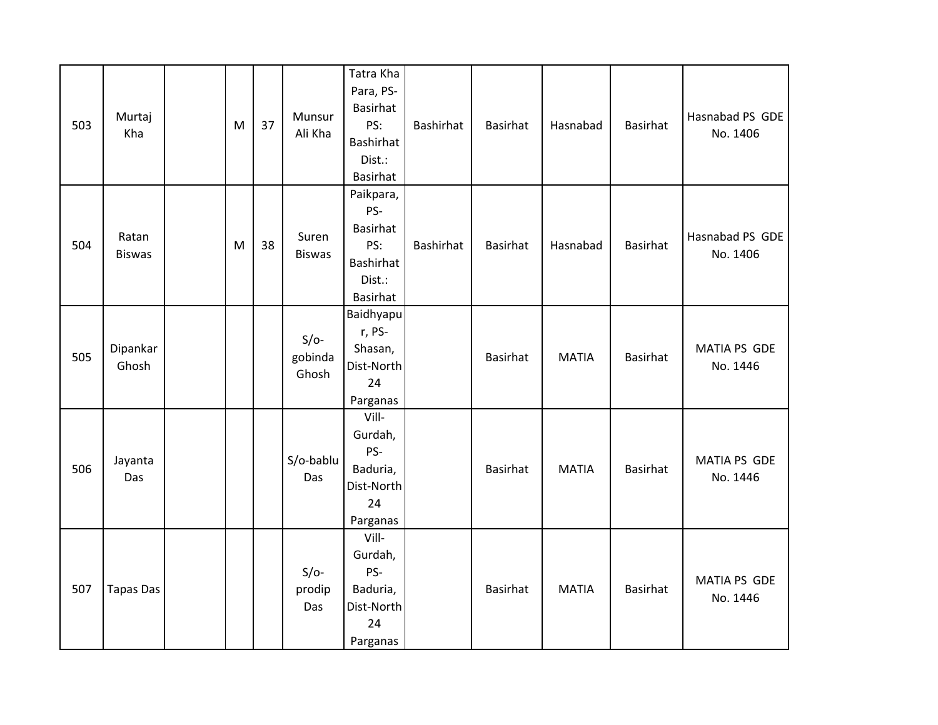| 503 | Murtaj<br>Kha          | M | 37 | Munsur<br>Ali Kha          | Tatra Kha<br>Para, PS-<br><b>Basirhat</b><br>PS:<br>Bashirhat<br>Dist.:<br>Basirhat  | Bashirhat        | Basirhat | Hasnabad     | <b>Basirhat</b> | Hasnabad PS GDE<br>No. 1406     |
|-----|------------------------|---|----|----------------------------|--------------------------------------------------------------------------------------|------------------|----------|--------------|-----------------|---------------------------------|
| 504 | Ratan<br><b>Biswas</b> | M | 38 | Suren<br><b>Biswas</b>     | Paikpara,<br>PS-<br><b>Basirhat</b><br>PS:<br>Bashirhat<br>Dist.:<br><b>Basirhat</b> | <b>Bashirhat</b> | Basirhat | Hasnabad     | Basirhat        | Hasnabad PS GDE<br>No. 1406     |
| 505 | Dipankar<br>Ghosh      |   |    | $S/O-$<br>gobinda<br>Ghosh | Baidhyapu<br>r, PS-<br>Shasan,<br>Dist-North<br>24<br>Parganas                       |                  | Basirhat | <b>MATIA</b> | Basirhat        | <b>MATIA PS GDE</b><br>No. 1446 |
| 506 | Jayanta<br>Das         |   |    | S/o-bablu<br>Das           | Vill-<br>Gurdah,<br>PS-<br>Baduria,<br>Dist-North<br>24<br>Parganas                  |                  | Basirhat | <b>MATIA</b> | Basirhat        | <b>MATIA PS GDE</b><br>No. 1446 |
| 507 | <b>Tapas Das</b>       |   |    | $S/O-$<br>prodip<br>Das    | Vill-<br>Gurdah,<br>PS-<br>Baduria,<br>Dist-North<br>24<br>Parganas                  |                  | Basirhat | <b>MATIA</b> | Basirhat        | <b>MATIA PS GDE</b><br>No. 1446 |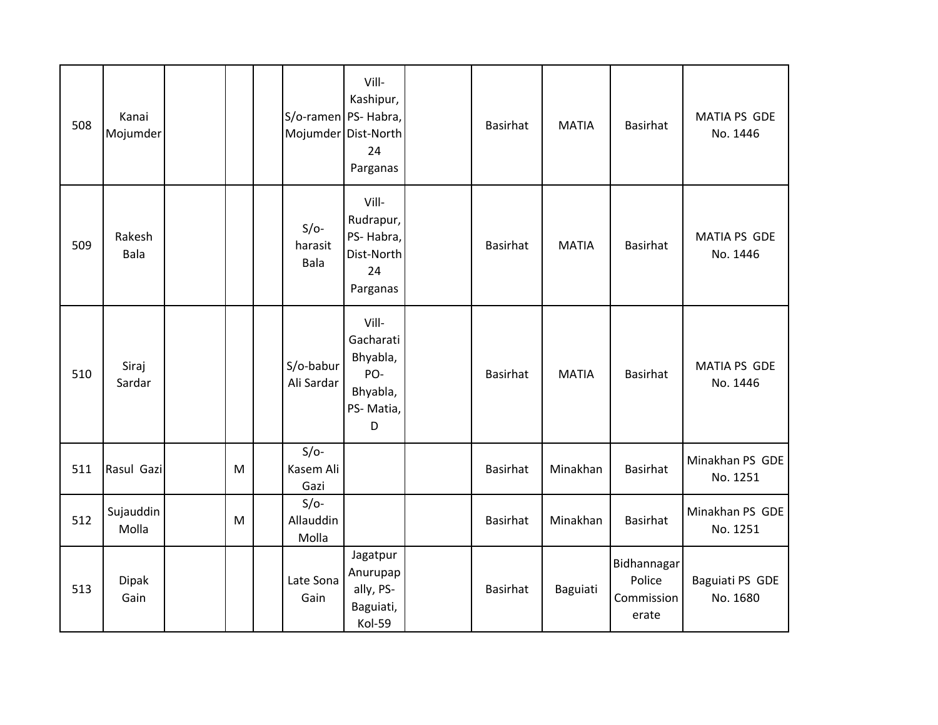| 508 | Kanai<br>Mojumder  |   | S/o-ramen PS- Habra,         | Vill-<br>Kashipur,<br>Mojumder Dist-North<br>24<br>Parganas         | <b>Basirhat</b> | <b>MATIA</b> | <b>Basirhat</b>                              | MATIA PS GDE<br>No. 1446    |
|-----|--------------------|---|------------------------------|---------------------------------------------------------------------|-----------------|--------------|----------------------------------------------|-----------------------------|
| 509 | Rakesh<br>Bala     |   | $S/O-$<br>harasit<br>Bala    | Vill-<br>Rudrapur,<br>PS-Habra,<br>Dist-North<br>24<br>Parganas     | <b>Basirhat</b> | <b>MATIA</b> | <b>Basirhat</b>                              | MATIA PS GDE<br>No. 1446    |
| 510 | Siraj<br>Sardar    |   | S/o-babur<br>Ali Sardar      | Vill-<br>Gacharati<br>Bhyabla,<br>PO-<br>Bhyabla,<br>PS-Matia,<br>D | <b>Basirhat</b> | <b>MATIA</b> | <b>Basirhat</b>                              | MATIA PS GDE<br>No. 1446    |
| 511 | Rasul Gazi         | M | $S/O-$<br>Kasem Ali<br>Gazi  |                                                                     | <b>Basirhat</b> | Minakhan     | <b>Basirhat</b>                              | Minakhan PS GDE<br>No. 1251 |
| 512 | Sujauddin<br>Molla | M | $S/O-$<br>Allauddin<br>Molla |                                                                     | <b>Basirhat</b> | Minakhan     | <b>Basirhat</b>                              | Minakhan PS GDE<br>No. 1251 |
| 513 | Dipak<br>Gain      |   | Late Sona<br>Gain            | Jagatpur<br>Anurupap<br>ally, PS-<br>Baguiati,<br>Kol-59            | <b>Basirhat</b> | Baguiati     | Bidhannagar<br>Police<br>Commission<br>erate | Baguiati PS GDE<br>No. 1680 |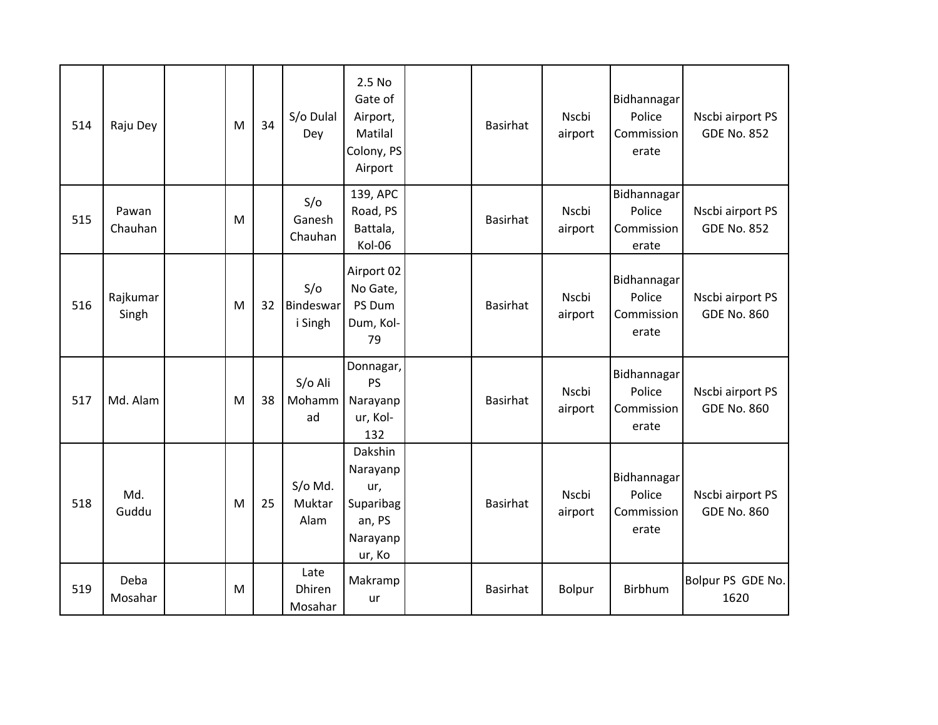| 514 | Raju Dey          | M | 34 | S/o Dulal<br>Dey            | 2.5 No<br>Gate of<br>Airport,<br>Matilal<br>Colony, PS<br>Airport       | <b>Basirhat</b> | <b>Nscbi</b><br>airport | Bidhannagar<br>Police<br>Commission<br>erate | Nscbi airport PS<br><b>GDE No. 852</b> |
|-----|-------------------|---|----|-----------------------------|-------------------------------------------------------------------------|-----------------|-------------------------|----------------------------------------------|----------------------------------------|
| 515 | Pawan<br>Chauhan  | M |    | S/O<br>Ganesh<br>Chauhan    | 139, APC<br>Road, PS<br>Battala,<br>Kol-06                              | Basirhat        | <b>Nscbi</b><br>airport | Bidhannagar<br>Police<br>Commission<br>erate | Nscbi airport PS<br><b>GDE No. 852</b> |
| 516 | Rajkumar<br>Singh | M | 32 | S/O<br>Bindeswar<br>i Singh | Airport 02<br>No Gate,<br>PS Dum<br>Dum, Kol-<br>79                     | Basirhat        | <b>Nscbi</b><br>airport | Bidhannagar<br>Police<br>Commission<br>erate | Nscbi airport PS<br><b>GDE No. 860</b> |
| 517 | Md. Alam          | M | 38 | S/o Ali<br>Mohamm<br>ad     | Donnagar,<br><b>PS</b><br>Narayanp<br>ur, Kol-<br>132                   | <b>Basirhat</b> | <b>Nscbi</b><br>airport | Bidhannagar<br>Police<br>Commission<br>erate | Nscbi airport PS<br><b>GDE No. 860</b> |
| 518 | Md.<br>Guddu      | M | 25 | S/o Md.<br>Muktar<br>Alam   | Dakshin<br>Narayanp<br>ur,<br>Suparibag<br>an, PS<br>Narayanp<br>ur, Ko | Basirhat        | Nscbi<br>airport        | Bidhannagar<br>Police<br>Commission<br>erate | Nscbi airport PS<br><b>GDE No. 860</b> |
| 519 | Deba<br>Mosahar   | M |    | Late<br>Dhiren<br>Mosahar   | Makramp<br>ur                                                           | Basirhat        | <b>Bolpur</b>           | <b>Birbhum</b>                               | Bolpur PS GDE No.<br>1620              |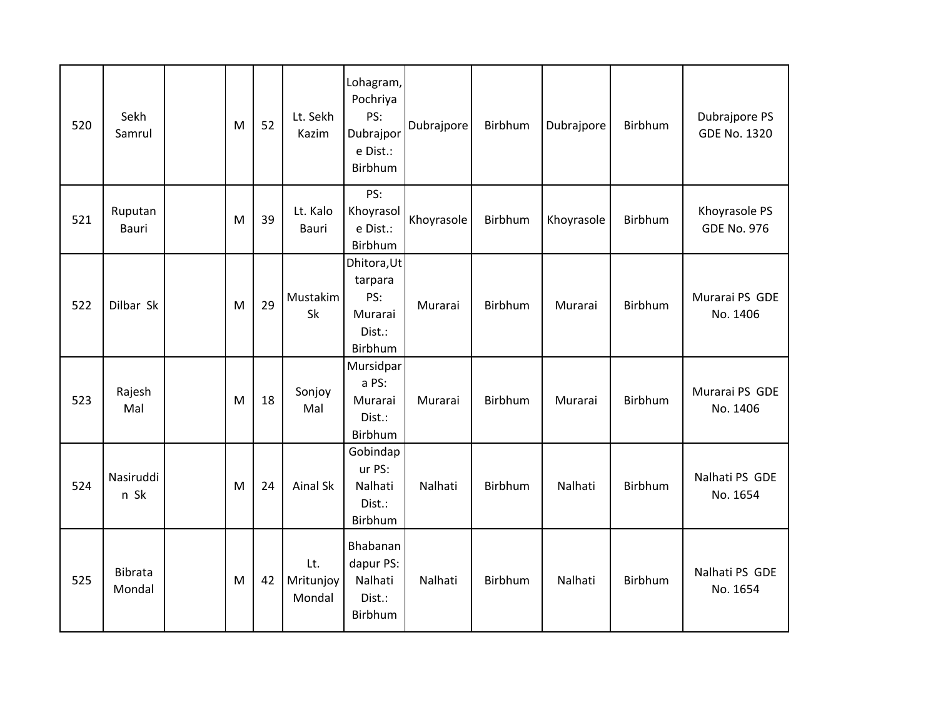| 520 | Sekh<br>Samrul    | M | 52 | Lt. Sekh<br>Kazim          | Lohagram,<br>Pochriya<br>PS:<br>Dubrajpor<br>e Dist.:<br>Birbhum | Dubrajpore | Birbhum        | Dubrajpore | Birbhum        | Dubrajpore PS<br><b>GDE No. 1320</b> |
|-----|-------------------|---|----|----------------------------|------------------------------------------------------------------|------------|----------------|------------|----------------|--------------------------------------|
| 521 | Ruputan<br>Bauri  | M | 39 | Lt. Kalo<br>Bauri          | PS:<br>Khoyrasol<br>e Dist.:<br>Birbhum                          | Khoyrasole | Birbhum        | Khoyrasole | <b>Birbhum</b> | Khoyrasole PS<br><b>GDE No. 976</b>  |
| 522 | Dilbar Sk         | M | 29 | Mustakim<br>Sk             | Dhitora, Ut<br>tarpara<br>PS:<br>Murarai<br>Dist.:<br>Birbhum    | Murarai    | Birbhum        | Murarai    | Birbhum        | Murarai PS GDE<br>No. 1406           |
| 523 | Rajesh<br>Mal     | M | 18 | Sonjoy<br>Mal              | Mursidpar<br>a PS:<br>Murarai<br>Dist.:<br>Birbhum               | Murarai    | Birbhum        | Murarai    | Birbhum        | Murarai PS GDE<br>No. 1406           |
| 524 | Nasiruddi<br>n Sk | M | 24 | <b>Ainal Sk</b>            | Gobindap<br>ur PS:<br>Nalhati<br>Dist.:<br>Birbhum               | Nalhati    | <b>Birbhum</b> | Nalhati    | <b>Birbhum</b> | Nalhati PS GDE<br>No. 1654           |
| 525 | Bibrata<br>Mondal | M | 42 | Lt.<br>Mritunjoy<br>Mondal | Bhabanan<br>dapur PS:<br>Nalhati<br>Dist.:<br>Birbhum            | Nalhati    | Birbhum        | Nalhati    | Birbhum        | Nalhati PS GDE<br>No. 1654           |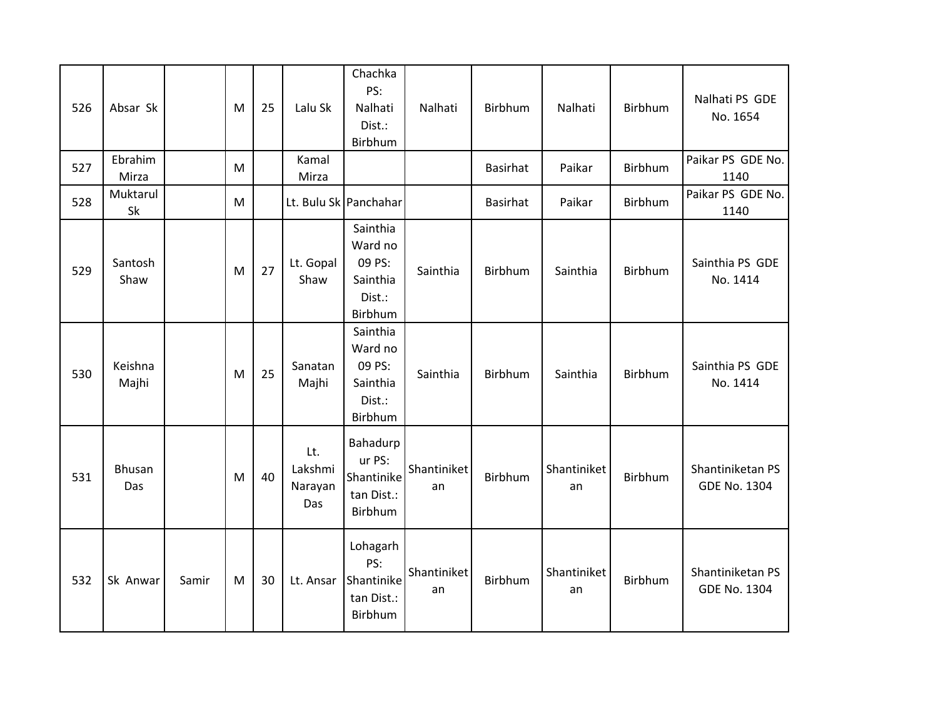| 526 | Absar Sk         |       | M | 25 | Lalu Sk                          | Chachka<br>PS:<br>Nalhati<br>Dist.:<br>Birbhum                 | Nalhati           | Birbhum         | Nalhati           | Birbhum | Nalhati PS GDE<br>No. 1654              |
|-----|------------------|-------|---|----|----------------------------------|----------------------------------------------------------------|-------------------|-----------------|-------------------|---------|-----------------------------------------|
| 527 | Ebrahim<br>Mirza |       | M |    | Kamal<br>Mirza                   |                                                                |                   | <b>Basirhat</b> | Paikar            | Birbhum | Paikar PS GDE No.<br>1140               |
| 528 | Muktarul<br>Sk   |       | M |    |                                  | Lt. Bulu Sk Panchahar                                          |                   | <b>Basirhat</b> | Paikar            | Birbhum | Paikar PS GDE No.<br>1140               |
| 529 | Santosh<br>Shaw  |       | M | 27 | Lt. Gopal<br>Shaw                | Sainthia<br>Ward no<br>09 PS:<br>Sainthia<br>Dist.:<br>Birbhum | Sainthia          | Birbhum         | Sainthia          | Birbhum | Sainthia PS GDE<br>No. 1414             |
| 530 | Keishna<br>Majhi |       | M | 25 | Sanatan<br>Majhi                 | Sainthia<br>Ward no<br>09 PS:<br>Sainthia<br>Dist.:<br>Birbhum | Sainthia          | Birbhum         | Sainthia          | Birbhum | Sainthia PS GDE<br>No. 1414             |
| 531 | Bhusan<br>Das    |       | M | 40 | Lt.<br>Lakshmi<br>Narayan<br>Das | Bahadurp<br>ur PS:<br>Shantinike<br>tan Dist.:<br>Birbhum      | Shantiniket<br>an | Birbhum         | Shantiniket<br>an | Birbhum | Shantiniketan PS<br><b>GDE No. 1304</b> |
| 532 | Sk Anwar         | Samir | M | 30 | Lt. Ansar                        | Lohagarh<br>PS:<br>Shantinike<br>tan Dist.:<br>Birbhum         | Shantiniket<br>an | Birbhum         | Shantiniket<br>an | Birbhum | Shantiniketan PS<br><b>GDE No. 1304</b> |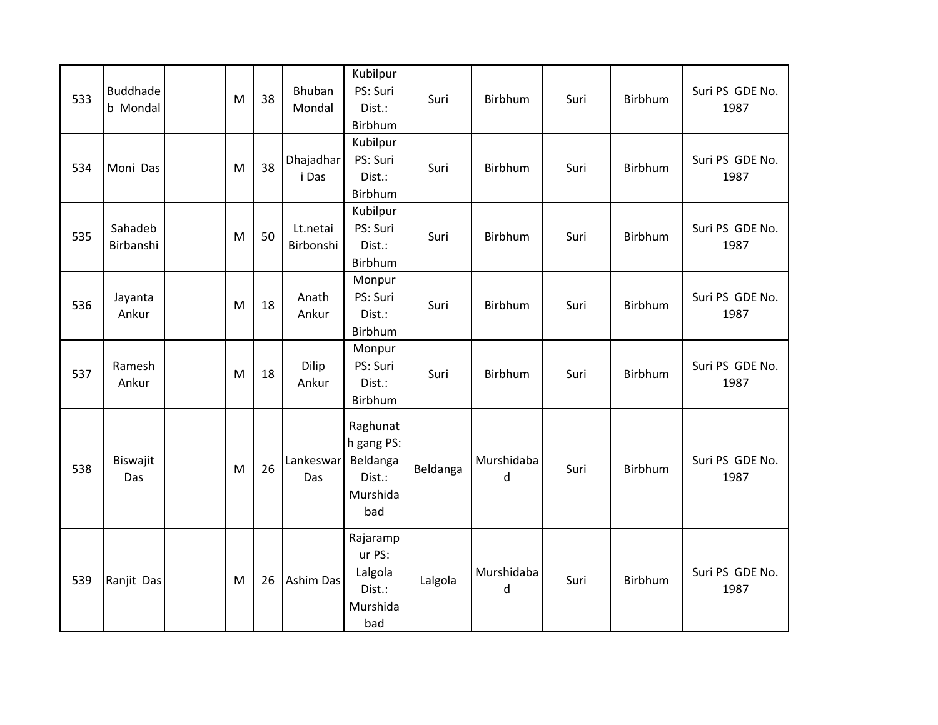| 533 | <b>Buddhade</b><br>b Mondal | M | 38 | Bhuban<br>Mondal      | Kubilpur<br>PS: Suri<br>Dist.:<br>Birbhum                       | Suri     | Birbhum         | Suri | Birbhum | Suri PS GDE No.<br>1987 |
|-----|-----------------------------|---|----|-----------------------|-----------------------------------------------------------------|----------|-----------------|------|---------|-------------------------|
| 534 | Moni Das                    | M | 38 | Dhajadhar<br>i Das    | Kubilpur<br>PS: Suri<br>Dist.:<br>Birbhum                       | Suri     | Birbhum         | Suri | Birbhum | Suri PS GDE No.<br>1987 |
| 535 | Sahadeb<br>Birbanshi        | M | 50 | Lt.netai<br>Birbonshi | Kubilpur<br>PS: Suri<br>Dist.:<br>Birbhum                       | Suri     | Birbhum         | Suri | Birbhum | Suri PS GDE No.<br>1987 |
| 536 | Jayanta<br>Ankur            | M | 18 | Anath<br>Ankur        | Monpur<br>PS: Suri<br>Dist.:<br>Birbhum                         | Suri     | Birbhum         | Suri | Birbhum | Suri PS GDE No.<br>1987 |
| 537 | Ramesh<br>Ankur             | M | 18 | Dilip<br>Ankur        | Monpur<br>PS: Suri<br>Dist.:<br>Birbhum                         | Suri     | Birbhum         | Suri | Birbhum | Suri PS GDE No.<br>1987 |
| 538 | Biswajit<br>Das             | M | 26 | Lankeswar<br>Das      | Raghunat<br>h gang PS:<br>Beldanga<br>Dist.:<br>Murshida<br>bad | Beldanga | Murshidaba<br>d | Suri | Birbhum | Suri PS GDE No.<br>1987 |
| 539 | Ranjit Das                  | M | 26 | <b>Ashim Das</b>      | Rajaramp<br>ur PS:<br>Lalgola<br>Dist.:<br>Murshida<br>bad      | Lalgola  | Murshidaba<br>d | Suri | Birbhum | Suri PS GDE No.<br>1987 |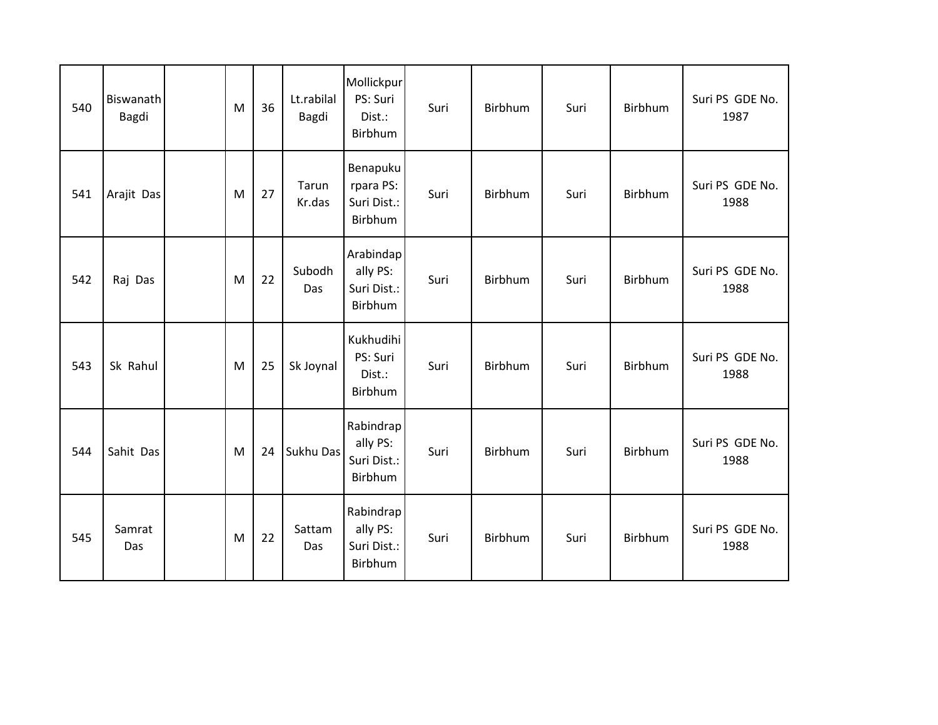| 540 | <b>Biswanath</b><br>Bagdi | M | 36 | Lt.rabilal<br>Bagdi | Mollickpur<br>PS: Suri<br>Dist.:<br>Birbhum     | Suri | Birbhum | Suri | Birbhum        | Suri PS GDE No.<br>1987 |
|-----|---------------------------|---|----|---------------------|-------------------------------------------------|------|---------|------|----------------|-------------------------|
| 541 | Arajit Das                | M | 27 | Tarun<br>Kr.das     | Benapuku<br>rpara PS:<br>Suri Dist.:<br>Birbhum | Suri | Birbhum | Suri | Birbhum        | Suri PS GDE No.<br>1988 |
| 542 | Raj Das                   | M | 22 | Subodh<br>Das       | Arabindap<br>ally PS:<br>Suri Dist.:<br>Birbhum | Suri | Birbhum | Suri | Birbhum        | Suri PS GDE No.<br>1988 |
| 543 | Sk Rahul                  | M | 25 | Sk Joynal           | Kukhudihi<br>PS: Suri<br>Dist.:<br>Birbhum      | Suri | Birbhum | Suri | Birbhum        | Suri PS GDE No.<br>1988 |
| 544 | Sahit Das                 | M | 24 | Sukhu Das           | Rabindrap<br>ally PS:<br>Suri Dist.:<br>Birbhum | Suri | Birbhum | Suri | Birbhum        | Suri PS GDE No.<br>1988 |
| 545 | Samrat<br>Das             | M | 22 | Sattam<br>Das       | Rabindrap<br>ally PS:<br>Suri Dist.:<br>Birbhum | Suri | Birbhum | Suri | <b>Birbhum</b> | Suri PS GDE No.<br>1988 |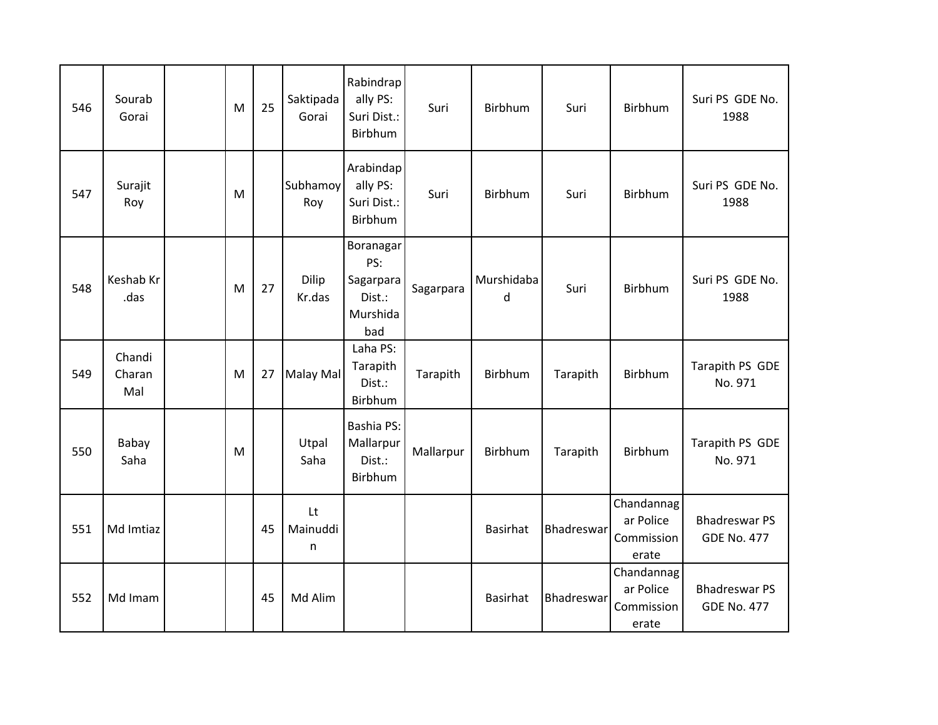| 546 | Sourab<br>Gorai         | M | 25 | Saktipada<br>Gorai         | Rabindrap<br>ally PS:<br>Suri Dist.:<br>Birbhum            | Suri      | Birbhum                    | Suri       | Birbhum                                        | Suri PS GDE No.<br>1988                    |
|-----|-------------------------|---|----|----------------------------|------------------------------------------------------------|-----------|----------------------------|------------|------------------------------------------------|--------------------------------------------|
| 547 | Surajit<br>Roy          | M |    | Subhamoy<br>Roy            | Arabindap<br>ally PS:<br>Suri Dist.:<br>Birbhum            | Suri      | Birbhum                    | Suri       | Birbhum                                        | Suri PS GDE No.<br>1988                    |
| 548 | Keshab Kr<br>.das       | M | 27 | Dilip<br>Kr.das            | Boranagar<br>PS:<br>Sagarpara<br>Dist.:<br>Murshida<br>bad | Sagarpara | Murshidaba<br><sub>d</sub> | Suri       | Birbhum                                        | Suri PS GDE No.<br>1988                    |
| 549 | Chandi<br>Charan<br>Mal | M | 27 | Malay Mal                  | Laha PS:<br>Tarapith<br>Dist.:<br>Birbhum                  | Tarapith  | Birbhum                    | Tarapith   | Birbhum                                        | Tarapith PS GDE<br>No. 971                 |
| 550 | Babay<br>Saha           | M |    | Utpal<br>Saha              | <b>Bashia PS:</b><br>Mallarpur<br>Dist.:<br><b>Birbhum</b> | Mallarpur | Birbhum                    | Tarapith   | Birbhum                                        | Tarapith PS GDE<br>No. 971                 |
| 551 | Md Imtiaz               |   | 45 | <b>Lt</b><br>Mainuddi<br>n |                                                            |           | <b>Basirhat</b>            | Bhadreswar | Chandannag<br>ar Police<br>Commission<br>erate | <b>Bhadreswar PS</b><br><b>GDE No. 477</b> |
| 552 | Md Imam                 |   | 45 | Md Alim                    |                                                            |           | Basirhat                   | Bhadreswar | Chandannag<br>ar Police<br>Commission<br>erate | <b>Bhadreswar PS</b><br><b>GDE No. 477</b> |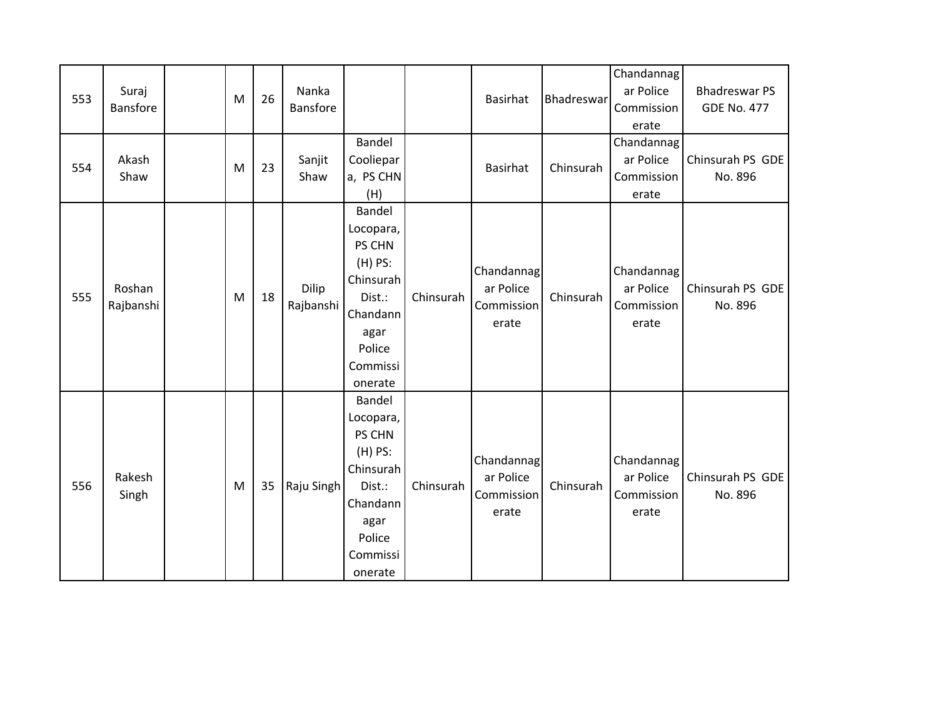| 553 | Suraj<br>Bansfore   | ${\sf M}$ | 26 | Nanka<br><b>Bansfore</b> | Bandel                                                                                                                 |           | <b>Basirhat</b>                                | Bhadreswar | Chandannag<br>ar Police<br>Commission<br>erate<br>Chandannag | <b>Bhadreswar PS</b><br><b>GDE No. 477</b> |
|-----|---------------------|-----------|----|--------------------------|------------------------------------------------------------------------------------------------------------------------|-----------|------------------------------------------------|------------|--------------------------------------------------------------|--------------------------------------------|
| 554 | Akash<br>Shaw       | M         | 23 | Sanjit<br>Shaw           | Cooliepar<br>a, PS CHN<br>(H)                                                                                          |           | <b>Basirhat</b>                                | Chinsurah  | ar Police<br>Commission<br>erate                             | Chinsurah PS GDE<br>No. 896                |
| 555 | Roshan<br>Rajbanshi | M         | 18 | Dilip<br>Rajbanshi       | Bandel<br>Locopara,<br>PS CHN<br>$(H)$ PS:<br>Chinsurah<br>Dist.:<br>Chandann<br>agar<br>Police<br>Commissi<br>onerate | Chinsurah | Chandannag<br>ar Police<br>Commission<br>erate | Chinsurah  | Chandannag<br>ar Police<br>Commission<br>erate               | Chinsurah PS GDE<br>No. 896                |
| 556 | Rakesh<br>Singh     | M         | 35 | Raju Singh               | Bandel<br>Locopara,<br>PS CHN<br>$(H)$ PS:<br>Chinsurah<br>Dist.:<br>Chandann<br>agar<br>Police<br>Commissi<br>onerate | Chinsurah | Chandannag<br>ar Police<br>Commission<br>erate | Chinsurah  | Chandannag<br>ar Police<br>Commission<br>erate               | Chinsurah PS GDE<br>No. 896                |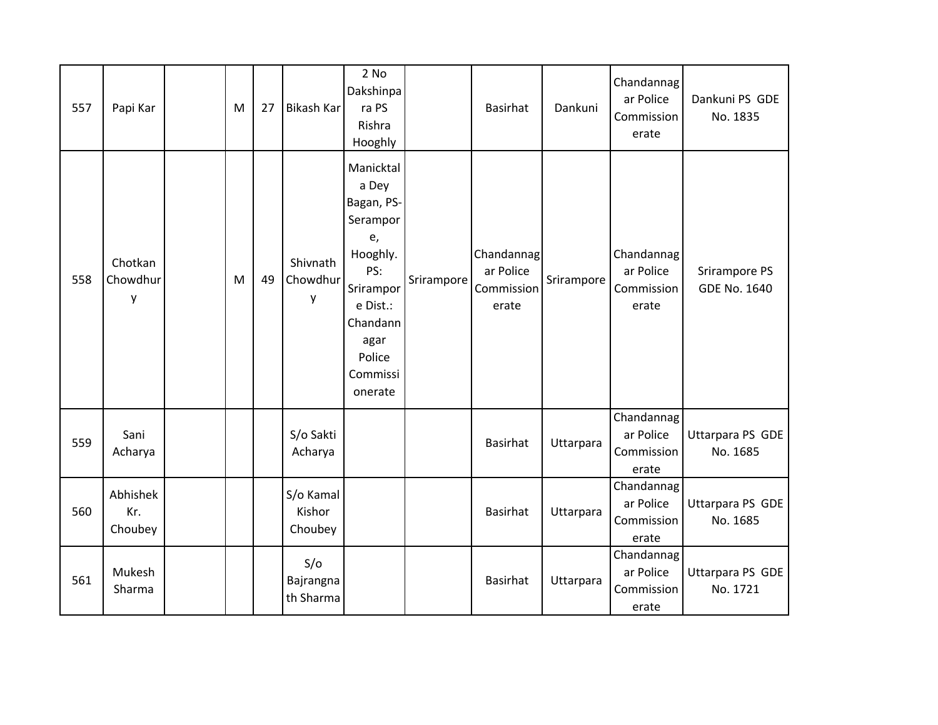| 557 | Papi Kar                   | M | 27 | <b>Bikash Kar</b>              | $2$ No<br>Dakshinpa<br>ra PS<br>Rishra<br>Hooghly                                                                                                   |            | <b>Basirhat</b>                                | Dankuni    | Chandannag<br>ar Police<br>Commission<br>erate | Dankuni PS GDE<br>No. 1835           |
|-----|----------------------------|---|----|--------------------------------|-----------------------------------------------------------------------------------------------------------------------------------------------------|------------|------------------------------------------------|------------|------------------------------------------------|--------------------------------------|
| 558 | Chotkan<br>Chowdhur<br>y   | M | 49 | Shivnath<br>Chowdhur<br>у      | Manicktal<br>a Dey<br>Bagan, PS-<br>Serampor<br>e,<br>Hooghly.<br>PS:<br>Srirampor<br>e Dist.:<br>Chandann<br>agar<br>Police<br>Commissi<br>onerate | Srirampore | Chandannag<br>ar Police<br>Commission<br>erate | Srirampore | Chandannag<br>ar Police<br>Commission<br>erate | Srirampore PS<br><b>GDE No. 1640</b> |
| 559 | Sani<br>Acharya            |   |    | S/o Sakti<br>Acharya           |                                                                                                                                                     |            | <b>Basirhat</b>                                | Uttarpara  | Chandannag<br>ar Police<br>Commission<br>erate | Uttarpara PS GDE<br>No. 1685         |
| 560 | Abhishek<br>Kr.<br>Choubey |   |    | S/o Kamal<br>Kishor<br>Choubey |                                                                                                                                                     |            | <b>Basirhat</b>                                | Uttarpara  | Chandannag<br>ar Police<br>Commission<br>erate | Uttarpara PS GDE<br>No. 1685         |
| 561 | Mukesh<br>Sharma           |   |    | S/O<br>Bajrangna<br>th Sharma  |                                                                                                                                                     |            | <b>Basirhat</b>                                | Uttarpara  | Chandannag<br>ar Police<br>Commission<br>erate | Uttarpara PS GDE<br>No. 1721         |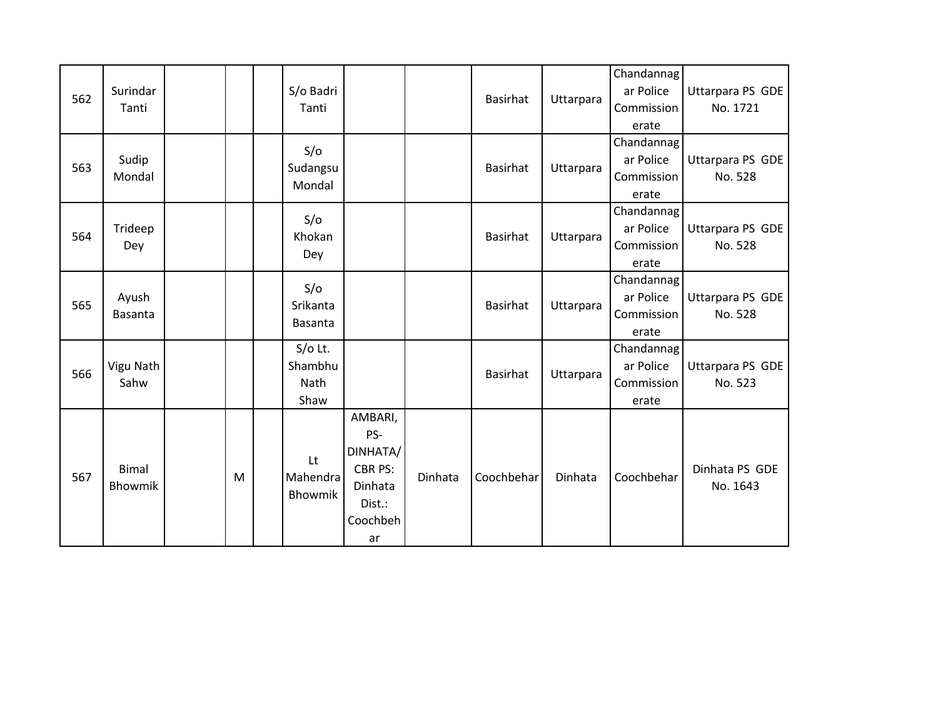| 562 | Surindar<br>Tanti       |   | S/o Badri<br>Tanti                   |                                                                                     |         | <b>Basirhat</b> | Uttarpara | Chandannag<br>ar Police<br>Commission<br>erate | Uttarpara PS GDE<br>No. 1721 |
|-----|-------------------------|---|--------------------------------------|-------------------------------------------------------------------------------------|---------|-----------------|-----------|------------------------------------------------|------------------------------|
| 563 | Sudip<br>Mondal         |   | S/O<br>Sudangsu<br>Mondal            |                                                                                     |         | <b>Basirhat</b> | Uttarpara | Chandannag<br>ar Police<br>Commission<br>erate | Uttarpara PS GDE<br>No. 528  |
| 564 | Trideep<br>Dey          |   | S/O<br>Khokan<br>Dey                 |                                                                                     |         | Basirhat        | Uttarpara | Chandannag<br>ar Police<br>Commission<br>erate | Uttarpara PS GDE<br>No. 528  |
| 565 | Ayush<br><b>Basanta</b> |   | S/O<br>Srikanta<br>Basanta           |                                                                                     |         | <b>Basirhat</b> | Uttarpara | Chandannag<br>ar Police<br>Commission<br>erate | Uttarpara PS GDE<br>No. 528  |
| 566 | Vigu Nath<br>Sahw       |   | $S/O$ Lt.<br>Shambhu<br>Nath<br>Shaw |                                                                                     |         | <b>Basirhat</b> | Uttarpara | Chandannag<br>ar Police<br>Commission<br>erate | Uttarpara PS GDE<br>No. 523  |
| 567 | <b>Bimal</b><br>Bhowmik | M | Lt.<br>Mahendra<br>Bhowmik           | AMBARI,<br>PS-<br>DINHATA/<br><b>CBR PS:</b><br>Dinhata<br>Dist.:<br>Coochbeh<br>ar | Dinhata | Coochbehar      | Dinhata   | Coochbehar                                     | Dinhata PS GDE<br>No. 1643   |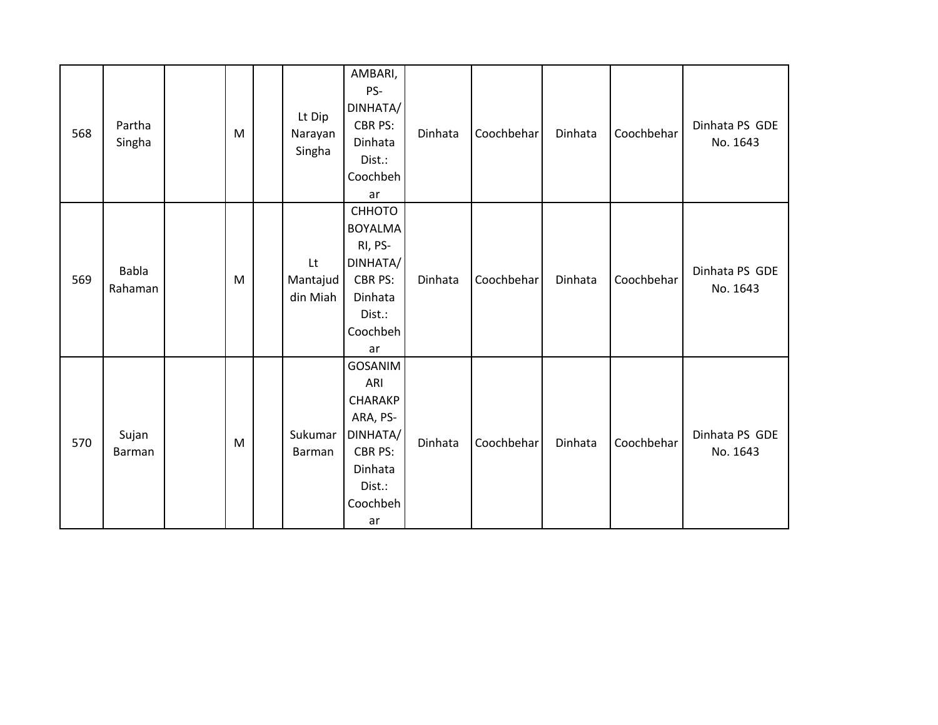| 568 | Partha<br>Singha       | M | Lt Dip<br>Narayan<br>Singha | AMBARI,<br>PS-<br>DINHATA/<br>CBR PS:<br>Dinhata<br>Dist.:<br>Coochbeh<br>ar                                             | Dinhata | Coochbehar | Dinhata | Coochbehar | Dinhata PS GDE<br>No. 1643 |
|-----|------------------------|---|-----------------------------|--------------------------------------------------------------------------------------------------------------------------|---------|------------|---------|------------|----------------------------|
| 569 | Babla<br>Rahaman       | M | Lt<br>Mantajud<br>din Miah  | СННОТО<br><b>BOYALMA</b><br>RI, PS-<br>DINHATA/<br><b>CBR PS:</b><br>Dinhata<br>Dist.:<br>Coochbeh<br>ar                 | Dinhata | Coochbehar | Dinhata | Coochbehar | Dinhata PS GDE<br>No. 1643 |
| 570 | Sujan<br><b>Barman</b> | M | Sukumar<br>Barman           | <b>GOSANIM</b><br>ARI<br><b>CHARAKP</b><br>ARA, PS-<br>DINHATA/<br><b>CBR PS:</b><br>Dinhata<br>Dist.:<br>Coochbeh<br>ar | Dinhata | Coochbehar | Dinhata | Coochbehar | Dinhata PS GDE<br>No. 1643 |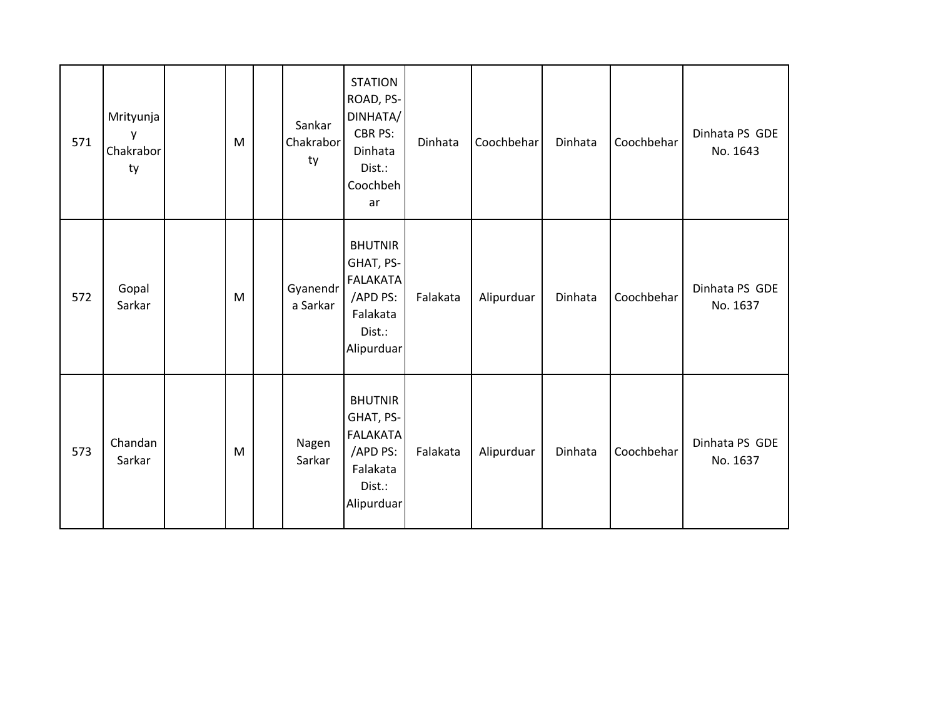| 571 | Mrityunja<br>у<br>Chakrabor<br>ty | M         | Sankar<br>Chakrabor<br>ty | <b>STATION</b><br>ROAD, PS-<br>DINHATA/<br>CBR PS:<br>Dinhata<br>Dist.:<br>Coochbeh<br>ar      | Dinhata  | Coochbehar | Dinhata | Coochbehar | Dinhata PS GDE<br>No. 1643 |
|-----|-----------------------------------|-----------|---------------------------|------------------------------------------------------------------------------------------------|----------|------------|---------|------------|----------------------------|
| 572 | Gopal<br>Sarkar                   | ${\sf M}$ | Gyanendr<br>a Sarkar      | <b>BHUTNIR</b><br>GHAT, PS-<br>FALAKATA<br>/APD PS:<br>Falakata<br>Dist.:<br>Alipurduar        | Falakata | Alipurduar | Dinhata | Coochbehar | Dinhata PS GDE<br>No. 1637 |
| 573 | Chandan<br>Sarkar                 | M         | Nagen<br>Sarkar           | <b>BHUTNIR</b><br>GHAT, PS-<br><b>FALAKATA</b><br>/APD PS:<br>Falakata<br>Dist.:<br>Alipurduar | Falakata | Alipurduar | Dinhata | Coochbehar | Dinhata PS GDE<br>No. 1637 |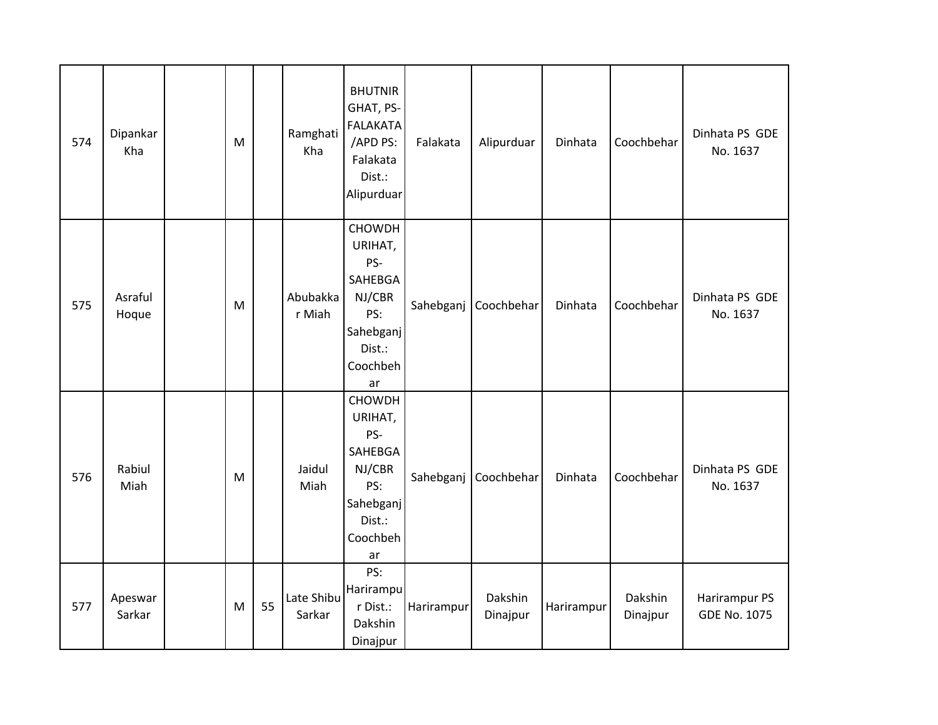| 574 | Dipankar<br>Kha   | M |    | Ramghati<br>Kha      | <b>BHUTNIR</b><br>GHAT, PS-<br><b>FALAKATA</b><br>/APD PS:<br>Falakata<br>Dist.:<br>Alipurduar       | Falakata   | Alipurduar          | Dinhata    | Coochbehar          | Dinhata PS GDE<br>No. 1637           |
|-----|-------------------|---|----|----------------------|------------------------------------------------------------------------------------------------------|------------|---------------------|------------|---------------------|--------------------------------------|
| 575 | Asraful<br>Hoque  | M |    | Abubakka<br>r Miah   | CHOWDH<br>URIHAT,<br>PS-<br>SAHEBGA<br>NJ/CBR<br>PS:<br>Sahebganj<br>Dist.:<br>Coochbeh<br>ar        | Sahebganj  | Coochbehar          | Dinhata    | Coochbehar          | Dinhata PS GDE<br>No. 1637           |
| 576 | Rabiul<br>Miah    | M |    | Jaidul<br>Miah       | <b>CHOWDH</b><br>URIHAT,<br>PS-<br>SAHEBGA<br>NJ/CBR<br>PS:<br>Sahebganj<br>Dist.:<br>Coochbeh<br>ar | Sahebganj  | Coochbehar          | Dinhata    | Coochbehar          | Dinhata PS GDE<br>No. 1637           |
| 577 | Apeswar<br>Sarkar | M | 55 | Late Shibu<br>Sarkar | PS:<br>Harirampu<br>r Dist.:<br>Dakshin<br>Dinajpur                                                  | Harirampur | Dakshin<br>Dinajpur | Harirampur | Dakshin<br>Dinajpur | Harirampur PS<br><b>GDE No. 1075</b> |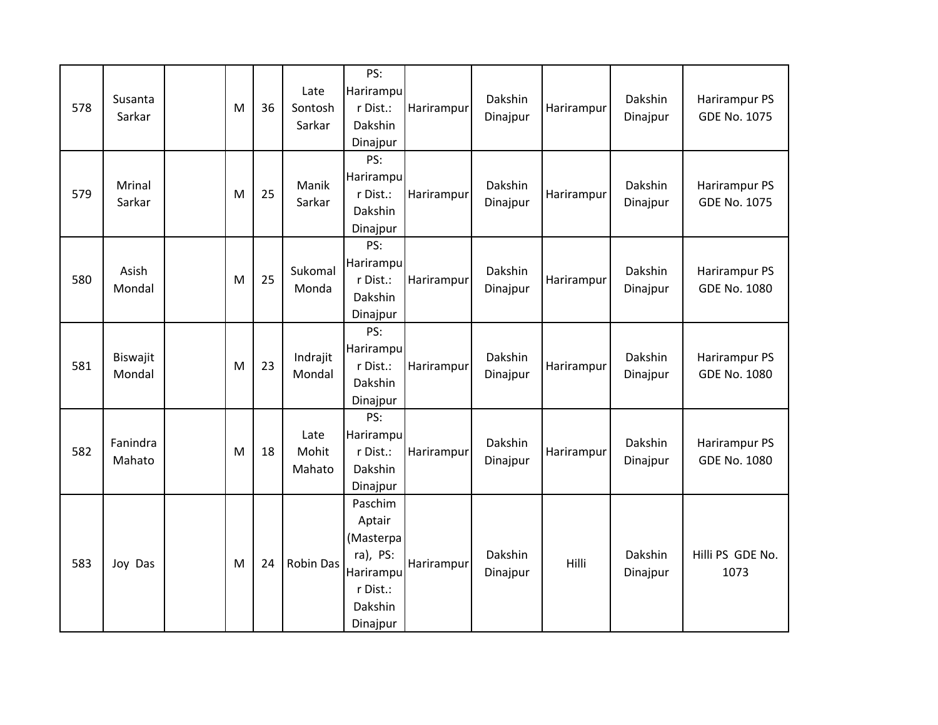| 578 | Susanta<br>Sarkar  | M | 36 | Late<br>Sontosh<br>Sarkar | PS:<br>Harirampu<br>r Dist.:<br>Dakshin<br>Dinajpur                                          | Harirampur | Dakshin<br>Dinajpur | Harirampur | Dakshin<br>Dinajpur | Harirampur PS<br><b>GDE No. 1075</b> |
|-----|--------------------|---|----|---------------------------|----------------------------------------------------------------------------------------------|------------|---------------------|------------|---------------------|--------------------------------------|
| 579 | Mrinal<br>Sarkar   | M | 25 | Manik<br>Sarkar           | PS:<br>Harirampu<br>r Dist.:<br>Dakshin<br>Dinajpur                                          | Harirampur | Dakshin<br>Dinajpur | Harirampur | Dakshin<br>Dinajpur | Harirampur PS<br><b>GDE No. 1075</b> |
| 580 | Asish<br>Mondal    | M | 25 | Sukomal<br>Monda          | PS:<br>Harirampu<br>r Dist.:<br>Dakshin<br>Dinajpur                                          | Harirampur | Dakshin<br>Dinajpur | Harirampur | Dakshin<br>Dinajpur | Harirampur PS<br><b>GDE No. 1080</b> |
| 581 | Biswajit<br>Mondal | M | 23 | Indrajit<br>Mondal        | PS:<br>Harirampu<br>r Dist.:<br>Dakshin<br>Dinajpur                                          | Harirampur | Dakshin<br>Dinajpur | Harirampur | Dakshin<br>Dinajpur | Harirampur PS<br><b>GDE No. 1080</b> |
| 582 | Fanindra<br>Mahato | M | 18 | Late<br>Mohit<br>Mahato   | PS:<br>Harirampu<br>r Dist.:<br>Dakshin<br>Dinajpur                                          | Harirampur | Dakshin<br>Dinajpur | Harirampur | Dakshin<br>Dinajpur | Harirampur PS<br><b>GDE No. 1080</b> |
| 583 | Joy Das            | M | 24 | <b>Robin Das</b>          | Paschim<br>Aptair<br>(Masterpa<br>$ra$ , PS:<br>Harirampu<br>r Dist.:<br>Dakshin<br>Dinajpur | Harirampur | Dakshin<br>Dinajpur | Hilli      | Dakshin<br>Dinajpur | Hilli PS GDE No.<br>1073             |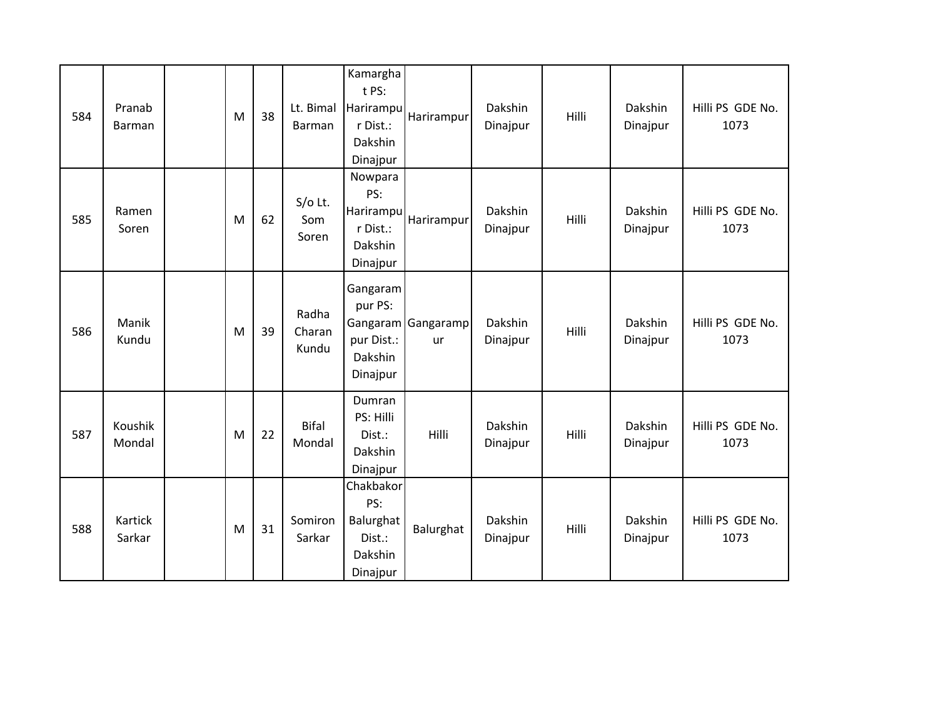| 584 | Pranab<br><b>Barman</b> | M | 38 | Lt. Bimal<br>Barman      | Kamargha<br>t PS:<br>Harirampu<br>r Dist.:<br>Dakshin<br>Dinajpur | Harirampur               | Dakshin<br>Dinajpur | Hilli | Dakshin<br>Dinajpur | Hilli PS GDE No.<br>1073 |
|-----|-------------------------|---|----|--------------------------|-------------------------------------------------------------------|--------------------------|---------------------|-------|---------------------|--------------------------|
| 585 | Ramen<br>Soren          | M | 62 | S/o Lt.<br>Som<br>Soren  | Nowpara<br>PS:<br>Harirampu<br>r Dist.:<br>Dakshin<br>Dinajpur    | Harirampur               | Dakshin<br>Dinajpur | Hilli | Dakshin<br>Dinajpur | Hilli PS GDE No.<br>1073 |
| 586 | Manik<br>Kundu          | M | 39 | Radha<br>Charan<br>Kundu | Gangaram<br>pur PS:<br>pur Dist.:<br>Dakshin<br>Dinajpur          | Gangaram Gangaramp<br>ur | Dakshin<br>Dinajpur | Hilli | Dakshin<br>Dinajpur | Hilli PS GDE No.<br>1073 |
| 587 | Koushik<br>Mondal       | M | 22 | <b>Bifal</b><br>Mondal   | Dumran<br>PS: Hilli<br>Dist.:<br>Dakshin<br>Dinajpur              | Hilli                    | Dakshin<br>Dinajpur | Hilli | Dakshin<br>Dinajpur | Hilli PS GDE No.<br>1073 |
| 588 | Kartick<br>Sarkar       | M | 31 | Somiron<br>Sarkar        | Chakbakor<br>PS:<br>Balurghat<br>Dist.:<br>Dakshin<br>Dinajpur    | Balurghat                | Dakshin<br>Dinajpur | Hilli | Dakshin<br>Dinajpur | Hilli PS GDE No.<br>1073 |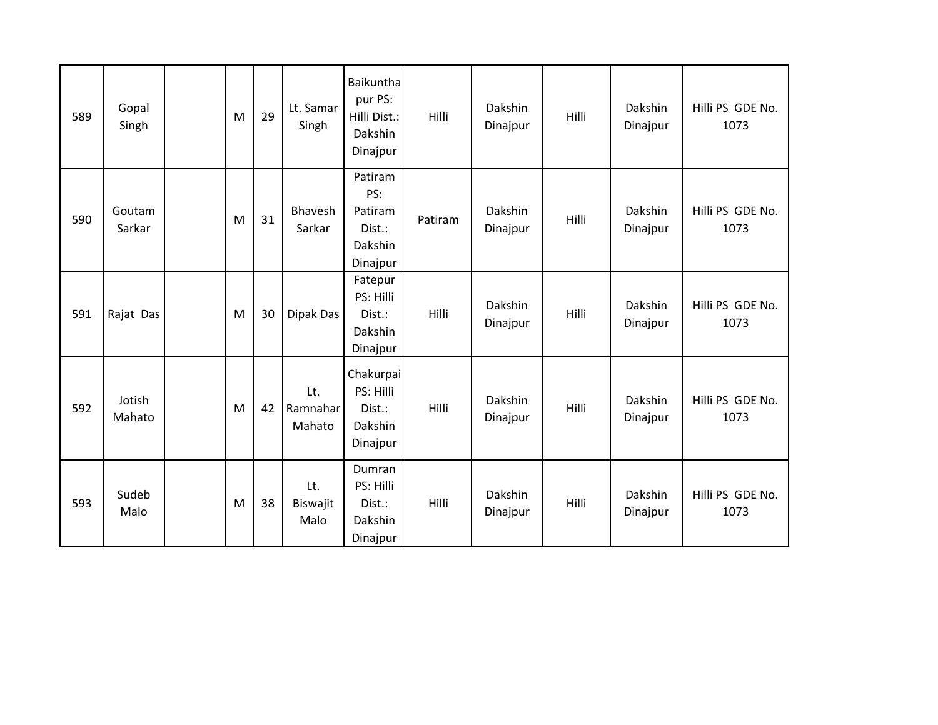| 589 | Gopal<br>Singh   | M | 29 | Lt. Samar<br>Singh        | Baikuntha<br>pur PS:<br>Hilli Dist.:<br>Dakshin<br>Dinajpur | Hilli   | Dakshin<br>Dinajpur | Hilli | Dakshin<br>Dinajpur | Hilli PS GDE No.<br>1073 |
|-----|------------------|---|----|---------------------------|-------------------------------------------------------------|---------|---------------------|-------|---------------------|--------------------------|
| 590 | Goutam<br>Sarkar | M | 31 | Bhavesh<br>Sarkar         | Patiram<br>PS:<br>Patiram<br>Dist.:<br>Dakshin<br>Dinajpur  | Patiram | Dakshin<br>Dinajpur | Hilli | Dakshin<br>Dinajpur | Hilli PS GDE No.<br>1073 |
| 591 | Rajat Das        | M | 30 | Dipak Das                 | Fatepur<br>PS: Hilli<br>Dist.:<br>Dakshin<br>Dinajpur       | Hilli   | Dakshin<br>Dinajpur | Hilli | Dakshin<br>Dinajpur | Hilli PS GDE No.<br>1073 |
| 592 | Jotish<br>Mahato | M | 42 | Lt.<br>Ramnahar<br>Mahato | Chakurpai<br>PS: Hilli<br>Dist.:<br>Dakshin<br>Dinajpur     | Hilli   | Dakshin<br>Dinajpur | Hilli | Dakshin<br>Dinajpur | Hilli PS GDE No.<br>1073 |
| 593 | Sudeb<br>Malo    | M | 38 | Lt.<br>Biswajit<br>Malo   | Dumran<br>PS: Hilli<br>Dist.:<br>Dakshin<br>Dinajpur        | Hilli   | Dakshin<br>Dinajpur | Hilli | Dakshin<br>Dinajpur | Hilli PS GDE No.<br>1073 |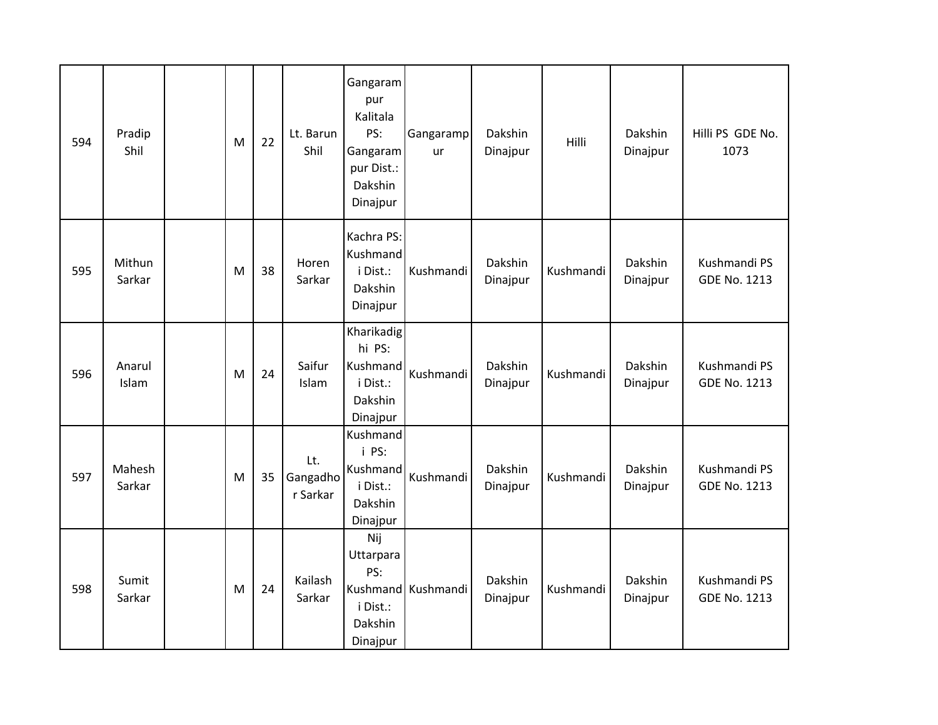| 594 | Pradip<br>Shil   | M | 22 | Lt. Barun<br>Shil           | Gangaram<br>pur<br>Kalitala<br>PS:<br>Gangaram<br>pur Dist.:<br>Dakshin<br>Dinajpur | Gangaramp<br>ur    | Dakshin<br>Dinajpur | Hilli     | Dakshin<br>Dinajpur | Hilli PS GDE No.<br>1073            |
|-----|------------------|---|----|-----------------------------|-------------------------------------------------------------------------------------|--------------------|---------------------|-----------|---------------------|-------------------------------------|
| 595 | Mithun<br>Sarkar | M | 38 | Horen<br>Sarkar             | Kachra PS:<br>Kushmand<br>i Dist.:<br>Dakshin<br>Dinajpur                           | Kushmandi          | Dakshin<br>Dinajpur | Kushmandi | Dakshin<br>Dinajpur | Kushmandi PS<br><b>GDE No. 1213</b> |
| 596 | Anarul<br>Islam  | M | 24 | Saifur<br>Islam             | Kharikadig<br>hi PS:<br>Kushmand<br>i Dist.:<br>Dakshin<br>Dinajpur                 | Kushmandi          | Dakshin<br>Dinajpur | Kushmandi | Dakshin<br>Dinajpur | Kushmandi PS<br><b>GDE No. 1213</b> |
| 597 | Mahesh<br>Sarkar | M | 35 | Lt.<br>Gangadho<br>r Sarkar | Kushmand<br>i PS:<br>Kushmand<br>i Dist.:<br>Dakshin<br>Dinajpur                    | Kushmandi          | Dakshin<br>Dinajpur | Kushmandi | Dakshin<br>Dinajpur | Kushmandi PS<br><b>GDE No. 1213</b> |
| 598 | Sumit<br>Sarkar  | M | 24 | Kailash<br>Sarkar           | Nij<br>Uttarpara<br>PS:<br>i Dist.:<br>Dakshin<br>Dinajpur                          | Kushmand Kushmandi | Dakshin<br>Dinajpur | Kushmandi | Dakshin<br>Dinajpur | Kushmandi PS<br><b>GDE No. 1213</b> |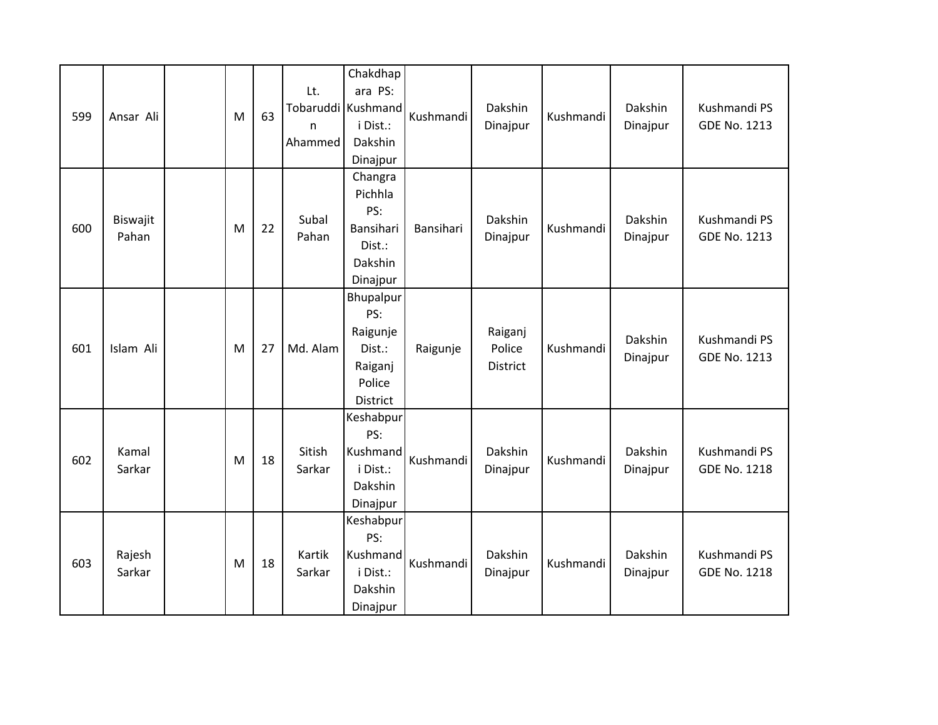| 599 | Ansar Ali         | M | 63 | Lt.<br>n<br>Ahammed | Chakdhap<br>ara PS:<br>Tobaruddi Kushmand<br>i Dist.:<br>Dakshin<br>Dinajpur | Kushmandi | Dakshin<br>Dinajpur           | Kushmandi | Dakshin<br>Dinajpur | Kushmandi PS<br><b>GDE No. 1213</b> |
|-----|-------------------|---|----|---------------------|------------------------------------------------------------------------------|-----------|-------------------------------|-----------|---------------------|-------------------------------------|
| 600 | Biswajit<br>Pahan | M | 22 | Subal<br>Pahan      | Changra<br>Pichhla<br>PS:<br>Bansihari<br>Dist.:<br>Dakshin<br>Dinajpur      | Bansihari | Dakshin<br>Dinajpur           | Kushmandi | Dakshin<br>Dinajpur | Kushmandi PS<br>GDE No. 1213        |
| 601 | Islam Ali         | M | 27 | Md. Alam            | Bhupalpur<br>PS:<br>Raigunje<br>Dist.:<br>Raiganj<br>Police<br>District      | Raigunje  | Raiganj<br>Police<br>District | Kushmandi | Dakshin<br>Dinajpur | Kushmandi PS<br>GDE No. 1213        |
| 602 | Kamal<br>Sarkar   | M | 18 | Sitish<br>Sarkar    | Keshabpur<br>PS:<br>Kushmand<br>i Dist.:<br>Dakshin<br>Dinajpur              | Kushmandi | Dakshin<br>Dinajpur           | Kushmandi | Dakshin<br>Dinajpur | Kushmandi PS<br><b>GDE No. 1218</b> |
| 603 | Rajesh<br>Sarkar  | M | 18 | Kartik<br>Sarkar    | Keshabpur<br>PS:<br>Kushmand<br>i Dist.:<br>Dakshin<br>Dinajpur              | Kushmandi | Dakshin<br>Dinajpur           | Kushmandi | Dakshin<br>Dinajpur | Kushmandi PS<br><b>GDE No. 1218</b> |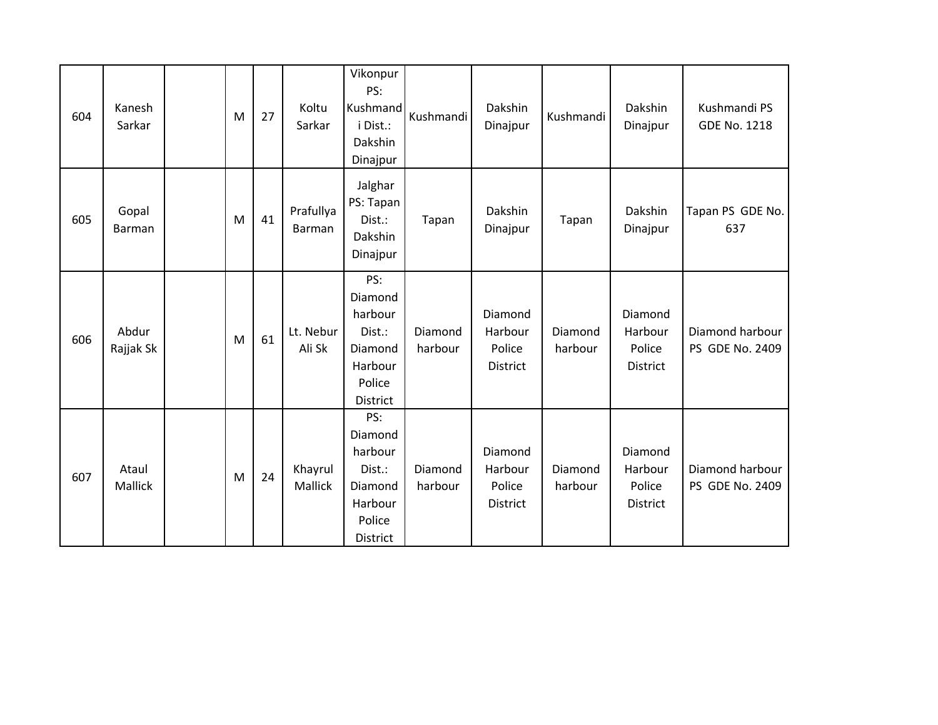| 604 | Kanesh<br>Sarkar   | M | 27 | Koltu<br>Sarkar     | Vikonpur<br>PS:<br>Kushmand<br>i Dist.:<br>Dakshin<br>Dinajpur                         | Kushmandi          | Dakshin<br>Dinajpur                      | Kushmandi          | Dakshin<br>Dinajpur                             | Kushmandi PS<br><b>GDE No. 1218</b> |
|-----|--------------------|---|----|---------------------|----------------------------------------------------------------------------------------|--------------------|------------------------------------------|--------------------|-------------------------------------------------|-------------------------------------|
| 605 | Gopal<br>Barman    | M | 41 | Prafullya<br>Barman | Jalghar<br>PS: Tapan<br>Dist.:<br>Dakshin<br>Dinajpur                                  | Tapan              | Dakshin<br>Dinajpur                      | Tapan              | Dakshin<br>Dinajpur                             | Tapan PS GDE No.<br>637             |
| 606 | Abdur<br>Rajjak Sk | M | 61 | Lt. Nebur<br>Ali Sk | PS:<br>Diamond<br>harbour<br>Dist.:<br>Diamond<br>Harbour<br>Police<br><b>District</b> | Diamond<br>harbour | Diamond<br>Harbour<br>Police<br>District | Diamond<br>harbour | Diamond<br>Harbour<br>Police<br><b>District</b> | Diamond harbour<br>PS GDE No. 2409  |
| 607 | Ataul<br>Mallick   | M | 24 | Khayrul<br>Mallick  | PS:<br>Diamond<br>harbour<br>Dist.:<br>Diamond<br>Harbour<br>Police<br><b>District</b> | Diamond<br>harbour | Diamond<br>Harbour<br>Police<br>District | Diamond<br>harbour | Diamond<br>Harbour<br>Police<br><b>District</b> | Diamond harbour<br>PS GDE No. 2409  |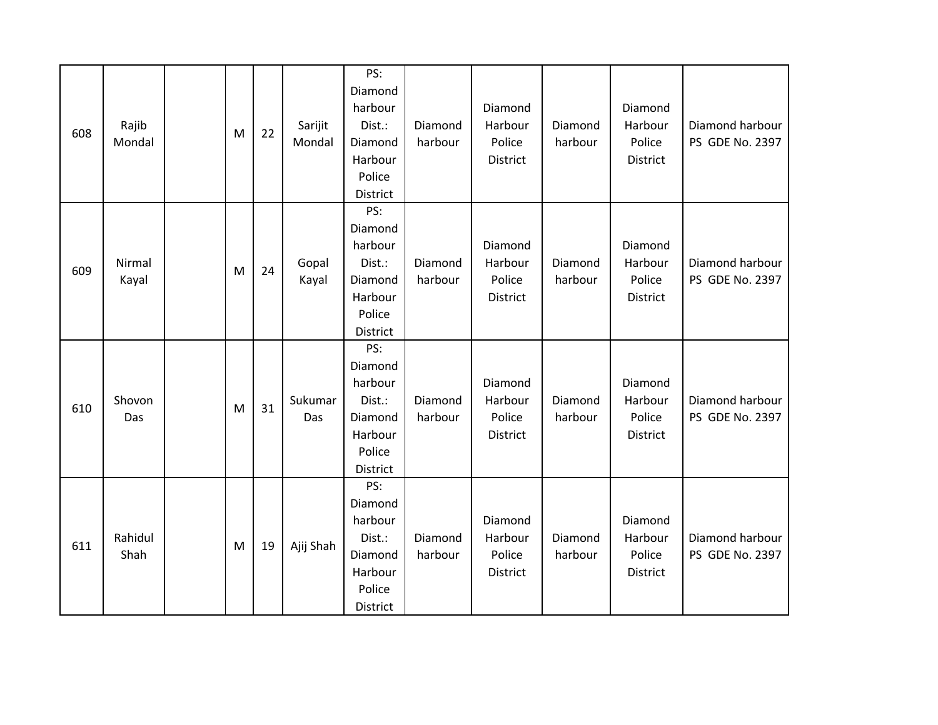| 608 | Rajib<br>Mondal | M | 22 | Sarijit<br>Mondal | PS:<br>Diamond<br>harbour<br>Dist.:<br>Diamond<br>Harbour<br>Police<br>District | Diamond<br>harbour | Diamond<br>Harbour<br>Police<br>District | Diamond<br>harbour | Diamond<br>Harbour<br>Police<br><b>District</b> | Diamond harbour<br>PS GDE No. 2397 |
|-----|-----------------|---|----|-------------------|---------------------------------------------------------------------------------|--------------------|------------------------------------------|--------------------|-------------------------------------------------|------------------------------------|
| 609 | Nirmal<br>Kayal | M | 24 | Gopal<br>Kayal    | PS:<br>Diamond<br>harbour<br>Dist.:<br>Diamond<br>Harbour<br>Police<br>District | Diamond<br>harbour | Diamond<br>Harbour<br>Police<br>District | Diamond<br>harbour | Diamond<br>Harbour<br>Police<br>District        | Diamond harbour<br>PS GDE No. 2397 |
| 610 | Shovon<br>Das   | M | 31 | Sukumar<br>Das    | PS:<br>Diamond<br>harbour<br>Dist.:<br>Diamond<br>Harbour<br>Police<br>District | Diamond<br>harbour | Diamond<br>Harbour<br>Police<br>District | Diamond<br>harbour | Diamond<br>Harbour<br>Police<br><b>District</b> | Diamond harbour<br>PS GDE No. 2397 |
| 611 | Rahidul<br>Shah | M | 19 | Ajij Shah         | PS:<br>Diamond<br>harbour<br>Dist.:<br>Diamond<br>Harbour<br>Police<br>District | Diamond<br>harbour | Diamond<br>Harbour<br>Police<br>District | Diamond<br>harbour | Diamond<br>Harbour<br>Police<br>District        | Diamond harbour<br>PS GDE No. 2397 |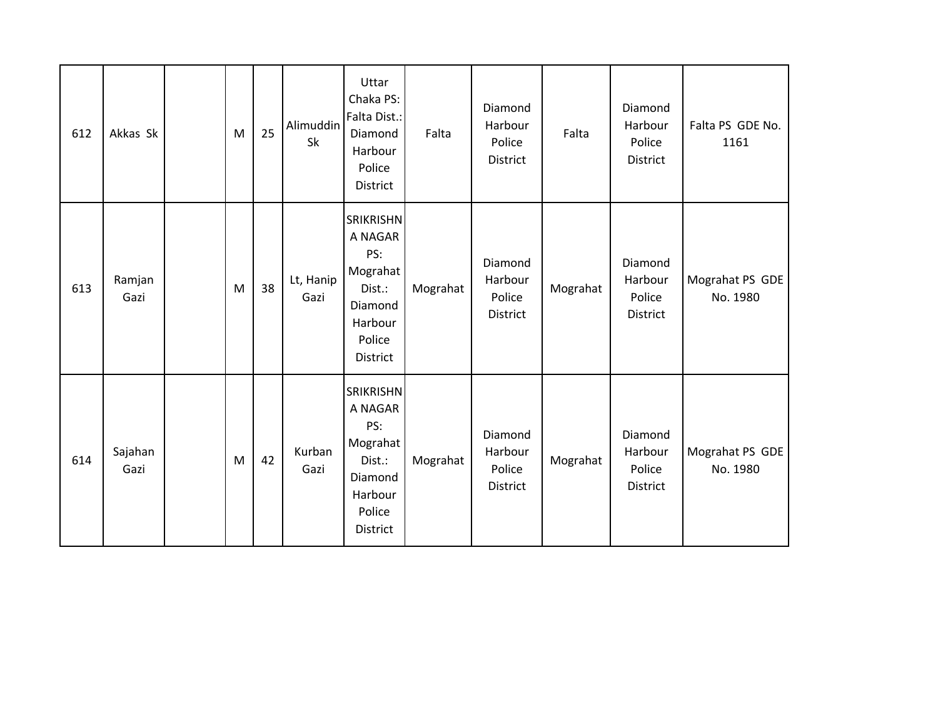| 612 | Akkas Sk        | M | 25 | Alimuddin<br>Sk   | Uttar<br>Chaka PS:<br>Falta Dist.:<br>Diamond<br>Harbour<br>Police<br>District                       | Falta    | Diamond<br>Harbour<br>Police<br>District        | Falta    | Diamond<br>Harbour<br>Police<br>District        | Falta PS GDE No.<br>1161    |
|-----|-----------------|---|----|-------------------|------------------------------------------------------------------------------------------------------|----------|-------------------------------------------------|----------|-------------------------------------------------|-----------------------------|
| 613 | Ramjan<br>Gazi  | M | 38 | Lt, Hanip<br>Gazi | <b>SRIKRISHN</b><br>A NAGAR<br>PS:<br>Mograhat<br>Dist.:<br>Diamond<br>Harbour<br>Police<br>District | Mograhat | Diamond<br>Harbour<br>Police<br>District        | Mograhat | Diamond<br>Harbour<br>Police<br>District        | Mograhat PS GDE<br>No. 1980 |
| 614 | Sajahan<br>Gazi | M | 42 | Kurban<br>Gazi    | <b>SRIKRISHN</b><br>A NAGAR<br>PS:<br>Mograhat<br>Dist.:<br>Diamond<br>Harbour<br>Police<br>District | Mograhat | Diamond<br>Harbour<br>Police<br><b>District</b> | Mograhat | Diamond<br>Harbour<br>Police<br><b>District</b> | Mograhat PS GDE<br>No. 1980 |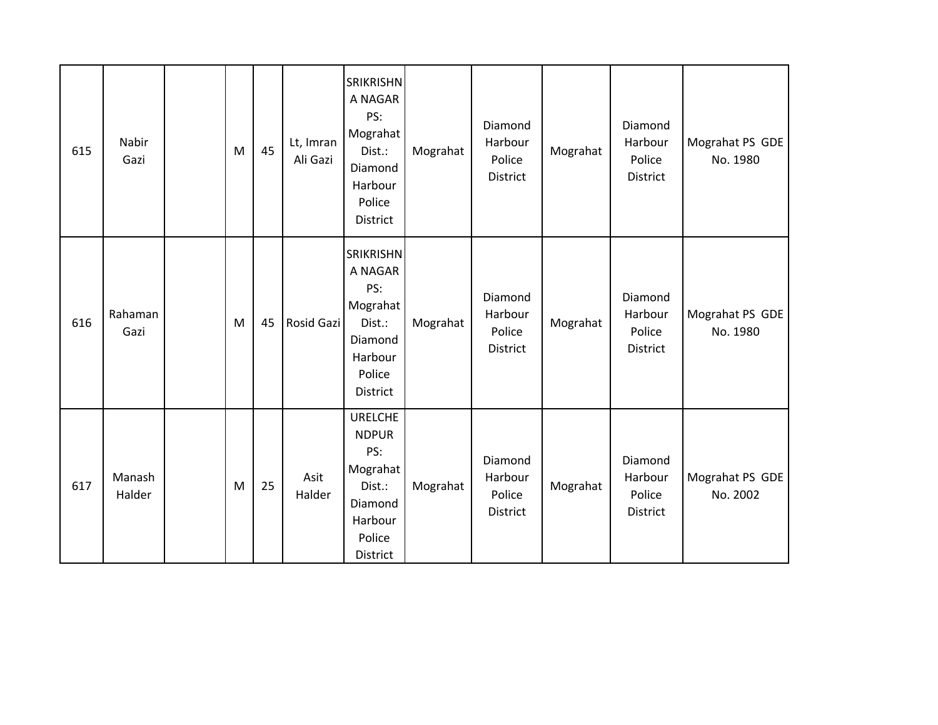| 615 | Nabir<br>Gazi    | M | 45 | Lt, Imran<br>Ali Gazi | <b>SRIKRISHN</b><br>A NAGAR<br>PS:<br>Mograhat<br>Dist.:<br>Diamond<br>Harbour<br>Police<br><b>District</b> | Mograhat | Diamond<br>Harbour<br>Police<br>District        | Mograhat | Diamond<br>Harbour<br>Police<br><b>District</b> | Mograhat PS GDE<br>No. 1980 |
|-----|------------------|---|----|-----------------------|-------------------------------------------------------------------------------------------------------------|----------|-------------------------------------------------|----------|-------------------------------------------------|-----------------------------|
| 616 | Rahaman<br>Gazi  | M | 45 | Rosid Gazi            | SRIKRISHN<br>A NAGAR<br>PS:<br>Mograhat<br>Dist.:<br>Diamond<br>Harbour<br>Police<br>District               | Mograhat | Diamond<br>Harbour<br>Police<br>District        | Mograhat | Diamond<br>Harbour<br>Police<br><b>District</b> | Mograhat PS GDE<br>No. 1980 |
| 617 | Manash<br>Halder | M | 25 | Asit<br>Halder        | <b>URELCHE</b><br><b>NDPUR</b><br>PS:<br>Mograhat<br>Dist.:<br>Diamond<br>Harbour<br>Police<br>District     | Mograhat | Diamond<br>Harbour<br>Police<br><b>District</b> | Mograhat | Diamond<br>Harbour<br>Police<br><b>District</b> | Mograhat PS GDE<br>No. 2002 |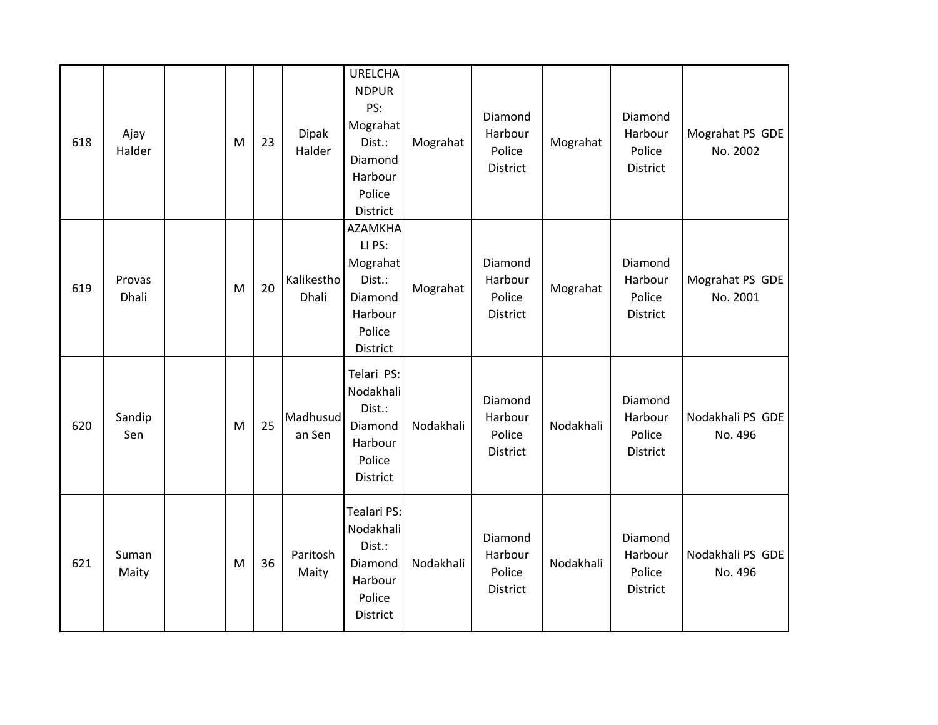| 618 | Ajay<br>Halder  | M | 23 | Dipak<br>Halder     | <b>URELCHA</b><br><b>NDPUR</b><br>PS:<br>Mograhat<br>Dist.:<br>Diamond<br>Harbour<br>Police<br>District | Mograhat  | Diamond<br>Harbour<br>Police<br><b>District</b> | Mograhat  | Diamond<br>Harbour<br>Police<br><b>District</b> | Mograhat PS GDE<br>No. 2002 |
|-----|-----------------|---|----|---------------------|---------------------------------------------------------------------------------------------------------|-----------|-------------------------------------------------|-----------|-------------------------------------------------|-----------------------------|
| 619 | Provas<br>Dhali | M | 20 | Kalikestho<br>Dhali | <b>AZAMKHA</b><br>LI PS:<br>Mograhat<br>Dist.:<br>Diamond<br>Harbour<br>Police<br><b>District</b>       | Mograhat  | Diamond<br>Harbour<br>Police<br><b>District</b> | Mograhat  | Diamond<br>Harbour<br>Police<br><b>District</b> | Mograhat PS GDE<br>No. 2001 |
| 620 | Sandip<br>Sen   | M | 25 | Madhusud<br>an Sen  | Telari PS:<br>Nodakhali<br>Dist.:<br>Diamond<br>Harbour<br>Police<br><b>District</b>                    | Nodakhali | Diamond<br>Harbour<br>Police<br>District        | Nodakhali | Diamond<br>Harbour<br>Police<br>District        | Nodakhali PS GDE<br>No. 496 |
| 621 | Suman<br>Maity  | M | 36 | Paritosh<br>Maity   | <b>Tealari PS:</b><br>Nodakhali<br>Dist.:<br>Diamond<br>Harbour<br>Police<br><b>District</b>            | Nodakhali | Diamond<br>Harbour<br>Police<br>District        | Nodakhali | Diamond<br>Harbour<br>Police<br><b>District</b> | Nodakhali PS GDE<br>No. 496 |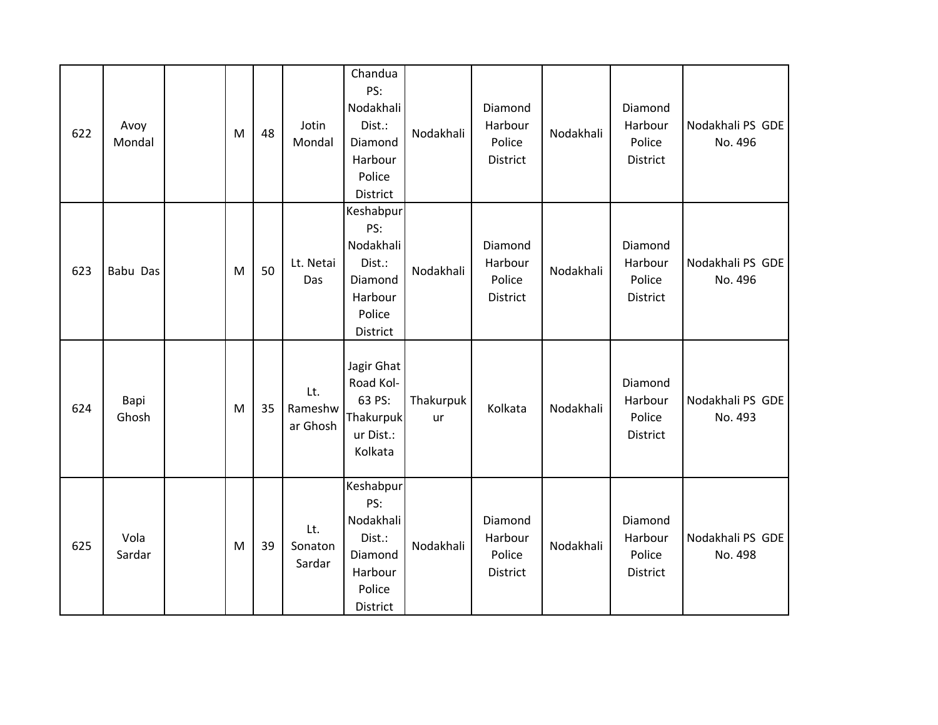| 622 | Avoy<br>Mondal | M | 48 | Jotin<br>Mondal            | Chandua<br>PS:<br>Nodakhali<br>Dist.:<br>Diamond<br>Harbour<br>Police<br>District   | Nodakhali       | Diamond<br>Harbour<br>Police<br>District        | Nodakhali | Diamond<br>Harbour<br>Police<br><b>District</b> | Nodakhali PS GDE<br>No. 496 |
|-----|----------------|---|----|----------------------------|-------------------------------------------------------------------------------------|-----------------|-------------------------------------------------|-----------|-------------------------------------------------|-----------------------------|
| 623 | Babu Das       | M | 50 | Lt. Netai<br>Das           | Keshabpur<br>PS:<br>Nodakhali<br>Dist.:<br>Diamond<br>Harbour<br>Police<br>District | Nodakhali       | Diamond<br>Harbour<br>Police<br><b>District</b> | Nodakhali | Diamond<br>Harbour<br>Police<br><b>District</b> | Nodakhali PS GDE<br>No. 496 |
| 624 | Bapi<br>Ghosh  | M | 35 | Lt.<br>Rameshw<br>ar Ghosh | Jagir Ghat<br>Road Kol-<br>63 PS:<br>Thakurpuk<br>ur Dist.:<br>Kolkata              | Thakurpuk<br>ur | Kolkata                                         | Nodakhali | Diamond<br>Harbour<br>Police<br><b>District</b> | Nodakhali PS GDE<br>No. 493 |
| 625 | Vola<br>Sardar | M | 39 | Lt.<br>Sonaton<br>Sardar   | Keshabpur<br>PS:<br>Nodakhali<br>Dist.:<br>Diamond<br>Harbour<br>Police<br>District | Nodakhali       | Diamond<br>Harbour<br>Police<br>District        | Nodakhali | Diamond<br>Harbour<br>Police<br>District        | Nodakhali PS GDE<br>No. 498 |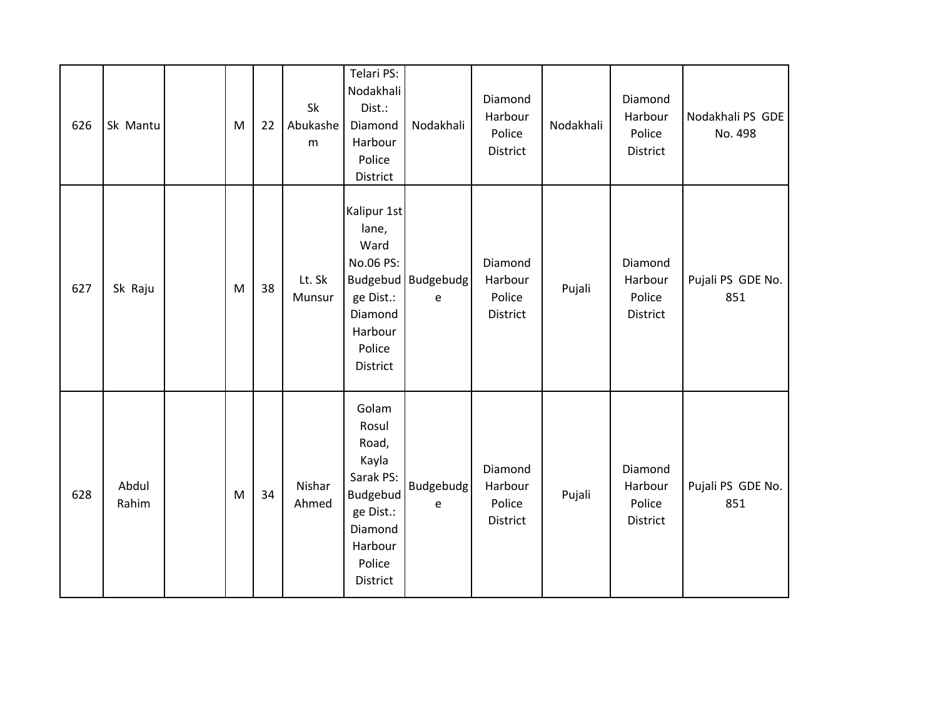| 626 | Sk Mantu       | M | 22 | Sk<br>Abukashe<br>m | Telari PS:<br>Nodakhali<br>Dist.:<br>Diamond<br>Harbour<br>Police<br>District                                             | Nodakhali                         | Diamond<br>Harbour<br>Police<br>District | Nodakhali | Diamond<br>Harbour<br>Police<br>District | Nodakhali PS GDE<br>No. 498 |
|-----|----------------|---|----|---------------------|---------------------------------------------------------------------------------------------------------------------------|-----------------------------------|------------------------------------------|-----------|------------------------------------------|-----------------------------|
| 627 | Sk Raju        | M | 38 | Lt. Sk<br>Munsur    | Kalipur 1st<br>lane,<br>Ward<br>No.06 PS:<br>ge Dist.:<br>Diamond<br>Harbour<br>Police<br>District                        | Budgebud   Budgebudg<br>${\bf e}$ | Diamond<br>Harbour<br>Police<br>District | Pujali    | Diamond<br>Harbour<br>Police<br>District | Pujali PS GDE No.<br>851    |
| 628 | Abdul<br>Rahim | M | 34 | Nishar<br>Ahmed     | Golam<br>Rosul<br>Road,<br>Kayla<br>Sarak PS:<br><b>Budgebud</b><br>ge Dist.:<br>Diamond<br>Harbour<br>Police<br>District | Budgebudg<br>e                    | Diamond<br>Harbour<br>Police<br>District | Pujali    | Diamond<br>Harbour<br>Police<br>District | Pujali PS GDE No.<br>851    |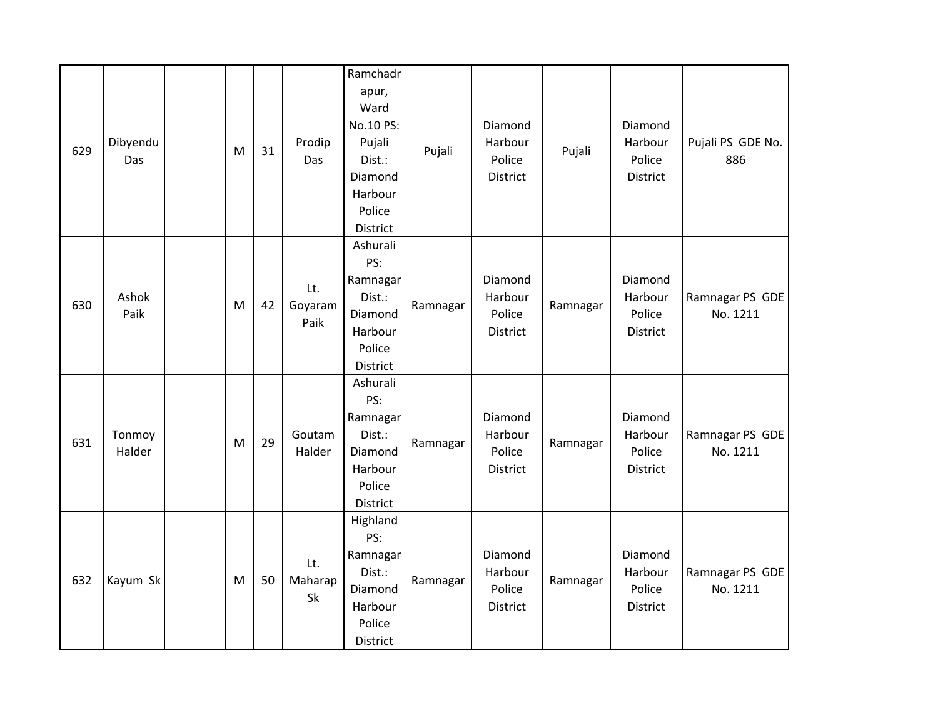| 629 | Dibyendu<br>Das  | M | 31 | Prodip<br>Das          | Ramchadr<br>apur,<br>Ward<br>No.10 PS:<br>Pujali<br>Dist.:<br>Diamond<br>Harbour<br>Police<br>District | Pujali   | Diamond<br>Harbour<br>Police<br>District | Pujali   | Diamond<br>Harbour<br>Police<br>District | Pujali PS GDE No.<br>886    |
|-----|------------------|---|----|------------------------|--------------------------------------------------------------------------------------------------------|----------|------------------------------------------|----------|------------------------------------------|-----------------------------|
| 630 | Ashok<br>Paik    | M | 42 | Lt.<br>Goyaram<br>Paik | Ashurali<br>PS:<br>Ramnagar<br>Dist.:<br>Diamond<br>Harbour<br>Police<br>District                      | Ramnagar | Diamond<br>Harbour<br>Police<br>District | Ramnagar | Diamond<br>Harbour<br>Police<br>District | Ramnagar PS GDE<br>No. 1211 |
| 631 | Tonmoy<br>Halder | M | 29 | Goutam<br>Halder       | Ashurali<br>PS:<br>Ramnagar<br>Dist.:<br>Diamond<br>Harbour<br>Police<br>District                      | Ramnagar | Diamond<br>Harbour<br>Police<br>District | Ramnagar | Diamond<br>Harbour<br>Police<br>District | Ramnagar PS GDE<br>No. 1211 |
| 632 | Kayum Sk         | M | 50 | Lt.<br>Maharap<br>Sk   | Highland<br>PS:<br>Ramnagar<br>Dist.:<br>Diamond<br>Harbour<br>Police<br>District                      | Ramnagar | Diamond<br>Harbour<br>Police<br>District | Ramnagar | Diamond<br>Harbour<br>Police<br>District | Ramnagar PS GDE<br>No. 1211 |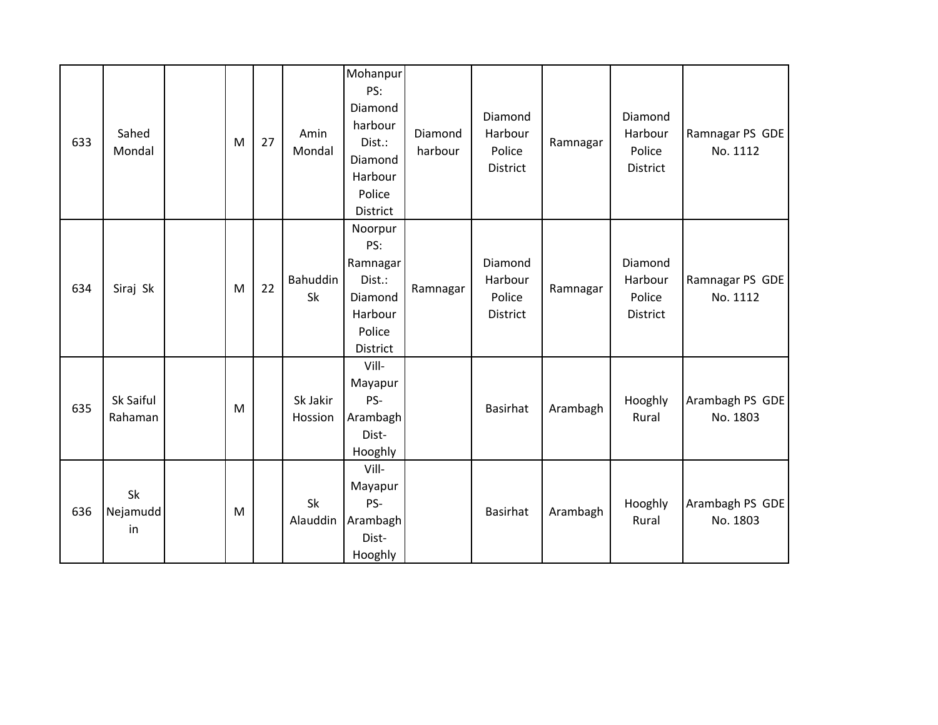| 633 | Sahed<br>Mondal      | M | 27 | Amin<br>Mondal      | Mohanpur<br>PS:<br>Diamond<br>harbour<br>Dist.:<br>Diamond<br>Harbour<br>Police<br>District | Diamond<br>harbour | Diamond<br>Harbour<br>Police<br>District | Ramnagar | Diamond<br>Harbour<br>Police<br><b>District</b> | Ramnagar PS GDE<br>No. 1112 |
|-----|----------------------|---|----|---------------------|---------------------------------------------------------------------------------------------|--------------------|------------------------------------------|----------|-------------------------------------------------|-----------------------------|
| 634 | Siraj Sk             | M | 22 | Bahuddin<br>Sk      | Noorpur<br>PS:<br>Ramnagar<br>Dist.:<br>Diamond<br>Harbour<br>Police<br>District            | Ramnagar           | Diamond<br>Harbour<br>Police<br>District | Ramnagar | Diamond<br>Harbour<br>Police<br><b>District</b> | Ramnagar PS GDE<br>No. 1112 |
| 635 | Sk Saiful<br>Rahaman | M |    | Sk Jakir<br>Hossion | Vill-<br>Mayapur<br>PS-<br>Arambagh<br>Dist-<br>Hooghly                                     |                    | <b>Basirhat</b>                          | Arambagh | Hooghly<br>Rural                                | Arambagh PS GDE<br>No. 1803 |
| 636 | Sk<br>Nejamudd<br>in | M |    | Sk<br>Alauddin      | Vill-<br>Mayapur<br>PS-<br>Arambagh<br>Dist-<br>Hooghly                                     |                    | <b>Basirhat</b>                          | Arambagh | Hooghly<br>Rural                                | Arambagh PS GDE<br>No. 1803 |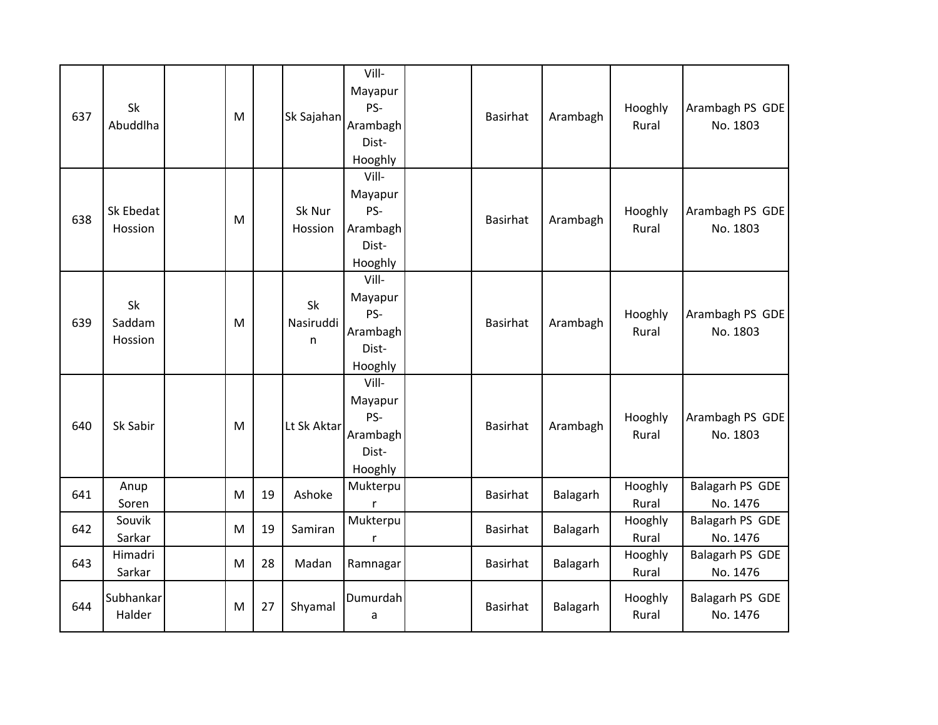| 637 | Sk<br>Abuddlha          | M |    | Sk Sajahan           | Vill-<br>Mayapur<br>PS-<br>Arambagh<br>Dist-<br>Hooghly | Basirhat        | Arambagh | Hooghly<br>Rural | Arambagh PS GDE<br>No. 1803 |
|-----|-------------------------|---|----|----------------------|---------------------------------------------------------|-----------------|----------|------------------|-----------------------------|
| 638 | Sk Ebedat<br>Hossion    | M |    | Sk Nur<br>Hossion    | Vill-<br>Mayapur<br>PS-<br>Arambagh<br>Dist-<br>Hooghly | Basirhat        | Arambagh | Hooghly<br>Rural | Arambagh PS GDE<br>No. 1803 |
| 639 | Sk<br>Saddam<br>Hossion | M |    | Sk<br>Nasiruddi<br>n | Vill-<br>Mayapur<br>PS-<br>Arambagh<br>Dist-<br>Hooghly | <b>Basirhat</b> | Arambagh | Hooghly<br>Rural | Arambagh PS GDE<br>No. 1803 |
| 640 | Sk Sabir                | M |    | Lt Sk Aktar          | Vill-<br>Mayapur<br>PS-<br>Arambagh<br>Dist-<br>Hooghly | <b>Basirhat</b> | Arambagh | Hooghly<br>Rural | Arambagh PS GDE<br>No. 1803 |
| 641 | Anup<br>Soren           | M | 19 | Ashoke               | Mukterpu<br>r                                           | Basirhat        | Balagarh | Hooghly<br>Rural | Balagarh PS GDE<br>No. 1476 |
| 642 | Souvik<br>Sarkar        | M | 19 | Samiran              | Mukterpu<br>r                                           | Basirhat        | Balagarh | Hooghly<br>Rural | Balagarh PS GDE<br>No. 1476 |
| 643 | Himadri<br>Sarkar       | M | 28 | Madan                | Ramnagar                                                | Basirhat        | Balagarh | Hooghly<br>Rural | Balagarh PS GDE<br>No. 1476 |
| 644 | Subhankar<br>Halder     | M | 27 | Shyamal              | Dumurdah<br>a                                           | <b>Basirhat</b> | Balagarh | Hooghly<br>Rural | Balagarh PS GDE<br>No. 1476 |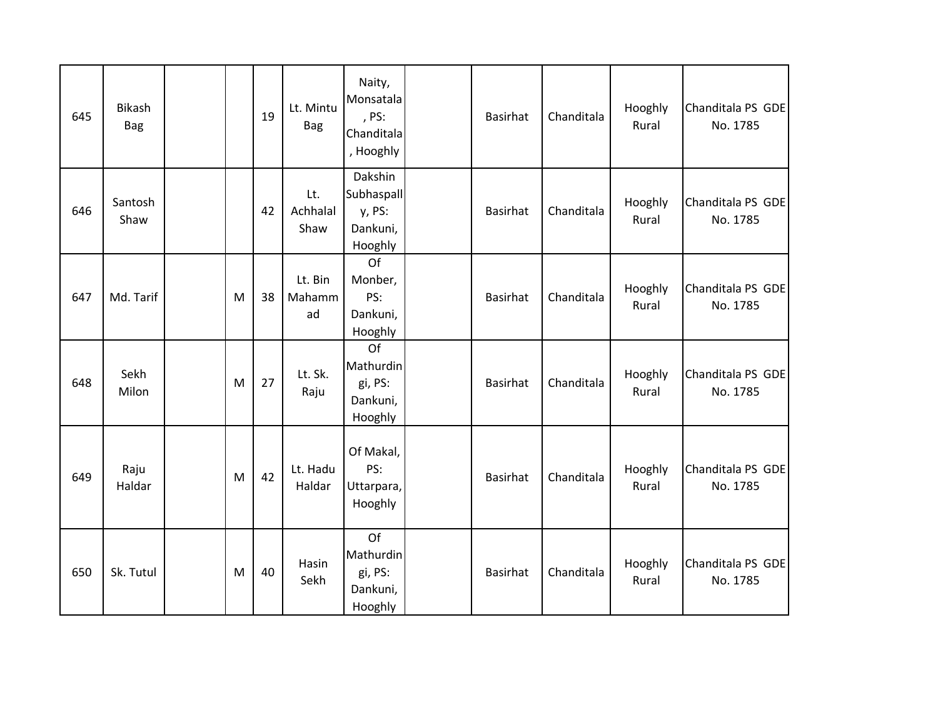| 645 | Bikash<br><b>Bag</b> |   | 19 | Lt. Mintu<br><b>Bag</b> | Naity,<br>Monsatala<br>, PS:<br>Chanditala<br>, Hooghly | <b>Basirhat</b> | Chanditala | Hooghly<br>Rural | Chanditala PS GDE<br>No. 1785 |
|-----|----------------------|---|----|-------------------------|---------------------------------------------------------|-----------------|------------|------------------|-------------------------------|
| 646 | Santosh<br>Shaw      |   | 42 | Lt.<br>Achhalal<br>Shaw | Dakshin<br>Subhaspall<br>y, PS:<br>Dankuni,<br>Hooghly  | <b>Basirhat</b> | Chanditala | Hooghly<br>Rural | Chanditala PS GDE<br>No. 1785 |
| 647 | Md. Tarif            | M | 38 | Lt. Bin<br>Mahamm<br>ad | Of<br>Monber,<br>PS:<br>Dankuni,<br>Hooghly             | <b>Basirhat</b> | Chanditala | Hooghly<br>Rural | Chanditala PS GDE<br>No. 1785 |
| 648 | Sekh<br>Milon        | M | 27 | Lt. Sk.<br>Raju         | Of<br>Mathurdin<br>gi, PS:<br>Dankuni,<br>Hooghly       | <b>Basirhat</b> | Chanditala | Hooghly<br>Rural | Chanditala PS GDE<br>No. 1785 |
| 649 | Raju<br>Haldar       | M | 42 | Lt. Hadu<br>Haldar      | Of Makal,<br>PS:<br>Uttarpara,<br>Hooghly               | <b>Basirhat</b> | Chanditala | Hooghly<br>Rural | Chanditala PS GDE<br>No. 1785 |
| 650 | Sk. Tutul            | M | 40 | Hasin<br>Sekh           | Of<br>Mathurdin<br>gi, PS:<br>Dankuni,<br>Hooghly       | <b>Basirhat</b> | Chanditala | Hooghly<br>Rural | Chanditala PS GDE<br>No. 1785 |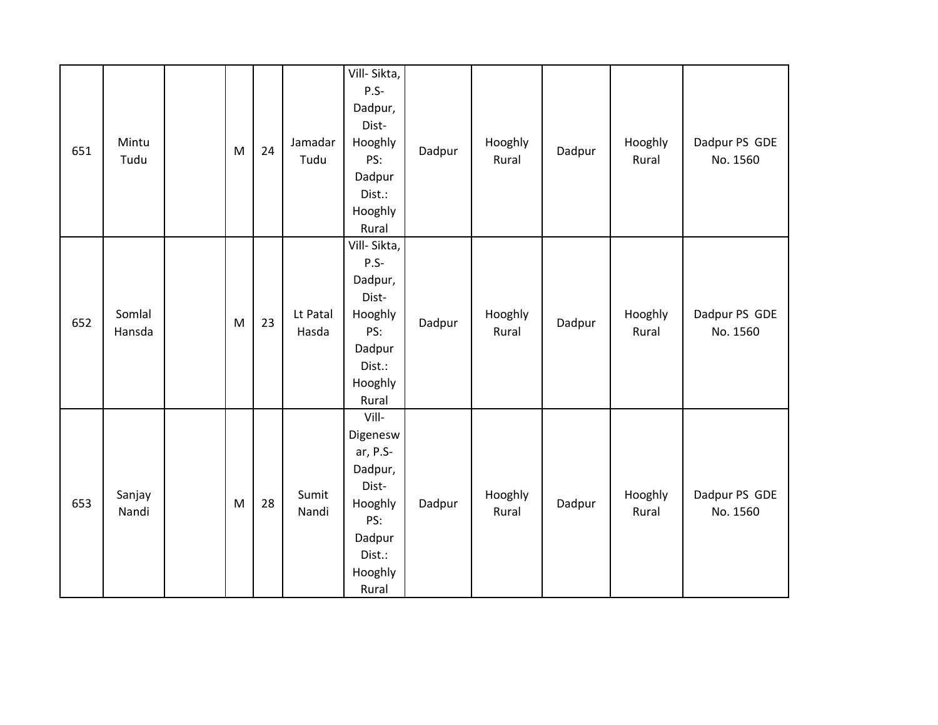| 651 | Mintu<br>Tudu    | M | 24 | Jamadar<br>Tudu   | Vill-Sikta,<br>$P.S-$<br>Dadpur,<br>Dist-<br>Hooghly<br>PS:<br>Dadpur<br>Dist.:<br>Hooghly<br>Rural         | Dadpur | Hooghly<br>Rural | Dadpur | Hooghly<br>Rural | Dadpur PS GDE<br>No. 1560 |
|-----|------------------|---|----|-------------------|-------------------------------------------------------------------------------------------------------------|--------|------------------|--------|------------------|---------------------------|
| 652 | Somlal<br>Hansda | M | 23 | Lt Patal<br>Hasda | Vill-Sikta,<br>P.S-<br>Dadpur,<br>Dist-<br>Hooghly<br>PS:<br>Dadpur<br>Dist.:<br>Hooghly<br>Rural           | Dadpur | Hooghly<br>Rural | Dadpur | Hooghly<br>Rural | Dadpur PS GDE<br>No. 1560 |
| 653 | Sanjay<br>Nandi  | M | 28 | Sumit<br>Nandi    | Vill-<br>Digenesw<br>ar, P.S-<br>Dadpur,<br>Dist-<br>Hooghly<br>PS:<br>Dadpur<br>Dist.:<br>Hooghly<br>Rural | Dadpur | Hooghly<br>Rural | Dadpur | Hooghly<br>Rural | Dadpur PS GDE<br>No. 1560 |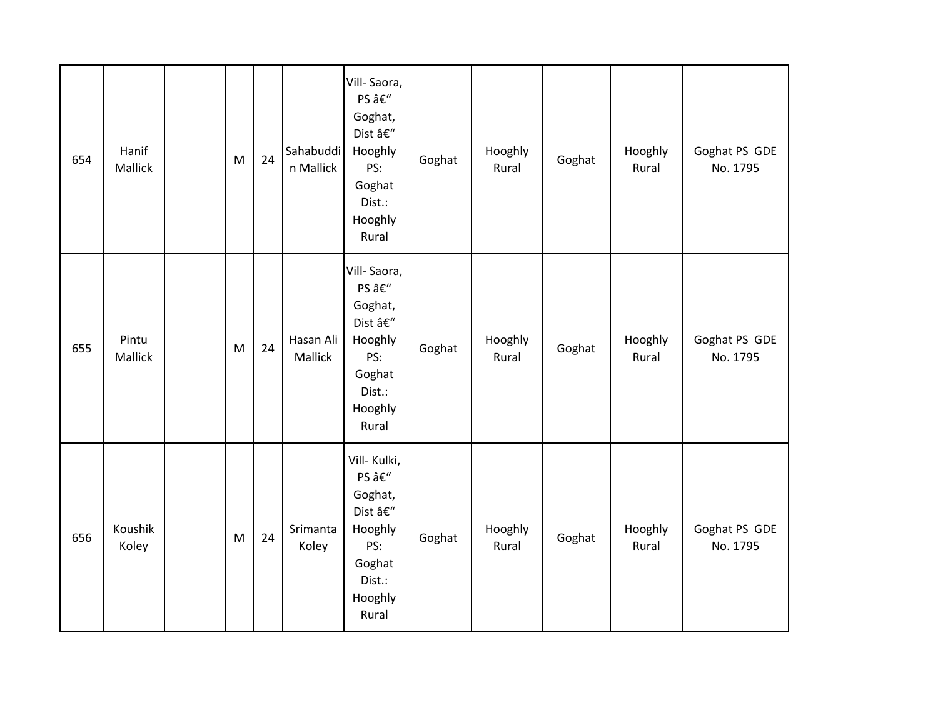| 654 | Hanif<br>Mallick | $\mathsf{M}% _{T}=\mathsf{M}_{T}\!\left( a,b\right) ,\ \mathsf{M}_{T}=\mathsf{M}_{T}\!\left( a,b\right) ,$ | 24 | Sahabuddi<br>n Mallick | Vill-Saora,<br>PS –<br>Goghat,<br>Dist –<br>Hooghly<br>PS:<br>Goghat<br>Dist.:<br>Hooghly<br>Rural  | Goghat | Hooghly<br>Rural | Goghat | Hooghly<br>Rural | Goghat PS GDE<br>No. 1795 |
|-----|------------------|------------------------------------------------------------------------------------------------------------|----|------------------------|-----------------------------------------------------------------------------------------------------|--------|------------------|--------|------------------|---------------------------|
| 655 | Pintu<br>Mallick | M                                                                                                          | 24 | Hasan Ali<br>Mallick   | Vill-Saora,<br>PS –<br>Goghat,<br>Dist –<br>Hooghly<br>PS:<br>Goghat<br>Dist.:<br>Hooghly<br>Rural  | Goghat | Hooghly<br>Rural | Goghat | Hooghly<br>Rural | Goghat PS GDE<br>No. 1795 |
| 656 | Koushik<br>Koley | $\mathsf{M}% _{T}=\mathsf{M}_{T}\!\left( a,b\right) ,\ \mathsf{M}_{T}=\mathsf{M}_{T}$                      | 24 | Srimanta<br>Koley      | Vill- Kulki,<br>PS –<br>Goghat,<br>Dist –<br>Hooghly<br>PS:<br>Goghat<br>Dist.:<br>Hooghly<br>Rural | Goghat | Hooghly<br>Rural | Goghat | Hooghly<br>Rural | Goghat PS GDE<br>No. 1795 |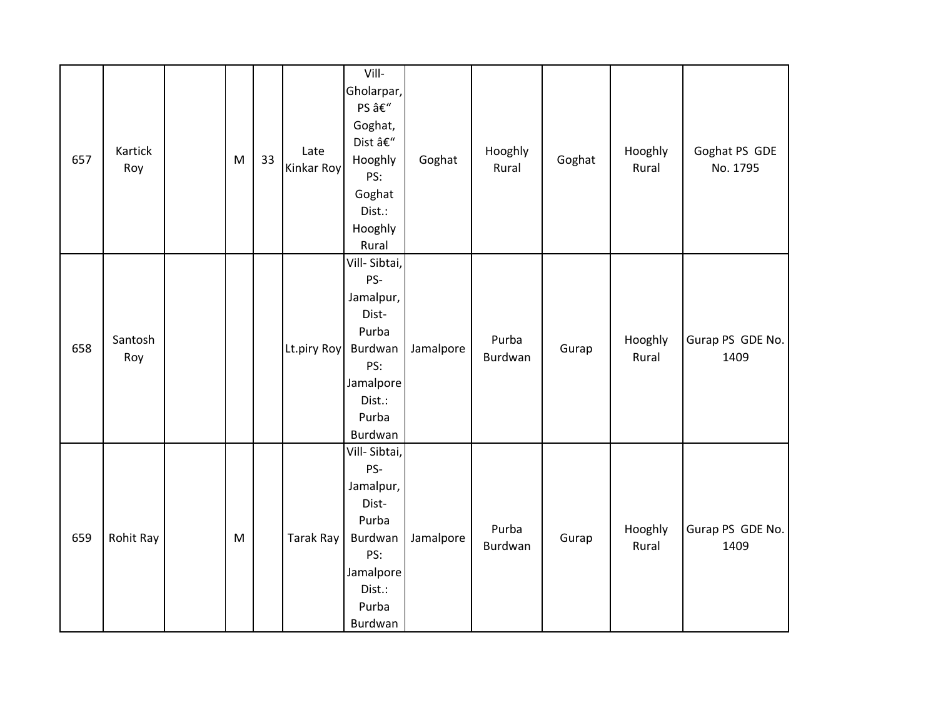| 657 | Kartick<br>Roy | ${\sf M}$ | 33 | Late<br>Kinkar Roy | Vill-<br>Gholarpar,<br>PS –<br>Goghat,<br>Dist –<br>Hooghly<br>PS:<br>Goghat<br>Dist.:<br>Hooghly<br>Rural      | Goghat    | Hooghly<br>Rural | Goghat | Hooghly<br>Rural | Goghat PS GDE<br>No. 1795 |
|-----|----------------|-----------|----|--------------------|-----------------------------------------------------------------------------------------------------------------|-----------|------------------|--------|------------------|---------------------------|
| 658 | Santosh<br>Roy |           |    | Lt.piry Roy        | Vill-Sibtai,<br>PS-<br>Jamalpur,<br>Dist-<br>Purba<br>Burdwan<br>PS:<br>Jamalpore<br>Dist.:<br>Purba<br>Burdwan | Jamalpore | Purba<br>Burdwan | Gurap  | Hooghly<br>Rural | Gurap PS GDE No.<br>1409  |
| 659 | Rohit Ray      | M         |    | Tarak Ray          | Vill-Sibtai,<br>PS-<br>Jamalpur,<br>Dist-<br>Purba<br>Burdwan<br>PS:<br>Jamalpore<br>Dist.:<br>Purba<br>Burdwan | Jamalpore | Purba<br>Burdwan | Gurap  | Hooghly<br>Rural | Gurap PS GDE No.<br>1409  |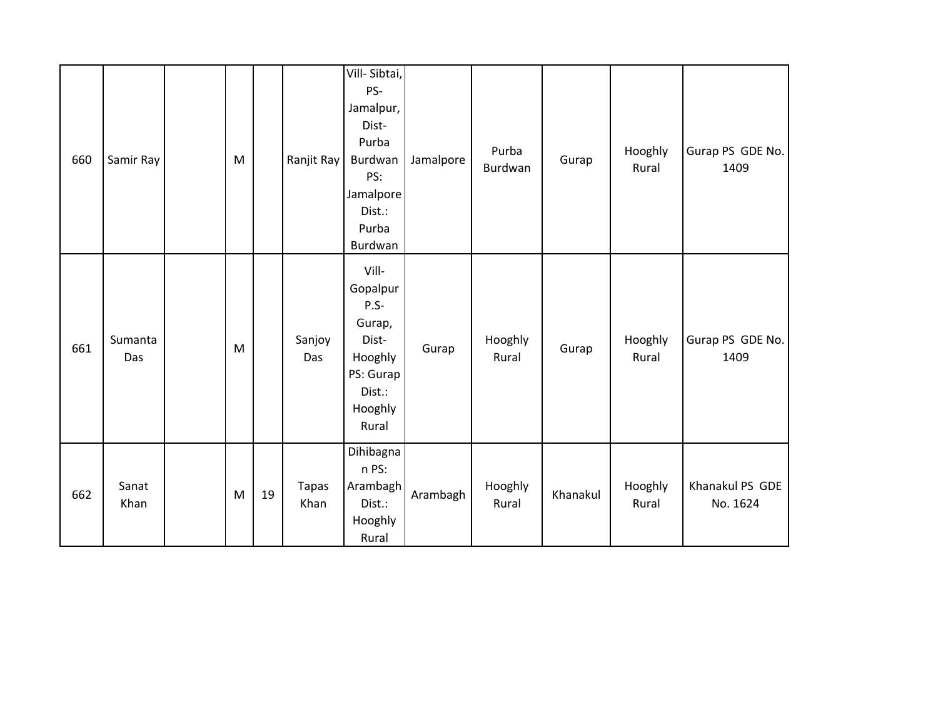| 660 | Samir Ray      | M |    | Ranjit Ray           | Vill-Sibtai,<br>PS-<br>Jamalpur,<br>Dist-<br>Purba<br>Burdwan<br>PS:<br>Jamalpore<br>Dist.:<br>Purba<br>Burdwan | Jamalpore | Purba<br>Burdwan | Gurap    | Hooghly<br>Rural | Gurap PS GDE No.<br>1409    |
|-----|----------------|---|----|----------------------|-----------------------------------------------------------------------------------------------------------------|-----------|------------------|----------|------------------|-----------------------------|
| 661 | Sumanta<br>Das | M |    | Sanjoy<br>Das        | Vill-<br>Gopalpur<br>$P.S-$<br>Gurap,<br>Dist-<br>Hooghly<br>PS: Gurap<br>Dist.:<br>Hooghly<br>Rural            | Gurap     | Hooghly<br>Rural | Gurap    | Hooghly<br>Rural | Gurap PS GDE No.<br>1409    |
| 662 | Sanat<br>Khan  | M | 19 | <b>Tapas</b><br>Khan | Dihibagna<br>n PS:<br>Arambagh<br>Dist.:<br>Hooghly<br>Rural                                                    | Arambagh  | Hooghly<br>Rural | Khanakul | Hooghly<br>Rural | Khanakul PS GDE<br>No. 1624 |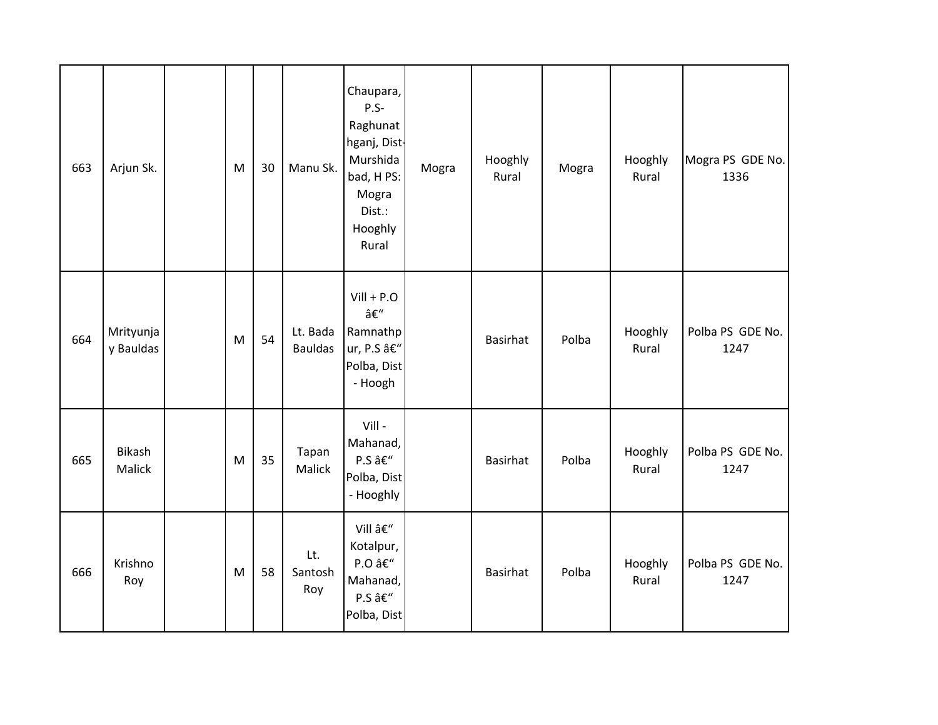| 663 | Arjun Sk.              | M | 30 | Manu Sk.                   | Chaupara,<br>$P.S-$<br>Raghunat<br>hganj, Dist-<br>Murshida<br>bad, H PS:<br>Mogra<br>Dist.:<br>Hooghly<br>Rural | Mogra | Hooghly<br>Rural | Mogra | Hooghly<br>Rural | Mogra PS GDE No.<br>1336 |
|-----|------------------------|---|----|----------------------------|------------------------------------------------------------------------------------------------------------------|-------|------------------|-------|------------------|--------------------------|
| 664 | Mrityunja<br>y Bauldas | M | 54 | Lt. Bada<br><b>Bauldas</b> | $Vill + P.O$<br>–<br>Ramnathp<br>ur, P.S –<br>Polba, Dist<br>- Hoogh                                             |       | <b>Basirhat</b>  | Polba | Hooghly<br>Rural | Polba PS GDE No.<br>1247 |
| 665 | Bikash<br>Malick       | M | 35 | Tapan<br>Malick            | Vill -<br>Mahanad,<br>P.S –<br>Polba, Dist<br>- Hooghly                                                          |       | <b>Basirhat</b>  | Polba | Hooghly<br>Rural | Polba PS GDE No.<br>1247 |
| 666 | Krishno<br>Roy         | M | 58 | Lt.<br>Santosh<br>Roy      | Vill –<br>Kotalpur,<br>P.O –<br>Mahanad,<br>P.S –<br>Polba, Dist                                                 |       | <b>Basirhat</b>  | Polba | Hooghly<br>Rural | Polba PS GDE No.<br>1247 |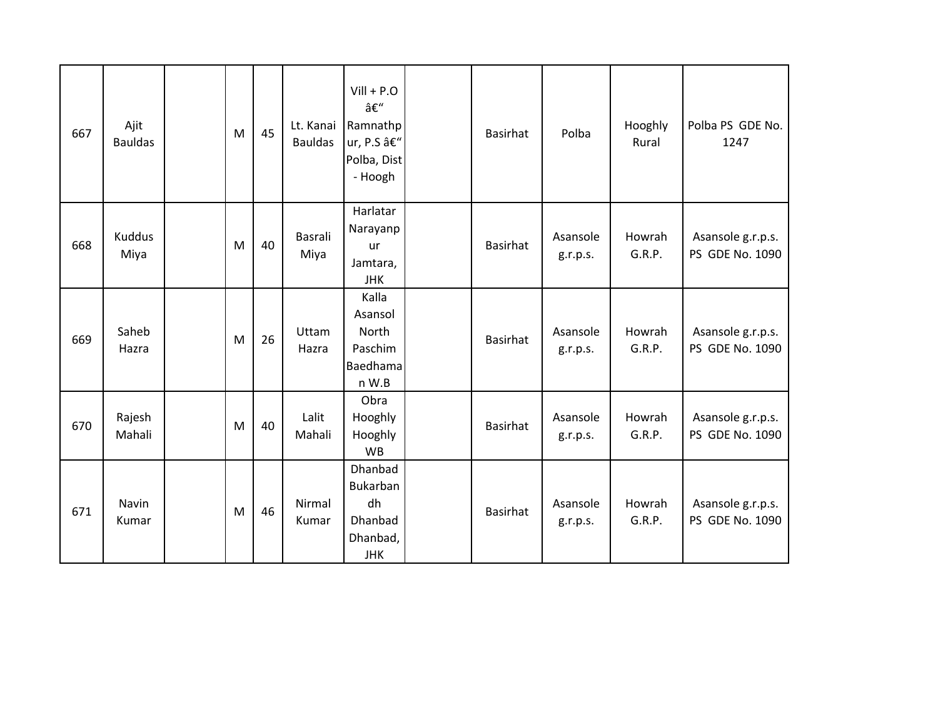| 667 | Ajit<br><b>Bauldas</b> | M | 45 | Lt. Kanai<br><b>Bauldas</b> | $Vill + P.O$<br>–<br>Ramnathp<br>ur, P.S –<br>Polba, Dist<br>- Hoogh | <b>Basirhat</b> | Polba                | Hooghly<br>Rural | Polba PS GDE No.<br>1247             |
|-----|------------------------|---|----|-----------------------------|----------------------------------------------------------------------|-----------------|----------------------|------------------|--------------------------------------|
| 668 | Kuddus<br>Miya         | M | 40 | Basrali<br>Miya             | Harlatar<br>Narayanp<br>ur<br>Jamtara,<br><b>JHK</b>                 | <b>Basirhat</b> | Asansole<br>g.r.p.s. | Howrah<br>G.R.P. | Asansole g.r.p.s.<br>PS GDE No. 1090 |
| 669 | Saheb<br>Hazra         | M | 26 | Uttam<br>Hazra              | Kalla<br>Asansol<br><b>North</b><br>Paschim<br>Baedhama<br>n W.B     | <b>Basirhat</b> | Asansole<br>g.r.p.s. | Howrah<br>G.R.P. | Asansole g.r.p.s.<br>PS GDE No. 1090 |
| 670 | Rajesh<br>Mahali       | M | 40 | Lalit<br>Mahali             | Obra<br>Hooghly<br>Hooghly<br><b>WB</b>                              | <b>Basirhat</b> | Asansole<br>g.r.p.s. | Howrah<br>G.R.P. | Asansole g.r.p.s.<br>PS GDE No. 1090 |
| 671 | Navin<br>Kumar         | M | 46 | Nirmal<br>Kumar             | Dhanbad<br>Bukarban<br>dh<br>Dhanbad<br>Dhanbad,<br><b>JHK</b>       | <b>Basirhat</b> | Asansole<br>g.r.p.s. | Howrah<br>G.R.P. | Asansole g.r.p.s.<br>PS GDE No. 1090 |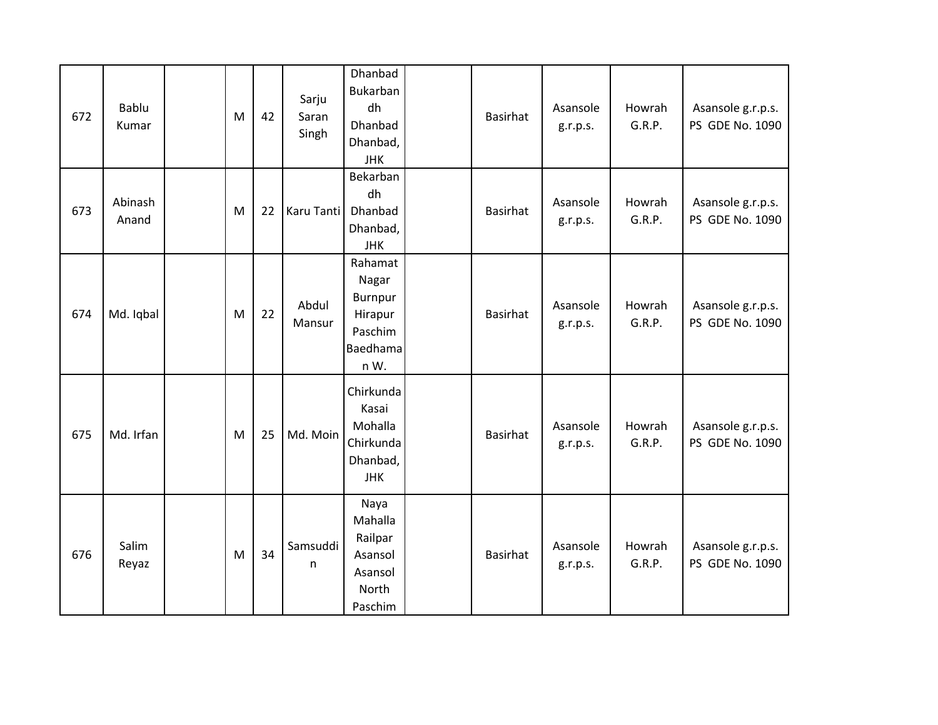| 672 | Bablu<br>Kumar   | M | 42 | Sarju<br>Saran<br>Singh | Dhanbad<br>Bukarban<br>dh<br>Dhanbad<br>Dhanbad,<br><b>JHK</b>        | <b>Basirhat</b> | Asansole<br>g.r.p.s. | Howrah<br>G.R.P. | Asansole g.r.p.s.<br>PS GDE No. 1090 |
|-----|------------------|---|----|-------------------------|-----------------------------------------------------------------------|-----------------|----------------------|------------------|--------------------------------------|
| 673 | Abinash<br>Anand | M | 22 | Karu Tanti              | Bekarban<br>dh<br>Dhanbad<br>Dhanbad,<br><b>JHK</b>                   | <b>Basirhat</b> | Asansole<br>g.r.p.s. | Howrah<br>G.R.P. | Asansole g.r.p.s.<br>PS GDE No. 1090 |
| 674 | Md. Iqbal        | M | 22 | Abdul<br>Mansur         | Rahamat<br>Nagar<br>Burnpur<br>Hirapur<br>Paschim<br>Baedhama<br>n W. | <b>Basirhat</b> | Asansole<br>g.r.p.s. | Howrah<br>G.R.P. | Asansole g.r.p.s.<br>PS GDE No. 1090 |
| 675 | Md. Irfan        | M | 25 | Md. Moin                | Chirkunda<br>Kasai<br>Mohalla<br>Chirkunda<br>Dhanbad,<br><b>JHK</b>  | <b>Basirhat</b> | Asansole<br>g.r.p.s. | Howrah<br>G.R.P. | Asansole g.r.p.s.<br>PS GDE No. 1090 |
| 676 | Salim<br>Reyaz   | M | 34 | Samsuddi<br>n           | Naya<br>Mahalla<br>Railpar<br>Asansol<br>Asansol<br>North<br>Paschim  | <b>Basirhat</b> | Asansole<br>g.r.p.s. | Howrah<br>G.R.P. | Asansole g.r.p.s.<br>PS GDE No. 1090 |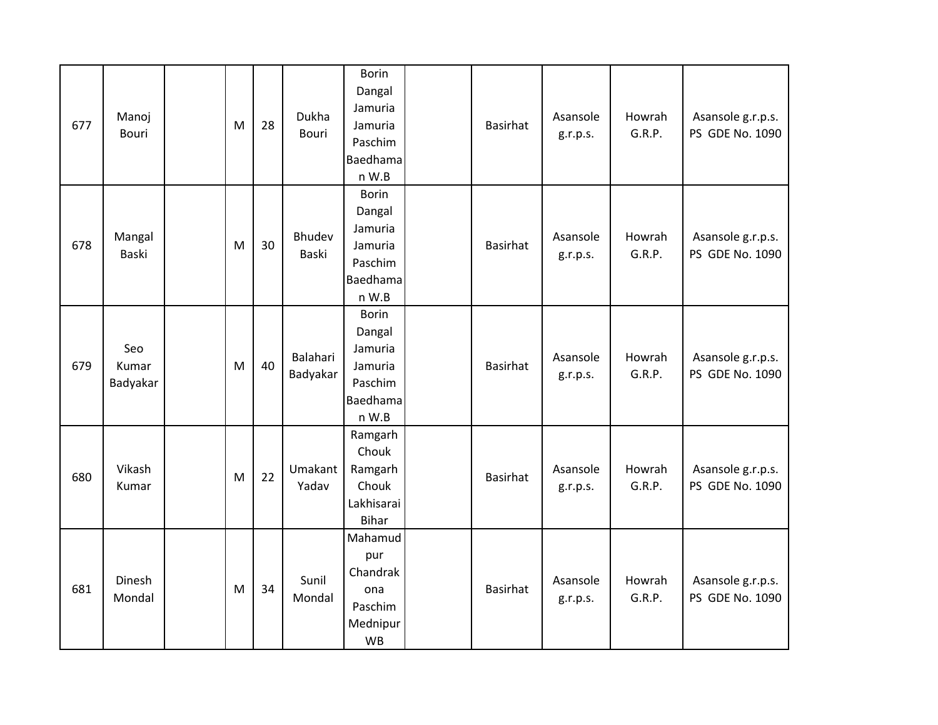| 677 | Manoj<br>Bouri           | M | 28 | Dukha<br><b>Bouri</b> | <b>Borin</b><br>Dangal<br>Jamuria<br>Jamuria<br>Paschim<br>Baedhama<br>n W.B | <b>Basirhat</b> | Asansole<br>g.r.p.s. | Howrah<br>G.R.P. | Asansole g.r.p.s.<br>PS GDE No. 1090 |
|-----|--------------------------|---|----|-----------------------|------------------------------------------------------------------------------|-----------------|----------------------|------------------|--------------------------------------|
| 678 | Mangal<br>Baski          | M | 30 | Bhudev<br>Baski       | <b>Borin</b><br>Dangal<br>Jamuria<br>Jamuria<br>Paschim<br>Baedhama<br>n W.B | <b>Basirhat</b> | Asansole<br>g.r.p.s. | Howrah<br>G.R.P. | Asansole g.r.p.s.<br>PS GDE No. 1090 |
| 679 | Seo<br>Kumar<br>Badyakar | M | 40 | Balahari<br>Badyakar  | <b>Borin</b><br>Dangal<br>Jamuria<br>Jamuria<br>Paschim<br>Baedhama<br>n W.B | <b>Basirhat</b> | Asansole<br>g.r.p.s. | Howrah<br>G.R.P. | Asansole g.r.p.s.<br>PS GDE No. 1090 |
| 680 | Vikash<br>Kumar          | M | 22 | Umakant<br>Yadav      | Ramgarh<br>Chouk<br>Ramgarh<br>Chouk<br>Lakhisarai<br><b>Bihar</b>           | <b>Basirhat</b> | Asansole<br>g.r.p.s. | Howrah<br>G.R.P. | Asansole g.r.p.s.<br>PS GDE No. 1090 |
| 681 | Dinesh<br>Mondal         | M | 34 | Sunil<br>Mondal       | Mahamud<br>pur<br>Chandrak<br>ona<br>Paschim<br>Mednipur<br><b>WB</b>        | <b>Basirhat</b> | Asansole<br>g.r.p.s. | Howrah<br>G.R.P. | Asansole g.r.p.s.<br>PS GDE No. 1090 |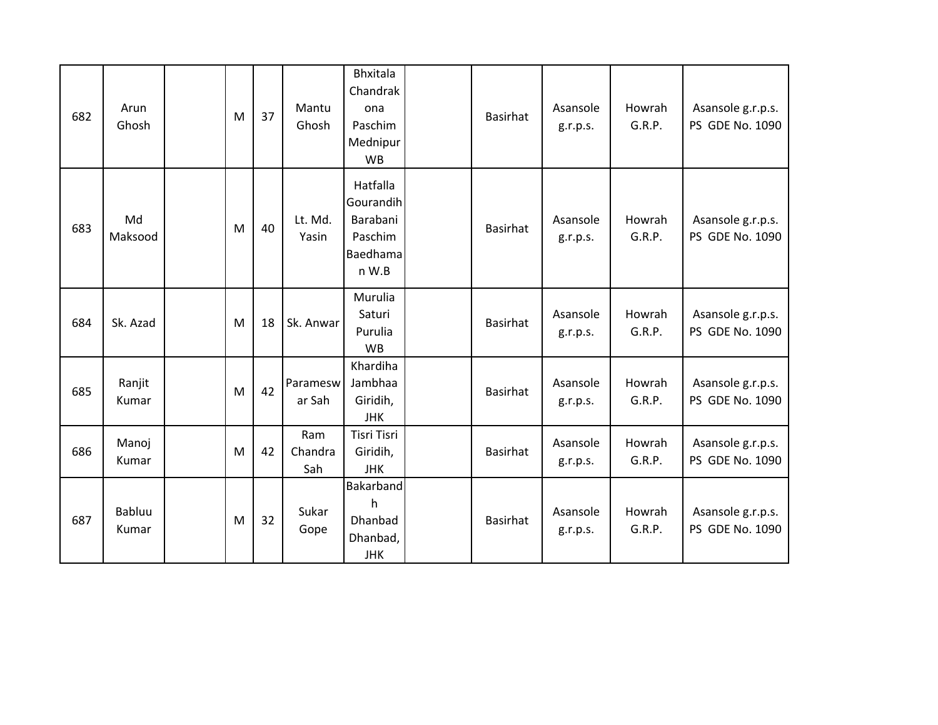| 682 | Arun<br>Ghosh   | M | 37 | Mantu<br>Ghosh        | <b>Bhxitala</b><br>Chandrak<br>ona<br>Paschim<br>Mednipur<br><b>WB</b> | <b>Basirhat</b> | Asansole<br>g.r.p.s. | Howrah<br>G.R.P. | Asansole g.r.p.s.<br>PS GDE No. 1090 |
|-----|-----------------|---|----|-----------------------|------------------------------------------------------------------------|-----------------|----------------------|------------------|--------------------------------------|
| 683 | Md<br>Maksood   | M | 40 | Lt. Md.<br>Yasin      | Hatfalla<br>Gourandih<br>Barabani<br>Paschim<br>Baedhama<br>n W.B      | Basirhat        | Asansole<br>g.r.p.s. | Howrah<br>G.R.P. | Asansole g.r.p.s.<br>PS GDE No. 1090 |
| 684 | Sk. Azad        | M | 18 | Sk. Anwar             | Murulia<br>Saturi<br>Purulia<br><b>WB</b>                              | <b>Basirhat</b> | Asansole<br>g.r.p.s. | Howrah<br>G.R.P. | Asansole g.r.p.s.<br>PS GDE No. 1090 |
| 685 | Ranjit<br>Kumar | M | 42 | Paramesw<br>ar Sah    | Khardiha<br>Jambhaa<br>Giridih,<br><b>JHK</b>                          | <b>Basirhat</b> | Asansole<br>g.r.p.s. | Howrah<br>G.R.P. | Asansole g.r.p.s.<br>PS GDE No. 1090 |
| 686 | Manoj<br>Kumar  | M | 42 | Ram<br>Chandra<br>Sah | <b>Tisri Tisri</b><br>Giridih,<br><b>JHK</b>                           | <b>Basirhat</b> | Asansole<br>g.r.p.s. | Howrah<br>G.R.P. | Asansole g.r.p.s.<br>PS GDE No. 1090 |
| 687 | Babluu<br>Kumar | M | 32 | Sukar<br>Gope         | Bakarband<br>h<br>Dhanbad<br>Dhanbad,<br><b>JHK</b>                    | <b>Basirhat</b> | Asansole<br>g.r.p.s. | Howrah<br>G.R.P. | Asansole g.r.p.s.<br>PS GDE No. 1090 |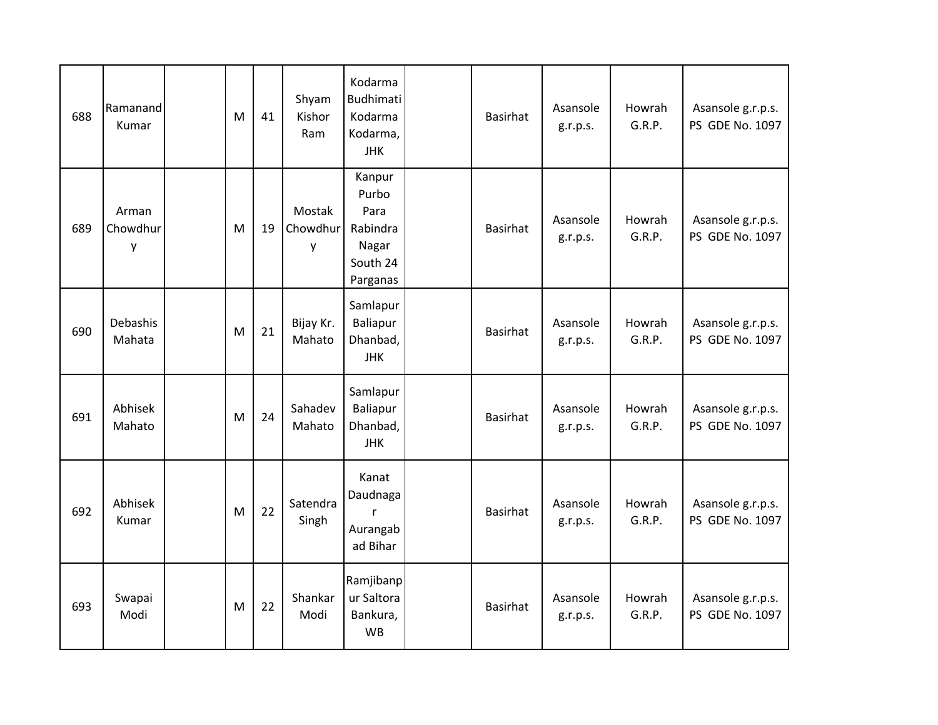| 688 | Ramanand<br>Kumar      | M | 41 | Shyam<br>Kishor<br>Ram  | Kodarma<br><b>Budhimati</b><br>Kodarma<br>Kodarma,<br><b>JHK</b>     | Basirhat        | Asansole<br>g.r.p.s. | Howrah<br>G.R.P. | Asansole g.r.p.s.<br>PS GDE No. 1097 |
|-----|------------------------|---|----|-------------------------|----------------------------------------------------------------------|-----------------|----------------------|------------------|--------------------------------------|
| 689 | Arman<br>Chowdhur<br>у | M | 19 | Mostak<br>Chowdhur<br>у | Kanpur<br>Purbo<br>Para<br>Rabindra<br>Nagar<br>South 24<br>Parganas | <b>Basirhat</b> | Asansole<br>g.r.p.s. | Howrah<br>G.R.P. | Asansole g.r.p.s.<br>PS GDE No. 1097 |
| 690 | Debashis<br>Mahata     | M | 21 | Bijay Kr.<br>Mahato     | Samlapur<br>Baliapur<br>Dhanbad,<br><b>JHK</b>                       | <b>Basirhat</b> | Asansole<br>g.r.p.s. | Howrah<br>G.R.P. | Asansole g.r.p.s.<br>PS GDE No. 1097 |
| 691 | Abhisek<br>Mahato      | M | 24 | Sahadev<br>Mahato       | Samlapur<br>Baliapur<br>Dhanbad,<br><b>JHK</b>                       | <b>Basirhat</b> | Asansole<br>g.r.p.s. | Howrah<br>G.R.P. | Asansole g.r.p.s.<br>PS GDE No. 1097 |
| 692 | Abhisek<br>Kumar       | M | 22 | Satendra<br>Singh       | Kanat<br>Daudnaga<br>r<br>Aurangab<br>ad Bihar                       | <b>Basirhat</b> | Asansole<br>g.r.p.s. | Howrah<br>G.R.P. | Asansole g.r.p.s.<br>PS GDE No. 1097 |
| 693 | Swapai<br>Modi         | M | 22 | Shankar<br>Modi         | Ramjibanp<br>ur Saltora<br>Bankura,<br><b>WB</b>                     | <b>Basirhat</b> | Asansole<br>g.r.p.s. | Howrah<br>G.R.P. | Asansole g.r.p.s.<br>PS GDE No. 1097 |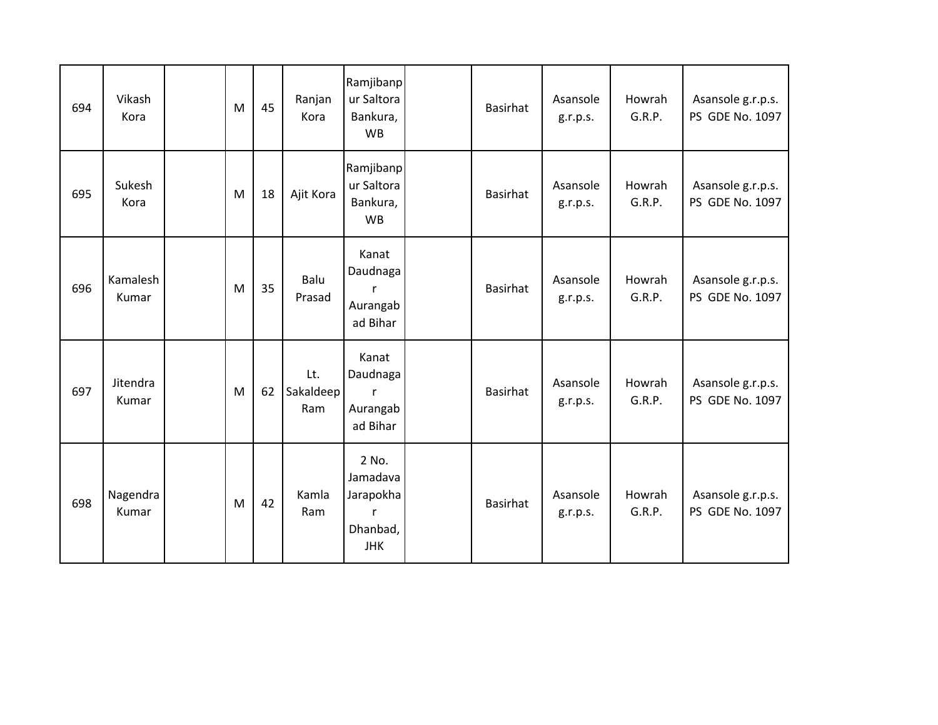| 694 | Vikash<br>Kora    | M | 45 | Ranjan<br>Kora          | Ramjibanp<br>ur Saltora<br>Bankura,<br><b>WB</b>         | <b>Basirhat</b> | Asansole<br>g.r.p.s. | Howrah<br>G.R.P. | Asansole g.r.p.s.<br>PS GDE No. 1097 |
|-----|-------------------|---|----|-------------------------|----------------------------------------------------------|-----------------|----------------------|------------------|--------------------------------------|
| 695 | Sukesh<br>Kora    | M | 18 | Ajit Kora               | Ramjibanp<br>ur Saltora<br>Bankura,<br><b>WB</b>         | <b>Basirhat</b> | Asansole<br>g.r.p.s. | Howrah<br>G.R.P. | Asansole g.r.p.s.<br>PS GDE No. 1097 |
| 696 | Kamalesh<br>Kumar | M | 35 | Balu<br>Prasad          | Kanat<br>Daudnaga<br>r<br>Aurangab<br>ad Bihar           | <b>Basirhat</b> | Asansole<br>g.r.p.s. | Howrah<br>G.R.P. | Asansole g.r.p.s.<br>PS GDE No. 1097 |
| 697 | Jitendra<br>Kumar | M | 62 | Lt.<br>Sakaldeep<br>Ram | Kanat<br>Daudnaga<br>Aurangab<br>ad Bihar                | <b>Basirhat</b> | Asansole<br>g.r.p.s. | Howrah<br>G.R.P. | Asansole g.r.p.s.<br>PS GDE No. 1097 |
| 698 | Nagendra<br>Kumar | M | 42 | Kamla<br>Ram            | 2 No.<br>Jamadava<br>Jarapokha<br>Dhanbad,<br><b>JHK</b> | <b>Basirhat</b> | Asansole<br>g.r.p.s. | Howrah<br>G.R.P. | Asansole g.r.p.s.<br>PS GDE No. 1097 |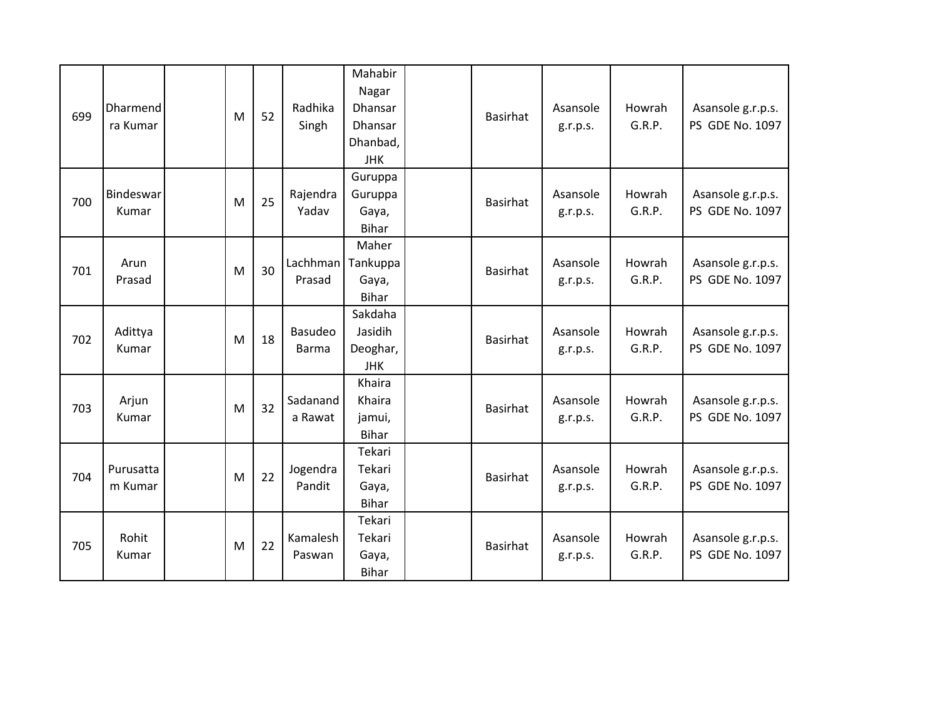| 699 | <b>Dharmend</b><br>ra Kumar | M | 52 | Radhika<br>Singh        | Mahabir<br>Nagar<br><b>Dhansar</b><br><b>Dhansar</b><br>Dhanbad,<br><b>JHK</b> | Basirhat        | Asansole<br>g.r.p.s. | Howrah<br>G.R.P. | Asansole g.r.p.s.<br>PS GDE No. 1097 |
|-----|-----------------------------|---|----|-------------------------|--------------------------------------------------------------------------------|-----------------|----------------------|------------------|--------------------------------------|
| 700 | Bindeswar<br>Kumar          | M | 25 | Rajendra<br>Yadav       | Guruppa<br>Guruppa<br>Gaya,<br><b>Bihar</b>                                    | <b>Basirhat</b> | Asansole<br>g.r.p.s. | Howrah<br>G.R.P. | Asansole g.r.p.s.<br>PS GDE No. 1097 |
| 701 | Arun<br>Prasad              | M | 30 | Lachhman<br>Prasad      | Maher<br>Tankuppa<br>Gaya,<br><b>Bihar</b>                                     | <b>Basirhat</b> | Asansole<br>g.r.p.s. | Howrah<br>G.R.P. | Asansole g.r.p.s.<br>PS GDE No. 1097 |
| 702 | Adittya<br>Kumar            | M | 18 | Basudeo<br><b>Barma</b> | Sakdaha<br>Jasidih<br>Deoghar,<br><b>JHK</b>                                   | <b>Basirhat</b> | Asansole<br>g.r.p.s. | Howrah<br>G.R.P. | Asansole g.r.p.s.<br>PS GDE No. 1097 |
| 703 | Arjun<br>Kumar              | M | 32 | Sadanand<br>a Rawat     | Khaira<br>Khaira<br>jamui,<br><b>Bihar</b>                                     | <b>Basirhat</b> | Asansole<br>g.r.p.s. | Howrah<br>G.R.P. | Asansole g.r.p.s.<br>PS GDE No. 1097 |
| 704 | Purusatta<br>m Kumar        | M | 22 | Jogendra<br>Pandit      | Tekari<br>Tekari<br>Gaya,<br><b>Bihar</b>                                      | <b>Basirhat</b> | Asansole<br>g.r.p.s. | Howrah<br>G.R.P. | Asansole g.r.p.s.<br>PS GDE No. 1097 |
| 705 | Rohit<br>Kumar              | M | 22 | Kamalesh<br>Paswan      | Tekari<br>Tekari<br>Gaya,<br><b>Bihar</b>                                      | <b>Basirhat</b> | Asansole<br>g.r.p.s. | Howrah<br>G.R.P. | Asansole g.r.p.s.<br>PS GDE No. 1097 |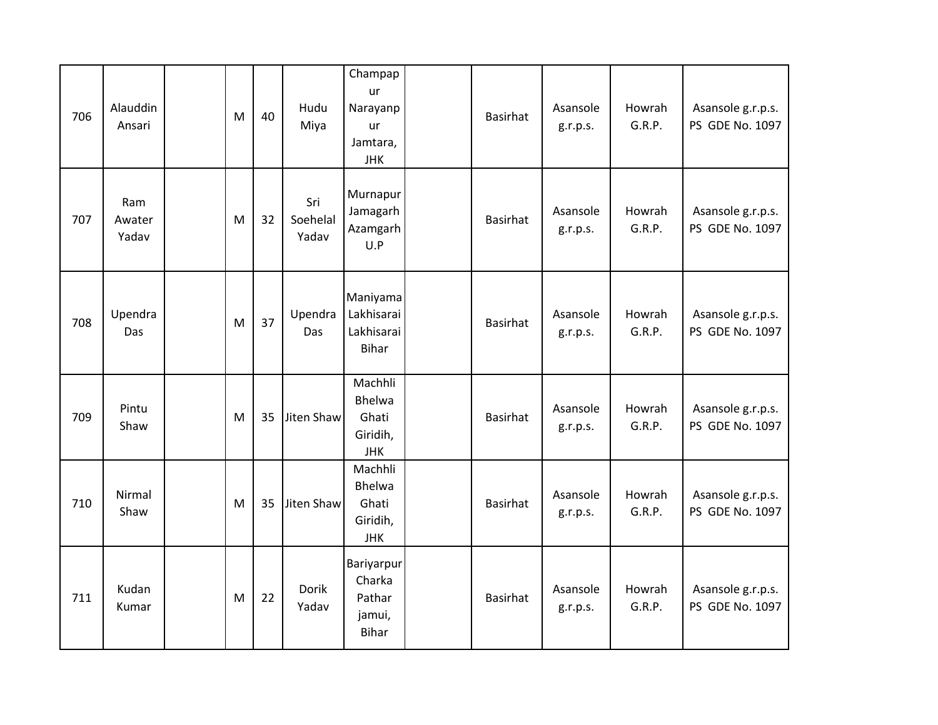| 706 | Alauddin<br>Ansari     | M | 40 | Hudu<br>Miya             | Champap<br>ur<br>Narayanp<br>ur<br>Jamtara,<br><b>JHK</b> | Basirhat        | Asansole<br>g.r.p.s. | Howrah<br>G.R.P. | Asansole g.r.p.s.<br>PS GDE No. 1097 |
|-----|------------------------|---|----|--------------------------|-----------------------------------------------------------|-----------------|----------------------|------------------|--------------------------------------|
| 707 | Ram<br>Awater<br>Yadav | M | 32 | Sri<br>Soehelal<br>Yadav | Murnapur<br>Jamagarh<br>Azamgarh<br>U.P                   | <b>Basirhat</b> | Asansole<br>g.r.p.s. | Howrah<br>G.R.P. | Asansole g.r.p.s.<br>PS GDE No. 1097 |
| 708 | Upendra<br>Das         | M | 37 | Upendra<br>Das           | Maniyama<br>Lakhisarai<br>Lakhisarai<br><b>Bihar</b>      | <b>Basirhat</b> | Asansole<br>g.r.p.s. | Howrah<br>G.R.P. | Asansole g.r.p.s.<br>PS GDE No. 1097 |
| 709 | Pintu<br>Shaw          | M | 35 | Jiten Shaw               | Machhli<br>Bhelwa<br>Ghati<br>Giridih,<br><b>JHK</b>      | <b>Basirhat</b> | Asansole<br>g.r.p.s. | Howrah<br>G.R.P. | Asansole g.r.p.s.<br>PS GDE No. 1097 |
| 710 | Nirmal<br>Shaw         | M | 35 | Jiten Shaw               | Machhli<br>Bhelwa<br>Ghati<br>Giridih,<br><b>JHK</b>      | <b>Basirhat</b> | Asansole<br>g.r.p.s. | Howrah<br>G.R.P. | Asansole g.r.p.s.<br>PS GDE No. 1097 |
| 711 | Kudan<br>Kumar         | M | 22 | Dorik<br>Yadav           | Bariyarpur<br>Charka<br>Pathar<br>jamui,<br><b>Bihar</b>  | <b>Basirhat</b> | Asansole<br>g.r.p.s. | Howrah<br>G.R.P. | Asansole g.r.p.s.<br>PS GDE No. 1097 |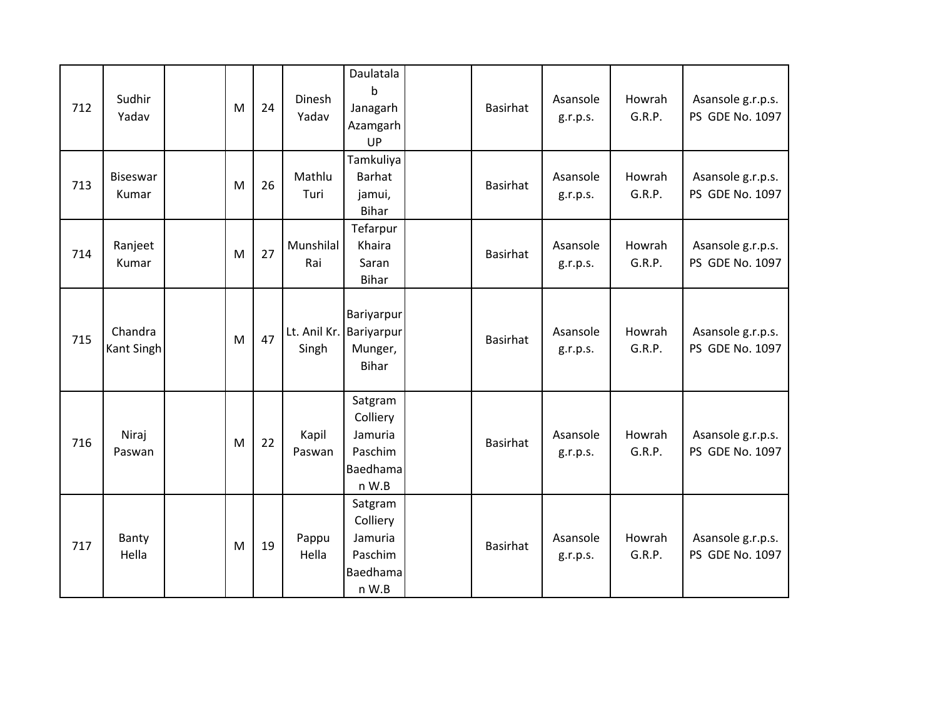| 712 | Sudhir<br>Yadav          | M | 24 | Dinesh<br>Yadav       | Daulatala<br>$\mathsf b$<br>Janagarh<br>Azamgarh<br>UP         | <b>Basirhat</b> | Asansole<br>g.r.p.s. | Howrah<br>G.R.P. | Asansole g.r.p.s.<br>PS GDE No. 1097 |
|-----|--------------------------|---|----|-----------------------|----------------------------------------------------------------|-----------------|----------------------|------------------|--------------------------------------|
| 713 | <b>Biseswar</b><br>Kumar | M | 26 | Mathlu<br>Turi        | Tamkuliya<br><b>Barhat</b><br>jamui,<br><b>Bihar</b>           | <b>Basirhat</b> | Asansole<br>g.r.p.s. | Howrah<br>G.R.P. | Asansole g.r.p.s.<br>PS GDE No. 1097 |
| 714 | Ranjeet<br>Kumar         | M | 27 | Munshilal<br>Rai      | Tefarpur<br>Khaira<br>Saran<br><b>Bihar</b>                    | <b>Basirhat</b> | Asansole<br>g.r.p.s. | Howrah<br>G.R.P. | Asansole g.r.p.s.<br>PS GDE No. 1097 |
| 715 | Chandra<br>Kant Singh    | M | 47 | Lt. Anil Kr.<br>Singh | Bariyarpur<br>Bariyarpur<br>Munger,<br><b>Bihar</b>            | <b>Basirhat</b> | Asansole<br>g.r.p.s. | Howrah<br>G.R.P. | Asansole g.r.p.s.<br>PS GDE No. 1097 |
| 716 | Niraj<br>Paswan          | M | 22 | Kapil<br>Paswan       | Satgram<br>Colliery<br>Jamuria<br>Paschim<br>Baedhama<br>n W.B | <b>Basirhat</b> | Asansole<br>g.r.p.s. | Howrah<br>G.R.P. | Asansole g.r.p.s.<br>PS GDE No. 1097 |
| 717 | Banty<br>Hella           | M | 19 | Pappu<br>Hella        | Satgram<br>Colliery<br>Jamuria<br>Paschim<br>Baedhama<br>n W.B | <b>Basirhat</b> | Asansole<br>g.r.p.s. | Howrah<br>G.R.P. | Asansole g.r.p.s.<br>PS GDE No. 1097 |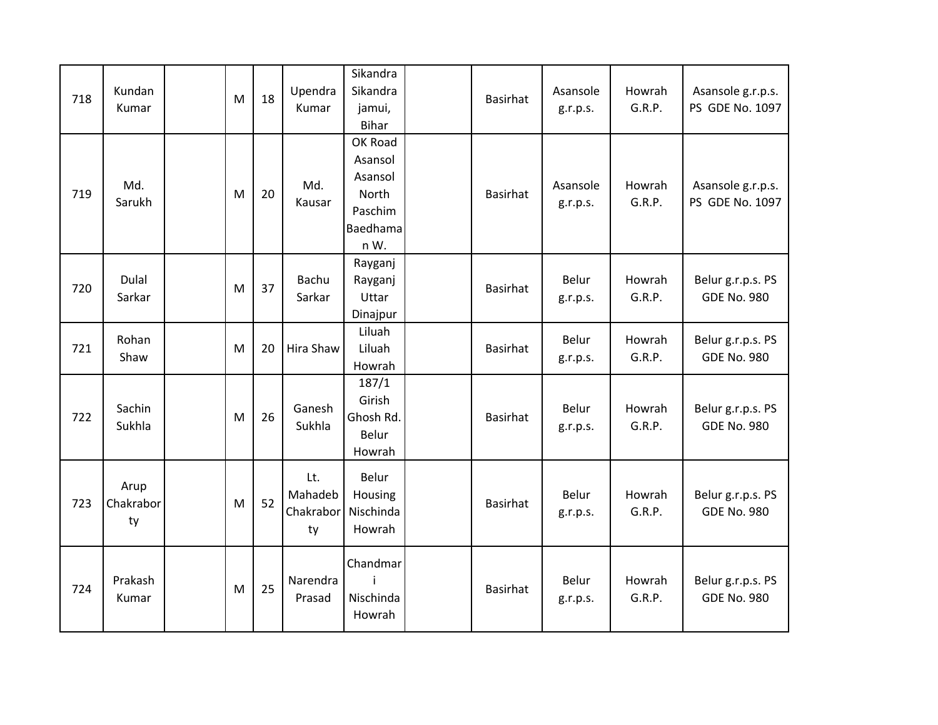| 718 | Kundan<br>Kumar         | M | 18 | Upendra<br>Kumar                  | Sikandra<br>Sikandra<br>jamui,<br><b>Bihar</b>                        | <b>Basirhat</b> | Asansole<br>g.r.p.s. | Howrah<br>G.R.P. | Asansole g.r.p.s.<br>PS GDE No. 1097    |
|-----|-------------------------|---|----|-----------------------------------|-----------------------------------------------------------------------|-----------------|----------------------|------------------|-----------------------------------------|
| 719 | Md.<br>Sarukh           | M | 20 | Md.<br>Kausar                     | OK Road<br>Asansol<br>Asansol<br>North<br>Paschim<br>Baedhama<br>n W. | <b>Basirhat</b> | Asansole<br>g.r.p.s. | Howrah<br>G.R.P. | Asansole g.r.p.s.<br>PS GDE No. 1097    |
| 720 | Dulal<br>Sarkar         | M | 37 | Bachu<br>Sarkar                   | Rayganj<br>Rayganj<br>Uttar<br>Dinajpur                               | <b>Basirhat</b> | Belur<br>g.r.p.s.    | Howrah<br>G.R.P. | Belur g.r.p.s. PS<br><b>GDE No. 980</b> |
| 721 | Rohan<br>Shaw           | M | 20 | Hira Shaw                         | Liluah<br>Liluah<br>Howrah                                            | <b>Basirhat</b> | Belur<br>g.r.p.s.    | Howrah<br>G.R.P. | Belur g.r.p.s. PS<br><b>GDE No. 980</b> |
| 722 | Sachin<br>Sukhla        | M | 26 | Ganesh<br>Sukhla                  | 187/1<br>Girish<br>Ghosh Rd.<br>Belur<br>Howrah                       | <b>Basirhat</b> | Belur<br>g.r.p.s.    | Howrah<br>G.R.P. | Belur g.r.p.s. PS<br><b>GDE No. 980</b> |
| 723 | Arup<br>Chakrabor<br>ty | M | 52 | Lt.<br>Mahadeb<br>Chakrabor<br>ty | Belur<br>Housing<br>Nischinda<br>Howrah                               | <b>Basirhat</b> | Belur<br>g.r.p.s.    | Howrah<br>G.R.P. | Belur g.r.p.s. PS<br><b>GDE No. 980</b> |
| 724 | Prakash<br>Kumar        | M | 25 | Narendra<br>Prasad                | Chandmar<br>i<br>Nischinda<br>Howrah                                  | <b>Basirhat</b> | Belur<br>g.r.p.s.    | Howrah<br>G.R.P. | Belur g.r.p.s. PS<br><b>GDE No. 980</b> |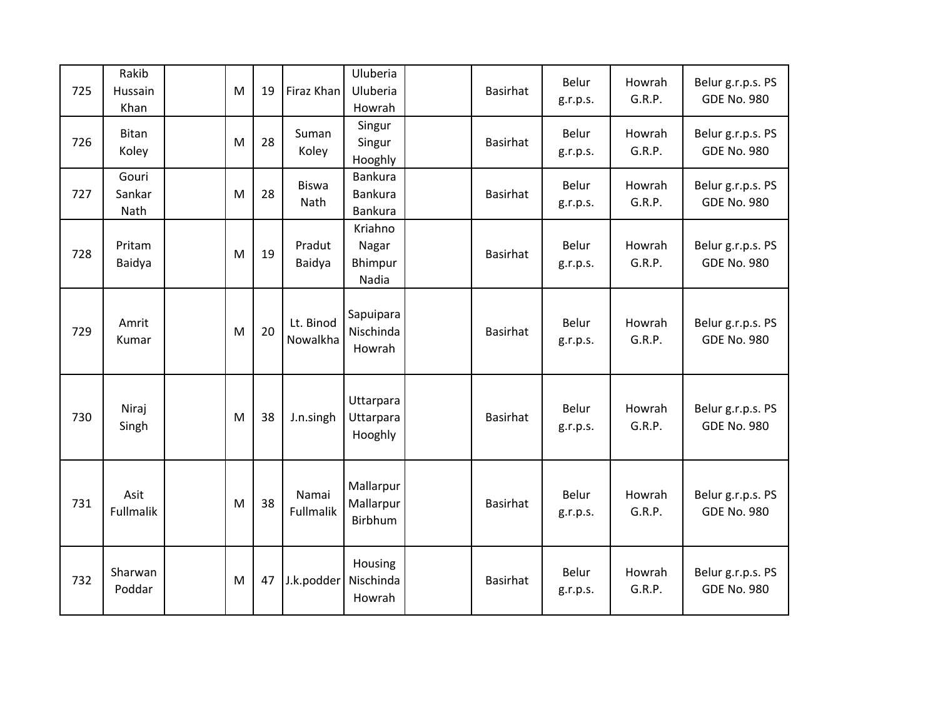| 725 | Rakib<br>Hussain<br>Khan | M | 19 | Firaz Khan                  | Uluberia<br>Uluberia<br>Howrah              | <b>Basirhat</b> | Belur<br>g.r.p.s. | Howrah<br>G.R.P. | Belur g.r.p.s. PS<br><b>GDE No. 980</b> |
|-----|--------------------------|---|----|-----------------------------|---------------------------------------------|-----------------|-------------------|------------------|-----------------------------------------|
| 726 | <b>Bitan</b><br>Koley    | M | 28 | Suman<br>Koley              | Singur<br>Singur<br>Hooghly                 | <b>Basirhat</b> | Belur<br>g.r.p.s. | Howrah<br>G.R.P. | Belur g.r.p.s. PS<br><b>GDE No. 980</b> |
| 727 | Gouri<br>Sankar<br>Nath  | M | 28 | <b>Biswa</b><br><b>Nath</b> | <b>Bankura</b><br><b>Bankura</b><br>Bankura | <b>Basirhat</b> | Belur<br>g.r.p.s. | Howrah<br>G.R.P. | Belur g.r.p.s. PS<br><b>GDE No. 980</b> |
| 728 | Pritam<br>Baidya         | M | 19 | Pradut<br>Baidya            | Kriahno<br>Nagar<br>Bhimpur<br>Nadia        | <b>Basirhat</b> | Belur<br>g.r.p.s. | Howrah<br>G.R.P. | Belur g.r.p.s. PS<br><b>GDE No. 980</b> |
| 729 | Amrit<br>Kumar           | M | 20 | Lt. Binod<br>Nowalkha       | Sapuipara<br>Nischinda<br>Howrah            | <b>Basirhat</b> | Belur<br>g.r.p.s. | Howrah<br>G.R.P. | Belur g.r.p.s. PS<br><b>GDE No. 980</b> |
| 730 | Niraj<br>Singh           | M | 38 | J.n.singh                   | Uttarpara<br>Uttarpara<br>Hooghly           | <b>Basirhat</b> | Belur<br>g.r.p.s. | Howrah<br>G.R.P. | Belur g.r.p.s. PS<br><b>GDE No. 980</b> |
| 731 | Asit<br>Fullmalik        | M | 38 | Namai<br>Fullmalik          | Mallarpur<br>Mallarpur<br>Birbhum           | <b>Basirhat</b> | Belur<br>g.r.p.s. | Howrah<br>G.R.P. | Belur g.r.p.s. PS<br><b>GDE No. 980</b> |
| 732 | Sharwan<br>Poddar        | M | 47 | J.k.podder                  | Housing<br>Nischinda<br>Howrah              | <b>Basirhat</b> | Belur<br>g.r.p.s. | Howrah<br>G.R.P. | Belur g.r.p.s. PS<br><b>GDE No. 980</b> |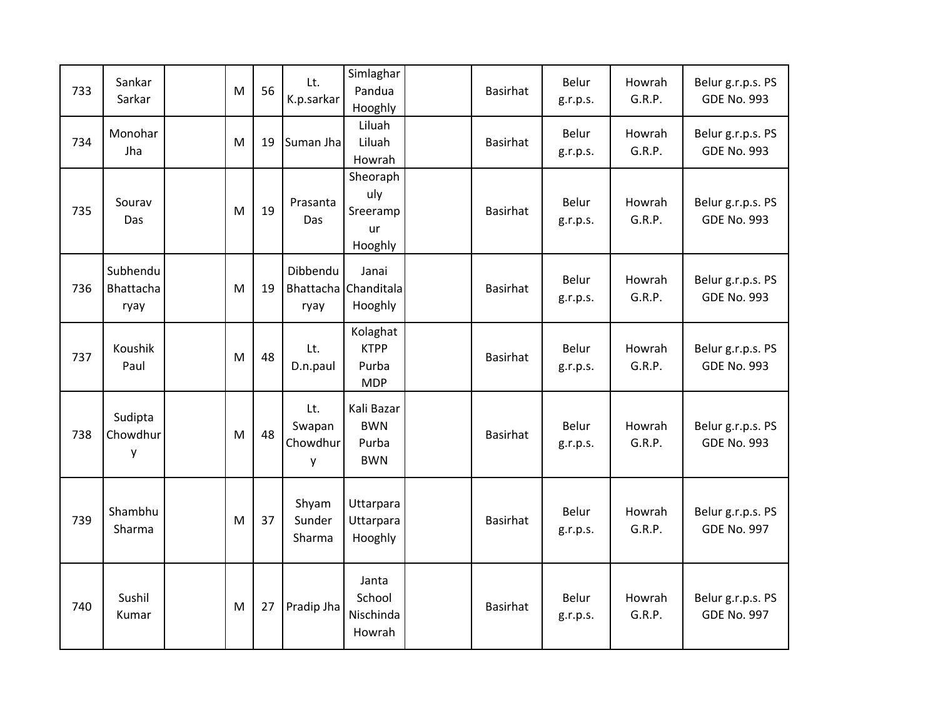| 733 | Sankar<br>Sarkar              | M | 56 | Lt.<br>K.p.sarkar              | Simlaghar<br>Pandua<br>Hooghly                  | <b>Basirhat</b> | Belur<br>g.r.p.s. | Howrah<br>G.R.P. | Belur g.r.p.s. PS<br><b>GDE No. 993</b> |
|-----|-------------------------------|---|----|--------------------------------|-------------------------------------------------|-----------------|-------------------|------------------|-----------------------------------------|
| 734 | Monohar<br>Jha                | M | 19 | Suman Jha                      | Liluah<br>Liluah<br>Howrah                      | <b>Basirhat</b> | Belur<br>g.r.p.s. | Howrah<br>G.R.P. | Belur g.r.p.s. PS<br><b>GDE No. 993</b> |
| 735 | Sourav<br>Das                 | M | 19 | Prasanta<br>Das                | Sheoraph<br>uly<br>Sreeramp<br>ur<br>Hooghly    | <b>Basirhat</b> | Belur<br>g.r.p.s. | Howrah<br>G.R.P. | Belur g.r.p.s. PS<br><b>GDE No. 993</b> |
| 736 | Subhendu<br>Bhattacha<br>ryay | M | 19 | Dibbendu<br>ryay               | Janai<br>Bhattacha Chanditala<br>Hooghly        | <b>Basirhat</b> | Belur<br>g.r.p.s. | Howrah<br>G.R.P. | Belur g.r.p.s. PS<br><b>GDE No. 993</b> |
| 737 | Koushik<br>Paul               | M | 48 | Lt.<br>D.n.paul                | Kolaghat<br><b>KTPP</b><br>Purba<br><b>MDP</b>  | <b>Basirhat</b> | Belur<br>g.r.p.s. | Howrah<br>G.R.P. | Belur g.r.p.s. PS<br><b>GDE No. 993</b> |
| 738 | Sudipta<br>Chowdhur<br>y      | M | 48 | Lt.<br>Swapan<br>Chowdhur<br>у | Kali Bazar<br><b>BWN</b><br>Purba<br><b>BWN</b> | <b>Basirhat</b> | Belur<br>g.r.p.s. | Howrah<br>G.R.P. | Belur g.r.p.s. PS<br><b>GDE No. 993</b> |
| 739 | Shambhu<br>Sharma             | M | 37 | Shyam<br>Sunder<br>Sharma      | Uttarpara<br>Uttarpara<br>Hooghly               | <b>Basirhat</b> | Belur<br>g.r.p.s. | Howrah<br>G.R.P. | Belur g.r.p.s. PS<br><b>GDE No. 997</b> |
| 740 | Sushil<br>Kumar               | M | 27 | Pradip Jha                     | Janta<br>School<br>Nischinda<br>Howrah          | <b>Basirhat</b> | Belur<br>g.r.p.s. | Howrah<br>G.R.P. | Belur g.r.p.s. PS<br><b>GDE No. 997</b> |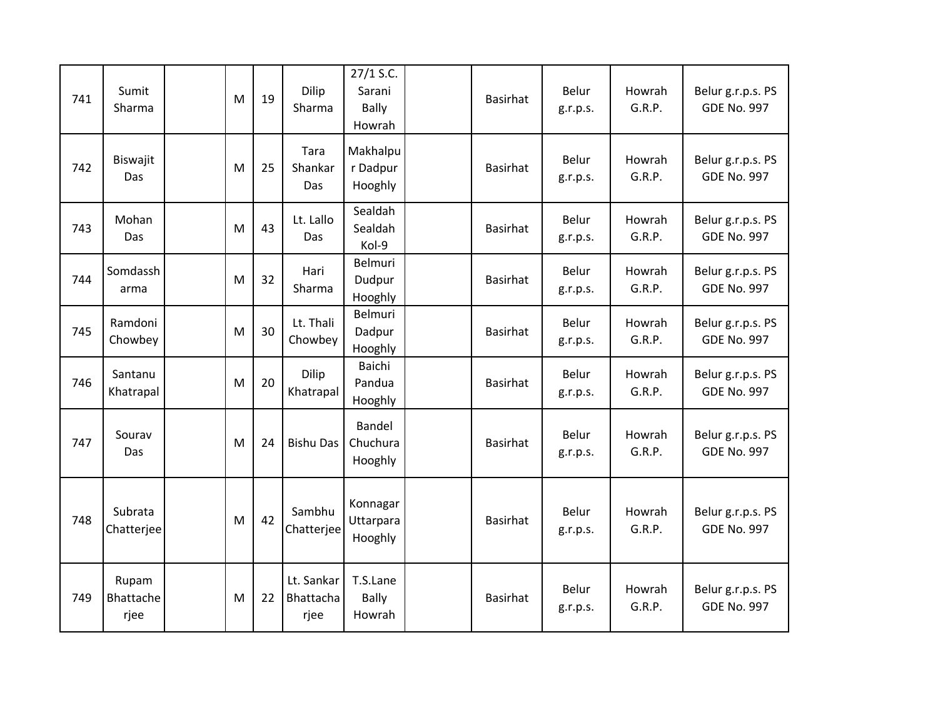| 741 | Sumit<br>Sharma            | M | 19 | Dilip<br>Sharma                 | $27/1$ S.C.<br>Sarani<br><b>Bally</b><br>Howrah | <b>Basirhat</b> | Belur<br>g.r.p.s.        | Howrah<br>G.R.P. | Belur g.r.p.s. PS<br><b>GDE No. 997</b> |
|-----|----------------------------|---|----|---------------------------------|-------------------------------------------------|-----------------|--------------------------|------------------|-----------------------------------------|
| 742 | Biswajit<br>Das            | M | 25 | Tara<br>Shankar<br>Das          | Makhalpu<br>r Dadpur<br>Hooghly                 | Basirhat        | Belur<br>g.r.p.s.        | Howrah<br>G.R.P. | Belur g.r.p.s. PS<br><b>GDE No. 997</b> |
| 743 | Mohan<br>Das               | M | 43 | Lt. Lallo<br>Das                | Sealdah<br>Sealdah<br>Kol-9                     | <b>Basirhat</b> | <b>Belur</b><br>g.r.p.s. | Howrah<br>G.R.P. | Belur g.r.p.s. PS<br><b>GDE No. 997</b> |
| 744 | Somdassh<br>arma           | M | 32 | Hari<br>Sharma                  | Belmuri<br>Dudpur<br>Hooghly                    | <b>Basirhat</b> | Belur<br>g.r.p.s.        | Howrah<br>G.R.P. | Belur g.r.p.s. PS<br><b>GDE No. 997</b> |
| 745 | Ramdoni<br>Chowbey         | M | 30 | Lt. Thali<br>Chowbey            | Belmuri<br>Dadpur<br>Hooghly                    | <b>Basirhat</b> | Belur<br>g.r.p.s.        | Howrah<br>G.R.P. | Belur g.r.p.s. PS<br><b>GDE No. 997</b> |
| 746 | Santanu<br>Khatrapal       | M | 20 | <b>Dilip</b><br>Khatrapal       | Baichi<br>Pandua<br>Hooghly                     | Basirhat        | <b>Belur</b><br>g.r.p.s. | Howrah<br>G.R.P. | Belur g.r.p.s. PS<br><b>GDE No. 997</b> |
| 747 | Sourav<br>Das              | M | 24 | <b>Bishu Das</b>                | Bandel<br>Chuchura<br>Hooghly                   | Basirhat        | Belur<br>g.r.p.s.        | Howrah<br>G.R.P. | Belur g.r.p.s. PS<br><b>GDE No. 997</b> |
| 748 | Subrata<br>Chatterjee      | M | 42 | Sambhu<br>Chatterjee            | Konnagar<br>Uttarpara<br>Hooghly                | <b>Basirhat</b> | Belur<br>g.r.p.s.        | Howrah<br>G.R.P. | Belur g.r.p.s. PS<br><b>GDE No. 997</b> |
| 749 | Rupam<br>Bhattache<br>rjee | M | 22 | Lt. Sankar<br>Bhattacha<br>rjee | T.S.Lane<br><b>Bally</b><br>Howrah              | Basirhat        | <b>Belur</b><br>g.r.p.s. | Howrah<br>G.R.P. | Belur g.r.p.s. PS<br><b>GDE No. 997</b> |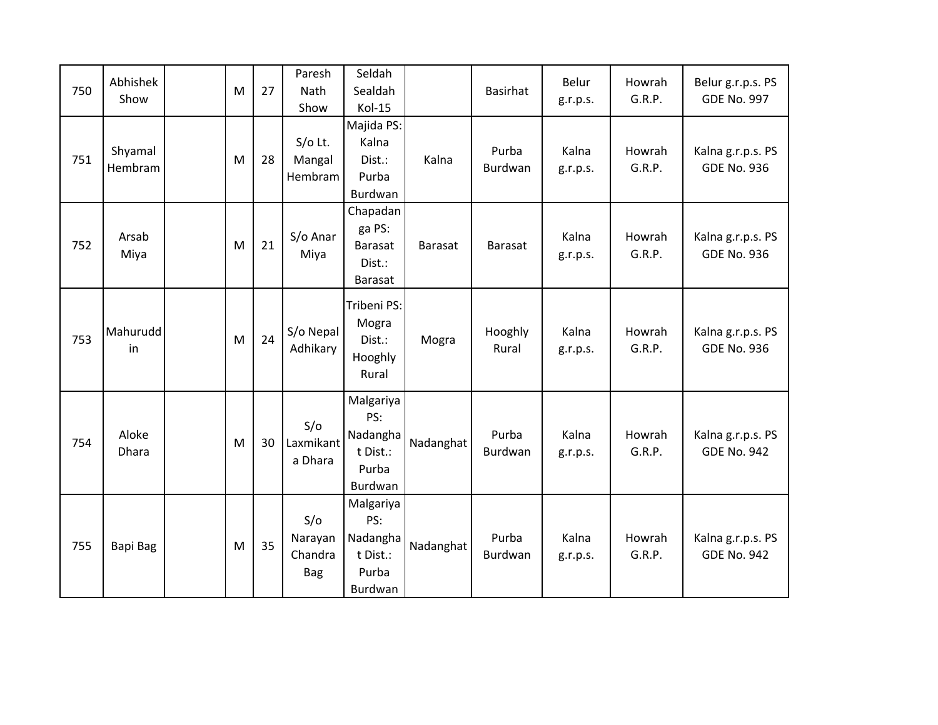| 750 | Abhishek<br>Show   | M | 27 | Paresh<br>Nath<br>Show                  | Seldah<br>Sealdah<br>Kol-15                                  |                | Basirhat                | Belur<br>g.r.p.s. | Howrah<br>G.R.P. | Belur g.r.p.s. PS<br><b>GDE No. 997</b> |
|-----|--------------------|---|----|-----------------------------------------|--------------------------------------------------------------|----------------|-------------------------|-------------------|------------------|-----------------------------------------|
| 751 | Shyamal<br>Hembram | M | 28 | $S/O$ Lt.<br>Mangal<br>Hembram          | Majida PS:<br>Kalna<br>Dist.:<br>Purba<br>Burdwan            | Kalna          | Purba<br><b>Burdwan</b> | Kalna<br>g.r.p.s. | Howrah<br>G.R.P. | Kalna g.r.p.s. PS<br><b>GDE No. 936</b> |
| 752 | Arsab<br>Miya      | M | 21 | S/o Anar<br>Miya                        | Chapadan<br>ga PS:<br><b>Barasat</b><br>Dist.:<br>Barasat    | <b>Barasat</b> | <b>Barasat</b>          | Kalna<br>g.r.p.s. | Howrah<br>G.R.P. | Kalna g.r.p.s. PS<br><b>GDE No. 936</b> |
| 753 | Mahurudd<br>in     | M | 24 | S/o Nepal<br>Adhikary                   | Tribeni PS:<br>Mogra<br>Dist.:<br>Hooghly<br>Rural           | Mogra          | Hooghly<br>Rural        | Kalna<br>g.r.p.s. | Howrah<br>G.R.P. | Kalna g.r.p.s. PS<br><b>GDE No. 936</b> |
| 754 | Aloke<br>Dhara     | M | 30 | S/O<br>Laxmikant<br>a Dhara             | Malgariya<br>PS:<br>Nadangha<br>t Dist.:<br>Purba<br>Burdwan | Nadanghat      | Purba<br>Burdwan        | Kalna<br>g.r.p.s. | Howrah<br>G.R.P. | Kalna g.r.p.s. PS<br><b>GDE No. 942</b> |
| 755 | Bapi Bag           | M | 35 | S/O<br>Narayan<br>Chandra<br><b>Bag</b> | Malgariya<br>PS:<br>Nadangha<br>t Dist.:<br>Purba<br>Burdwan | Nadanghat      | Purba<br>Burdwan        | Kalna<br>g.r.p.s. | Howrah<br>G.R.P. | Kalna g.r.p.s. PS<br><b>GDE No. 942</b> |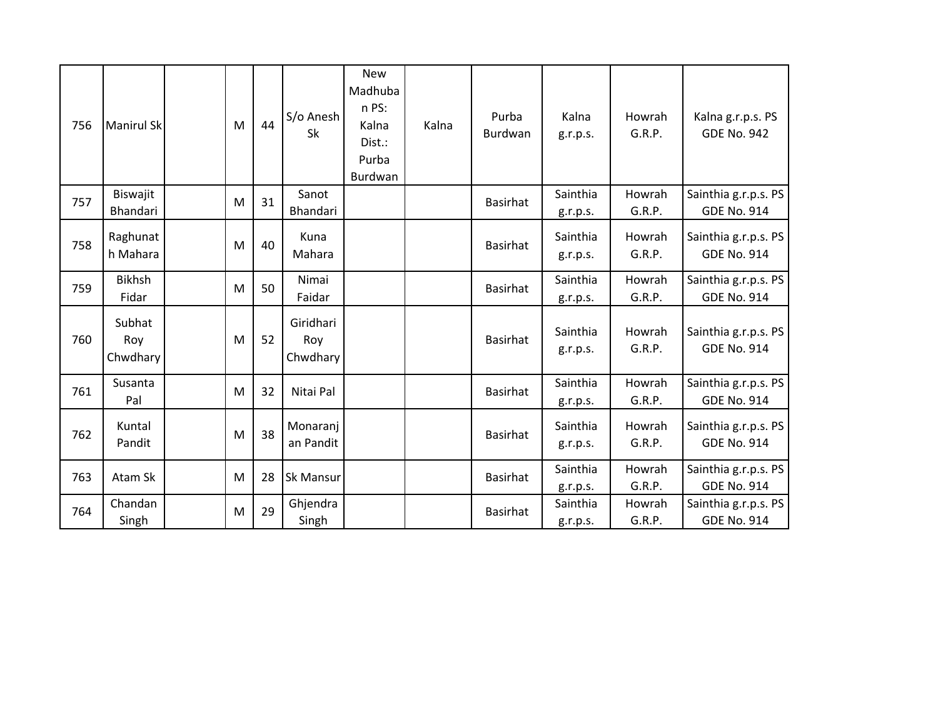| 756 | <b>Manirul Sk</b>         | M | 44 | S/o Anesh<br>Sk              | <b>New</b><br>Madhuba<br>n PS:<br>Kalna<br>Dist.:<br>Purba<br>Burdwan | Kalna | Purba<br><b>Burdwan</b> | Kalna<br>g.r.p.s.    | Howrah<br>G.R.P. | Kalna g.r.p.s. PS<br><b>GDE No. 942</b>    |
|-----|---------------------------|---|----|------------------------------|-----------------------------------------------------------------------|-------|-------------------------|----------------------|------------------|--------------------------------------------|
| 757 | Biswajit<br>Bhandari      | M | 31 | Sanot<br>Bhandari            |                                                                       |       | <b>Basirhat</b>         | Sainthia<br>g.r.p.s. | Howrah<br>G.R.P. | Sainthia g.r.p.s. PS<br><b>GDE No. 914</b> |
| 758 | Raghunat<br>h Mahara      | M | 40 | Kuna<br>Mahara               |                                                                       |       | <b>Basirhat</b>         | Sainthia<br>g.r.p.s. | Howrah<br>G.R.P. | Sainthia g.r.p.s. PS<br><b>GDE No. 914</b> |
| 759 | <b>Bikhsh</b><br>Fidar    | M | 50 | Nimai<br>Faidar              |                                                                       |       | <b>Basirhat</b>         | Sainthia<br>g.r.p.s. | Howrah<br>G.R.P. | Sainthia g.r.p.s. PS<br><b>GDE No. 914</b> |
| 760 | Subhat<br>Roy<br>Chwdhary | M | 52 | Giridhari<br>Roy<br>Chwdhary |                                                                       |       | <b>Basirhat</b>         | Sainthia<br>g.r.p.s. | Howrah<br>G.R.P. | Sainthia g.r.p.s. PS<br><b>GDE No. 914</b> |
| 761 | Susanta<br>Pal            | M | 32 | Nitai Pal                    |                                                                       |       | Basirhat                | Sainthia<br>g.r.p.s. | Howrah<br>G.R.P. | Sainthia g.r.p.s. PS<br><b>GDE No. 914</b> |
| 762 | Kuntal<br>Pandit          | M | 38 | Monaranj<br>an Pandit        |                                                                       |       | <b>Basirhat</b>         | Sainthia<br>g.r.p.s. | Howrah<br>G.R.P. | Sainthia g.r.p.s. PS<br><b>GDE No. 914</b> |
| 763 | Atam Sk                   | M | 28 | <b>Sk Mansur</b>             |                                                                       |       | <b>Basirhat</b>         | Sainthia<br>g.r.p.s. | Howrah<br>G.R.P. | Sainthia g.r.p.s. PS<br><b>GDE No. 914</b> |
| 764 | Chandan<br>Singh          | M | 29 | Ghjendra<br>Singh            |                                                                       |       | <b>Basirhat</b>         | Sainthia<br>g.r.p.s. | Howrah<br>G.R.P. | Sainthia g.r.p.s. PS<br><b>GDE No. 914</b> |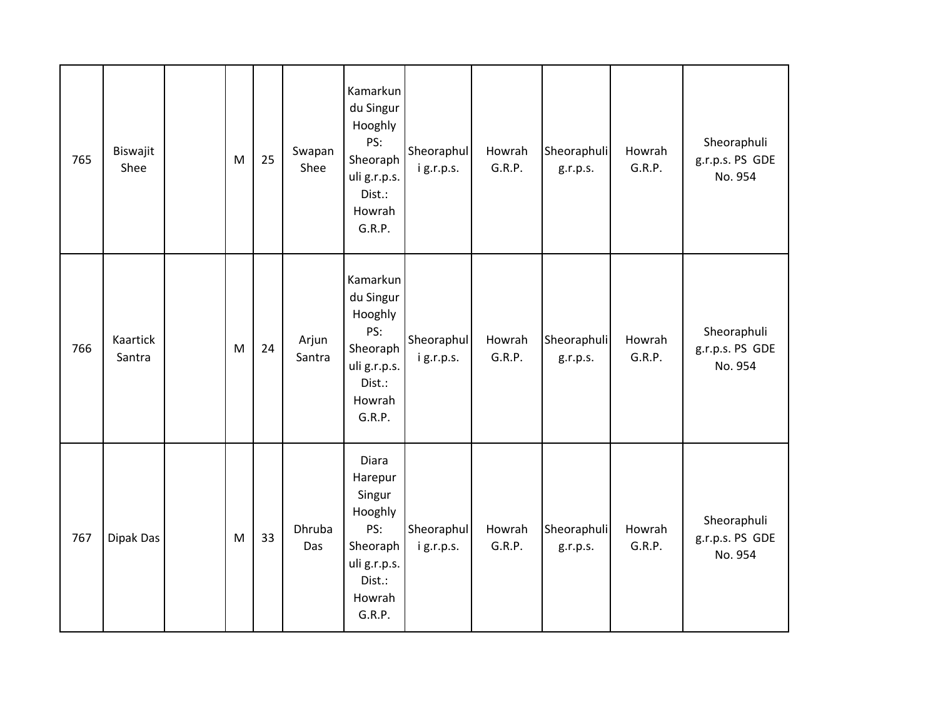| 765 | Biswajit<br>Shee   | M | 25 | Swapan<br>Shee  | Kamarkun<br>du Singur<br>Hooghly<br>PS:<br>Sheoraph<br>uli g.r.p.s.<br>Dist.:<br>Howrah<br>G.R.P.      | Sheoraphul<br>ig.r.p.s.  | Howrah<br>G.R.P. | Sheoraphuli<br>g.r.p.s. | Howrah<br>G.R.P. | Sheoraphuli<br>g.r.p.s. PS GDE<br>No. 954 |
|-----|--------------------|---|----|-----------------|--------------------------------------------------------------------------------------------------------|--------------------------|------------------|-------------------------|------------------|-------------------------------------------|
| 766 | Kaartick<br>Santra | M | 24 | Arjun<br>Santra | Kamarkun<br>du Singur<br>Hooghly<br>PS:<br>Sheoraph<br>uli g.r.p.s.<br>Dist.:<br>Howrah<br>G.R.P.      | Sheoraphul<br>ig.r.p.s.  | Howrah<br>G.R.P. | Sheoraphuli<br>g.r.p.s. | Howrah<br>G.R.P. | Sheoraphuli<br>g.r.p.s. PS GDE<br>No. 954 |
| 767 | Dipak Das          | M | 33 | Dhruba<br>Das   | Diara<br>Harepur<br>Singur<br>Hooghly<br>PS:<br>Sheoraph<br>uli g.r.p.s.<br>Dist.:<br>Howrah<br>G.R.P. | Sheoraphul<br>i g.r.p.s. | Howrah<br>G.R.P. | Sheoraphuli<br>g.r.p.s. | Howrah<br>G.R.P. | Sheoraphuli<br>g.r.p.s. PS GDE<br>No. 954 |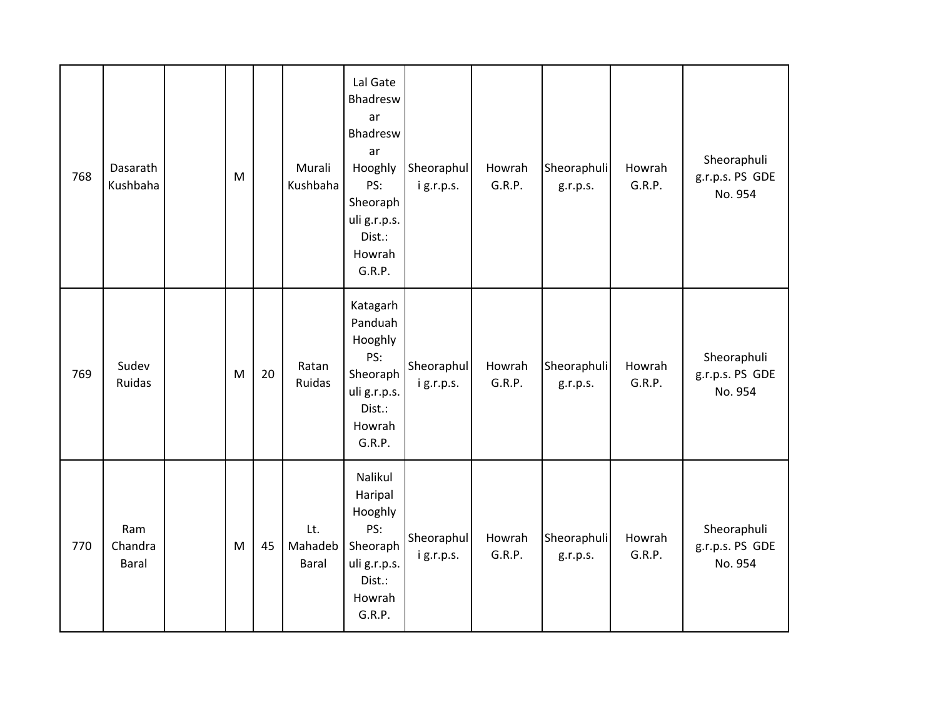| 768 | Dasarath<br>Kushbaha    | M                                                                                     |    | Murali<br>Kushbaha      | Lal Gate<br>Bhadresw<br>ar<br>Bhadresw<br>ar<br>Hooghly<br>PS:<br>Sheoraph<br>uli g.r.p.s.<br>Dist.:<br>Howrah<br>G.R.P. | Sheoraphul<br>ig.r.p.s. | Howrah<br>G.R.P. | Sheoraphuli<br>g.r.p.s. | Howrah<br>G.R.P. | Sheoraphuli<br>g.r.p.s. PS GDE<br>No. 954 |
|-----|-------------------------|---------------------------------------------------------------------------------------|----|-------------------------|--------------------------------------------------------------------------------------------------------------------------|-------------------------|------------------|-------------------------|------------------|-------------------------------------------|
| 769 | Sudev<br>Ruidas         | $\mathsf{M}% _{T}=\mathsf{M}_{T}\!\left( a,b\right) ,\ \mathsf{M}_{T}=\mathsf{M}_{T}$ | 20 | Ratan<br>Ruidas         | Katagarh<br>Panduah<br>Hooghly<br>PS:<br>Sheoraph<br>uli g.r.p.s.<br>Dist.:<br>Howrah<br>G.R.P.                          | Sheoraphul<br>ig.r.p.s. | Howrah<br>G.R.P. | Sheoraphuli<br>g.r.p.s. | Howrah<br>G.R.P. | Sheoraphuli<br>g.r.p.s. PS GDE<br>No. 954 |
| 770 | Ram<br>Chandra<br>Baral | M                                                                                     | 45 | Lt.<br>Mahadeb<br>Baral | Nalikul<br>Haripal<br>Hooghly<br>PS:<br>Sheoraph<br>uli g.r.p.s.<br>Dist.:<br>Howrah<br>G.R.P.                           | Sheoraphul<br>ig.r.p.s. | Howrah<br>G.R.P. | Sheoraphuli<br>g.r.p.s. | Howrah<br>G.R.P. | Sheoraphuli<br>g.r.p.s. PS GDE<br>No. 954 |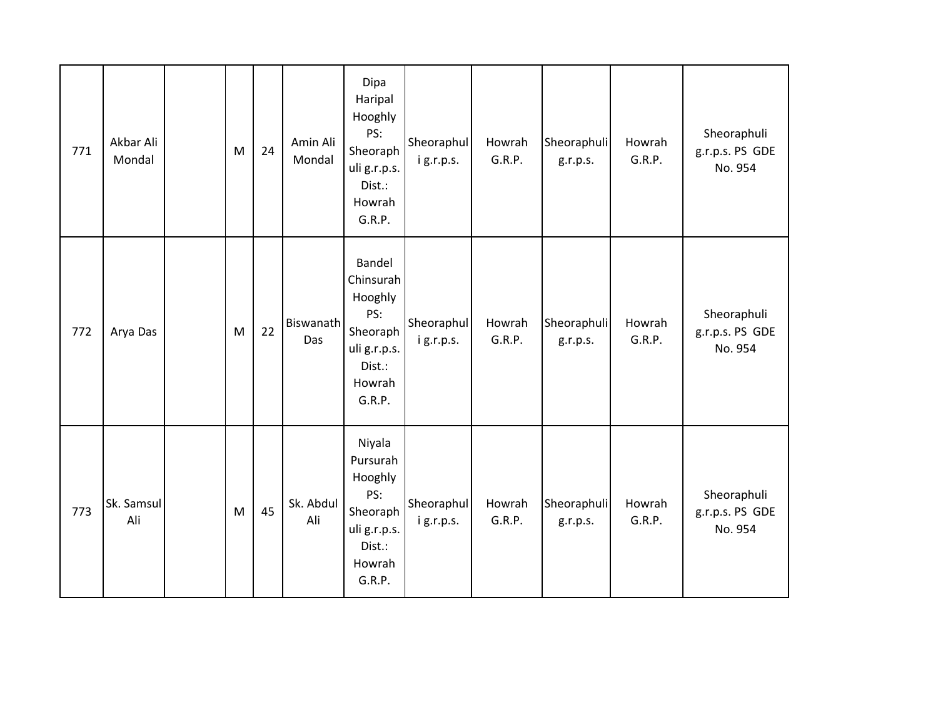| 771 | Akbar Ali<br>Mondal | M | 24 | Amin Ali<br>Mondal | Dipa<br>Haripal<br>Hooghly<br>PS:<br>Sheoraph<br>uli g.r.p.s.<br>Dist.:<br>Howrah<br>G.R.P.     | Sheoraphul<br>ig.r.p.s. | Howrah<br>G.R.P. | Sheoraphuli<br>g.r.p.s. | Howrah<br>G.R.P. | Sheoraphuli<br>g.r.p.s. PS GDE<br>No. 954 |
|-----|---------------------|---|----|--------------------|-------------------------------------------------------------------------------------------------|-------------------------|------------------|-------------------------|------------------|-------------------------------------------|
| 772 | Arya Das            | M | 22 | Biswanath<br>Das   | Bandel<br>Chinsurah<br>Hooghly<br>PS:<br>Sheoraph<br>uli g.r.p.s.<br>Dist.:<br>Howrah<br>G.R.P. | Sheoraphul<br>ig.r.p.s. | Howrah<br>G.R.P. | Sheoraphuli<br>g.r.p.s. | Howrah<br>G.R.P. | Sheoraphuli<br>g.r.p.s. PS GDE<br>No. 954 |
| 773 | Sk. Samsul<br>Ali   | M | 45 | Sk. Abdul<br>Ali   | Niyala<br>Pursurah<br>Hooghly<br>PS:<br>Sheoraph<br>uli g.r.p.s.<br>Dist.:<br>Howrah<br>G.R.P.  | Sheoraphul<br>ig.r.p.s. | Howrah<br>G.R.P. | Sheoraphuli<br>g.r.p.s. | Howrah<br>G.R.P. | Sheoraphuli<br>g.r.p.s. PS GDE<br>No. 954 |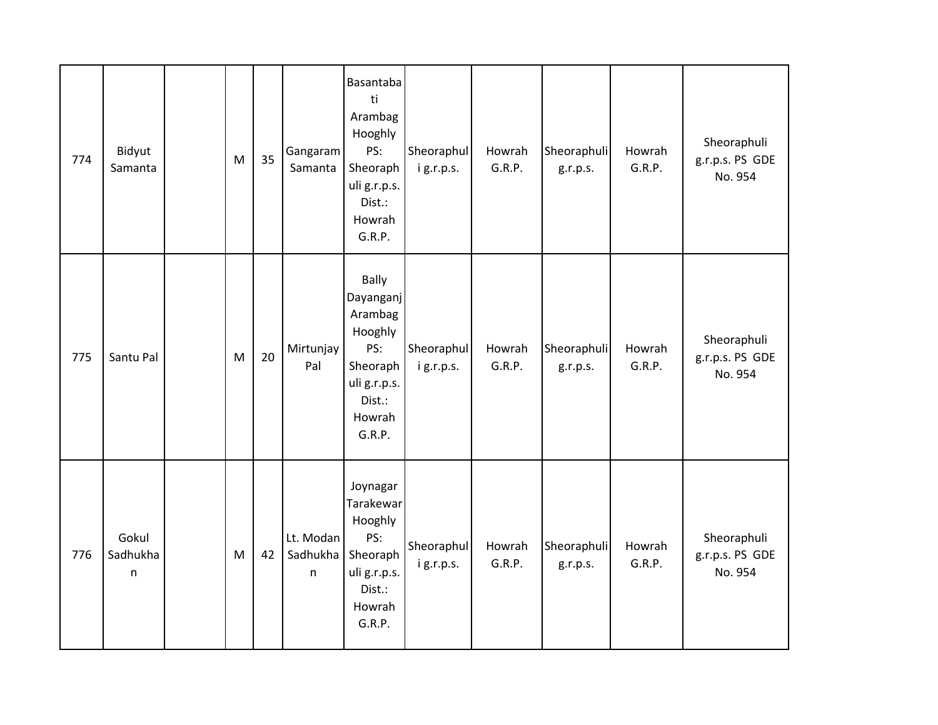| 774 | Bidyut<br>Samanta      | M         | 35 | Gangaram<br>Samanta        | Basantaba<br>ti<br>Arambag<br>Hooghly<br>PS:<br>Sheoraph<br>uli g.r.p.s.<br>Dist.:<br>Howrah<br>G.R.P.    | Sheoraphul<br>ig.r.p.s. | Howrah<br>G.R.P. | Sheoraphuli<br>g.r.p.s. | Howrah<br>G.R.P. | Sheoraphuli<br>g.r.p.s. PS GDE<br>No. 954 |
|-----|------------------------|-----------|----|----------------------------|-----------------------------------------------------------------------------------------------------------|-------------------------|------------------|-------------------------|------------------|-------------------------------------------|
| 775 | Santu Pal              | ${\sf M}$ | 20 | Mirtunjay<br>Pal           | Bally<br>Dayanganj<br>Arambag<br>Hooghly<br>PS:<br>Sheoraph<br>uli g.r.p.s.<br>Dist.:<br>Howrah<br>G.R.P. | Sheoraphul<br>ig.r.p.s. | Howrah<br>G.R.P. | Sheoraphuli<br>g.r.p.s. | Howrah<br>G.R.P. | Sheoraphuli<br>g.r.p.s. PS GDE<br>No. 954 |
| 776 | Gokul<br>Sadhukha<br>n | M         | 42 | Lt. Modan<br>Sadhukha<br>n | Joynagar<br>Tarakewar<br>Hooghly<br>PS:<br>Sheoraph<br>uli g.r.p.s.<br>Dist.:<br>Howrah<br>G.R.P.         | Sheoraphul<br>ig.r.p.s. | Howrah<br>G.R.P. | Sheoraphuli<br>g.r.p.s. | Howrah<br>G.R.P. | Sheoraphuli<br>g.r.p.s. PS GDE<br>No. 954 |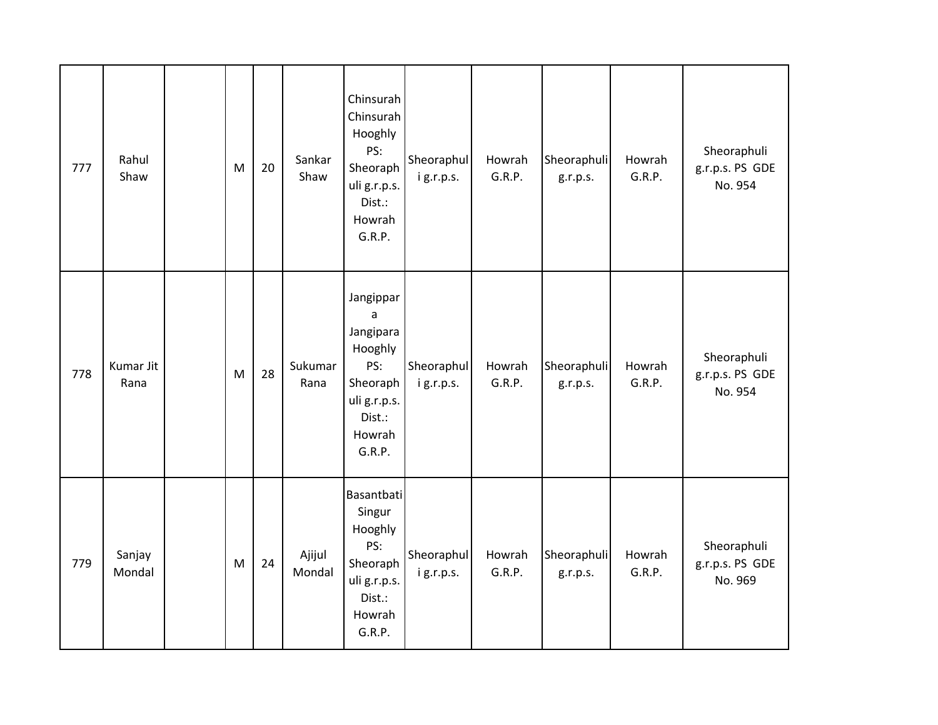| 777 | Rahul<br>Shaw     | M | 20 | Sankar<br>Shaw   | Chinsurah<br>Chinsurah<br>Hooghly<br>PS:<br>Sheoraph<br>uli g.r.p.s.<br>Dist.:<br>Howrah<br>G.R.P.                | Sheoraphul<br>ig.r.p.s. | Howrah<br>G.R.P. | Sheoraphuli<br>g.r.p.s. | Howrah<br>G.R.P. | Sheoraphuli<br>g.r.p.s. PS GDE<br>No. 954 |
|-----|-------------------|---|----|------------------|-------------------------------------------------------------------------------------------------------------------|-------------------------|------------------|-------------------------|------------------|-------------------------------------------|
| 778 | Kumar Jit<br>Rana | M | 28 | Sukumar<br>Rana  | Jangippar<br>$\mathsf a$<br>Jangipara<br>Hooghly<br>PS:<br>Sheoraph<br>uli g.r.p.s.<br>Dist.:<br>Howrah<br>G.R.P. | Sheoraphul<br>ig.r.p.s. | Howrah<br>G.R.P. | Sheoraphuli<br>g.r.p.s. | Howrah<br>G.R.P. | Sheoraphuli<br>g.r.p.s. PS GDE<br>No. 954 |
| 779 | Sanjay<br>Mondal  | M | 24 | Ajijul<br>Mondal | Basantbati<br>Singur<br>Hooghly<br>PS:<br>Sheoraph<br>uli g.r.p.s.<br>Dist.:<br>Howrah<br>G.R.P.                  | Sheoraphul<br>ig.r.p.s. | Howrah<br>G.R.P. | Sheoraphuli<br>g.r.p.s. | Howrah<br>G.R.P. | Sheoraphuli<br>g.r.p.s. PS GDE<br>No. 969 |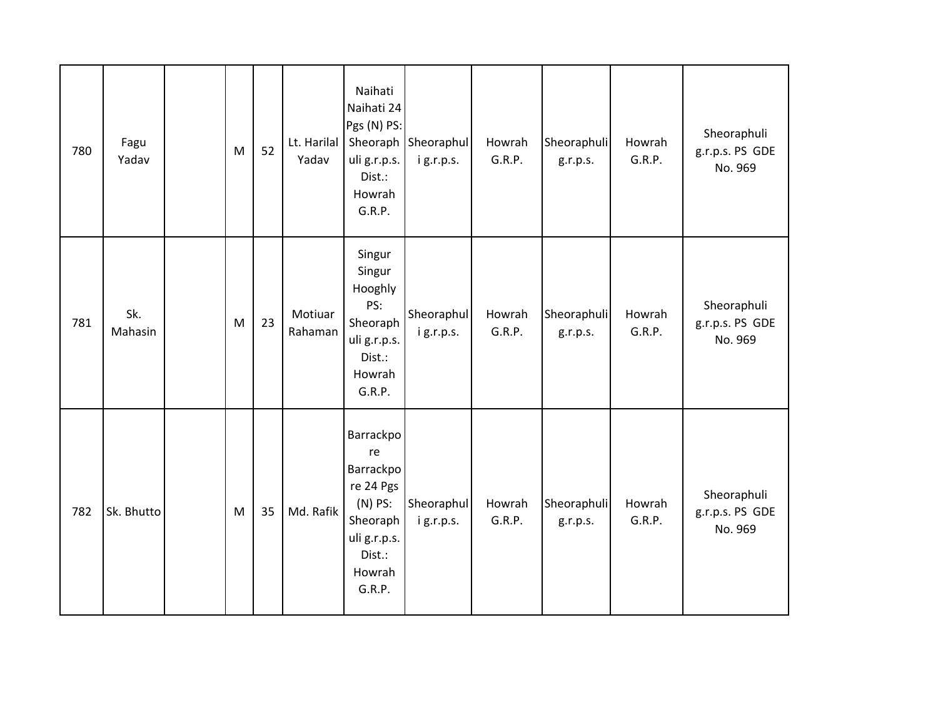| 780 | Fagu<br>Yadav  | M | 52 | Lt. Harilal<br>Yadav | Naihati<br>Naihati 24<br>Pgs (N) PS:<br>uli g.r.p.s.<br>Dist.:<br>Howrah<br>G.R.P.                               | Sheoraph Sheoraphul<br>ig.r.p.s. | Howrah<br>G.R.P. | Sheoraphuli<br>g.r.p.s. | Howrah<br>G.R.P. | Sheoraphuli<br>g.r.p.s. PS GDE<br>No. 969 |
|-----|----------------|---|----|----------------------|------------------------------------------------------------------------------------------------------------------|----------------------------------|------------------|-------------------------|------------------|-------------------------------------------|
| 781 | Sk.<br>Mahasin | M | 23 | Motiuar<br>Rahaman   | Singur<br>Singur<br>Hooghly<br>PS:<br>Sheoraph<br>uli g.r.p.s.<br>Dist.:<br>Howrah<br>G.R.P.                     | Sheoraphul<br>ig.r.p.s.          | Howrah<br>G.R.P. | Sheoraphuli<br>g.r.p.s. | Howrah<br>G.R.P. | Sheoraphuli<br>g.r.p.s. PS GDE<br>No. 969 |
| 782 | Sk. Bhutto     | M | 35 | Md. Rafik            | Barrackpo<br>re<br>Barrackpo<br>re 24 Pgs<br>$(N)$ PS:<br>Sheoraph<br>uli g.r.p.s.<br>Dist.:<br>Howrah<br>G.R.P. | Sheoraphul<br>ig.r.p.s.          | Howrah<br>G.R.P. | Sheoraphuli<br>g.r.p.s. | Howrah<br>G.R.P. | Sheoraphuli<br>g.r.p.s. PS GDE<br>No. 969 |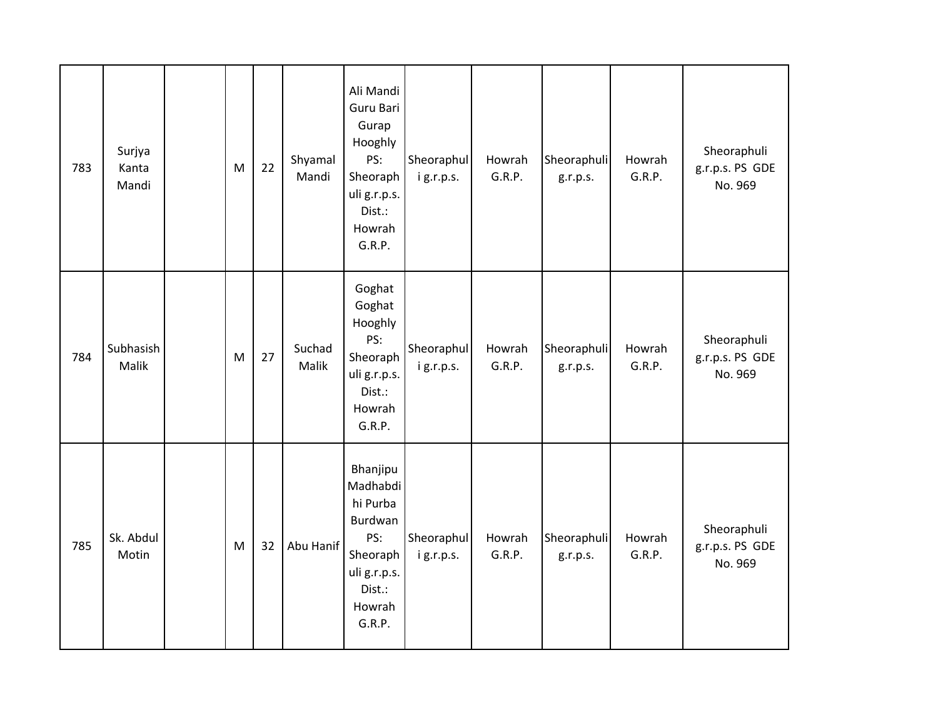| 783 | Surjya<br>Kanta<br>Mandi | M | 22 | Shyamal<br>Mandi | Ali Mandi<br>Guru Bari<br>Gurap<br>Hooghly<br>PS:<br>Sheoraph<br>uli g.r.p.s.<br>Dist.:<br>Howrah<br>G.R.P.  | Sheoraphul<br>ig.r.p.s. | Howrah<br>G.R.P. | Sheoraphuli<br>g.r.p.s. | Howrah<br>G.R.P. | Sheoraphuli<br>g.r.p.s. PS GDE<br>No. 969 |
|-----|--------------------------|---|----|------------------|--------------------------------------------------------------------------------------------------------------|-------------------------|------------------|-------------------------|------------------|-------------------------------------------|
| 784 | Subhasish<br>Malik       | M | 27 | Suchad<br>Malik  | Goghat<br>Goghat<br>Hooghly<br>PS:<br>Sheoraph<br>uli g.r.p.s.<br>Dist.:<br>Howrah<br>G.R.P.                 | Sheoraphul<br>ig.r.p.s. | Howrah<br>G.R.P. | Sheoraphuli<br>g.r.p.s. | Howrah<br>G.R.P. | Sheoraphuli<br>g.r.p.s. PS GDE<br>No. 969 |
| 785 | Sk. Abdul<br>Motin       | M | 32 | Abu Hanif        | Bhanjipu<br>Madhabdi<br>hi Purba<br>Burdwan<br>PS:<br>Sheoraph<br>uli g.r.p.s.<br>Dist.:<br>Howrah<br>G.R.P. | Sheoraphul<br>ig.r.p.s. | Howrah<br>G.R.P. | Sheoraphuli<br>g.r.p.s. | Howrah<br>G.R.P. | Sheoraphuli<br>g.r.p.s. PS GDE<br>No. 969 |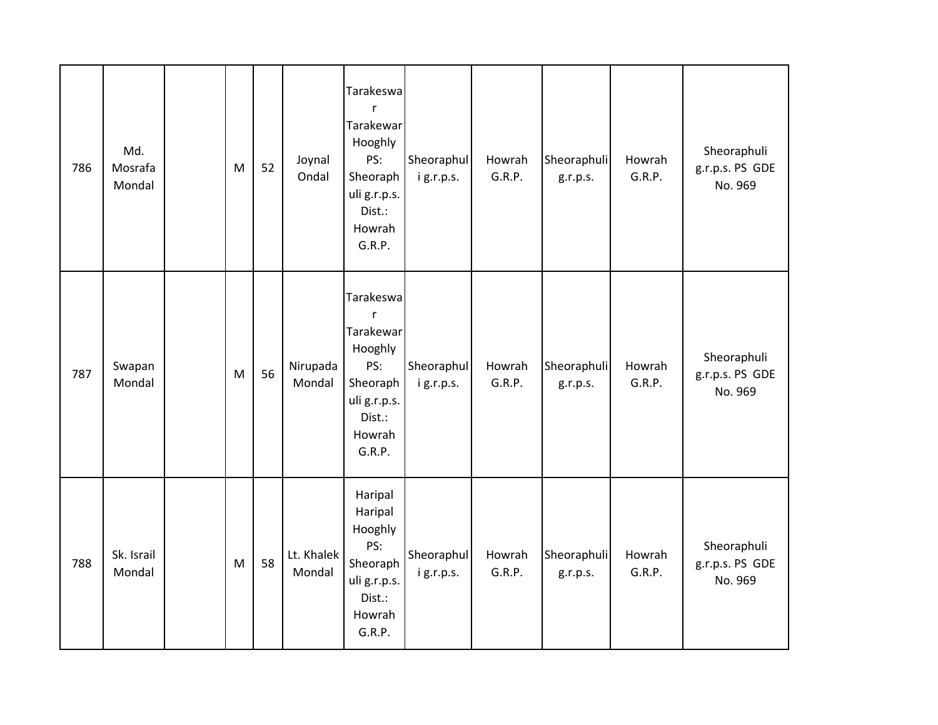| 786 | Md.<br>Mosrafa<br>Mondal | M | 52 | Joynal<br>Ondal      | Tarakeswa<br>$\mathsf{r}$<br>Tarakewar<br>Hooghly<br>PS:<br>Sheoraph<br>uli g.r.p.s.<br>Dist.:<br>Howrah<br>G.R.P. | Sheoraphul<br>ig.r.p.s. | Howrah<br>G.R.P. | Sheoraphuli<br>g.r.p.s. | Howrah<br>G.R.P. | Sheoraphuli<br>g.r.p.s. PS GDE<br>No. 969 |
|-----|--------------------------|---|----|----------------------|--------------------------------------------------------------------------------------------------------------------|-------------------------|------------------|-------------------------|------------------|-------------------------------------------|
| 787 | Swapan<br>Mondal         | M | 56 | Nirupada<br>Mondal   | Tarakeswa<br>$\mathsf{r}$<br>Tarakewar<br>Hooghly<br>PS:<br>Sheoraph<br>uli g.r.p.s.<br>Dist.:<br>Howrah<br>G.R.P. | Sheoraphul<br>ig.r.p.s. | Howrah<br>G.R.P. | Sheoraphuli<br>g.r.p.s. | Howrah<br>G.R.P. | Sheoraphuli<br>g.r.p.s. PS GDE<br>No. 969 |
| 788 | Sk. Israil<br>Mondal     | M | 58 | Lt. Khalek<br>Mondal | Haripal<br>Haripal<br>Hooghly<br>PS:<br>Sheoraph<br>uli g.r.p.s.<br>Dist.:<br>Howrah<br>G.R.P.                     | Sheoraphul<br>ig.r.p.s. | Howrah<br>G.R.P. | Sheoraphuli<br>g.r.p.s. | Howrah<br>G.R.P. | Sheoraphuli<br>g.r.p.s. PS GDE<br>No. 969 |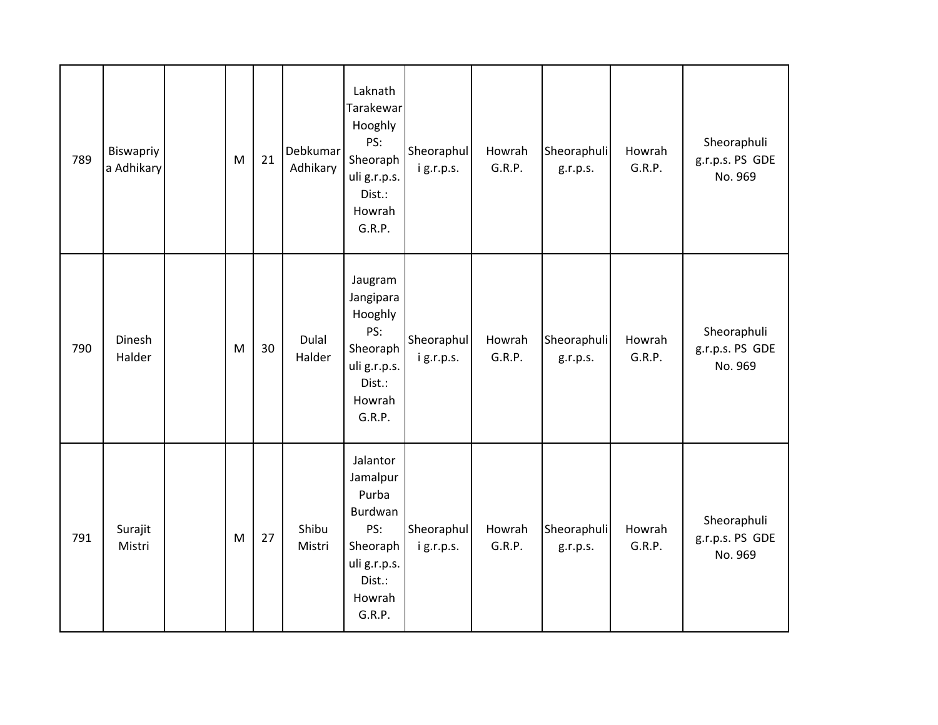| 789 | Biswapriy<br>a Adhikary | M | 21 | Debkumar<br>Adhikary | Laknath<br>Tarakewar<br>Hooghly<br>PS:<br>Sheoraph<br>uli g.r.p.s.<br>Dist.:<br>Howrah<br>G.R.P.          | Sheoraphul<br>ig.r.p.s. | Howrah<br>G.R.P. | Sheoraphuli<br>g.r.p.s. | Howrah<br>G.R.P. | Sheoraphuli<br>g.r.p.s. PS GDE<br>No. 969 |
|-----|-------------------------|---|----|----------------------|-----------------------------------------------------------------------------------------------------------|-------------------------|------------------|-------------------------|------------------|-------------------------------------------|
| 790 | Dinesh<br>Halder        | M | 30 | Dulal<br>Halder      | Jaugram<br>Jangipara<br>Hooghly<br>PS:<br>Sheoraph<br>uli g.r.p.s.<br>Dist.:<br>Howrah<br>G.R.P.          | Sheoraphul<br>ig.r.p.s. | Howrah<br>G.R.P. | Sheoraphuli<br>g.r.p.s. | Howrah<br>G.R.P. | Sheoraphuli<br>g.r.p.s. PS GDE<br>No. 969 |
| 791 | Surajit<br>Mistri       | M | 27 | Shibu<br>Mistri      | Jalantor<br>Jamalpur<br>Purba<br>Burdwan<br>PS:<br>Sheoraph<br>uli g.r.p.s.<br>Dist.:<br>Howrah<br>G.R.P. | Sheoraphul<br>ig.r.p.s. | Howrah<br>G.R.P. | Sheoraphuli<br>g.r.p.s. | Howrah<br>G.R.P. | Sheoraphuli<br>g.r.p.s. PS GDE<br>No. 969 |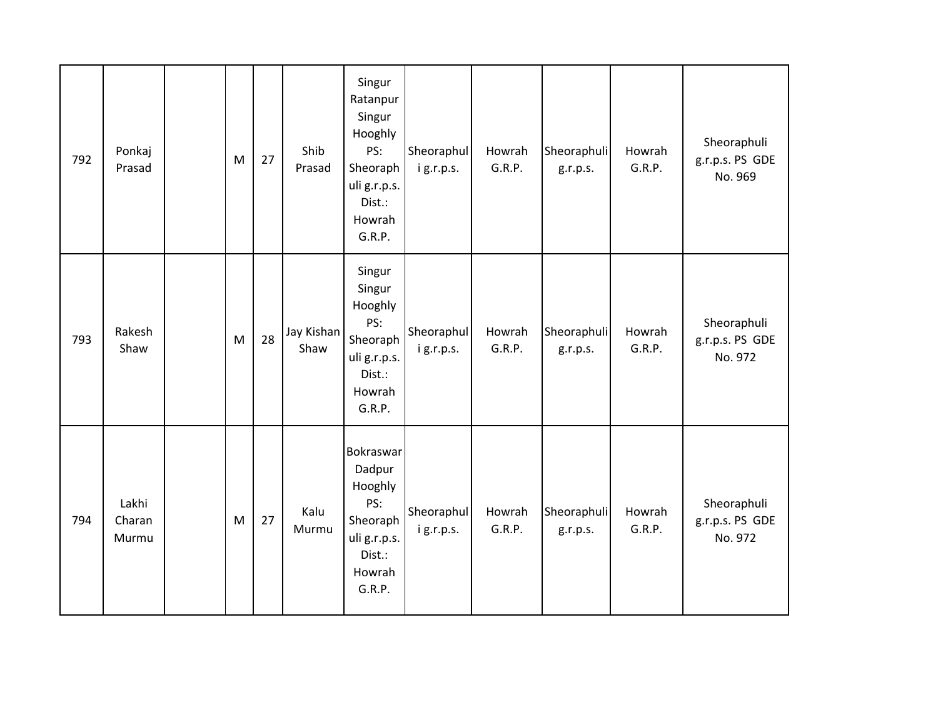| 792 | Ponkaj<br>Prasad         | M         | 27 | Shib<br>Prasad     | Singur<br>Ratanpur<br>Singur<br>Hooghly<br>PS:<br>Sheoraph<br>uli g.r.p.s.<br>Dist.:<br>Howrah<br>G.R.P. | Sheoraphul<br>ig.r.p.s. | Howrah<br>G.R.P. | Sheoraphuli<br>g.r.p.s. | Howrah<br>G.R.P. | Sheoraphuli<br>g.r.p.s. PS GDE<br>No. 969 |
|-----|--------------------------|-----------|----|--------------------|----------------------------------------------------------------------------------------------------------|-------------------------|------------------|-------------------------|------------------|-------------------------------------------|
| 793 | Rakesh<br>Shaw           | ${\sf M}$ | 28 | Jay Kishan<br>Shaw | Singur<br>Singur<br>Hooghly<br>PS:<br>Sheoraph<br>uli g.r.p.s.<br>Dist.:<br>Howrah<br>G.R.P.             | Sheoraphul<br>ig.r.p.s. | Howrah<br>G.R.P. | Sheoraphuli<br>g.r.p.s. | Howrah<br>G.R.P. | Sheoraphuli<br>g.r.p.s. PS GDE<br>No. 972 |
| 794 | Lakhi<br>Charan<br>Murmu | M         | 27 | Kalu<br>Murmu      | Bokraswar<br>Dadpur<br>Hooghly<br>PS:<br>Sheoraph<br>uli g.r.p.s.<br>Dist.:<br>Howrah<br>G.R.P.          | Sheoraphul<br>ig.r.p.s. | Howrah<br>G.R.P. | Sheoraphuli<br>g.r.p.s. | Howrah<br>G.R.P. | Sheoraphuli<br>g.r.p.s. PS GDE<br>No. 972 |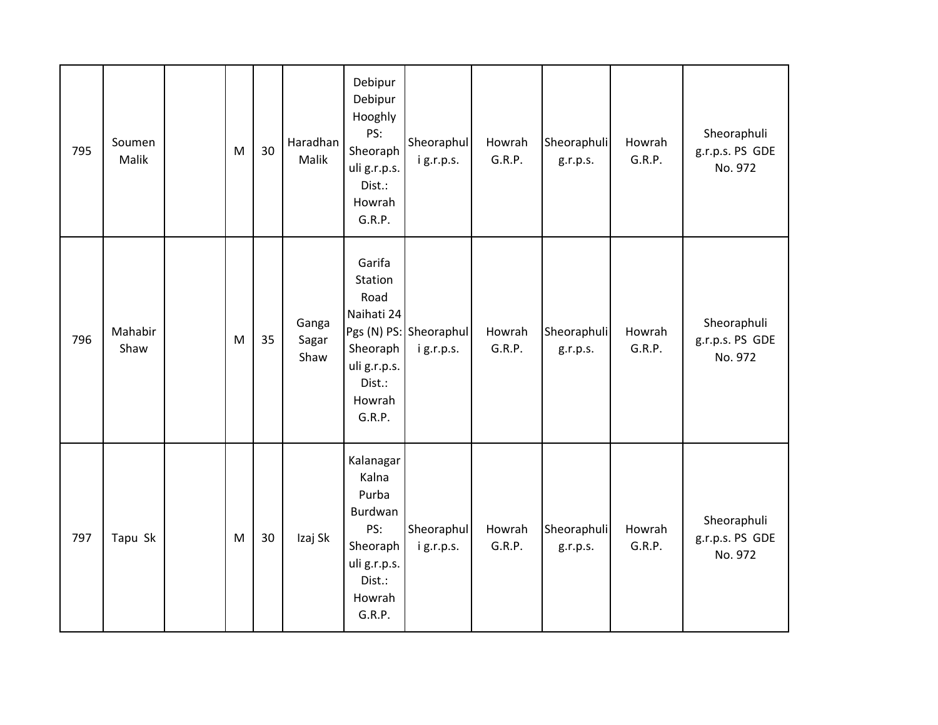| 795 | Soumen<br>Malik | M | 30 | Haradhan<br>Malik      | Debipur<br>Debipur<br>Hooghly<br>PS:<br>Sheoraph<br>uli g.r.p.s.<br>Dist.:<br>Howrah<br>G.R.P.          | Sheoraphul<br>ig.r.p.s.             | Howrah<br>G.R.P. | Sheoraphuli<br>g.r.p.s. | Howrah<br>G.R.P. | Sheoraphuli<br>g.r.p.s. PS GDE<br>No. 972 |
|-----|-----------------|---|----|------------------------|---------------------------------------------------------------------------------------------------------|-------------------------------------|------------------|-------------------------|------------------|-------------------------------------------|
| 796 | Mahabir<br>Shaw | M | 35 | Ganga<br>Sagar<br>Shaw | Garifa<br>Station<br>Road<br>Naihati 24<br>Sheoraph<br>uli g.r.p.s.<br>Dist.:<br>Howrah<br>G.R.P.       | Pgs (N) PS: Sheoraphul<br>ig.r.p.s. | Howrah<br>G.R.P. | Sheoraphuli<br>g.r.p.s. | Howrah<br>G.R.P. | Sheoraphuli<br>g.r.p.s. PS GDE<br>No. 972 |
| 797 | Tapu Sk         | M | 30 | Izaj Sk                | Kalanagar<br>Kalna<br>Purba<br>Burdwan<br>PS:<br>Sheoraph<br>uli g.r.p.s.<br>Dist.:<br>Howrah<br>G.R.P. | Sheoraphul<br>i g.r.p.s.            | Howrah<br>G.R.P. | Sheoraphuli<br>g.r.p.s. | Howrah<br>G.R.P. | Sheoraphuli<br>g.r.p.s. PS GDE<br>No. 972 |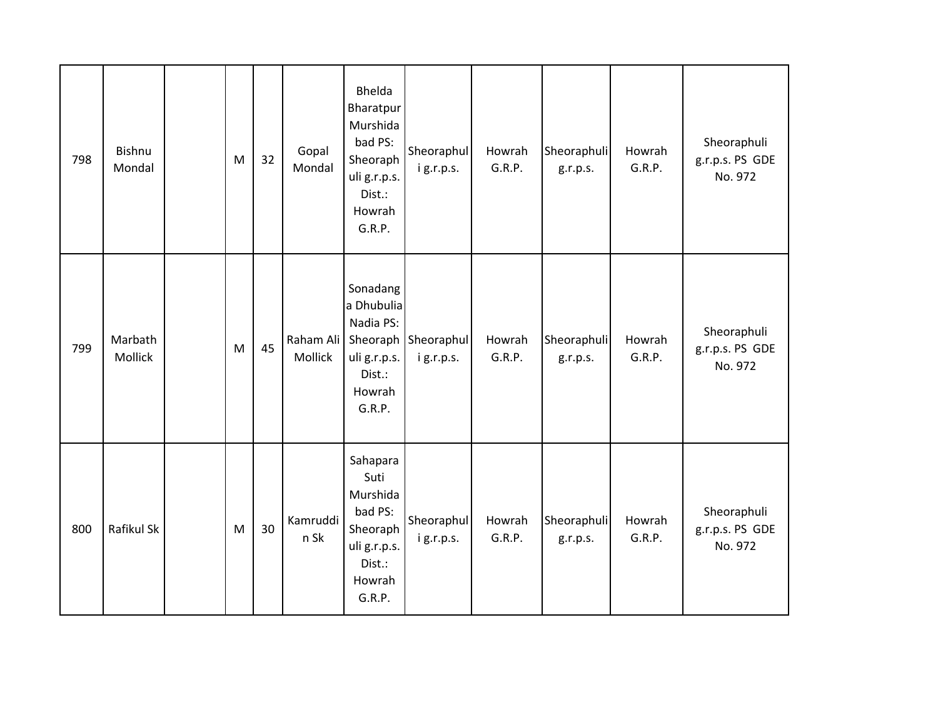| 798 | Bishnu<br>Mondal   | M                                                                                     | 32 | Gopal<br>Mondal      | Bhelda<br>Bharatpur<br>Murshida<br>bad PS:<br>Sheoraph<br>uli g.r.p.s.<br>Dist.:<br>Howrah<br>G.R.P. | Sheoraphul<br>ig.r.p.s.          | Howrah<br>G.R.P. | Sheoraphuli<br>g.r.p.s. | Howrah<br>G.R.P. | Sheoraphuli<br>g.r.p.s. PS GDE<br>No. 972 |
|-----|--------------------|---------------------------------------------------------------------------------------|----|----------------------|------------------------------------------------------------------------------------------------------|----------------------------------|------------------|-------------------------|------------------|-------------------------------------------|
| 799 | Marbath<br>Mollick | $\mathsf{M}% _{T}=\mathsf{M}_{T}\!\left( a,b\right) ,\ \mathsf{M}_{T}=\mathsf{M}_{T}$ | 45 | Raham Ali<br>Mollick | Sonadang<br>a Dhubulia<br>Nadia PS:<br>uli g.r.p.s.<br>Dist.:<br>Howrah<br>G.R.P.                    | Sheoraph Sheoraphul<br>ig.r.p.s. | Howrah<br>G.R.P. | Sheoraphuli<br>g.r.p.s. | Howrah<br>G.R.P. | Sheoraphuli<br>g.r.p.s. PS GDE<br>No. 972 |
| 800 | Rafikul Sk         | M                                                                                     | 30 | Kamruddi<br>n Sk     | Sahapara<br>Suti<br>Murshida<br>bad PS:<br>Sheoraph<br>uli g.r.p.s.<br>Dist.:<br>Howrah<br>G.R.P.    | Sheoraphul<br>ig.r.p.s.          | Howrah<br>G.R.P. | Sheoraphuli<br>g.r.p.s. | Howrah<br>G.R.P. | Sheoraphuli<br>g.r.p.s. PS GDE<br>No. 972 |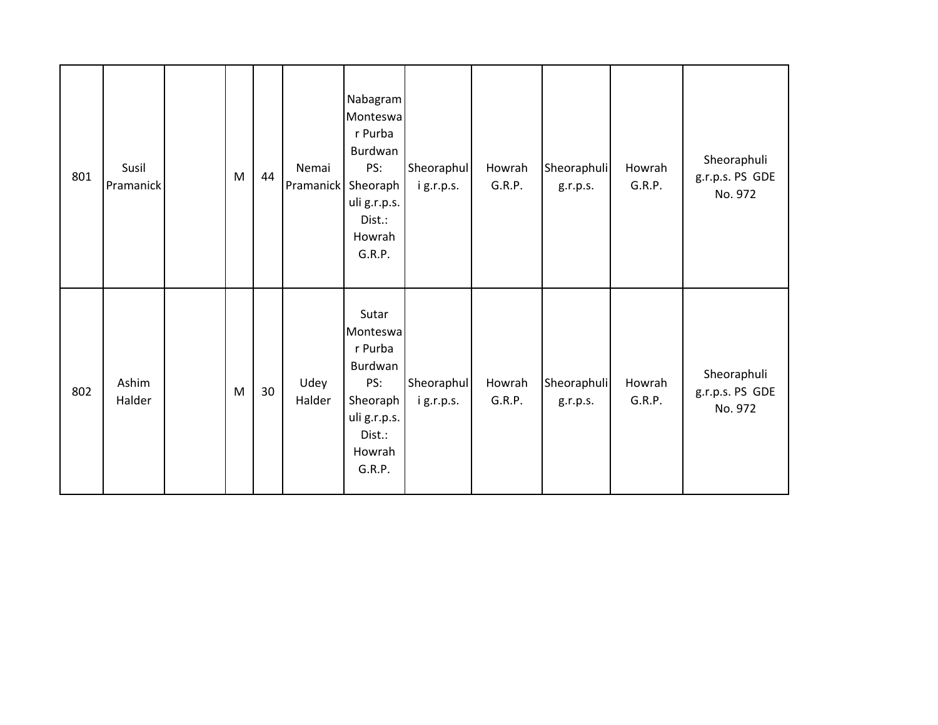| 801 | Susil<br>Pramanick | M | 44 | Nemai<br>Pramanick | Nabagram<br>Monteswa<br>r Purba<br>Burdwan<br>PS:<br>Sheoraph<br>uli g.r.p.s.<br>Dist.:<br>Howrah<br>G.R.P. | Sheoraphul<br>ig.r.p.s. | Howrah<br>G.R.P. | Sheoraphuli<br>g.r.p.s. | Howrah<br>G.R.P. | Sheoraphuli<br>g.r.p.s. PS GDE<br>No. 972 |
|-----|--------------------|---|----|--------------------|-------------------------------------------------------------------------------------------------------------|-------------------------|------------------|-------------------------|------------------|-------------------------------------------|
| 802 | Ashim<br>Halder    | M | 30 | Udey<br>Halder     | Sutar<br>Monteswa<br>r Purba<br>Burdwan<br>PS:<br>Sheoraph<br>uli g.r.p.s.<br>Dist.:<br>Howrah<br>G.R.P.    | Sheoraphul<br>ig.r.p.s. | Howrah<br>G.R.P. | Sheoraphuli<br>g.r.p.s. | Howrah<br>G.R.P. | Sheoraphuli<br>g.r.p.s. PS GDE<br>No. 972 |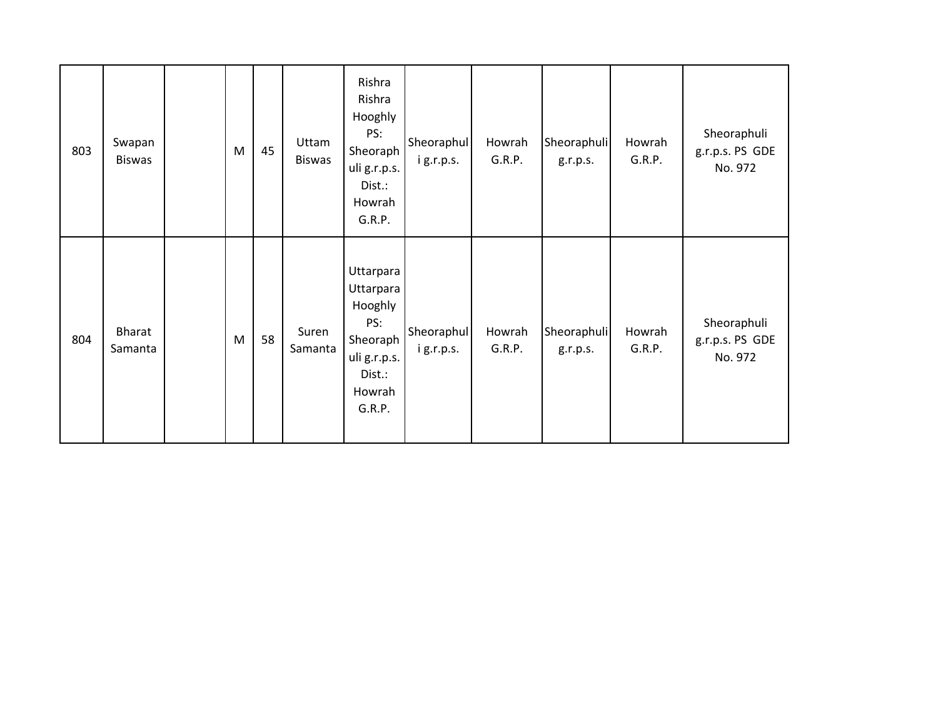| 803 | Swapan<br><b>Biswas</b> | M | 45 | Uttam<br><b>Biswas</b> | Rishra<br>Rishra<br>Hooghly<br>PS:<br>Sheoraph<br>uli g.r.p.s.<br>Dist.:<br>Howrah<br>G.R.P.       | Sheoraphul<br>i g.r.p.s. | Howrah<br>G.R.P. | Sheoraphuli<br>g.r.p.s. | Howrah<br>G.R.P. | Sheoraphuli<br>g.r.p.s. PS GDE<br>No. 972 |
|-----|-------------------------|---|----|------------------------|----------------------------------------------------------------------------------------------------|--------------------------|------------------|-------------------------|------------------|-------------------------------------------|
| 804 | Bharat<br>Samanta       | M | 58 | Suren<br>Samanta       | Uttarpara<br>Uttarpara<br>Hooghly<br>PS:<br>Sheoraph<br>uli g.r.p.s.<br>Dist.:<br>Howrah<br>G.R.P. | Sheoraphul<br>ig.r.p.s.  | Howrah<br>G.R.P. | Sheoraphuli<br>g.r.p.s. | Howrah<br>G.R.P. | Sheoraphuli<br>g.r.p.s. PS GDE<br>No. 972 |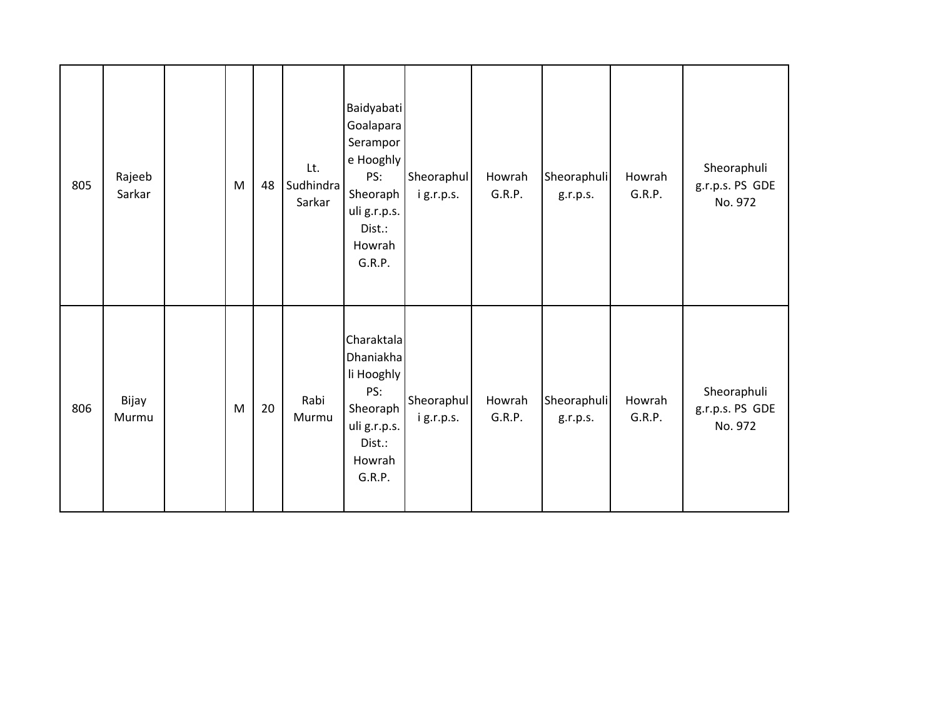| 805 | Rajeeb<br>Sarkar | M         | 48 | Lt.<br>Sudhindra<br>Sarkar | <b>Baidyabati</b><br>Goalapara<br>Serampor<br>e Hooghly<br>PS:<br>Sheoraph<br>uli g.r.p.s.<br>Dist.:<br>Howrah<br>G.R.P. | Sheoraphul<br>ig.r.p.s. | Howrah<br>G.R.P. | Sheoraphuli<br>g.r.p.s. | Howrah<br>G.R.P. | Sheoraphuli<br>g.r.p.s. PS GDE<br>No. 972 |
|-----|------------------|-----------|----|----------------------------|--------------------------------------------------------------------------------------------------------------------------|-------------------------|------------------|-------------------------|------------------|-------------------------------------------|
| 806 | Bijay<br>Murmu   | ${\sf M}$ | 20 | Rabi<br>Murmu              | Charaktala<br>Dhaniakha<br>li Hooghly<br>PS:<br>Sheoraph<br>uli g.r.p.s.<br>Dist.:<br>Howrah<br>G.R.P.                   | Sheoraphul<br>ig.r.p.s. | Howrah<br>G.R.P. | Sheoraphuli<br>g.r.p.s. | Howrah<br>G.R.P. | Sheoraphuli<br>g.r.p.s. PS GDE<br>No. 972 |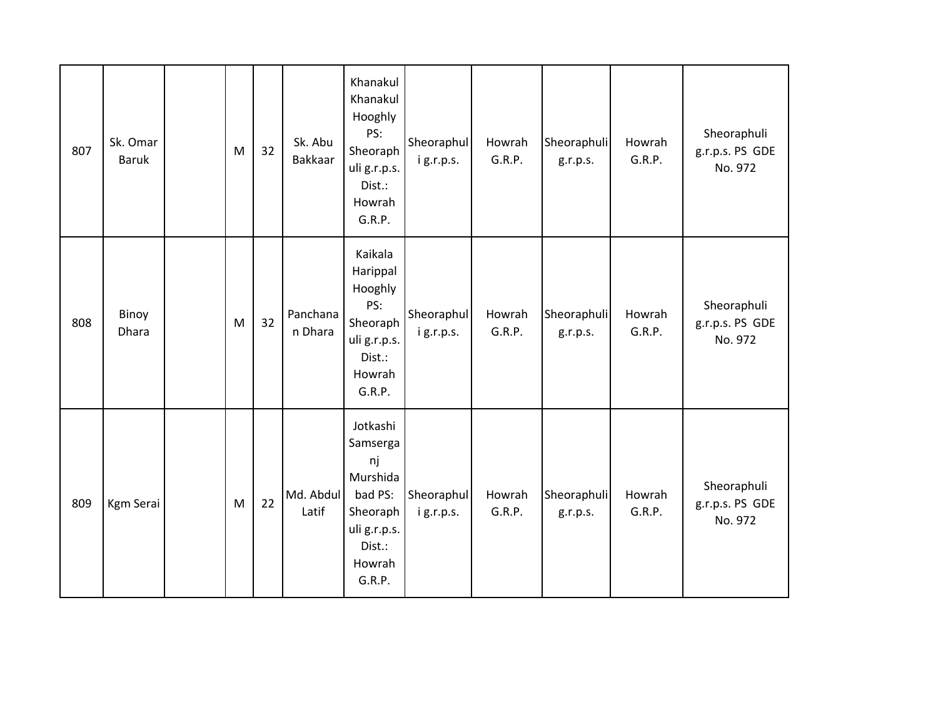| 807 | Sk. Omar<br><b>Baruk</b> | ${\sf M}$ | 32 | Sk. Abu<br>Bakkaar  | Khanakul<br>Khanakul<br>Hooghly<br>PS:<br>Sheoraph<br>uli g.r.p.s.<br>Dist.:<br>Howrah<br>G.R.P.            | Sheoraphul<br>ig.r.p.s. | Howrah<br>G.R.P. | Sheoraphuli<br>g.r.p.s. | Howrah<br>G.R.P. | Sheoraphuli<br>g.r.p.s. PS GDE<br>No. 972 |
|-----|--------------------------|-----------|----|---------------------|-------------------------------------------------------------------------------------------------------------|-------------------------|------------------|-------------------------|------------------|-------------------------------------------|
| 808 | Binoy<br>Dhara           | M         | 32 | Panchana<br>n Dhara | Kaikala<br>Harippal<br>Hooghly<br>PS:<br>Sheoraph<br>uli g.r.p.s.<br>Dist.:<br>Howrah<br>G.R.P.             | Sheoraphul<br>ig.r.p.s. | Howrah<br>G.R.P. | Sheoraphuli<br>g.r.p.s. | Howrah<br>G.R.P. | Sheoraphuli<br>g.r.p.s. PS GDE<br>No. 972 |
| 809 | <b>Kgm Serai</b>         | M         | 22 | Md. Abdul<br>Latif  | Jotkashi<br>Samserga<br>nj<br>Murshida<br>bad PS:<br>Sheoraph<br>uli g.r.p.s.<br>Dist.:<br>Howrah<br>G.R.P. | Sheoraphul<br>ig.r.p.s. | Howrah<br>G.R.P. | Sheoraphuli<br>g.r.p.s. | Howrah<br>G.R.P. | Sheoraphuli<br>g.r.p.s. PS GDE<br>No. 972 |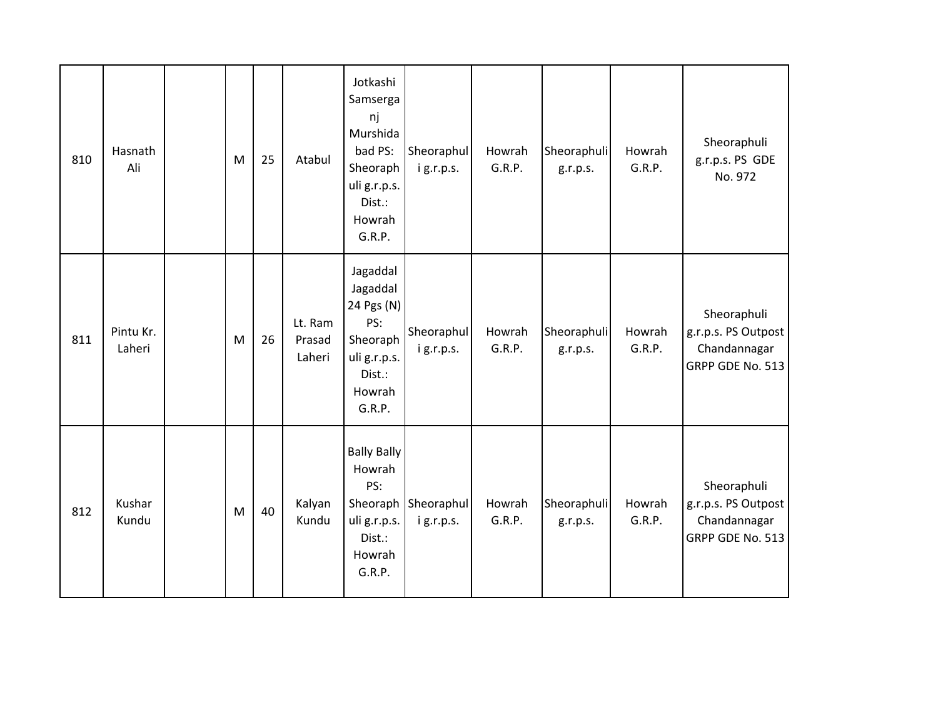| 810 | Hasnath<br>Ali      | M         | 25 | Atabul                      | Jotkashi<br>Samserga<br>nj<br>Murshida<br>bad PS:<br>Sheoraph<br>uli g.r.p.s.<br>Dist.:<br>Howrah<br>G.R.P. | Sheoraphul<br>ig.r.p.s.            | Howrah<br>G.R.P. | Sheoraphuli<br>g.r.p.s. | Howrah<br>G.R.P. | Sheoraphuli<br>g.r.p.s. PS GDE<br>No. 972                              |
|-----|---------------------|-----------|----|-----------------------------|-------------------------------------------------------------------------------------------------------------|------------------------------------|------------------|-------------------------|------------------|------------------------------------------------------------------------|
| 811 | Pintu Kr.<br>Laheri | ${\sf M}$ | 26 | Lt. Ram<br>Prasad<br>Laheri | Jagaddal<br>Jagaddal<br>24 Pgs (N)<br>PS:<br>Sheoraph<br>uli g.r.p.s.<br>Dist.:<br>Howrah<br>G.R.P.         | Sheoraphul<br>ig.r.p.s.            | Howrah<br>G.R.P. | Sheoraphuli<br>g.r.p.s. | Howrah<br>G.R.P. | Sheoraphuli<br>g.r.p.s. PS Outpost<br>Chandannagar<br>GRPP GDE No. 513 |
| 812 | Kushar<br>Kundu     | ${\sf M}$ | 40 | Kalyan<br>Kundu             | <b>Bally Bally</b><br>Howrah<br>PS:<br>uli g.r.p.s.<br>Dist.:<br>Howrah<br>G.R.P.                           | Sheoraph   Sheoraphul<br>ig.r.p.s. | Howrah<br>G.R.P. | Sheoraphuli<br>g.r.p.s. | Howrah<br>G.R.P. | Sheoraphuli<br>g.r.p.s. PS Outpost<br>Chandannagar<br>GRPP GDE No. 513 |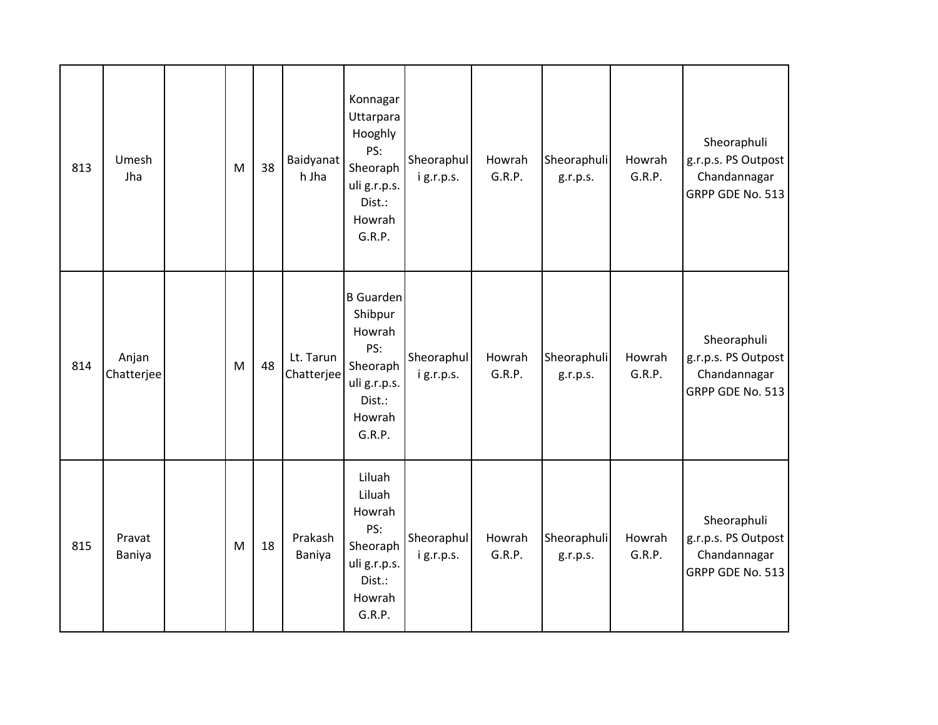| 813 | Umesh<br>Jha        | M | 38 | <b>Baidyanat</b><br>h Jha | Konnagar<br>Uttarpara<br>Hooghly<br>PS:<br>Sheoraph<br>uli g.r.p.s.<br>Dist.:<br>Howrah<br>G.R.P.      | Sheoraphul<br>ig.r.p.s. | Howrah<br>G.R.P. | Sheoraphuli<br>g.r.p.s. | Howrah<br>G.R.P. | Sheoraphuli<br>g.r.p.s. PS Outpost<br>Chandannagar<br>GRPP GDE No. 513 |
|-----|---------------------|---|----|---------------------------|--------------------------------------------------------------------------------------------------------|-------------------------|------------------|-------------------------|------------------|------------------------------------------------------------------------|
| 814 | Anjan<br>Chatterjee | M | 48 | Lt. Tarun<br>Chatterjee   | <b>B</b> Guarden<br>Shibpur<br>Howrah<br>PS:<br>Sheoraph<br>uli g.r.p.s.<br>Dist.:<br>Howrah<br>G.R.P. | Sheoraphul<br>ig.r.p.s. | Howrah<br>G.R.P. | Sheoraphuli<br>g.r.p.s. | Howrah<br>G.R.P. | Sheoraphuli<br>g.r.p.s. PS Outpost<br>Chandannagar<br>GRPP GDE No. 513 |
| 815 | Pravat<br>Baniya    | M | 18 | Prakash<br>Baniya         | Liluah<br>Liluah<br>Howrah<br>PS:<br>Sheoraph<br>uli g.r.p.s.<br>Dist.:<br>Howrah<br>G.R.P.            | Sheoraphul<br>ig.r.p.s. | Howrah<br>G.R.P. | Sheoraphuli<br>g.r.p.s. | Howrah<br>G.R.P. | Sheoraphuli<br>g.r.p.s. PS Outpost<br>Chandannagar<br>GRPP GDE No. 513 |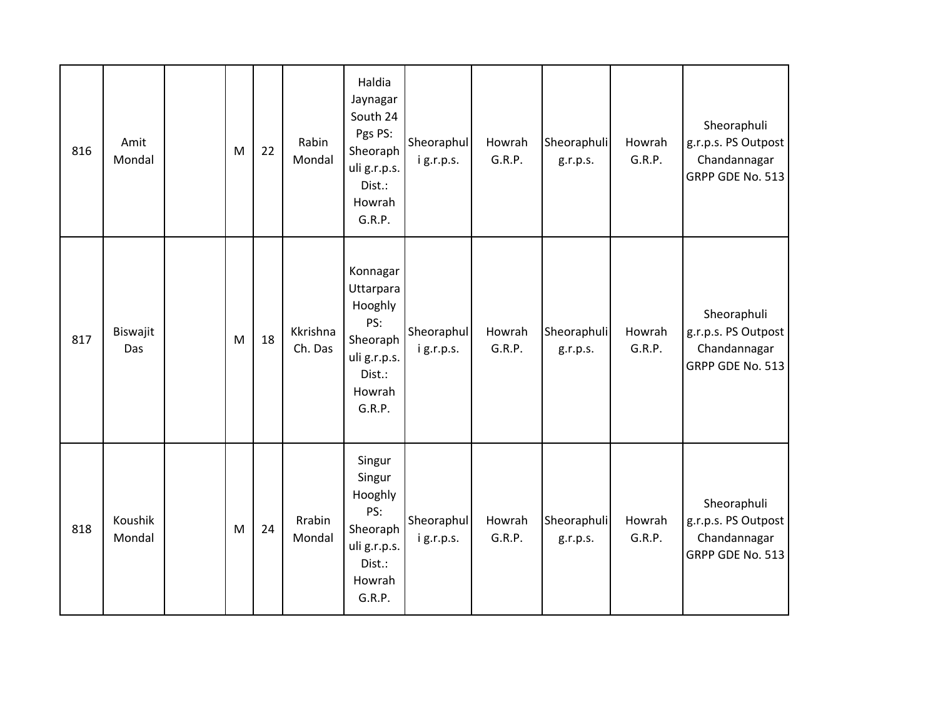| 816 | Amit<br>Mondal    | M | 22 | Rabin<br>Mondal     | Haldia<br>Jaynagar<br>South 24<br>Pgs PS:<br>Sheoraph<br>uli g.r.p.s.<br>Dist.:<br>Howrah<br>G.R.P. | Sheoraphul<br>ig.r.p.s. | Howrah<br>G.R.P. | Sheoraphuli<br>g.r.p.s. | Howrah<br>G.R.P. | Sheoraphuli<br>g.r.p.s. PS Outpost<br>Chandannagar<br>GRPP GDE No. 513 |
|-----|-------------------|---|----|---------------------|-----------------------------------------------------------------------------------------------------|-------------------------|------------------|-------------------------|------------------|------------------------------------------------------------------------|
| 817 | Biswajit<br>Das   | M | 18 | Kkrishna<br>Ch. Das | Konnagar<br>Uttarpara<br>Hooghly<br>PS:<br>Sheoraph<br>uli g.r.p.s.<br>Dist.:<br>Howrah<br>G.R.P.   | Sheoraphul<br>ig.r.p.s. | Howrah<br>G.R.P. | Sheoraphuli<br>g.r.p.s. | Howrah<br>G.R.P. | Sheoraphuli<br>g.r.p.s. PS Outpost<br>Chandannagar<br>GRPP GDE No. 513 |
| 818 | Koushik<br>Mondal | M | 24 | Rrabin<br>Mondal    | Singur<br>Singur<br>Hooghly<br>PS:<br>Sheoraph<br>uli g.r.p.s.<br>Dist.:<br>Howrah<br>G.R.P.        | Sheoraphul<br>ig.r.p.s. | Howrah<br>G.R.P. | Sheoraphuli<br>g.r.p.s. | Howrah<br>G.R.P. | Sheoraphuli<br>g.r.p.s. PS Outpost<br>Chandannagar<br>GRPP GDE No. 513 |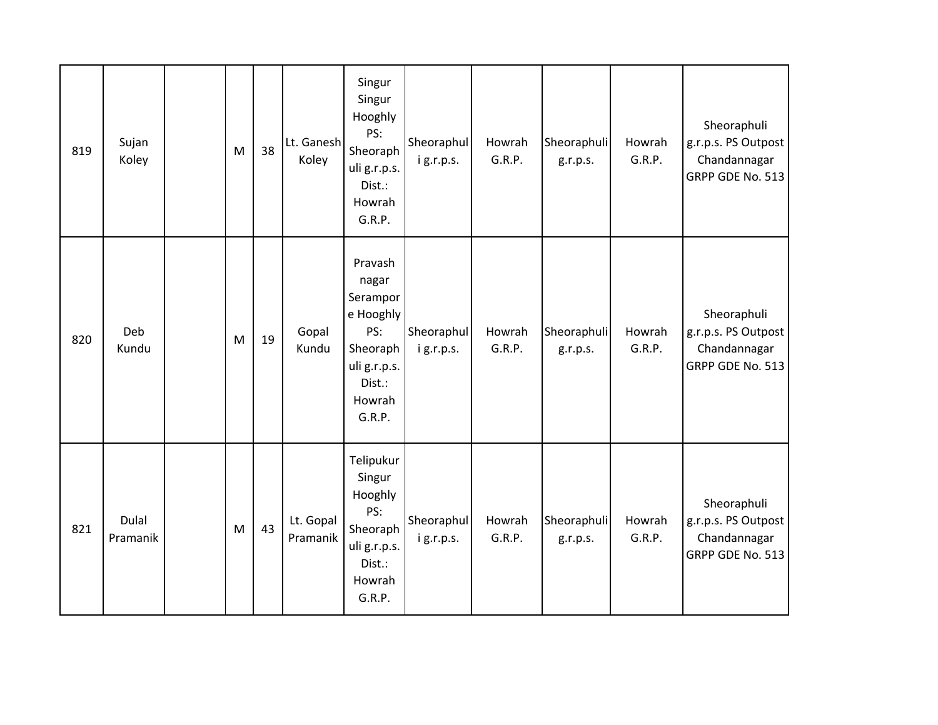| 819 | Sujan<br>Koley    | M | 38 | Lt. Ganesh<br>Koley   | Singur<br>Singur<br>Hooghly<br>PS:<br>Sheoraph<br>uli g.r.p.s.<br>Dist.:<br>Howrah<br>G.R.P.               | Sheoraphul<br>ig.r.p.s. | Howrah<br>G.R.P. | Sheoraphuli<br>g.r.p.s. | Howrah<br>G.R.P. | Sheoraphuli<br>g.r.p.s. PS Outpost<br>Chandannagar<br>GRPP GDE No. 513 |
|-----|-------------------|---|----|-----------------------|------------------------------------------------------------------------------------------------------------|-------------------------|------------------|-------------------------|------------------|------------------------------------------------------------------------|
| 820 | Deb<br>Kundu      | M | 19 | Gopal<br>Kundu        | Pravash<br>nagar<br>Serampor<br>e Hooghly<br>PS:<br>Sheoraph<br>uli g.r.p.s.<br>Dist.:<br>Howrah<br>G.R.P. | Sheoraphul<br>ig.r.p.s. | Howrah<br>G.R.P. | Sheoraphuli<br>g.r.p.s. | Howrah<br>G.R.P. | Sheoraphuli<br>g.r.p.s. PS Outpost<br>Chandannagar<br>GRPP GDE No. 513 |
| 821 | Dulal<br>Pramanik | M | 43 | Lt. Gopal<br>Pramanik | Telipukur<br>Singur<br>Hooghly<br>PS:<br>Sheoraph<br>uli g.r.p.s.<br>Dist.:<br>Howrah<br>G.R.P.            | Sheoraphul<br>ig.r.p.s. | Howrah<br>G.R.P. | Sheoraphuli<br>g.r.p.s. | Howrah<br>G.R.P. | Sheoraphuli<br>g.r.p.s. PS Outpost<br>Chandannagar<br>GRPP GDE No. 513 |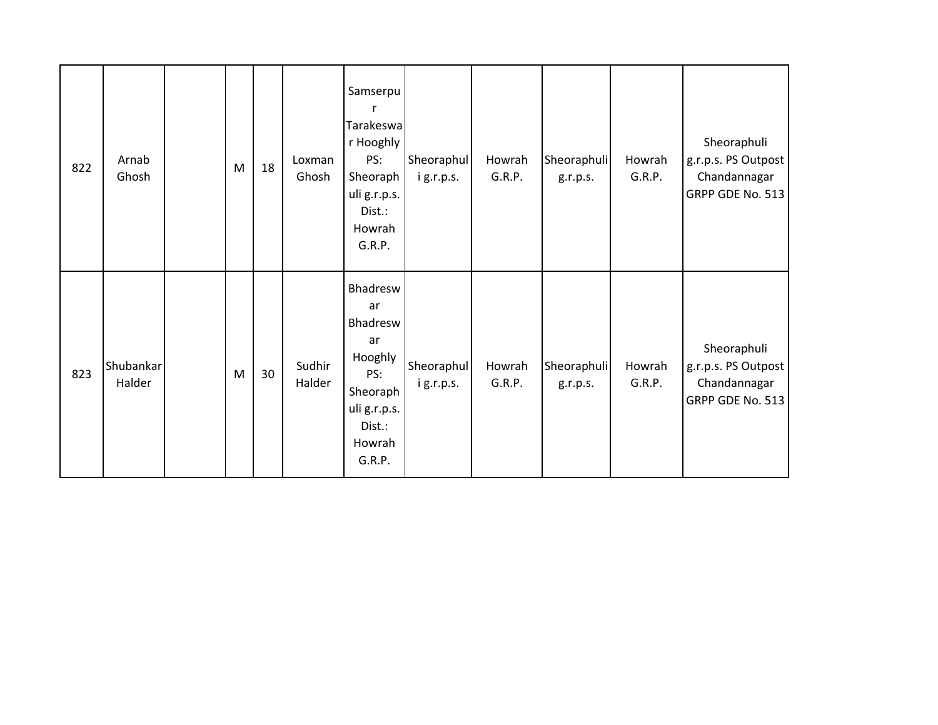| 822 | Arnab<br>Ghosh      | M         | 18 | Loxman<br>Ghosh  | Samserpu<br>Tarakeswa<br>r Hooghly<br>PS:<br>Sheoraph<br>uli g.r.p.s.<br>Dist.:<br>Howrah<br>G.R.P.          | Sheoraphul<br>ig.r.p.s. | Howrah<br>G.R.P. | Sheoraphuli<br>g.r.p.s. | Howrah<br>G.R.P. | Sheoraphuli<br>g.r.p.s. PS Outpost<br>Chandannagar<br>GRPP GDE No. 513 |
|-----|---------------------|-----------|----|------------------|--------------------------------------------------------------------------------------------------------------|-------------------------|------------------|-------------------------|------------------|------------------------------------------------------------------------|
| 823 | Shubankar<br>Halder | ${\sf M}$ | 30 | Sudhir<br>Halder | Bhadresw<br>ar<br>Bhadresw<br>ar<br>Hooghly<br>PS:<br>Sheoraph<br>uli g.r.p.s.<br>Dist.:<br>Howrah<br>G.R.P. | Sheoraphul<br>ig.r.p.s. | Howrah<br>G.R.P. | Sheoraphuli<br>g.r.p.s. | Howrah<br>G.R.P. | Sheoraphuli<br>g.r.p.s. PS Outpost<br>Chandannagar<br>GRPP GDE No. 513 |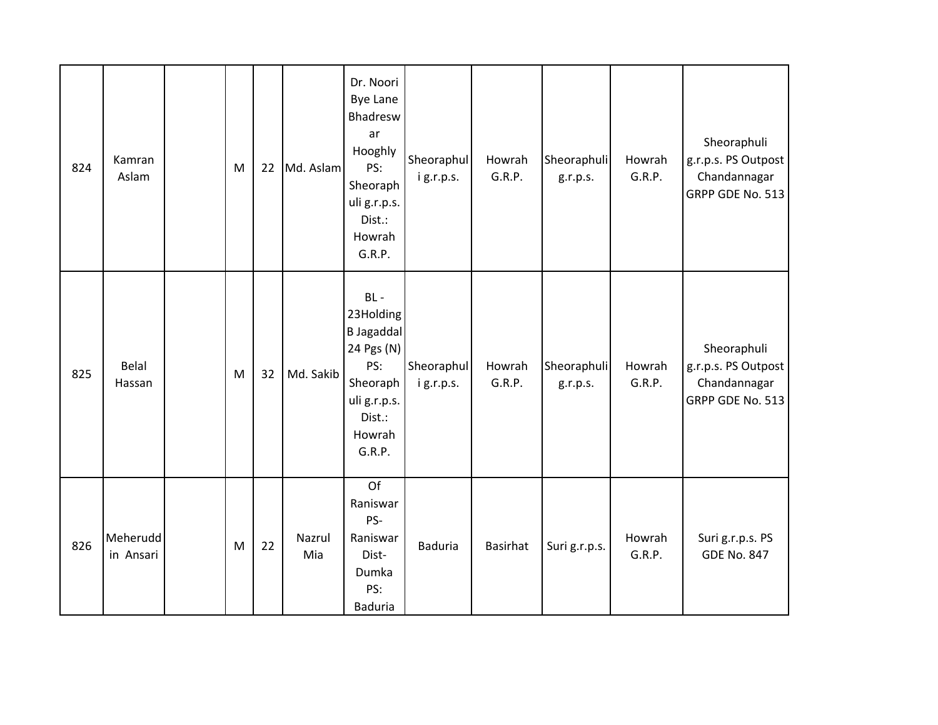| 824 | Kamran<br>Aslam       | M | 22 | Md. Aslam     | Dr. Noori<br><b>Bye Lane</b><br>Bhadresw<br>ar<br>Hooghly<br>PS:<br>Sheoraph<br>uli g.r.p.s.<br>Dist.:<br>Howrah<br>G.R.P. | Sheoraphul<br>ig.r.p.s. | Howrah<br>G.R.P. | Sheoraphuli<br>g.r.p.s. | Howrah<br>G.R.P. | Sheoraphuli<br>g.r.p.s. PS Outpost<br>Chandannagar<br>GRPP GDE No. 513 |
|-----|-----------------------|---|----|---------------|----------------------------------------------------------------------------------------------------------------------------|-------------------------|------------------|-------------------------|------------------|------------------------------------------------------------------------|
| 825 | Belal<br>Hassan       | M | 32 | Md. Sakib     | $BL -$<br>23Holding<br><b>B</b> Jagaddal<br>24 Pgs (N)<br>PS:<br>Sheoraph<br>uli g.r.p.s.<br>Dist.:<br>Howrah<br>G.R.P.    | Sheoraphul<br>ig.r.p.s. | Howrah<br>G.R.P. | Sheoraphuli<br>g.r.p.s. | Howrah<br>G.R.P. | Sheoraphuli<br>g.r.p.s. PS Outpost<br>Chandannagar<br>GRPP GDE No. 513 |
| 826 | Meherudd<br>in Ansari | M | 22 | Nazrul<br>Mia | Of<br>Raniswar<br>PS-<br>Raniswar<br>Dist-<br>Dumka<br>PS:<br><b>Baduria</b>                                               | <b>Baduria</b>          | <b>Basirhat</b>  | Suri g.r.p.s.           | Howrah<br>G.R.P. | Suri g.r.p.s. PS<br><b>GDE No. 847</b>                                 |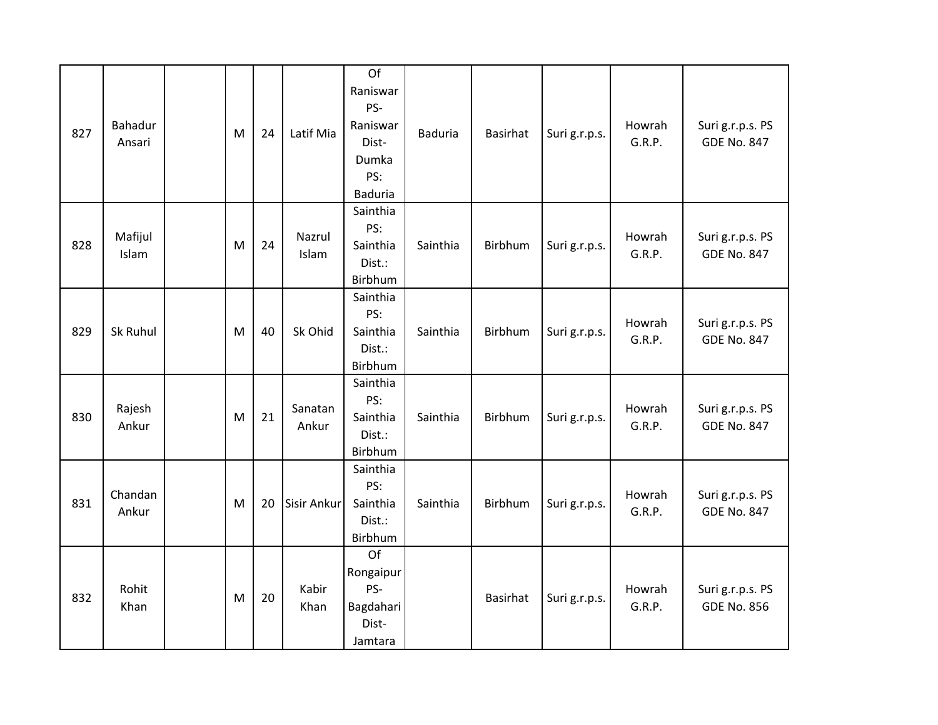| 827 | Bahadur<br>Ansari | M | 24 | Latif Mia          | Of<br>Raniswar<br>PS-<br>Raniswar<br>Dist-<br>Dumka<br>PS:<br><b>Baduria</b> | <b>Baduria</b> | <b>Basirhat</b> | Suri g.r.p.s. | Howrah<br>G.R.P. | Suri g.r.p.s. PS<br><b>GDE No. 847</b> |
|-----|-------------------|---|----|--------------------|------------------------------------------------------------------------------|----------------|-----------------|---------------|------------------|----------------------------------------|
| 828 | Mafijul<br>Islam  | M | 24 | Nazrul<br>Islam    | Sainthia<br>PS:<br>Sainthia<br>Dist.:<br>Birbhum                             | Sainthia       | Birbhum         | Suri g.r.p.s. | Howrah<br>G.R.P. | Suri g.r.p.s. PS<br><b>GDE No. 847</b> |
| 829 | Sk Ruhul          | M | 40 | Sk Ohid            | Sainthia<br>PS:<br>Sainthia<br>Dist.:<br>Birbhum                             | Sainthia       | Birbhum         | Suri g.r.p.s. | Howrah<br>G.R.P. | Suri g.r.p.s. PS<br><b>GDE No. 847</b> |
| 830 | Rajesh<br>Ankur   | M | 21 | Sanatan<br>Ankur   | Sainthia<br>PS:<br>Sainthia<br>Dist.:<br>Birbhum                             | Sainthia       | Birbhum         | Suri g.r.p.s. | Howrah<br>G.R.P. | Suri g.r.p.s. PS<br><b>GDE No. 847</b> |
| 831 | Chandan<br>Ankur  | M | 20 | <b>Sisir Ankur</b> | Sainthia<br>PS:<br>Sainthia<br>Dist.:<br>Birbhum                             | Sainthia       | Birbhum         | Suri g.r.p.s. | Howrah<br>G.R.P. | Suri g.r.p.s. PS<br><b>GDE No. 847</b> |
| 832 | Rohit<br>Khan     | M | 20 | Kabir<br>Khan      | Of<br>Rongaipur<br>PS-<br>Bagdahari<br>Dist-<br>Jamtara                      |                | Basirhat        | Suri g.r.p.s. | Howrah<br>G.R.P. | Suri g.r.p.s. PS<br><b>GDE No. 856</b> |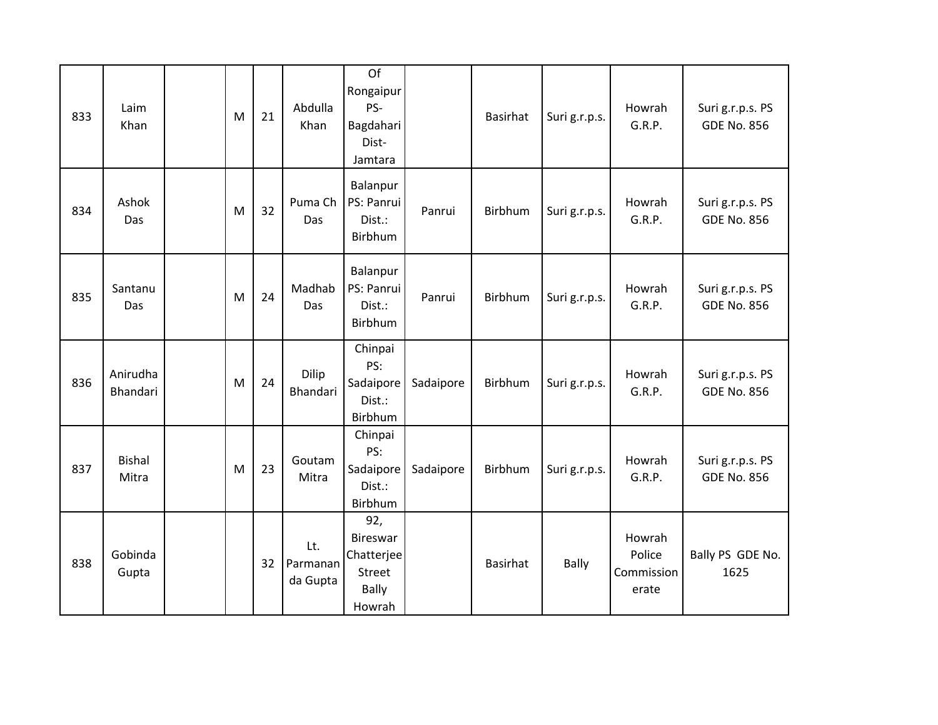| 833 | Laim<br>Khan           | M | 21 | Abdulla<br>Khan             | Of<br>Rongaipur<br>PS-<br>Bagdahari<br>Dist-<br>Jamtara                  |           | Basirhat | Suri g.r.p.s. | Howrah<br>G.R.P.                        | Suri g.r.p.s. PS<br><b>GDE No. 856</b> |
|-----|------------------------|---|----|-----------------------------|--------------------------------------------------------------------------|-----------|----------|---------------|-----------------------------------------|----------------------------------------|
| 834 | Ashok<br>Das           | M | 32 | Puma Ch<br>Das              | Balanpur<br>PS: Panrui<br>Dist.:<br>Birbhum                              | Panrui    | Birbhum  | Suri g.r.p.s. | Howrah<br>G.R.P.                        | Suri g.r.p.s. PS<br><b>GDE No. 856</b> |
| 835 | Santanu<br>Das         | M | 24 | Madhab<br>Das               | Balanpur<br>PS: Panrui<br>Dist.:<br>Birbhum                              | Panrui    | Birbhum  | Suri g.r.p.s. | Howrah<br>G.R.P.                        | Suri g.r.p.s. PS<br><b>GDE No. 856</b> |
| 836 | Anirudha<br>Bhandari   | M | 24 | <b>Dilip</b><br>Bhandari    | Chinpai<br>PS:<br>Sadaipore<br>Dist.:<br>Birbhum                         | Sadaipore | Birbhum  | Suri g.r.p.s. | Howrah<br>G.R.P.                        | Suri g.r.p.s. PS<br><b>GDE No. 856</b> |
| 837 | <b>Bishal</b><br>Mitra | M | 23 | Goutam<br>Mitra             | Chinpai<br>PS:<br>Sadaipore<br>Dist.:<br>Birbhum                         | Sadaipore | Birbhum  | Suri g.r.p.s. | Howrah<br>G.R.P.                        | Suri g.r.p.s. PS<br><b>GDE No. 856</b> |
| 838 | Gobinda<br>Gupta       |   | 32 | Lt.<br>Parmanan<br>da Gupta | 92,<br>Bireswar<br>Chatterjee<br><b>Street</b><br><b>Bally</b><br>Howrah |           | Basirhat | <b>Bally</b>  | Howrah<br>Police<br>Commission<br>erate | Bally PS GDE No.<br>1625               |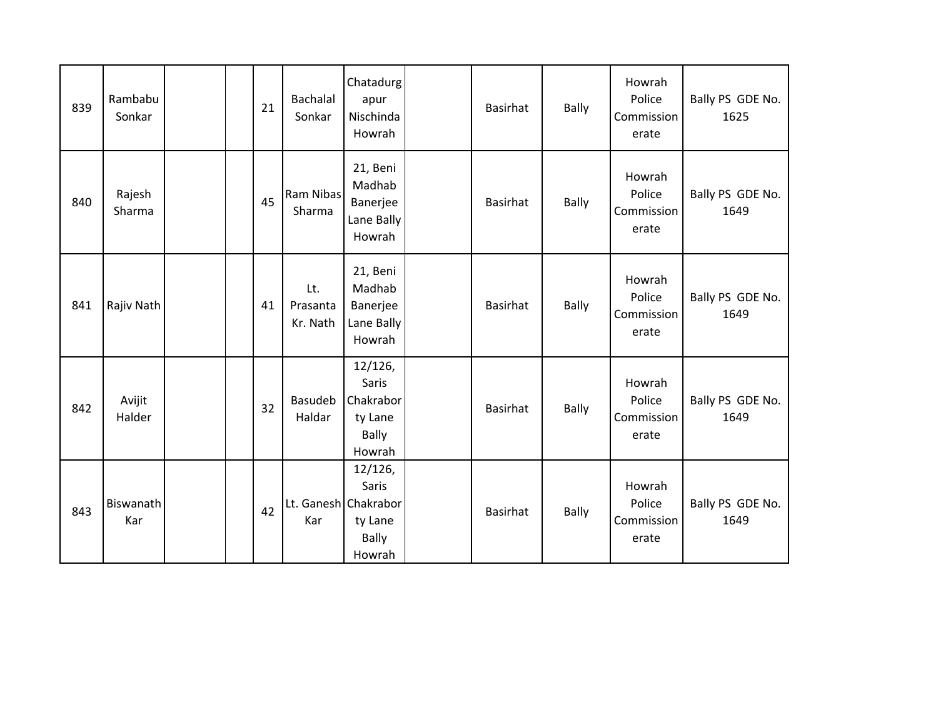| 839 | Rambabu<br>Sonkar |  | 21 | Bachalal<br>Sonkar          | Chatadurg<br>apur<br>Nischinda<br>Howrah                           | <b>Basirhat</b> | <b>Bally</b> | Howrah<br>Police<br>Commission<br>erate | Bally PS GDE No.<br>1625 |
|-----|-------------------|--|----|-----------------------------|--------------------------------------------------------------------|-----------------|--------------|-----------------------------------------|--------------------------|
| 840 | Rajesh<br>Sharma  |  | 45 | <b>Ram Nibas</b><br>Sharma  | 21, Beni<br>Madhab<br>Banerjee<br>Lane Bally<br>Howrah             | <b>Basirhat</b> | <b>Bally</b> | Howrah<br>Police<br>Commission<br>erate | Bally PS GDE No.<br>1649 |
| 841 | Rajiv Nath        |  | 41 | Lt.<br>Prasanta<br>Kr. Nath | 21, Beni<br>Madhab<br>Banerjee<br>Lane Bally<br>Howrah             | <b>Basirhat</b> | <b>Bally</b> | Howrah<br>Police<br>Commission<br>erate | Bally PS GDE No.<br>1649 |
| 842 | Avijit<br>Halder  |  | 32 | Basudeb<br>Haldar           | 12/126,<br>Saris<br>Chakrabor<br>ty Lane<br><b>Bally</b><br>Howrah | <b>Basirhat</b> | <b>Bally</b> | Howrah<br>Police<br>Commission<br>erate | Bally PS GDE No.<br>1649 |
| 843 | Biswanath<br>Kar  |  | 42 | Lt. Ganesh Chakrabor<br>Kar | 12/126,<br>Saris<br>ty Lane<br><b>Bally</b><br>Howrah              | <b>Basirhat</b> | <b>Bally</b> | Howrah<br>Police<br>Commission<br>erate | Bally PS GDE No.<br>1649 |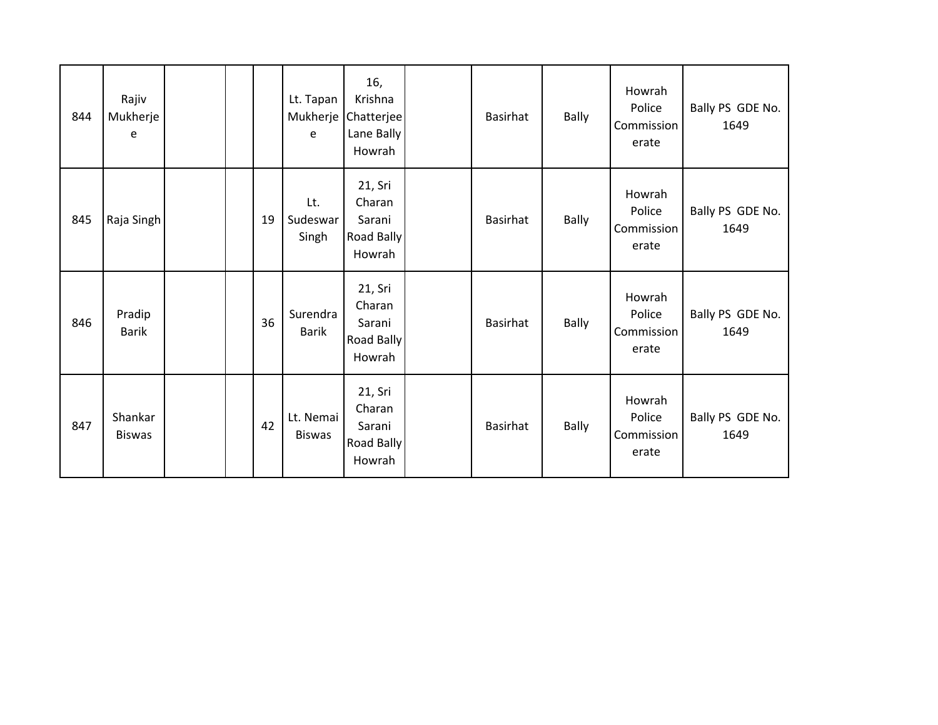| 844 | Rajiv<br>Mukherje<br>e   |  |    | Lt. Tapan<br>e             | 16,<br>Krishna<br>Mukherje Chatterjee<br>Lane Bally<br>Howrah | Basirhat        | <b>Bally</b> | Howrah<br>Police<br>Commission<br>erate        | Bally PS GDE No.<br>1649 |
|-----|--------------------------|--|----|----------------------------|---------------------------------------------------------------|-----------------|--------------|------------------------------------------------|--------------------------|
| 845 | Raja Singh               |  | 19 | Lt.<br>Sudeswar<br>Singh   | 21, Sri<br>Charan<br>Sarani<br>Road Bally<br>Howrah           | <b>Basirhat</b> | <b>Bally</b> | Howrah<br>Police<br>Commission<br>erate        | Bally PS GDE No.<br>1649 |
| 846 | Pradip<br><b>Barik</b>   |  | 36 | Surendra<br><b>Barik</b>   | 21, Sri<br>Charan<br>Sarani<br>Road Bally<br>Howrah           | <b>Basirhat</b> | Bally        | Howrah<br>Police<br><b>Commission</b><br>erate | Bally PS GDE No.<br>1649 |
| 847 | Shankar<br><b>Biswas</b> |  | 42 | Lt. Nemai<br><b>Biswas</b> | 21, Sri<br>Charan<br>Sarani<br>Road Bally<br>Howrah           | <b>Basirhat</b> | Bally        | Howrah<br>Police<br><b>Commission</b><br>erate | Bally PS GDE No.<br>1649 |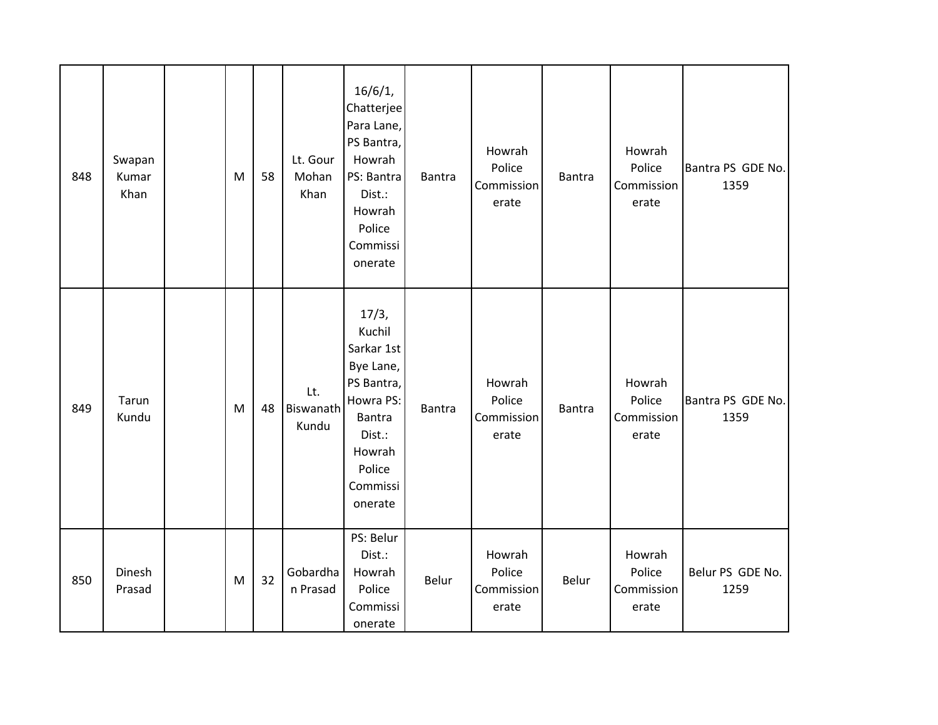| 848 | Swapan<br>Kumar<br>Khan | ${\sf M}$ | 58 | Lt. Gour<br>Mohan<br>Khan | 16/6/1,<br>Chatterjee<br>Para Lane,<br>PS Bantra,<br>Howrah<br>PS: Bantra<br>Dist.:<br>Howrah<br>Police<br>Commissi<br>onerate              | Bantra | Howrah<br>Police<br>Commission<br>erate | <b>Bantra</b> | Howrah<br>Police<br>Commission<br>erate | Bantra PS GDE No.<br>1359 |
|-----|-------------------------|-----------|----|---------------------------|---------------------------------------------------------------------------------------------------------------------------------------------|--------|-----------------------------------------|---------------|-----------------------------------------|---------------------------|
| 849 | Tarun<br>Kundu          | M         | 48 | Lt.<br>Biswanath<br>Kundu | 17/3,<br>Kuchil<br>Sarkar 1st<br>Bye Lane,<br>PS Bantra,<br>Howra PS:<br><b>Bantra</b><br>Dist.:<br>Howrah<br>Police<br>Commissi<br>onerate | Bantra | Howrah<br>Police<br>Commission<br>erate | <b>Bantra</b> | Howrah<br>Police<br>Commission<br>erate | Bantra PS GDE No.<br>1359 |
| 850 | Dinesh<br>Prasad        | ${\sf M}$ | 32 | Gobardha<br>n Prasad      | PS: Belur<br>Dist.:<br>Howrah<br>Police<br>Commissi<br>onerate                                                                              | Belur  | Howrah<br>Police<br>Commission<br>erate | Belur         | Howrah<br>Police<br>Commission<br>erate | Belur PS GDE No.<br>1259  |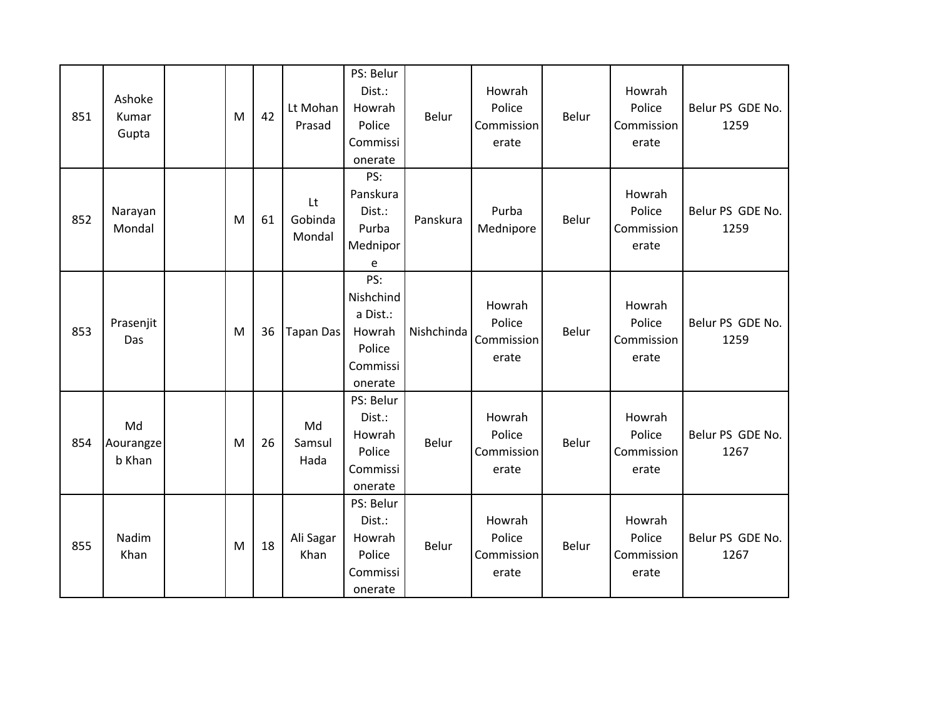| 851 | Ashoke<br>Kumar<br>Gupta  | M | 42 | Lt Mohan<br>Prasad      | PS: Belur<br>Dist.:<br>Howrah<br>Police<br>Commissi<br>onerate          | Belur      | Howrah<br>Police<br>Commission<br>erate | Belur | Howrah<br>Police<br>Commission<br>erate | Belur PS GDE No.<br>1259 |
|-----|---------------------------|---|----|-------------------------|-------------------------------------------------------------------------|------------|-----------------------------------------|-------|-----------------------------------------|--------------------------|
| 852 | Narayan<br>Mondal         | M | 61 | Lt<br>Gobinda<br>Mondal | PS:<br>Panskura<br>Dist.:<br>Purba<br>Mednipor<br>e                     | Panskura   | Purba<br>Mednipore                      | Belur | Howrah<br>Police<br>Commission<br>erate | Belur PS GDE No.<br>1259 |
| 853 | Prasenjit<br>Das          | M | 36 | <b>Tapan Das</b>        | PS:<br>Nishchind<br>a Dist.:<br>Howrah<br>Police<br>Commissi<br>onerate | Nishchinda | Howrah<br>Police<br>Commission<br>erate | Belur | Howrah<br>Police<br>Commission<br>erate | Belur PS GDE No.<br>1259 |
| 854 | Md<br>Aourangze<br>b Khan | M | 26 | Md<br>Samsul<br>Hada    | PS: Belur<br>Dist.:<br>Howrah<br>Police<br>Commissi<br>onerate          | Belur      | Howrah<br>Police<br>Commission<br>erate | Belur | Howrah<br>Police<br>Commission<br>erate | Belur PS GDE No.<br>1267 |
| 855 | Nadim<br>Khan             | M | 18 | Ali Sagar<br>Khan       | PS: Belur<br>Dist.:<br>Howrah<br>Police<br>Commissi<br>onerate          | Belur      | Howrah<br>Police<br>Commission<br>erate | Belur | Howrah<br>Police<br>Commission<br>erate | Belur PS GDE No.<br>1267 |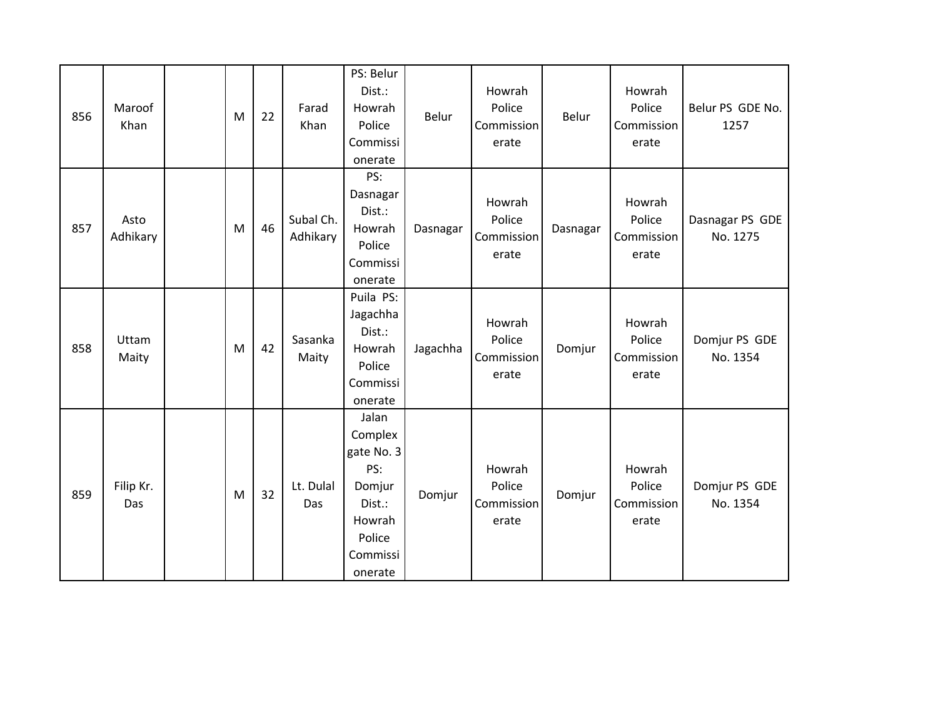| 856 | Maroof<br>Khan   | M | 22 | Farad<br>Khan         | PS: Belur<br>Dist.:<br>Howrah<br>Police<br>Commissi<br>onerate                                       | Belur    | Howrah<br>Police<br>Commission<br>erate | Belur    | Howrah<br>Police<br>Commission<br>erate | Belur PS GDE No.<br>1257    |
|-----|------------------|---|----|-----------------------|------------------------------------------------------------------------------------------------------|----------|-----------------------------------------|----------|-----------------------------------------|-----------------------------|
| 857 | Asto<br>Adhikary | M | 46 | Subal Ch.<br>Adhikary | PS:<br>Dasnagar<br>Dist.:<br>Howrah<br>Police<br>Commissi<br>onerate                                 | Dasnagar | Howrah<br>Police<br>Commission<br>erate | Dasnagar | Howrah<br>Police<br>Commission<br>erate | Dasnagar PS GDE<br>No. 1275 |
| 858 | Uttam<br>Maity   | M | 42 | Sasanka<br>Maity      | Puila PS:<br>Jagachha<br>Dist.:<br>Howrah<br>Police<br>Commissi<br>onerate                           | Jagachha | Howrah<br>Police<br>Commission<br>erate | Domjur   | Howrah<br>Police<br>Commission<br>erate | Domjur PS GDE<br>No. 1354   |
| 859 | Filip Kr.<br>Das | M | 32 | Lt. Dulal<br>Das      | Jalan<br>Complex<br>gate No. 3<br>PS:<br>Domjur<br>Dist.:<br>Howrah<br>Police<br>Commissi<br>onerate | Domjur   | Howrah<br>Police<br>Commission<br>erate | Domjur   | Howrah<br>Police<br>Commission<br>erate | Domjur PS GDE<br>No. 1354   |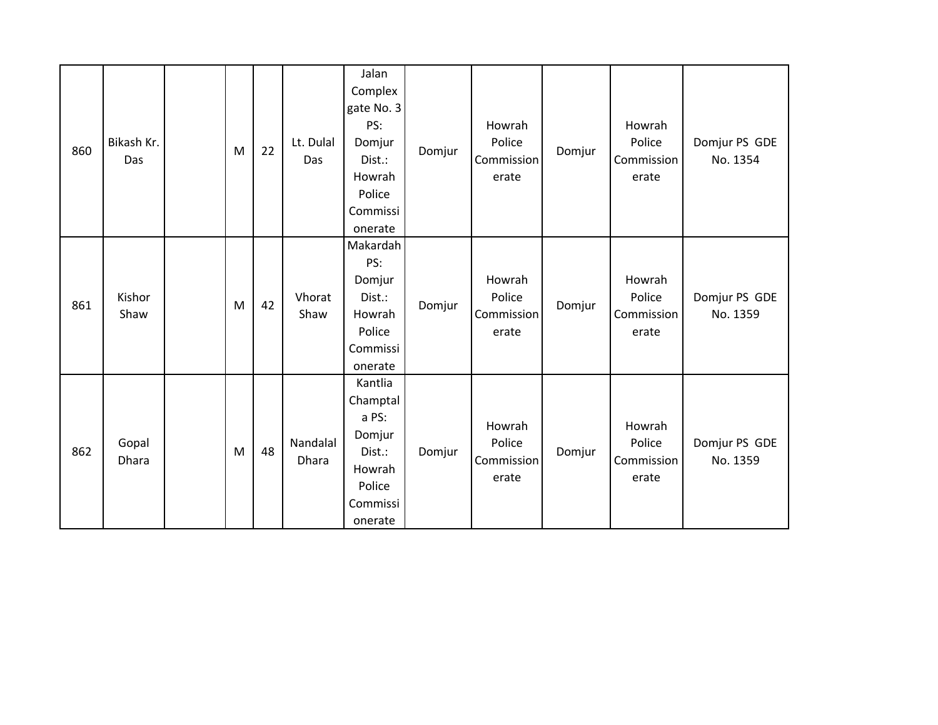| 860 | Bikash Kr.<br>Das | M | 22 | Lt. Dulal<br>Das  | Jalan<br>Complex<br>gate No. 3<br>PS:<br>Domjur<br>Dist.:<br>Howrah<br>Police<br>Commissi<br>onerate | Domjur | Howrah<br>Police<br>Commission<br>erate | Domjur | Howrah<br>Police<br>Commission<br>erate | Domjur PS GDE<br>No. 1354 |
|-----|-------------------|---|----|-------------------|------------------------------------------------------------------------------------------------------|--------|-----------------------------------------|--------|-----------------------------------------|---------------------------|
| 861 | Kishor<br>Shaw    | M | 42 | Vhorat<br>Shaw    | Makardah<br>PS:<br>Domjur<br>Dist.:<br>Howrah<br>Police<br>Commissi<br>onerate                       | Domjur | Howrah<br>Police<br>Commission<br>erate | Domjur | Howrah<br>Police<br>Commission<br>erate | Domjur PS GDE<br>No. 1359 |
| 862 | Gopal<br>Dhara    | M | 48 | Nandalal<br>Dhara | Kantlia<br>Champtal<br>a PS:<br>Domjur<br>Dist.:<br>Howrah<br>Police<br>Commissi<br>onerate          | Domjur | Howrah<br>Police<br>Commission<br>erate | Domjur | Howrah<br>Police<br>Commission<br>erate | Domjur PS GDE<br>No. 1359 |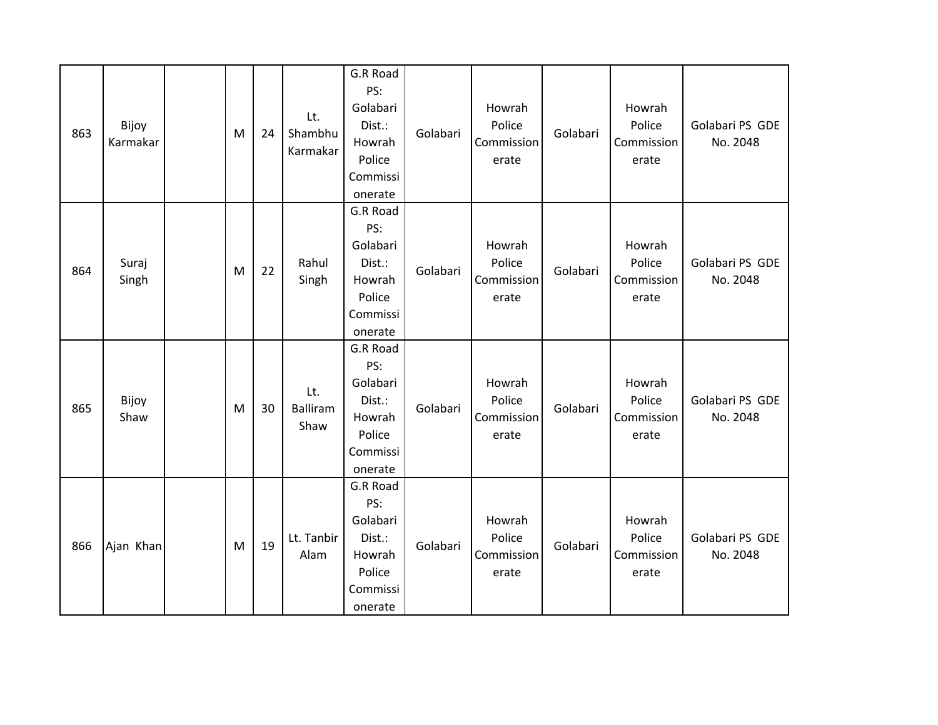| 863 | Bijoy<br>Karmakar | M | 24 | Lt.<br>Shambhu<br>Karmakar     | G.R Road<br>PS:<br>Golabari<br>Dist.:<br>Howrah<br>Police<br>Commissi<br>onerate | Golabari | Howrah<br>Police<br>Commission<br>erate | Golabari | Howrah<br>Police<br>Commission<br>erate | Golabari PS GDE<br>No. 2048 |
|-----|-------------------|---|----|--------------------------------|----------------------------------------------------------------------------------|----------|-----------------------------------------|----------|-----------------------------------------|-----------------------------|
| 864 | Suraj<br>Singh    | M | 22 | Rahul<br>Singh                 | G.R Road<br>PS:<br>Golabari<br>Dist.:<br>Howrah<br>Police<br>Commissi<br>onerate | Golabari | Howrah<br>Police<br>Commission<br>erate | Golabari | Howrah<br>Police<br>Commission<br>erate | Golabari PS GDE<br>No. 2048 |
| 865 | Bijoy<br>Shaw     | M | 30 | Lt.<br><b>Balliram</b><br>Shaw | G.R Road<br>PS:<br>Golabari<br>Dist.:<br>Howrah<br>Police<br>Commissi<br>onerate | Golabari | Howrah<br>Police<br>Commission<br>erate | Golabari | Howrah<br>Police<br>Commission<br>erate | Golabari PS GDE<br>No. 2048 |
| 866 | Ajan Khan         | M | 19 | Lt. Tanbir<br>Alam             | G.R Road<br>PS:<br>Golabari<br>Dist.:<br>Howrah<br>Police<br>Commissi<br>onerate | Golabari | Howrah<br>Police<br>Commission<br>erate | Golabari | Howrah<br>Police<br>Commission<br>erate | Golabari PS GDE<br>No. 2048 |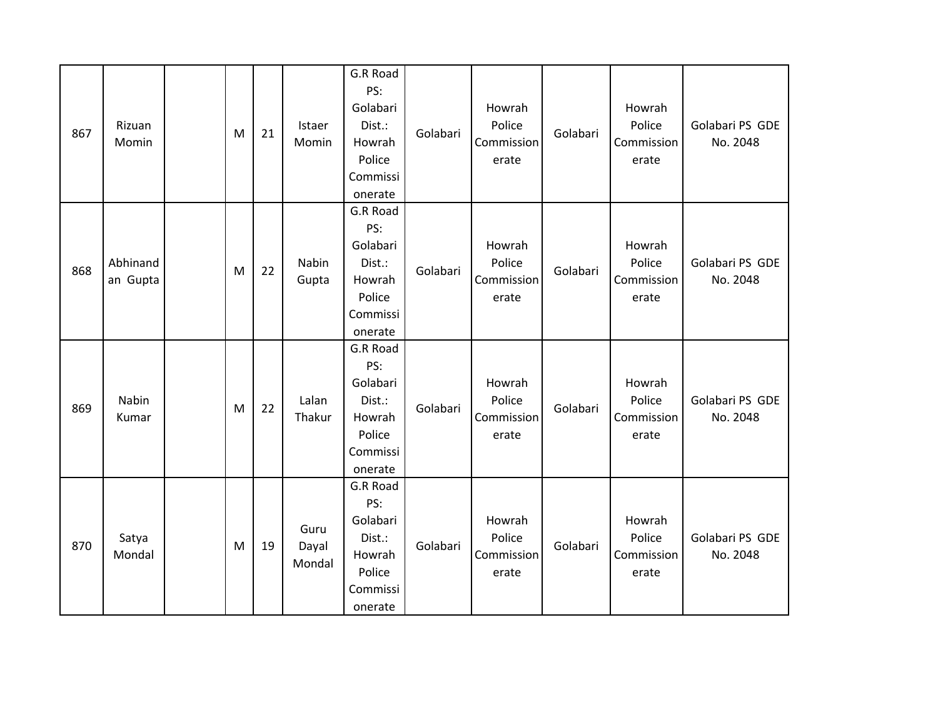| 867 | Rizuan<br>Momin      | M | 21 | Istaer<br>Momin         | G.R Road<br>PS:<br>Golabari<br>Dist.:<br>Howrah<br>Police<br>Commissi<br>onerate | Golabari | Howrah<br>Police<br>Commission<br>erate | Golabari | Howrah<br>Police<br>Commission<br>erate | Golabari PS GDE<br>No. 2048 |
|-----|----------------------|---|----|-------------------------|----------------------------------------------------------------------------------|----------|-----------------------------------------|----------|-----------------------------------------|-----------------------------|
| 868 | Abhinand<br>an Gupta | M | 22 | Nabin<br>Gupta          | G.R Road<br>PS:<br>Golabari<br>Dist.:<br>Howrah<br>Police<br>Commissi<br>onerate | Golabari | Howrah<br>Police<br>Commission<br>erate | Golabari | Howrah<br>Police<br>Commission<br>erate | Golabari PS GDE<br>No. 2048 |
| 869 | Nabin<br>Kumar       | M | 22 | Lalan<br>Thakur         | G.R Road<br>PS:<br>Golabari<br>Dist.:<br>Howrah<br>Police<br>Commissi<br>onerate | Golabari | Howrah<br>Police<br>Commission<br>erate | Golabari | Howrah<br>Police<br>Commission<br>erate | Golabari PS GDE<br>No. 2048 |
| 870 | Satya<br>Mondal      | M | 19 | Guru<br>Dayal<br>Mondal | G.R Road<br>PS:<br>Golabari<br>Dist.:<br>Howrah<br>Police<br>Commissi<br>onerate | Golabari | Howrah<br>Police<br>Commission<br>erate | Golabari | Howrah<br>Police<br>Commission<br>erate | Golabari PS GDE<br>No. 2048 |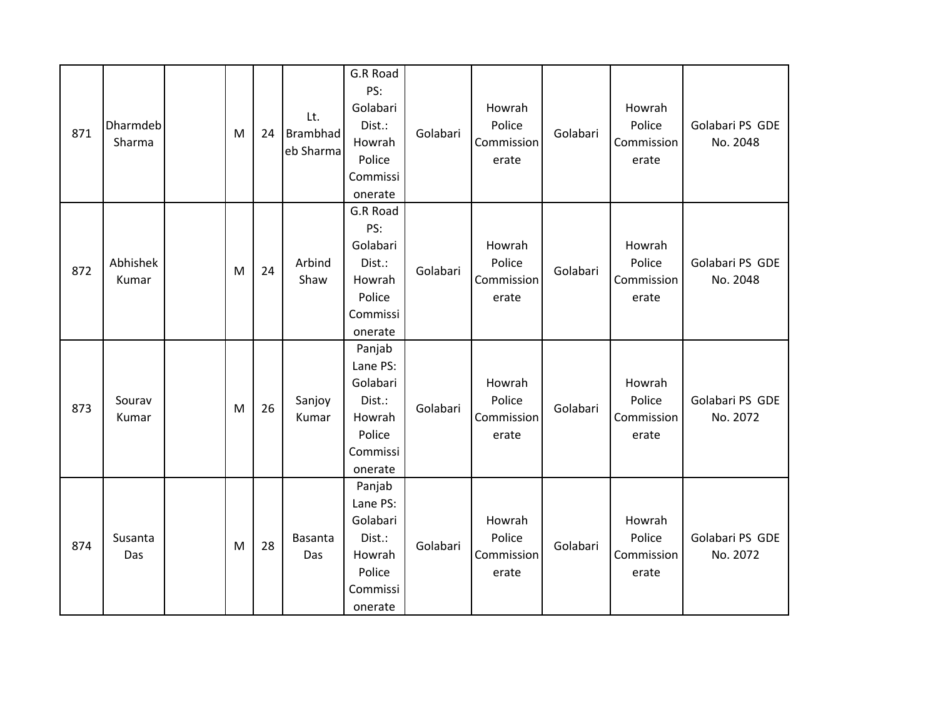| 871 | Dharmdeb<br>Sharma | M | 24 | Lt.<br>Brambhad<br>eb Sharma | G.R Road<br>PS:<br>Golabari<br>Dist.:<br>Howrah<br>Police<br>Commissi<br>onerate    | Golabari | Howrah<br>Police<br>Commission<br>erate | Golabari | Howrah<br>Police<br>Commission<br>erate | Golabari PS GDE<br>No. 2048 |
|-----|--------------------|---|----|------------------------------|-------------------------------------------------------------------------------------|----------|-----------------------------------------|----------|-----------------------------------------|-----------------------------|
| 872 | Abhishek<br>Kumar  | M | 24 | Arbind<br>Shaw               | G.R Road<br>PS:<br>Golabari<br>Dist.:<br>Howrah<br>Police<br>Commissi<br>onerate    | Golabari | Howrah<br>Police<br>Commission<br>erate | Golabari | Howrah<br>Police<br>Commission<br>erate | Golabari PS GDE<br>No. 2048 |
| 873 | Sourav<br>Kumar    | M | 26 | Sanjoy<br>Kumar              | Panjab<br>Lane PS:<br>Golabari<br>Dist.:<br>Howrah<br>Police<br>Commissi<br>onerate | Golabari | Howrah<br>Police<br>Commission<br>erate | Golabari | Howrah<br>Police<br>Commission<br>erate | Golabari PS GDE<br>No. 2072 |
| 874 | Susanta<br>Das     | M | 28 | Basanta<br>Das               | Panjab<br>Lane PS:<br>Golabari<br>Dist.:<br>Howrah<br>Police<br>Commissi<br>onerate | Golabari | Howrah<br>Police<br>Commission<br>erate | Golabari | Howrah<br>Police<br>Commission<br>erate | Golabari PS GDE<br>No. 2072 |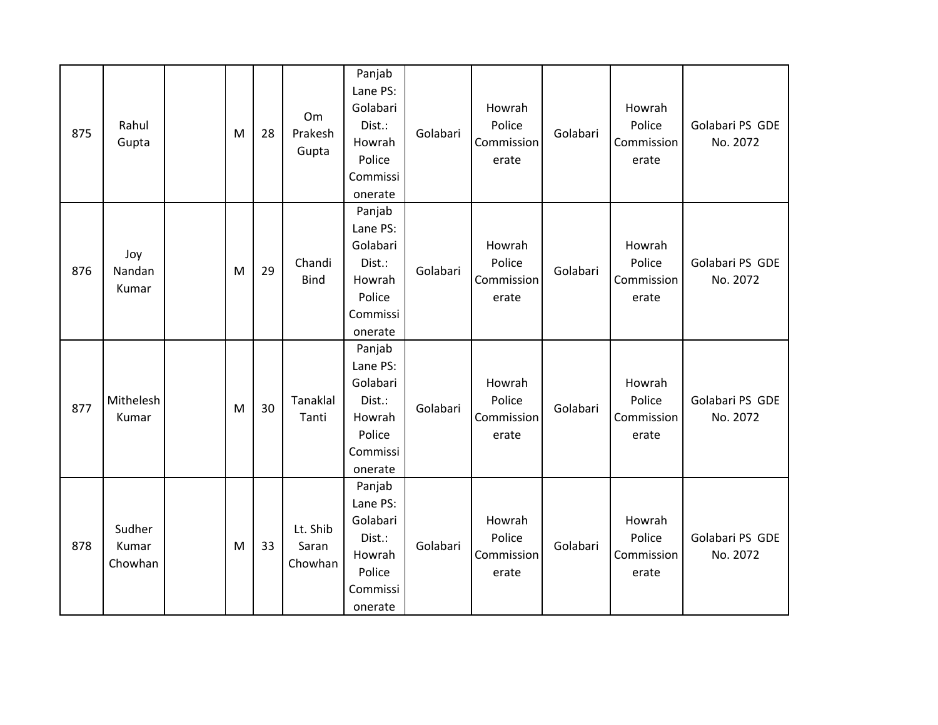| 875 | Rahul<br>Gupta             | M | 28 | Om<br>Prakesh<br>Gupta       | Panjab<br>Lane PS:<br>Golabari<br>Dist.:<br>Howrah<br>Police<br>Commissi<br>onerate | Golabari | Howrah<br>Police<br>Commission<br>erate | Golabari | Howrah<br>Police<br>Commission<br>erate | Golabari PS GDE<br>No. 2072 |
|-----|----------------------------|---|----|------------------------------|-------------------------------------------------------------------------------------|----------|-----------------------------------------|----------|-----------------------------------------|-----------------------------|
| 876 | Joy<br>Nandan<br>Kumar     | M | 29 | Chandi<br><b>Bind</b>        | Panjab<br>Lane PS:<br>Golabari<br>Dist.:<br>Howrah<br>Police<br>Commissi<br>onerate | Golabari | Howrah<br>Police<br>Commission<br>erate | Golabari | Howrah<br>Police<br>Commission<br>erate | Golabari PS GDE<br>No. 2072 |
| 877 | Mithelesh<br>Kumar         | M | 30 | <b>Tanaklal</b><br>Tanti     | Panjab<br>Lane PS:<br>Golabari<br>Dist.:<br>Howrah<br>Police<br>Commissi<br>onerate | Golabari | Howrah<br>Police<br>Commission<br>erate | Golabari | Howrah<br>Police<br>Commission<br>erate | Golabari PS GDE<br>No. 2072 |
| 878 | Sudher<br>Kumar<br>Chowhan | M | 33 | Lt. Shib<br>Saran<br>Chowhan | Panjab<br>Lane PS:<br>Golabari<br>Dist.:<br>Howrah<br>Police<br>Commissi<br>onerate | Golabari | Howrah<br>Police<br>Commission<br>erate | Golabari | Howrah<br>Police<br>Commission<br>erate | Golabari PS GDE<br>No. 2072 |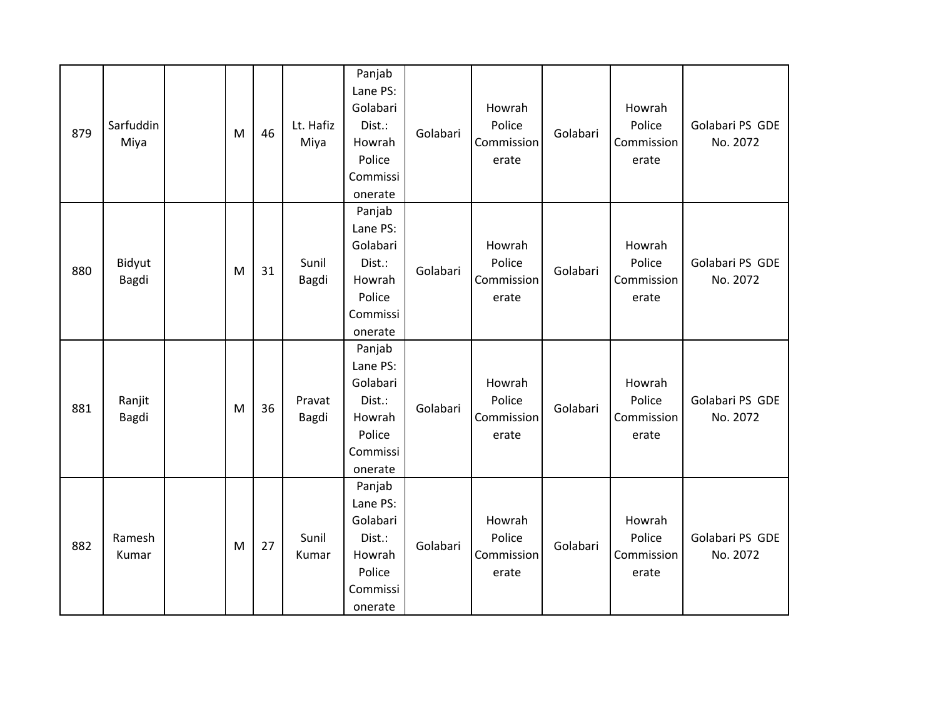| 879 | Sarfuddin<br>Miya | M | 46 | Lt. Hafiz<br>Miya | Panjab<br>Lane PS:<br>Golabari<br>Dist.:<br>Howrah<br>Police<br>Commissi<br>onerate | Golabari | Howrah<br>Police<br>Commission<br>erate | Golabari | Howrah<br>Police<br>Commission<br>erate | Golabari PS GDE<br>No. 2072 |
|-----|-------------------|---|----|-------------------|-------------------------------------------------------------------------------------|----------|-----------------------------------------|----------|-----------------------------------------|-----------------------------|
| 880 | Bidyut<br>Bagdi   | M | 31 | Sunil<br>Bagdi    | Panjab<br>Lane PS:<br>Golabari<br>Dist.:<br>Howrah<br>Police<br>Commissi<br>onerate | Golabari | Howrah<br>Police<br>Commission<br>erate | Golabari | Howrah<br>Police<br>Commission<br>erate | Golabari PS GDE<br>No. 2072 |
| 881 | Ranjit<br>Bagdi   | M | 36 | Pravat<br>Bagdi   | Panjab<br>Lane PS:<br>Golabari<br>Dist.:<br>Howrah<br>Police<br>Commissi<br>onerate | Golabari | Howrah<br>Police<br>Commission<br>erate | Golabari | Howrah<br>Police<br>Commission<br>erate | Golabari PS GDE<br>No. 2072 |
| 882 | Ramesh<br>Kumar   | M | 27 | Sunil<br>Kumar    | Panjab<br>Lane PS:<br>Golabari<br>Dist.:<br>Howrah<br>Police<br>Commissi<br>onerate | Golabari | Howrah<br>Police<br>Commission<br>erate | Golabari | Howrah<br>Police<br>Commission<br>erate | Golabari PS GDE<br>No. 2072 |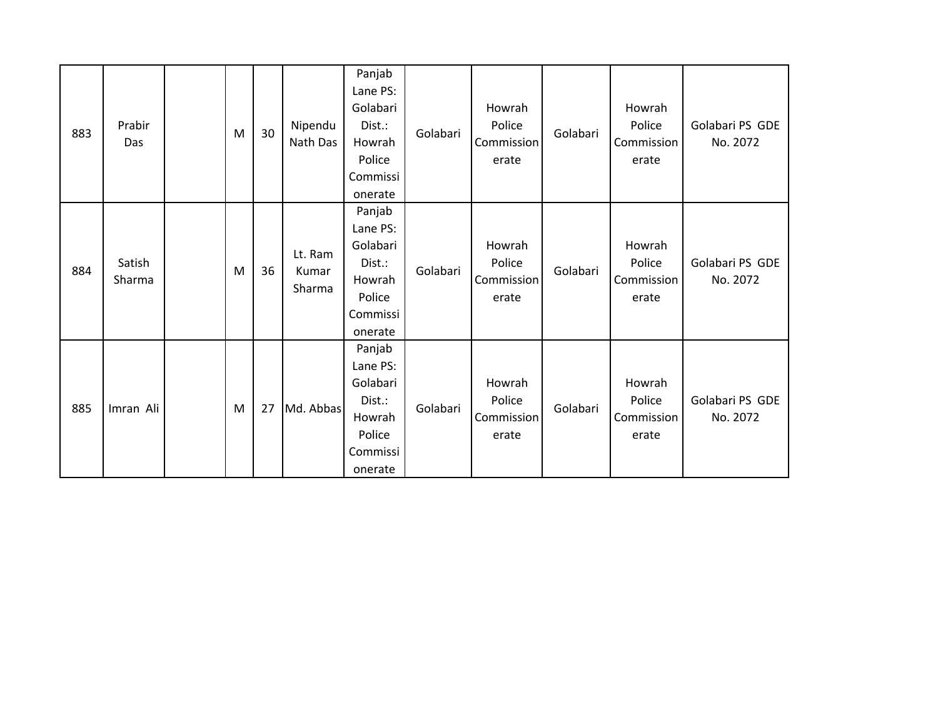| 883 | Prabir<br>Das    | M | 30 | Nipendu<br>Nath Das        | Panjab<br>Lane PS:<br>Golabari<br>Dist.:<br>Howrah<br>Police<br>Commissi<br>onerate | Golabari | Howrah<br>Police<br>Commission<br>erate | Golabari | Howrah<br>Police<br><b>Commission</b><br>erate | Golabari PS GDE<br>No. 2072 |
|-----|------------------|---|----|----------------------------|-------------------------------------------------------------------------------------|----------|-----------------------------------------|----------|------------------------------------------------|-----------------------------|
| 884 | Satish<br>Sharma | M | 36 | Lt. Ram<br>Kumar<br>Sharma | Panjab<br>Lane PS:<br>Golabari<br>Dist.:<br>Howrah<br>Police<br>Commissi<br>onerate | Golabari | Howrah<br>Police<br>Commission<br>erate | Golabari | Howrah<br>Police<br>Commission<br>erate        | Golabari PS GDE<br>No. 2072 |
| 885 | Imran Ali        | M | 27 | Md. Abbas                  | Panjab<br>Lane PS:<br>Golabari<br>Dist.:<br>Howrah<br>Police<br>Commissi<br>onerate | Golabari | Howrah<br>Police<br>Commission<br>erate | Golabari | Howrah<br>Police<br>Commission<br>erate        | Golabari PS GDE<br>No. 2072 |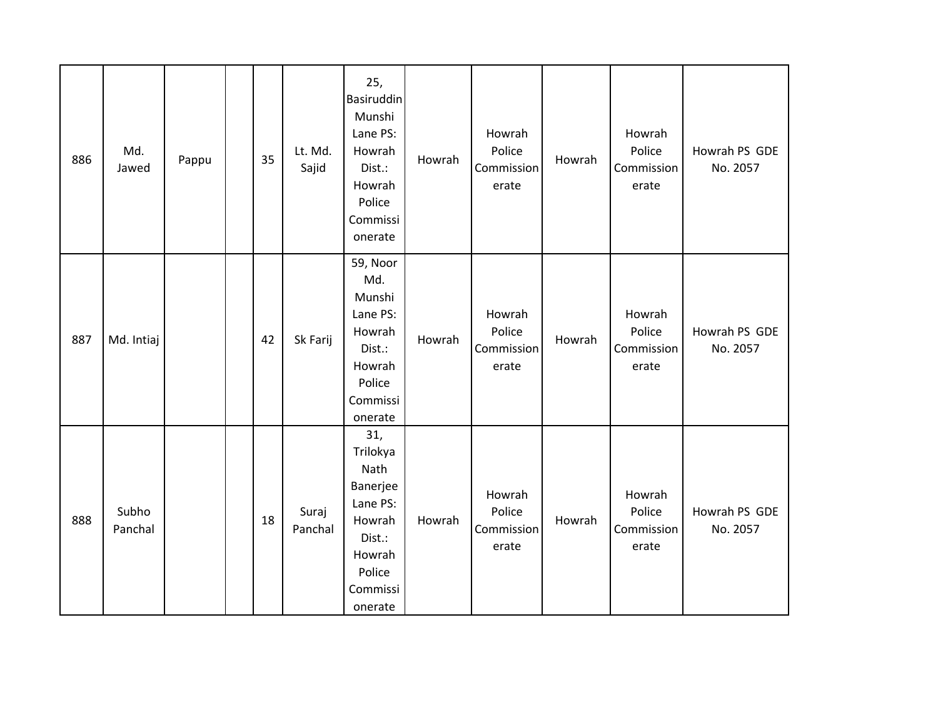| 886 | Md.<br>Jawed     | Pappu | 35 | Lt. Md.<br>Sajid | 25,<br>Basiruddin<br>Munshi<br>Lane PS:<br>Howrah<br>Dist.:<br>Howrah<br>Police<br>Commissi<br>onerate         | Howrah | Howrah<br>Police<br>Commission<br>erate | Howrah | Howrah<br>Police<br>Commission<br>erate | Howrah PS GDE<br>No. 2057 |
|-----|------------------|-------|----|------------------|----------------------------------------------------------------------------------------------------------------|--------|-----------------------------------------|--------|-----------------------------------------|---------------------------|
| 887 | Md. Intiaj       |       | 42 | Sk Farij         | 59, Noor<br>Md.<br>Munshi<br>Lane PS:<br>Howrah<br>Dist.:<br>Howrah<br>Police<br>Commissi<br>onerate           | Howrah | Howrah<br>Police<br>Commission<br>erate | Howrah | Howrah<br>Police<br>Commission<br>erate | Howrah PS GDE<br>No. 2057 |
| 888 | Subho<br>Panchal |       | 18 | Suraj<br>Panchal | 31,<br>Trilokya<br>Nath<br>Banerjee<br>Lane PS:<br>Howrah<br>Dist.:<br>Howrah<br>Police<br>Commissi<br>onerate | Howrah | Howrah<br>Police<br>Commission<br>erate | Howrah | Howrah<br>Police<br>Commission<br>erate | Howrah PS GDE<br>No. 2057 |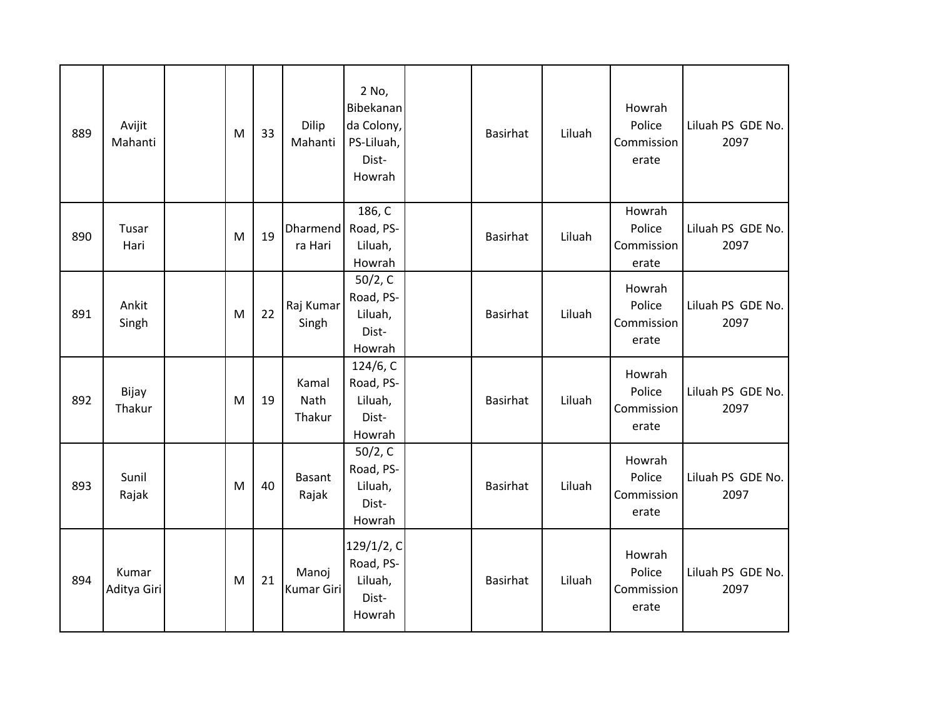| 889 | Avijit<br>Mahanti    | M | 33 | Dilip<br>Mahanti           | 2 No,<br>Bibekanan<br>da Colony,<br>PS-Liluah,<br>Dist-<br>Howrah | <b>Basirhat</b> | Liluah | Howrah<br>Police<br>Commission<br>erate | Liluah PS GDE No.<br>2097 |
|-----|----------------------|---|----|----------------------------|-------------------------------------------------------------------|-----------------|--------|-----------------------------------------|---------------------------|
| 890 | Tusar<br>Hari        | M | 19 | Dharmend<br>ra Hari        | 186, C<br>Road, PS-<br>Liluah,<br>Howrah                          | <b>Basirhat</b> | Liluah | Howrah<br>Police<br>Commission<br>erate | Liluah PS GDE No.<br>2097 |
| 891 | Ankit<br>Singh       | M | 22 | Raj Kumar<br>Singh         | 50/2, C<br>Road, PS-<br>Liluah,<br>Dist-<br>Howrah                | <b>Basirhat</b> | Liluah | Howrah<br>Police<br>Commission<br>erate | Liluah PS GDE No.<br>2097 |
| 892 | Bijay<br>Thakur      | M | 19 | Kamal<br>Nath<br>Thakur    | 124/6, C<br>Road, PS-<br>Liluah,<br>Dist-<br>Howrah               | <b>Basirhat</b> | Liluah | Howrah<br>Police<br>Commission<br>erate | Liluah PS GDE No.<br>2097 |
| 893 | Sunil<br>Rajak       | M | 40 | Basant<br>Rajak            | 50/2, C<br>Road, PS-<br>Liluah,<br>Dist-<br>Howrah                | <b>Basirhat</b> | Liluah | Howrah<br>Police<br>Commission<br>erate | Liluah PS GDE No.<br>2097 |
| 894 | Kumar<br>Aditya Giri | M | 21 | Manoj<br><b>Kumar Giri</b> | 129/1/2, C<br>Road, PS-<br>Liluah,<br>Dist-<br>Howrah             | <b>Basirhat</b> | Liluah | Howrah<br>Police<br>Commission<br>erate | Liluah PS GDE No.<br>2097 |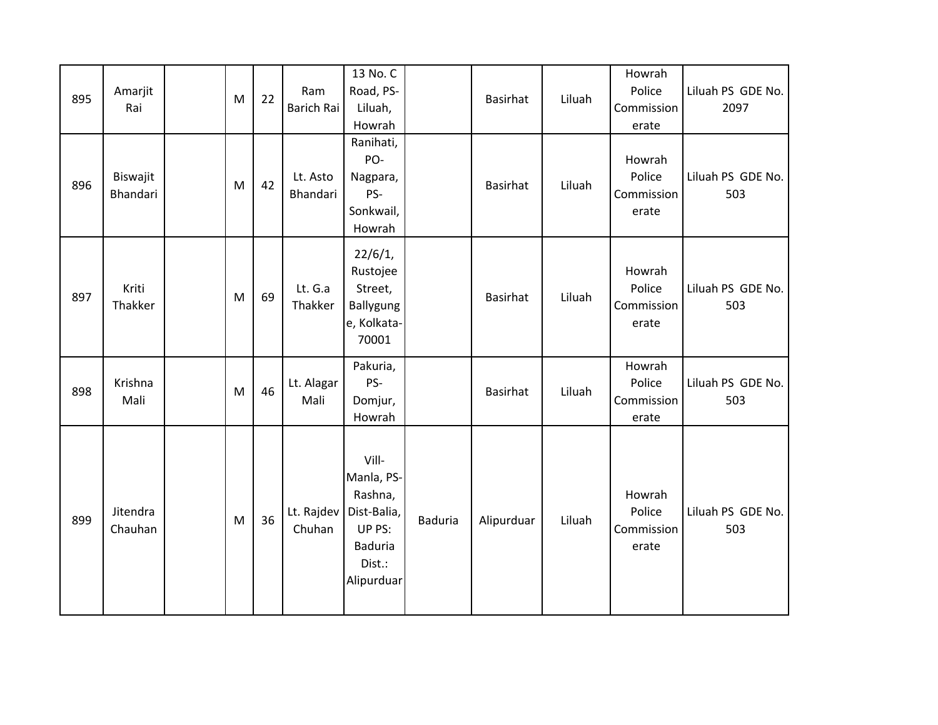| 895 | Amarjit<br>Rai       | M | 22 | Ram<br>Barich Rai    | 13 No. C<br>Road, PS-<br>Liluah,<br>Howrah                                                        |                | Basirhat        | Liluah | Howrah<br>Police<br>Commission<br>erate | Liluah PS GDE No.<br>2097 |
|-----|----------------------|---|----|----------------------|---------------------------------------------------------------------------------------------------|----------------|-----------------|--------|-----------------------------------------|---------------------------|
| 896 | Biswajit<br>Bhandari | M | 42 | Lt. Asto<br>Bhandari | Ranihati,<br>PO-<br>Nagpara,<br>PS-<br>Sonkwail,<br>Howrah                                        |                | <b>Basirhat</b> | Liluah | Howrah<br>Police<br>Commission<br>erate | Liluah PS GDE No.<br>503  |
| 897 | Kriti<br>Thakker     | M | 69 | Lt. G.a<br>Thakker   | 22/6/1,<br>Rustojee<br>Street,<br>Ballygung<br>e, Kolkata-<br>70001                               |                | Basirhat        | Liluah | Howrah<br>Police<br>Commission<br>erate | Liluah PS GDE No.<br>503  |
| 898 | Krishna<br>Mali      | M | 46 | Lt. Alagar<br>Mali   | Pakuria,<br>PS-<br>Domjur,<br>Howrah                                                              |                | Basirhat        | Liluah | Howrah<br>Police<br>Commission<br>erate | Liluah PS GDE No.<br>503  |
| 899 | Jitendra<br>Chauhan  | M | 36 | Lt. Rajdev<br>Chuhan | Vill-<br>Manla, PS-<br>Rashna,<br>Dist-Balia,<br>UP PS:<br><b>Baduria</b><br>Dist.:<br>Alipurduar | <b>Baduria</b> | Alipurduar      | Liluah | Howrah<br>Police<br>Commission<br>erate | Liluah PS GDE No.<br>503  |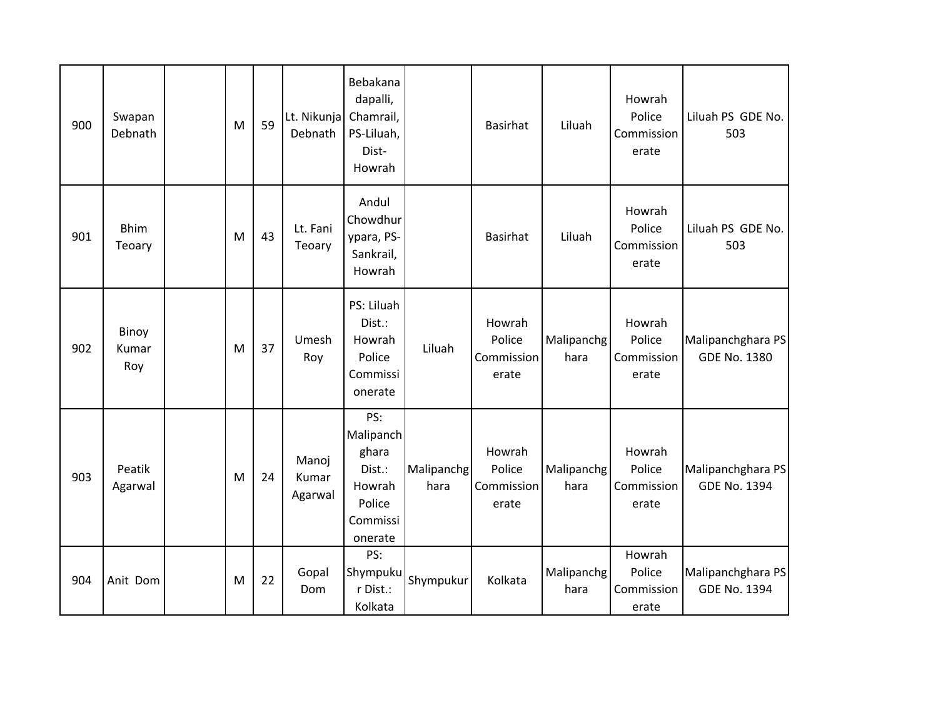| 900 | Swapan<br>Debnath     | M | 59 | Lt. Nikunja<br>Debnath    | Bebakana<br>dapalli,<br>Chamrail,<br>PS-Liluah,<br>Dist-<br>Howrah             |                    | <b>Basirhat</b>                         | Liluah             | Howrah<br>Police<br>Commission<br>erate | Liluah PS GDE No.<br>503                 |
|-----|-----------------------|---|----|---------------------------|--------------------------------------------------------------------------------|--------------------|-----------------------------------------|--------------------|-----------------------------------------|------------------------------------------|
| 901 | <b>Bhim</b><br>Teoary | M | 43 | Lt. Fani<br>Teoary        | Andul<br>Chowdhur<br>ypara, PS-<br>Sankrail,<br>Howrah                         |                    | <b>Basirhat</b>                         | Liluah             | Howrah<br>Police<br>Commission<br>erate | Liluah PS GDE No.<br>503                 |
| 902 | Binoy<br>Kumar<br>Roy | M | 37 | Umesh<br>Roy              | PS: Liluah<br>Dist.:<br>Howrah<br>Police<br>Commissi<br>onerate                | Liluah             | Howrah<br>Police<br>Commission<br>erate | Malipanchg<br>hara | Howrah<br>Police<br>Commission<br>erate | Malipanchghara PS<br><b>GDE No. 1380</b> |
| 903 | Peatik<br>Agarwal     | M | 24 | Manoj<br>Kumar<br>Agarwal | PS:<br>Malipanch<br>ghara<br>Dist.:<br>Howrah<br>Police<br>Commissi<br>onerate | Malipanchg<br>hara | Howrah<br>Police<br>Commission<br>erate | Malipanchg<br>hara | Howrah<br>Police<br>Commission<br>erate | Malipanchghara PS<br><b>GDE No. 1394</b> |
| 904 | Anit Dom              | M | 22 | Gopal<br>Dom              | PS:<br>Shympuku<br>r Dist.:<br>Kolkata                                         | Shympukur          | Kolkata                                 | Malipanchg<br>hara | Howrah<br>Police<br>Commission<br>erate | Malipanchghara PS<br><b>GDE No. 1394</b> |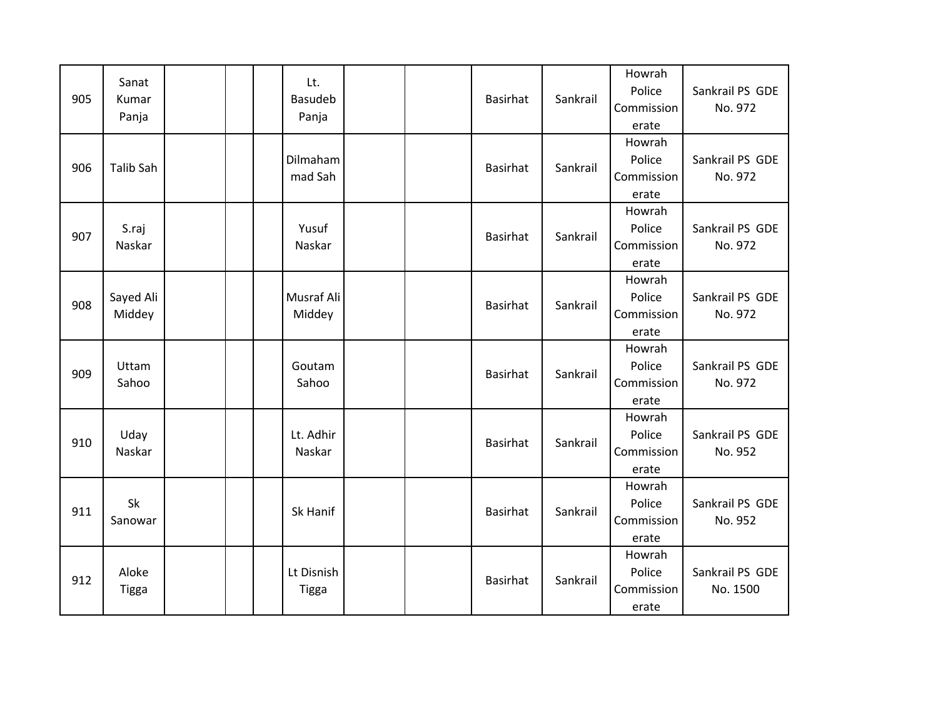| 905 | Sanat<br>Kumar<br>Panja |  | Lt.<br><b>Basudeb</b><br>Panja |  | Basirhat        | Sankrail | Howrah<br>Police<br>Commission<br>erate | Sankrail PS GDE<br>No. 972  |
|-----|-------------------------|--|--------------------------------|--|-----------------|----------|-----------------------------------------|-----------------------------|
| 906 | <b>Talib Sah</b>        |  | Dilmaham<br>mad Sah            |  | <b>Basirhat</b> | Sankrail | Howrah<br>Police<br>Commission<br>erate | Sankrail PS GDE<br>No. 972  |
| 907 | S.raj<br>Naskar         |  | Yusuf<br>Naskar                |  | <b>Basirhat</b> | Sankrail | Howrah<br>Police<br>Commission<br>erate | Sankrail PS GDE<br>No. 972  |
| 908 | Sayed Ali<br>Middey     |  | Musraf Ali<br>Middey           |  | <b>Basirhat</b> | Sankrail | Howrah<br>Police<br>Commission<br>erate | Sankrail PS GDE<br>No. 972  |
| 909 | Uttam<br>Sahoo          |  | Goutam<br>Sahoo                |  | <b>Basirhat</b> | Sankrail | Howrah<br>Police<br>Commission<br>erate | Sankrail PS GDE<br>No. 972  |
| 910 | Uday<br>Naskar          |  | Lt. Adhir<br>Naskar            |  | <b>Basirhat</b> | Sankrail | Howrah<br>Police<br>Commission<br>erate | Sankrail PS GDE<br>No. 952  |
| 911 | Sk<br>Sanowar           |  | Sk Hanif                       |  | <b>Basirhat</b> | Sankrail | Howrah<br>Police<br>Commission<br>erate | Sankrail PS GDE<br>No. 952  |
| 912 | Aloke<br>Tigga          |  | Lt Disnish<br><b>Tigga</b>     |  | <b>Basirhat</b> | Sankrail | Howrah<br>Police<br>Commission<br>erate | Sankrail PS GDE<br>No. 1500 |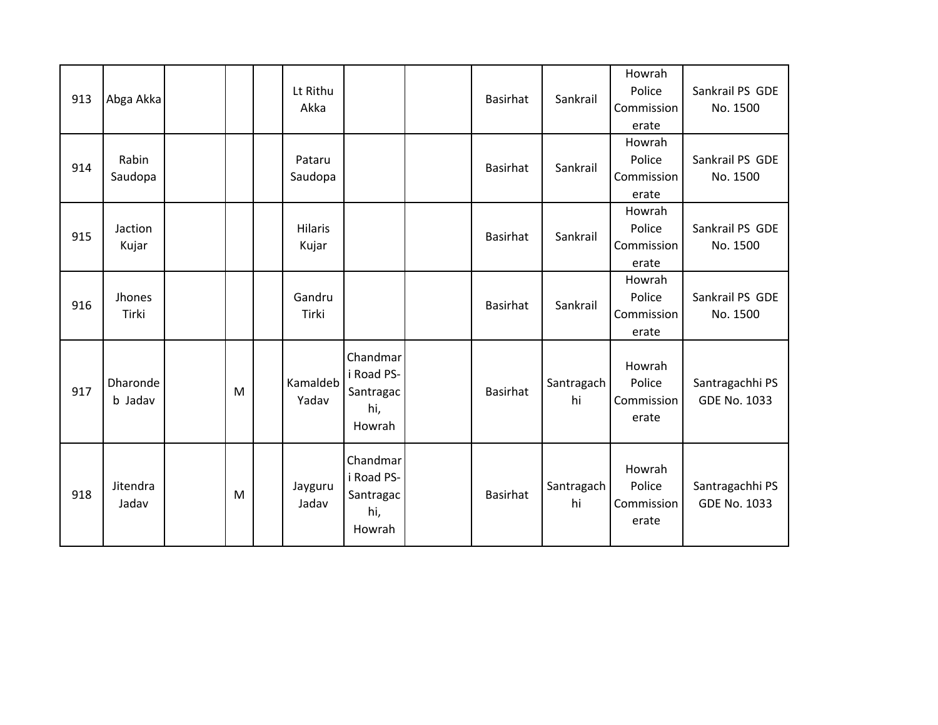| 913 | Abga Akka           |   | Lt Rithu<br>Akka        |                                                      | Basirhat        | Sankrail         | Howrah<br>Police<br>Commission<br>erate | Sankrail PS GDE<br>No. 1500            |
|-----|---------------------|---|-------------------------|------------------------------------------------------|-----------------|------------------|-----------------------------------------|----------------------------------------|
| 914 | Rabin<br>Saudopa    |   | Pataru<br>Saudopa       |                                                      | Basirhat        | Sankrail         | Howrah<br>Police<br>Commission<br>erate | Sankrail PS GDE<br>No. 1500            |
| 915 | Jaction<br>Kujar    |   | <b>Hilaris</b><br>Kujar |                                                      | Basirhat        | Sankrail         | Howrah<br>Police<br>Commission<br>erate | Sankrail PS GDE<br>No. 1500            |
| 916 | Jhones<br>Tirki     |   | Gandru<br>Tirki         |                                                      | Basirhat        | Sankrail         | Howrah<br>Police<br>Commission<br>erate | Sankrail PS GDE<br>No. 1500            |
| 917 | Dharonde<br>b Jadav | M | Kamaldeb<br>Yadav       | Chandmar<br>i Road PS-<br>Santragac<br>hi,<br>Howrah | <b>Basirhat</b> | Santragach<br>hi | Howrah<br>Police<br>Commission<br>erate | Santragachhi PS<br><b>GDE No. 1033</b> |
| 918 | Jitendra<br>Jadav   | M | Jayguru<br>Jadav        | Chandmar<br>i Road PS-<br>Santragac<br>hi,<br>Howrah | <b>Basirhat</b> | Santragach<br>hi | Howrah<br>Police<br>Commission<br>erate | Santragachhi PS<br><b>GDE No. 1033</b> |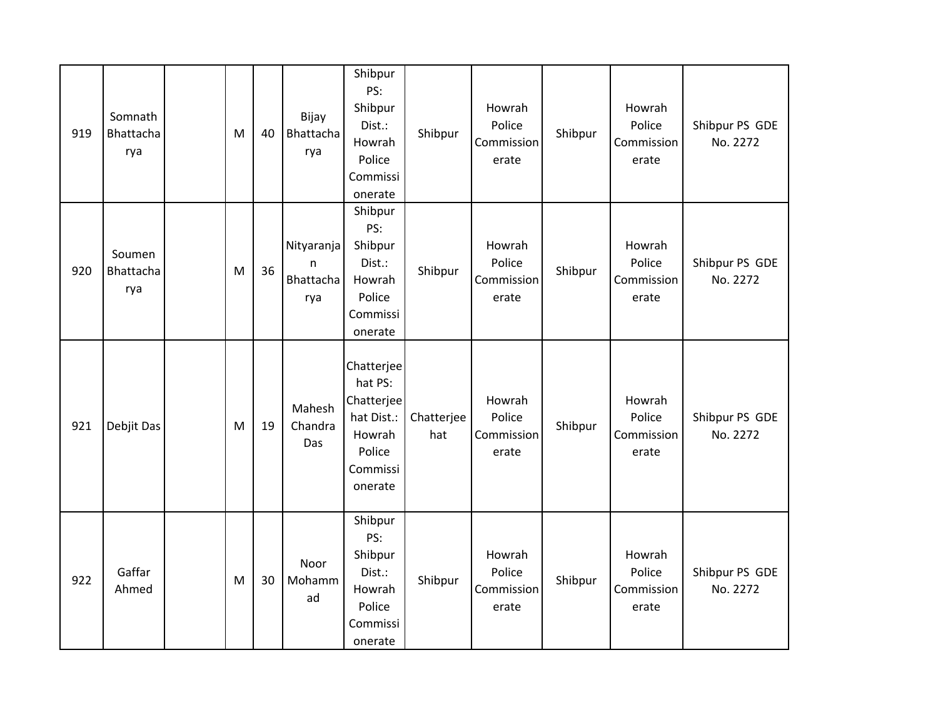| 919 | Somnath<br>Bhattacha<br>rya | M | 40 | Bijay<br>Bhattacha<br>rya           | Shibpur<br>PS:<br>Shibpur<br>Dist.:<br>Howrah<br>Police<br>Commissi<br>onerate               | Shibpur           | Howrah<br>Police<br>Commission<br>erate | Shibpur | Howrah<br>Police<br>Commission<br>erate | Shibpur PS GDE<br>No. 2272 |
|-----|-----------------------------|---|----|-------------------------------------|----------------------------------------------------------------------------------------------|-------------------|-----------------------------------------|---------|-----------------------------------------|----------------------------|
| 920 | Soumen<br>Bhattacha<br>rya  | M | 36 | Nityaranja<br>n<br>Bhattacha<br>rya | Shibpur<br>PS:<br>Shibpur<br>Dist.:<br>Howrah<br>Police<br>Commissi<br>onerate               | Shibpur           | Howrah<br>Police<br>Commission<br>erate | Shibpur | Howrah<br>Police<br>Commission<br>erate | Shibpur PS GDE<br>No. 2272 |
| 921 | Debjit Das                  | M | 19 | Mahesh<br>Chandra<br>Das            | Chatterjee<br>hat PS:<br>Chatterjee<br>hat Dist.:<br>Howrah<br>Police<br>Commissi<br>onerate | Chatterjee<br>hat | Howrah<br>Police<br>Commission<br>erate | Shibpur | Howrah<br>Police<br>Commission<br>erate | Shibpur PS GDE<br>No. 2272 |
| 922 | Gaffar<br>Ahmed             | M | 30 | Noor<br>Mohamm<br>ad                | Shibpur<br>PS:<br>Shibpur<br>Dist.:<br>Howrah<br>Police<br>Commissi<br>onerate               | Shibpur           | Howrah<br>Police<br>Commission<br>erate | Shibpur | Howrah<br>Police<br>Commission<br>erate | Shibpur PS GDE<br>No. 2272 |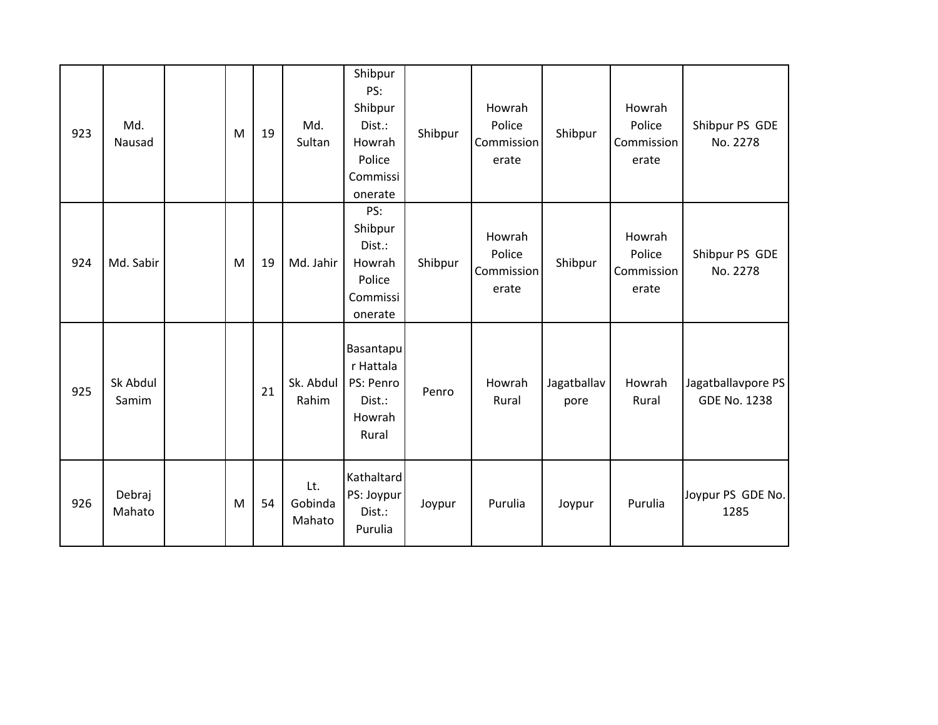| 923 | Md.<br>Nausad     | M | 19 | Md.<br>Sultan            | Shibpur<br>PS:<br>Shibpur<br>Dist.:<br>Howrah<br>Police<br>Commissi<br>onerate | Shibpur | Howrah<br>Police<br>Commission<br>erate | Shibpur             | Howrah<br>Police<br>Commission<br>erate | Shibpur PS GDE<br>No. 2278                |
|-----|-------------------|---|----|--------------------------|--------------------------------------------------------------------------------|---------|-----------------------------------------|---------------------|-----------------------------------------|-------------------------------------------|
| 924 | Md. Sabir         | M | 19 | Md. Jahir                | PS:<br>Shibpur<br>Dist.:<br>Howrah<br>Police<br>Commissi<br>onerate            | Shibpur | Howrah<br>Police<br>Commission<br>erate | Shibpur             | Howrah<br>Police<br>Commission<br>erate | Shibpur PS GDE<br>No. 2278                |
| 925 | Sk Abdul<br>Samim |   | 21 | Sk. Abdul<br>Rahim       | Basantapu<br>r Hattala<br>PS: Penro<br>Dist.:<br>Howrah<br>Rural               | Penro   | Howrah<br>Rural                         | Jagatballav<br>pore | Howrah<br>Rural                         | Jagatballavpore PS<br><b>GDE No. 1238</b> |
| 926 | Debraj<br>Mahato  | M | 54 | Lt.<br>Gobinda<br>Mahato | Kathaltard<br>PS: Joypur<br>Dist.:<br>Purulia                                  | Joypur  | Purulia                                 | Joypur              | Purulia                                 | Joypur PS GDE No.<br>1285                 |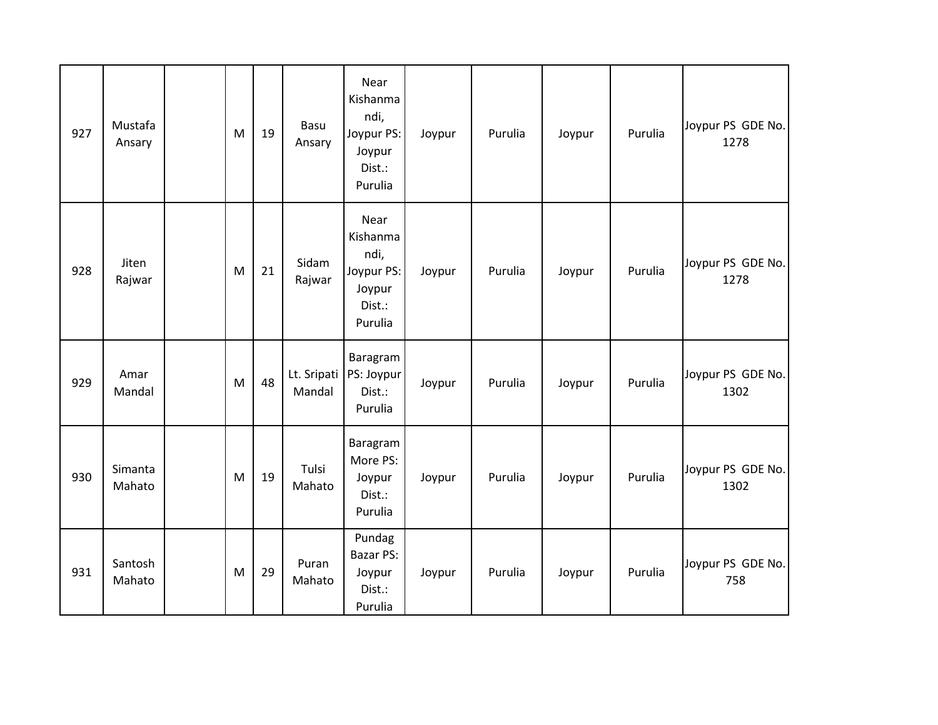| 927 | Mustafa<br>Ansary | M | 19 | Basu<br>Ansary        | Near<br>Kishanma<br>ndi,<br>Joypur PS:<br>Joypur<br>Dist.:<br>Purulia | Joypur | Purulia | Joypur | Purulia | Joypur PS GDE No.<br>1278 |
|-----|-------------------|---|----|-----------------------|-----------------------------------------------------------------------|--------|---------|--------|---------|---------------------------|
| 928 | Jiten<br>Rajwar   | M | 21 | Sidam<br>Rajwar       | Near<br>Kishanma<br>ndi,<br>Joypur PS:<br>Joypur<br>Dist.:<br>Purulia | Joypur | Purulia | Joypur | Purulia | Joypur PS GDE No.<br>1278 |
| 929 | Amar<br>Mandal    | M | 48 | Lt. Sripati<br>Mandal | Baragram<br>PS: Joypur<br>Dist.:<br>Purulia                           | Joypur | Purulia | Joypur | Purulia | Joypur PS GDE No.<br>1302 |
| 930 | Simanta<br>Mahato | M | 19 | Tulsi<br>Mahato       | Baragram<br>More PS:<br>Joypur<br>Dist.:<br>Purulia                   | Joypur | Purulia | Joypur | Purulia | Joypur PS GDE No.<br>1302 |
| 931 | Santosh<br>Mahato | M | 29 | Puran<br>Mahato       | Pundag<br><b>Bazar PS:</b><br>Joypur<br>Dist.:<br>Purulia             | Joypur | Purulia | Joypur | Purulia | Joypur PS GDE No.<br>758  |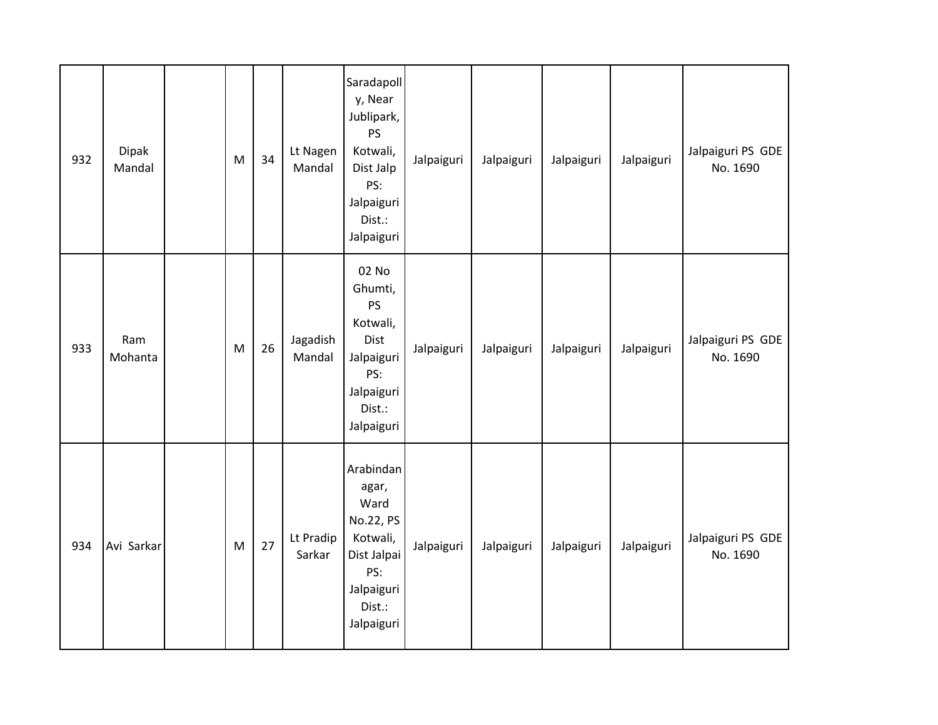| 932 | Dipak<br>Mandal | M | 34 | Lt Nagen<br>Mandal  | Saradapoll<br>y, Near<br>Jublipark,<br>PS<br>Kotwali,<br>Dist Jalp<br>PS:<br>Jalpaiguri<br>Dist.:<br>Jalpaiguri | Jalpaiguri | Jalpaiguri | Jalpaiguri | Jalpaiguri | Jalpaiguri PS GDE<br>No. 1690 |
|-----|-----------------|---|----|---------------------|-----------------------------------------------------------------------------------------------------------------|------------|------------|------------|------------|-------------------------------|
| 933 | Ram<br>Mohanta  | M | 26 | Jagadish<br>Mandal  | 02 No<br>Ghumti,<br>PS<br>Kotwali,<br>Dist<br>Jalpaiguri<br>PS:<br>Jalpaiguri<br>Dist.:<br>Jalpaiguri           | Jalpaiguri | Jalpaiguri | Jalpaiguri | Jalpaiguri | Jalpaiguri PS GDE<br>No. 1690 |
| 934 | Avi Sarkar      | M | 27 | Lt Pradip<br>Sarkar | Arabindan<br>agar,<br>Ward<br>No.22, PS<br>Kotwali,<br>Dist Jalpai<br>PS:<br>Jalpaiguri<br>Dist.:<br>Jalpaiguri | Jalpaiguri | Jalpaiguri | Jalpaiguri | Jalpaiguri | Jalpaiguri PS GDE<br>No. 1690 |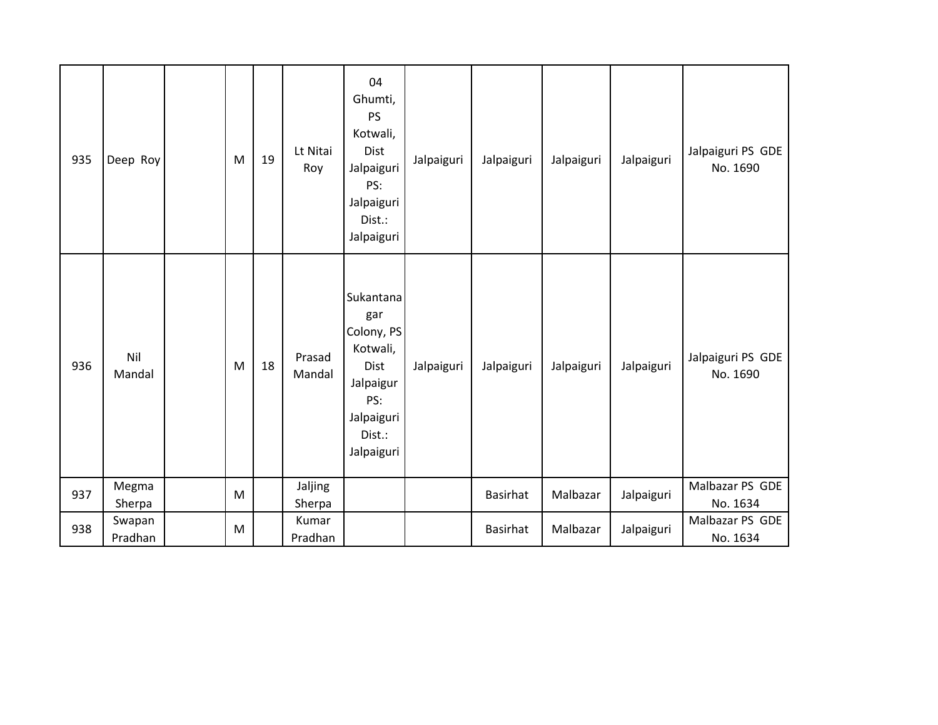| 935 | Deep Roy        | M         | 19 | Lt Nitai<br>Roy   | 04<br>Ghumti,<br><b>PS</b><br>Kotwali,<br>Dist<br>Jalpaiguri<br>PS:<br>Jalpaiguri<br>Dist.:<br>Jalpaiguri           | Jalpaiguri | Jalpaiguri      | Jalpaiguri | Jalpaiguri | Jalpaiguri PS GDE<br>No. 1690 |
|-----|-----------------|-----------|----|-------------------|---------------------------------------------------------------------------------------------------------------------|------------|-----------------|------------|------------|-------------------------------|
| 936 | Nil<br>Mandal   | M         | 18 | Prasad<br>Mandal  | Sukantana<br>gar<br>Colony, PS<br>Kotwali,<br><b>Dist</b><br>Jalpaigur<br>PS:<br>Jalpaiguri<br>Dist.:<br>Jalpaiguri | Jalpaiguri | Jalpaiguri      | Jalpaiguri | Jalpaiguri | Jalpaiguri PS GDE<br>No. 1690 |
| 937 | Megma<br>Sherpa | ${\sf M}$ |    | Jaljing<br>Sherpa |                                                                                                                     |            | <b>Basirhat</b> | Malbazar   | Jalpaiguri | Malbazar PS GDE<br>No. 1634   |
| 938 | Swapan          | M         |    | Kumar             |                                                                                                                     |            | <b>Basirhat</b> | Malbazar   | Jalpaiguri | Malbazar PS GDE               |
|     | Pradhan         |           |    | Pradhan           |                                                                                                                     |            |                 |            |            | No. 1634                      |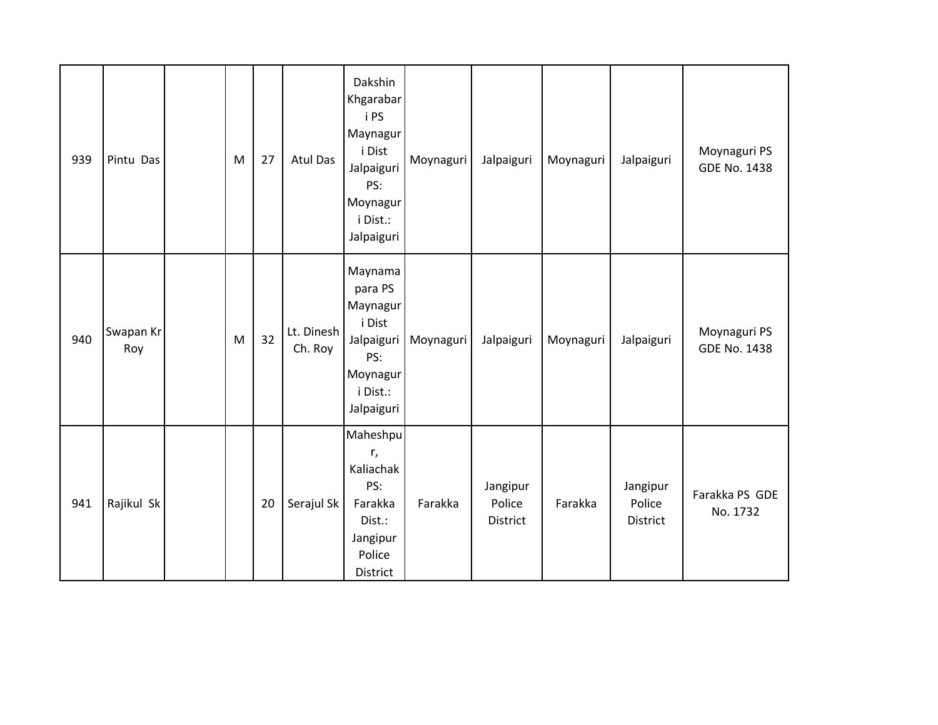| 939 | Pintu Das        | M | 27 | Atul Das              | Dakshin<br>Khgarabar<br>i PS<br>Maynagur<br>i Dist<br>Jalpaiguri<br>PS:<br>Moynagur<br>i Dist.:<br>Jalpaiguri | Moynaguri | Jalpaiguri                     | Moynaguri | Jalpaiguri                            | Moynaguri PS<br><b>GDE No. 1438</b> |
|-----|------------------|---|----|-----------------------|---------------------------------------------------------------------------------------------------------------|-----------|--------------------------------|-----------|---------------------------------------|-------------------------------------|
| 940 | Swapan Kr<br>Roy | M | 32 | Lt. Dinesh<br>Ch. Roy | Maynama<br>para PS<br>Maynagur<br>i Dist<br>Jalpaiguri<br>PS:<br>Moynagur<br>i Dist.:<br>Jalpaiguri           | Moynaguri | Jalpaiguri                     | Moynaguri | Jalpaiguri                            | Moynaguri PS<br><b>GDE No. 1438</b> |
| 941 | Rajikul Sk       |   | 20 | Serajul Sk            | Maheshpu<br>r,<br>Kaliachak<br>PS:<br>Farakka<br>Dist.:<br>Jangipur<br>Police<br>District                     | Farakka   | Jangipur<br>Police<br>District | Farakka   | Jangipur<br>Police<br><b>District</b> | Farakka PS GDE<br>No. 1732          |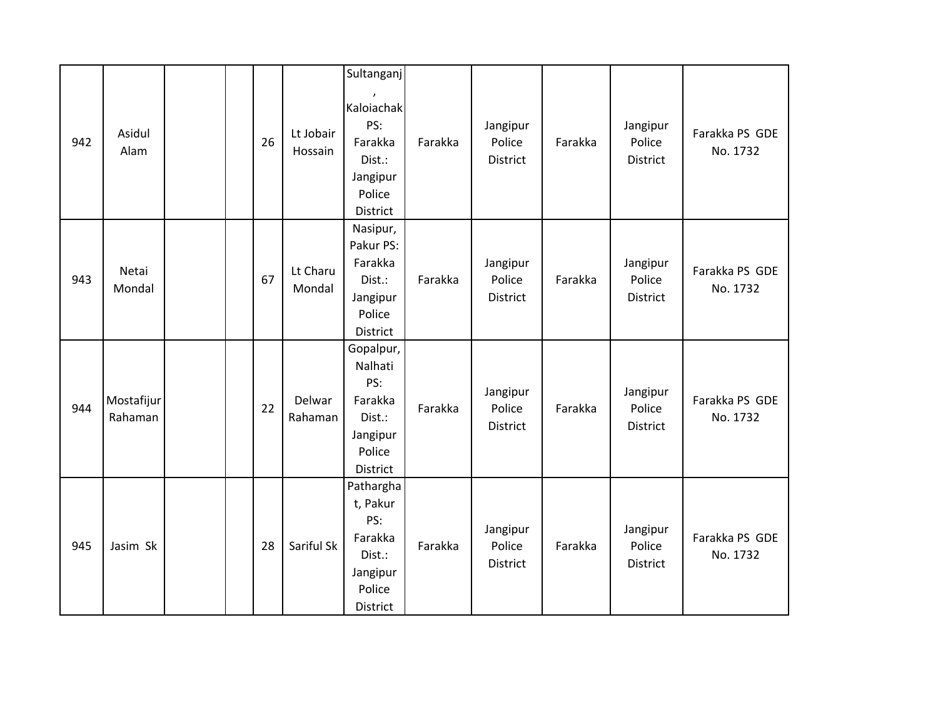|     |                       |    |                      | Sultanganj                                                                                        |         |                                |         |                                       |                            |
|-----|-----------------------|----|----------------------|---------------------------------------------------------------------------------------------------|---------|--------------------------------|---------|---------------------------------------|----------------------------|
| 942 | Asidul<br>Alam        | 26 | Lt Jobair<br>Hossain | $\boldsymbol{\prime}$<br>Kaloiachak<br>PS:<br>Farakka<br>Dist.:<br>Jangipur<br>Police<br>District | Farakka | Jangipur<br>Police<br>District | Farakka | Jangipur<br>Police<br><b>District</b> | Farakka PS GDE<br>No. 1732 |
| 943 | Netai<br>Mondal       | 67 | Lt Charu<br>Mondal   | Nasipur,<br>Pakur PS:<br>Farakka<br>Dist.:<br>Jangipur<br>Police<br>District                      | Farakka | Jangipur<br>Police<br>District | Farakka | Jangipur<br>Police<br>District        | Farakka PS GDE<br>No. 1732 |
| 944 | Mostafijur<br>Rahaman | 22 | Delwar<br>Rahaman    | Gopalpur,<br>Nalhati<br>PS:<br>Farakka<br>Dist.:<br>Jangipur<br>Police<br>District                | Farakka | Jangipur<br>Police<br>District | Farakka | Jangipur<br>Police<br><b>District</b> | Farakka PS GDE<br>No. 1732 |
| 945 | Jasim Sk              | 28 | Sariful Sk           | Pathargha<br>t, Pakur<br>PS:<br>Farakka<br>Dist.:<br>Jangipur<br>Police<br>District               | Farakka | Jangipur<br>Police<br>District | Farakka | Jangipur<br>Police<br>District        | Farakka PS GDE<br>No. 1732 |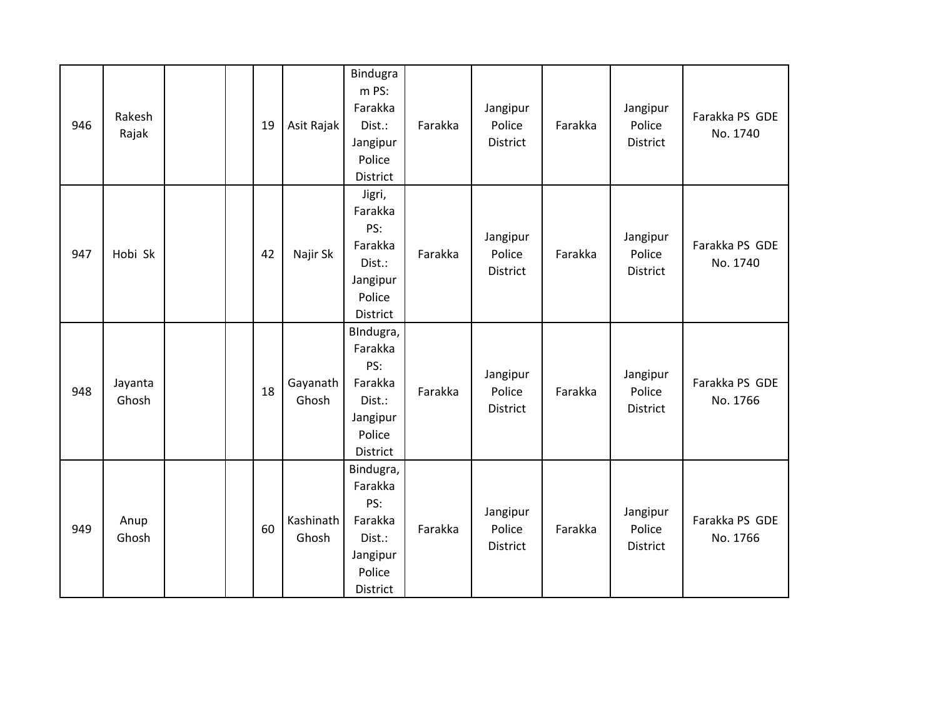| 946 | Rakesh<br>Rajak  | 19 | Asit Rajak         | Bindugra<br>m PS:<br>Farakka<br>Dist.:<br>Jangipur<br>Police<br>District           | Farakka | Jangipur<br>Police<br>District | Farakka | Jangipur<br>Police<br>District | Farakka PS GDE<br>No. 1740 |
|-----|------------------|----|--------------------|------------------------------------------------------------------------------------|---------|--------------------------------|---------|--------------------------------|----------------------------|
| 947 | Hobi Sk          | 42 | Najir Sk           | Jigri,<br>Farakka<br>PS:<br>Farakka<br>Dist.:<br>Jangipur<br>Police<br>District    | Farakka | Jangipur<br>Police<br>District | Farakka | Jangipur<br>Police<br>District | Farakka PS GDE<br>No. 1740 |
| 948 | Jayanta<br>Ghosh | 18 | Gayanath<br>Ghosh  | BIndugra,<br>Farakka<br>PS:<br>Farakka<br>Dist.:<br>Jangipur<br>Police<br>District | Farakka | Jangipur<br>Police<br>District | Farakka | Jangipur<br>Police<br>District | Farakka PS GDE<br>No. 1766 |
| 949 | Anup<br>Ghosh    | 60 | Kashinath<br>Ghosh | Bindugra,<br>Farakka<br>PS:<br>Farakka<br>Dist.:<br>Jangipur<br>Police<br>District | Farakka | Jangipur<br>Police<br>District | Farakka | Jangipur<br>Police<br>District | Farakka PS GDE<br>No. 1766 |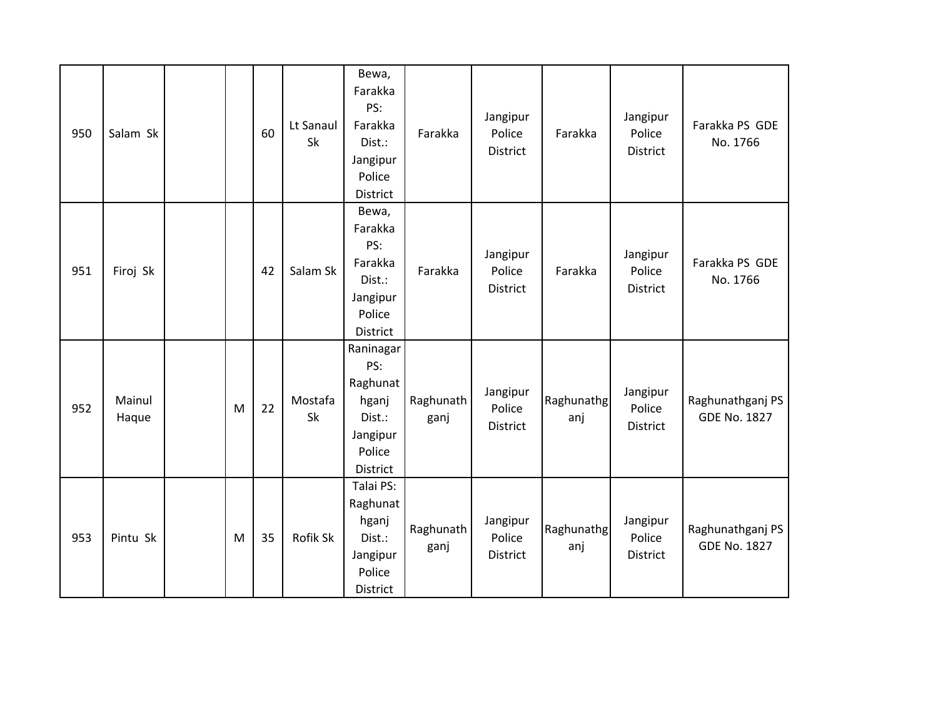| 950 | Salam Sk        |   | 60 | Lt Sanaul<br>Sk | Bewa,<br>Farakka<br>PS:<br>Farakka<br>Dist.:<br>Jangipur<br>Police<br>District    | Farakka           | Jangipur<br>Police<br>District | Farakka           | Jangipur<br>Police<br><b>District</b> | Farakka PS GDE<br>No. 1766              |
|-----|-----------------|---|----|-----------------|-----------------------------------------------------------------------------------|-------------------|--------------------------------|-------------------|---------------------------------------|-----------------------------------------|
| 951 | Firoj Sk        |   | 42 | Salam Sk        | Bewa,<br>Farakka<br>PS:<br>Farakka<br>Dist.:<br>Jangipur<br>Police<br>District    | Farakka           | Jangipur<br>Police<br>District | Farakka           | Jangipur<br>Police<br>District        | Farakka PS GDE<br>No. 1766              |
| 952 | Mainul<br>Haque | M | 22 | Mostafa<br>Sk   | Raninagar<br>PS:<br>Raghunat<br>hganj<br>Dist.:<br>Jangipur<br>Police<br>District | Raghunath<br>ganj | Jangipur<br>Police<br>District | Raghunathg<br>anj | Jangipur<br>Police<br><b>District</b> | Raghunathganj PS<br><b>GDE No. 1827</b> |
| 953 | Pintu Sk        | M | 35 | Rofik Sk        | Talai PS:<br>Raghunat<br>hganj<br>Dist.:<br>Jangipur<br>Police<br>District        | Raghunath<br>ganj | Jangipur<br>Police<br>District | Raghunathg<br>anj | Jangipur<br>Police<br><b>District</b> | Raghunathganj PS<br><b>GDE No. 1827</b> |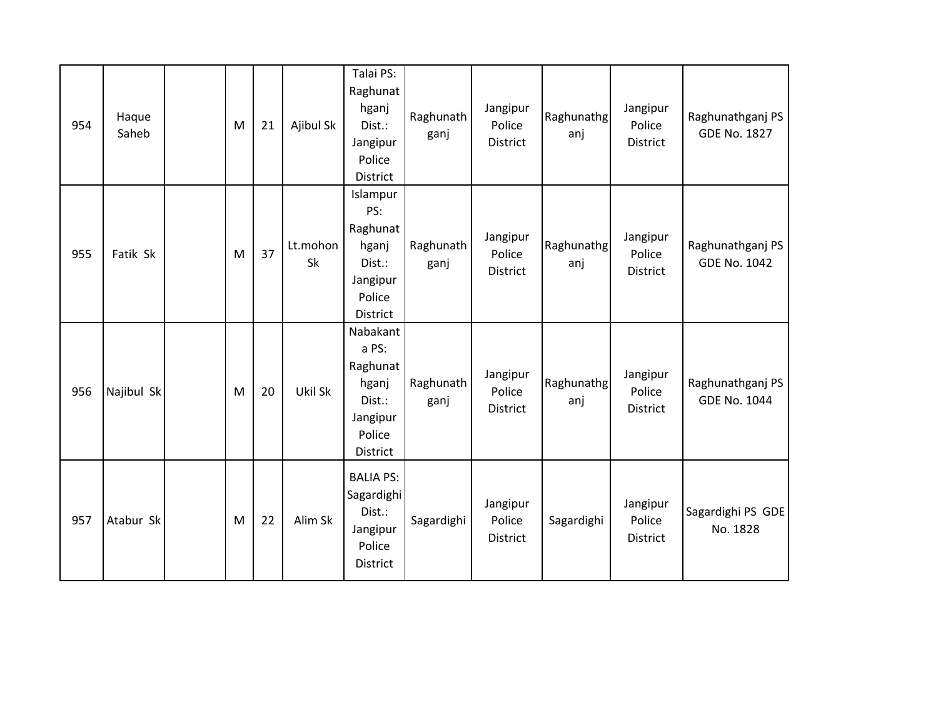| 954 | Haque<br>Saheb | M | 21 | Ajibul Sk             | Talai PS:<br>Raghunat<br>hganj<br>Dist.:<br>Jangipur<br>Police<br>District         | Raghunath<br>ganj | Jangipur<br>Police<br>District        | Raghunathg<br>anj | Jangipur<br>Police<br>District        | Raghunathganj PS<br><b>GDE No. 1827</b> |
|-----|----------------|---|----|-----------------------|------------------------------------------------------------------------------------|-------------------|---------------------------------------|-------------------|---------------------------------------|-----------------------------------------|
| 955 | Fatik Sk       | M | 37 | Lt.mohon<br><b>Sk</b> | Islampur<br>PS:<br>Raghunat<br>hganj<br>Dist.:<br>Jangipur<br>Police<br>District   | Raghunath<br>ganj | Jangipur<br>Police<br><b>District</b> | Raghunathg<br>anj | Jangipur<br>Police<br><b>District</b> | Raghunathganj PS<br><b>GDE No. 1042</b> |
| 956 | Najibul Sk     | M | 20 | Ukil Sk               | Nabakant<br>a PS:<br>Raghunat<br>hganj<br>Dist.:<br>Jangipur<br>Police<br>District | Raghunath<br>ganj | Jangipur<br>Police<br><b>District</b> | Raghunathg<br>anj | Jangipur<br>Police<br><b>District</b> | Raghunathganj PS<br><b>GDE No. 1044</b> |
| 957 | Atabur Sk      | M | 22 | Alim Sk               | <b>BALIA PS:</b><br>Sagardighi<br>Dist.:<br>Jangipur<br>Police<br><b>District</b>  | Sagardighi        | Jangipur<br>Police<br><b>District</b> | Sagardighi        | Jangipur<br>Police<br>District        | Sagardighi PS GDE<br>No. 1828           |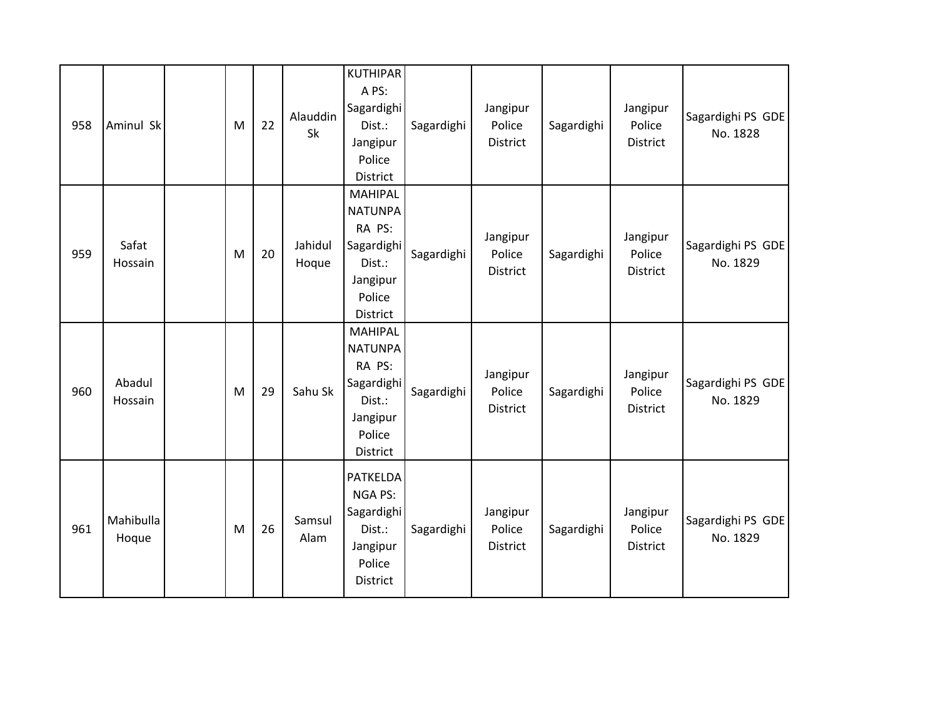| 958 | Aminul Sk          | M | 22 | Alauddin<br><b>Sk</b> | <b>KUTHIPAR</b><br>A PS:<br>Sagardighi<br>Dist.:<br>Jangipur<br>Police<br>District                   | Sagardighi | Jangipur<br>Police<br>District        | Sagardighi | Jangipur<br>Police<br><b>District</b> | Sagardighi PS GDE<br>No. 1828 |
|-----|--------------------|---|----|-----------------------|------------------------------------------------------------------------------------------------------|------------|---------------------------------------|------------|---------------------------------------|-------------------------------|
| 959 | Safat<br>Hossain   | M | 20 | Jahidul<br>Hoque      | <b>MAHIPAL</b><br><b>NATUNPA</b><br>RA PS:<br>Sagardighi<br>Dist.:<br>Jangipur<br>Police<br>District | Sagardighi | Jangipur<br>Police<br><b>District</b> | Sagardighi | Jangipur<br>Police<br><b>District</b> | Sagardighi PS GDE<br>No. 1829 |
| 960 | Abadul<br>Hossain  | M | 29 | Sahu Sk               | <b>MAHIPAL</b><br><b>NATUNPA</b><br>RA PS:<br>Sagardighi<br>Dist.:<br>Jangipur<br>Police<br>District | Sagardighi | Jangipur<br>Police<br>District        | Sagardighi | Jangipur<br>Police<br><b>District</b> | Sagardighi PS GDE<br>No. 1829 |
| 961 | Mahibulla<br>Hoque | M | 26 | Samsul<br>Alam        | <b>PATKELDA</b><br><b>NGA PS:</b><br>Sagardighi<br>Dist.:<br>Jangipur<br>Police<br>District          | Sagardighi | Jangipur<br>Police<br>District        | Sagardighi | Jangipur<br>Police<br>District        | Sagardighi PS GDE<br>No. 1829 |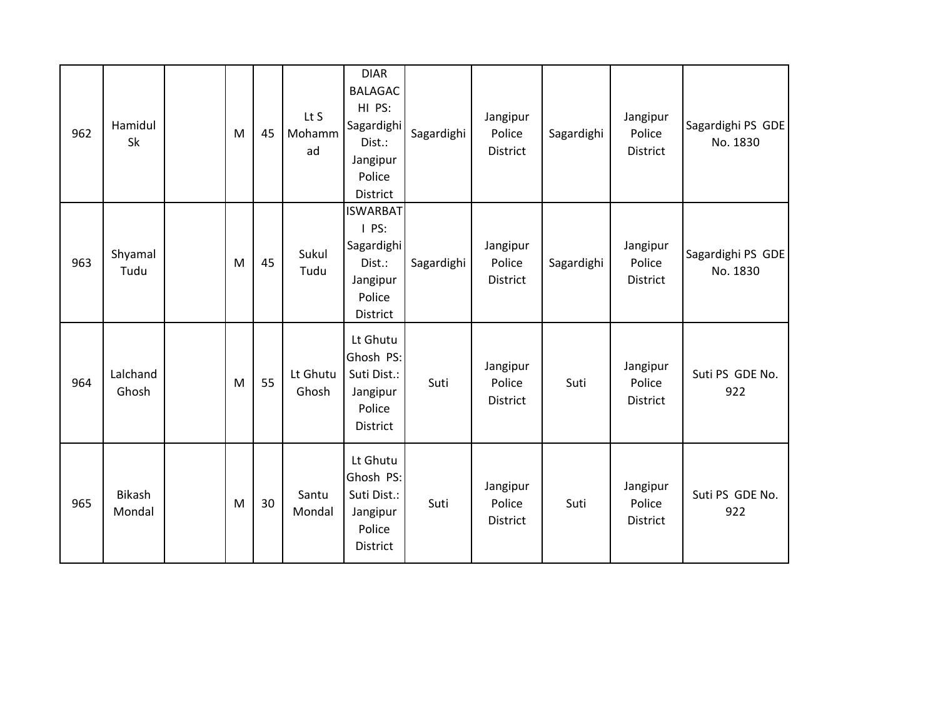| 962 | Hamidul<br>Sk     | M | 45 | Lt S<br>Mohamm<br>ad | <b>DIAR</b><br><b>BALAGAC</b><br>HI PS:<br>Sagardighi<br>Dist.:<br>Jangipur<br>Police<br>District | Sagardighi | Jangipur<br>Police<br><b>District</b> | Sagardighi | Jangipur<br>Police<br><b>District</b> | Sagardighi PS GDE<br>No. 1830 |
|-----|-------------------|---|----|----------------------|---------------------------------------------------------------------------------------------------|------------|---------------------------------------|------------|---------------------------------------|-------------------------------|
| 963 | Shyamal<br>Tudu   | M | 45 | Sukul<br>Tudu        | <b>ISWARBAT</b><br>$I$ PS:<br>Sagardighi<br>Dist.:<br>Jangipur<br>Police<br>District              | Sagardighi | Jangipur<br>Police<br>District        | Sagardighi | Jangipur<br>Police<br>District        | Sagardighi PS GDE<br>No. 1830 |
| 964 | Lalchand<br>Ghosh | M | 55 | Lt Ghutu<br>Ghosh    | Lt Ghutu<br>Ghosh PS:<br>Suti Dist.:<br>Jangipur<br>Police<br>District                            | Suti       | Jangipur<br>Police<br>District        | Suti       | Jangipur<br>Police<br><b>District</b> | Suti PS GDE No.<br>922        |
| 965 | Bikash<br>Mondal  | M | 30 | Santu<br>Mondal      | Lt Ghutu<br>Ghosh PS:<br>Suti Dist.:<br>Jangipur<br>Police<br><b>District</b>                     | Suti       | Jangipur<br>Police<br>District        | Suti       | Jangipur<br>Police<br>District        | Suti PS GDE No.<br>922        |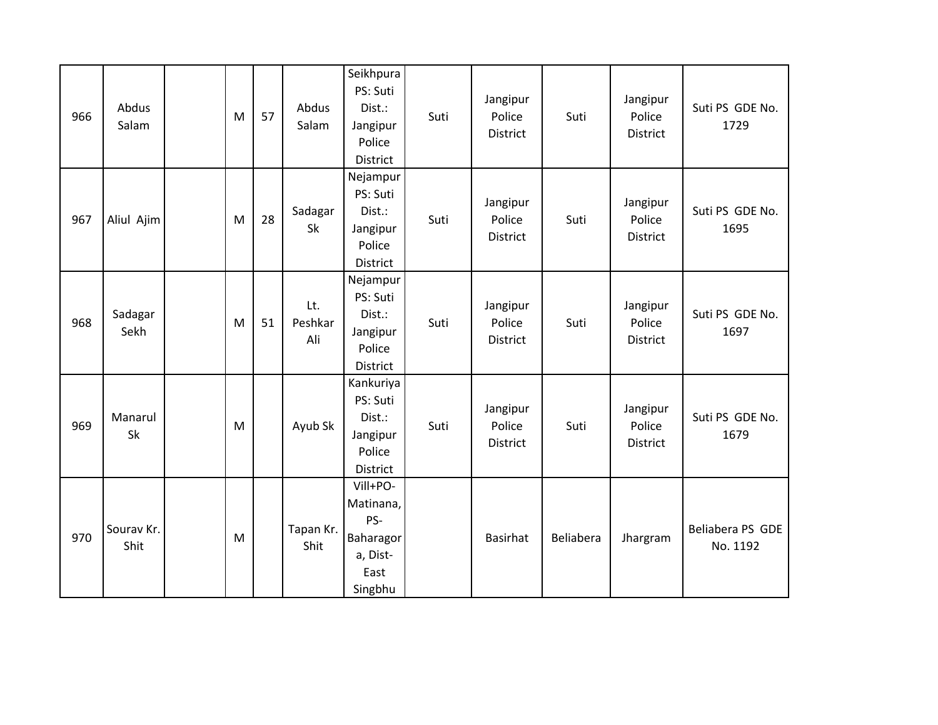| 966 | Abdus<br>Salam     | M         | 57 | Abdus<br>Salam        | Seikhpura<br>PS: Suti<br>Dist.:<br>Jangipur<br>Police<br>District        | Suti | Jangipur<br>Police<br>District        | Suti      | Jangipur<br>Police<br>District | Suti PS GDE No.<br>1729      |
|-----|--------------------|-----------|----|-----------------------|--------------------------------------------------------------------------|------|---------------------------------------|-----------|--------------------------------|------------------------------|
| 967 | Aliul Ajim         | M         | 28 | Sadagar<br>Sk         | Nejampur<br>PS: Suti<br>Dist.:<br>Jangipur<br>Police<br>District         | Suti | Jangipur<br>Police<br><b>District</b> | Suti      | Jangipur<br>Police<br>District | Suti PS GDE No.<br>1695      |
| 968 | Sadagar<br>Sekh    | M         | 51 | Lt.<br>Peshkar<br>Ali | Nejampur<br>PS: Suti<br>Dist.:<br>Jangipur<br>Police<br>District         | Suti | Jangipur<br>Police<br>District        | Suti      | Jangipur<br>Police<br>District | Suti PS GDE No.<br>1697      |
| 969 | Manarul<br>Sk      | ${\sf M}$ |    | Ayub Sk               | Kankuriya<br>PS: Suti<br>Dist.:<br>Jangipur<br>Police<br>District        | Suti | Jangipur<br>Police<br>District        | Suti      | Jangipur<br>Police<br>District | Suti PS GDE No.<br>1679      |
| 970 | Sourav Kr.<br>Shit | M         |    | Tapan Kr.<br>Shit     | Vill+PO-<br>Matinana,<br>PS-<br>Baharagor<br>a, Dist-<br>East<br>Singbhu |      | Basirhat                              | Beliabera | Jhargram                       | Beliabera PS GDE<br>No. 1192 |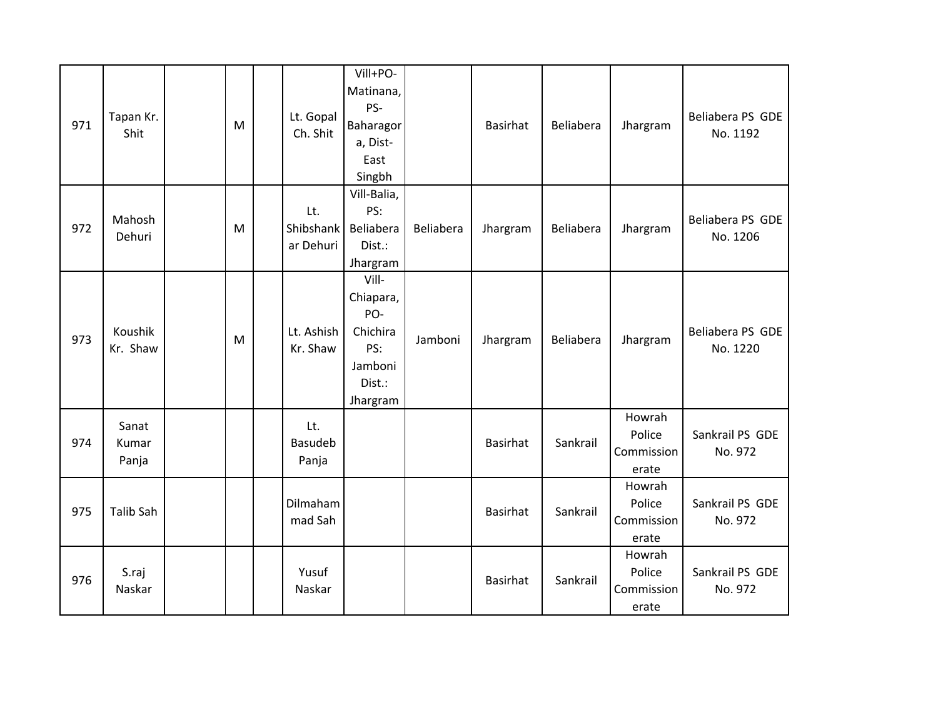| 971 | Tapan Kr.<br>Shit       | M | Lt. Gopal<br>Ch. Shit         | Vill+PO-<br>Matinana,<br>PS-<br>Baharagor<br>a, Dist-<br>East<br>Singbh       |           | <b>Basirhat</b> | Beliabera | Jhargram                                | Beliabera PS GDE<br>No. 1192 |
|-----|-------------------------|---|-------------------------------|-------------------------------------------------------------------------------|-----------|-----------------|-----------|-----------------------------------------|------------------------------|
| 972 | Mahosh<br>Dehuri        | M | Lt.<br>Shibshank<br>ar Dehuri | Vill-Balia,<br>PS:<br>Beliabera<br>Dist.:<br>Jhargram                         | Beliabera | Jhargram        | Beliabera | Jhargram                                | Beliabera PS GDE<br>No. 1206 |
| 973 | Koushik<br>Kr. Shaw     | M | Lt. Ashish<br>Kr. Shaw        | Vill-<br>Chiapara,<br>PO-<br>Chichira<br>PS:<br>Jamboni<br>Dist.:<br>Jhargram | Jamboni   | Jhargram        | Beliabera | Jhargram                                | Beliabera PS GDE<br>No. 1220 |
| 974 | Sanat<br>Kumar<br>Panja |   | Lt.<br>Basudeb<br>Panja       |                                                                               |           | <b>Basirhat</b> | Sankrail  | Howrah<br>Police<br>Commission<br>erate | Sankrail PS GDE<br>No. 972   |
| 975 | <b>Talib Sah</b>        |   | Dilmaham<br>mad Sah           |                                                                               |           | <b>Basirhat</b> | Sankrail  | Howrah<br>Police<br>Commission<br>erate | Sankrail PS GDE<br>No. 972   |
| 976 | S.raj<br>Naskar         |   | Yusuf<br>Naskar               |                                                                               |           | <b>Basirhat</b> | Sankrail  | Howrah<br>Police<br>Commission<br>erate | Sankrail PS GDE<br>No. 972   |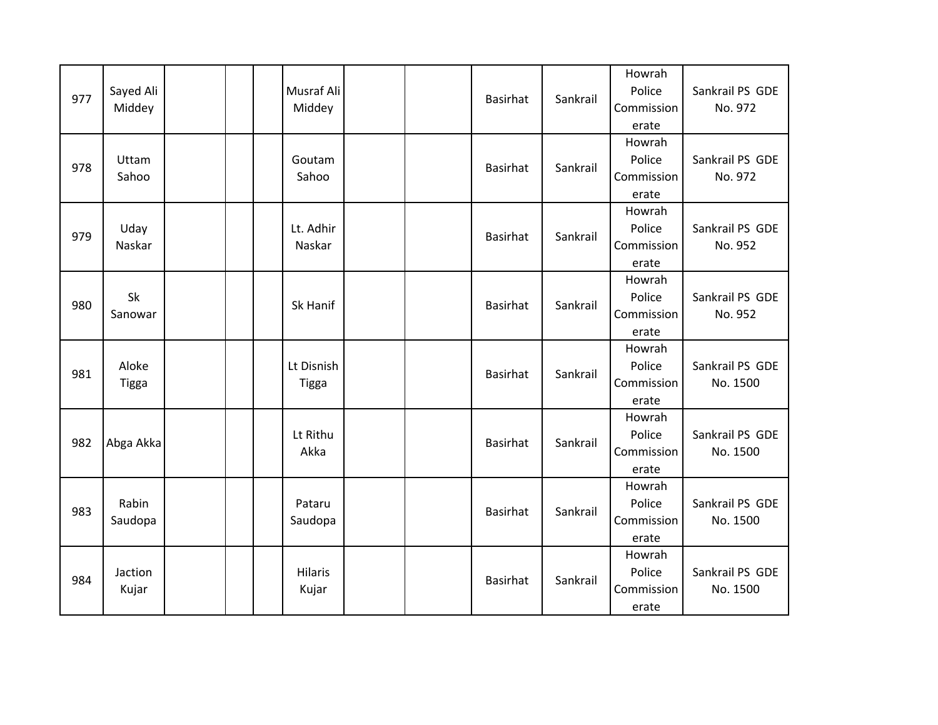| 977 | Sayed Ali<br>Middey   |  | Musraf Ali<br>Middey       |  | Basirhat        | Sankrail | Howrah<br>Police<br>Commission<br>erate | Sankrail PS GDE<br>No. 972  |
|-----|-----------------------|--|----------------------------|--|-----------------|----------|-----------------------------------------|-----------------------------|
| 978 | Uttam<br>Sahoo        |  | Goutam<br>Sahoo            |  | <b>Basirhat</b> | Sankrail | Howrah<br>Police<br>Commission<br>erate | Sankrail PS GDE<br>No. 972  |
| 979 | Uday<br>Naskar        |  | Lt. Adhir<br>Naskar        |  | <b>Basirhat</b> | Sankrail | Howrah<br>Police<br>Commission<br>erate | Sankrail PS GDE<br>No. 952  |
| 980 | Sk<br>Sanowar         |  | Sk Hanif                   |  | Basirhat        | Sankrail | Howrah<br>Police<br>Commission<br>erate | Sankrail PS GDE<br>No. 952  |
| 981 | Aloke<br><b>Tigga</b> |  | Lt Disnish<br><b>Tigga</b> |  | <b>Basirhat</b> | Sankrail | Howrah<br>Police<br>Commission<br>erate | Sankrail PS GDE<br>No. 1500 |
| 982 | Abga Akka             |  | Lt Rithu<br>Akka           |  | <b>Basirhat</b> | Sankrail | Howrah<br>Police<br>Commission<br>erate | Sankrail PS GDE<br>No. 1500 |
| 983 | Rabin<br>Saudopa      |  | Pataru<br>Saudopa          |  | <b>Basirhat</b> | Sankrail | Howrah<br>Police<br>Commission<br>erate | Sankrail PS GDE<br>No. 1500 |
| 984 | Jaction<br>Kujar      |  | Hilaris<br>Kujar           |  | <b>Basirhat</b> | Sankrail | Howrah<br>Police<br>Commission<br>erate | Sankrail PS GDE<br>No. 1500 |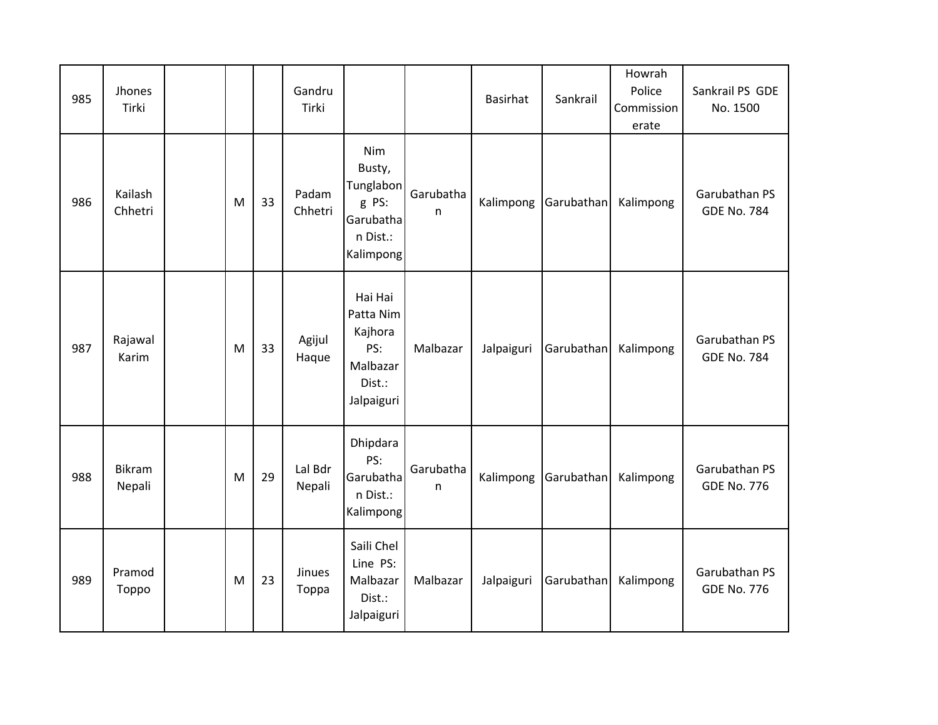| 985 | Jhones<br>Tirki    |   |    | Gandru<br>Tirki   |                                                                            |                | <b>Basirhat</b> | Sankrail   | Howrah<br>Police<br>Commission<br>erate | Sankrail PS GDE<br>No. 1500         |
|-----|--------------------|---|----|-------------------|----------------------------------------------------------------------------|----------------|-----------------|------------|-----------------------------------------|-------------------------------------|
| 986 | Kailash<br>Chhetri | M | 33 | Padam<br>Chhetri  | Nim<br>Busty,<br>Tunglabon<br>g PS:<br>Garubatha<br>n Dist.:<br>Kalimpong  | Garubatha<br>n | Kalimpong       | Garubathan | Kalimpong                               | Garubathan PS<br><b>GDE No. 784</b> |
| 987 | Rajawal<br>Karim   | M | 33 | Agijul<br>Haque   | Hai Hai<br>Patta Nim<br>Kajhora<br>PS:<br>Malbazar<br>Dist.:<br>Jalpaiguri | Malbazar       | Jalpaiguri      | Garubathan | Kalimpong                               | Garubathan PS<br><b>GDE No. 784</b> |
| 988 | Bikram<br>Nepali   | M | 29 | Lal Bdr<br>Nepali | Dhipdara<br>PS:<br>Garubatha<br>n Dist.:<br>Kalimpong                      | Garubatha<br>n | Kalimpong       | Garubathan | Kalimpong                               | Garubathan PS<br><b>GDE No. 776</b> |
| 989 | Pramod<br>Toppo    | M | 23 | Jinues<br>Toppa   | Saili Chel<br>Line PS:<br>Malbazar<br>Dist.:<br>Jalpaiguri                 | Malbazar       | Jalpaiguri      | Garubathan | Kalimpong                               | Garubathan PS<br><b>GDE No. 776</b> |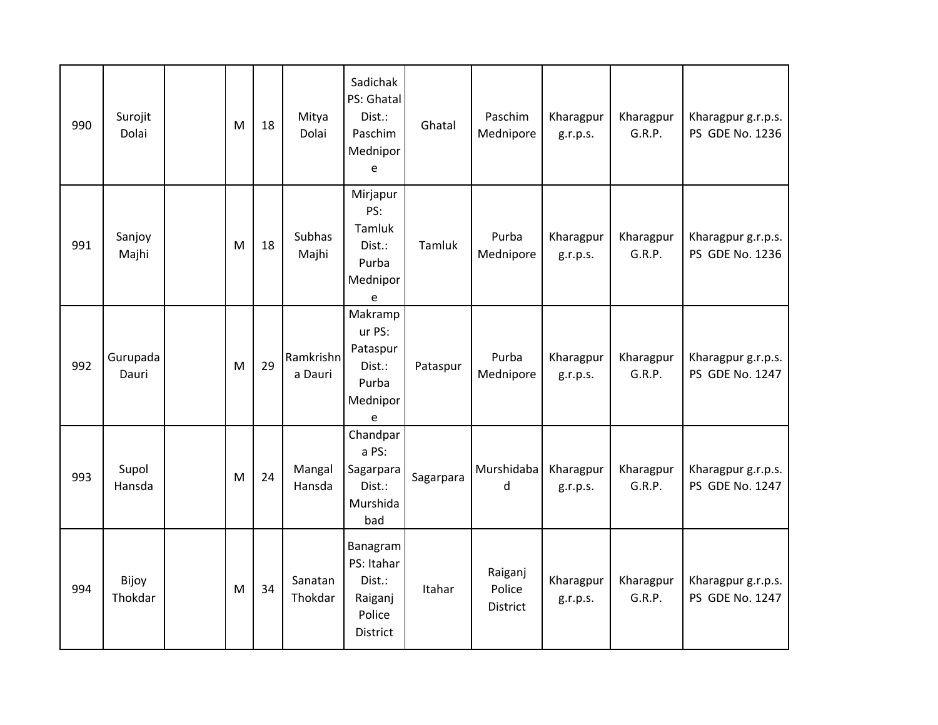| 990 | Surojit<br>Dolai  | M | 18 | Mitya<br>Dolai       | Sadichak<br>PS: Ghatal<br>Dist.:<br>Paschim<br>Mednipor<br>e      | Ghatal    | Paschim<br>Mednipore          | Kharagpur<br>g.r.p.s. | Kharagpur<br>G.R.P. | Kharagpur g.r.p.s.<br>PS GDE No. 1236 |
|-----|-------------------|---|----|----------------------|-------------------------------------------------------------------|-----------|-------------------------------|-----------------------|---------------------|---------------------------------------|
| 991 | Sanjoy<br>Majhi   | M | 18 | Subhas<br>Majhi      | Mirjapur<br>PS:<br>Tamluk<br>Dist.:<br>Purba<br>Mednipor<br>e     | Tamluk    | Purba<br>Mednipore            | Kharagpur<br>g.r.p.s. | Kharagpur<br>G.R.P. | Kharagpur g.r.p.s.<br>PS GDE No. 1236 |
| 992 | Gurupada<br>Dauri | M | 29 | Ramkrishn<br>a Dauri | Makramp<br>ur PS:<br>Pataspur<br>Dist.:<br>Purba<br>Mednipor<br>e | Pataspur  | Purba<br>Mednipore            | Kharagpur<br>g.r.p.s. | Kharagpur<br>G.R.P. | Kharagpur g.r.p.s.<br>PS GDE No. 1247 |
| 993 | Supol<br>Hansda   | M | 24 | Mangal<br>Hansda     | Chandpar<br>a PS:<br>Sagarpara<br>Dist.:<br>Murshida<br>bad       | Sagarpara | Murshidaba<br>d               | Kharagpur<br>g.r.p.s. | Kharagpur<br>G.R.P. | Kharagpur g.r.p.s.<br>PS GDE No. 1247 |
| 994 | Bijoy<br>Thokdar  | M | 34 | Sanatan<br>Thokdar   | Banagram<br>PS: Itahar<br>Dist.:<br>Raiganj<br>Police<br>District | Itahar    | Raiganj<br>Police<br>District | Kharagpur<br>g.r.p.s. | Kharagpur<br>G.R.P. | Kharagpur g.r.p.s.<br>PS GDE No. 1247 |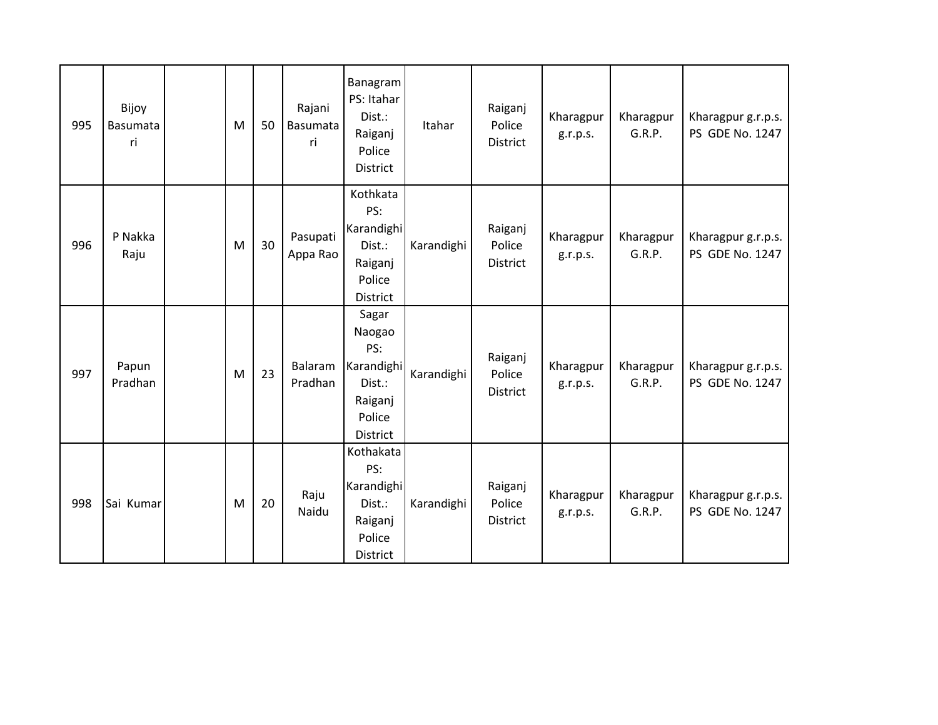| 995 | Bijoy<br>Basumata<br>ri | M | 50 | Rajani<br>Basumata<br>ri | Banagram<br>PS: Itahar<br>Dist.:<br>Raiganj<br>Police<br>District                      | Itahar     | Raiganj<br>Police<br>District | Kharagpur<br>g.r.p.s. | Kharagpur<br>G.R.P. | Kharagpur g.r.p.s.<br>PS GDE No. 1247 |
|-----|-------------------------|---|----|--------------------------|----------------------------------------------------------------------------------------|------------|-------------------------------|-----------------------|---------------------|---------------------------------------|
| 996 | P Nakka<br>Raju         | M | 30 | Pasupati<br>Appa Rao     | Kothkata<br>PS:<br>Karandighi<br>Dist.:<br>Raiganj<br>Police<br>District               | Karandighi | Raiganj<br>Police<br>District | Kharagpur<br>g.r.p.s. | Kharagpur<br>G.R.P. | Kharagpur g.r.p.s.<br>PS GDE No. 1247 |
| 997 | Papun<br>Pradhan        | M | 23 | Balaram<br>Pradhan       | Sagar<br>Naogao<br>PS:<br>Karandighi<br>Dist.:<br>Raiganj<br>Police<br><b>District</b> | Karandighi | Raiganj<br>Police<br>District | Kharagpur<br>g.r.p.s. | Kharagpur<br>G.R.P. | Kharagpur g.r.p.s.<br>PS GDE No. 1247 |
| 998 | Sai Kumar               | M | 20 | Raju<br>Naidu            | Kothakata<br>PS:<br>Karandighi<br>Dist.:<br>Raiganj<br>Police<br>District              | Karandighi | Raiganj<br>Police<br>District | Kharagpur<br>g.r.p.s. | Kharagpur<br>G.R.P. | Kharagpur g.r.p.s.<br>PS GDE No. 1247 |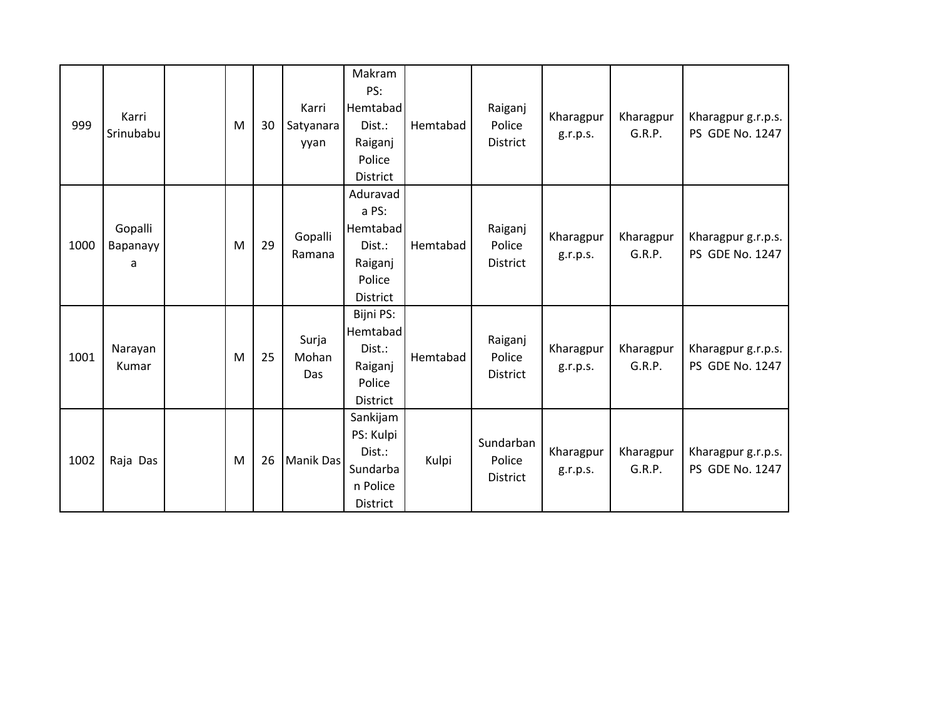| 999  | Karri<br>Srinubabu       | M | 30 | Karri<br>Satyanara<br>yyan | Makram<br>PS:<br>Hemtabad<br>Dist.:<br>Raiganj<br>Police<br><b>District</b>     | Hemtabad | Raiganj<br>Police<br>District          | Kharagpur<br>g.r.p.s. | Kharagpur<br>G.R.P. | Kharagpur g.r.p.s.<br>PS GDE No. 1247 |
|------|--------------------------|---|----|----------------------------|---------------------------------------------------------------------------------|----------|----------------------------------------|-----------------------|---------------------|---------------------------------------|
| 1000 | Gopalli<br>Bapanayy<br>a | M | 29 | Gopalli<br>Ramana          | Aduravad<br>a PS:<br>Hemtabad<br>Dist.:<br>Raiganj<br>Police<br><b>District</b> | Hemtabad | Raiganj<br>Police<br>District          | Kharagpur<br>g.r.p.s. | Kharagpur<br>G.R.P. | Kharagpur g.r.p.s.<br>PS GDE No. 1247 |
| 1001 | Narayan<br>Kumar         | M | 25 | Surja<br>Mohan<br>Das      | Bijni PS:<br>Hemtabad<br>Dist.:<br>Raiganj<br>Police<br><b>District</b>         | Hemtabad | Raiganj<br>Police<br>District          | Kharagpur<br>g.r.p.s. | Kharagpur<br>G.R.P. | Kharagpur g.r.p.s.<br>PS GDE No. 1247 |
| 1002 | Raja Das                 | M | 26 | <b>Manik Das</b>           | Sankijam<br>PS: Kulpi<br>Dist.:<br>Sundarba<br>n Police<br><b>District</b>      | Kulpi    | Sundarban<br>Police<br><b>District</b> | Kharagpur<br>g.r.p.s. | Kharagpur<br>G.R.P. | Kharagpur g.r.p.s.<br>PS GDE No. 1247 |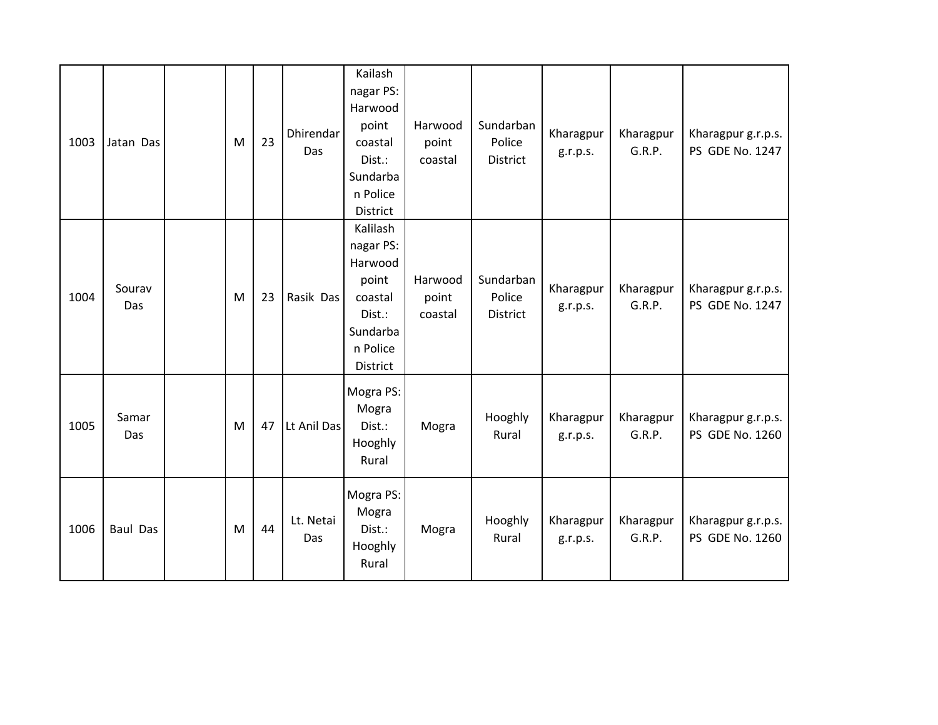| 1003 | Jatan Das       | M | 23 | Dhirendar<br>Das | Kailash<br>nagar PS:<br>Harwood<br>point<br>coastal<br>Dist.:<br>Sundarba<br>n Police<br>District  | Harwood<br>point<br>coastal | Sundarban<br>Police<br>District | Kharagpur<br>g.r.p.s. | Kharagpur<br>G.R.P. | Kharagpur g.r.p.s.<br>PS GDE No. 1247 |
|------|-----------------|---|----|------------------|----------------------------------------------------------------------------------------------------|-----------------------------|---------------------------------|-----------------------|---------------------|---------------------------------------|
| 1004 | Sourav<br>Das   | M | 23 | Rasik Das        | Kalilash<br>nagar PS:<br>Harwood<br>point<br>coastal<br>Dist.:<br>Sundarba<br>n Police<br>District | Harwood<br>point<br>coastal | Sundarban<br>Police<br>District | Kharagpur<br>g.r.p.s. | Kharagpur<br>G.R.P. | Kharagpur g.r.p.s.<br>PS GDE No. 1247 |
| 1005 | Samar<br>Das    | M | 47 | Lt Anil Das      | Mogra PS:<br>Mogra<br>Dist.:<br>Hooghly<br>Rural                                                   | Mogra                       | Hooghly<br>Rural                | Kharagpur<br>g.r.p.s. | Kharagpur<br>G.R.P. | Kharagpur g.r.p.s.<br>PS GDE No. 1260 |
| 1006 | <b>Baul Das</b> | M | 44 | Lt. Netai<br>Das | Mogra PS:<br>Mogra<br>Dist.:<br>Hooghly<br>Rural                                                   | Mogra                       | Hooghly<br>Rural                | Kharagpur<br>g.r.p.s. | Kharagpur<br>G.R.P. | Kharagpur g.r.p.s.<br>PS GDE No. 1260 |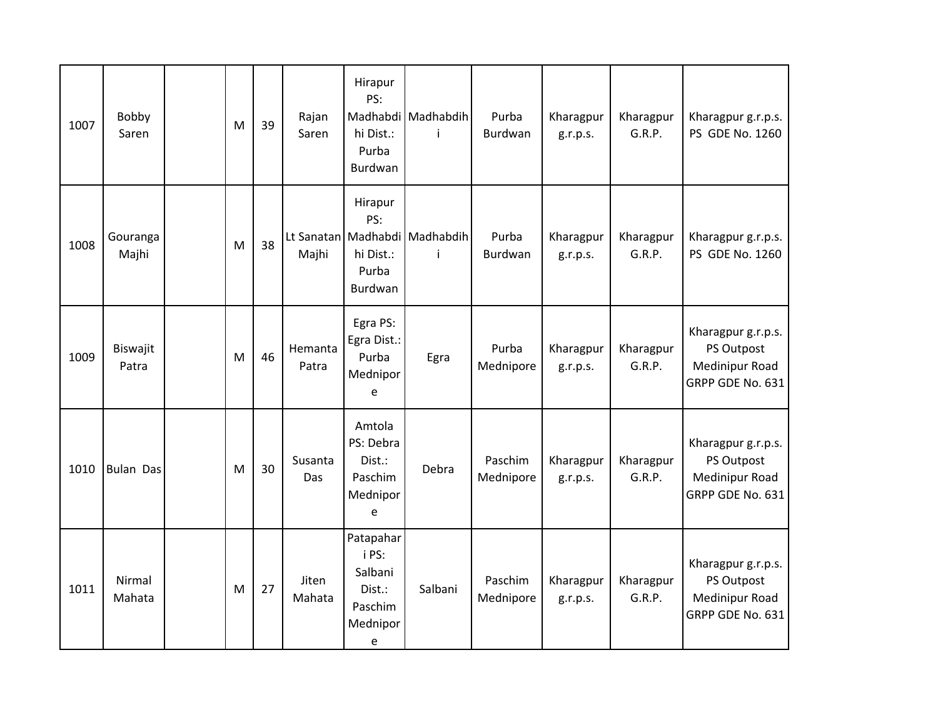| 1007 | Bobby<br>Saren    | M | 39 | Rajan<br>Saren   | Hirapur<br>PS:<br>hi Dist.:<br>Purba<br>Burdwan                     | Madhabdi Madhabdih<br>j            | Purba<br>Burdwan     | Kharagpur<br>g.r.p.s. | Kharagpur<br>G.R.P. | Kharagpur g.r.p.s.<br>PS GDE No. 1260                                  |
|------|-------------------|---|----|------------------|---------------------------------------------------------------------|------------------------------------|----------------------|-----------------------|---------------------|------------------------------------------------------------------------|
| 1008 | Gouranga<br>Majhi | M | 38 | Majhi            | Hirapur<br>PS:<br>hi Dist.:<br>Purba<br>Burdwan                     | Lt Sanatan Madhabdi Madhabdih<br>Ť | Purba<br>Burdwan     | Kharagpur<br>g.r.p.s. | Kharagpur<br>G.R.P. | Kharagpur g.r.p.s.<br>PS GDE No. 1260                                  |
| 1009 | Biswajit<br>Patra | M | 46 | Hemanta<br>Patra | Egra PS:<br>Egra Dist.:<br>Purba<br>Mednipor<br>e                   | Egra                               | Purba<br>Mednipore   | Kharagpur<br>g.r.p.s. | Kharagpur<br>G.R.P. | Kharagpur g.r.p.s.<br>PS Outpost<br>Medinipur Road<br>GRPP GDE No. 631 |
| 1010 | <b>Bulan Das</b>  | M | 30 | Susanta<br>Das   | Amtola<br>PS: Debra<br>Dist.:<br>Paschim<br>Mednipor<br>e           | Debra                              | Paschim<br>Mednipore | Kharagpur<br>g.r.p.s. | Kharagpur<br>G.R.P. | Kharagpur g.r.p.s.<br>PS Outpost<br>Medinipur Road<br>GRPP GDE No. 631 |
| 1011 | Nirmal<br>Mahata  | M | 27 | Jiten<br>Mahata  | Patapahar<br>i PS:<br>Salbani<br>Dist.:<br>Paschim<br>Mednipor<br>e | Salbani                            | Paschim<br>Mednipore | Kharagpur<br>g.r.p.s. | Kharagpur<br>G.R.P. | Kharagpur g.r.p.s.<br>PS Outpost<br>Medinipur Road<br>GRPP GDE No. 631 |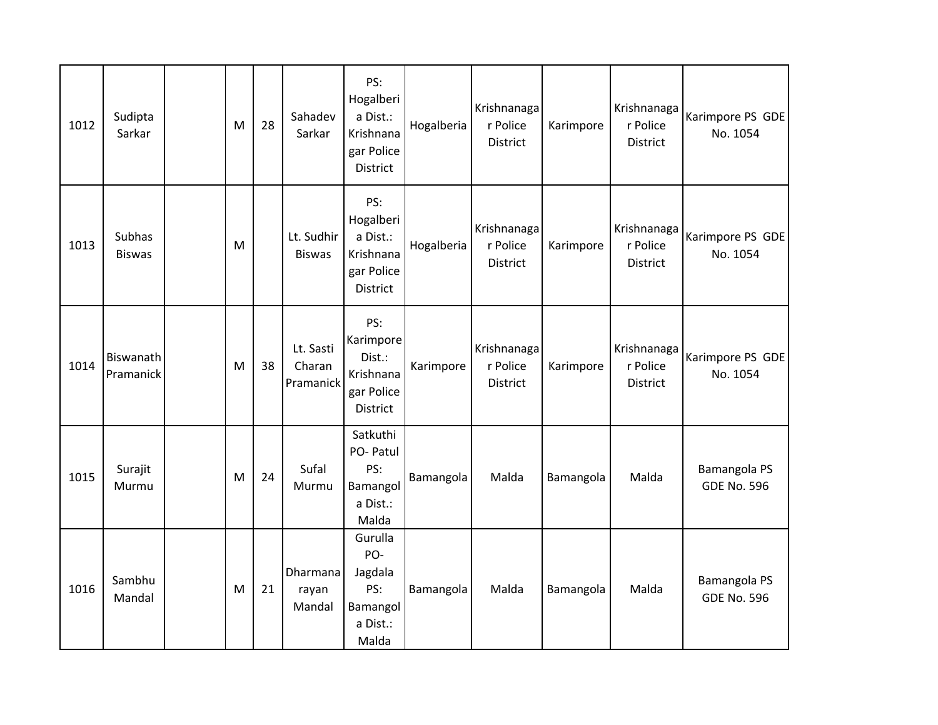| 1012 | Sudipta<br>Sarkar              | M | 28 | Sahadev<br>Sarkar                | PS:<br>Hogalberi<br>a Dist.:<br>Krishnana<br>gar Police<br>District        | Hogalberia | Krishnanaga<br>r Police<br>District        | Karimpore | Krishnanaga<br>r Police<br><b>District</b> | Karimpore PS GDE<br>No. 1054       |
|------|--------------------------------|---|----|----------------------------------|----------------------------------------------------------------------------|------------|--------------------------------------------|-----------|--------------------------------------------|------------------------------------|
| 1013 | <b>Subhas</b><br><b>Biswas</b> | M |    | Lt. Sudhir<br><b>Biswas</b>      | PS:<br>Hogalberi<br>a Dist.:<br>Krishnana<br>gar Police<br><b>District</b> | Hogalberia | Krishnanaga<br>r Police<br><b>District</b> | Karimpore | Krishnanaga<br>r Police<br><b>District</b> | Karimpore PS GDE<br>No. 1054       |
| 1014 | Biswanath<br>Pramanick         | M | 38 | Lt. Sasti<br>Charan<br>Pramanick | PS:<br>Karimpore<br>Dist.:<br>Krishnana<br>gar Police<br>District          | Karimpore  | Krishnanaga<br>r Police<br><b>District</b> | Karimpore | Krishnanaga<br>r Police<br><b>District</b> | Karimpore PS GDE<br>No. 1054       |
| 1015 | Surajit<br>Murmu               | M | 24 | Sufal<br>Murmu                   | Satkuthi<br>PO- Patul<br>PS:<br>Bamangol<br>a Dist.:<br>Malda              | Bamangola  | Malda                                      | Bamangola | Malda                                      | Bamangola PS<br><b>GDE No. 596</b> |
| 1016 | Sambhu<br>Mandal               | M | 21 | Dharmana<br>rayan<br>Mandal      | Gurulla<br>PO-<br>Jagdala<br>PS:<br>Bamangol<br>a Dist.:<br>Malda          | Bamangola  | Malda                                      | Bamangola | Malda                                      | Bamangola PS<br><b>GDE No. 596</b> |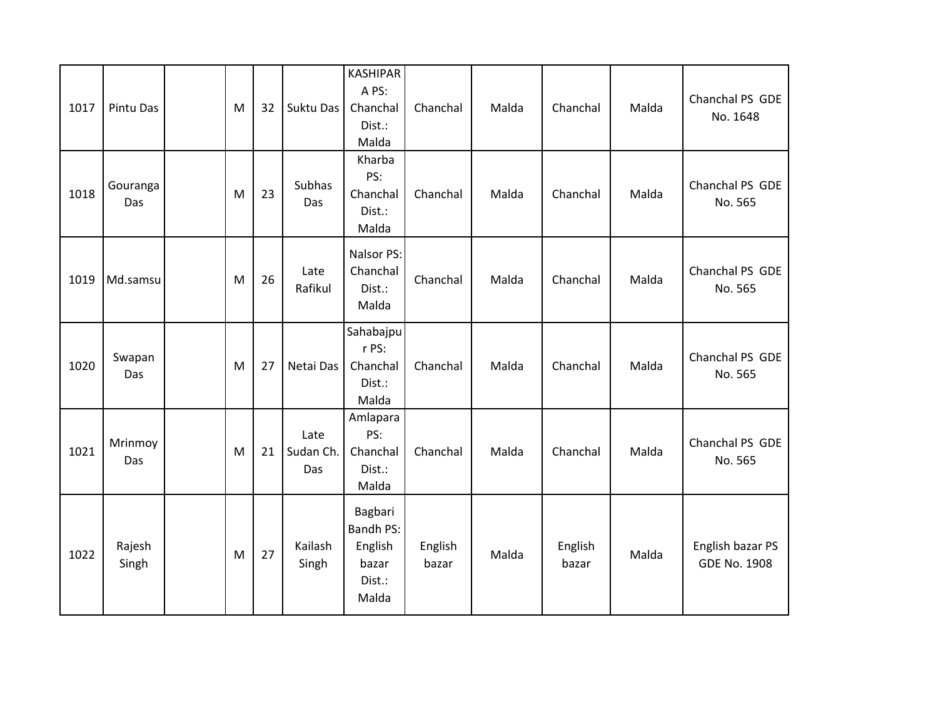| 1017 | Pintu Das       | M | 32 | Suktu Das                | <b>KASHIPAR</b><br>A PS:<br>Chanchal<br>Dist.:<br>Malda            | Chanchal         | Malda | Chanchal         | Malda | Chanchal PS GDE<br>No. 1648             |
|------|-----------------|---|----|--------------------------|--------------------------------------------------------------------|------------------|-------|------------------|-------|-----------------------------------------|
| 1018 | Gouranga<br>Das | M | 23 | Subhas<br>Das            | Kharba<br>PS:<br>Chanchal<br>Dist.:<br>Malda                       | Chanchal         | Malda | Chanchal         | Malda | Chanchal PS GDE<br>No. 565              |
| 1019 | Md.samsu        | M | 26 | Late<br>Rafikul          | Nalsor PS:<br>Chanchal<br>Dist.:<br>Malda                          | Chanchal         | Malda | Chanchal         | Malda | Chanchal PS GDE<br>No. 565              |
| 1020 | Swapan<br>Das   | M | 27 | Netai Das                | Sahabajpu<br>r PS:<br>Chanchal<br>Dist.:<br>Malda                  | Chanchal         | Malda | Chanchal         | Malda | Chanchal PS GDE<br>No. 565              |
| 1021 | Mrinmoy<br>Das  | M | 21 | Late<br>Sudan Ch.<br>Das | Amlapara<br>PS:<br>Chanchal<br>Dist.:<br>Malda                     | Chanchal         | Malda | Chanchal         | Malda | Chanchal PS GDE<br>No. 565              |
| 1022 | Rajesh<br>Singh | M | 27 | Kailash<br>Singh         | Bagbari<br><b>Bandh PS:</b><br>English<br>bazar<br>Dist.:<br>Malda | English<br>bazar | Malda | English<br>bazar | Malda | English bazar PS<br><b>GDE No. 1908</b> |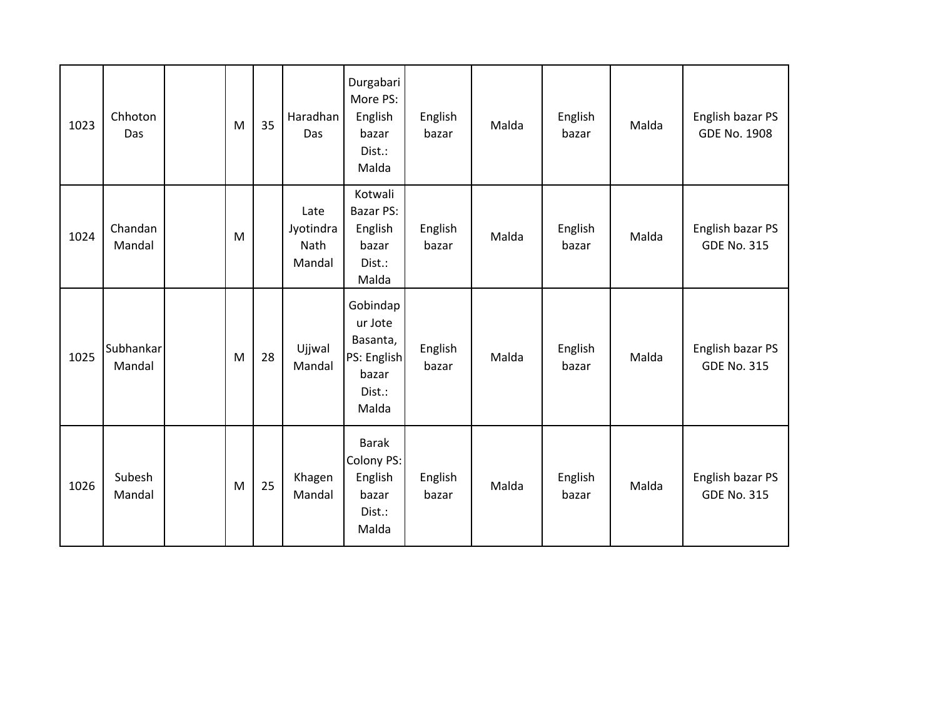| 1023 | Chhoton<br>Das      | M | 35 | Haradhan<br>Das                     | Durgabari<br>More PS:<br>English<br>bazar<br>Dist.:<br>Malda               | English<br>bazar | Malda | English<br>bazar | Malda | English bazar PS<br><b>GDE No. 1908</b> |
|------|---------------------|---|----|-------------------------------------|----------------------------------------------------------------------------|------------------|-------|------------------|-------|-----------------------------------------|
| 1024 | Chandan<br>Mandal   | M |    | Late<br>Jyotindra<br>Nath<br>Mandal | Kotwali<br><b>Bazar PS:</b><br>English<br>bazar<br>Dist.:<br>Malda         | English<br>bazar | Malda | English<br>bazar | Malda | English bazar PS<br><b>GDE No. 315</b>  |
| 1025 | Subhankar<br>Mandal | M | 28 | Ujjwal<br>Mandal                    | Gobindap<br>ur Jote<br>Basanta,<br>PS: English<br>bazar<br>Dist.:<br>Malda | English<br>bazar | Malda | English<br>bazar | Malda | English bazar PS<br><b>GDE No. 315</b>  |
| 1026 | Subesh<br>Mandal    | M | 25 | Khagen<br>Mandal                    | <b>Barak</b><br>Colony PS:<br>English<br>bazar<br>Dist.:<br>Malda          | English<br>bazar | Malda | English<br>bazar | Malda | English bazar PS<br><b>GDE No. 315</b>  |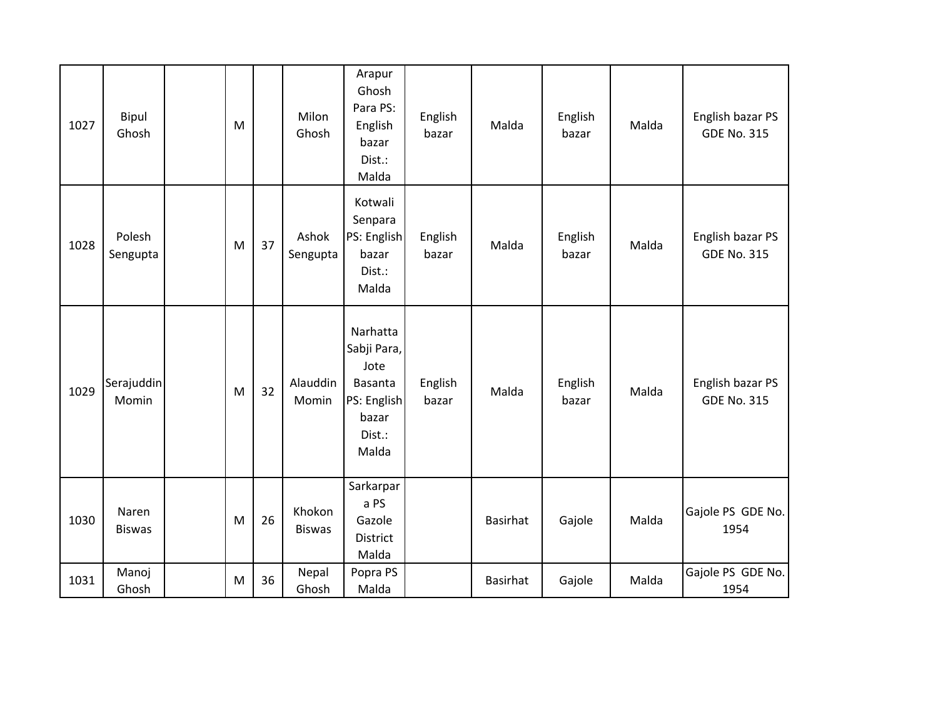| 1027 | Bipul<br>Ghosh         | M |    | Milon<br>Ghosh          | Arapur<br>Ghosh<br>Para PS:<br>English<br>bazar<br>Dist.:<br>Malda                    | English<br>bazar | Malda           | English<br>bazar | Malda | English bazar PS<br><b>GDE No. 315</b> |
|------|------------------------|---|----|-------------------------|---------------------------------------------------------------------------------------|------------------|-----------------|------------------|-------|----------------------------------------|
| 1028 | Polesh<br>Sengupta     | M | 37 | Ashok<br>Sengupta       | Kotwali<br>Senpara<br>PS: English<br>bazar<br>Dist.:<br>Malda                         | English<br>bazar | Malda           | English<br>bazar | Malda | English bazar PS<br><b>GDE No. 315</b> |
| 1029 | Serajuddin<br>Momin    | M | 32 | Alauddin<br>Momin       | Narhatta<br>Sabji Para,<br>Jote<br>Basanta<br>PS: English<br>bazar<br>Dist.:<br>Malda | English<br>bazar | Malda           | English<br>bazar | Malda | English bazar PS<br><b>GDE No. 315</b> |
| 1030 | Naren<br><b>Biswas</b> | M | 26 | Khokon<br><b>Biswas</b> | Sarkarpar<br>a PS<br>Gazole<br>District<br>Malda                                      |                  | <b>Basirhat</b> | Gajole           | Malda | Gajole PS GDE No.<br>1954              |
| 1031 | Manoj<br>Ghosh         | M | 36 | Nepal<br>Ghosh          | Popra PS<br>Malda                                                                     |                  | Basirhat        | Gajole           | Malda | Gajole PS GDE No.<br>1954              |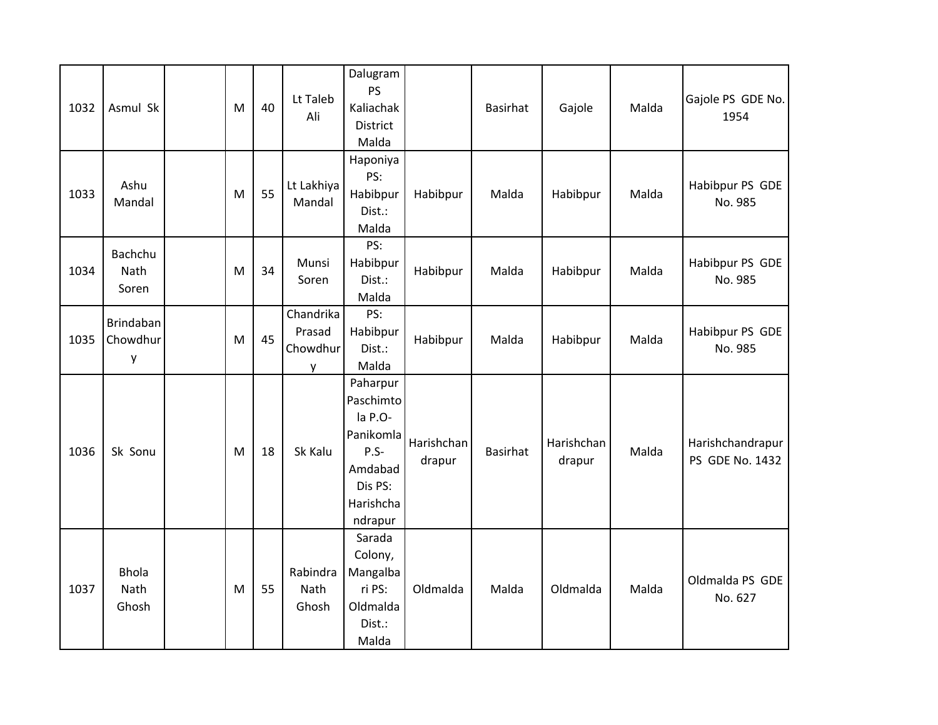| 1032 | Asmul Sk                          | M | 40 | Lt Taleb<br>Ali                      | Dalugram<br><b>PS</b><br>Kaliachak<br>District<br>Malda                                             |                      | Basirhat | Gajole               | Malda | Gajole PS GDE No.<br>1954           |
|------|-----------------------------------|---|----|--------------------------------------|-----------------------------------------------------------------------------------------------------|----------------------|----------|----------------------|-------|-------------------------------------|
| 1033 | Ashu<br>Mandal                    | M | 55 | Lt Lakhiya<br>Mandal                 | Haponiya<br>PS:<br>Habibpur<br>Dist.:<br>Malda                                                      | Habibpur             | Malda    | Habibpur             | Malda | Habibpur PS GDE<br>No. 985          |
| 1034 | Bachchu<br>Nath<br>Soren          | M | 34 | Munsi<br>Soren                       | PS:<br>Habibpur<br>Dist.:<br>Malda                                                                  | Habibpur             | Malda    | Habibpur             | Malda | Habibpur PS GDE<br>No. 985          |
| 1035 | <b>Brindaban</b><br>Chowdhur<br>y | M | 45 | Chandrika<br>Prasad<br>Chowdhur<br>y | PS:<br>Habibpur<br>Dist.:<br>Malda                                                                  | Habibpur             | Malda    | Habibpur             | Malda | Habibpur PS GDE<br>No. 985          |
| 1036 | Sk Sonu                           | M | 18 | Sk Kalu                              | Paharpur<br>Paschimto<br>la P.O-<br>Panikomla<br>P.S-<br>Amdabad<br>Dis PS:<br>Harishcha<br>ndrapur | Harishchan<br>drapur | Basirhat | Harishchan<br>drapur | Malda | Harishchandrapur<br>PS GDE No. 1432 |
| 1037 | <b>Bhola</b><br>Nath<br>Ghosh     | M | 55 | Rabindra<br>Nath<br>Ghosh            | Sarada<br>Colony,<br>Mangalba<br>ri PS:<br>Oldmalda<br>Dist.:<br>Malda                              | Oldmalda             | Malda    | Oldmalda             | Malda | Oldmalda PS GDE<br>No. 627          |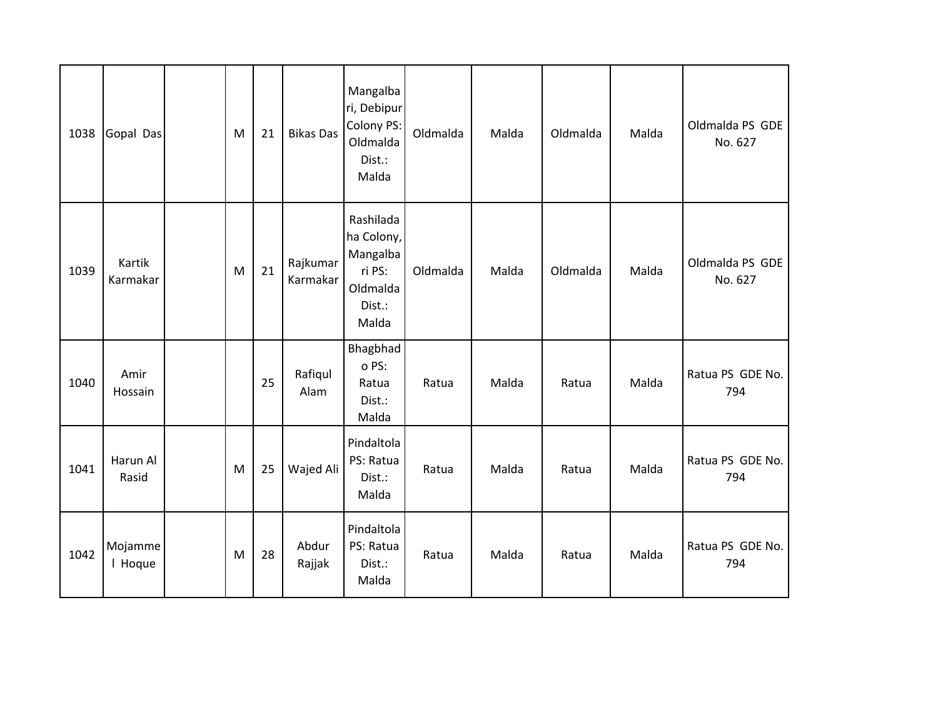| 1038 | Gopal Das          | M | 21 | <b>Bikas Das</b>     | Mangalba<br>ri, Debipur<br>Colony PS:<br>Oldmalda<br>Dist.:<br>Malda         | Oldmalda | Malda | Oldmalda | Malda | Oldmalda PS GDE<br>No. 627 |
|------|--------------------|---|----|----------------------|------------------------------------------------------------------------------|----------|-------|----------|-------|----------------------------|
| 1039 | Kartik<br>Karmakar | M | 21 | Rajkumar<br>Karmakar | Rashilada<br>ha Colony,<br>Mangalba<br>ri PS:<br>Oldmalda<br>Dist.:<br>Malda | Oldmalda | Malda | Oldmalda | Malda | Oldmalda PS GDE<br>No. 627 |
| 1040 | Amir<br>Hossain    |   | 25 | Rafiqul<br>Alam      | Bhagbhad<br>o PS:<br>Ratua<br>Dist.:<br>Malda                                | Ratua    | Malda | Ratua    | Malda | Ratua PS GDE No.<br>794    |
| 1041 | Harun Al<br>Rasid  | M | 25 | Wajed Ali            | Pindaltola<br>PS: Ratua<br>Dist.:<br>Malda                                   | Ratua    | Malda | Ratua    | Malda | Ratua PS GDE No.<br>794    |
| 1042 | Mojamme<br>I Hoque | M | 28 | Abdur<br>Rajjak      | Pindaltola<br>PS: Ratua<br>Dist.:<br>Malda                                   | Ratua    | Malda | Ratua    | Malda | Ratua PS GDE No.<br>794    |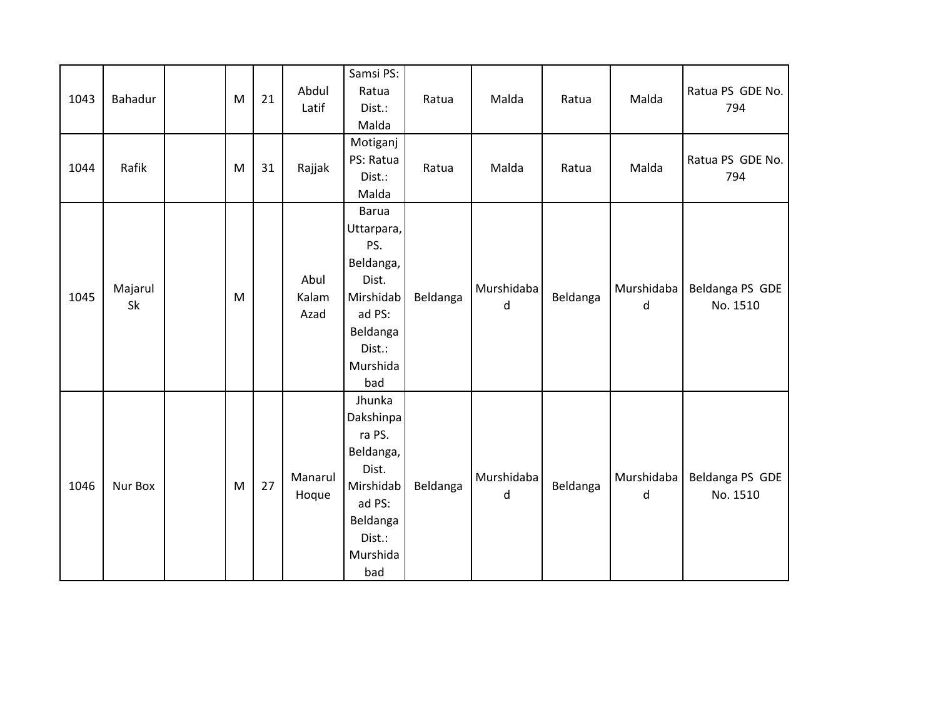| 1043 | Bahadur       | ${\sf M}$ | 21 | Abdul<br>Latif        | Samsi PS:<br>Ratua<br>Dist.:<br>Malda                                                                                   | Ratua    | Malda           | Ratua    | Malda           | Ratua PS GDE No.<br>794     |
|------|---------------|-----------|----|-----------------------|-------------------------------------------------------------------------------------------------------------------------|----------|-----------------|----------|-----------------|-----------------------------|
| 1044 | Rafik         | M         | 31 | Rajjak                | Motiganj<br>PS: Ratua<br>Dist.:<br>Malda                                                                                | Ratua    | Malda           | Ratua    | Malda           | Ratua PS GDE No.<br>794     |
| 1045 | Majarul<br>Sk | M         |    | Abul<br>Kalam<br>Azad | <b>Barua</b><br>Uttarpara,<br>PS.<br>Beldanga,<br>Dist.<br>Mirshidab<br>ad PS:<br>Beldanga<br>Dist.:<br>Murshida<br>bad | Beldanga | Murshidaba<br>d | Beldanga | Murshidaba<br>d | Beldanga PS GDE<br>No. 1510 |
| 1046 | Nur Box       | M         | 27 | Manarul<br>Hoque      | Jhunka<br>Dakshinpa<br>ra PS.<br>Beldanga,<br>Dist.<br>Mirshidab<br>ad PS:<br>Beldanga<br>Dist.:<br>Murshida<br>bad     | Beldanga | Murshidaba<br>d | Beldanga | Murshidaba<br>d | Beldanga PS GDE<br>No. 1510 |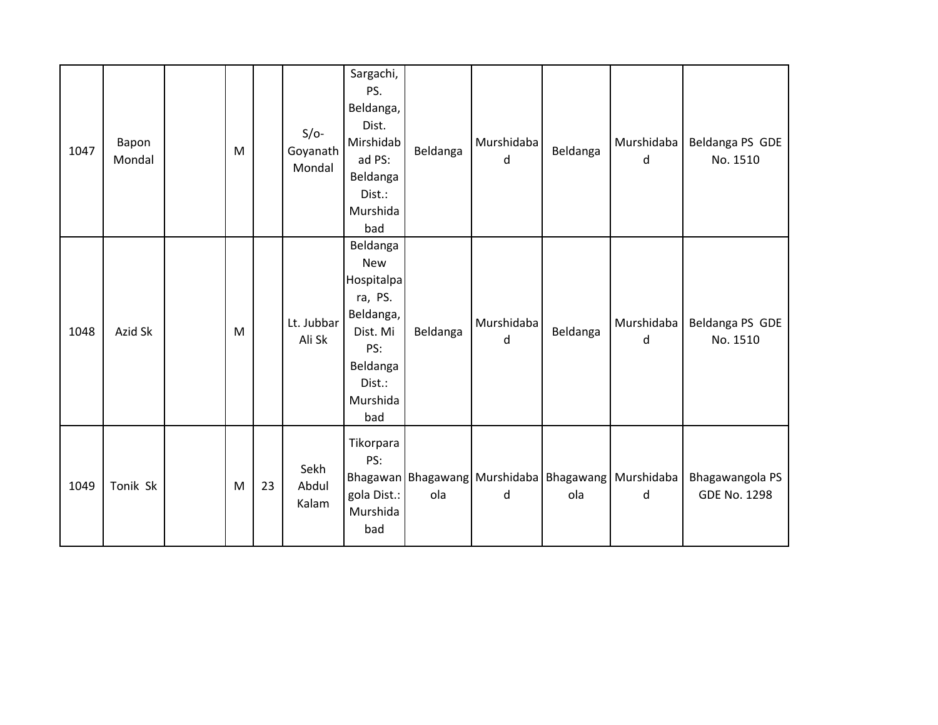| 1047 | Bapon<br>Mondal | M |    | $S/O-$<br>Goyanath<br>Mondal | Sargachi,<br>PS.<br>Beldanga,<br>Dist.<br>Mirshidab<br>ad PS:<br>Beldanga<br>Dist.:<br>Murshida<br>bad                   | Beldanga | Murshidaba<br>d | Beldanga | Murshidaba<br>d                                                 | Beldanga PS GDE<br>No. 1510            |
|------|-----------------|---|----|------------------------------|--------------------------------------------------------------------------------------------------------------------------|----------|-----------------|----------|-----------------------------------------------------------------|----------------------------------------|
| 1048 | Azid Sk         | M |    | Lt. Jubbar<br>Ali Sk         | Beldanga<br><b>New</b><br>Hospitalpa<br>ra, PS.<br>Beldanga,<br>Dist. Mi<br>PS:<br>Beldanga<br>Dist.:<br>Murshida<br>bad | Beldanga | Murshidaba<br>d | Beldanga | Murshidaba<br>d                                                 | Beldanga PS GDE<br>No. 1510            |
| 1049 | Tonik Sk        | M | 23 | Sekh<br>Abdul<br>Kalam       | Tikorpara<br>PS:<br>gola Dist.:<br>Murshida<br>bad                                                                       | ola      | d               | ola      | Bhagawan Bhagawang   Murshidaba   Bhagawang   Murshidaba  <br>d | Bhagawangola PS<br><b>GDE No. 1298</b> |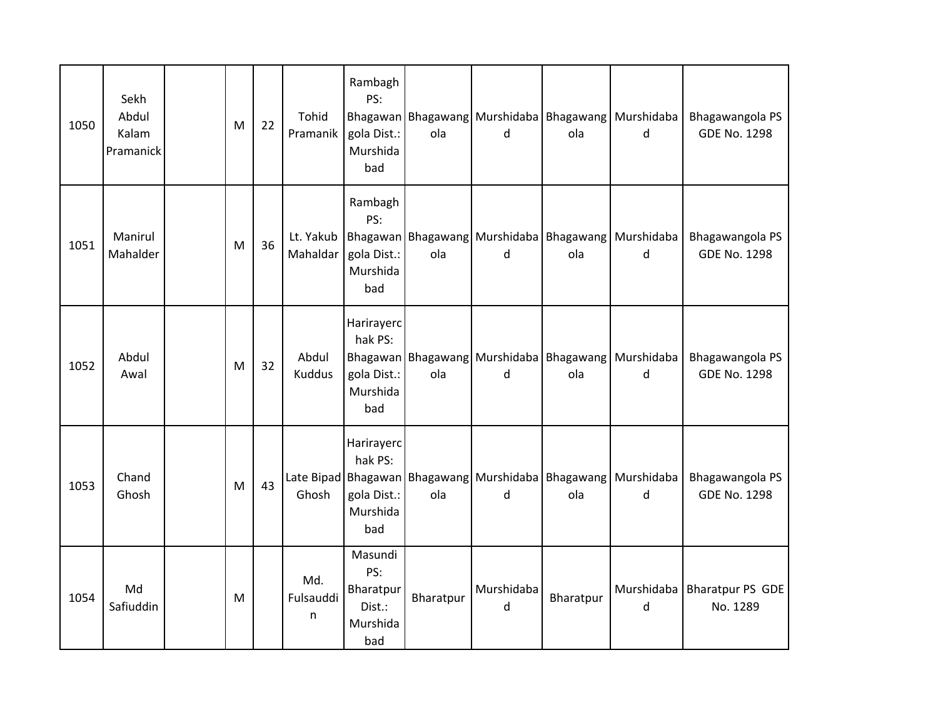| 1050 | Sekh<br>Abdul<br>Kalam<br>Pramanick | M | 22 | <b>Tohid</b><br>Pramanik | Rambagh<br>PS:<br>gola Dist.:<br>Murshida<br>bad         | ola       | d                                                    | ola       | Bhagawan Bhagawang   Murshidaba   Bhagawang   Murshidaba  <br>d            | Bhagawangola PS<br><b>GDE No. 1298</b> |
|------|-------------------------------------|---|----|--------------------------|----------------------------------------------------------|-----------|------------------------------------------------------|-----------|----------------------------------------------------------------------------|----------------------------------------|
| 1051 | Manirul<br>Mahalder                 | M | 36 | Lt. Yakub<br>Mahaldar    | Rambagh<br>PS:<br>gola Dist.:<br>Murshida<br>bad         | ola       | Bhagawan   Bhagawang   Murshidaba   Bhagawang  <br>d | ola       | Murshidaba<br>d                                                            | Bhagawangola PS<br><b>GDE No. 1298</b> |
| 1052 | Abdul<br>Awal                       | M | 32 | Abdul<br><b>Kuddus</b>   | Harirayerc<br>hak PS:<br>gola Dist.:<br>Murshida<br>bad  | ola       | d                                                    | ola       | Bhagawan Bhagawang Murshidaba Bhagawang Murshidaba<br>d                    | Bhagawangola PS<br><b>GDE No. 1298</b> |
| 1053 | Chand<br>Ghosh                      | M | 43 | Ghosh                    | Harirayerc<br>hak PS:<br>gola Dist.:<br>Murshida<br>bad  | ola       | d                                                    | ola       | Late Bipad Bhagawan   Bhagawang   Murshidaba   Bhagawang   Murshidaba<br>d | Bhagawangola PS<br><b>GDE No. 1298</b> |
| 1054 | Md<br>Safiuddin                     | M |    | Md.<br>Fulsauddi<br>n    | Masundi<br>PS:<br>Bharatpur<br>Dist.:<br>Murshida<br>bad | Bharatpur | Murshidaba<br>d                                      | Bharatpur | Murshidaba<br>d                                                            | Bharatpur PS GDE<br>No. 1289           |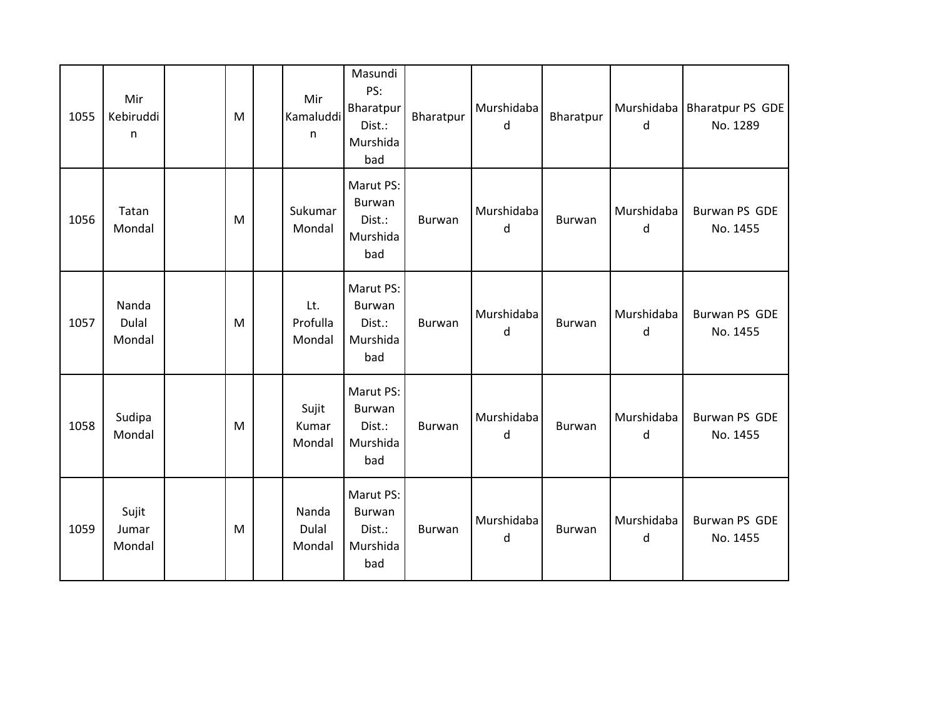| 1055 | Mir<br>Kebiruddi<br>n    | M | Mir<br>Kamaluddi<br>n     | Masundi<br>PS:<br>Bharatpur<br>Dist.:<br>Murshida<br>bad | Bharatpur | Murshidaba<br>d | Bharatpur | d               | Murshidaba   Bharatpur PS GDE<br>No. 1289 |
|------|--------------------------|---|---------------------------|----------------------------------------------------------|-----------|-----------------|-----------|-----------------|-------------------------------------------|
| 1056 | Tatan<br>Mondal          | M | Sukumar<br>Mondal         | Marut PS:<br>Burwan<br>Dist.:<br>Murshida<br>bad         | Burwan    | Murshidaba<br>d | Burwan    | Murshidaba<br>d | Burwan PS GDE<br>No. 1455                 |
| 1057 | Nanda<br>Dulal<br>Mondal | M | Lt.<br>Profulla<br>Mondal | Marut PS:<br>Burwan<br>Dist.:<br>Murshida<br>bad         | Burwan    | Murshidaba<br>d | Burwan    | Murshidaba<br>d | Burwan PS GDE<br>No. 1455                 |
| 1058 | Sudipa<br>Mondal         | M | Sujit<br>Kumar<br>Mondal  | Marut PS:<br><b>Burwan</b><br>Dist.:<br>Murshida<br>bad  | Burwan    | Murshidaba<br>d | Burwan    | Murshidaba<br>d | Burwan PS GDE<br>No. 1455                 |
| 1059 | Sujit<br>Jumar<br>Mondal | M | Nanda<br>Dulal<br>Mondal  | Marut PS:<br>Burwan<br>Dist.:<br>Murshida<br>bad         | Burwan    | Murshidaba<br>d | Burwan    | Murshidaba<br>d | Burwan PS GDE<br>No. 1455                 |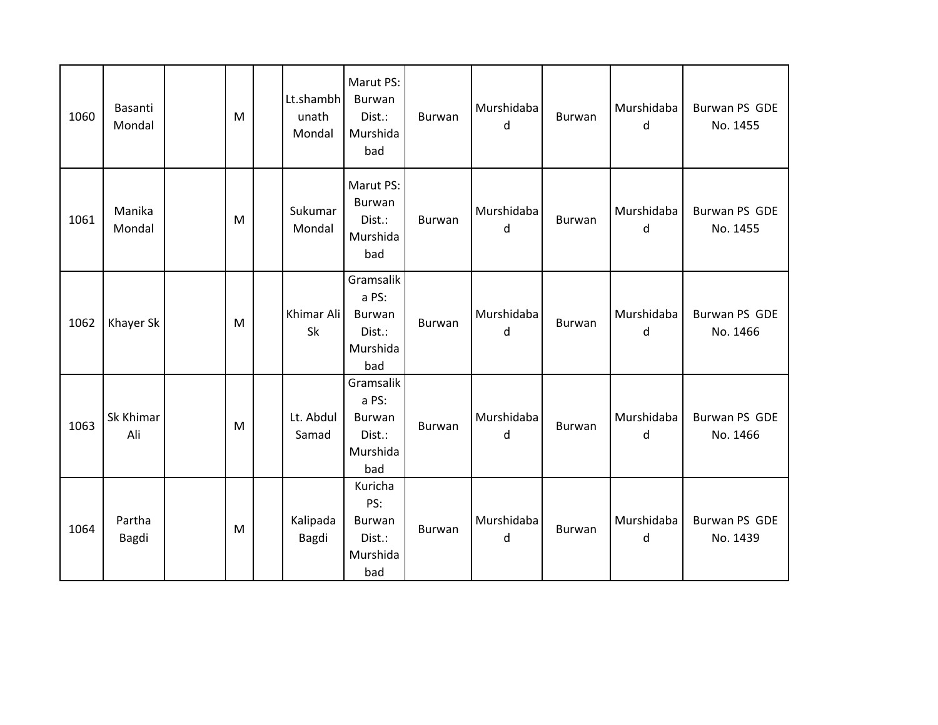| 1060 | Basanti<br>Mondal | M | Lt.shambh<br>unath<br>Mondal | Marut PS:<br>Burwan<br>Dist.:<br>Murshida<br>bad                 | Burwan | Murshidaba<br>d | Burwan | Murshidaba<br>d | <b>Burwan PS GDE</b><br>No. 1455 |
|------|-------------------|---|------------------------------|------------------------------------------------------------------|--------|-----------------|--------|-----------------|----------------------------------|
| 1061 | Manika<br>Mondal  | M | Sukumar<br>Mondal            | Marut PS:<br>Burwan<br>Dist.:<br>Murshida<br>bad                 | Burwan | Murshidaba<br>d | Burwan | Murshidaba<br>d | Burwan PS GDE<br>No. 1455        |
| 1062 | Khayer Sk         | M | Khimar Ali<br>Sk             | Gramsalik<br>a PS:<br><b>Burwan</b><br>Dist.:<br>Murshida<br>bad | Burwan | Murshidaba<br>d | Burwan | Murshidaba<br>d | <b>Burwan PS GDE</b><br>No. 1466 |
| 1063 | Sk Khimar<br>Ali  | M | Lt. Abdul<br>Samad           | Gramsalik<br>a PS:<br>Burwan<br>Dist.:<br>Murshida<br>bad        | Burwan | Murshidaba<br>d | Burwan | Murshidaba<br>d | Burwan PS GDE<br>No. 1466        |
| 1064 | Partha<br>Bagdi   | M | Kalipada<br>Bagdi            | Kuricha<br>PS:<br>Burwan<br>Dist.:<br>Murshida<br>bad            | Burwan | Murshidaba<br>d | Burwan | Murshidaba<br>d | Burwan PS GDE<br>No. 1439        |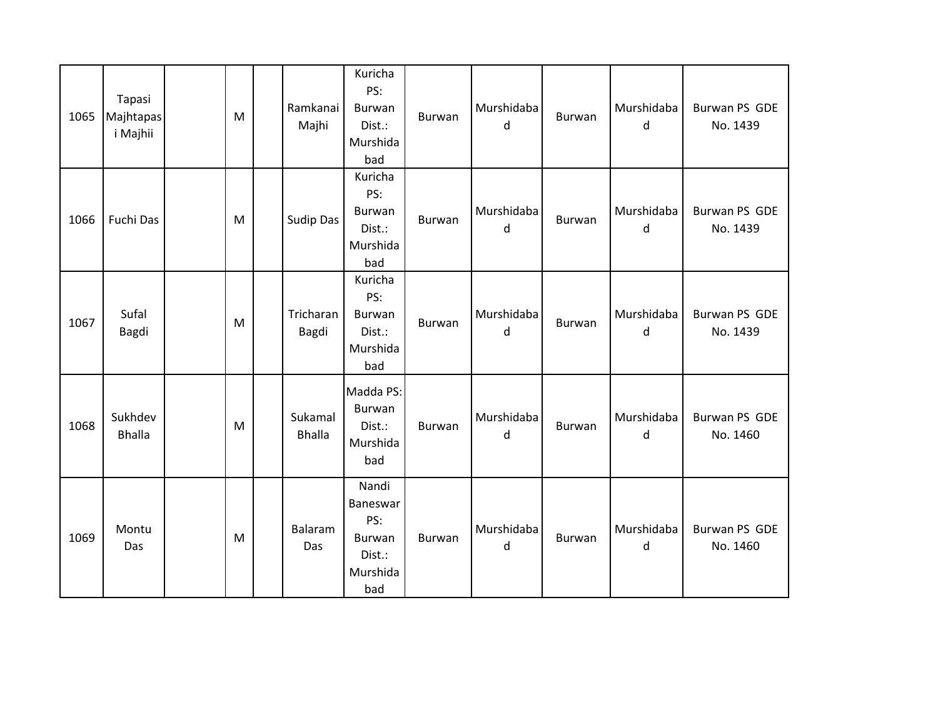| 1065 | Tapasi<br>Majhtapas<br>i Majhii | M | Ramkanai<br>Majhi        | Kuricha<br>PS:<br>Burwan<br>Dist.:<br>Murshida<br>bad           | Burwan        | Murshidaba<br>d | Burwan | Murshidaba<br>d | Burwan PS GDE<br>No. 1439 |
|------|---------------------------------|---|--------------------------|-----------------------------------------------------------------|---------------|-----------------|--------|-----------------|---------------------------|
| 1066 | Fuchi Das                       | M | Sudip Das                | Kuricha<br>PS:<br><b>Burwan</b><br>Dist.:<br>Murshida<br>bad    | Burwan        | Murshidaba<br>d | Burwan | Murshidaba<br>d | Burwan PS GDE<br>No. 1439 |
| 1067 | Sufal<br>Bagdi                  | M | Tricharan<br>Bagdi       | Kuricha<br>PS:<br>Burwan<br>Dist.:<br>Murshida<br>bad           | <b>Burwan</b> | Murshidaba<br>d | Burwan | Murshidaba<br>d | Burwan PS GDE<br>No. 1439 |
| 1068 | Sukhdev<br><b>Bhalla</b>        | M | Sukamal<br><b>Bhalla</b> | Madda PS:<br>Burwan<br>Dist.:<br>Murshida<br>bad                | Burwan        | Murshidaba<br>d | Burwan | Murshidaba<br>d | Burwan PS GDE<br>No. 1460 |
| 1069 | Montu<br>Das                    | M | Balaram<br>Das           | Nandi<br>Baneswar<br>PS:<br>Burwan<br>Dist.:<br>Murshida<br>bad | <b>Burwan</b> | Murshidaba<br>d | Burwan | Murshidaba<br>d | Burwan PS GDE<br>No. 1460 |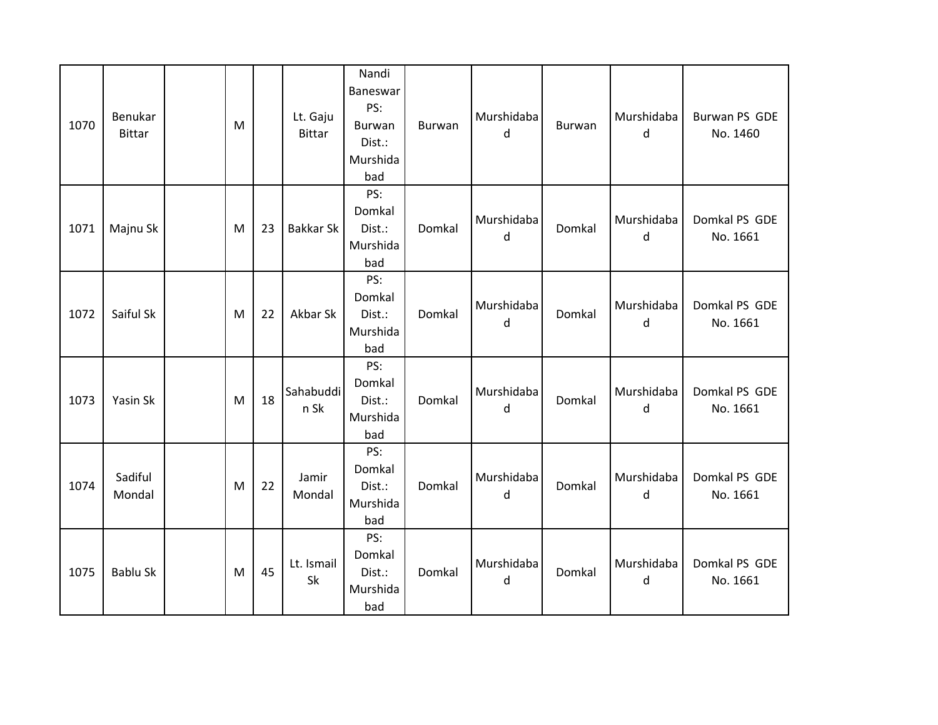| 1070 | Benukar<br><b>Bittar</b> | M |    | Lt. Gaju<br><b>Bittar</b> | Nandi<br>Baneswar<br>PS:<br>Burwan<br>Dist.:<br>Murshida<br>bad | Burwan | Murshidaba<br>d | <b>Burwan</b> | Murshidaba<br>d | Burwan PS GDE<br>No. 1460 |
|------|--------------------------|---|----|---------------------------|-----------------------------------------------------------------|--------|-----------------|---------------|-----------------|---------------------------|
| 1071 | Majnu Sk                 | M | 23 | <b>Bakkar Sk</b>          | PS:<br>Domkal<br>Dist.:<br>Murshida<br>bad                      | Domkal | Murshidaba<br>d | Domkal        | Murshidaba<br>d | Domkal PS GDE<br>No. 1661 |
| 1072 | Saiful Sk                | M | 22 | Akbar Sk                  | PS:<br>Domkal<br>Dist.:<br>Murshida<br>bad                      | Domkal | Murshidaba<br>d | Domkal        | Murshidaba<br>d | Domkal PS GDE<br>No. 1661 |
| 1073 | Yasin Sk                 | M | 18 | Sahabuddi<br>n Sk         | PS:<br>Domkal<br>Dist.:<br>Murshida<br>bad                      | Domkal | Murshidaba<br>d | Domkal        | Murshidaba<br>d | Domkal PS GDE<br>No. 1661 |
| 1074 | Sadiful<br>Mondal        | M | 22 | Jamir<br>Mondal           | PS:<br>Domkal<br>Dist.:<br>Murshida<br>bad                      | Domkal | Murshidaba<br>d | Domkal        | Murshidaba<br>d | Domkal PS GDE<br>No. 1661 |
| 1075 | <b>Bablu Sk</b>          | M | 45 | Lt. Ismail<br>Sk          | PS:<br>Domkal<br>Dist.:<br>Murshida<br>bad                      | Domkal | Murshidaba<br>d | Domkal        | Murshidaba<br>d | Domkal PS GDE<br>No. 1661 |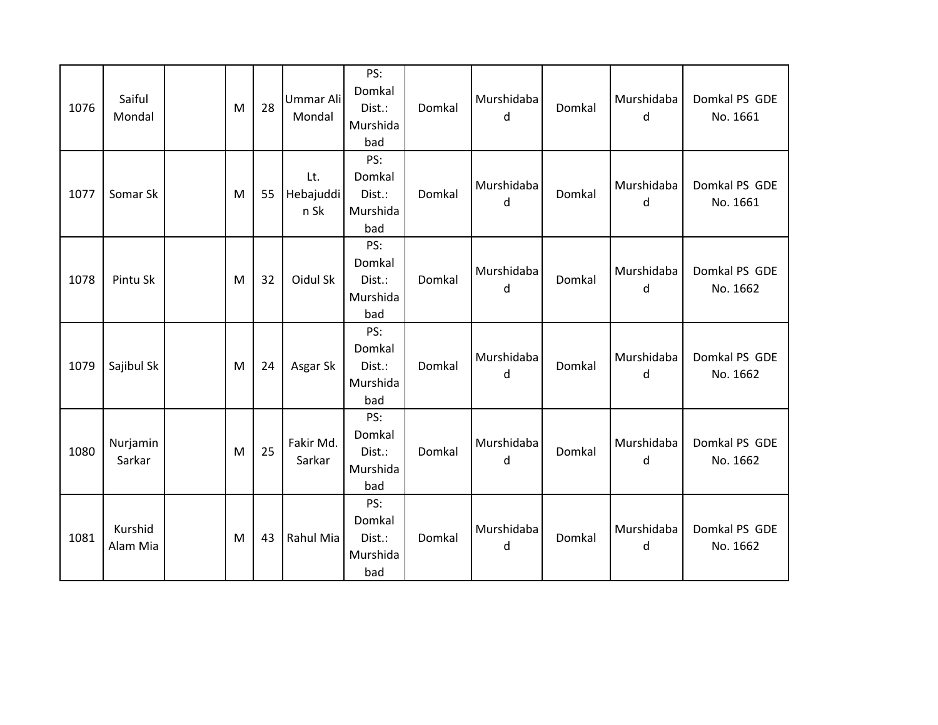| 1076 | Saiful<br>Mondal    | M | 28 | Ummar Ali<br>Mondal      | PS:<br>Domkal<br>Dist.:<br>Murshida<br>bad | Domkal | Murshidaba<br>d | Domkal | Murshidaba<br>d | Domkal PS GDE<br>No. 1661 |
|------|---------------------|---|----|--------------------------|--------------------------------------------|--------|-----------------|--------|-----------------|---------------------------|
| 1077 | Somar Sk            | M | 55 | Lt.<br>Hebajuddi<br>n Sk | PS:<br>Domkal<br>Dist.:<br>Murshida<br>bad | Domkal | Murshidaba<br>d | Domkal | Murshidaba<br>d | Domkal PS GDE<br>No. 1661 |
| 1078 | Pintu Sk            | M | 32 | Oidul Sk                 | PS:<br>Domkal<br>Dist.:<br>Murshida<br>bad | Domkal | Murshidaba<br>d | Domkal | Murshidaba<br>d | Domkal PS GDE<br>No. 1662 |
| 1079 | Sajibul Sk          | M | 24 | Asgar Sk                 | PS:<br>Domkal<br>Dist.:<br>Murshida<br>bad | Domkal | Murshidaba<br>d | Domkal | Murshidaba<br>d | Domkal PS GDE<br>No. 1662 |
| 1080 | Nurjamin<br>Sarkar  | M | 25 | Fakir Md.<br>Sarkar      | PS:<br>Domkal<br>Dist.:<br>Murshida<br>bad | Domkal | Murshidaba<br>d | Domkal | Murshidaba<br>d | Domkal PS GDE<br>No. 1662 |
| 1081 | Kurshid<br>Alam Mia | M | 43 | Rahul Mia                | PS:<br>Domkal<br>Dist.:<br>Murshida<br>bad | Domkal | Murshidaba<br>d | Domkal | Murshidaba<br>d | Domkal PS GDE<br>No. 1662 |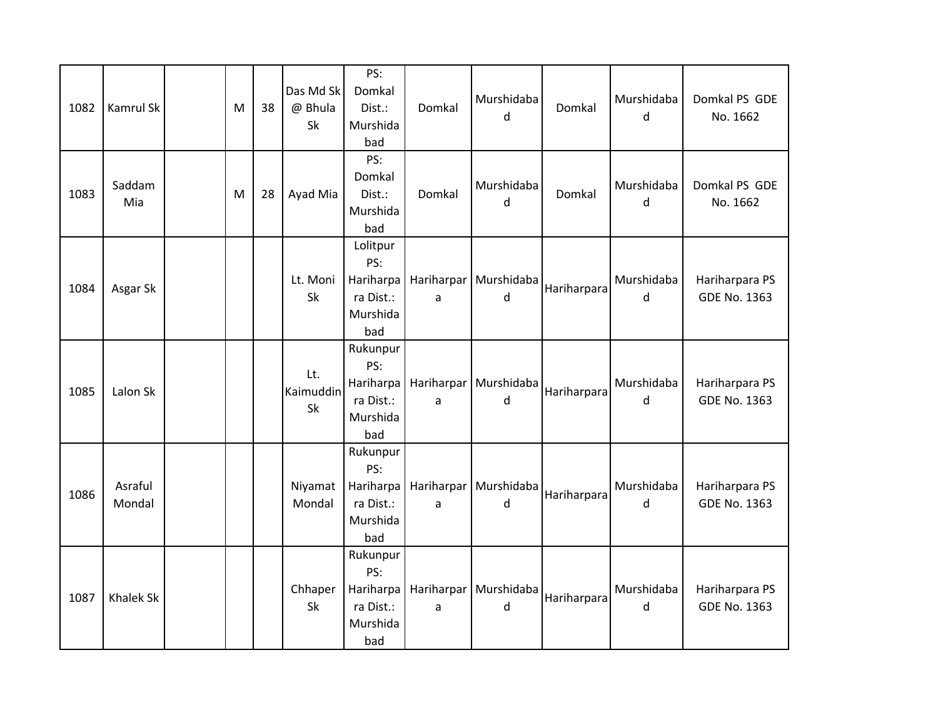| 1082 | Kamrul Sk         | M | 38 | Das Md Sk<br>@ Bhula<br>Sk | PS:<br>Domkal<br>Dist.:<br>Murshida<br>bad                   | Domkal | Murshidaba<br>d              | Domkal      | Murshidaba<br>d | Domkal PS GDE<br>No. 1662             |
|------|-------------------|---|----|----------------------------|--------------------------------------------------------------|--------|------------------------------|-------------|-----------------|---------------------------------------|
| 1083 | Saddam<br>Mia     | M | 28 | Ayad Mia                   | PS:<br>Domkal<br>Dist.:<br>Murshida<br>bad                   | Domkal | Murshidaba<br>d              | Domkal      | Murshidaba<br>d | Domkal PS GDE<br>No. 1662             |
| 1084 | Asgar Sk          |   |    | Lt. Moni<br>Sk             | Lolitpur<br>PS:<br>Hariharpa<br>ra Dist.:<br>Murshida<br>bad | a      | Hariharpar   Murshidaba<br>d | Hariharpara | Murshidaba<br>d | Hariharpara PS<br><b>GDE No. 1363</b> |
| 1085 | Lalon Sk          |   |    | Lt.<br>Kaimuddin<br>Sk     | Rukunpur<br>PS:<br>Hariharpa<br>ra Dist.:<br>Murshida<br>bad | a      | Hariharpar Murshidaba<br>d   | Hariharpara | Murshidaba<br>d | Hariharpara PS<br><b>GDE No. 1363</b> |
| 1086 | Asraful<br>Mondal |   |    | Niyamat<br>Mondal          | Rukunpur<br>PS:<br>Hariharpa<br>ra Dist.:<br>Murshida<br>bad | a      | Hariharpar   Murshidaba<br>d | Hariharpara | Murshidaba<br>d | Hariharpara PS<br><b>GDE No. 1363</b> |
| 1087 | <b>Khalek Sk</b>  |   |    | Chhaper<br>Sk              | Rukunpur<br>PS:<br>Hariharpa<br>ra Dist.:<br>Murshida<br>bad | a      | Hariharpar Murshidaba<br>d   | Hariharpara | Murshidaba<br>d | Hariharpara PS<br><b>GDE No. 1363</b> |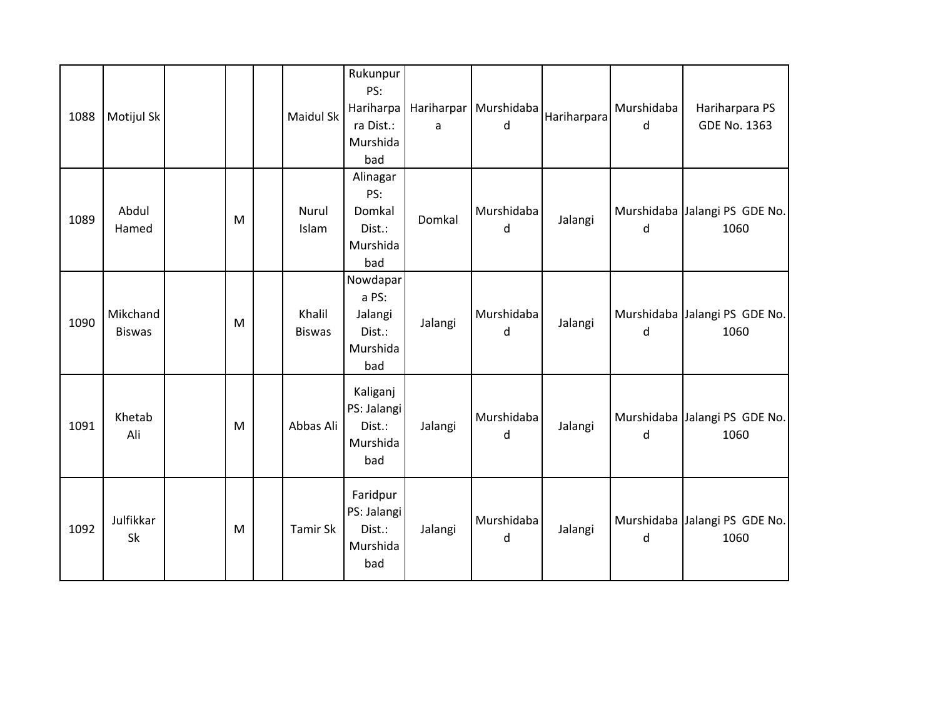| 1088 | Motijul Sk                |   | <b>Maidul Sk</b>        | Rukunpur<br>PS:<br>Hariharpa<br>ra Dist.:<br>Murshida<br>bad | a       | Hariharpar   Murshidaba<br>d | Hariharpara | Murshidaba<br><sub>d</sub> | Hariharpara PS<br>GDE No. 1363        |
|------|---------------------------|---|-------------------------|--------------------------------------------------------------|---------|------------------------------|-------------|----------------------------|---------------------------------------|
| 1089 | Abdul<br>Hamed            | M | Nurul<br>Islam          | Alinagar<br>PS:<br>Domkal<br>Dist.:<br>Murshida<br>bad       | Domkal  | Murshidaba<br>d              | Jalangi     | d                          | Murshidaba Jalangi PS GDE No.<br>1060 |
| 1090 | Mikchand<br><b>Biswas</b> | M | Khalil<br><b>Biswas</b> | Nowdapar<br>a PS:<br>Jalangi<br>Dist.:<br>Murshida<br>bad    | Jalangi | Murshidaba<br>d              | Jalangi     | d                          | Murshidaba Jalangi PS GDE No.<br>1060 |
| 1091 | Khetab<br>Ali             | M | Abbas Ali               | Kaliganj<br>PS: Jalangi<br>Dist.:<br>Murshida<br>bad         | Jalangi | Murshidaba<br>d              | Jalangi     | d                          | Murshidaba Jalangi PS GDE No.<br>1060 |
| 1092 | Julfikkar<br>Sk           | M | Tamir Sk                | Faridpur<br>PS: Jalangi<br>Dist.:<br>Murshida<br>bad         | Jalangi | Murshidaba<br>d              | Jalangi     | d                          | Murshidaba Jalangi PS GDE No.<br>1060 |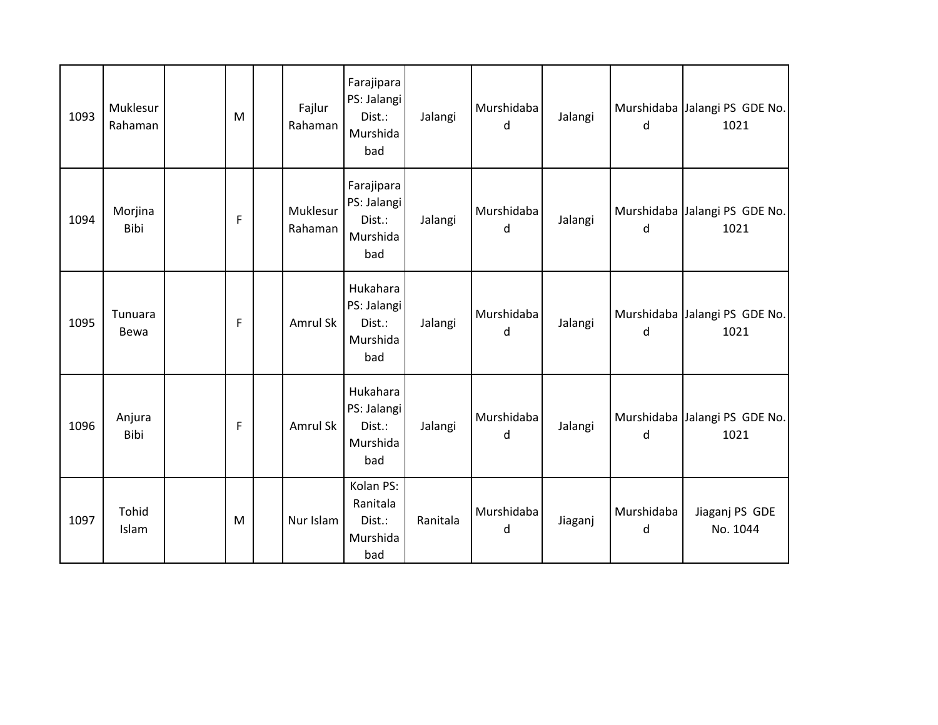| 1093 | Muklesur<br>Rahaman | M | Fajlur<br>Rahaman   | Farajipara<br>PS: Jalangi<br>Dist.:<br>Murshida<br>bad | Jalangi  | Murshidaba<br>d | Jalangi | d               | Murshidaba Jalangi PS GDE No.<br>1021 |
|------|---------------------|---|---------------------|--------------------------------------------------------|----------|-----------------|---------|-----------------|---------------------------------------|
| 1094 | Morjina<br>Bibi     | F | Muklesur<br>Rahaman | Farajipara<br>PS: Jalangi<br>Dist.:<br>Murshida<br>bad | Jalangi  | Murshidaba<br>d | Jalangi | d               | Murshidaba Jalangi PS GDE No.<br>1021 |
| 1095 | Tunuara<br>Bewa     | F | Amrul Sk            | Hukahara<br>PS: Jalangi<br>Dist.:<br>Murshida<br>bad   | Jalangi  | Murshidaba<br>d | Jalangi | d               | Murshidaba Jalangi PS GDE No.<br>1021 |
| 1096 | Anjura<br>Bibi      | F | Amrul Sk            | Hukahara<br>PS: Jalangi<br>Dist.:<br>Murshida<br>bad   | Jalangi  | Murshidaba<br>d | Jalangi | d               | Murshidaba Jalangi PS GDE No.<br>1021 |
| 1097 | Tohid<br>Islam      | M | Nur Islam           | Kolan PS:<br>Ranitala<br>Dist.:<br>Murshida<br>bad     | Ranitala | Murshidaba<br>d | Jiaganj | Murshidaba<br>d | Jiaganj PS GDE<br>No. 1044            |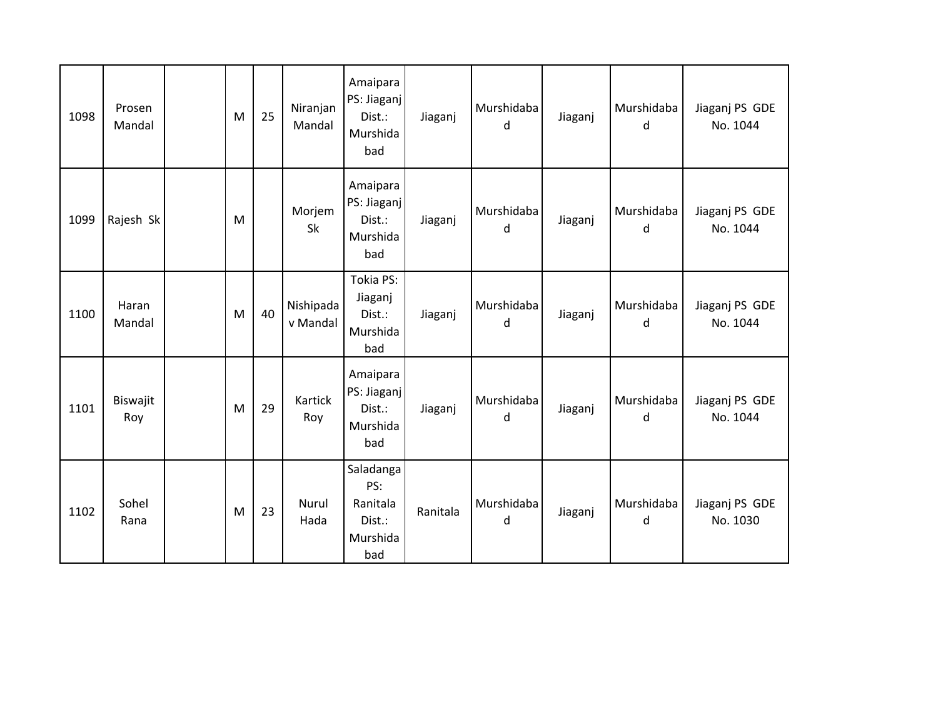| 1098 | Prosen<br>Mandal | M | 25 | Niranjan<br>Mandal    | Amaipara<br>PS: Jiaganj<br>Dist.:<br>Murshida<br>bad      | Jiaganj  | Murshidaba<br>d | Jiaganj | Murshidaba<br>d | Jiaganj PS GDE<br>No. 1044 |
|------|------------------|---|----|-----------------------|-----------------------------------------------------------|----------|-----------------|---------|-----------------|----------------------------|
| 1099 | Rajesh Sk        | M |    | Morjem<br>Sk          | Amaipara<br>PS: Jiaganj<br>Dist.:<br>Murshida<br>bad      | Jiaganj  | Murshidaba<br>d | Jiaganj | Murshidaba<br>d | Jiaganj PS GDE<br>No. 1044 |
| 1100 | Haran<br>Mandal  | M | 40 | Nishipada<br>v Mandal | Tokia PS:<br>Jiaganj<br>Dist.:<br>Murshida<br>bad         | Jiaganj  | Murshidaba<br>d | Jiaganj | Murshidaba<br>d | Jiaganj PS GDE<br>No. 1044 |
| 1101 | Biswajit<br>Roy  | M | 29 | Kartick<br>Roy        | Amaipara<br>PS: Jiaganj<br>Dist.:<br>Murshida<br>bad      | Jiaganj  | Murshidaba<br>d | Jiaganj | Murshidaba<br>d | Jiaganj PS GDE<br>No. 1044 |
| 1102 | Sohel<br>Rana    | M | 23 | Nurul<br>Hada         | Saladanga<br>PS:<br>Ranitala<br>Dist.:<br>Murshida<br>bad | Ranitala | Murshidaba<br>d | Jiaganj | Murshidaba<br>d | Jiaganj PS GDE<br>No. 1030 |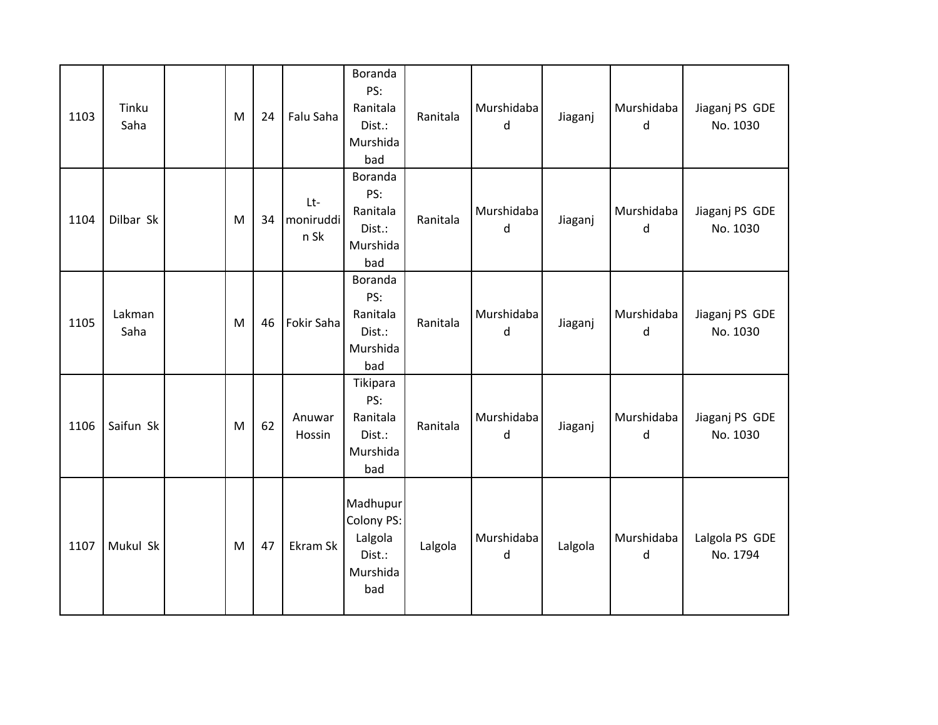| 1103 | Tinku<br>Saha  | M | 24 | Falu Saha                | Boranda<br>PS:<br>Ranitala<br>Dist.:<br>Murshida<br>bad        | Ranitala | Murshidaba<br>d | Jiaganj | Murshidaba<br>d | Jiaganj PS GDE<br>No. 1030 |
|------|----------------|---|----|--------------------------|----------------------------------------------------------------|----------|-----------------|---------|-----------------|----------------------------|
| 1104 | Dilbar Sk      | M | 34 | Lt-<br>moniruddi<br>n Sk | Boranda<br>PS:<br>Ranitala<br>Dist.:<br>Murshida<br>bad        | Ranitala | Murshidaba<br>d | Jiaganj | Murshidaba<br>d | Jiaganj PS GDE<br>No. 1030 |
| 1105 | Lakman<br>Saha | M | 46 | Fokir Saha               | Boranda<br>PS:<br>Ranitala<br>Dist.:<br>Murshida<br>bad        | Ranitala | Murshidaba<br>d | Jiaganj | Murshidaba<br>d | Jiaganj PS GDE<br>No. 1030 |
| 1106 | Saifun Sk      | M | 62 | Anuwar<br>Hossin         | Tikipara<br>PS:<br>Ranitala<br>Dist.:<br>Murshida<br>bad       | Ranitala | Murshidaba<br>d | Jiaganj | Murshidaba<br>d | Jiaganj PS GDE<br>No. 1030 |
| 1107 | Mukul Sk       | M | 47 | Ekram Sk                 | Madhupur<br>Colony PS:<br>Lalgola<br>Dist.:<br>Murshida<br>bad | Lalgola  | Murshidaba<br>d | Lalgola | Murshidaba<br>d | Lalgola PS GDE<br>No. 1794 |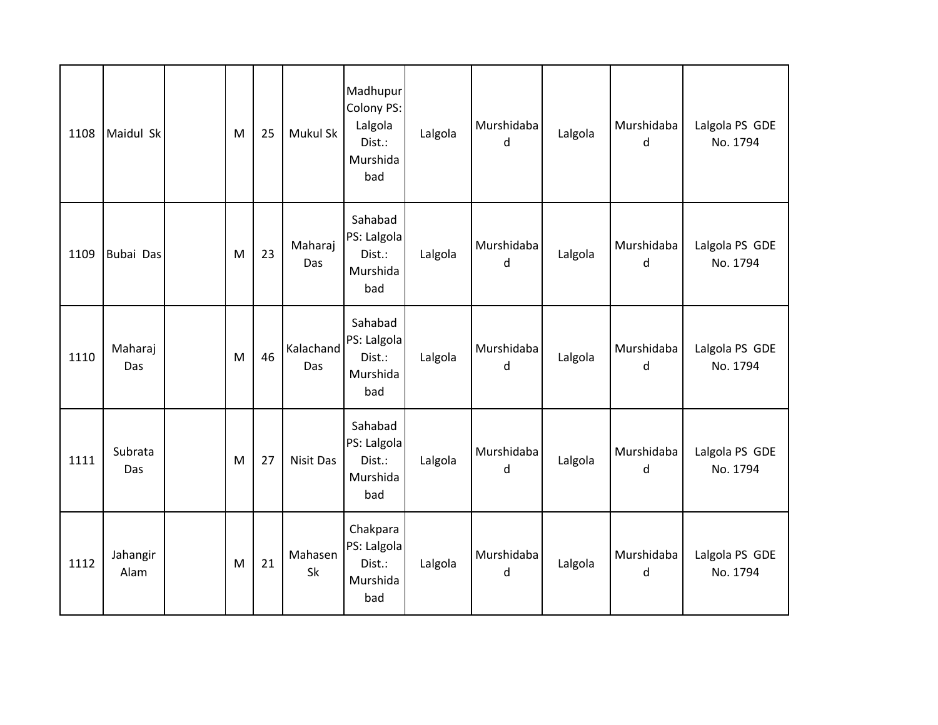| 1108 | Maidul Sk        | M | 25 | Mukul Sk             | Madhupur<br>Colony PS:<br>Lalgola<br>Dist.:<br>Murshida<br>bad | Lalgola | Murshidaba<br>d | Lalgola | Murshidaba<br><sub>d</sub> | Lalgola PS GDE<br>No. 1794 |
|------|------------------|---|----|----------------------|----------------------------------------------------------------|---------|-----------------|---------|----------------------------|----------------------------|
| 1109 | Bubai Das        | M | 23 | Maharaj<br>Das       | Sahabad<br>PS: Lalgola<br>Dist.:<br>Murshida<br>bad            | Lalgola | Murshidaba<br>d | Lalgola | Murshidaba<br>d            | Lalgola PS GDE<br>No. 1794 |
| 1110 | Maharaj<br>Das   | M | 46 | Kalachand<br>Das     | Sahabad<br>PS: Lalgola<br>Dist.:<br>Murshida<br>bad            | Lalgola | Murshidaba<br>d | Lalgola | Murshidaba<br>d            | Lalgola PS GDE<br>No. 1794 |
| 1111 | Subrata<br>Das   | M | 27 | Nisit Das            | Sahabad<br>PS: Lalgola<br>Dist.:<br>Murshida<br>bad            | Lalgola | Murshidaba<br>d | Lalgola | Murshidaba<br>d            | Lalgola PS GDE<br>No. 1794 |
| 1112 | Jahangir<br>Alam | M | 21 | Mahasen<br><b>Sk</b> | Chakpara<br>PS: Lalgola<br>Dist.:<br>Murshida<br>bad           | Lalgola | Murshidaba<br>d | Lalgola | Murshidaba<br>d            | Lalgola PS GDE<br>No. 1794 |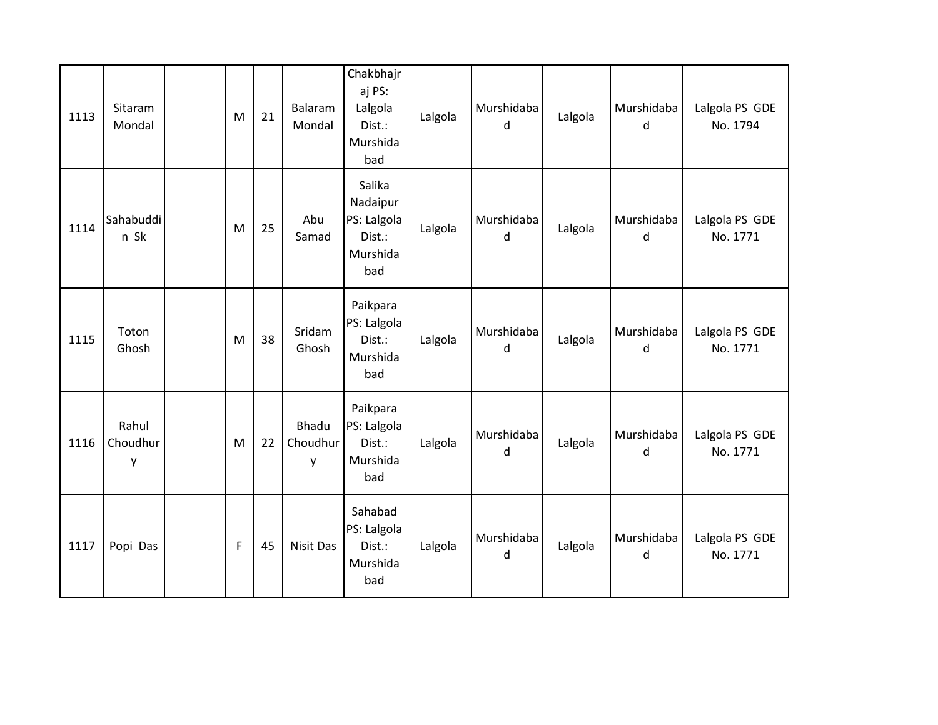| 1113 | Sitaram<br>Mondal      | M           | 21 | Balaram<br>Mondal      | Chakbhajr<br>aj PS:<br>Lalgola<br>Dist.:<br>Murshida<br>bad    | Lalgola | Murshidaba<br>d | Lalgola | Murshidaba<br>d | Lalgola PS GDE<br>No. 1794 |
|------|------------------------|-------------|----|------------------------|----------------------------------------------------------------|---------|-----------------|---------|-----------------|----------------------------|
| 1114 | Sahabuddi<br>n Sk      | M           | 25 | Abu<br>Samad           | Salika<br>Nadaipur<br>PS: Lalgola<br>Dist.:<br>Murshida<br>bad | Lalgola | Murshidaba<br>d | Lalgola | Murshidaba<br>d | Lalgola PS GDE<br>No. 1771 |
| 1115 | Toton<br>Ghosh         | M           | 38 | Sridam<br>Ghosh        | Paikpara<br>PS: Lalgola<br>Dist.:<br>Murshida<br>bad           | Lalgola | Murshidaba<br>d | Lalgola | Murshidaba<br>d | Lalgola PS GDE<br>No. 1771 |
| 1116 | Rahul<br>Choudhur<br>у | M           | 22 | Bhadu<br>Choudhur<br>y | Paikpara<br>PS: Lalgola<br>Dist.:<br>Murshida<br>bad           | Lalgola | Murshidaba<br>d | Lalgola | Murshidaba<br>d | Lalgola PS GDE<br>No. 1771 |
| 1117 | Popi Das               | $\mathsf F$ | 45 | Nisit Das              | Sahabad<br>PS: Lalgola<br>Dist.:<br>Murshida<br>bad            | Lalgola | Murshidaba<br>d | Lalgola | Murshidaba<br>d | Lalgola PS GDE<br>No. 1771 |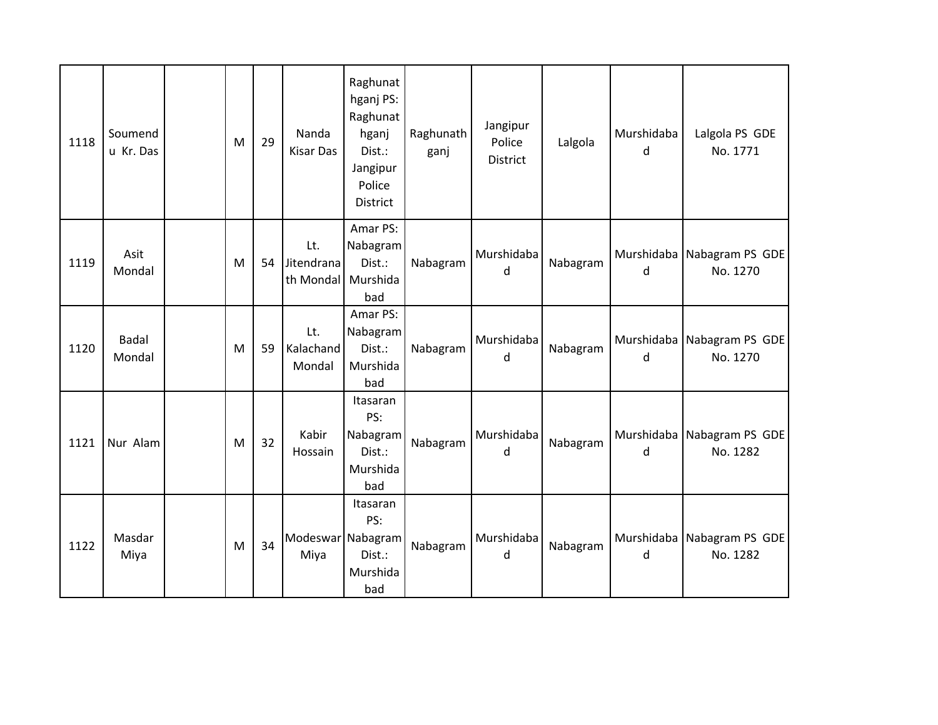| 1118 | Soumend<br>u Kr. Das | M | 29 | Nanda<br>Kisar Das             | Raghunat<br>hganj PS:<br>Raghunat<br>hganj<br>Dist.:<br>Jangipur<br>Police<br><b>District</b> | Raghunath<br>ganj | Jangipur<br>Police<br><b>District</b> | Lalgola  | Murshidaba<br>d | Lalgola PS GDE<br>No. 1771               |
|------|----------------------|---|----|--------------------------------|-----------------------------------------------------------------------------------------------|-------------------|---------------------------------------|----------|-----------------|------------------------------------------|
| 1119 | Asit<br>Mondal       | M | 54 | Lt.<br>Jitendrana<br>th Mondal | Amar PS:<br>Nabagram<br>Dist.:<br>Murshida<br>bad                                             | Nabagram          | Murshidaba<br>d                       | Nabagram | d               | Murshidaba   Nabagram PS GDE<br>No. 1270 |
| 1120 | Badal<br>Mondal      | M | 59 | Lt.<br>Kalachand<br>Mondal     | Amar PS:<br>Nabagram<br>Dist.:<br>Murshida<br>bad                                             | Nabagram          | Murshidaba<br>d                       | Nabagram | d               | Murshidaba Nabagram PS GDE<br>No. 1270   |
| 1121 | Nur Alam             | M | 32 | Kabir<br>Hossain               | Itasaran<br>PS:<br>Nabagram<br>Dist.:<br>Murshida<br>bad                                      | Nabagram          | Murshidaba<br>d                       | Nabagram | d               | Murshidaba Nabagram PS GDE<br>No. 1282   |
| 1122 | Masdar<br>Miya       | M | 34 | Modeswar Nabagram<br>Miya      | Itasaran<br>PS:<br>Dist.:<br>Murshida<br>bad                                                  | Nabagram          | Murshidaba<br>d                       | Nabagram | d               | Murshidaba   Nabagram PS GDE<br>No. 1282 |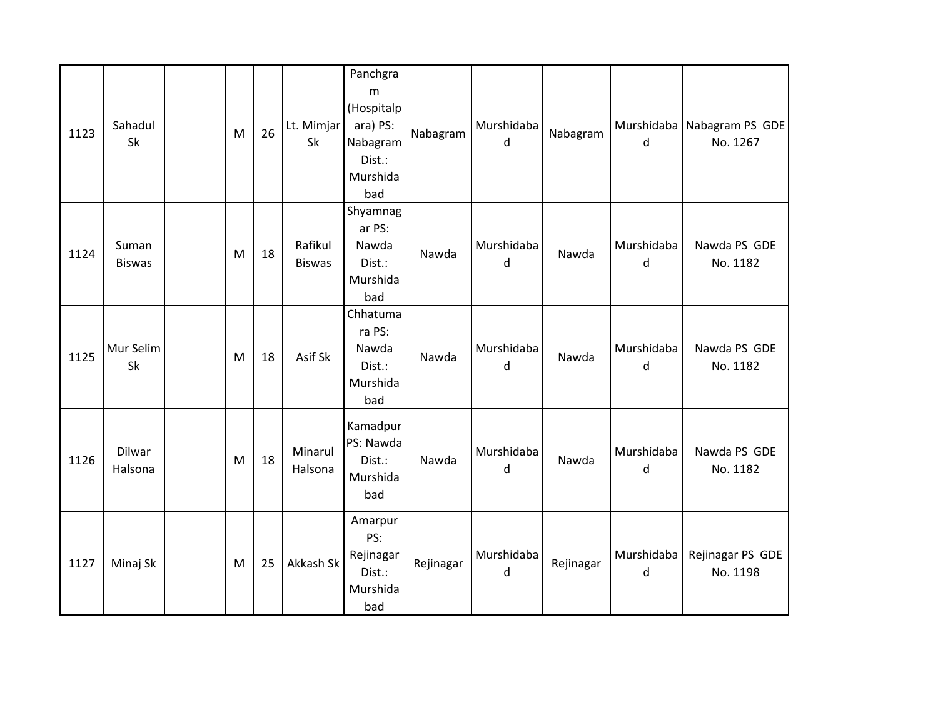| 1123 | Sahadul<br>Sk          | M | 26 | Lt. Mimjar<br>Sk         | Panchgra<br>m<br>(Hospitalp<br>ara) PS:<br>Nabagram<br>Dist.:<br>Murshida<br>bad | Nabagram  | Murshidaba<br>d | Nabagram  | d               | Murshidaba Nabagram PS GDE<br>No. 1267 |
|------|------------------------|---|----|--------------------------|----------------------------------------------------------------------------------|-----------|-----------------|-----------|-----------------|----------------------------------------|
| 1124 | Suman<br><b>Biswas</b> | M | 18 | Rafikul<br><b>Biswas</b> | Shyamnag<br>ar PS:<br>Nawda<br>Dist.:<br>Murshida<br>bad                         | Nawda     | Murshidaba<br>d | Nawda     | Murshidaba<br>d | Nawda PS GDE<br>No. 1182               |
| 1125 | Mur Selim<br>Sk        | M | 18 | Asif Sk                  | Chhatuma<br>ra PS:<br>Nawda<br>Dist.:<br>Murshida<br>bad                         | Nawda     | Murshidaba<br>d | Nawda     | Murshidaba<br>d | Nawda PS GDE<br>No. 1182               |
| 1126 | Dilwar<br>Halsona      | M | 18 | Minarul<br>Halsona       | Kamadpur<br>PS: Nawda<br>Dist.:<br>Murshida<br>bad                               | Nawda     | Murshidaba<br>d | Nawda     | Murshidaba<br>d | Nawda PS GDE<br>No. 1182               |
| 1127 | Minaj Sk               | M | 25 | Akkash Sk                | Amarpur<br>PS:<br>Rejinagar<br>Dist.:<br>Murshida<br>bad                         | Rejinagar | Murshidaba<br>d | Rejinagar | Murshidaba<br>d | Rejinagar PS GDE<br>No. 1198           |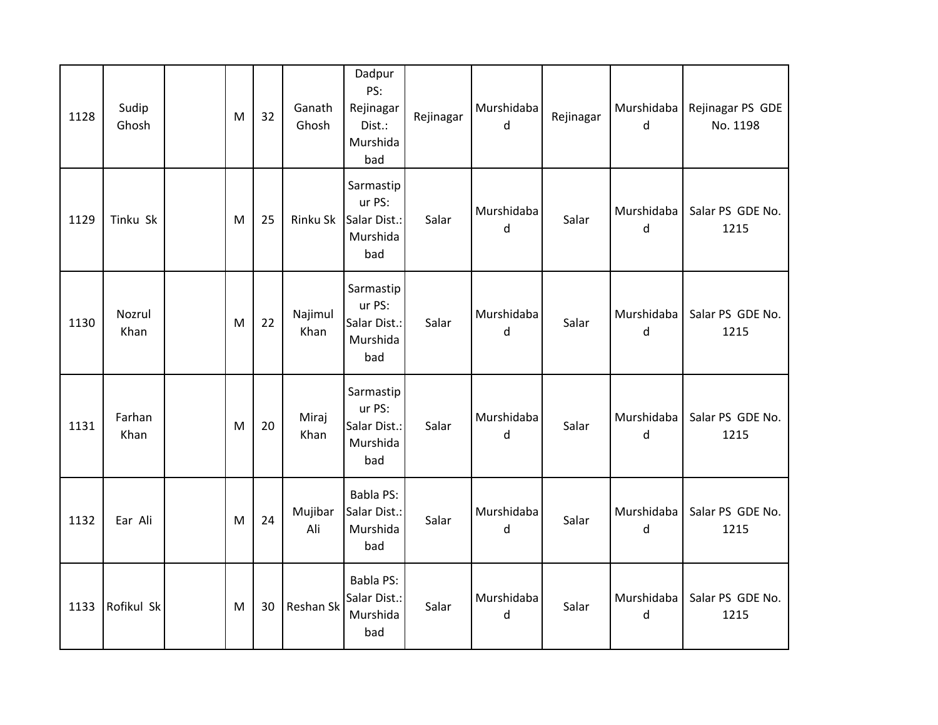| 1128 | Sudip<br>Ghosh | M | 32 | Ganath<br>Ghosh  | Dadpur<br>PS:<br>Rejinagar<br>Dist.:<br>Murshida<br>bad | Rejinagar | Murshidaba<br>d | Rejinagar | Murshidaba<br>d | Rejinagar PS GDE<br>No. 1198 |
|------|----------------|---|----|------------------|---------------------------------------------------------|-----------|-----------------|-----------|-----------------|------------------------------|
| 1129 | Tinku Sk       | M | 25 | Rinku Sk         | Sarmastip<br>ur PS:<br>Salar Dist.:<br>Murshida<br>bad  | Salar     | Murshidaba<br>d | Salar     | Murshidaba<br>d | Salar PS GDE No.<br>1215     |
| 1130 | Nozrul<br>Khan | M | 22 | Najimul<br>Khan  | Sarmastip<br>ur PS:<br>Salar Dist.:<br>Murshida<br>bad  | Salar     | Murshidaba<br>d | Salar     | Murshidaba<br>d | Salar PS GDE No.<br>1215     |
| 1131 | Farhan<br>Khan | M | 20 | Miraj<br>Khan    | Sarmastip<br>ur PS:<br>Salar Dist.:<br>Murshida<br>bad  | Salar     | Murshidaba<br>d | Salar     | Murshidaba<br>d | Salar PS GDE No.<br>1215     |
| 1132 | Ear Ali        | M | 24 | Mujibar<br>Ali   | <b>Babla PS:</b><br>Salar Dist.:<br>Murshida<br>bad     | Salar     | Murshidaba<br>d | Salar     | Murshidaba<br>d | Salar PS GDE No.<br>1215     |
| 1133 | Rofikul Sk     | M | 30 | <b>Reshan Sk</b> | <b>Babla PS:</b><br>Salar Dist.:<br>Murshida<br>bad     | Salar     | Murshidaba<br>d | Salar     | Murshidaba<br>d | Salar PS GDE No.<br>1215     |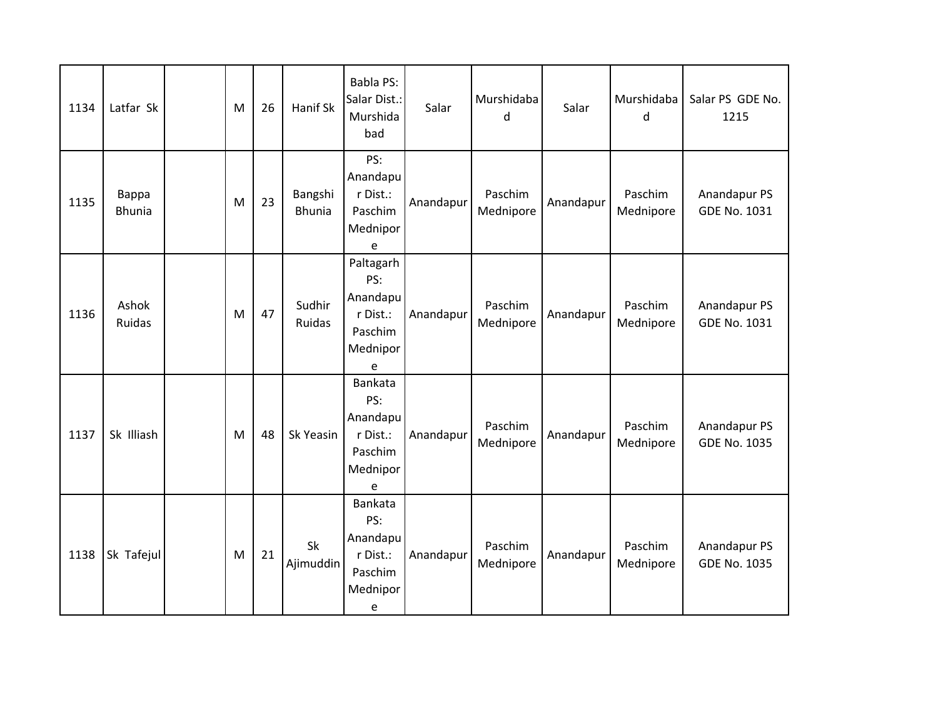| 1134 | Latfar Sk              | M | 26 | Hanif Sk                 | Babla PS:<br>Salar Dist.:<br>Murshida<br>bad                              | Salar     | Murshidaba<br>d      | Salar     | Murshidaba<br>d      | Salar PS GDE No.<br>1215            |
|------|------------------------|---|----|--------------------------|---------------------------------------------------------------------------|-----------|----------------------|-----------|----------------------|-------------------------------------|
| 1135 | Bappa<br><b>Bhunia</b> | M | 23 | Bangshi<br><b>Bhunia</b> | PS:<br>Anandapu<br>r Dist.:<br>Paschim<br>Mednipor<br>e                   | Anandapur | Paschim<br>Mednipore | Anandapur | Paschim<br>Mednipore | Anandapur PS<br>GDE No. 1031        |
| 1136 | Ashok<br>Ruidas        | M | 47 | Sudhir<br>Ruidas         | Paltagarh<br>PS:<br>Anandapu<br>r Dist.:<br>Paschim<br>Mednipor<br>e      | Anandapur | Paschim<br>Mednipore | Anandapur | Paschim<br>Mednipore | Anandapur PS<br><b>GDE No. 1031</b> |
| 1137 | Sk Illiash             | M | 48 | Sk Yeasin                | <b>Bankata</b><br>PS:<br>Anandapu<br>r Dist.:<br>Paschim<br>Mednipor<br>e | Anandapur | Paschim<br>Mednipore | Anandapur | Paschim<br>Mednipore | Anandapur PS<br><b>GDE No. 1035</b> |
| 1138 | Sk Tafejul             | M | 21 | Sk<br>Ajimuddin          | Bankata<br>PS:<br>Anandapu<br>r Dist.:<br>Paschim<br>Mednipor<br>e        | Anandapur | Paschim<br>Mednipore | Anandapur | Paschim<br>Mednipore | Anandapur PS<br><b>GDE No. 1035</b> |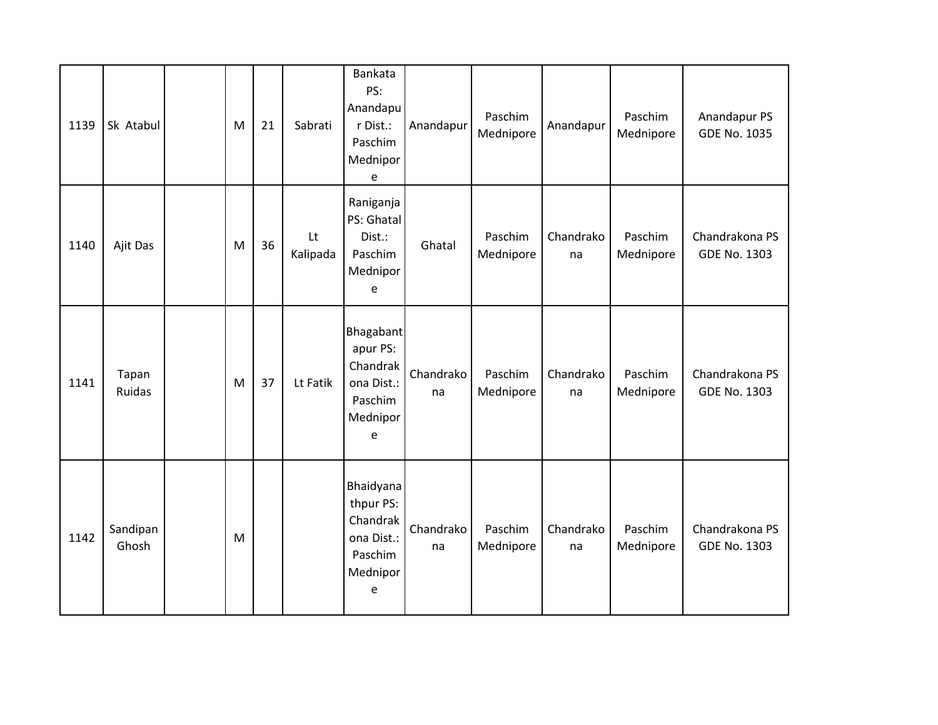| 1139 | Sk Atabul         | M | 21 | Sabrati        | <b>Bankata</b><br>PS:<br>Anandapu<br>r Dist.:<br>Paschim<br>Mednipor<br>e    | Anandapur       | Paschim<br>Mednipore | Anandapur       | Paschim<br>Mednipore | Anandapur PS<br><b>GDE No. 1035</b>   |
|------|-------------------|---|----|----------------|------------------------------------------------------------------------------|-----------------|----------------------|-----------------|----------------------|---------------------------------------|
| 1140 | Ajit Das          | M | 36 | Lt<br>Kalipada | Raniganja<br>PS: Ghatal<br>Dist.:<br>Paschim<br>Mednipor<br>e                | Ghatal          | Paschim<br>Mednipore | Chandrako<br>na | Paschim<br>Mednipore | Chandrakona PS<br><b>GDE No. 1303</b> |
| 1141 | Tapan<br>Ruidas   | M | 37 | Lt Fatik       | Bhagabant<br>apur PS:<br>Chandrak<br>ona Dist.:<br>Paschim<br>Mednipor<br>e  | Chandrako<br>na | Paschim<br>Mednipore | Chandrako<br>na | Paschim<br>Mednipore | Chandrakona PS<br>GDE No. 1303        |
| 1142 | Sandipan<br>Ghosh | M |    |                | Bhaidyana<br>thpur PS:<br>Chandrak<br>ona Dist.:<br>Paschim<br>Mednipor<br>e | Chandrako<br>na | Paschim<br>Mednipore | Chandrako<br>na | Paschim<br>Mednipore | Chandrakona PS<br><b>GDE No. 1303</b> |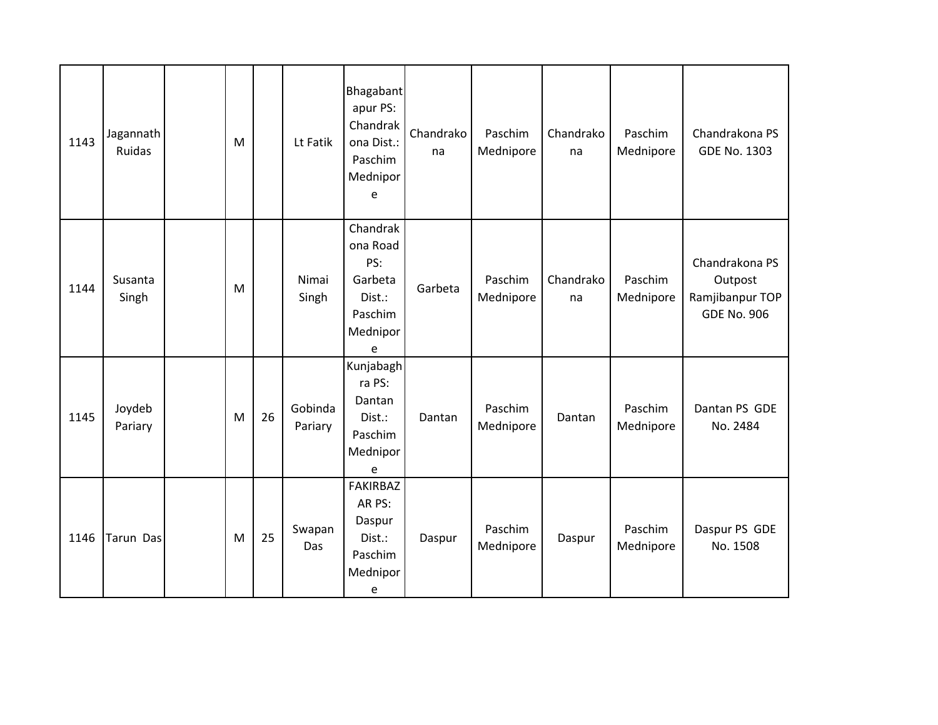| 1143 | Jagannath<br>Ruidas | M |    | Lt Fatik           | Bhagabant<br>apur PS:<br>Chandrak<br>ona Dist.:<br>Paschim<br>Mednipor<br>e  | Chandrako<br>na | Paschim<br>Mednipore | Chandrako<br>na | Paschim<br>Mednipore | Chandrakona PS<br><b>GDE No. 1303</b>                              |
|------|---------------------|---|----|--------------------|------------------------------------------------------------------------------|-----------------|----------------------|-----------------|----------------------|--------------------------------------------------------------------|
| 1144 | Susanta<br>Singh    | M |    | Nimai<br>Singh     | Chandrak<br>ona Road<br>PS:<br>Garbeta<br>Dist.:<br>Paschim<br>Mednipor<br>e | Garbeta         | Paschim<br>Mednipore | Chandrako<br>na | Paschim<br>Mednipore | Chandrakona PS<br>Outpost<br>Ramjibanpur TOP<br><b>GDE No. 906</b> |
| 1145 | Joydeb<br>Pariary   | M | 26 | Gobinda<br>Pariary | Kunjabagh<br>ra PS:<br>Dantan<br>Dist.:<br>Paschim<br>Mednipor<br>e          | Dantan          | Paschim<br>Mednipore | Dantan          | Paschim<br>Mednipore | Dantan PS GDE<br>No. 2484                                          |
| 1146 | Tarun Das           | M | 25 | Swapan<br>Das      | <b>FAKIRBAZ</b><br>AR PS:<br>Daspur<br>Dist.:<br>Paschim<br>Mednipor<br>e    | Daspur          | Paschim<br>Mednipore | Daspur          | Paschim<br>Mednipore | Daspur PS GDE<br>No. 1508                                          |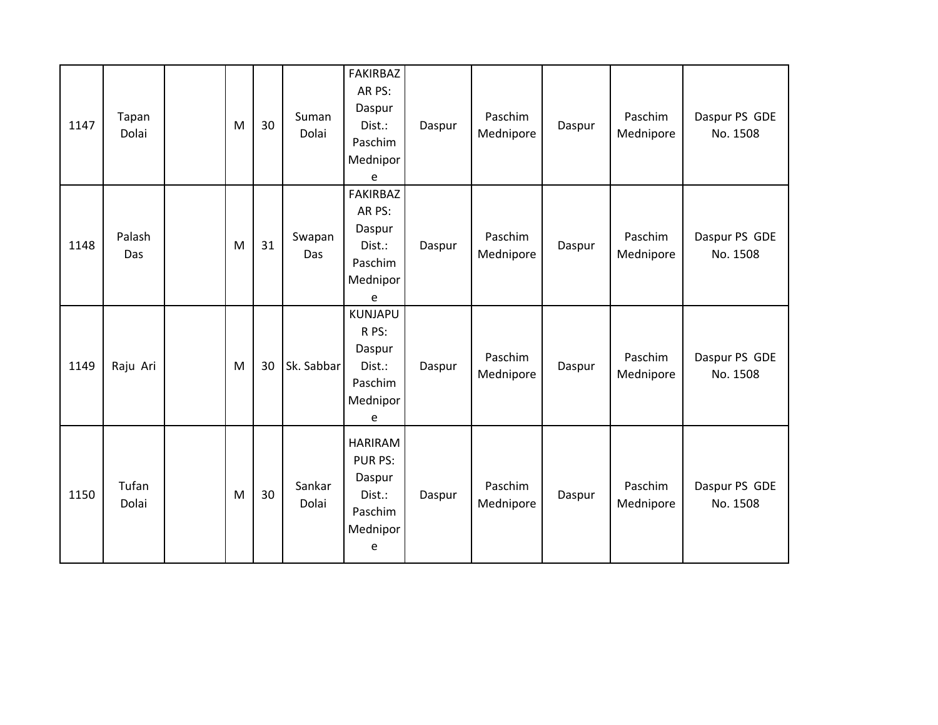| 1147 | Tapan<br>Dolai | M | 30 | Suman<br>Dolai  | <b>FAKIRBAZ</b><br>AR PS:<br>Daspur<br>Dist.:<br>Paschim<br>Mednipor<br>e | Daspur | Paschim<br>Mednipore | Daspur | Paschim<br>Mednipore | Daspur PS GDE<br>No. 1508 |
|------|----------------|---|----|-----------------|---------------------------------------------------------------------------|--------|----------------------|--------|----------------------|---------------------------|
| 1148 | Palash<br>Das  | M | 31 | Swapan<br>Das   | <b>FAKIRBAZ</b><br>AR PS:<br>Daspur<br>Dist.:<br>Paschim<br>Mednipor<br>e | Daspur | Paschim<br>Mednipore | Daspur | Paschim<br>Mednipore | Daspur PS GDE<br>No. 1508 |
| 1149 | Raju Ari       | M | 30 | Sk. Sabbar      | <b>KUNJAPU</b><br>R PS:<br>Daspur<br>Dist.:<br>Paschim<br>Mednipor<br>e   | Daspur | Paschim<br>Mednipore | Daspur | Paschim<br>Mednipore | Daspur PS GDE<br>No. 1508 |
| 1150 | Tufan<br>Dolai | M | 30 | Sankar<br>Dolai | <b>HARIRAM</b><br>PUR PS:<br>Daspur<br>Dist.:<br>Paschim<br>Mednipor<br>e | Daspur | Paschim<br>Mednipore | Daspur | Paschim<br>Mednipore | Daspur PS GDE<br>No. 1508 |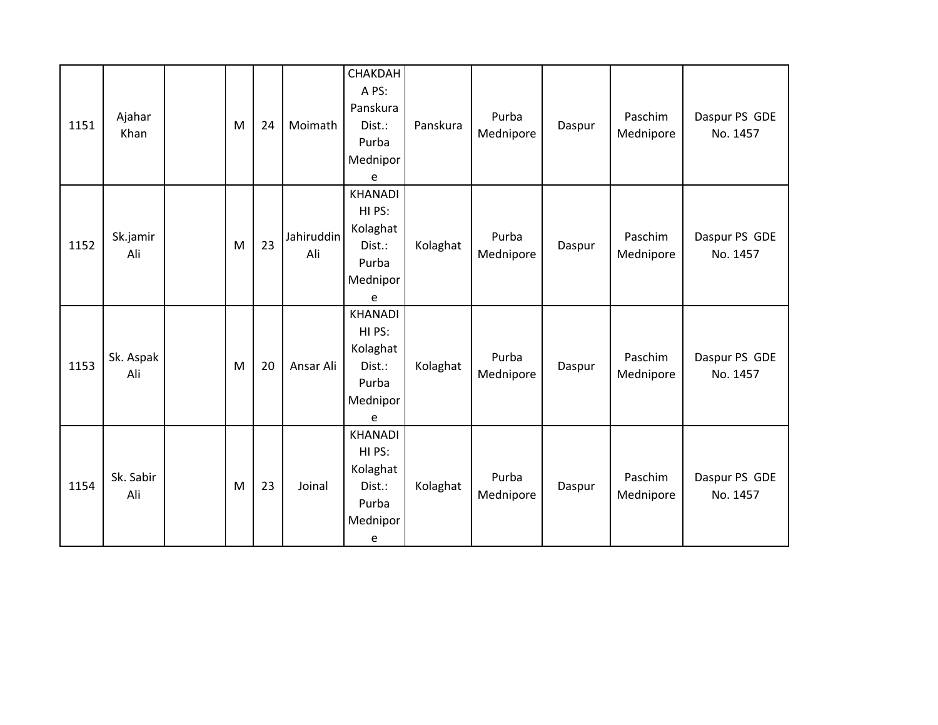| 1151 | Ajahar<br>Khan   | M | 24 | Moimath           | CHAKDAH<br>A PS:<br>Panskura<br>Dist.:<br>Purba<br>Mednipor<br>e         | Panskura | Purba<br>Mednipore | Daspur | Paschim<br>Mednipore | Daspur PS GDE<br>No. 1457 |
|------|------------------|---|----|-------------------|--------------------------------------------------------------------------|----------|--------------------|--------|----------------------|---------------------------|
| 1152 | Sk.jamir<br>Ali  | M | 23 | Jahiruddin<br>Ali | <b>KHANADI</b><br>HI PS:<br>Kolaghat<br>Dist.:<br>Purba<br>Mednipor<br>e | Kolaghat | Purba<br>Mednipore | Daspur | Paschim<br>Mednipore | Daspur PS GDE<br>No. 1457 |
| 1153 | Sk. Aspak<br>Ali | M | 20 | Ansar Ali         | <b>KHANADI</b><br>HI PS:<br>Kolaghat<br>Dist.:<br>Purba<br>Mednipor<br>e | Kolaghat | Purba<br>Mednipore | Daspur | Paschim<br>Mednipore | Daspur PS GDE<br>No. 1457 |
| 1154 | Sk. Sabir<br>Ali | M | 23 | Joinal            | <b>KHANADI</b><br>HI PS:<br>Kolaghat<br>Dist.:<br>Purba<br>Mednipor<br>e | Kolaghat | Purba<br>Mednipore | Daspur | Paschim<br>Mednipore | Daspur PS GDE<br>No. 1457 |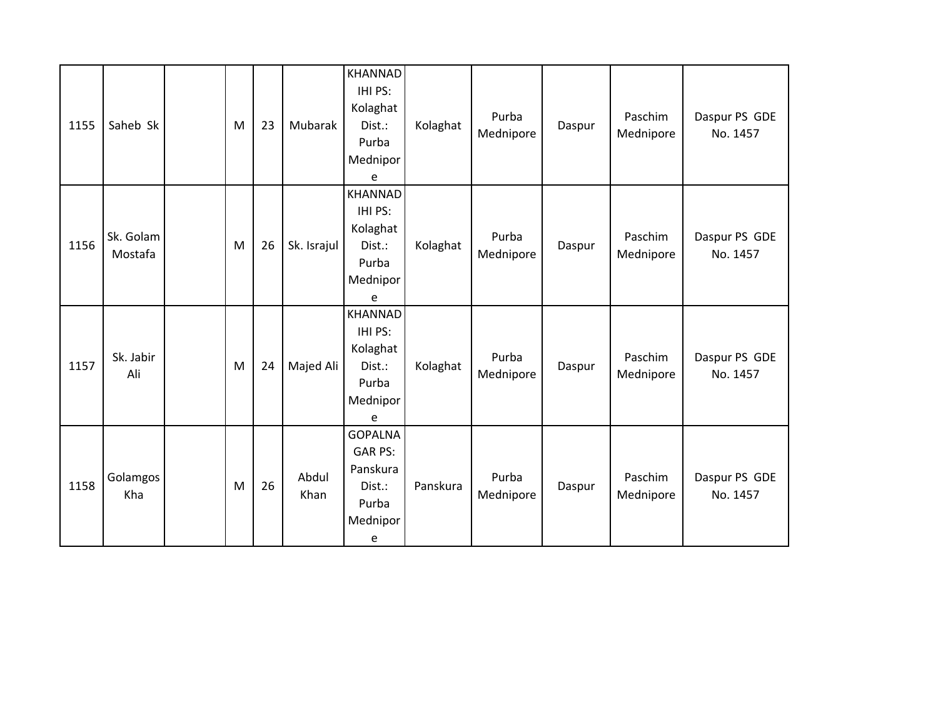| 1155 | Saheb Sk             | M | 23 | Mubarak       | <b>KHANNAD</b><br>IHI PS:<br>Kolaghat<br>Dist.:<br>Purba<br>Mednipor<br>e        | Kolaghat | Purba<br>Mednipore | Daspur | Paschim<br>Mednipore | Daspur PS GDE<br>No. 1457 |
|------|----------------------|---|----|---------------|----------------------------------------------------------------------------------|----------|--------------------|--------|----------------------|---------------------------|
| 1156 | Sk. Golam<br>Mostafa | M | 26 | Sk. Israjul   | <b>KHANNAD</b><br>IHI PS:<br>Kolaghat<br>Dist.:<br>Purba<br>Mednipor<br>e        | Kolaghat | Purba<br>Mednipore | Daspur | Paschim<br>Mednipore | Daspur PS GDE<br>No. 1457 |
| 1157 | Sk. Jabir<br>Ali     | M | 24 | Majed Ali     | <b>KHANNAD</b><br>IHI PS:<br>Kolaghat<br>Dist.:<br>Purba<br>Mednipor<br>e        | Kolaghat | Purba<br>Mednipore | Daspur | Paschim<br>Mednipore | Daspur PS GDE<br>No. 1457 |
| 1158 | Golamgos<br>Kha      | M | 26 | Abdul<br>Khan | <b>GOPALNA</b><br><b>GAR PS:</b><br>Panskura<br>Dist.:<br>Purba<br>Mednipor<br>e | Panskura | Purba<br>Mednipore | Daspur | Paschim<br>Mednipore | Daspur PS GDE<br>No. 1457 |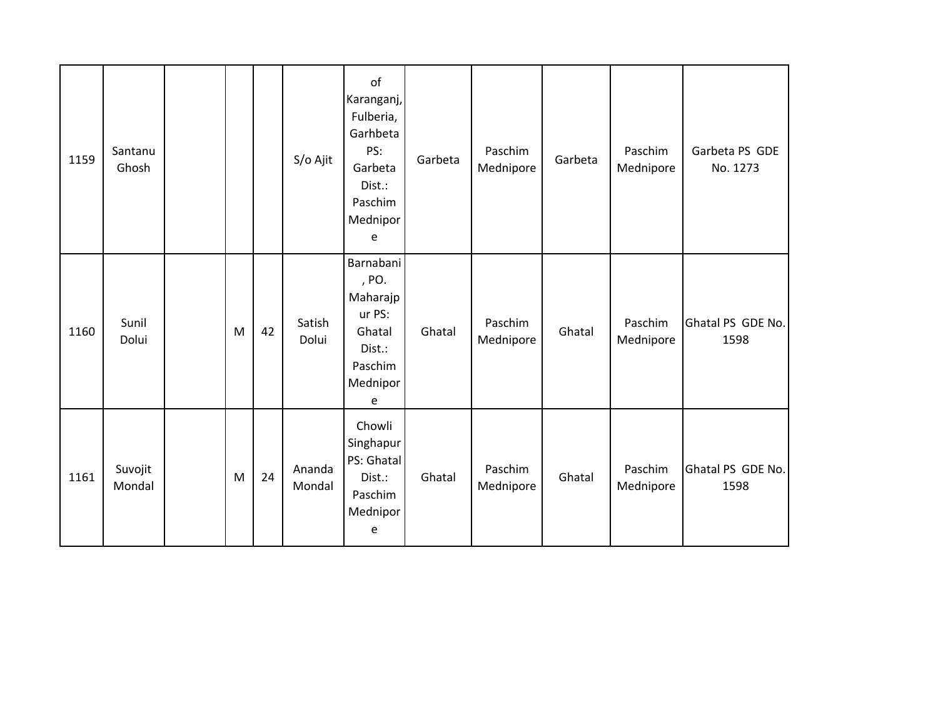| 1159 | Santanu<br>Ghosh  |   |    | S/o Ajit         | of<br>Karanganj,<br>Fulberia,<br>Garhbeta<br>PS:<br>Garbeta<br>Dist.:<br>Paschim<br>Mednipor<br>e | Garbeta | Paschim<br>Mednipore | Garbeta | Paschim<br>Mednipore | Garbeta PS GDE<br>No. 1273 |
|------|-------------------|---|----|------------------|---------------------------------------------------------------------------------------------------|---------|----------------------|---------|----------------------|----------------------------|
| 1160 | Sunil<br>Dolui    | M | 42 | Satish<br>Dolui  | Barnabani<br>, PO.<br>Maharajp<br>ur PS:<br>Ghatal<br>Dist.:<br>Paschim<br>Mednipor<br>e          | Ghatal  | Paschim<br>Mednipore | Ghatal  | Paschim<br>Mednipore | Ghatal PS GDE No.<br>1598  |
| 1161 | Suvojit<br>Mondal | M | 24 | Ananda<br>Mondal | Chowli<br>Singhapur<br>PS: Ghatal<br>Dist.:<br>Paschim<br>Mednipor<br>e                           | Ghatal  | Paschim<br>Mednipore | Ghatal  | Paschim<br>Mednipore | Ghatal PS GDE No.<br>1598  |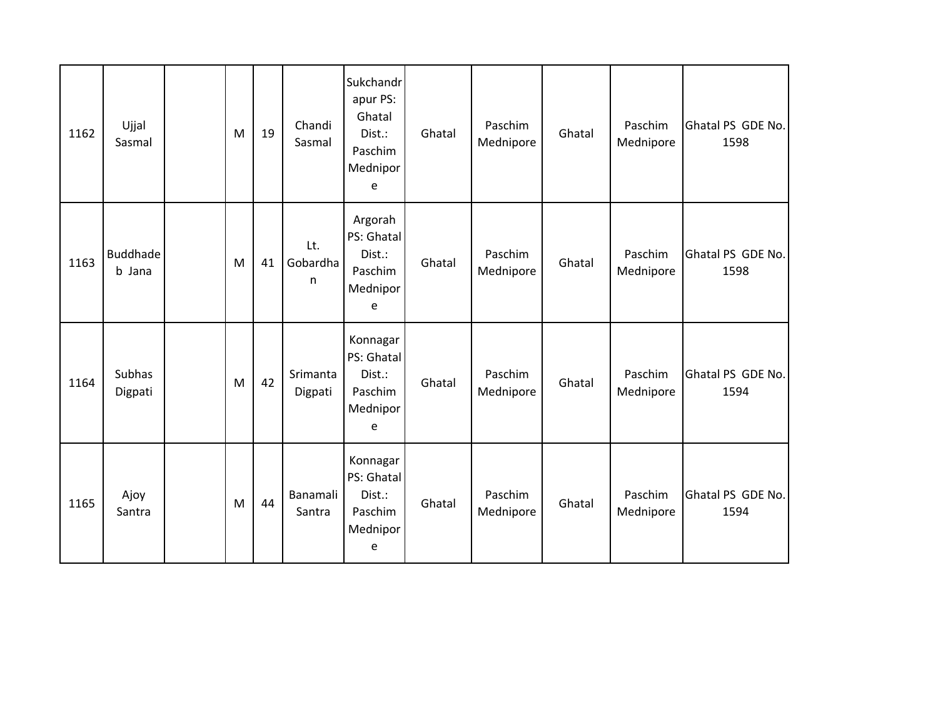| 1162 | Ujjal<br>Sasmal           | M | 19 | Chandi<br>Sasmal     | Sukchandr<br>apur PS:<br>Ghatal<br>Dist.:<br>Paschim<br>Mednipor<br>e | Ghatal | Paschim<br>Mednipore | Ghatal | Paschim<br>Mednipore | Ghatal PS GDE No.<br>1598 |
|------|---------------------------|---|----|----------------------|-----------------------------------------------------------------------|--------|----------------------|--------|----------------------|---------------------------|
| 1163 | <b>Buddhade</b><br>b Jana | M | 41 | Lt.<br>Gobardha<br>n | Argorah<br>PS: Ghatal<br>Dist.:<br>Paschim<br>Mednipor<br>e           | Ghatal | Paschim<br>Mednipore | Ghatal | Paschim<br>Mednipore | Ghatal PS GDE No.<br>1598 |
| 1164 | Subhas<br>Digpati         | M | 42 | Srimanta<br>Digpati  | Konnagar<br>PS: Ghatal<br>Dist.:<br>Paschim<br>Mednipor<br>e          | Ghatal | Paschim<br>Mednipore | Ghatal | Paschim<br>Mednipore | Ghatal PS GDE No.<br>1594 |
| 1165 | Ajoy<br>Santra            | M | 44 | Banamali<br>Santra   | Konnagar<br>PS: Ghatal<br>Dist.:<br>Paschim<br>Mednipor<br>e          | Ghatal | Paschim<br>Mednipore | Ghatal | Paschim<br>Mednipore | Ghatal PS GDE No.<br>1594 |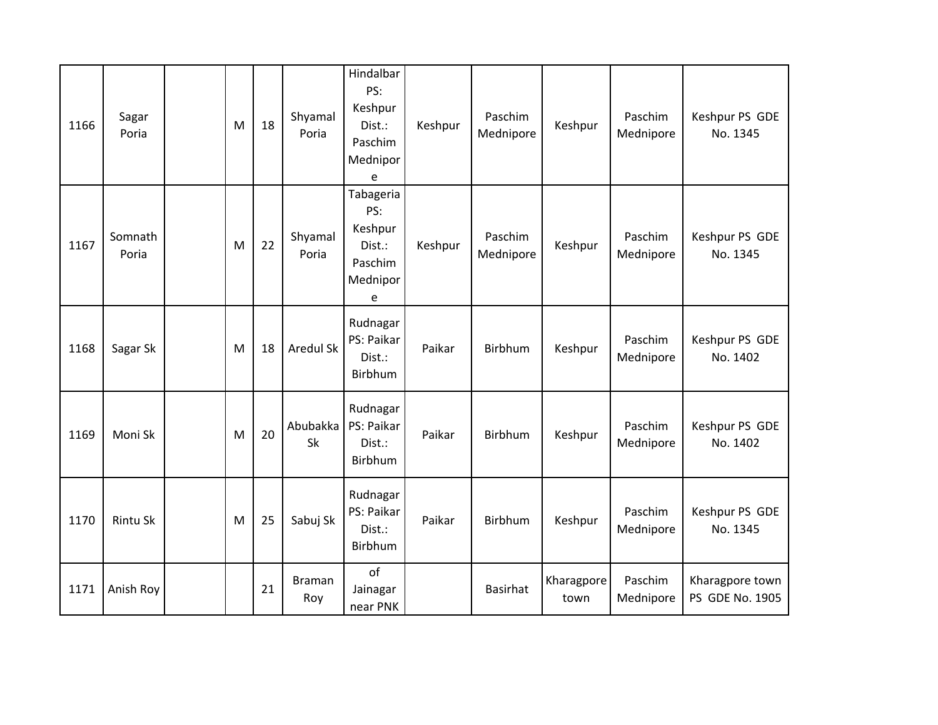| 1166 | Sagar<br>Poria   | M | 18 | Shyamal<br>Poria | Hindalbar<br>PS:<br>Keshpur<br>Dist.:<br>Paschim<br>Mednipor<br>e | Keshpur | Paschim<br>Mednipore | Keshpur            | Paschim<br>Mednipore | Keshpur PS GDE<br>No. 1345         |
|------|------------------|---|----|------------------|-------------------------------------------------------------------|---------|----------------------|--------------------|----------------------|------------------------------------|
| 1167 | Somnath<br>Poria | M | 22 | Shyamal<br>Poria | Tabageria<br>PS:<br>Keshpur<br>Dist.:<br>Paschim<br>Mednipor<br>e | Keshpur | Paschim<br>Mednipore | Keshpur            | Paschim<br>Mednipore | Keshpur PS GDE<br>No. 1345         |
| 1168 | Sagar Sk         | M | 18 | <b>Aredul Sk</b> | Rudnagar<br>PS: Paikar<br>Dist.:<br>Birbhum                       | Paikar  | Birbhum              | Keshpur            | Paschim<br>Mednipore | Keshpur PS GDE<br>No. 1402         |
| 1169 | Moni Sk          | M | 20 | Abubakka<br>Sk   | Rudnagar<br>PS: Paikar<br>Dist.:<br>Birbhum                       | Paikar  | Birbhum              | Keshpur            | Paschim<br>Mednipore | Keshpur PS GDE<br>No. 1402         |
| 1170 | Rintu Sk         | M | 25 | Sabuj Sk         | Rudnagar<br>PS: Paikar<br>Dist.:<br>Birbhum                       | Paikar  | Birbhum              | Keshpur            | Paschim<br>Mednipore | Keshpur PS GDE<br>No. 1345         |
| 1171 | Anish Roy        |   | 21 | Braman<br>Roy    | of<br>Jainagar<br>near PNK                                        |         | <b>Basirhat</b>      | Kharagpore<br>town | Paschim<br>Mednipore | Kharagpore town<br>PS GDE No. 1905 |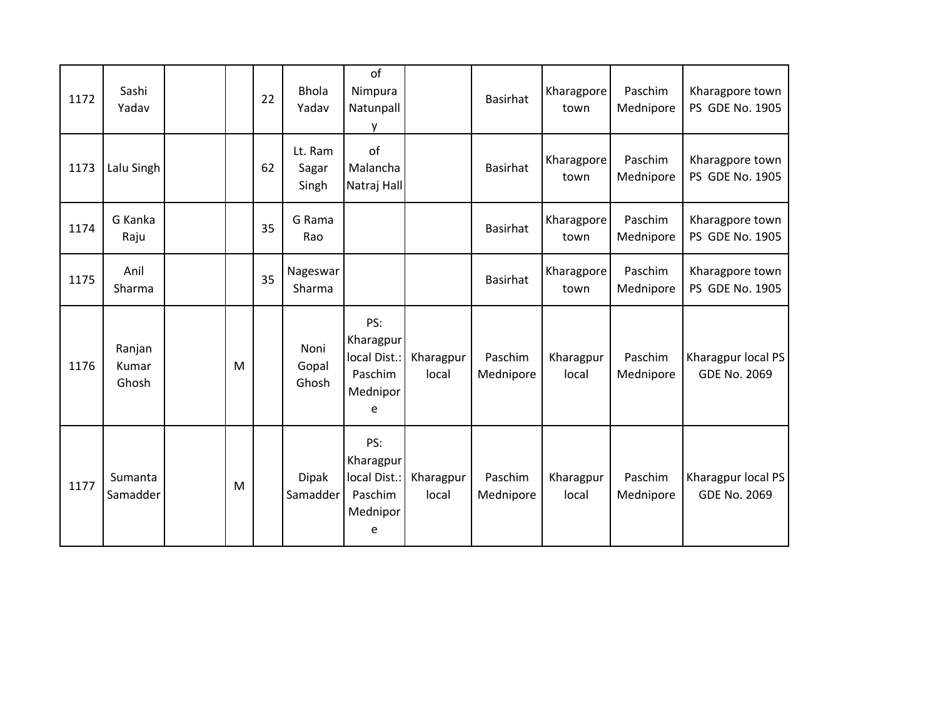| 1172 | Sashi<br>Yadav           |   | 22 | <b>Bhola</b><br>Yadav     | of<br>Nimpura<br>Natunpall<br>y                              |                    | <b>Basirhat</b>      | Kharagpore<br>town | Paschim<br>Mednipore | Kharagpore town<br>PS GDE No. 1905        |
|------|--------------------------|---|----|---------------------------|--------------------------------------------------------------|--------------------|----------------------|--------------------|----------------------|-------------------------------------------|
| 1173 | Lalu Singh               |   | 62 | Lt. Ram<br>Sagar<br>Singh | of<br>Malancha<br>Natraj Hall                                |                    | <b>Basirhat</b>      | Kharagpore<br>town | Paschim<br>Mednipore | Kharagpore town<br>PS GDE No. 1905        |
| 1174 | G Kanka<br>Raju          |   | 35 | G Rama<br>Rao             |                                                              |                    | <b>Basirhat</b>      | Kharagpore<br>town | Paschim<br>Mednipore | Kharagpore town<br>PS GDE No. 1905        |
| 1175 | Anil<br>Sharma           |   | 35 | Nageswar<br>Sharma        |                                                              |                    | <b>Basirhat</b>      | Kharagpore<br>town | Paschim<br>Mednipore | Kharagpore town<br>PS GDE No. 1905        |
| 1176 | Ranjan<br>Kumar<br>Ghosh | M |    | Noni<br>Gopal<br>Ghosh    | PS:<br>Kharagpur<br>local Dist.:<br>Paschim<br>Mednipor<br>e | Kharagpur<br>local | Paschim<br>Mednipore | Kharagpur<br>local | Paschim<br>Mednipore | Kharagpur local PS<br><b>GDE No. 2069</b> |
| 1177 | Sumanta<br>Samadder      | M |    | <b>Dipak</b><br>Samadder  | PS:<br>Kharagpur<br>local Dist.:<br>Paschim<br>Mednipor<br>e | Kharagpur<br>local | Paschim<br>Mednipore | Kharagpur<br>local | Paschim<br>Mednipore | Kharagpur local PS<br>GDE No. 2069        |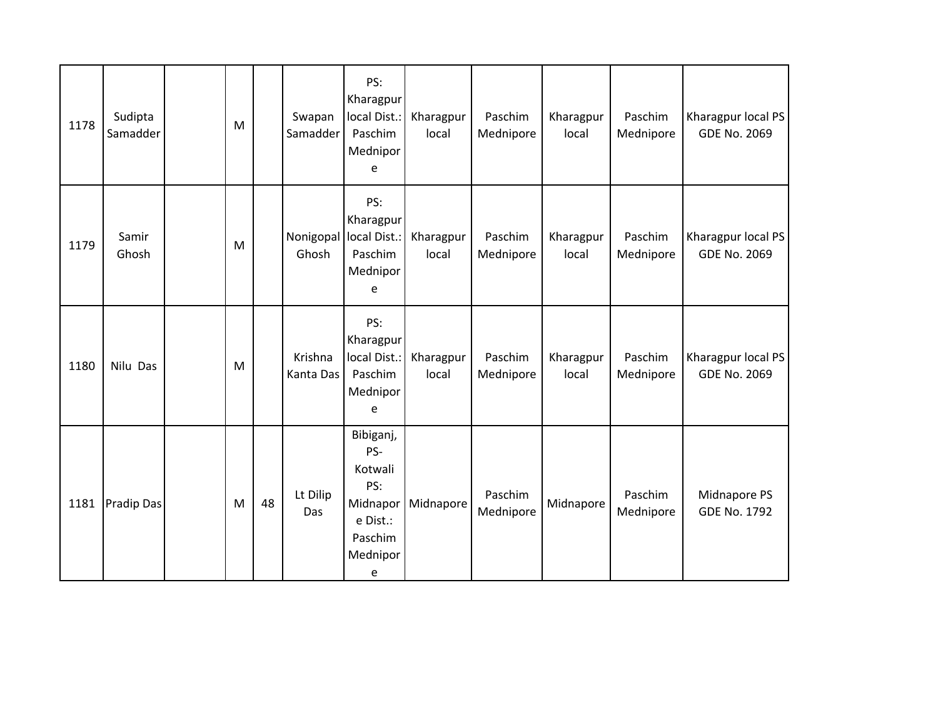| 1178 | Sudipta<br>Samadder | M |    | Swapan<br>Samadder              | PS:<br>Kharagpur<br>local Dist.:<br>Paschim<br>Mednipor<br>e                           | Kharagpur<br>local | Paschim<br>Mednipore | Kharagpur<br>local | Paschim<br>Mednipore | Kharagpur local PS<br><b>GDE No. 2069</b> |
|------|---------------------|---|----|---------------------------------|----------------------------------------------------------------------------------------|--------------------|----------------------|--------------------|----------------------|-------------------------------------------|
| 1179 | Samir<br>Ghosh      | M |    | Nonigopal local Dist.:<br>Ghosh | PS:<br>Kharagpur<br>Paschim<br>Mednipor<br>e                                           | Kharagpur<br>local | Paschim<br>Mednipore | Kharagpur<br>local | Paschim<br>Mednipore | Kharagpur local PS<br><b>GDE No. 2069</b> |
| 1180 | Nilu Das            | M |    | Krishna<br>Kanta Das            | PS:<br>Kharagpur<br>local Dist.:<br>Paschim<br>Mednipor<br>e                           | Kharagpur<br>local | Paschim<br>Mednipore | Kharagpur<br>local | Paschim<br>Mednipore | Kharagpur local PS<br><b>GDE No. 2069</b> |
| 1181 | Pradip Das          | M | 48 | Lt Dilip<br>Das                 | Bibiganj,<br>PS-<br>Kotwali<br>PS:<br>Midnapor<br>e Dist.:<br>Paschim<br>Mednipor<br>e | Midnapore          | Paschim<br>Mednipore | Midnapore          | Paschim<br>Mednipore | Midnapore PS<br><b>GDE No. 1792</b>       |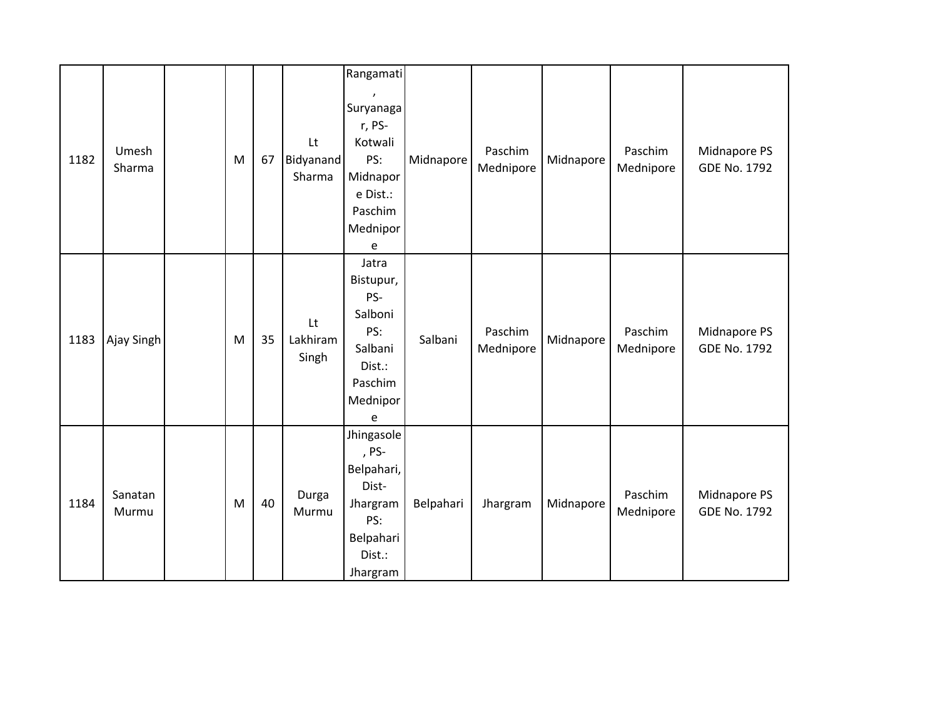|      |                  |   |    |                           | Rangamati                                                                                              |           |                      |           |                      |                                     |
|------|------------------|---|----|---------------------------|--------------------------------------------------------------------------------------------------------|-----------|----------------------|-----------|----------------------|-------------------------------------|
| 1182 | Umesh<br>Sharma  | M | 67 | Lt<br>Bidyanand<br>Sharma | $\lambda$<br>Suryanaga<br>r, PS-<br>Kotwali<br>PS:<br>Midnapor<br>e Dist.:<br>Paschim<br>Mednipor<br>e | Midnapore | Paschim<br>Mednipore | Midnapore | Paschim<br>Mednipore | Midnapore PS<br><b>GDE No. 1792</b> |
| 1183 | Ajay Singh       | M | 35 | Lt<br>Lakhiram<br>Singh   | Jatra<br>Bistupur,<br>PS-<br>Salboni<br>PS:<br>Salbani<br>Dist.:<br>Paschim<br>Mednipor<br>e           | Salbani   | Paschim<br>Mednipore | Midnapore | Paschim<br>Mednipore | Midnapore PS<br><b>GDE No. 1792</b> |
| 1184 | Sanatan<br>Murmu | M | 40 | Durga<br>Murmu            | Jhingasole<br>, PS-<br>Belpahari,<br>Dist-<br>Jhargram<br>PS:<br>Belpahari<br>Dist.:<br>Jhargram       | Belpahari | Jhargram             | Midnapore | Paschim<br>Mednipore | Midnapore PS<br><b>GDE No. 1792</b> |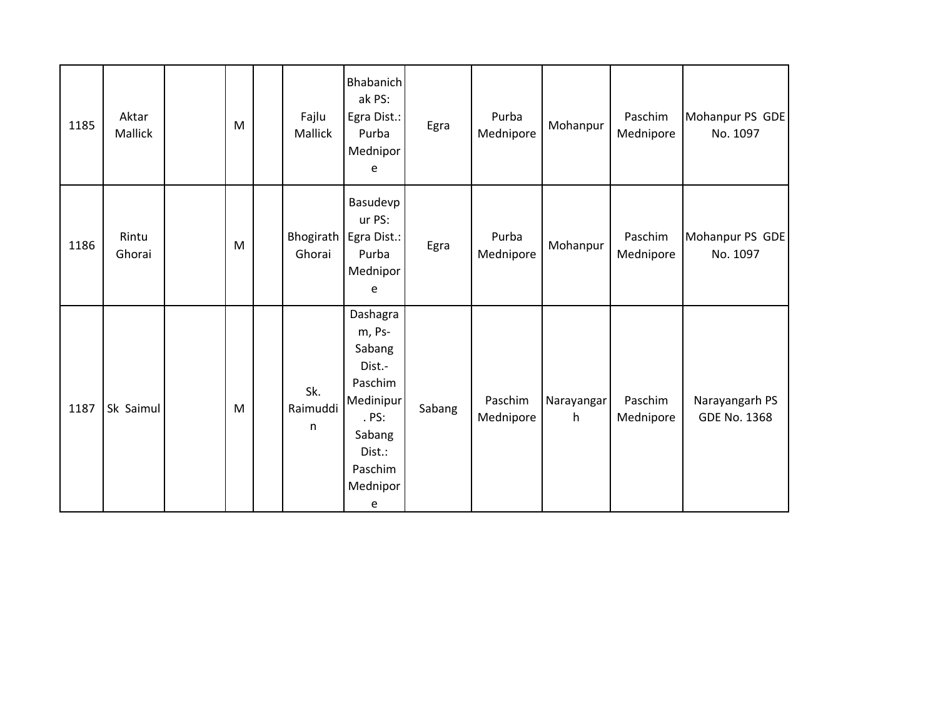| 1185 | Aktar<br>Mallick | M | Fajlu<br>Mallick     | <b>Bhabanich</b><br>ak PS:<br>Egra Dist.:<br>Purba<br>Mednipor<br>e                                                     | Egra   | Purba<br>Mednipore   | Mohanpur        | Paschim<br>Mednipore | Mohanpur PS GDE<br>No. 1097           |
|------|------------------|---|----------------------|-------------------------------------------------------------------------------------------------------------------------|--------|----------------------|-----------------|----------------------|---------------------------------------|
| 1186 | Rintu<br>Ghorai  | M | Bhogirath<br>Ghorai  | Basudevp<br>ur PS:<br>Egra Dist.:<br>Purba<br>Mednipor<br>e                                                             | Egra   | Purba<br>Mednipore   | Mohanpur        | Paschim<br>Mednipore | Mohanpur PS GDE<br>No. 1097           |
| 1187 | Sk Saimul        | M | Sk.<br>Raimuddi<br>n | Dashagra<br>m, Ps-<br>Sabang<br>Dist.-<br>Paschim<br>Medinipur<br>. PS:<br>Sabang<br>Dist.:<br>Paschim<br>Mednipor<br>e | Sabang | Paschim<br>Mednipore | Narayangar<br>h | Paschim<br>Mednipore | Narayangarh PS<br><b>GDE No. 1368</b> |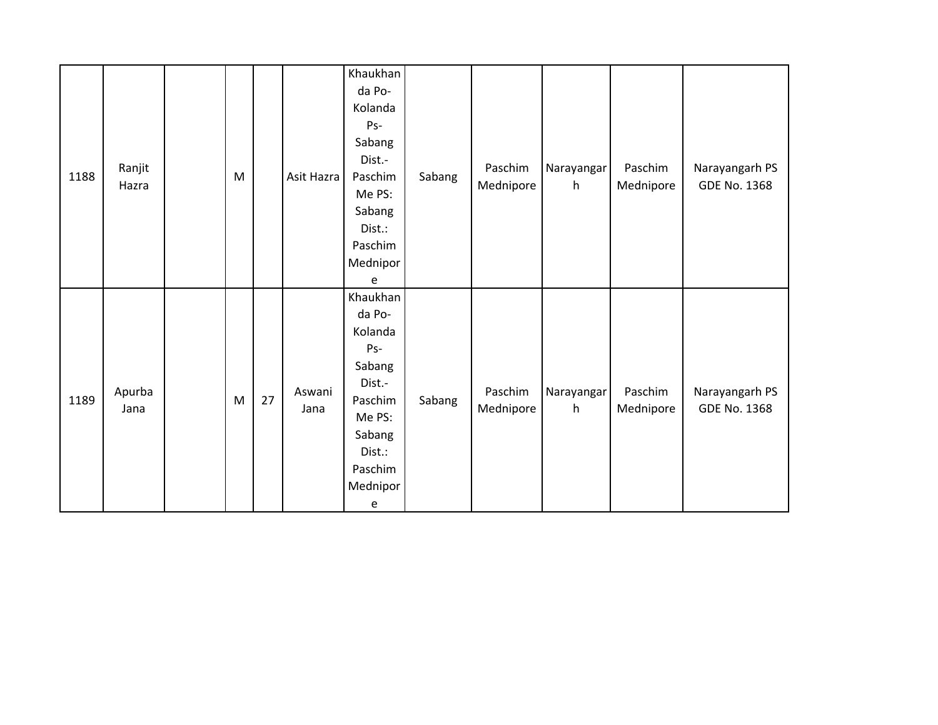| 1188 | Ranjit<br>Hazra | M |    | Asit Hazra     | Khaukhan<br>da Po-<br>Kolanda<br>Ps-<br>Sabang<br>Dist.-<br>Paschim<br>Me PS:<br>Sabang<br>Dist.:<br>Paschim<br>Mednipor<br>e                                 | Sabang | Paschim<br>Mednipore | Narayangar<br>h | Paschim<br>Mednipore | Narayangarh PS<br>GDE No. 1368 |
|------|-----------------|---|----|----------------|---------------------------------------------------------------------------------------------------------------------------------------------------------------|--------|----------------------|-----------------|----------------------|--------------------------------|
| 1189 | Apurba<br>Jana  | M | 27 | Aswani<br>Jana | Khaukhan<br>da Po-<br>Kolanda<br>Ps-<br>Sabang<br>Dist.-<br>Paschim<br>Me PS:<br>Sabang<br>Dist.:<br>Paschim<br>Mednipor<br>$\mathsf{e}% _{t}\left( t\right)$ | Sabang | Paschim<br>Mednipore | Narayangar<br>h | Paschim<br>Mednipore | Narayangarh PS<br>GDE No. 1368 |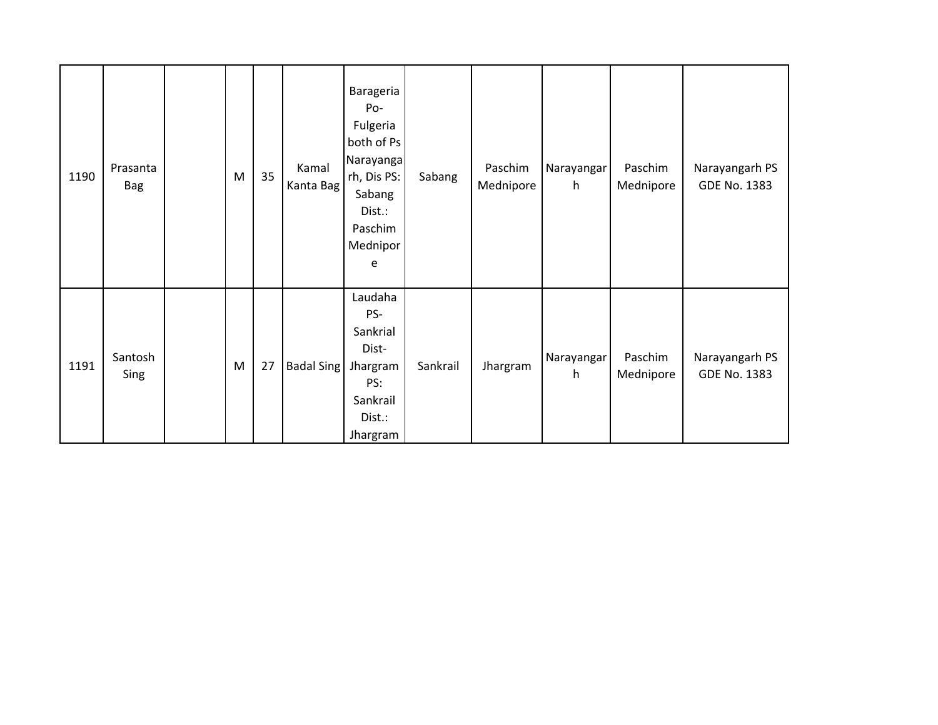| 1190 | Prasanta<br>Bag | M | 35 | Kamal<br>Kanta Bag | Barageria<br>Po-<br>Fulgeria<br>both of Ps<br>Narayanga<br>rh, Dis PS:<br>Sabang<br>Dist.:<br>Paschim<br>Mednipor<br>e | Sabang   | Paschim<br>Mednipore | Narayangar<br>h | Paschim<br>Mednipore | Narayangarh PS<br>GDE No. 1383 |
|------|-----------------|---|----|--------------------|------------------------------------------------------------------------------------------------------------------------|----------|----------------------|-----------------|----------------------|--------------------------------|
| 1191 | Santosh<br>Sing | M | 27 | <b>Badal Sing</b>  | Laudaha<br>PS-<br>Sankrial<br>Dist-<br>Jhargram<br>PS:<br>Sankrail<br>Dist.:<br>Jhargram                               | Sankrail | Jhargram             | Narayangar<br>h | Paschim<br>Mednipore | Narayangarh PS<br>GDE No. 1383 |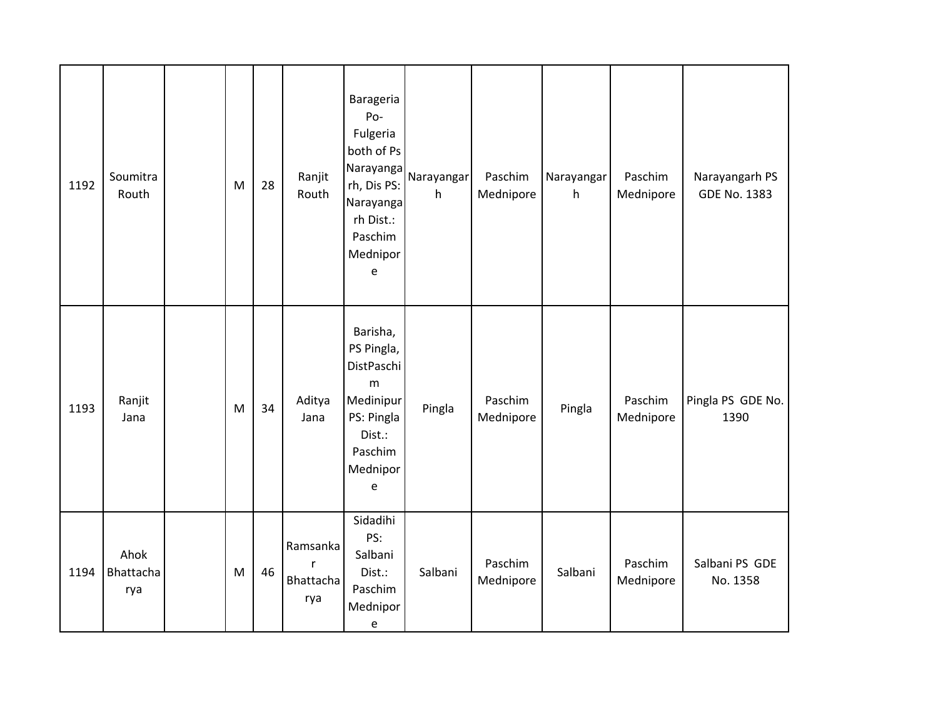| 1192 | Soumitra<br>Routh        | M | 28 | Ranjit<br>Routh                   | Barageria<br>Po-<br>Fulgeria<br>both of Ps<br>Narayanga<br>rh, Dis PS:<br>Narayanga<br>rh Dist.:<br>Paschim<br>Mednipor<br>$\mathsf e$ | Narayangar<br>h | Paschim<br>Mednipore | Narayangar<br>h | Paschim<br>Mednipore | Narayangarh PS<br>GDE No. 1383 |
|------|--------------------------|---|----|-----------------------------------|----------------------------------------------------------------------------------------------------------------------------------------|-----------------|----------------------|-----------------|----------------------|--------------------------------|
| 1193 | Ranjit<br>Jana           | M | 34 | Aditya<br>Jana                    | Barisha,<br>PS Pingla,<br>DistPaschi<br>m<br>Medinipur<br>PS: Pingla<br>Dist.:<br>Paschim<br>Mednipor<br>$\mathsf e$                   | Pingla          | Paschim<br>Mednipore | Pingla          | Paschim<br>Mednipore | Pingla PS GDE No.<br>1390      |
| 1194 | Ahok<br>Bhattacha<br>rya | M | 46 | Ramsanka<br>r<br>Bhattacha<br>rya | Sidadihi<br>PS:<br>Salbani<br>Dist.:<br>Paschim<br>Mednipor<br>$\mathsf{e}% _{t}\left( t\right)$                                       | Salbani         | Paschim<br>Mednipore | Salbani         | Paschim<br>Mednipore | Salbani PS GDE<br>No. 1358     |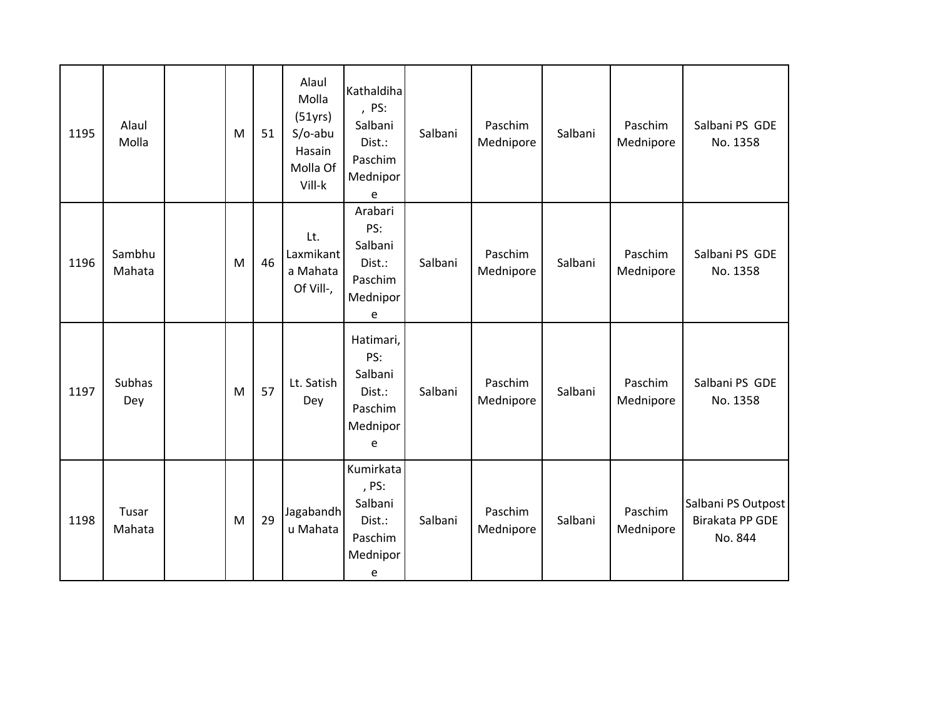| 1195 | Alaul<br>Molla       | M | 51 | Alaul<br>Molla<br>(51yrs)<br>$S/O$ -abu<br>Hasain<br>Molla Of<br>Vill-k | Kathaldiha<br>, PS:<br>Salbani<br>Dist.:<br>Paschim<br>Mednipor<br>e | Salbani | Paschim<br>Mednipore | Salbani | Paschim<br>Mednipore | Salbani PS GDE<br>No. 1358                       |
|------|----------------------|---|----|-------------------------------------------------------------------------|----------------------------------------------------------------------|---------|----------------------|---------|----------------------|--------------------------------------------------|
| 1196 | Sambhu<br>Mahata     | M | 46 | Lt.<br>Laxmikant<br>a Mahata<br>Of Vill-,                               | Arabari<br>PS:<br>Salbani<br>Dist.:<br>Paschim<br>Mednipor<br>e      | Salbani | Paschim<br>Mednipore | Salbani | Paschim<br>Mednipore | Salbani PS GDE<br>No. 1358                       |
| 1197 | <b>Subhas</b><br>Dey | M | 57 | Lt. Satish<br>Dey                                                       | Hatimari,<br>PS:<br>Salbani<br>Dist.:<br>Paschim<br>Mednipor<br>e    | Salbani | Paschim<br>Mednipore | Salbani | Paschim<br>Mednipore | Salbani PS GDE<br>No. 1358                       |
| 1198 | Tusar<br>Mahata      | M | 29 | Jagabandh<br>u Mahata                                                   | Kumirkata<br>, PS:<br>Salbani<br>Dist.:<br>Paschim<br>Mednipor<br>e  | Salbani | Paschim<br>Mednipore | Salbani | Paschim<br>Mednipore | Salbani PS Outpost<br>Birakata PP GDE<br>No. 844 |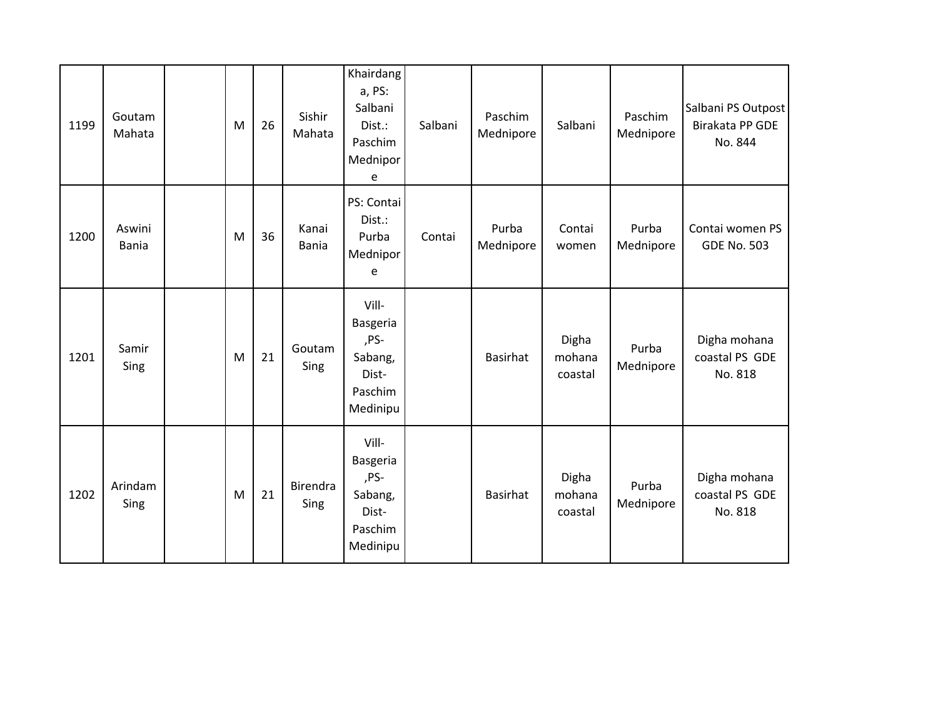| 1199 | Goutam<br>Mahata       | M | 26 | Sishir<br>Mahata      | Khairdang<br>a, PS:<br>Salbani<br>Dist.:<br>Paschim<br>Mednipor<br>e | Salbani | Paschim<br>Mednipore | Salbani                    | Paschim<br>Mednipore | Salbani PS Outpost<br>Birakata PP GDE<br>No. 844 |
|------|------------------------|---|----|-----------------------|----------------------------------------------------------------------|---------|----------------------|----------------------------|----------------------|--------------------------------------------------|
| 1200 | Aswini<br><b>Bania</b> | M | 36 | Kanai<br><b>Bania</b> | PS: Contai<br>Dist.:<br>Purba<br>Mednipor<br>e                       | Contai  | Purba<br>Mednipore   | Contai<br>women            | Purba<br>Mednipore   | Contai women PS<br><b>GDE No. 503</b>            |
| 1201 | Samir<br>Sing          | M | 21 | Goutam<br>Sing        | Vill-<br>Basgeria<br>,PS-<br>Sabang,<br>Dist-<br>Paschim<br>Medinipu |         | <b>Basirhat</b>      | Digha<br>mohana<br>coastal | Purba<br>Mednipore   | Digha mohana<br>coastal PS GDE<br>No. 818        |
| 1202 | Arindam<br>Sing        | M | 21 | Birendra<br>Sing      | Vill-<br>Basgeria<br>,PS-<br>Sabang,<br>Dist-<br>Paschim<br>Medinipu |         | Basirhat             | Digha<br>mohana<br>coastal | Purba<br>Mednipore   | Digha mohana<br>coastal PS GDE<br>No. 818        |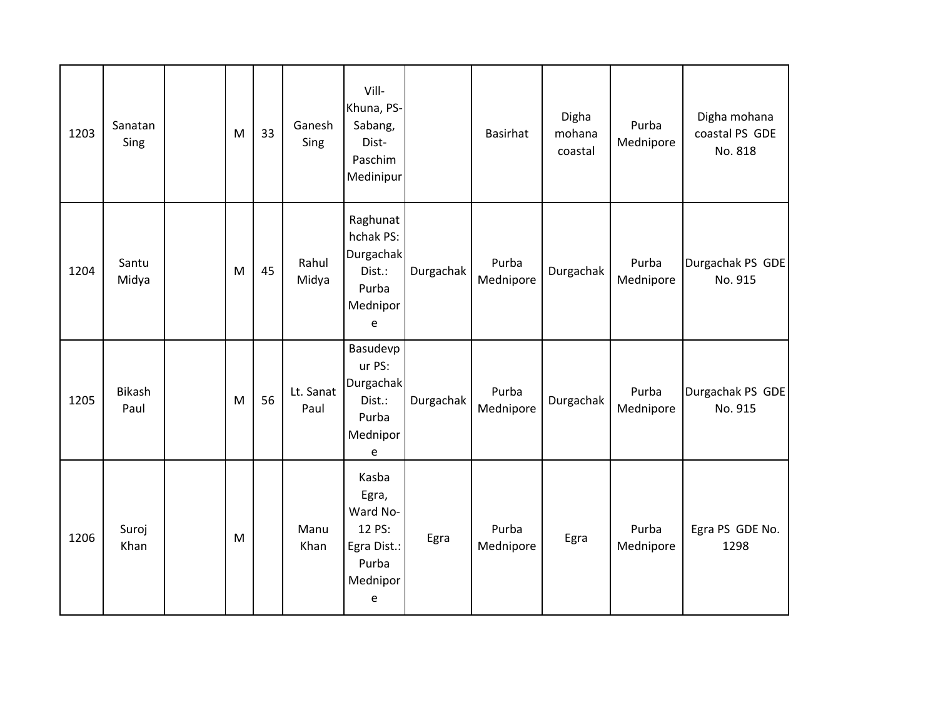| 1203 | Sanatan<br>Sing | M | 33 | Ganesh<br>Sing    | Vill-<br>Khuna, PS-<br>Sabang,<br>Dist-<br>Paschim<br>Medinipur               |           | <b>Basirhat</b>    | Digha<br>mohana<br>coastal | Purba<br>Mednipore | Digha mohana<br>coastal PS GDE<br>No. 818 |
|------|-----------------|---|----|-------------------|-------------------------------------------------------------------------------|-----------|--------------------|----------------------------|--------------------|-------------------------------------------|
| 1204 | Santu<br>Midya  | M | 45 | Rahul<br>Midya    | Raghunat<br>hchak PS:<br>Durgachak<br>Dist.:<br>Purba<br>Mednipor<br>e        | Durgachak | Purba<br>Mednipore | Durgachak                  | Purba<br>Mednipore | Durgachak PS GDE<br>No. 915               |
| 1205 | Bikash<br>Paul  | M | 56 | Lt. Sanat<br>Paul | Basudevp<br>ur PS:<br>Durgachak<br>Dist.:<br>Purba<br>Mednipor<br>e           | Durgachak | Purba<br>Mednipore | Durgachak                  | Purba<br>Mednipore | Durgachak PS GDE<br>No. 915               |
| 1206 | Suroj<br>Khan   | M |    | Manu<br>Khan      | Kasba<br>Egra,<br>Ward No-<br>12 PS:<br>Egra Dist.:<br>Purba<br>Mednipor<br>e | Egra      | Purba<br>Mednipore | Egra                       | Purba<br>Mednipore | Egra PS GDE No.<br>1298                   |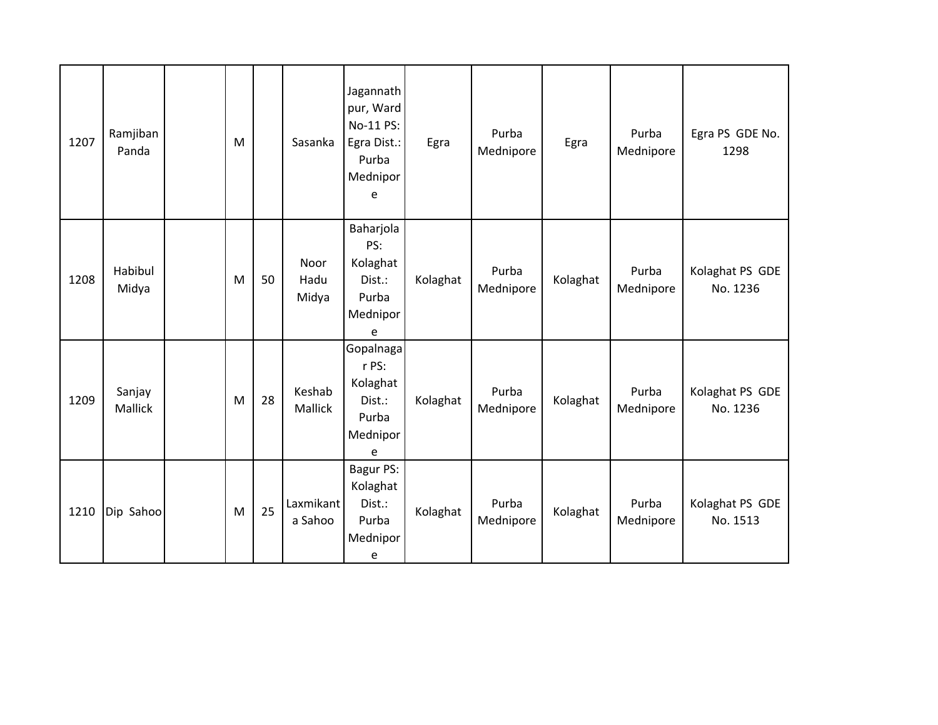| 1207 | Ramjiban<br>Panda | M |    | Sasanka               | Jagannath<br>pur, Ward<br>No-11 PS:<br>Egra Dist.:<br>Purba<br>Mednipor<br>e | Egra     | Purba<br>Mednipore | Egra     | Purba<br>Mednipore | Egra PS GDE No.<br>1298     |
|------|-------------------|---|----|-----------------------|------------------------------------------------------------------------------|----------|--------------------|----------|--------------------|-----------------------------|
| 1208 | Habibul<br>Midya  | M | 50 | Noor<br>Hadu<br>Midya | Baharjola<br>PS:<br>Kolaghat<br>Dist.:<br>Purba<br>Mednipor<br>e             | Kolaghat | Purba<br>Mednipore | Kolaghat | Purba<br>Mednipore | Kolaghat PS GDE<br>No. 1236 |
| 1209 | Sanjay<br>Mallick | M | 28 | Keshab<br>Mallick     | Gopalnaga<br>r PS:<br>Kolaghat<br>Dist.:<br>Purba<br>Mednipor<br>e           | Kolaghat | Purba<br>Mednipore | Kolaghat | Purba<br>Mednipore | Kolaghat PS GDE<br>No. 1236 |
| 1210 | Dip Sahoo         | M | 25 | Laxmikant<br>a Sahoo  | Bagur PS:<br>Kolaghat<br>Dist.:<br>Purba<br>Mednipor<br>e                    | Kolaghat | Purba<br>Mednipore | Kolaghat | Purba<br>Mednipore | Kolaghat PS GDE<br>No. 1513 |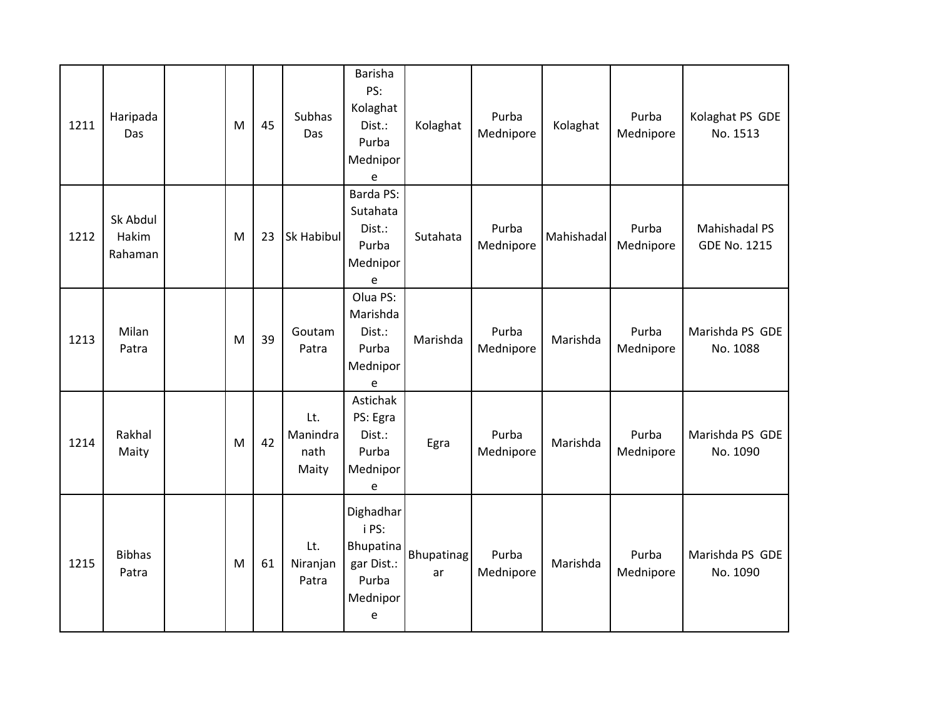| 1211 | Haripada<br>Das              | M | 45 | Subhas<br>Das                    | Barisha<br>PS:<br>Kolaghat<br>Dist.:<br>Purba<br>Mednipor<br>e                                    | Kolaghat         | Purba<br>Mednipore | Kolaghat   | Purba<br>Mednipore | Kolaghat PS GDE<br>No. 1513                 |
|------|------------------------------|---|----|----------------------------------|---------------------------------------------------------------------------------------------------|------------------|--------------------|------------|--------------------|---------------------------------------------|
| 1212 | Sk Abdul<br>Hakim<br>Rahaman | M | 23 | Sk Habibul                       | <b>Barda PS:</b><br>Sutahata<br>Dist.:<br>Purba<br>Mednipor<br>e                                  | Sutahata         | Purba<br>Mednipore | Mahishadal | Purba<br>Mednipore | <b>Mahishadal PS</b><br><b>GDE No. 1215</b> |
| 1213 | Milan<br>Patra               | M | 39 | Goutam<br>Patra                  | Olua PS:<br>Marishda<br>Dist.:<br>Purba<br>Mednipor<br>e                                          | Marishda         | Purba<br>Mednipore | Marishda   | Purba<br>Mednipore | Marishda PS GDE<br>No. 1088                 |
| 1214 | Rakhal<br>Maity              | M | 42 | Lt.<br>Manindra<br>nath<br>Maity | Astichak<br>PS: Egra<br>Dist.:<br>Purba<br>Mednipor<br>$\mathsf{e}% _{0}\left( \mathsf{e}\right)$ | Egra             | Purba<br>Mednipore | Marishda   | Purba<br>Mednipore | Marishda PS GDE<br>No. 1090                 |
| 1215 | <b>Bibhas</b><br>Patra       | M | 61 | Lt.<br>Niranjan<br>Patra         | Dighadhar<br>i PS:<br>Bhupatina<br>gar Dist.:<br>Purba<br>Mednipor<br>e                           | Bhupatinag<br>ar | Purba<br>Mednipore | Marishda   | Purba<br>Mednipore | Marishda PS GDE<br>No. 1090                 |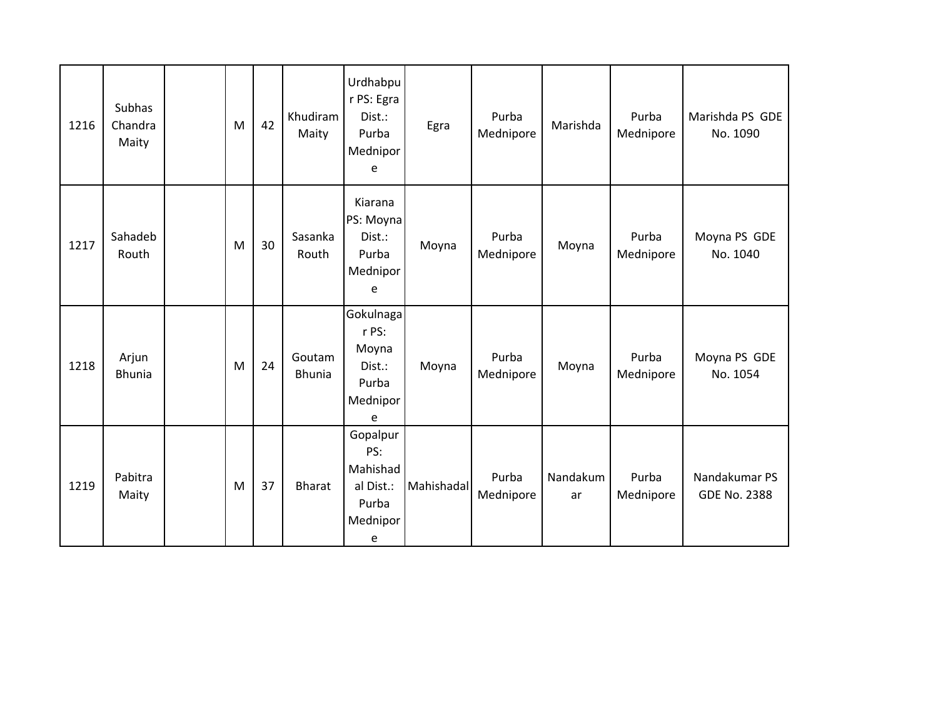| 1216 | Subhas<br>Chandra<br>Maity | M | 42 | Khudiram<br>Maity       | Urdhabpu<br>r PS: Egra<br>Dist.:<br>Purba<br>Mednipor<br>e         | Egra       | Purba<br>Mednipore | Marishda       | Purba<br>Mednipore | Marishda PS GDE<br>No. 1090          |
|------|----------------------------|---|----|-------------------------|--------------------------------------------------------------------|------------|--------------------|----------------|--------------------|--------------------------------------|
| 1217 | Sahadeb<br>Routh           | M | 30 | Sasanka<br>Routh        | Kiarana<br>PS: Moyna<br>Dist.:<br>Purba<br>Mednipor<br>e           | Moyna      | Purba<br>Mednipore | Moyna          | Purba<br>Mednipore | Moyna PS GDE<br>No. 1040             |
| 1218 | Arjun<br><b>Bhunia</b>     | M | 24 | Goutam<br><b>Bhunia</b> | Gokulnagal<br>r PS:<br>Moyna<br>Dist.:<br>Purba<br>Mednipor<br>e   | Moyna      | Purba<br>Mednipore | Moyna          | Purba<br>Mednipore | Moyna PS GDE<br>No. 1054             |
| 1219 | Pabitra<br>Maity           | M | 37 | <b>Bharat</b>           | Gopalpur<br>PS:<br>Mahishad<br>al Dist.:<br>Purba<br>Mednipor<br>e | Mahishadal | Purba<br>Mednipore | Nandakum<br>ar | Purba<br>Mednipore | Nandakumar PS<br><b>GDE No. 2388</b> |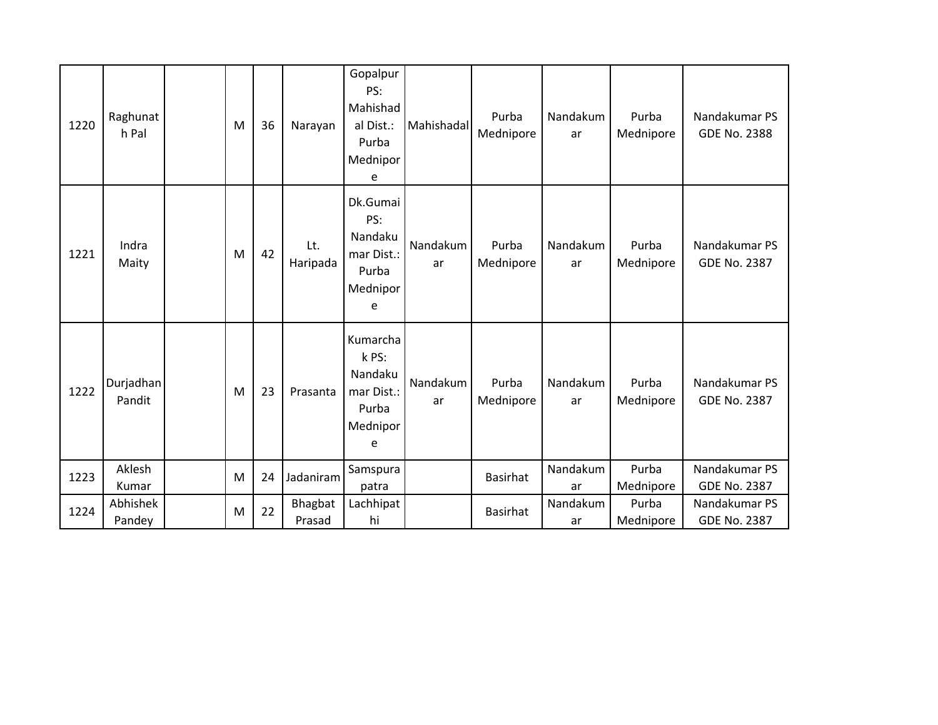| 1220 | Raghunat<br>h Pal   | M | 36 | Narayan         | Gopalpur<br>PS:<br>Mahishad<br>al Dist.:<br>Purba<br>Mednipor<br>e   | Mahishadal     | Purba<br>Mednipore | Nandakum<br>ar | Purba<br>Mednipore | Nandakumar PS<br><b>GDE No. 2388</b> |
|------|---------------------|---|----|-----------------|----------------------------------------------------------------------|----------------|--------------------|----------------|--------------------|--------------------------------------|
| 1221 | Indra<br>Maity      | M | 42 | Lt.<br>Haripada | Dk.Gumai<br>PS:<br>Nandaku<br>mar Dist.:<br>Purba<br>Mednipor<br>e   | Nandakum<br>ar | Purba<br>Mednipore | Nandakum<br>ar | Purba<br>Mednipore | Nandakumar PS<br><b>GDE No. 2387</b> |
| 1222 | Durjadhan<br>Pandit | M | 23 | Prasanta        | Kumarcha<br>k PS:<br>Nandaku<br>mar Dist.:<br>Purba<br>Mednipor<br>e | Nandakum<br>ar | Purba<br>Mednipore | Nandakum<br>ar | Purba<br>Mednipore | Nandakumar PS<br><b>GDE No. 2387</b> |
| 1223 | Aklesh              | M | 24 | Jadaniram       | Samspura                                                             |                | <b>Basirhat</b>    | Nandakum       | Purba              | Nandakumar PS<br><b>GDE No. 2387</b> |
|      | Kumar<br>Abhishek   |   |    | Bhagbat         | patra<br>Lachhipat                                                   |                |                    | ar<br>Nandakum | Mednipore<br>Purba | Nandakumar PS                        |
| 1224 | Pandey              | M | 22 | Prasad          | hi                                                                   |                | <b>Basirhat</b>    | ar             | Mednipore          | <b>GDE No. 2387</b>                  |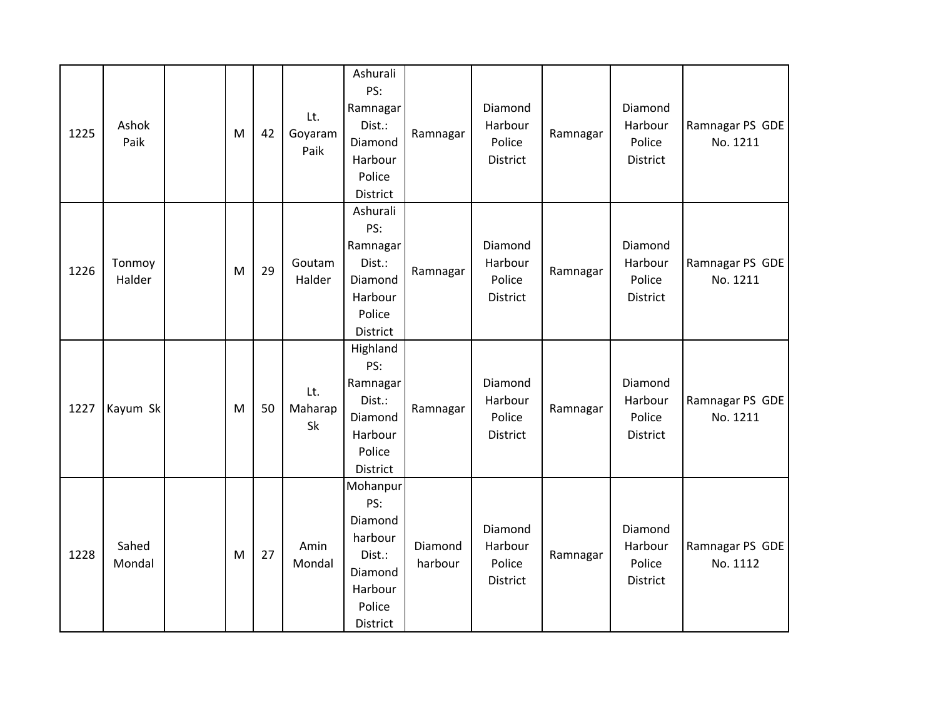| 1225 | Ashok<br>Paik    | M | 42 | Lt.<br>Goyaram<br>Paik | Ashurali<br>PS:<br>Ramnagar<br>Dist.:<br>Diamond<br>Harbour<br>Police<br>District           | Ramnagar           | Diamond<br>Harbour<br>Police<br>District | Ramnagar | Diamond<br>Harbour<br>Police<br><b>District</b> | Ramnagar PS GDE<br>No. 1211 |
|------|------------------|---|----|------------------------|---------------------------------------------------------------------------------------------|--------------------|------------------------------------------|----------|-------------------------------------------------|-----------------------------|
| 1226 | Tonmoy<br>Halder | M | 29 | Goutam<br>Halder       | Ashurali<br>PS:<br>Ramnagar<br>Dist.:<br>Diamond<br>Harbour<br>Police<br>District           | Ramnagar           | Diamond<br>Harbour<br>Police<br>District | Ramnagar | Diamond<br>Harbour<br>Police<br>District        | Ramnagar PS GDE<br>No. 1211 |
| 1227 | Kayum Sk         | M | 50 | Lt.<br>Maharap<br>Sk   | Highland<br>PS:<br>Ramnagar<br>Dist.:<br>Diamond<br>Harbour<br>Police<br>District           | Ramnagar           | Diamond<br>Harbour<br>Police<br>District | Ramnagar | Diamond<br>Harbour<br>Police<br>District        | Ramnagar PS GDE<br>No. 1211 |
| 1228 | Sahed<br>Mondal  | M | 27 | Amin<br>Mondal         | Mohanpur<br>PS:<br>Diamond<br>harbour<br>Dist.:<br>Diamond<br>Harbour<br>Police<br>District | Diamond<br>harbour | Diamond<br>Harbour<br>Police<br>District | Ramnagar | Diamond<br>Harbour<br>Police<br><b>District</b> | Ramnagar PS GDE<br>No. 1112 |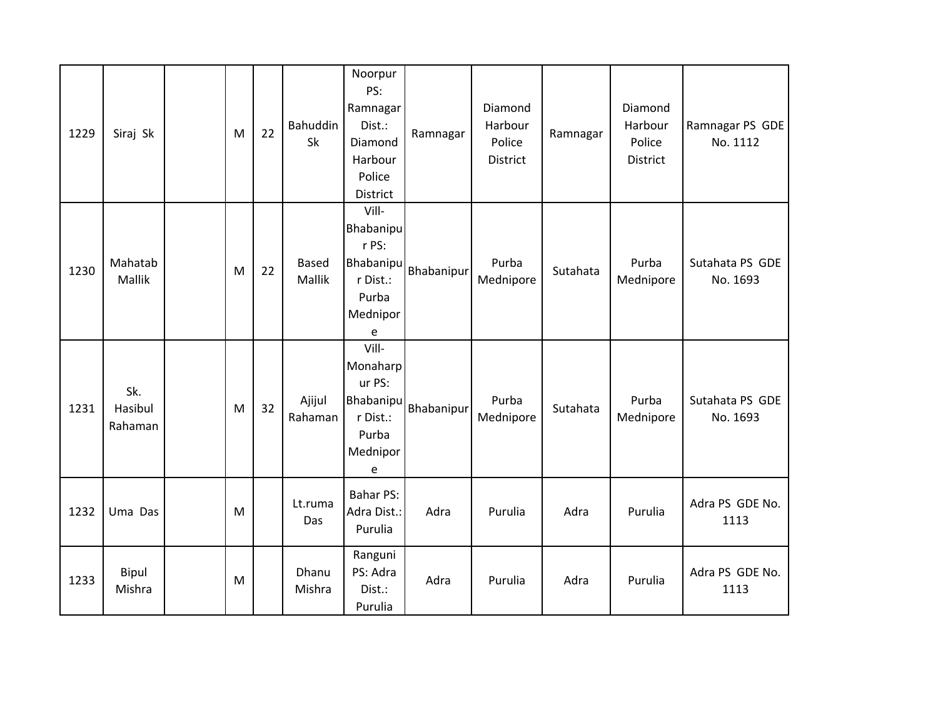| 1229 | Siraj Sk                  | M | 22 | Bahuddin<br>Sk         | Noorpur<br>PS:<br>Ramnagar<br>Dist.:<br>Diamond<br>Harbour<br>Police<br>District      | Ramnagar   | Diamond<br>Harbour<br>Police<br>District | Ramnagar | Diamond<br>Harbour<br>Police<br>District | Ramnagar PS GDE<br>No. 1112 |
|------|---------------------------|---|----|------------------------|---------------------------------------------------------------------------------------|------------|------------------------------------------|----------|------------------------------------------|-----------------------------|
| 1230 | Mahatab<br>Mallik         | M | 22 | <b>Based</b><br>Mallik | Vill-<br><b>Bhabanipu</b><br>r PS:<br>Bhabanipu<br>r Dist.:<br>Purba<br>Mednipor<br>e | Bhabanipur | Purba<br>Mednipore                       | Sutahata | Purba<br>Mednipore                       | Sutahata PS GDE<br>No. 1693 |
| 1231 | Sk.<br>Hasibul<br>Rahaman | M | 32 | Ajijul<br>Rahaman      | Vill-<br>Monaharp<br>ur PS:<br>Bhabanipu<br>r Dist.:<br>Purba<br>Mednipor<br>e        | Bhabanipur | Purba<br>Mednipore                       | Sutahata | Purba<br>Mednipore                       | Sutahata PS GDE<br>No. 1693 |
| 1232 | Uma Das                   | M |    | Lt.ruma<br>Das         | <b>Bahar PS:</b><br>Adra Dist.:<br>Purulia                                            | Adra       | Purulia                                  | Adra     | Purulia                                  | Adra PS GDE No.<br>1113     |
| 1233 | Bipul<br>Mishra           | M |    | Dhanu<br>Mishra        | Ranguni<br>PS: Adra<br>Dist.:<br>Purulia                                              | Adra       | Purulia                                  | Adra     | Purulia                                  | Adra PS GDE No.<br>1113     |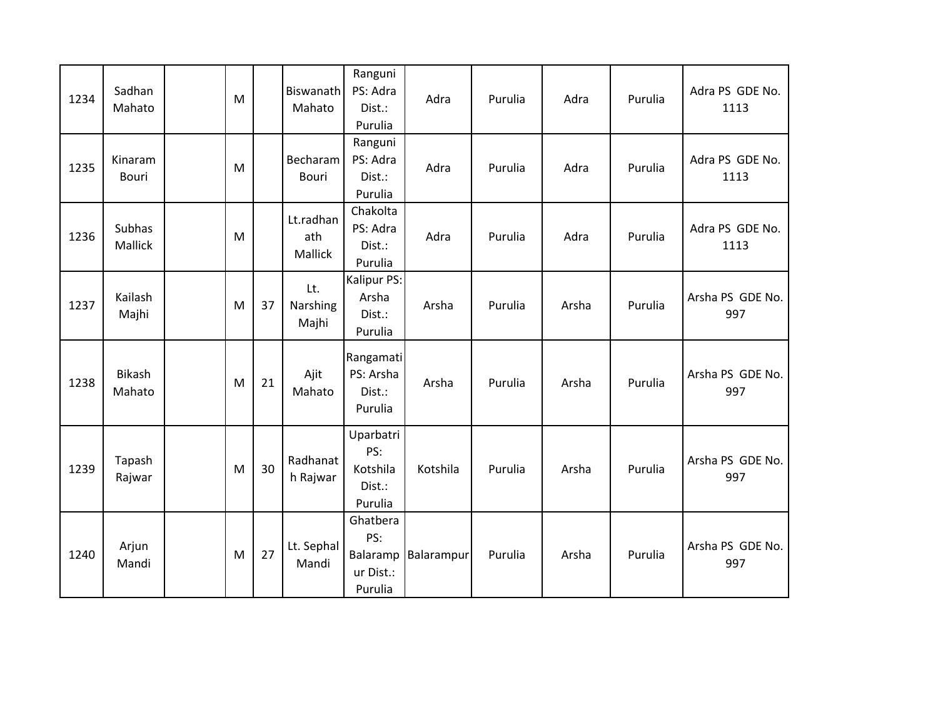| 1234 | Sadhan<br>Mahato        | M |    | Biswanath<br>Mahato                | Ranguni<br>PS: Adra<br>Dist.:<br>Purulia          | Adra                | Purulia | Adra  | Purulia | Adra PS GDE No.<br>1113 |
|------|-------------------------|---|----|------------------------------------|---------------------------------------------------|---------------------|---------|-------|---------|-------------------------|
| 1235 | Kinaram<br><b>Bouri</b> | M |    | Becharam<br><b>Bouri</b>           | Ranguni<br>PS: Adra<br>Dist.:<br>Purulia          | Adra                | Purulia | Adra  | Purulia | Adra PS GDE No.<br>1113 |
| 1236 | Subhas<br>Mallick       | M |    | Lt.radhan<br>ath<br><b>Mallick</b> | Chakolta<br>PS: Adra<br>Dist.:<br>Purulia         | Adra                | Purulia | Adra  | Purulia | Adra PS GDE No.<br>1113 |
| 1237 | Kailash<br>Majhi        | M | 37 | Lt.<br>Narshing<br>Majhi           | Kalipur PS:<br>Arsha<br>Dist.:<br>Purulia         | Arsha               | Purulia | Arsha | Purulia | Arsha PS GDE No.<br>997 |
| 1238 | <b>Bikash</b><br>Mahato | M | 21 | Ajit<br>Mahato                     | Rangamati<br>PS: Arsha<br>Dist.:<br>Purulia       | Arsha               | Purulia | Arsha | Purulia | Arsha PS GDE No.<br>997 |
| 1239 | Tapash<br>Rajwar        | M | 30 | Radhanat<br>h Rajwar               | Uparbatri<br>PS:<br>Kotshila<br>Dist.:<br>Purulia | Kotshila            | Purulia | Arsha | Purulia | Arsha PS GDE No.<br>997 |
| 1240 | Arjun<br>Mandi          | M | 27 | Lt. Sephal<br>Mandi                | Ghatbera<br>PS:<br>ur Dist.:<br>Purulia           | Balaramp Balarampur | Purulia | Arsha | Purulia | Arsha PS GDE No.<br>997 |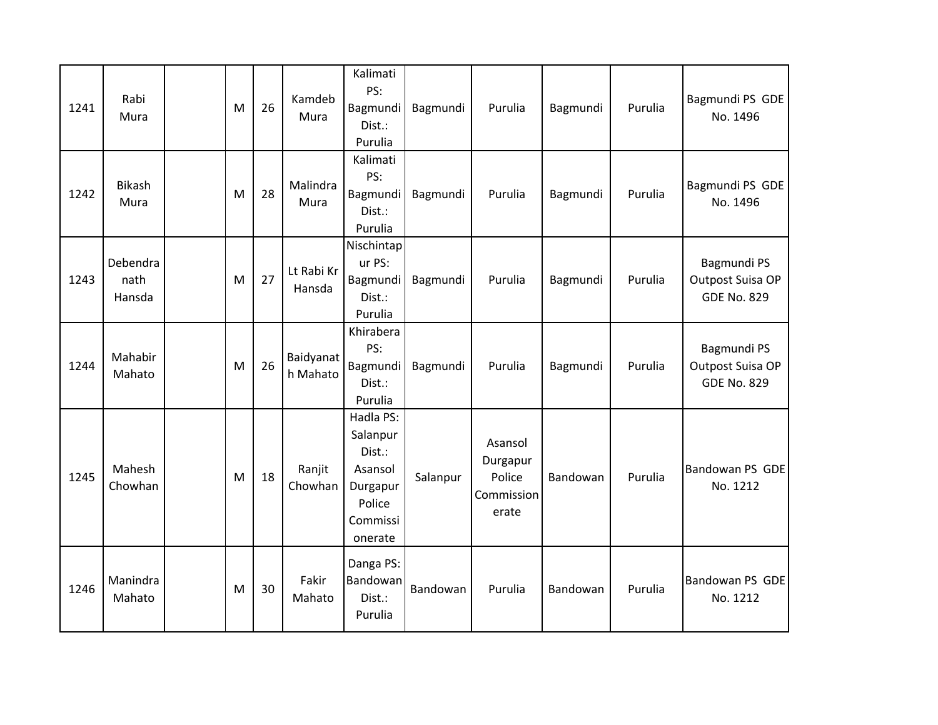| 1241 | Rabi<br>Mura               | M | 26 | Kamdeb<br>Mura        | Kalimati<br>PS:<br>Bagmundi<br>Dist.:<br>Purulia                                        | Bagmundi | Purulia                                              | Bagmundi | Purulia | Bagmundi PS GDE<br>No. 1496                           |
|------|----------------------------|---|----|-----------------------|-----------------------------------------------------------------------------------------|----------|------------------------------------------------------|----------|---------|-------------------------------------------------------|
| 1242 | <b>Bikash</b><br>Mura      | M | 28 | Malindra<br>Mura      | Kalimati<br>PS:<br>Bagmundi<br>Dist.:<br>Purulia                                        | Bagmundi | Purulia                                              | Bagmundi | Purulia | Bagmundi PS GDE<br>No. 1496                           |
| 1243 | Debendra<br>nath<br>Hansda | M | 27 | Lt Rabi Kr<br>Hansda  | Nischintap<br>ur PS:<br>Bagmundi<br>Dist.:<br>Purulia                                   | Bagmundi | Purulia                                              | Bagmundi | Purulia | Bagmundi PS<br>Outpost Suisa OP<br><b>GDE No. 829</b> |
| 1244 | Mahabir<br>Mahato          | M | 26 | Baidyanat<br>h Mahato | Khirabera<br>PS:<br>Bagmundi<br>Dist.:<br>Purulia                                       | Bagmundi | Purulia                                              | Bagmundi | Purulia | Bagmundi PS<br>Outpost Suisa OP<br><b>GDE No. 829</b> |
| 1245 | Mahesh<br>Chowhan          | M | 18 | Ranjit<br>Chowhan     | Hadla PS:<br>Salanpur<br>Dist.:<br>Asansol<br>Durgapur<br>Police<br>Commissi<br>onerate | Salanpur | Asansol<br>Durgapur<br>Police<br>Commission<br>erate | Bandowan | Purulia | Bandowan PS GDE<br>No. 1212                           |
| 1246 | Manindra<br>Mahato         | M | 30 | Fakir<br>Mahato       | Danga PS:<br>Bandowan<br>Dist.:<br>Purulia                                              | Bandowan | Purulia                                              | Bandowan | Purulia | Bandowan PS GDE<br>No. 1212                           |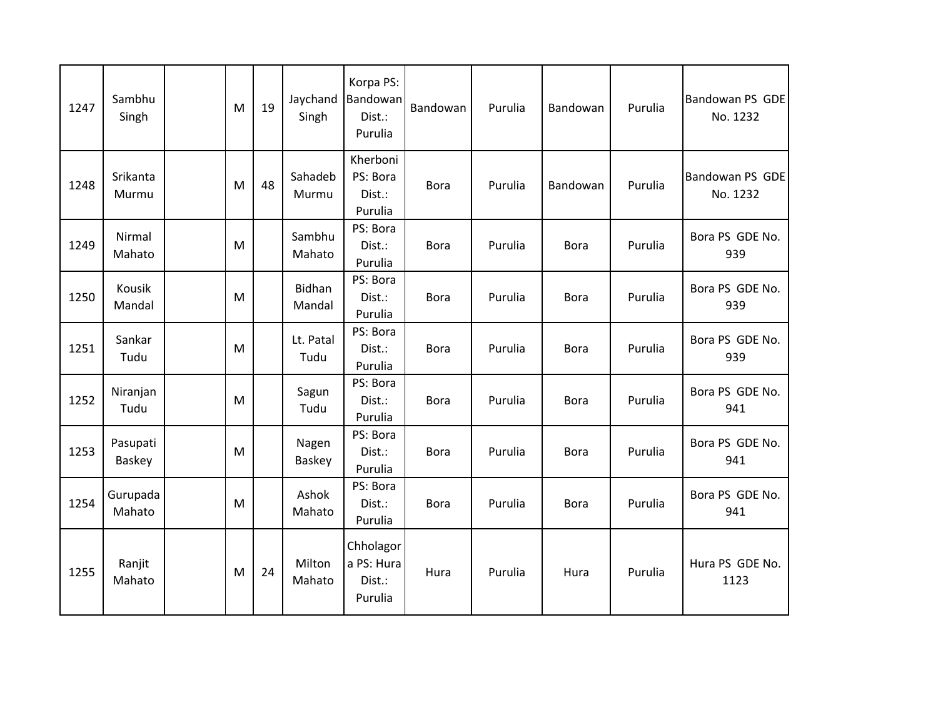| 1247 | Sambhu<br>Singh    | M | 19 | Jaychand<br>Singh | Korpa PS:<br>Bandowan<br>Dist.:<br>Purulia   | Bandowan    | Purulia | Bandowan    | Purulia | Bandowan PS GDE<br>No. 1232 |
|------|--------------------|---|----|-------------------|----------------------------------------------|-------------|---------|-------------|---------|-----------------------------|
| 1248 | Srikanta<br>Murmu  | M | 48 | Sahadeb<br>Murmu  | Kherboni<br>PS: Bora<br>Dist.:<br>Purulia    | <b>Bora</b> | Purulia | Bandowan    | Purulia | Bandowan PS GDE<br>No. 1232 |
| 1249 | Nirmal<br>Mahato   | M |    | Sambhu<br>Mahato  | PS: Bora<br>Dist.:<br>Purulia                | <b>Bora</b> | Purulia | <b>Bora</b> | Purulia | Bora PS GDE No.<br>939      |
| 1250 | Kousik<br>Mandal   | M |    | Bidhan<br>Mandal  | PS: Bora<br>Dist.:<br>Purulia                | <b>Bora</b> | Purulia | <b>Bora</b> | Purulia | Bora PS GDE No.<br>939      |
| 1251 | Sankar<br>Tudu     | M |    | Lt. Patal<br>Tudu | PS: Bora<br>Dist.:<br>Purulia                | <b>Bora</b> | Purulia | <b>Bora</b> | Purulia | Bora PS GDE No.<br>939      |
| 1252 | Niranjan<br>Tudu   | M |    | Sagun<br>Tudu     | PS: Bora<br>Dist.:<br>Purulia                | <b>Bora</b> | Purulia | <b>Bora</b> | Purulia | Bora PS GDE No.<br>941      |
| 1253 | Pasupati<br>Baskey | M |    | Nagen<br>Baskey   | PS: Bora<br>Dist.:<br>Purulia                | <b>Bora</b> | Purulia | <b>Bora</b> | Purulia | Bora PS GDE No.<br>941      |
| 1254 | Gurupada<br>Mahato | M |    | Ashok<br>Mahato   | PS: Bora<br>Dist.:<br>Purulia                | <b>Bora</b> | Purulia | <b>Bora</b> | Purulia | Bora PS GDE No.<br>941      |
| 1255 | Ranjit<br>Mahato   | M | 24 | Milton<br>Mahato  | Chholagor<br>a PS: Hura<br>Dist.:<br>Purulia | Hura        | Purulia | Hura        | Purulia | Hura PS GDE No.<br>1123     |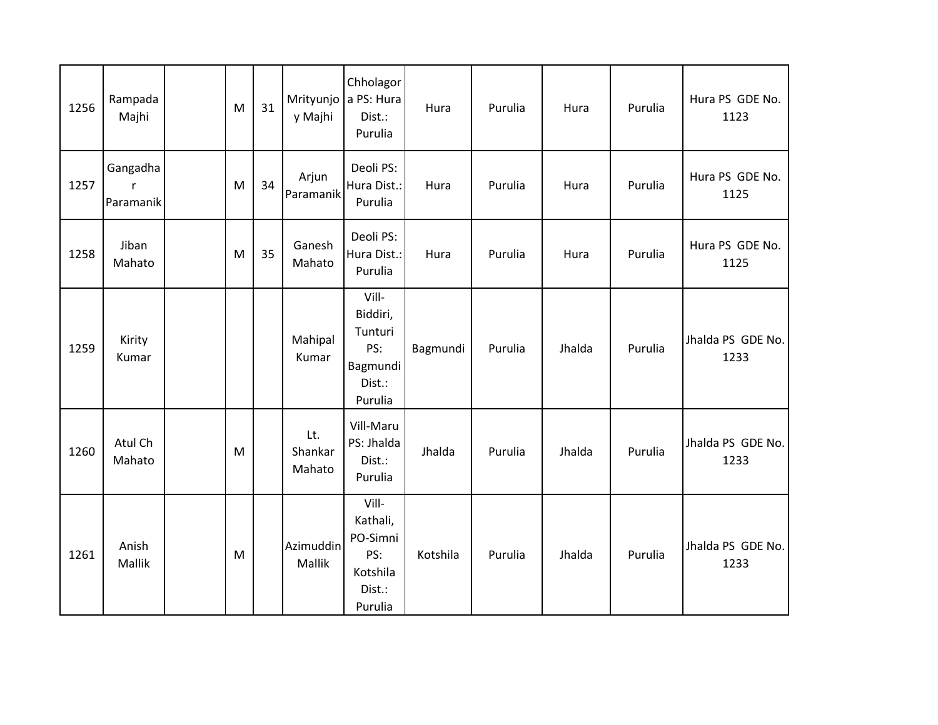| 1256 | Rampada<br>Majhi           | M | 31 | y Majhi                  | Chholagor<br>Mrityunjo a PS: Hura<br>Dist.:<br>Purulia                | Hura     | Purulia | Hura   | Purulia | Hura PS GDE No.<br>1123   |
|------|----------------------------|---|----|--------------------------|-----------------------------------------------------------------------|----------|---------|--------|---------|---------------------------|
| 1257 | Gangadha<br>r<br>Paramanik | M | 34 | Arjun<br>Paramanik       | Deoli PS:<br>Hura Dist.:<br>Purulia                                   | Hura     | Purulia | Hura   | Purulia | Hura PS GDE No.<br>1125   |
| 1258 | Jiban<br>Mahato            | M | 35 | Ganesh<br>Mahato         | Deoli PS:<br>Hura Dist.:<br>Purulia                                   | Hura     | Purulia | Hura   | Purulia | Hura PS GDE No.<br>1125   |
| 1259 | Kirity<br>Kumar            |   |    | Mahipal<br>Kumar         | Vill-<br>Biddiri,<br>Tunturi<br>PS:<br>Bagmundi<br>Dist.:<br>Purulia  | Bagmundi | Purulia | Jhalda | Purulia | Jhalda PS GDE No.<br>1233 |
| 1260 | Atul Ch<br>Mahato          | M |    | Lt.<br>Shankar<br>Mahato | Vill-Maru<br>PS: Jhalda<br>Dist.:<br>Purulia                          | Jhalda   | Purulia | Jhalda | Purulia | Jhalda PS GDE No.<br>1233 |
| 1261 | Anish<br>Mallik            | M |    | Azimuddin<br>Mallik      | Vill-<br>Kathali,<br>PO-Simni<br>PS:<br>Kotshila<br>Dist.:<br>Purulia | Kotshila | Purulia | Jhalda | Purulia | Jhalda PS GDE No.<br>1233 |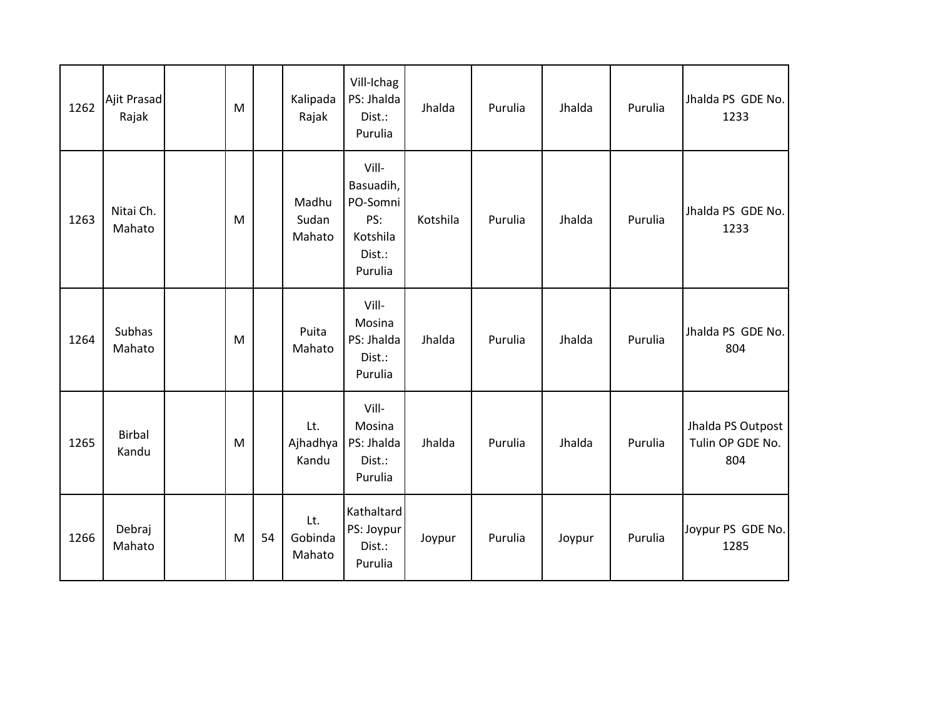| 1262 | Ajit Prasad<br>Rajak   | M |    | Kalipada<br>Rajak        | Vill-Ichag<br>PS: Jhalda<br>Dist.:<br>Purulia                          | Jhalda   | Purulia | Jhalda | Purulia | Jhalda PS GDE No.<br>1233                    |
|------|------------------------|---|----|--------------------------|------------------------------------------------------------------------|----------|---------|--------|---------|----------------------------------------------|
| 1263 | Nitai Ch.<br>Mahato    | M |    | Madhu<br>Sudan<br>Mahato | Vill-<br>Basuadih,<br>PO-Somni<br>PS:<br>Kotshila<br>Dist.:<br>Purulia | Kotshila | Purulia | Jhalda | Purulia | Jhalda PS GDE No.<br>1233                    |
| 1264 | Subhas<br>Mahato       | M |    | Puita<br>Mahato          | Vill-<br>Mosina<br>PS: Jhalda<br>Dist.:<br>Purulia                     | Jhalda   | Purulia | Jhalda | Purulia | Jhalda PS GDE No.<br>804                     |
| 1265 | <b>Birbal</b><br>Kandu | M |    | Lt.<br>Ajhadhya<br>Kandu | Vill-<br>Mosina<br>PS: Jhalda<br>Dist.:<br>Purulia                     | Jhalda   | Purulia | Jhalda | Purulia | Jhalda PS Outpost<br>Tulin OP GDE No.<br>804 |
| 1266 | Debraj<br>Mahato       | M | 54 | Lt.<br>Gobinda<br>Mahato | Kathaltard<br>PS: Joypur<br>Dist.:<br>Purulia                          | Joypur   | Purulia | Joypur | Purulia | Joypur PS GDE No.<br>1285                    |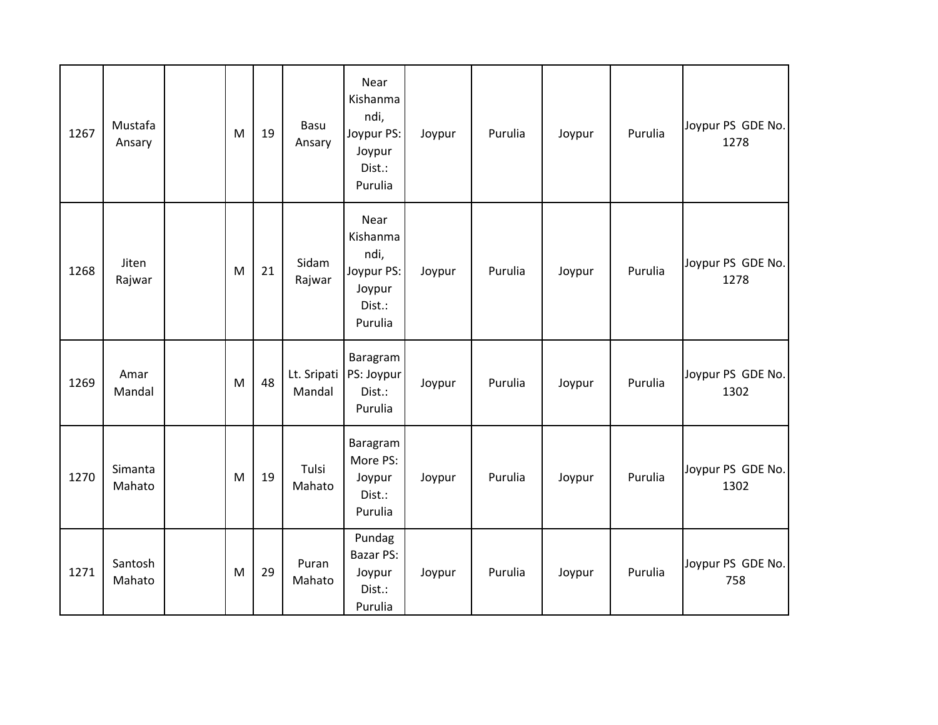| 1267 | Mustafa<br>Ansary | M | 19 | Basu<br>Ansary        | Near<br>Kishanma<br>ndi,<br>Joypur PS:<br>Joypur<br>Dist.:<br>Purulia | Joypur | Purulia | Joypur | Purulia | Joypur PS GDE No.<br>1278 |
|------|-------------------|---|----|-----------------------|-----------------------------------------------------------------------|--------|---------|--------|---------|---------------------------|
| 1268 | Jiten<br>Rajwar   | M | 21 | Sidam<br>Rajwar       | Near<br>Kishanma<br>ndi,<br>Joypur PS:<br>Joypur<br>Dist.:<br>Purulia | Joypur | Purulia | Joypur | Purulia | Joypur PS GDE No.<br>1278 |
| 1269 | Amar<br>Mandal    | M | 48 | Lt. Sripati<br>Mandal | Baragram<br>PS: Joypur<br>Dist.:<br>Purulia                           | Joypur | Purulia | Joypur | Purulia | Joypur PS GDE No.<br>1302 |
| 1270 | Simanta<br>Mahato | M | 19 | Tulsi<br>Mahato       | Baragram<br>More PS:<br>Joypur<br>Dist.:<br>Purulia                   | Joypur | Purulia | Joypur | Purulia | Joypur PS GDE No.<br>1302 |
| 1271 | Santosh<br>Mahato | M | 29 | Puran<br>Mahato       | Pundag<br><b>Bazar PS:</b><br>Joypur<br>Dist.:<br>Purulia             | Joypur | Purulia | Joypur | Purulia | Joypur PS GDE No.<br>758  |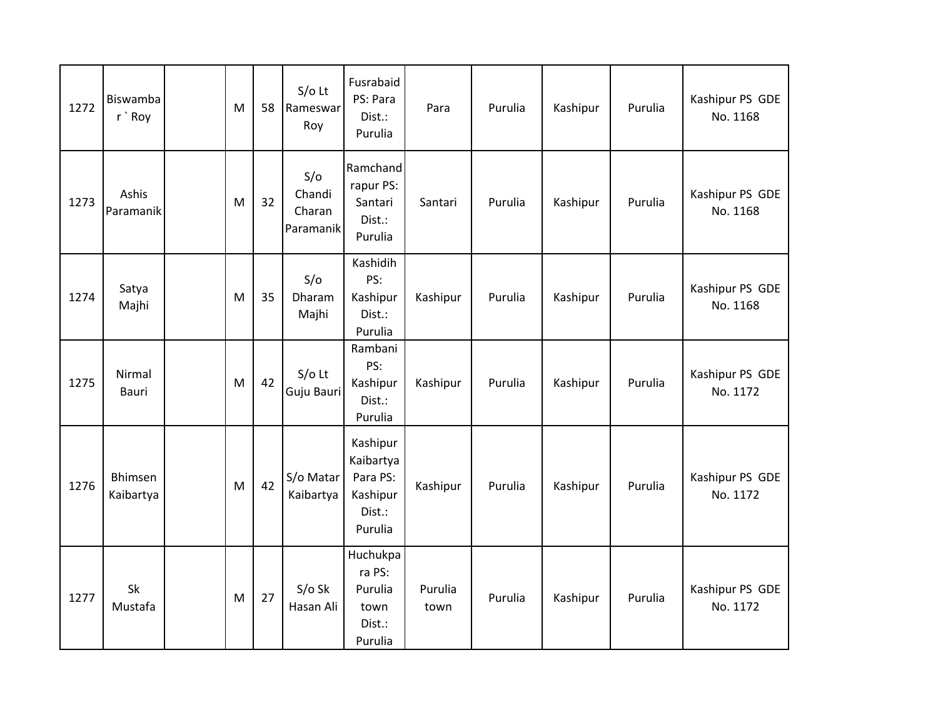| 1272 | <b>Biswamba</b><br>r `Roy | M | 58 | $S/O$ Lt<br>Rameswar<br>Roy          | Fusrabaid<br>PS: Para<br>Dist.:<br>Purulia                         | Para            | Purulia | Kashipur | Purulia | Kashipur PS GDE<br>No. 1168 |
|------|---------------------------|---|----|--------------------------------------|--------------------------------------------------------------------|-----------------|---------|----------|---------|-----------------------------|
| 1273 | Ashis<br>Paramanik        | M | 32 | S/O<br>Chandi<br>Charan<br>Paramanik | Ramchand<br>rapur PS:<br>Santari<br>Dist.:<br>Purulia              | Santari         | Purulia | Kashipur | Purulia | Kashipur PS GDE<br>No. 1168 |
| 1274 | Satya<br>Majhi            | м | 35 | S/O<br>Dharam<br>Majhi               | Kashidih<br>PS:<br>Kashipur<br>Dist.:<br>Purulia                   | Kashipur        | Purulia | Kashipur | Purulia | Kashipur PS GDE<br>No. 1168 |
| 1275 | Nirmal<br>Bauri           | M | 42 | $S/O$ Lt<br>Guju Bauri               | Rambani<br>PS:<br>Kashipur<br>Dist.:<br>Purulia                    | Kashipur        | Purulia | Kashipur | Purulia | Kashipur PS GDE<br>No. 1172 |
| 1276 | Bhimsen<br>Kaibartya      | M | 42 | S/o Matar<br>Kaibartya               | Kashipur<br>Kaibartya<br>Para PS:<br>Kashipur<br>Dist.:<br>Purulia | Kashipur        | Purulia | Kashipur | Purulia | Kashipur PS GDE<br>No. 1172 |
| 1277 | Sk<br>Mustafa             | M | 27 | $S/O$ Sk<br>Hasan Ali                | Huchukpa<br>ra PS:<br>Purulia<br>town<br>Dist.:<br>Purulia         | Purulia<br>town | Purulia | Kashipur | Purulia | Kashipur PS GDE<br>No. 1172 |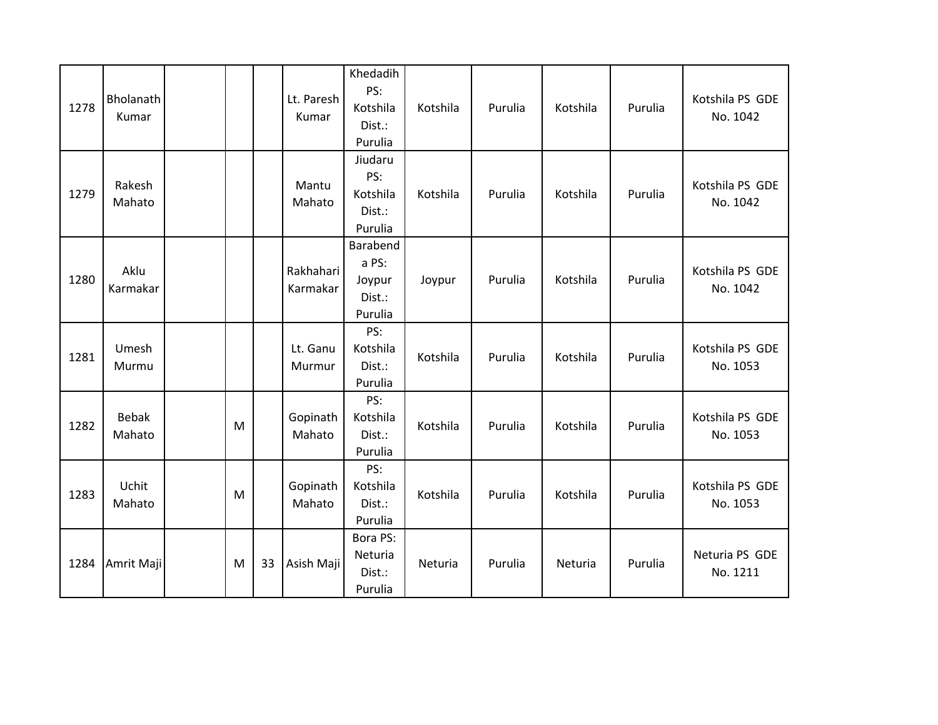| 1278 | Bholanath<br>Kumar |   |    | Lt. Paresh<br>Kumar   | Khedadih<br>PS:<br>Kotshila<br>Dist.:<br>Purulia | Kotshila | Purulia | Kotshila | Purulia | Kotshila PS GDE<br>No. 1042 |
|------|--------------------|---|----|-----------------------|--------------------------------------------------|----------|---------|----------|---------|-----------------------------|
| 1279 | Rakesh<br>Mahato   |   |    | Mantu<br>Mahato       | Jiudaru<br>PS:<br>Kotshila<br>Dist.:<br>Purulia  | Kotshila | Purulia | Kotshila | Purulia | Kotshila PS GDE<br>No. 1042 |
| 1280 | Aklu<br>Karmakar   |   |    | Rakhahari<br>Karmakar | Barabend<br>a PS:<br>Joypur<br>Dist.:<br>Purulia | Joypur   | Purulia | Kotshila | Purulia | Kotshila PS GDE<br>No. 1042 |
| 1281 | Umesh<br>Murmu     |   |    | Lt. Ganu<br>Murmur    | PS:<br>Kotshila<br>Dist.:<br>Purulia             | Kotshila | Purulia | Kotshila | Purulia | Kotshila PS GDE<br>No. 1053 |
| 1282 | Bebak<br>Mahato    | M |    | Gopinath<br>Mahato    | PS:<br>Kotshila<br>Dist.:<br>Purulia             | Kotshila | Purulia | Kotshila | Purulia | Kotshila PS GDE<br>No. 1053 |
| 1283 | Uchit<br>Mahato    | M |    | Gopinath<br>Mahato    | PS:<br>Kotshila<br>Dist.:<br>Purulia             | Kotshila | Purulia | Kotshila | Purulia | Kotshila PS GDE<br>No. 1053 |
| 1284 | Amrit Maji         | M | 33 | Asish Maji            | Bora PS:<br>Neturia<br>Dist.:<br>Purulia         | Neturia  | Purulia | Neturia  | Purulia | Neturia PS GDE<br>No. 1211  |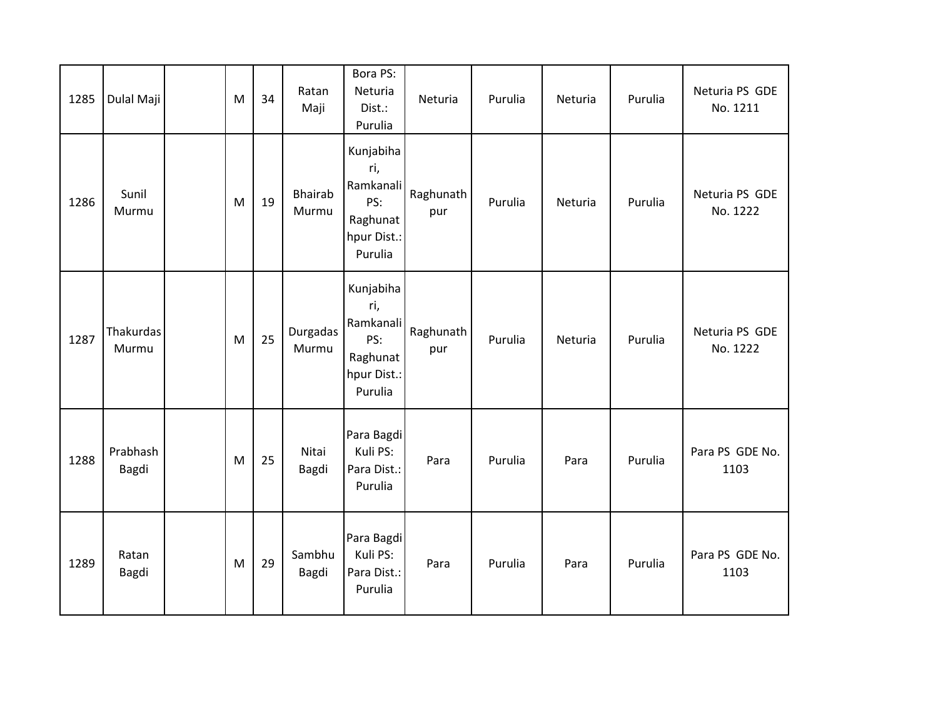| 1285 | Dulal Maji         | M | 34 | Ratan<br>Maji           | Bora PS:<br>Neturia<br>Dist.:<br>Purulia                                   | Neturia          | Purulia | Neturia | Purulia | Neturia PS GDE<br>No. 1211 |
|------|--------------------|---|----|-------------------------|----------------------------------------------------------------------------|------------------|---------|---------|---------|----------------------------|
| 1286 | Sunil<br>Murmu     | M | 19 | <b>Bhairab</b><br>Murmu | Kunjabiha<br>ri,<br>Ramkanali<br>PS:<br>Raghunat<br>hpur Dist.:<br>Purulia | Raghunath<br>pur | Purulia | Neturia | Purulia | Neturia PS GDE<br>No. 1222 |
| 1287 | Thakurdas<br>Murmu | M | 25 | Durgadas<br>Murmu       | Kunjabiha<br>ri,<br>Ramkanali<br>PS:<br>Raghunat<br>hpur Dist.:<br>Purulia | Raghunath<br>pur | Purulia | Neturia | Purulia | Neturia PS GDE<br>No. 1222 |
| 1288 | Prabhash<br>Bagdi  | M | 25 | Nitai<br>Bagdi          | Para Bagdi<br>Kuli PS:<br>Para Dist.:<br>Purulia                           | Para             | Purulia | Para    | Purulia | Para PS GDE No.<br>1103    |
| 1289 | Ratan<br>Bagdi     | M | 29 | Sambhu<br>Bagdi         | Para Bagdi<br>Kuli PS:<br>Para Dist.:<br>Purulia                           | Para             | Purulia | Para    | Purulia | Para PS GDE No.<br>1103    |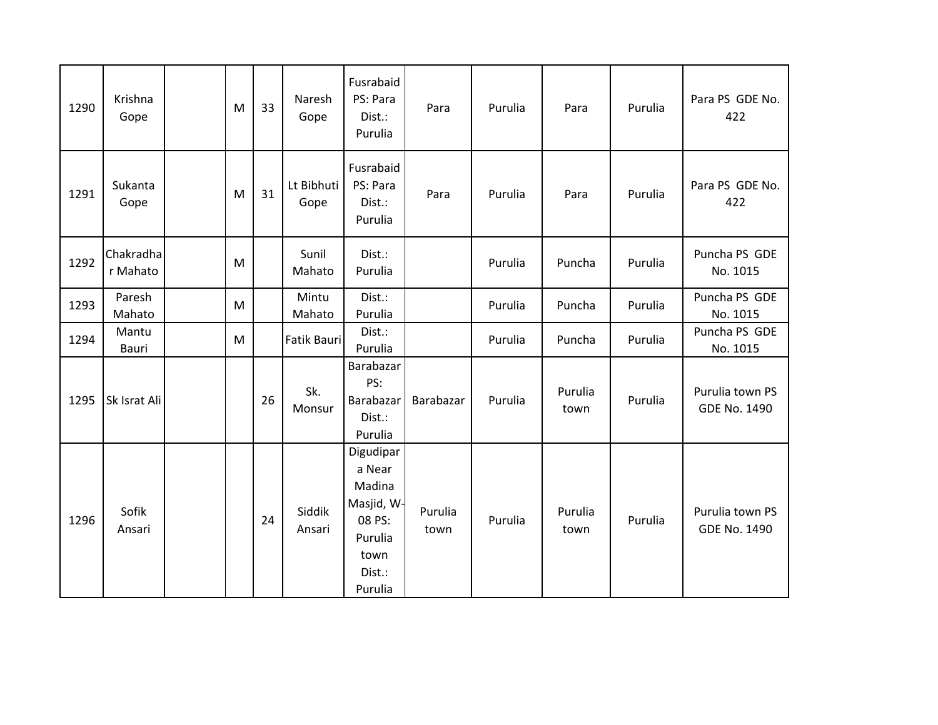| 1290 | Krishna<br>Gope       | M | 33 | Naresh<br>Gope     | Fusrabaid<br>PS: Para<br>Dist.:<br>Purulia                                                    | Para            | Purulia | Para            | Purulia | Para PS GDE No.<br>422                 |
|------|-----------------------|---|----|--------------------|-----------------------------------------------------------------------------------------------|-----------------|---------|-----------------|---------|----------------------------------------|
| 1291 | Sukanta<br>Gope       | M | 31 | Lt Bibhuti<br>Gope | Fusrabaid<br>PS: Para<br>Dist.:<br>Purulia                                                    | Para            | Purulia | Para            | Purulia | Para PS GDE No.<br>422                 |
| 1292 | Chakradha<br>r Mahato | M |    | Sunil<br>Mahato    | Dist.:<br>Purulia                                                                             |                 | Purulia | Puncha          | Purulia | Puncha PS GDE<br>No. 1015              |
| 1293 | Paresh<br>Mahato      | M |    | Mintu<br>Mahato    | Dist.:<br>Purulia                                                                             |                 | Purulia | Puncha          | Purulia | Puncha PS GDE<br>No. 1015              |
| 1294 | Mantu<br>Bauri        | M |    | <b>Fatik Bauri</b> | Dist.:<br>Purulia                                                                             |                 | Purulia | Puncha          | Purulia | Puncha PS GDE<br>No. 1015              |
| 1295 | Sk Israt Ali          |   | 26 | Sk.<br>Monsur      | Barabazar<br>PS:<br>Barabazar<br>Dist.:<br>Purulia                                            | Barabazar       | Purulia | Purulia<br>town | Purulia | Purulia town PS<br><b>GDE No. 1490</b> |
| 1296 | Sofik<br>Ansari       |   | 24 | Siddik<br>Ansari   | Digudipar<br>a Near<br>Madina<br>Masjid, W-<br>08 PS:<br>Purulia<br>town<br>Dist.:<br>Purulia | Purulia<br>town | Purulia | Purulia<br>town | Purulia | Purulia town PS<br><b>GDE No. 1490</b> |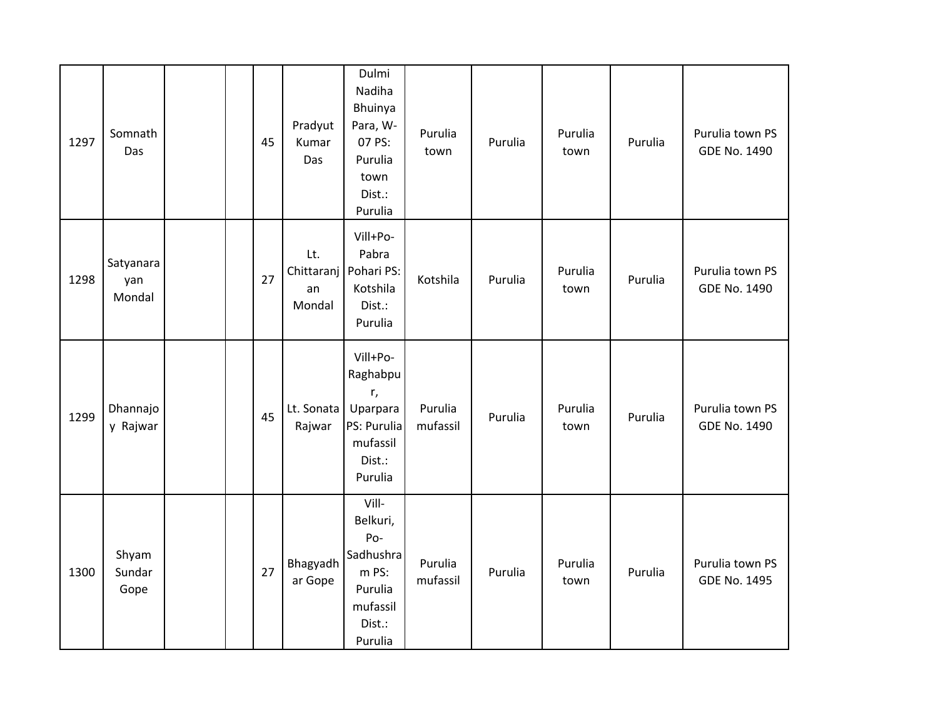| 1297 | Somnath<br>Das             |  | 45 | Pradyut<br>Kumar<br>Das | Dulmi<br>Nadiha<br>Bhuinya<br>Para, W-<br>07 PS:<br>Purulia<br>town<br>Dist.:<br>Purulia   | Purulia<br>town     | Purulia | Purulia<br>town | Purulia | Purulia town PS<br><b>GDE No. 1490</b> |
|------|----------------------------|--|----|-------------------------|--------------------------------------------------------------------------------------------|---------------------|---------|-----------------|---------|----------------------------------------|
| 1298 | Satyanara<br>yan<br>Mondal |  | 27 | Lt.<br>an<br>Mondal     | Vill+Po-<br>Pabra<br>Chittaranj   Pohari PS:<br>Kotshila<br>Dist.:<br>Purulia              | Kotshila            | Purulia | Purulia<br>town | Purulia | Purulia town PS<br><b>GDE No. 1490</b> |
| 1299 | Dhannajo<br>y Rajwar       |  | 45 | Lt. Sonata<br>Rajwar    | Vill+Po-<br>Raghabpu<br>r,<br>Uparpara<br>PS: Purulia<br>mufassil<br>Dist.:<br>Purulia     | Purulia<br>mufassil | Purulia | Purulia<br>town | Purulia | Purulia town PS<br><b>GDE No. 1490</b> |
| 1300 | Shyam<br>Sundar<br>Gope    |  | 27 | Bhagyadh<br>ar Gope     | Vill-<br>Belkuri,<br>Po-<br>Sadhushra<br>m PS:<br>Purulia<br>mufassil<br>Dist.:<br>Purulia | Purulia<br>mufassil | Purulia | Purulia<br>town | Purulia | Purulia town PS<br><b>GDE No. 1495</b> |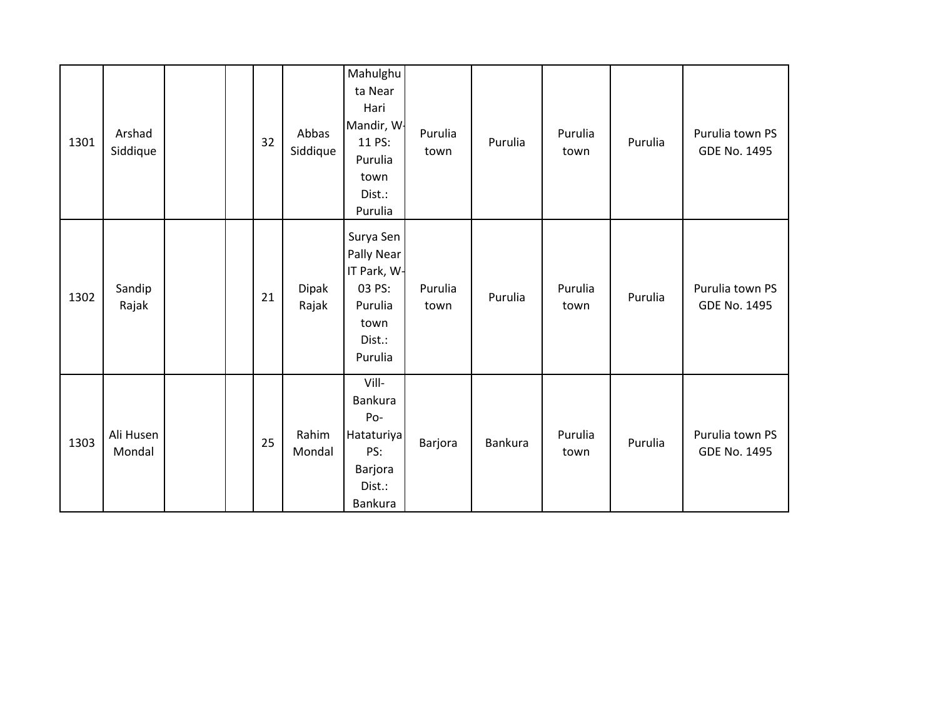| 1301 | Arshad<br>Siddique  |  | 32 | Abbas<br>Siddique | Mahulghu<br>ta Near<br>Hari<br>Mandir, W.<br>11 PS:<br>Purulia<br>town<br>Dist.:<br>Purulia | Purulia<br>town | Purulia | Purulia<br>town | Purulia | Purulia town PS<br>GDE No. 1495        |
|------|---------------------|--|----|-------------------|---------------------------------------------------------------------------------------------|-----------------|---------|-----------------|---------|----------------------------------------|
| 1302 | Sandip<br>Rajak     |  | 21 | Dipak<br>Rajak    | Surya Sen<br>Pally Near<br>IT Park, W-<br>03 PS:<br>Purulia<br>town<br>Dist.:<br>Purulia    | Purulia<br>town | Purulia | Purulia<br>town | Purulia | Purulia town PS<br><b>GDE No. 1495</b> |
| 1303 | Ali Husen<br>Mondal |  | 25 | Rahim<br>Mondal   | Vill-<br>Bankura<br>Po-<br>Hataturiya<br>PS:<br>Barjora<br>Dist.:<br>Bankura                | Barjora         | Bankura | Purulia<br>town | Purulia | Purulia town PS<br><b>GDE No. 1495</b> |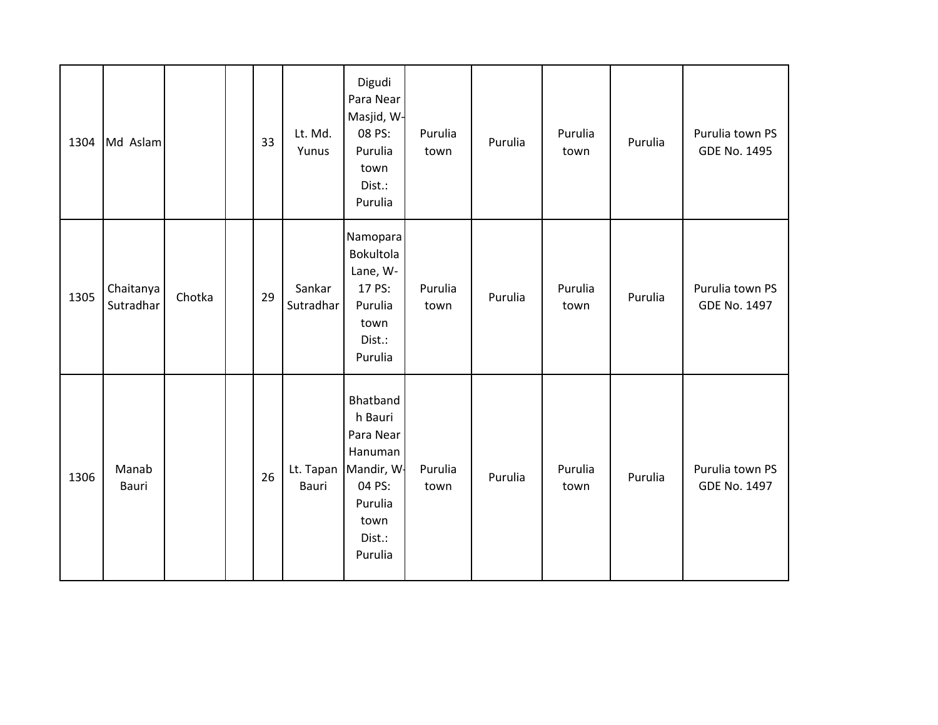| 1304 | Md Aslam               |        | 33 | Lt. Md.<br>Yunus    | Digudi<br>Para Near<br>Masjid, W-<br>08 PS:<br>Purulia<br>town<br>Dist.:<br>Purulia                                     | Purulia<br>town | Purulia | Purulia<br>town | Purulia | Purulia town PS<br><b>GDE No. 1495</b> |
|------|------------------------|--------|----|---------------------|-------------------------------------------------------------------------------------------------------------------------|-----------------|---------|-----------------|---------|----------------------------------------|
| 1305 | Chaitanya<br>Sutradhar | Chotka | 29 | Sankar<br>Sutradhar | Namopara<br>Bokultola<br>Lane, W-<br>17 PS:<br>Purulia<br>town<br>Dist.:<br>Purulia                                     | Purulia<br>town | Purulia | Purulia<br>town | Purulia | Purulia town PS<br><b>GDE No. 1497</b> |
| 1306 | Manab<br>Bauri         |        | 26 | Bauri               | Bhatband<br>h Bauri<br>Para Near<br>Hanuman<br>Lt. Tapan   Mandir, W-<br>04 PS:<br>Purulia<br>town<br>Dist.:<br>Purulia | Purulia<br>town | Purulia | Purulia<br>town | Purulia | Purulia town PS<br><b>GDE No. 1497</b> |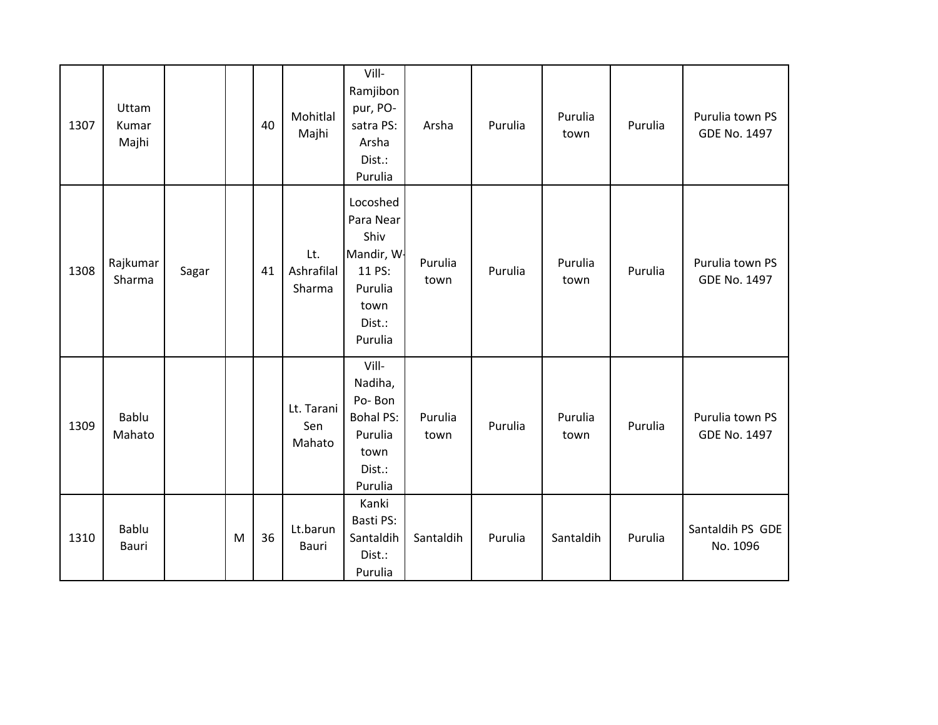| 1307 | Uttam<br>Kumar<br>Majhi |       |   | 40 | Mohitlal<br>Majhi           | Vill-<br>Ramjibon<br>pur, PO-<br>satra PS:<br>Arsha<br>Dist.:<br>Purulia                      | Arsha           | Purulia | Purulia<br>town | Purulia | Purulia town PS<br><b>GDE No. 1497</b> |
|------|-------------------------|-------|---|----|-----------------------------|-----------------------------------------------------------------------------------------------|-----------------|---------|-----------------|---------|----------------------------------------|
| 1308 | Rajkumar<br>Sharma      | Sagar |   | 41 | Lt.<br>Ashrafilal<br>Sharma | Locoshed<br>Para Near<br>Shiv<br>Mandir, W-<br>11 PS:<br>Purulia<br>town<br>Dist.:<br>Purulia | Purulia<br>town | Purulia | Purulia<br>town | Purulia | Purulia town PS<br><b>GDE No. 1497</b> |
| 1309 | Bablu<br>Mahato         |       |   |    | Lt. Tarani<br>Sen<br>Mahato | Vill-<br>Nadiha,<br>Po-Bon<br><b>Bohal PS:</b><br>Purulia<br>town<br>Dist.:<br>Purulia        | Purulia<br>town | Purulia | Purulia<br>town | Purulia | Purulia town PS<br><b>GDE No. 1497</b> |
| 1310 | Bablu<br>Bauri          |       | M | 36 | Lt.barun<br>Bauri           | Kanki<br>Basti PS:<br>Santaldih<br>Dist.:<br>Purulia                                          | Santaldih       | Purulia | Santaldih       | Purulia | Santaldih PS GDE<br>No. 1096           |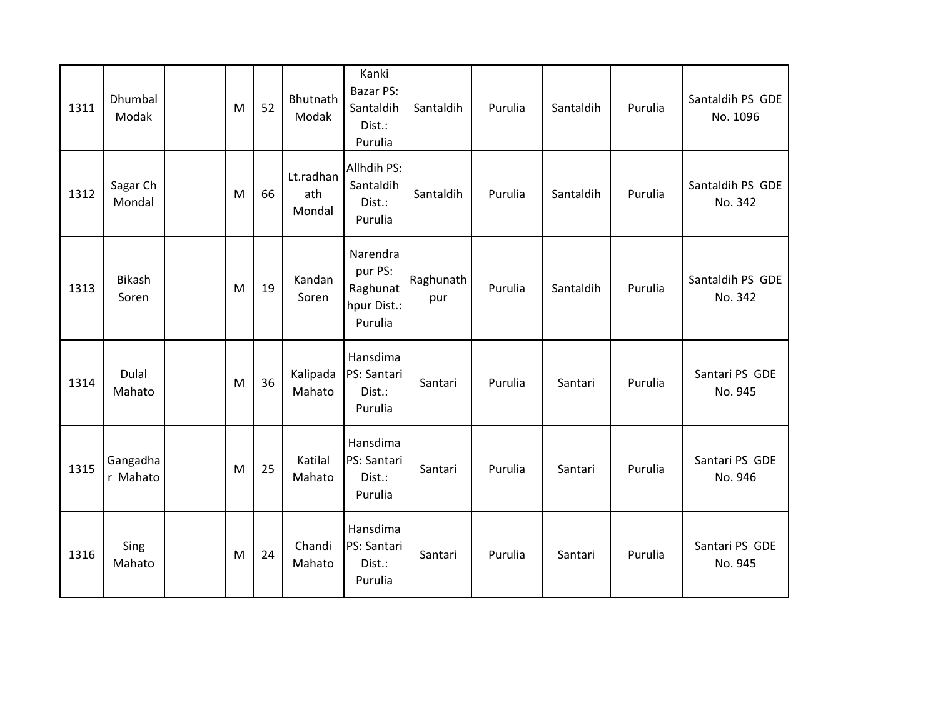| 1311 | Dhumbal<br>Modak       | M | 52 | Bhutnath<br>Modak          | Kanki<br><b>Bazar PS:</b><br>Santaldih<br>Dist.:<br>Purulia | Santaldih        | Purulia | Santaldih | Purulia | Santaldih PS GDE<br>No. 1096 |
|------|------------------------|---|----|----------------------------|-------------------------------------------------------------|------------------|---------|-----------|---------|------------------------------|
| 1312 | Sagar Ch<br>Mondal     | M | 66 | Lt.radhan<br>ath<br>Mondal | Allhdih PS:<br>Santaldih<br>Dist.:<br>Purulia               | Santaldih        | Purulia | Santaldih | Purulia | Santaldih PS GDE<br>No. 342  |
| 1313 | <b>Bikash</b><br>Soren | M | 19 | Kandan<br>Soren            | Narendra<br>pur PS:<br>Raghunat<br>hpur Dist.:<br>Purulia   | Raghunath<br>pur | Purulia | Santaldih | Purulia | Santaldih PS GDE<br>No. 342  |
| 1314 | Dulal<br>Mahato        | M | 36 | Kalipada<br>Mahato         | Hansdima<br>PS: Santari<br>Dist.:<br>Purulia                | Santari          | Purulia | Santari   | Purulia | Santari PS GDE<br>No. 945    |
| 1315 | Gangadha<br>r Mahato   | M | 25 | Katilal<br>Mahato          | Hansdima<br>PS: Santari<br>Dist.:<br>Purulia                | Santari          | Purulia | Santari   | Purulia | Santari PS GDE<br>No. 946    |
| 1316 | Sing<br>Mahato         | M | 24 | Chandi<br>Mahato           | Hansdima<br>PS: Santari<br>Dist.:<br>Purulia                | Santari          | Purulia | Santari   | Purulia | Santari PS GDE<br>No. 945    |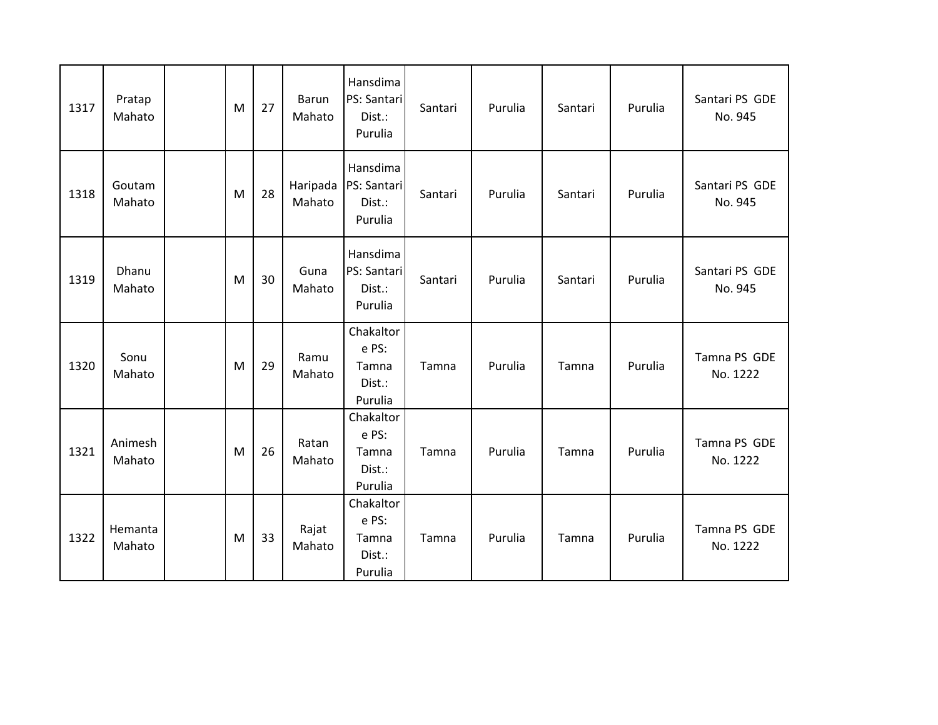| 1317 | Pratap<br>Mahato  | M | 27 | Barun<br>Mahato    | Hansdima<br>PS: Santari<br>Dist.:<br>Purulia     | Santari | Purulia | Santari | Purulia | Santari PS GDE<br>No. 945 |
|------|-------------------|---|----|--------------------|--------------------------------------------------|---------|---------|---------|---------|---------------------------|
| 1318 | Goutam<br>Mahato  | M | 28 | Haripada<br>Mahato | Hansdima<br>PS: Santari<br>Dist.:<br>Purulia     | Santari | Purulia | Santari | Purulia | Santari PS GDE<br>No. 945 |
| 1319 | Dhanu<br>Mahato   | M | 30 | Guna<br>Mahato     | Hansdima<br>PS: Santari<br>Dist.:<br>Purulia     | Santari | Purulia | Santari | Purulia | Santari PS GDE<br>No. 945 |
| 1320 | Sonu<br>Mahato    | M | 29 | Ramu<br>Mahato     | Chakaltor<br>e PS:<br>Tamna<br>Dist.:<br>Purulia | Tamna   | Purulia | Tamna   | Purulia | Tamna PS GDE<br>No. 1222  |
| 1321 | Animesh<br>Mahato | M | 26 | Ratan<br>Mahato    | Chakaltor<br>e PS:<br>Tamna<br>Dist.:<br>Purulia | Tamna   | Purulia | Tamna   | Purulia | Tamna PS GDE<br>No. 1222  |
| 1322 | Hemanta<br>Mahato | M | 33 | Rajat<br>Mahato    | Chakaltor<br>e PS:<br>Tamna<br>Dist.:<br>Purulia | Tamna   | Purulia | Tamna   | Purulia | Tamna PS GDE<br>No. 1222  |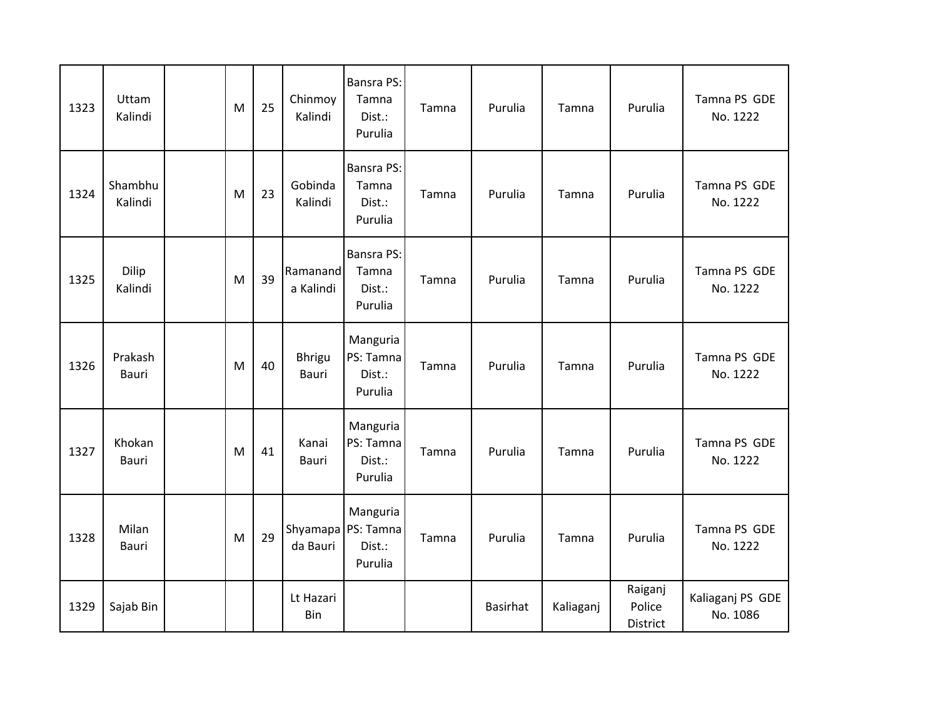| 1323 | Uttam<br>Kalindi      | M | 25 | Chinmoy<br>Kalindi     | <b>Bansra PS:</b><br>Tamna<br>Dist.:<br>Purulia     | Tamna | Purulia  | Tamna     | Purulia                       | Tamna PS GDE<br>No. 1222     |
|------|-----------------------|---|----|------------------------|-----------------------------------------------------|-------|----------|-----------|-------------------------------|------------------------------|
| 1324 | Shambhu<br>Kalindi    | M | 23 | Gobinda<br>Kalindi     | <b>Bansra PS:</b><br>Tamna<br>Dist.:<br>Purulia     | Tamna | Purulia  | Tamna     | Purulia                       | Tamna PS GDE<br>No. 1222     |
| 1325 | Dilip<br>Kalindi      | M | 39 | Ramanand<br>a Kalindi  | <b>Bansra PS:</b><br>Tamna<br>Dist.:<br>Purulia     | Tamna | Purulia  | Tamna     | Purulia                       | Tamna PS GDE<br>No. 1222     |
| 1326 | Prakash<br>Bauri      | M | 40 | <b>Bhrigu</b><br>Bauri | Manguria<br>PS: Tamna<br>Dist.:<br>Purulia          | Tamna | Purulia  | Tamna     | Purulia                       | Tamna PS GDE<br>No. 1222     |
| 1327 | Khokan<br>Bauri       | M | 41 | Kanai<br>Bauri         | Manguria<br>PS: Tamna<br>Dist.:<br>Purulia          | Tamna | Purulia  | Tamna     | Purulia                       | Tamna PS GDE<br>No. 1222     |
| 1328 | Milan<br><b>Bauri</b> | M | 29 | da Bauri               | Manguria<br>Shyamapa PS: Tamna<br>Dist.:<br>Purulia | Tamna | Purulia  | Tamna     | Purulia                       | Tamna PS GDE<br>No. 1222     |
| 1329 | Sajab Bin             |   |    | Lt Hazari<br>Bin       |                                                     |       | Basirhat | Kaliaganj | Raiganj<br>Police<br>District | Kaliaganj PS GDE<br>No. 1086 |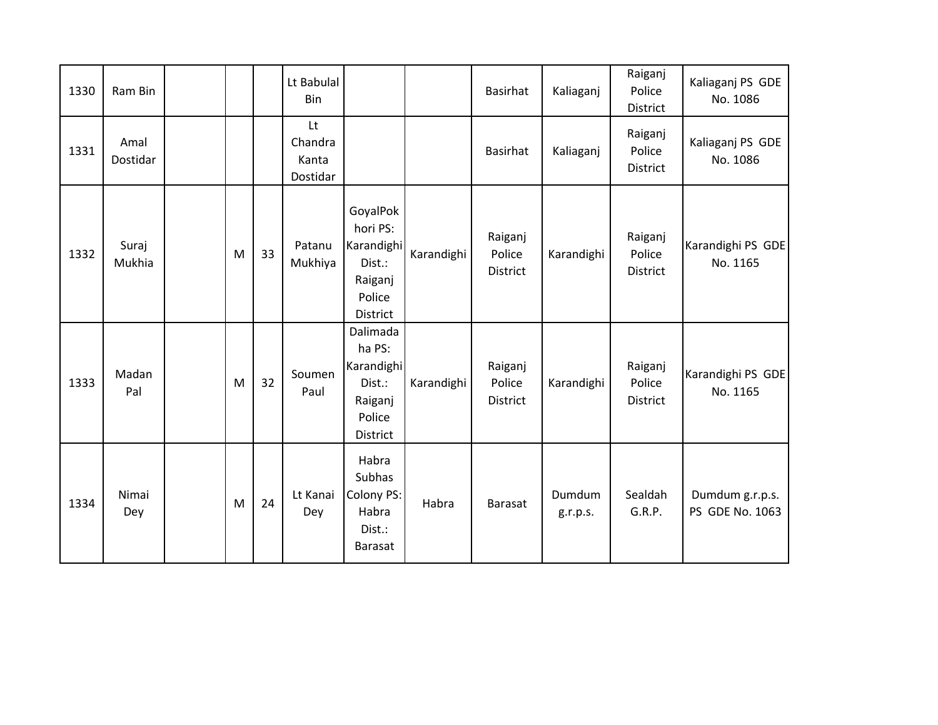| 1330 | Ram Bin          |   |    | Lt Babulal<br>Bin                  |                                                                               |            | Basirhat                      | Kaliaganj          | Raiganj<br>Police<br>District        | Kaliaganj PS GDE<br>No. 1086       |
|------|------------------|---|----|------------------------------------|-------------------------------------------------------------------------------|------------|-------------------------------|--------------------|--------------------------------------|------------------------------------|
| 1331 | Amal<br>Dostidar |   |    | Lt<br>Chandra<br>Kanta<br>Dostidar |                                                                               |            | Basirhat                      | Kaliaganj          | Raiganj<br>Police<br>District        | Kaliaganj PS GDE<br>No. 1086       |
| 1332 | Suraj<br>Mukhia  | M | 33 | Patanu<br>Mukhiya                  | GoyalPok<br>hori PS:<br>Karandighi<br>Dist.:<br>Raiganj<br>Police<br>District | Karandighi | Raiganj<br>Police<br>District | Karandighi         | Raiganj<br>Police<br>District        | Karandighi PS GDE<br>No. 1165      |
| 1333 | Madan<br>Pal     | M | 32 | Soumen<br>Paul                     | Dalimada<br>ha PS:<br>Karandighi<br>Dist.:<br>Raiganj<br>Police<br>District   | Karandighi | Raiganj<br>Police<br>District | Karandighi         | Raiganj<br>Police<br><b>District</b> | Karandighi PS GDE<br>No. 1165      |
| 1334 | Nimai<br>Dey     | M | 24 | Lt Kanai<br>Dey                    | Habra<br><b>Subhas</b><br>Colony PS:<br>Habra<br>Dist.:<br><b>Barasat</b>     | Habra      | Barasat                       | Dumdum<br>g.r.p.s. | Sealdah<br>G.R.P.                    | Dumdum g.r.p.s.<br>PS GDE No. 1063 |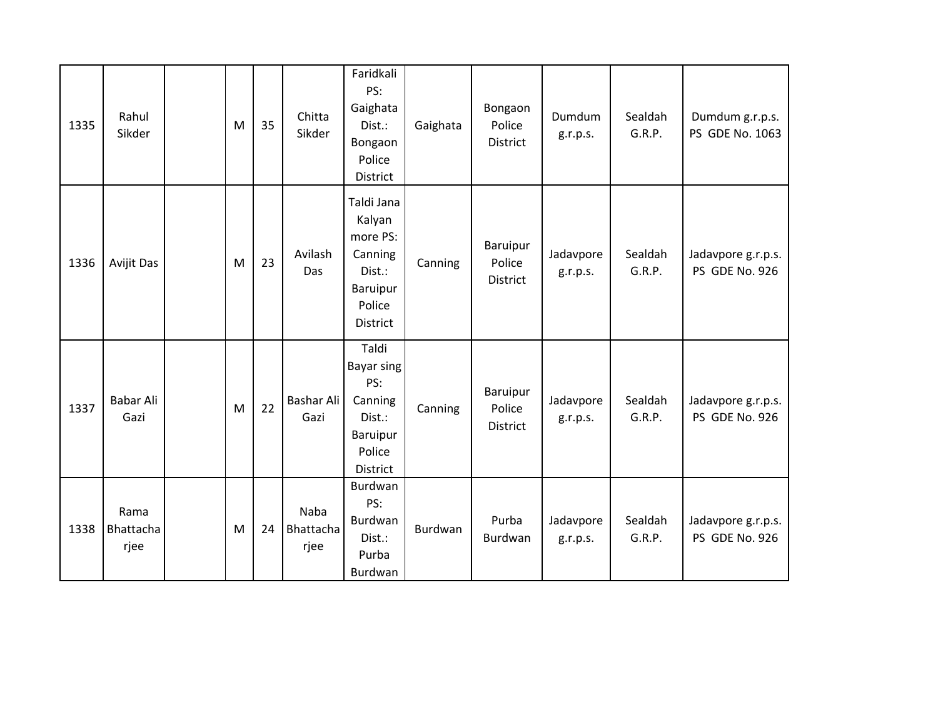| 1335 | Rahul<br>Sikder                  | M | 35 | Chitta<br>Sikder                 | Faridkali<br>PS:<br>Gaighata<br>Dist.:<br>Bongaon<br>Police<br>District                        | Gaighata | Bongaon<br>Police<br>District         | Dumdum<br>g.r.p.s.    | Sealdah<br>G.R.P. | Dumdum g.r.p.s.<br>PS GDE No. 1063   |
|------|----------------------------------|---|----|----------------------------------|------------------------------------------------------------------------------------------------|----------|---------------------------------------|-----------------------|-------------------|--------------------------------------|
| 1336 | Avijit Das                       | M | 23 | Avilash<br>Das                   | Taldi Jana<br>Kalyan<br>more PS:<br>Canning<br>Dist.:<br>Baruipur<br>Police<br><b>District</b> | Canning  | Baruipur<br>Police<br><b>District</b> | Jadavpore<br>g.r.p.s. | Sealdah<br>G.R.P. | Jadavpore g.r.p.s.<br>PS GDE No. 926 |
| 1337 | Babar Ali<br>Gazi                | M | 22 | Bashar Ali<br>Gazi               | Taldi<br><b>Bayar sing</b><br>PS:<br>Canning<br>Dist.:<br>Baruipur<br>Police<br>District       | Canning  | <b>Baruipur</b><br>Police<br>District | Jadavpore<br>g.r.p.s. | Sealdah<br>G.R.P. | Jadavpore g.r.p.s.<br>PS GDE No. 926 |
| 1338 | Rama<br><b>Bhattacha</b><br>rjee | M | 24 | <b>Naba</b><br>Bhattacha<br>rjee | Burdwan<br>PS:<br>Burdwan<br>Dist.:<br>Purba<br>Burdwan                                        | Burdwan  | Purba<br>Burdwan                      | Jadavpore<br>g.r.p.s. | Sealdah<br>G.R.P. | Jadavpore g.r.p.s.<br>PS GDE No. 926 |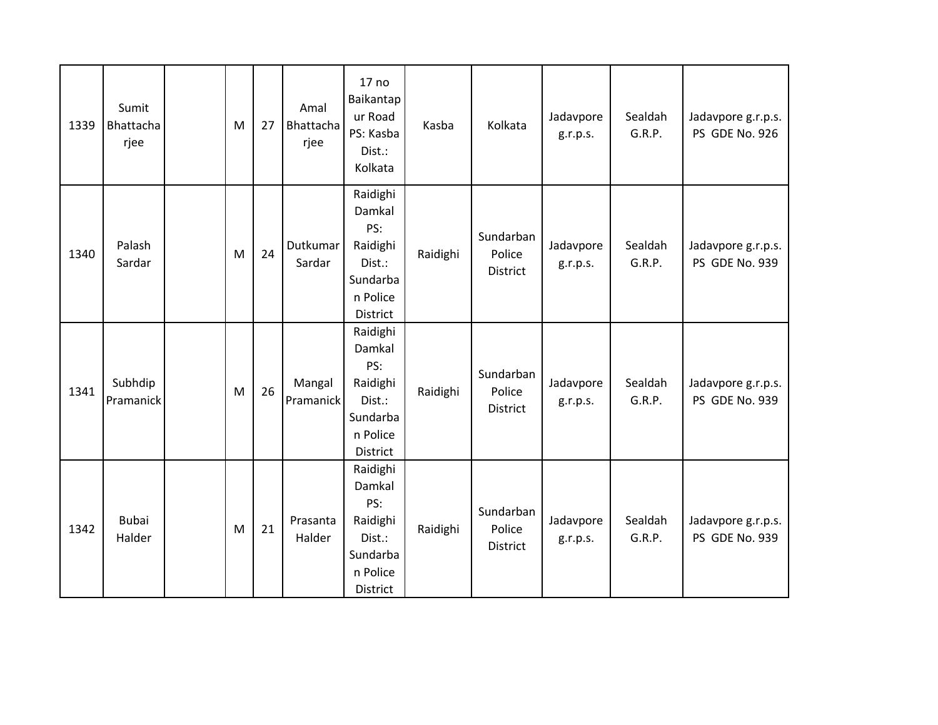| 1339 | Sumit<br>Bhattacha<br>rjee | M | 27 | Amal<br>Bhattacha<br>rjee | 17 <sub>no</sub><br>Baikantap<br>ur Road<br>PS: Kasba<br>Dist.:<br>Kolkata          | Kasba    | Kolkata                                | Jadavpore<br>g.r.p.s. | Sealdah<br>G.R.P. | Jadavpore g.r.p.s.<br>PS GDE No. 926 |
|------|----------------------------|---|----|---------------------------|-------------------------------------------------------------------------------------|----------|----------------------------------------|-----------------------|-------------------|--------------------------------------|
| 1340 | Palash<br>Sardar           | M | 24 | Dutkumar<br>Sardar        | Raidighi<br>Damkal<br>PS:<br>Raidighi<br>Dist.:<br>Sundarba<br>n Police<br>District | Raidighi | Sundarban<br>Police<br><b>District</b> | Jadavpore<br>g.r.p.s. | Sealdah<br>G.R.P. | Jadavpore g.r.p.s.<br>PS GDE No. 939 |
| 1341 | Subhdip<br>Pramanick       | M | 26 | Mangal<br>Pramanick       | Raidighi<br>Damkal<br>PS:<br>Raidighi<br>Dist.:<br>Sundarba<br>n Police<br>District | Raidighi | Sundarban<br>Police<br><b>District</b> | Jadavpore<br>g.r.p.s. | Sealdah<br>G.R.P. | Jadavpore g.r.p.s.<br>PS GDE No. 939 |
| 1342 | <b>Bubai</b><br>Halder     | M | 21 | Prasanta<br>Halder        | Raidighi<br>Damkal<br>PS:<br>Raidighi<br>Dist.:<br>Sundarba<br>n Police<br>District | Raidighi | Sundarban<br>Police<br>District        | Jadavpore<br>g.r.p.s. | Sealdah<br>G.R.P. | Jadavpore g.r.p.s.<br>PS GDE No. 939 |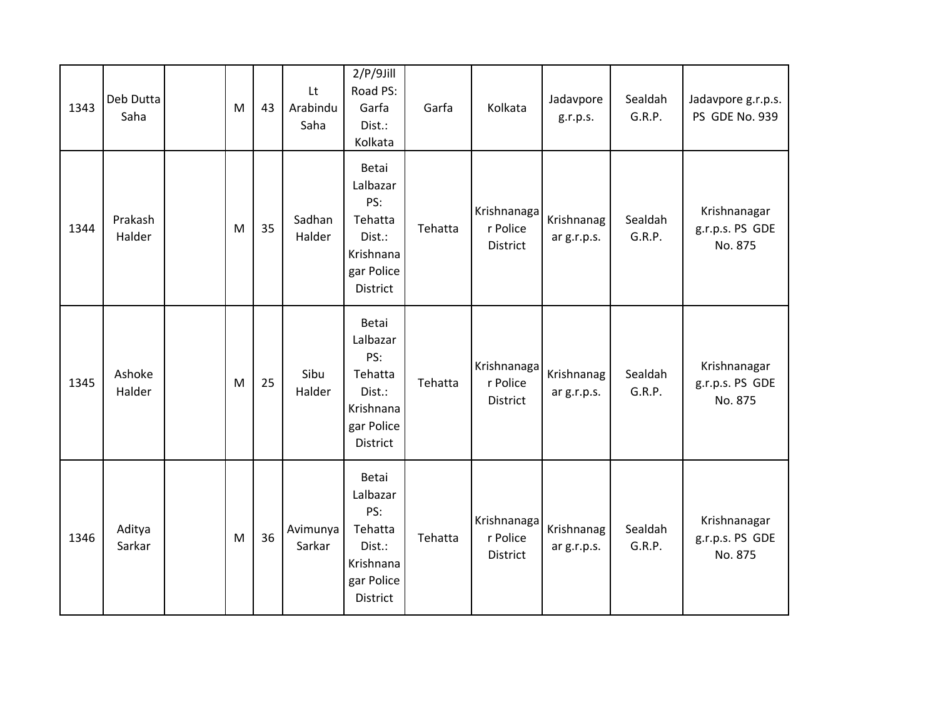| 1343 | Deb Dutta<br>Saha | M | 43 | Lt<br>Arabindu<br>Saha | $2/P/9$ Jill<br>Road PS:<br>Garfa<br>Dist.:<br>Kolkata                               | Garfa   | Kolkata                             | Jadavpore<br>g.r.p.s.     | Sealdah<br>G.R.P. | Jadavpore g.r.p.s.<br>PS GDE No. 939       |
|------|-------------------|---|----|------------------------|--------------------------------------------------------------------------------------|---------|-------------------------------------|---------------------------|-------------------|--------------------------------------------|
| 1344 | Prakash<br>Halder | M | 35 | Sadhan<br>Halder       | Betai<br>Lalbazar<br>PS:<br>Tehatta<br>Dist.:<br>Krishnana<br>gar Police<br>District | Tehatta | Krishnanaga<br>r Police<br>District | Krishnanag<br>ar g.r.p.s. | Sealdah<br>G.R.P. | Krishnanagar<br>g.r.p.s. PS GDE<br>No. 875 |
| 1345 | Ashoke<br>Halder  | M | 25 | Sibu<br>Halder         | Betai<br>Lalbazar<br>PS:<br>Tehatta<br>Dist.:<br>Krishnana<br>gar Police<br>District | Tehatta | Krishnanaga<br>r Police<br>District | Krishnanag<br>ar g.r.p.s. | Sealdah<br>G.R.P. | Krishnanagar<br>g.r.p.s. PS GDE<br>No. 875 |
| 1346 | Aditya<br>Sarkar  | M | 36 | Avimunya<br>Sarkar     | Betai<br>Lalbazar<br>PS:<br>Tehatta<br>Dist.:<br>Krishnana<br>gar Police<br>District | Tehatta | Krishnanaga<br>r Police<br>District | Krishnanag<br>ar g.r.p.s. | Sealdah<br>G.R.P. | Krishnanagar<br>g.r.p.s. PS GDE<br>No. 875 |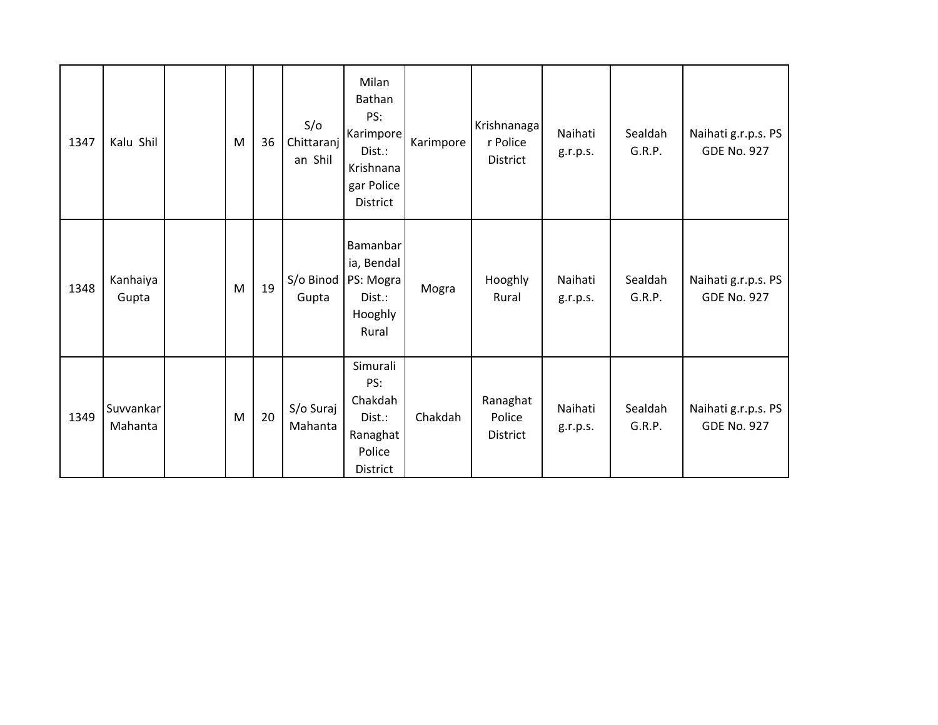| 1347 | Kalu Shil            | M | 36 | S/O<br>Chittaranj<br>an Shil | Milan<br>Bathan<br>PS:<br>Karimpore<br>Dist.:<br>Krishnana<br>gar Police<br><b>District</b> | Karimpore | Krishnanaga<br>r Police<br>District   | Naihati<br>g.r.p.s. | Sealdah<br>G.R.P. | Naihati g.r.p.s. PS<br><b>GDE No. 927</b> |
|------|----------------------|---|----|------------------------------|---------------------------------------------------------------------------------------------|-----------|---------------------------------------|---------------------|-------------------|-------------------------------------------|
| 1348 | Kanhaiya<br>Gupta    | M | 19 | S/o Binod<br>Gupta           | Bamanbar<br>ia, Bendal<br>PS: Mogra<br>Dist.:<br>Hooghly<br>Rural                           | Mogra     | Hooghly<br>Rural                      | Naihati<br>g.r.p.s. | Sealdah<br>G.R.P. | Naihati g.r.p.s. PS<br><b>GDE No. 927</b> |
| 1349 | Suvvankar<br>Mahanta | M | 20 | S/o Suraj<br>Mahanta         | Simurali<br>PS:<br>Chakdah<br>Dist.:<br>Ranaghat<br>Police<br>District                      | Chakdah   | Ranaghat<br>Police<br><b>District</b> | Naihati<br>g.r.p.s. | Sealdah<br>G.R.P. | Naihati g.r.p.s. PS<br><b>GDE No. 927</b> |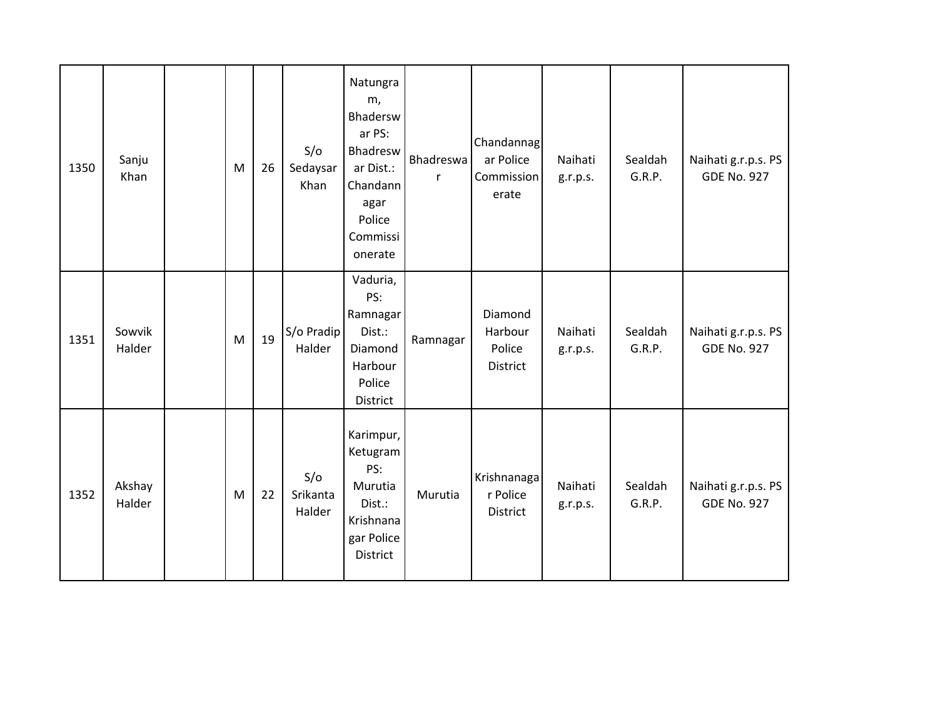| 1350 | Sanju<br>Khan    | M | 26 | S/O<br>Sedaysar<br>Khan   | Natungra<br>m,<br>Bhadersw<br>ar PS:<br>Bhadresw<br>ar Dist.:<br>Chandann<br>agar<br>Police<br>Commissi<br>onerate | <b>Bhadreswa</b><br>$\mathsf{r}$ | Chandannag<br>ar Police<br>Commission<br>erate | Naihati<br>g.r.p.s. | Sealdah<br>G.R.P. | Naihati g.r.p.s. PS<br><b>GDE No. 927</b> |
|------|------------------|---|----|---------------------------|--------------------------------------------------------------------------------------------------------------------|----------------------------------|------------------------------------------------|---------------------|-------------------|-------------------------------------------|
| 1351 | Sowvik<br>Halder | M | 19 | S/o Pradip<br>Halder      | Vaduria,<br>PS:<br>Ramnagar<br>Dist.:<br>Diamond<br>Harbour<br>Police<br>District                                  | Ramnagar                         | Diamond<br>Harbour<br>Police<br>District       | Naihati<br>g.r.p.s. | Sealdah<br>G.R.P. | Naihati g.r.p.s. PS<br><b>GDE No. 927</b> |
| 1352 | Akshay<br>Halder | M | 22 | S/O<br>Srikanta<br>Halder | Karimpur,<br>Ketugram<br>PS:<br>Murutia<br>Dist.:<br>Krishnana<br>gar Police<br>District                           | Murutia                          | Krishnanaga<br>r Police<br>District            | Naihati<br>g.r.p.s. | Sealdah<br>G.R.P. | Naihati g.r.p.s. PS<br><b>GDE No. 927</b> |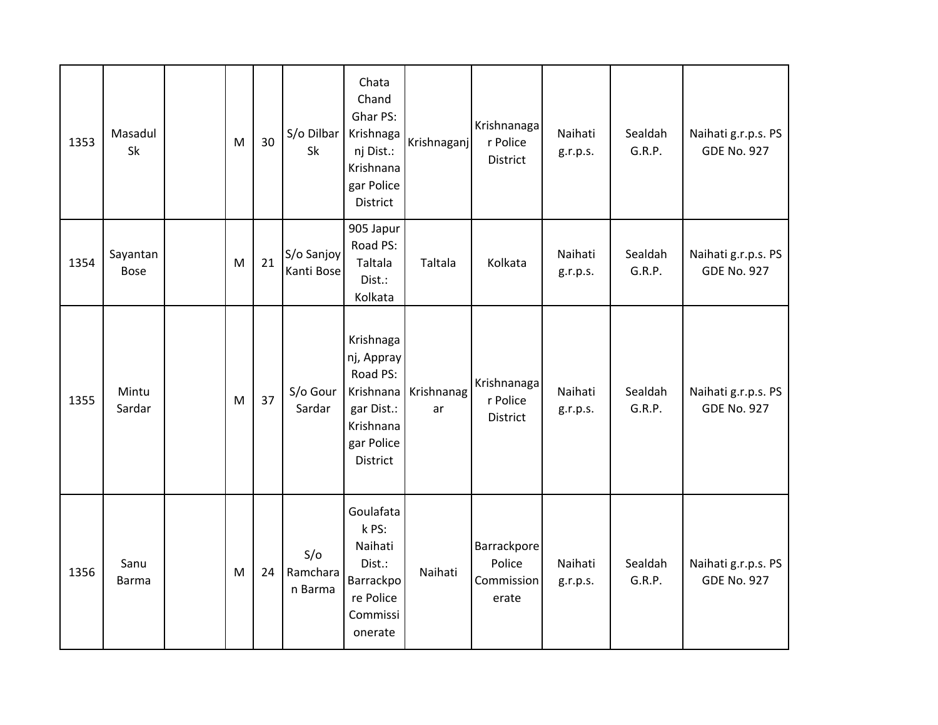| 1353 | Masadul<br>Sk           | M | 30 | S/o Dilbar<br>Sk           | Chata<br>Chand<br>Ghar PS:<br>Krishnaga<br>nj Dist.:<br>Krishnana<br>gar Police<br>District           | Krishnaganj      | Krishnanaga<br>r Police<br>District          | Naihati<br>g.r.p.s. | Sealdah<br>G.R.P. | Naihati g.r.p.s. PS<br><b>GDE No. 927</b> |
|------|-------------------------|---|----|----------------------------|-------------------------------------------------------------------------------------------------------|------------------|----------------------------------------------|---------------------|-------------------|-------------------------------------------|
| 1354 | Sayantan<br><b>Bose</b> | M | 21 | S/o Sanjoy<br>Kanti Bose   | 905 Japur<br>Road PS:<br>Taltala<br>Dist.:<br>Kolkata                                                 | Taltala          | Kolkata                                      | Naihati<br>g.r.p.s. | Sealdah<br>G.R.P. | Naihati g.r.p.s. PS<br><b>GDE No. 927</b> |
| 1355 | Mintu<br>Sardar         | M | 37 | S/o Gour<br>Sardar         | Krishnaga<br>nj, Appray<br>Road PS:<br>Krishnana<br>gar Dist.:<br>Krishnana<br>gar Police<br>District | Krishnanag<br>ar | Krishnanaga<br>r Police<br>District          | Naihati<br>g.r.p.s. | Sealdah<br>G.R.P. | Naihati g.r.p.s. PS<br><b>GDE No. 927</b> |
| 1356 | Sanu<br>Barma           | M | 24 | S/O<br>Ramchara<br>n Barma | Goulafata<br>k PS:<br>Naihati<br>Dist.:<br>Barrackpo<br>re Police<br>Commissi<br>onerate              | Naihati          | Barrackpore<br>Police<br>Commission<br>erate | Naihati<br>g.r.p.s. | Sealdah<br>G.R.P. | Naihati g.r.p.s. PS<br><b>GDE No. 927</b> |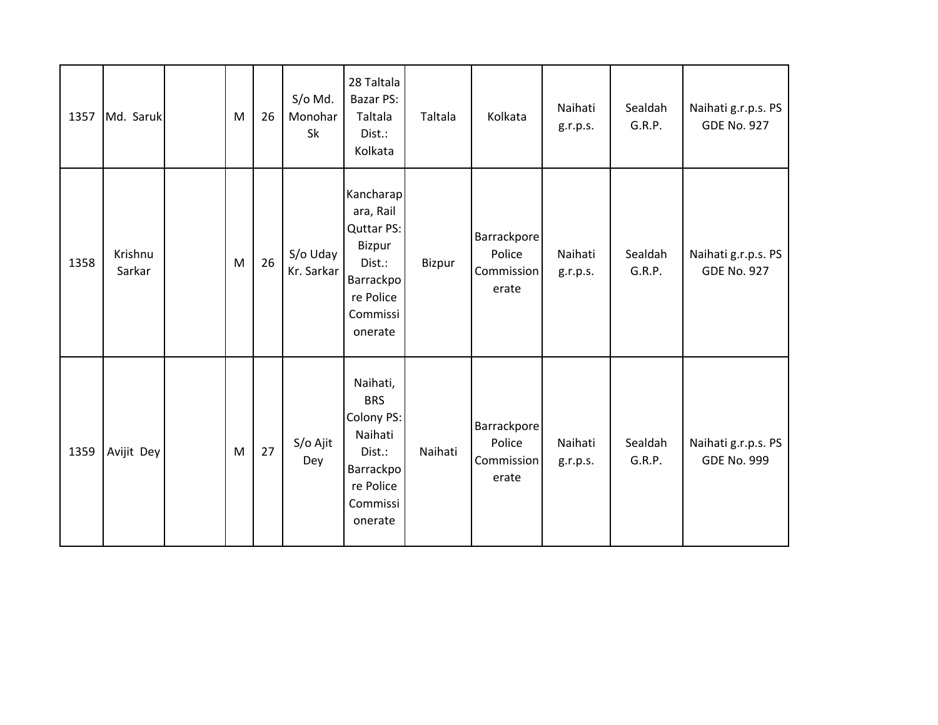| 1357 | Md. Saruk         | M | 26 | S/o Md.<br>Monohar<br>Sk | 28 Taltala<br>Bazar PS:<br>Taltala<br>Dist.:<br>Kolkata                                                          | Taltala | Kolkata                                             | Naihati<br>g.r.p.s. | Sealdah<br>G.R.P. | Naihati g.r.p.s. PS<br><b>GDE No. 927</b> |
|------|-------------------|---|----|--------------------------|------------------------------------------------------------------------------------------------------------------|---------|-----------------------------------------------------|---------------------|-------------------|-------------------------------------------|
| 1358 | Krishnu<br>Sarkar | M | 26 | S/o Uday<br>Kr. Sarkar   | Kancharap<br>ara, Rail<br><b>Quttar PS:</b><br>Bizpur<br>Dist.:<br>Barrackpo<br>re Police<br>Commissi<br>onerate | Bizpur  | <b>Barrackpore</b><br>Police<br>Commission<br>erate | Naihati<br>g.r.p.s. | Sealdah<br>G.R.P. | Naihati g.r.p.s. PS<br><b>GDE No. 927</b> |
| 1359 | Avijit Dey        | M | 27 | S/o Ajit<br>Dey          | Naihati,<br><b>BRS</b><br>Colony PS:<br>Naihati<br>Dist.:<br>Barrackpo<br>re Police<br>Commissi<br>onerate       | Naihati | Barrackpore<br>Police<br>Commission<br>erate        | Naihati<br>g.r.p.s. | Sealdah<br>G.R.P. | Naihati g.r.p.s. PS<br><b>GDE No. 999</b> |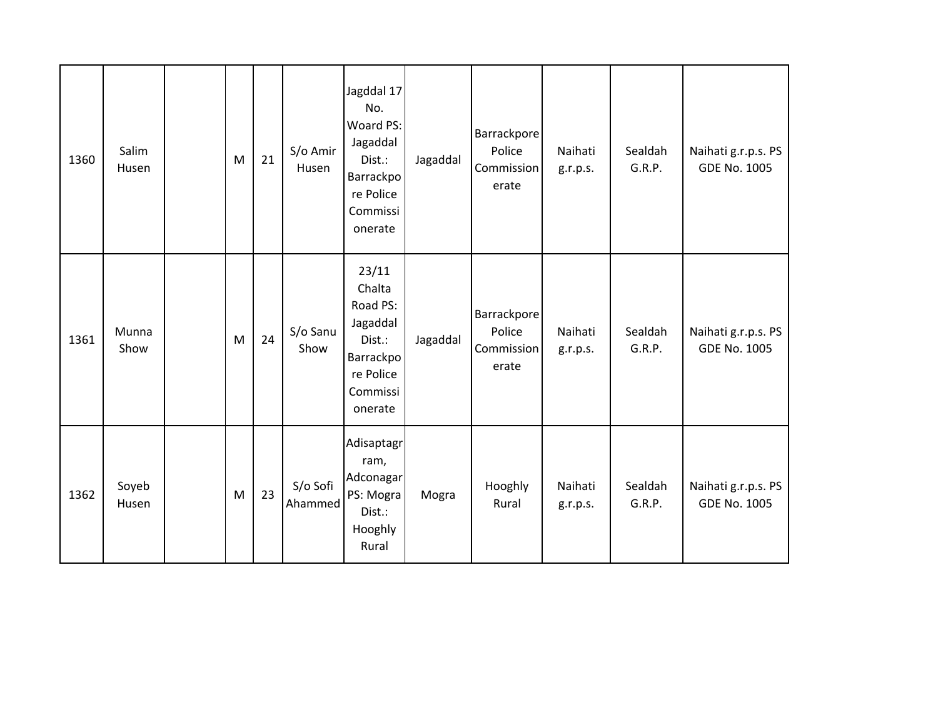| 1360 | Salim<br>Husen | M | 21 | S/o Amir<br>Husen   | Jagddal 17<br>No.<br>Woard PS:<br>Jagaddal<br>Dist.:<br>Barrackpo<br>re Police<br>Commissi<br>onerate | Jagaddal | Barrackpore<br>Police<br>Commission<br>erate | Naihati<br>g.r.p.s. | Sealdah<br>G.R.P. | Naihati g.r.p.s. PS<br><b>GDE No. 1005</b> |
|------|----------------|---|----|---------------------|-------------------------------------------------------------------------------------------------------|----------|----------------------------------------------|---------------------|-------------------|--------------------------------------------|
| 1361 | Munna<br>Show  | M | 24 | S/o Sanu<br>Show    | 23/11<br>Chalta<br>Road PS:<br>Jagaddal<br>Dist.:<br>Barrackpo<br>re Police<br>Commissi<br>onerate    | Jagaddal | Barrackpore<br>Police<br>Commission<br>erate | Naihati<br>g.r.p.s. | Sealdah<br>G.R.P. | Naihati g.r.p.s. PS<br><b>GDE No. 1005</b> |
| 1362 | Soyeb<br>Husen | M | 23 | S/o Sofi<br>Ahammed | Adisaptagr<br>ram,<br>Adconagar<br>PS: Mogra<br>Dist.:<br>Hooghly<br>Rural                            | Mogra    | Hooghly<br>Rural                             | Naihati<br>g.r.p.s. | Sealdah<br>G.R.P. | Naihati g.r.p.s. PS<br><b>GDE No. 1005</b> |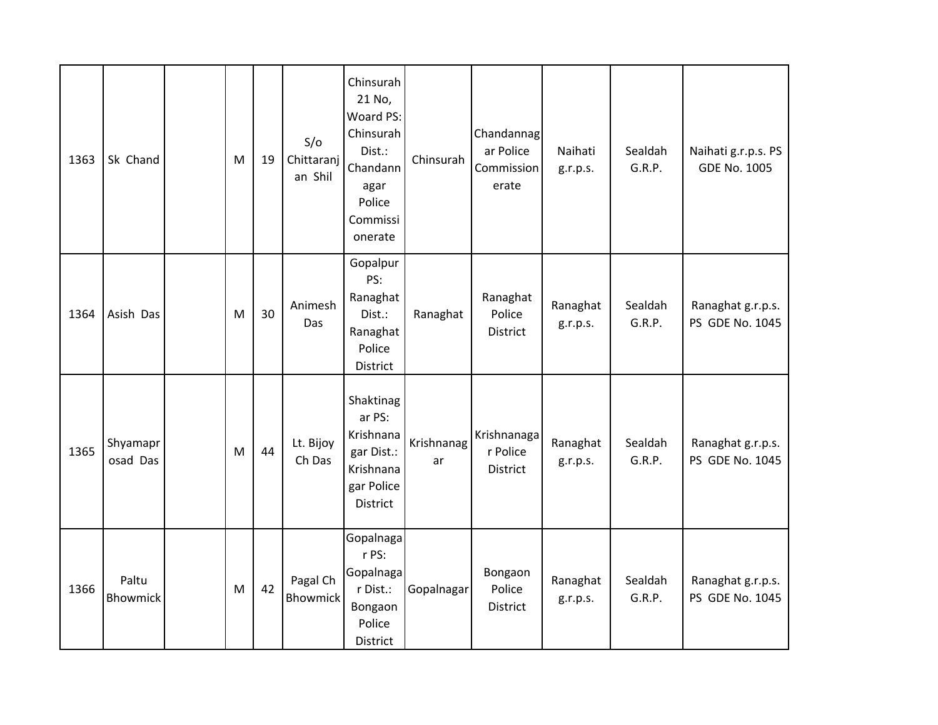| 1363 | Sk Chand             | M | 19 | S/O<br>Chittaranj<br>an Shil | Chinsurah<br>21 No,<br>Woard PS:<br>Chinsurah<br>Dist.:<br>Chandann<br>agar<br>Police<br>Commissi<br>onerate | Chinsurah        | Chandannag<br>ar Police<br>Commission<br>erate | Naihati<br>g.r.p.s.  | Sealdah<br>G.R.P. | Naihati g.r.p.s. PS<br><b>GDE No. 1005</b> |
|------|----------------------|---|----|------------------------------|--------------------------------------------------------------------------------------------------------------|------------------|------------------------------------------------|----------------------|-------------------|--------------------------------------------|
| 1364 | Asish Das            | M | 30 | Animesh<br>Das               | Gopalpur<br>PS:<br>Ranaghat<br>Dist.:<br>Ranaghat<br>Police<br>District                                      | Ranaghat         | Ranaghat<br>Police<br><b>District</b>          | Ranaghat<br>g.r.p.s. | Sealdah<br>G.R.P. | Ranaghat g.r.p.s.<br>PS GDE No. 1045       |
| 1365 | Shyamapr<br>osad Das | M | 44 | Lt. Bijoy<br>Ch Das          | Shaktinag<br>ar PS:<br>Krishnana<br>gar Dist.:<br>Krishnana<br>gar Police<br><b>District</b>                 | Krishnanag<br>ar | Krishnanaga<br>r Police<br>District            | Ranaghat<br>g.r.p.s. | Sealdah<br>G.R.P. | Ranaghat g.r.p.s.<br>PS GDE No. 1045       |
| 1366 | Paltu<br>Bhowmick    | M | 42 | Pagal Ch<br><b>Bhowmick</b>  | Gopalnaga<br>r PS:<br>Gopalnaga<br>r Dist.:<br>Bongaon<br>Police<br>District                                 | Gopalnagar       | Bongaon<br>Police<br>District                  | Ranaghat<br>g.r.p.s. | Sealdah<br>G.R.P. | Ranaghat g.r.p.s.<br>PS GDE No. 1045       |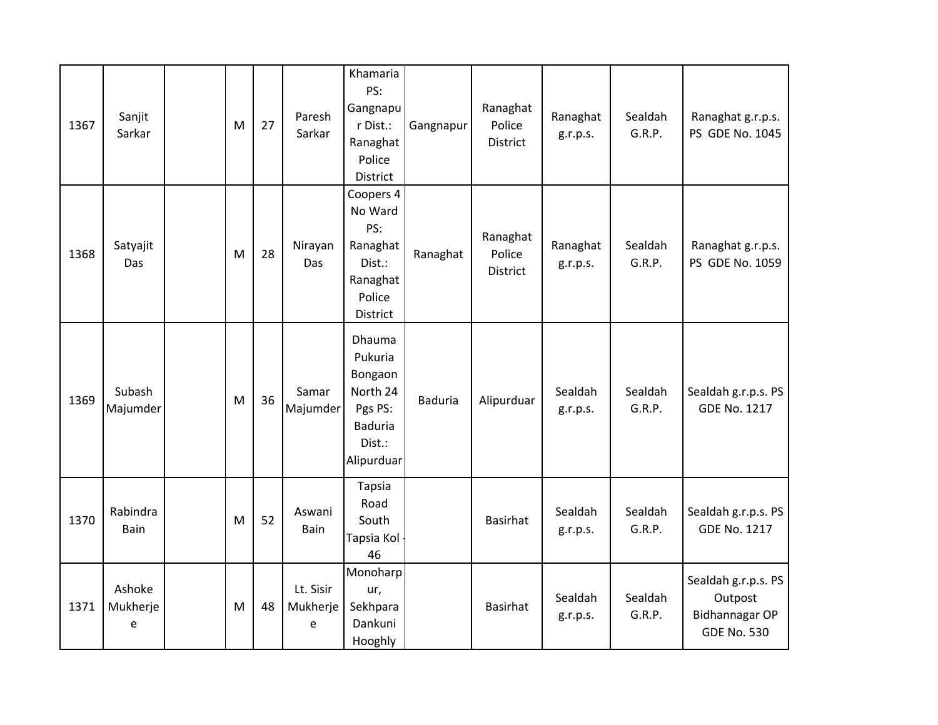| 1367 | Sanjit<br>Sarkar        | M | 27 | Paresh<br>Sarkar           | Khamaria<br>PS:<br>Gangnapu<br>r Dist.:<br>Ranaghat<br>Police<br>District                     | Gangnapur      | Ranaghat<br>Police<br>District | Ranaghat<br>g.r.p.s. | Sealdah<br>G.R.P. | Ranaghat g.r.p.s.<br>PS GDE No. 1045                                          |
|------|-------------------------|---|----|----------------------------|-----------------------------------------------------------------------------------------------|----------------|--------------------------------|----------------------|-------------------|-------------------------------------------------------------------------------|
| 1368 | Satyajit<br>Das         | M | 28 | Nirayan<br>Das             | Coopers 4<br>No Ward<br>PS:<br>Ranaghat<br>Dist.:<br>Ranaghat<br>Police<br>District           | Ranaghat       | Ranaghat<br>Police<br>District | Ranaghat<br>g.r.p.s. | Sealdah<br>G.R.P. | Ranaghat g.r.p.s.<br>PS GDE No. 1059                                          |
| 1369 | Subash<br>Majumder      | M | 36 | Samar<br>Majumder          | Dhauma<br>Pukuria<br>Bongaon<br>North 24<br>Pgs PS:<br><b>Baduria</b><br>Dist.:<br>Alipurduar | <b>Baduria</b> | Alipurduar                     | Sealdah<br>g.r.p.s.  | Sealdah<br>G.R.P. | Sealdah g.r.p.s. PS<br><b>GDE No. 1217</b>                                    |
| 1370 | Rabindra<br>Bain        | M | 52 | Aswani<br>Bain             | Tapsia<br>Road<br>South<br>Tapsia Kol<br>46                                                   |                | <b>Basirhat</b>                | Sealdah<br>g.r.p.s.  | Sealdah<br>G.R.P. | Sealdah g.r.p.s. PS<br><b>GDE No. 1217</b>                                    |
| 1371 | Ashoke<br>Mukherje<br>e | M | 48 | Lt. Sisir<br>Mukherje<br>e | Monoharp<br>ur,<br>Sekhpara<br>Dankuni<br>Hooghly                                             |                | <b>Basirhat</b>                | Sealdah<br>g.r.p.s.  | Sealdah<br>G.R.P. | Sealdah g.r.p.s. PS<br>Outpost<br><b>Bidhannagar OP</b><br><b>GDE No. 530</b> |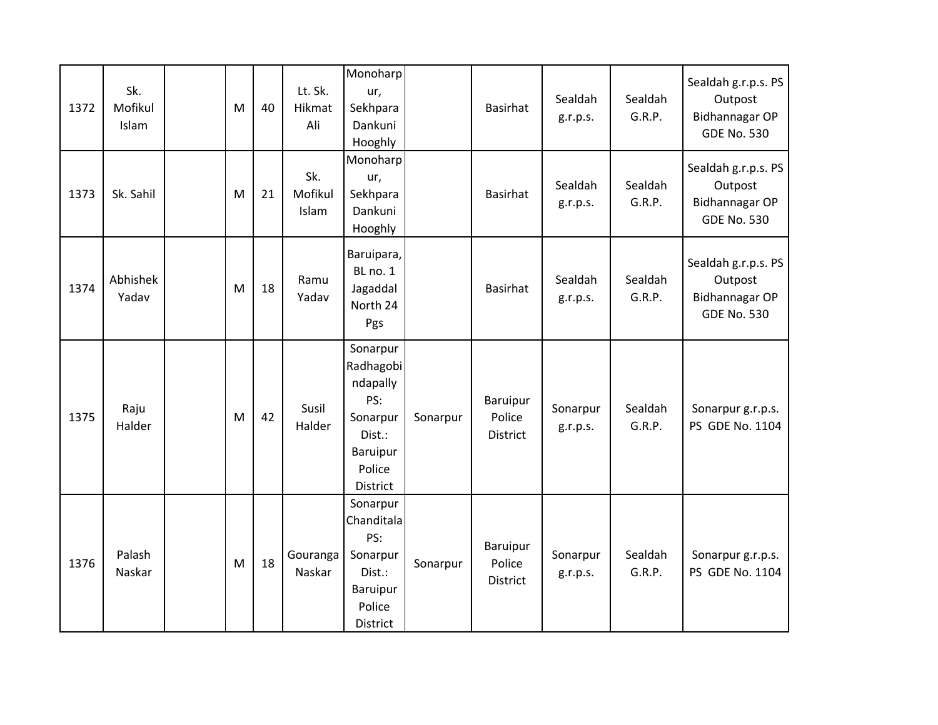| 1372 | Sk.<br>Mofikul<br>Islam | M | 40 | Lt. Sk.<br>Hikmat<br>Ali | Monoharp<br>ur,<br>Sekhpara<br>Dankuni<br>Hooghly                                                |          | <b>Basirhat</b>                       | Sealdah<br>g.r.p.s.  | Sealdah<br>G.R.P. | Sealdah g.r.p.s. PS<br>Outpost<br>Bidhannagar OP<br><b>GDE No. 530</b>        |
|------|-------------------------|---|----|--------------------------|--------------------------------------------------------------------------------------------------|----------|---------------------------------------|----------------------|-------------------|-------------------------------------------------------------------------------|
| 1373 | Sk. Sahil               | M | 21 | Sk.<br>Mofikul<br>Islam  | Monoharp<br>ur,<br>Sekhpara<br>Dankuni<br>Hooghly                                                |          | <b>Basirhat</b>                       | Sealdah<br>g.r.p.s.  | Sealdah<br>G.R.P. | Sealdah g.r.p.s. PS<br>Outpost<br>Bidhannagar OP<br><b>GDE No. 530</b>        |
| 1374 | Abhishek<br>Yadav       | M | 18 | Ramu<br>Yadav            | Baruipara,<br>BL no. 1<br>Jagaddal<br>North 24<br>Pgs                                            |          | Basirhat                              | Sealdah<br>g.r.p.s.  | Sealdah<br>G.R.P. | Sealdah g.r.p.s. PS<br>Outpost<br><b>Bidhannagar OP</b><br><b>GDE No. 530</b> |
| 1375 | Raju<br>Halder          | M | 42 | Susil<br>Halder          | Sonarpur<br>Radhagobi<br>ndapally<br>PS:<br>Sonarpur<br>Dist.:<br>Baruipur<br>Police<br>District | Sonarpur | Baruipur<br>Police<br><b>District</b> | Sonarpur<br>g.r.p.s. | Sealdah<br>G.R.P. | Sonarpur g.r.p.s.<br>PS GDE No. 1104                                          |
| 1376 | Palash<br>Naskar        | M | 18 | Gouranga<br>Naskar       | Sonarpur<br>Chanditala<br>PS:<br>Sonarpur<br>Dist.:<br>Baruipur<br>Police<br>District            | Sonarpur | Baruipur<br>Police<br>District        | Sonarpur<br>g.r.p.s. | Sealdah<br>G.R.P. | Sonarpur g.r.p.s.<br>PS GDE No. 1104                                          |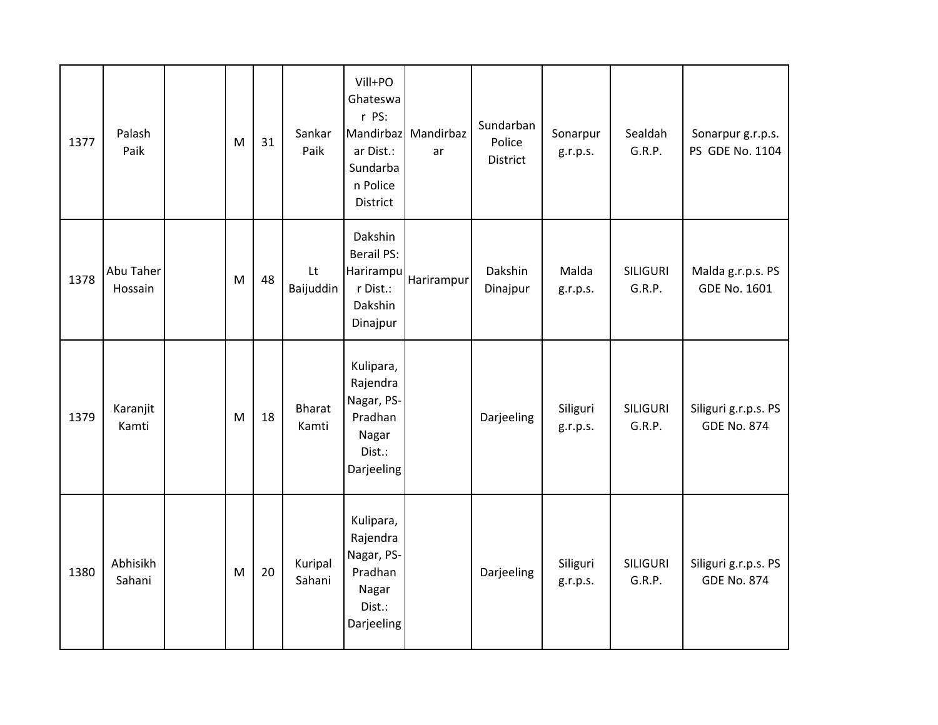| 1377 | Palash<br>Paik       | M | 31 | Sankar<br>Paik    | Vill+PO<br>Ghateswa<br>r PS:<br>Mandirbaz<br>ar Dist.:<br>Sundarba<br>n Police<br>District | Mandirbaz<br>ar | Sundarban<br>Police<br>District | Sonarpur<br>g.r.p.s. | Sealdah<br>G.R.P.         | Sonarpur g.r.p.s.<br>PS GDE No. 1104       |
|------|----------------------|---|----|-------------------|--------------------------------------------------------------------------------------------|-----------------|---------------------------------|----------------------|---------------------------|--------------------------------------------|
| 1378 | Abu Taher<br>Hossain | M | 48 | Lt<br>Baijuddin   | Dakshin<br><b>Berail PS:</b><br>Harirampu<br>r Dist.:<br>Dakshin<br>Dinajpur               | Harirampur      | Dakshin<br>Dinajpur             | Malda<br>g.r.p.s.    | <b>SILIGURI</b><br>G.R.P. | Malda g.r.p.s. PS<br><b>GDE No. 1601</b>   |
| 1379 | Karanjit<br>Kamti    | M | 18 | Bharat<br>Kamti   | Kulipara,<br>Rajendra<br>Nagar, PS-<br>Pradhan<br>Nagar<br>Dist.:<br>Darjeeling            |                 | Darjeeling                      | Siliguri<br>g.r.p.s. | <b>SILIGURI</b><br>G.R.P. | Siliguri g.r.p.s. PS<br><b>GDE No. 874</b> |
| 1380 | Abhisikh<br>Sahani   | M | 20 | Kuripal<br>Sahani | Kulipara,<br>Rajendra<br>Nagar, PS-<br>Pradhan<br>Nagar<br>Dist.:<br>Darjeeling            |                 | Darjeeling                      | Siliguri<br>g.r.p.s. | <b>SILIGURI</b><br>G.R.P. | Siliguri g.r.p.s. PS<br><b>GDE No. 874</b> |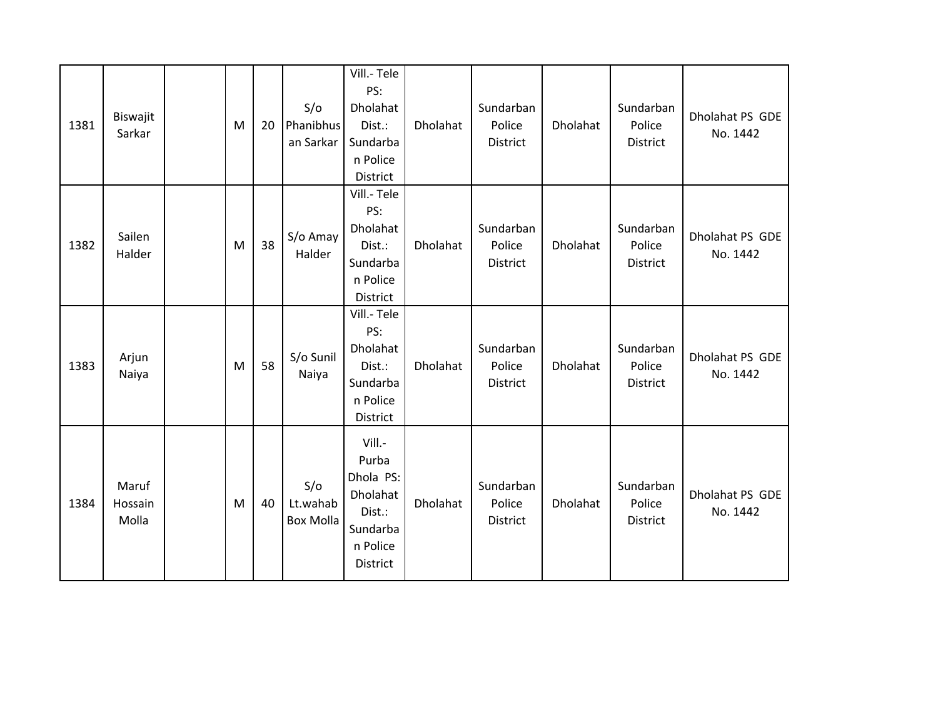| 1381 | Biswajit<br>Sarkar        | M | 20 | S/O<br>Phanibhus<br>an Sarkar       | Vill.-Tele<br>PS:<br>Dholahat<br>Dist.:<br>Sundarba<br>n Police<br>District            | Dholahat | Sundarban<br>Police<br>District | Dholahat | Sundarban<br>Police<br><b>District</b> | Dholahat PS GDE<br>No. 1442 |
|------|---------------------------|---|----|-------------------------------------|----------------------------------------------------------------------------------------|----------|---------------------------------|----------|----------------------------------------|-----------------------------|
| 1382 | Sailen<br>Halder          | M | 38 | S/o Amay<br>Halder                  | Vill.- Tele<br>PS:<br>Dholahat<br>Dist.:<br>Sundarba<br>n Police<br>District           | Dholahat | Sundarban<br>Police<br>District | Dholahat | Sundarban<br>Police<br>District        | Dholahat PS GDE<br>No. 1442 |
| 1383 | Arjun<br>Naiya            | M | 58 | S/o Sunil<br>Naiya                  | Vill.-Tele<br>PS:<br>Dholahat<br>Dist.:<br>Sundarba<br>n Police<br>District            | Dholahat | Sundarban<br>Police<br>District | Dholahat | Sundarban<br>Police<br>District        | Dholahat PS GDE<br>No. 1442 |
| 1384 | Maruf<br>Hossain<br>Molla | M | 40 | S/O<br>Lt.wahab<br><b>Box Molla</b> | Vill.-<br>Purba<br>Dhola PS:<br>Dholahat<br>Dist.:<br>Sundarba<br>n Police<br>District | Dholahat | Sundarban<br>Police<br>District | Dholahat | Sundarban<br>Police<br><b>District</b> | Dholahat PS GDE<br>No. 1442 |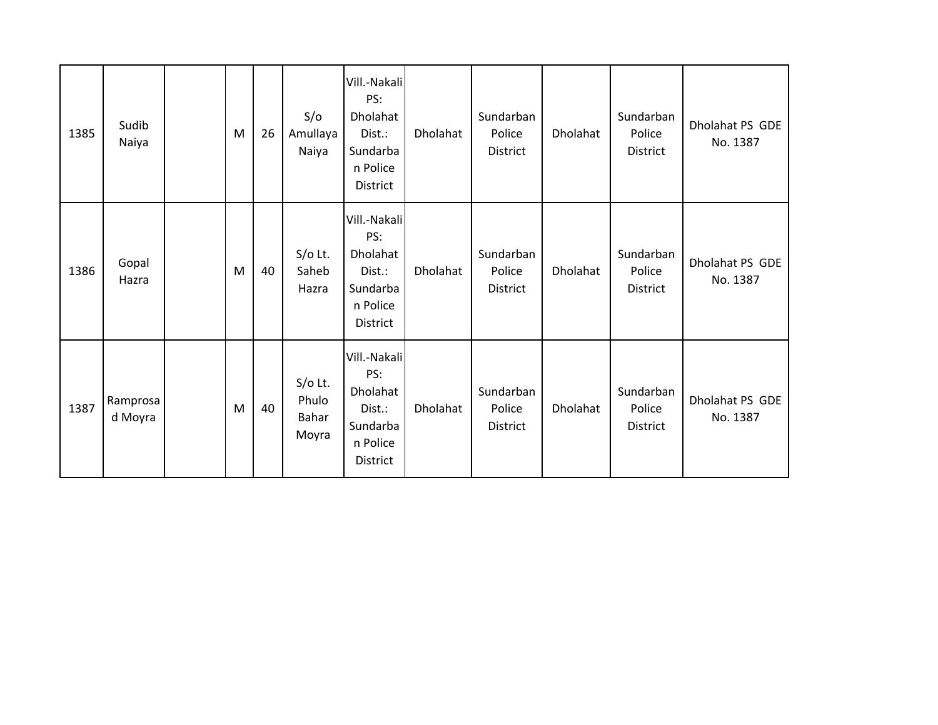| 1385 | Sudib<br>Naiya      | M | 26 | S/O<br>Amullaya<br>Naiya             | Vill.-Nakali<br>PS:<br>Dholahat<br>Dist.:<br>Sundarba<br>n Police<br><b>District</b> | Dholahat | Sundarban<br>Police<br>District        | Dholahat | Sundarban<br>Police<br>District        | Dholahat PS GDE<br>No. 1387 |
|------|---------------------|---|----|--------------------------------------|--------------------------------------------------------------------------------------|----------|----------------------------------------|----------|----------------------------------------|-----------------------------|
| 1386 | Gopal<br>Hazra      | M | 40 | $S/O$ Lt.<br>Saheb<br>Hazra          | Vill.-Nakali<br>PS:<br>Dholahat<br>Dist.:<br>Sundarba<br>n Police<br><b>District</b> | Dholahat | Sundarban<br>Police<br>District        | Dholahat | Sundarban<br>Police<br><b>District</b> | Dholahat PS GDE<br>No. 1387 |
| 1387 | Ramprosa<br>d Moyra | M | 40 | $S/O$ Lt.<br>Phulo<br>Bahar<br>Moyra | Vill.-Nakali<br>PS:<br>Dholahat<br>Dist.:<br>Sundarba<br>n Police<br>District        | Dholahat | Sundarban<br>Police<br><b>District</b> | Dholahat | Sundarban<br>Police<br>District        | Dholahat PS GDE<br>No. 1387 |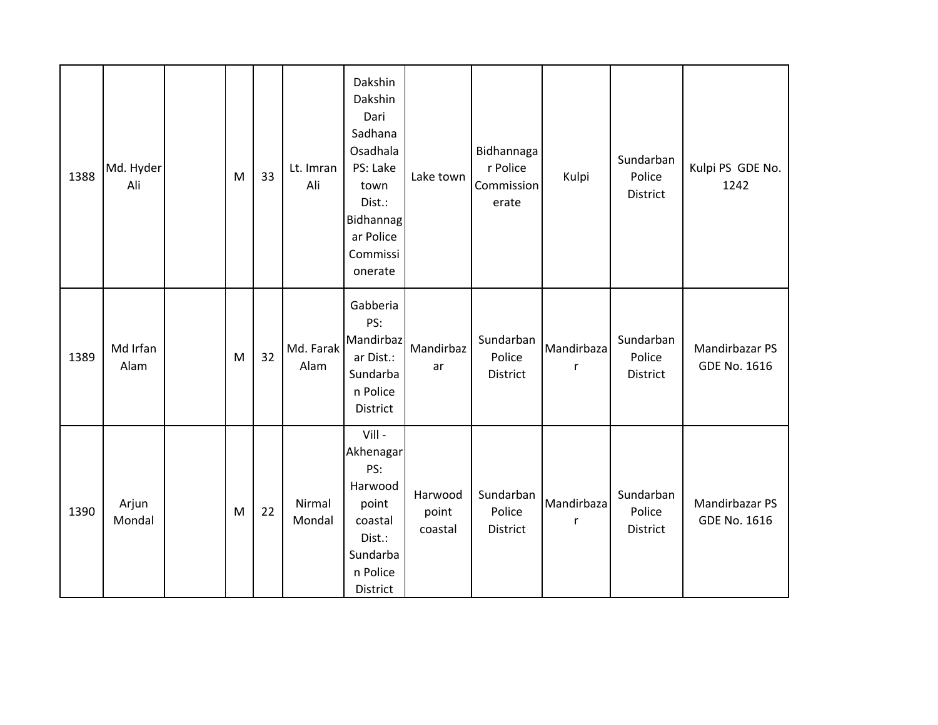| 1388 | Md. Hyder<br>Ali | M         | 33 | Lt. Imran<br>Ali  | Dakshin<br>Dakshin<br>Dari<br>Sadhana<br>Osadhala<br>PS: Lake<br>town<br>Dist.:<br>Bidhannag<br>ar Police<br>Commissi<br>onerate | Lake town                   | Bidhannaga<br>r Police<br>Commission<br>erate | Kulpi           | Sundarban<br>Police<br>District | Kulpi PS GDE No.<br>1242              |
|------|------------------|-----------|----|-------------------|----------------------------------------------------------------------------------------------------------------------------------|-----------------------------|-----------------------------------------------|-----------------|---------------------------------|---------------------------------------|
| 1389 | Md Irfan<br>Alam | ${\sf M}$ | 32 | Md. Farak<br>Alam | Gabberia<br>PS:<br>Mandirbaz<br>ar Dist.:<br>Sundarba<br>n Police<br>District                                                    | Mandirbaz<br>ar             | Sundarban<br>Police<br>District               | Mandirbaza<br>r | Sundarban<br>Police<br>District | Mandirbazar PS<br><b>GDE No. 1616</b> |
| 1390 | Arjun<br>Mondal  | M         | 22 | Nirmal<br>Mondal  | Vill-<br>Akhenagar<br>PS:<br>Harwood<br>point<br>coastal<br>Dist.:<br>Sundarba<br>n Police<br>District                           | Harwood<br>point<br>coastal | Sundarban<br>Police<br>District               | Mandirbaza<br>r | Sundarban<br>Police<br>District | Mandirbazar PS<br>GDE No. 1616        |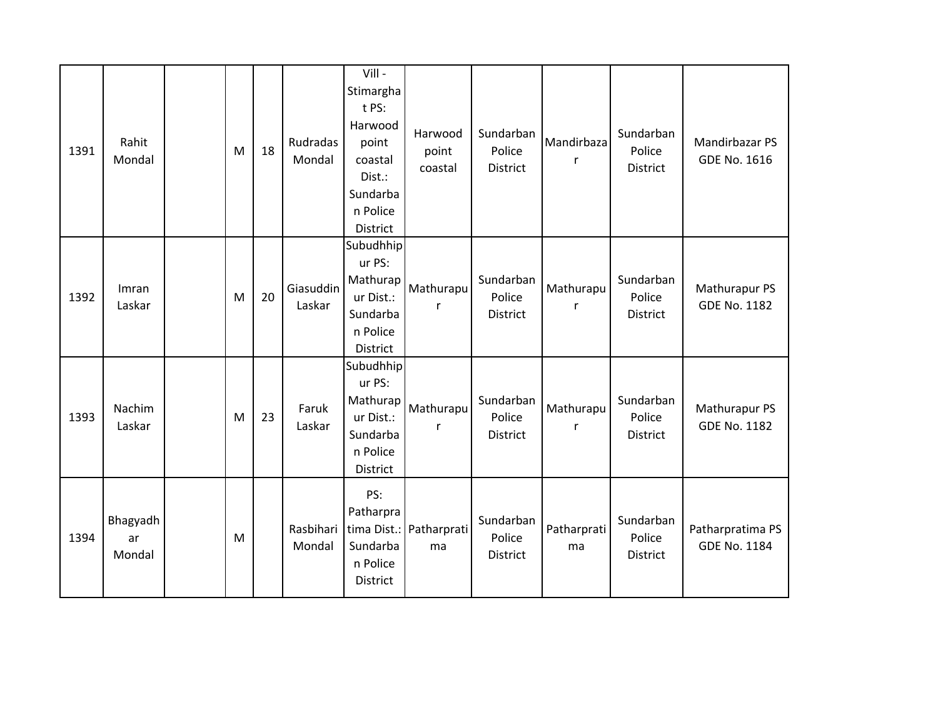| 1391 | Rahit<br>Mondal          | M | 18 | Rudradas<br>Mondal  | Vill -<br>Stimargha<br>t PS:<br>Harwood<br>point<br>coastal<br>Dist.:<br>Sundarba<br>n Police<br>District | Harwood<br>point<br>coastal   | Sundarban<br>Police<br><b>District</b> | Mandirbaza<br>r   | Sundarban<br>Police<br><b>District</b> | Mandirbazar PS<br>GDE No. 1616       |
|------|--------------------------|---|----|---------------------|-----------------------------------------------------------------------------------------------------------|-------------------------------|----------------------------------------|-------------------|----------------------------------------|--------------------------------------|
| 1392 | Imran<br>Laskar          | M | 20 | Giasuddin<br>Laskar | Subudhhip<br>ur PS:<br>Mathurap<br>ur Dist.:<br>Sundarba<br>n Police<br>District                          | Mathurapu<br>r                | Sundarban<br>Police<br><b>District</b> | Mathurapu<br>r    | Sundarban<br>Police<br><b>District</b> | Mathurapur PS<br><b>GDE No. 1182</b> |
| 1393 | Nachim<br>Laskar         | M | 23 | Faruk<br>Laskar     | Subudhhip<br>ur PS:<br>Mathurap<br>ur Dist.:<br>Sundarba<br>n Police<br>District                          | Mathurapu                     | Sundarban<br>Police<br>District        | Mathurapu         | Sundarban<br>Police<br>District        | Mathurapur PS<br><b>GDE No. 1182</b> |
| 1394 | Bhagyadh<br>ar<br>Mondal | M |    | Rasbihari<br>Mondal | PS:<br>Patharpra<br>Sundarba<br>n Police<br>District                                                      | tima Dist.: Patharprati<br>ma | Sundarban<br>Police<br>District        | Patharprati<br>ma | Sundarban<br>Police<br>District        | Patharpratima PS<br>GDE No. 1184     |